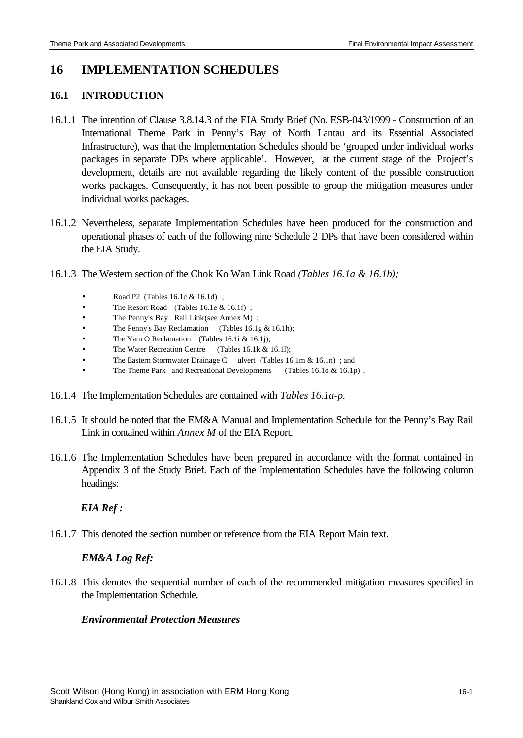# **16 IMPLEMENTATION SCHEDULES**

#### **16.1 INTRODUCTION**

- 16.1.1 The intention of Clause 3.8.14.3 of the EIA Study Brief (No. ESB-043/1999 Construction of an International Theme Park in Penny's Bay of North Lantau and its Essential Associated Infrastructure), was that the Implementation Schedules should be 'grouped under individual works packages in separate DPs where applicable'. However, at the current stage of the Project's development, details are not available regarding the likely content of the possible construction works packages. Consequently, it has not been possible to group the mitigation measures under individual works packages.
- 16.1.2 Nevertheless, separate Implementation Schedules have been produced for the construction and operational phases of each of the following nine Schedule 2 DPs that have been considered within the EIA Study.
- 16.1.3 The Western section of the Chok Ko Wan Link Road *(Tables 16.1a & 16.1b);*
	- Road P2 (Tables 16.1c & 16.1d) ;
	- The Resort Road (Tables 16.1e & 16.1f);
	- The Penny's Bay Rail Link(see Annex M) ;
	- The Penny's Bay Reclamation (Tables 16.1g & 16.1h);
	- The Yam O Reclamation (Tables 16.1i & 16.1j);
	- The Water Recreation Centre (Tables 16.1k & 16.1l);
	- The Eastern Stormwater Drainage C ulvert (Tables 16.1m & 16.1n); and
	- The Theme Park and Recreational Developments (Tables 16.1o & 16.1p).
- 16.1.4 The Implementation Schedules are contained with *Tables 16.1a-p.*
- 16.1.5 It should be noted that the EM&A Manual and Implementation Schedule for the Penny's Bay Rail Link in contained within *Annex M* of the EIA Report.
- 16.1.6 The Implementation Schedules have been prepared in accordance with the format contained in Appendix 3 of the Study Brief. Each of the Implementation Schedules have the following column headings:

#### *EIA Ref :*

16.1.7 This denoted the section number or reference from the EIA Report Main text.

#### *EM&A Log Ref:*

16.1.8 This denotes the sequential number of each of the recommended mitigation measures specified in the Implementation Schedule.

#### *Environmental Protection Measures*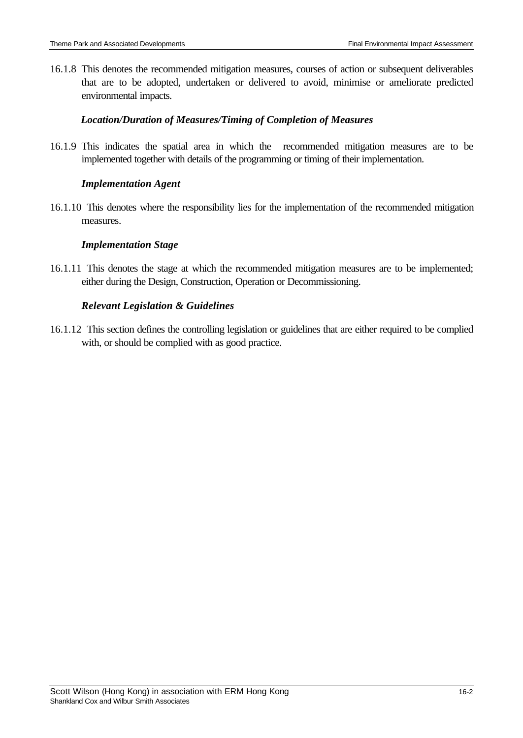16.1.8 This denotes the recommended mitigation measures, courses of action or subsequent deliverables that are to be adopted, undertaken or delivered to avoid, minimise or ameliorate predicted environmental impacts.

## *Location/Duration of Measures/Timing of Completion of Measures*

16.1.9 This indicates the spatial area in which the recommended mitigation measures are to be implemented together with details of the programming or timing of their implementation.

## *Implementation Agent*

16.1.10 This denotes where the responsibility lies for the implementation of the recommended mitigation measures.

## *Implementation Stage*

16.1.11 This denotes the stage at which the recommended mitigation measures are to be implemented; either during the Design, Construction, Operation or Decommissioning.

## *Relevant Legislation & Guidelines*

16.1.12 This section defines the controlling legislation or guidelines that are either required to be complied with, or should be complied with as good practice.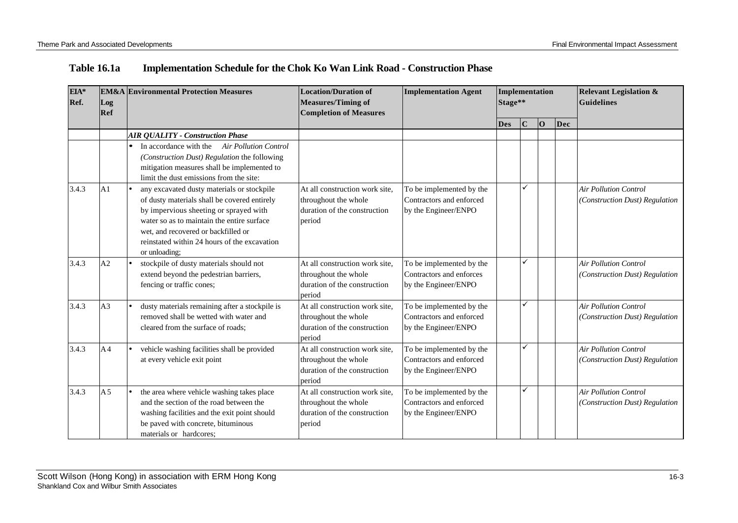| Table 16.1a | <b>Implementation Schedule for the Chok Ko Wan Link Road - Construction Phase</b> |
|-------------|-----------------------------------------------------------------------------------|
|-------------|-----------------------------------------------------------------------------------|

| EIA*<br>Ref. | Log<br>Ref     | <b>EM&amp;A</b> Environmental Protection Measures                                                                                                                                                                                                                                          | <b>Location/Duration of</b><br><b>Measures/Timing of</b><br><b>Completion of Measures</b>        | <b>Implementation Agent</b>                                                  |            | Implementation<br>Stage** |   |     | <b>Relevant Legislation &amp;</b><br><b>Guidelines</b>         |
|--------------|----------------|--------------------------------------------------------------------------------------------------------------------------------------------------------------------------------------------------------------------------------------------------------------------------------------------|--------------------------------------------------------------------------------------------------|------------------------------------------------------------------------------|------------|---------------------------|---|-----|----------------------------------------------------------------|
|              |                |                                                                                                                                                                                                                                                                                            |                                                                                                  |                                                                              | <b>Des</b> | $\mathbf C$               | O | Dec |                                                                |
|              |                | <b>AIR QUALITY - Construction Phase</b>                                                                                                                                                                                                                                                    |                                                                                                  |                                                                              |            |                           |   |     |                                                                |
|              |                | In accordance with the<br><b>Air Pollution Control</b><br>(Construction Dust) Regulation the following<br>mitigation measures shall be implemented to<br>limit the dust emissions from the site:                                                                                           |                                                                                                  |                                                                              |            |                           |   |     |                                                                |
| 3.4.3        | A <sub>1</sub> | any excavated dusty materials or stockpile<br>of dusty materials shall be covered entirely<br>by impervious sheeting or sprayed with<br>water so as to maintain the entire surface<br>wet, and recovered or backfilled or<br>reinstated within 24 hours of the excavation<br>or unloading; | At all construction work site.<br>throughout the whole<br>duration of the construction<br>period | To be implemented by the<br>Contractors and enforced<br>by the Engineer/ENPO |            | ✓                         |   |     | <b>Air Pollution Control</b><br>(Construction Dust) Regulation |
| 3.4.3        | A <sub>2</sub> | stockpile of dusty materials should not<br>extend beyond the pedestrian barriers,<br>fencing or traffic cones;                                                                                                                                                                             | At all construction work site,<br>throughout the whole<br>duration of the construction<br>period | To be implemented by the<br>Contractors and enforces<br>by the Engineer/ENPO |            | ✓                         |   |     | <b>Air Pollution Control</b><br>(Construction Dust) Regulation |
| 3.4.3        | A <sub>3</sub> | dusty materials remaining after a stockpile is<br>removed shall be wetted with water and<br>cleared from the surface of roads;                                                                                                                                                             | At all construction work site.<br>throughout the whole<br>duration of the construction<br>period | To be implemented by the<br>Contractors and enforced<br>by the Engineer/ENPO |            | ✓                         |   |     | <b>Air Pollution Control</b><br>(Construction Dust) Regulation |
| 3.4.3        | A <sub>4</sub> | vehicle washing facilities shall be provided<br>at every vehicle exit point                                                                                                                                                                                                                | At all construction work site.<br>throughout the whole<br>duration of the construction<br>period | To be implemented by the<br>Contractors and enforced<br>by the Engineer/ENPO |            | ✓                         |   |     | <b>Air Pollution Control</b><br>(Construction Dust) Regulation |
| 3.4.3        | A <sub>5</sub> | the area where vehicle washing takes place<br>and the section of the road between the<br>washing facilities and the exit point should<br>be paved with concrete, bituminous<br>materials or hardcores;                                                                                     | At all construction work site,<br>throughout the whole<br>duration of the construction<br>period | To be implemented by the<br>Contractors and enforced<br>by the Engineer/ENPO |            | ✓                         |   |     | <b>Air Pollution Control</b><br>(Construction Dust) Regulation |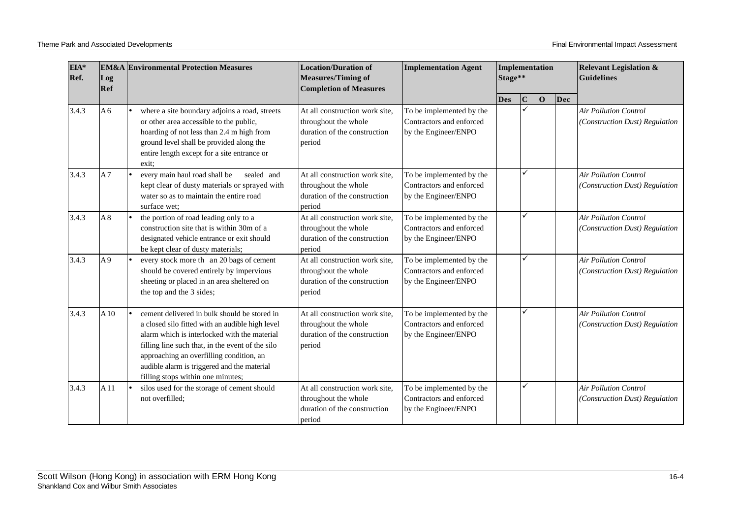| EIA*<br>Ref. | <b>EM&amp;A</b> Environmental Protection Measures<br>Log<br>Ref |                                                                                                                                                                                                                                                                                                                                     | <b>Location/Duration of</b><br><b>Measures/Timing of</b><br><b>Completion of Measures</b>        | <b>Implementation Agent</b>                                                  |            | Implementation<br>Stage** |   |     | <b>Relevant Legislation &amp;</b><br>Guidelines                |
|--------------|-----------------------------------------------------------------|-------------------------------------------------------------------------------------------------------------------------------------------------------------------------------------------------------------------------------------------------------------------------------------------------------------------------------------|--------------------------------------------------------------------------------------------------|------------------------------------------------------------------------------|------------|---------------------------|---|-----|----------------------------------------------------------------|
|              |                                                                 |                                                                                                                                                                                                                                                                                                                                     |                                                                                                  |                                                                              | <b>Des</b> | C                         | 0 | Dec |                                                                |
| 3.4.3        | A6                                                              | where a site boundary adjoins a road, streets<br>or other area accessible to the public,<br>hoarding of not less than 2.4 m high from<br>ground level shall be provided along the<br>entire length except for a site entrance or<br>exit:                                                                                           | At all construction work site.<br>throughout the whole<br>duration of the construction<br>period | To be implemented by the<br>Contractors and enforced<br>by the Engineer/ENPO |            | ✓                         |   |     | <b>Air Pollution Control</b><br>(Construction Dust) Regulation |
| 3.4.3        | A <sub>7</sub>                                                  | every main haul road shall be<br>sealed and<br>kept clear of dusty materials or sprayed with<br>water so as to maintain the entire road<br>surface wet:                                                                                                                                                                             | At all construction work site,<br>throughout the whole<br>duration of the construction<br>period | To be implemented by the<br>Contractors and enforced<br>by the Engineer/ENPO |            | $\checkmark$              |   |     | <b>Air Pollution Control</b><br>(Construction Dust) Regulation |
| 3.4.3        | A8                                                              | the portion of road leading only to a<br>construction site that is within 30m of a<br>designated vehicle entrance or exit should<br>be kept clear of dusty materials;                                                                                                                                                               | At all construction work site.<br>throughout the whole<br>duration of the construction<br>period | To be implemented by the<br>Contractors and enforced<br>by the Engineer/ENPO |            | ✓                         |   |     | <b>Air Pollution Control</b><br>(Construction Dust) Regulation |
| 3.4.3        | A <sub>9</sub>                                                  | every stock more th an 20 bags of cement<br>should be covered entirely by impervious<br>sheeting or placed in an area sheltered on<br>the top and the 3 sides;                                                                                                                                                                      | At all construction work site,<br>throughout the whole<br>duration of the construction<br>period | To be implemented by the<br>Contractors and enforced<br>by the Engineer/ENPO |            | ✓                         |   |     | <b>Air Pollution Control</b><br>(Construction Dust) Regulation |
| 3.4.3        | A10                                                             | cement delivered in bulk should be stored in<br>a closed silo fitted with an audible high level<br>alarm which is interlocked with the material<br>filling line such that, in the event of the silo<br>approaching an overfilling condition, an<br>audible alarm is triggered and the material<br>filling stops within one minutes; | At all construction work site.<br>throughout the whole<br>duration of the construction<br>period | To be implemented by the<br>Contractors and enforced<br>by the Engineer/ENPO |            | ✓                         |   |     | Air Pollution Control<br>(Construction Dust) Regulation        |
| 3.4.3        | A11                                                             | silos used for the storage of cement should<br>not overfilled;                                                                                                                                                                                                                                                                      | At all construction work site,<br>throughout the whole<br>duration of the construction<br>period | To be implemented by the<br>Contractors and enforced<br>by the Engineer/ENPO |            | ✓                         |   |     | <b>Air Pollution Control</b><br>(Construction Dust) Regulation |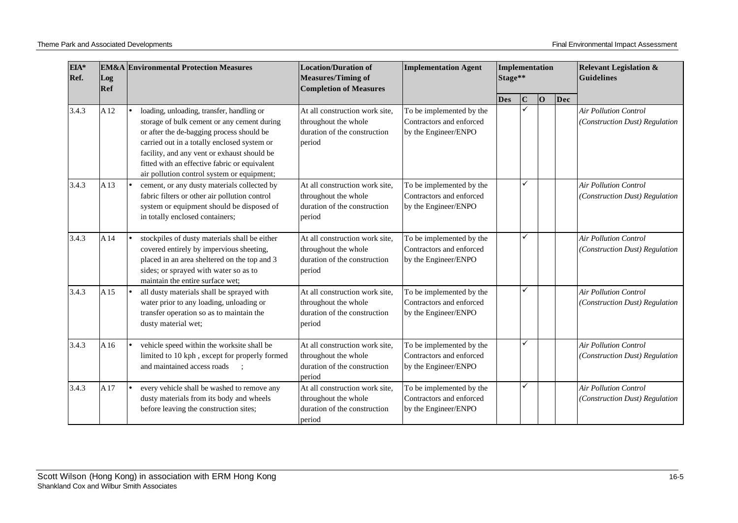| EIA*<br>Ref. | <b>EM&amp;A</b> Environmental Protection Measures<br>Log<br>Ref |                                                                                                                                                                                                                                                                                                                                    | <b>Location/Duration of</b><br><b>Implementation Agent</b><br><b>Measures/Timing of</b><br><b>Completion of Measures</b> |                                                                              | Implementation<br>Stage** |              |    |     | <b>Relevant Legislation &amp;</b><br><b>Guidelines</b>         |
|--------------|-----------------------------------------------------------------|------------------------------------------------------------------------------------------------------------------------------------------------------------------------------------------------------------------------------------------------------------------------------------------------------------------------------------|--------------------------------------------------------------------------------------------------------------------------|------------------------------------------------------------------------------|---------------------------|--------------|----|-----|----------------------------------------------------------------|
|              |                                                                 |                                                                                                                                                                                                                                                                                                                                    |                                                                                                                          |                                                                              | <b>Des</b>                | $\mathbf C$  | 10 | Dec |                                                                |
| 3.4.3        | A12                                                             | loading, unloading, transfer, handling or<br>storage of bulk cement or any cement during<br>or after the de-bagging process should be<br>carried out in a totally enclosed system or<br>facility, and any vent or exhaust should be<br>fitted with an effective fabric or equivalent<br>air pollution control system or equipment; | At all construction work site.<br>throughout the whole<br>duration of the construction<br>period                         | To be implemented by the<br>Contractors and enforced<br>by the Engineer/ENPO |                           | $\checkmark$ |    |     | <b>Air Pollution Control</b><br>(Construction Dust) Regulation |
| 3.4.3        | A13                                                             | cement, or any dusty materials collected by<br>fabric filters or other air pollution control<br>system or equipment should be disposed of<br>in totally enclosed containers;                                                                                                                                                       | At all construction work site,<br>throughout the whole<br>duration of the construction<br>period                         | To be implemented by the<br>Contractors and enforced<br>by the Engineer/ENPO |                           | ✓            |    |     | <b>Air Pollution Control</b><br>(Construction Dust) Regulation |
| 3.4.3        | A <sub>14</sub>                                                 | stockpiles of dusty materials shall be either<br>covered entirely by impervious sheeting,<br>placed in an area sheltered on the top and 3<br>sides; or sprayed with water so as to<br>maintain the entire surface wet:                                                                                                             | At all construction work site,<br>throughout the whole<br>duration of the construction<br>period                         | To be implemented by the<br>Contractors and enforced<br>by the Engineer/ENPO |                           | ✓            |    |     | <b>Air Pollution Control</b><br>(Construction Dust) Regulation |
| 3.4.3        | A15                                                             | all dusty materials shall be sprayed with<br>water prior to any loading, unloading or<br>transfer operation so as to maintain the<br>dusty material wet;                                                                                                                                                                           | At all construction work site,<br>throughout the whole<br>duration of the construction<br>period                         | To be implemented by the<br>Contractors and enforced<br>by the Engineer/ENPO |                           | ✓            |    |     | <b>Air Pollution Control</b><br>(Construction Dust) Regulation |
| 3.4.3        | A16                                                             | vehicle speed within the worksite shall be<br>limited to 10 kph, except for properly formed<br>and maintained access roads                                                                                                                                                                                                         | At all construction work site.<br>throughout the whole<br>duration of the construction<br>period                         | To be implemented by the<br>Contractors and enforced<br>by the Engineer/ENPO |                           | ✓            |    |     | <b>Air Pollution Control</b><br>(Construction Dust) Regulation |
| 3.4.3        | A17                                                             | every vehicle shall be washed to remove any<br>dusty materials from its body and wheels<br>before leaving the construction sites;                                                                                                                                                                                                  | At all construction work site,<br>throughout the whole<br>duration of the construction<br>period                         | To be implemented by the<br>Contractors and enforced<br>by the Engineer/ENPO |                           | ✓            |    |     | <b>Air Pollution Control</b><br>(Construction Dust) Regulation |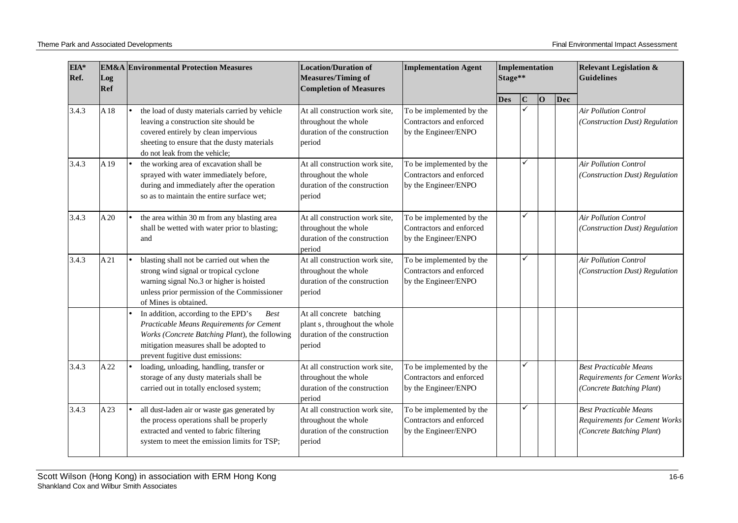| EIA*<br>Ref. | Log<br>Ref      | <b>EM&amp;A Environmental Protection Measures</b>                                                                                                                                                                                | <b>Location/Duration of</b><br><b>Measures/Timing of</b><br><b>Completion of Measures</b>           | <b>Implementation Agent</b>                                                  | Implementation<br>Stage** |             |                |     | <b>Relevant Legislation &amp;</b><br><b>Guidelines</b>                                             |
|--------------|-----------------|----------------------------------------------------------------------------------------------------------------------------------------------------------------------------------------------------------------------------------|-----------------------------------------------------------------------------------------------------|------------------------------------------------------------------------------|---------------------------|-------------|----------------|-----|----------------------------------------------------------------------------------------------------|
|              |                 |                                                                                                                                                                                                                                  |                                                                                                     |                                                                              | <b>Des</b>                | $\mathbf C$ | $\overline{O}$ | Dec |                                                                                                    |
| 3.4.3        | A <sub>18</sub> | the load of dusty materials carried by vehicle<br>leaving a construction site should be<br>covered entirely by clean impervious<br>sheeting to ensure that the dusty materials<br>do not leak from the vehicle;                  | At all construction work site,<br>throughout the whole<br>duration of the construction<br>period    | To be implemented by the<br>Contractors and enforced<br>by the Engineer/ENPO |                           |             |                |     | <b>Air Pollution Control</b><br>(Construction Dust) Regulation                                     |
| 3.4.3        | A19             | the working area of excavation shall be<br>sprayed with water immediately before,<br>during and immediately after the operation<br>so as to maintain the entire surface wet;                                                     | At all construction work site,<br>throughout the whole<br>duration of the construction<br>period    | To be implemented by the<br>Contractors and enforced<br>by the Engineer/ENPO |                           | ✓           |                |     | Air Pollution Control<br>(Construction Dust) Regulation                                            |
| 3.4.3        | A20             | the area within 30 m from any blasting area<br>shall be wetted with water prior to blasting;<br>and                                                                                                                              | At all construction work site,<br>throughout the whole<br>duration of the construction<br>period    | To be implemented by the<br>Contractors and enforced<br>by the Engineer/ENPO |                           | ✓           |                |     | <b>Air Pollution Control</b><br>(Construction Dust) Regulation                                     |
| 3.4.3        | A21             | blasting shall not be carried out when the<br>strong wind signal or tropical cyclone<br>warning signal No.3 or higher is hoisted<br>unless prior permission of the Commissioner<br>of Mines is obtained.                         | At all construction work site,<br>throughout the whole<br>duration of the construction<br>period    | To be implemented by the<br>Contractors and enforced<br>by the Engineer/ENPO |                           | ✓           |                |     | <b>Air Pollution Control</b><br>(Construction Dust) Regulation                                     |
|              |                 | In addition, according to the EPD's<br><b>Best</b><br>Practicable Means Requirements for Cement<br>Works (Concrete Batching Plant), the following<br>mitigation measures shall be adopted to<br>prevent fugitive dust emissions: | At all concrete batching<br>plant s, throughout the whole<br>duration of the construction<br>period |                                                                              |                           |             |                |     |                                                                                                    |
| 3.4.3        | A 22            | loading, unloading, handling, transfer or<br>storage of any dusty materials shall be<br>carried out in totally enclosed system;                                                                                                  | At all construction work site,<br>throughout the whole<br>duration of the construction<br>period    | To be implemented by the<br>Contractors and enforced<br>by the Engineer/ENPO |                           | ✓           |                |     | <b>Best Practicable Means</b><br><b>Requirements for Cement Works</b><br>(Concrete Batching Plant) |
| 3.4.3        | A23             | all dust-laden air or waste gas generated by<br>the process operations shall be properly<br>extracted and vented to fabric filtering<br>system to meet the emission limits for TSP;                                              | At all construction work site,<br>throughout the whole<br>duration of the construction<br>period    | To be implemented by the<br>Contractors and enforced<br>by the Engineer/ENPO |                           | ✓           |                |     | <b>Best Practicable Means</b><br><b>Requirements for Cement Works</b><br>(Concrete Batching Plant) |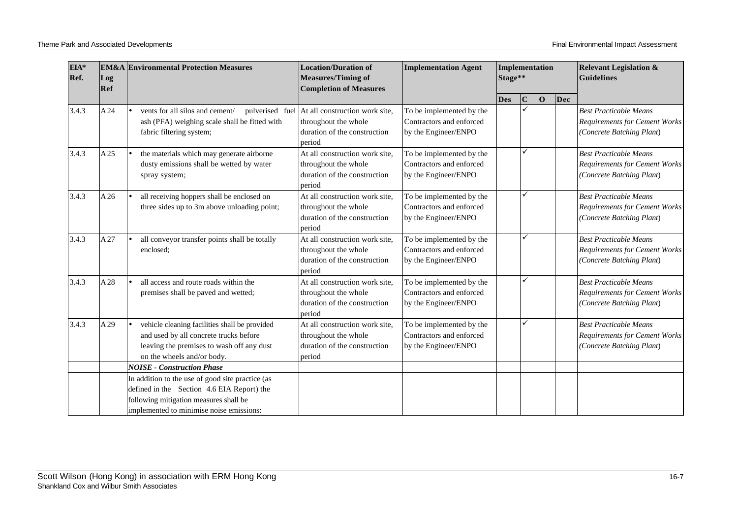| EIA*<br>Ref. | <b>EM&amp;A</b> Environmental Protection Measures<br>Log<br>Ref |                                                                                                                                                                                      | <b>Location/Duration of</b><br><b>Measures/Timing of</b><br><b>Completion of Measures</b>                        | <b>Implementation Agent</b>                                                  | Implementation<br>Stage** |   |    |     | <b>Relevant Legislation &amp;</b><br><b>Guidelines</b>                                             |
|--------------|-----------------------------------------------------------------|--------------------------------------------------------------------------------------------------------------------------------------------------------------------------------------|------------------------------------------------------------------------------------------------------------------|------------------------------------------------------------------------------|---------------------------|---|----|-----|----------------------------------------------------------------------------------------------------|
|              |                                                                 |                                                                                                                                                                                      |                                                                                                                  |                                                                              | <b>Des</b>                | C | 10 | Dec |                                                                                                    |
| 3.4.3        | A24                                                             | vents for all silos and cement/<br>ash (PFA) weighing scale shall be fitted with<br>fabric filtering system;                                                                         | pulverised fuel At all construction work site,<br>throughout the whole<br>duration of the construction<br>period | To be implemented by the<br>Contractors and enforced<br>by the Engineer/ENPO |                           |   |    |     | <b>Best Practicable Means</b><br><b>Requirements for Cement Works</b><br>(Concrete Batching Plant) |
| 3.4.3        | A25                                                             | the materials which may generate airborne<br>dusty emissions shall be wetted by water<br>spray system;                                                                               | At all construction work site,<br>throughout the whole<br>duration of the construction<br>period                 | To be implemented by the<br>Contractors and enforced<br>by the Engineer/ENPO |                           |   |    |     | <b>Best Practicable Means</b><br><b>Requirements for Cement Works</b><br>(Concrete Batching Plant) |
| 3.4.3        | A26                                                             | all receiving hoppers shall be enclosed on<br>three sides up to 3m above unloading point;                                                                                            | At all construction work site,<br>throughout the whole<br>duration of the construction<br>period                 | To be implemented by the<br>Contractors and enforced<br>by the Engineer/ENPO |                           | ✓ |    |     | <b>Best Practicable Means</b><br><b>Requirements for Cement Works</b><br>(Concrete Batching Plant) |
| 3.4.3        | A27                                                             | all conveyor transfer points shall be totally<br>enclosed:                                                                                                                           | At all construction work site,<br>throughout the whole<br>duration of the construction<br>period                 | To be implemented by the<br>Contractors and enforced<br>by the Engineer/ENPO |                           | ✓ |    |     | <b>Best Practicable Means</b><br><b>Requirements for Cement Works</b><br>(Concrete Batching Plant) |
| 3.4.3        | A28                                                             | all access and route roads within the<br>premises shall be paved and wetted;                                                                                                         | At all construction work site,<br>throughout the whole<br>duration of the construction<br>period                 | To be implemented by the<br>Contractors and enforced<br>by the Engineer/ENPO |                           | ✓ |    |     | <b>Best Practicable Means</b><br><b>Requirements for Cement Works</b><br>(Concrete Batching Plant) |
| 3.4.3        | A29                                                             | vehicle cleaning facilities shall be provided<br>and used by all concrete trucks before<br>leaving the premises to wash off any dust<br>on the wheels and/or body.                   | At all construction work site,<br>throughout the whole<br>duration of the construction<br>period                 | To be implemented by the<br>Contractors and enforced<br>by the Engineer/ENPO |                           |   |    |     | <b>Best Practicable Means</b><br><b>Requirements for Cement Works</b><br>(Concrete Batching Plant) |
|              |                                                                 | <b>NOISE - Construction Phase</b>                                                                                                                                                    |                                                                                                                  |                                                                              |                           |   |    |     |                                                                                                    |
|              |                                                                 | In addition to the use of good site practice (as<br>defined in the Section 4.6 EIA Report) the<br>following mitigation measures shall be<br>implemented to minimise noise emissions: |                                                                                                                  |                                                                              |                           |   |    |     |                                                                                                    |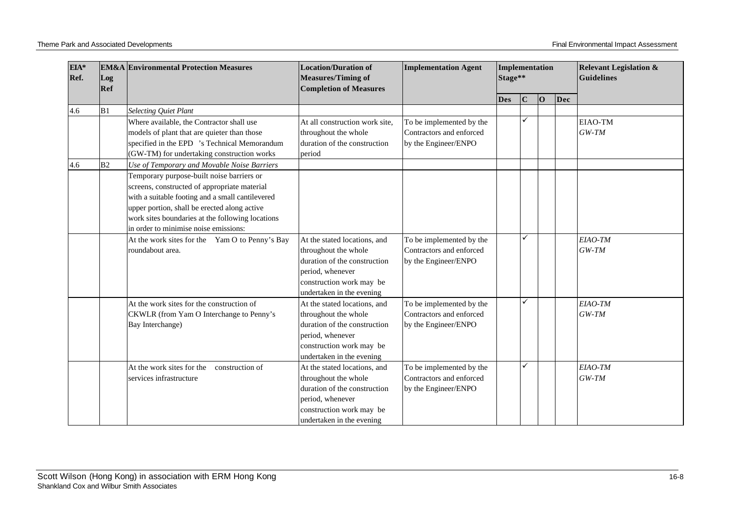| EIA*<br>Ref.<br>Log<br>Ref |                | <b>EM&amp;A</b> Environmental Protection Measures                                                                                                                                                                                                                                                                                         | <b>Location/Duration of</b><br><b>Measures/Timing of</b><br><b>Completion of Measures</b>                                                                         | <b>Implementation Agent</b>                                                  | Implementation<br>Stage** |   |    |     | <b>Relevant Legislation &amp;</b><br><b>Guidelines</b> |
|----------------------------|----------------|-------------------------------------------------------------------------------------------------------------------------------------------------------------------------------------------------------------------------------------------------------------------------------------------------------------------------------------------|-------------------------------------------------------------------------------------------------------------------------------------------------------------------|------------------------------------------------------------------------------|---------------------------|---|----|-----|--------------------------------------------------------|
|                            |                |                                                                                                                                                                                                                                                                                                                                           |                                                                                                                                                                   |                                                                              | <b>Des</b>                | C | 10 | Dec |                                                        |
| 4.6                        | B <sub>1</sub> | <b>Selecting Quiet Plant</b>                                                                                                                                                                                                                                                                                                              |                                                                                                                                                                   |                                                                              |                           |   |    |     |                                                        |
|                            |                | Where available, the Contractor shall use<br>models of plant that are quieter than those<br>specified in the EPD 's Technical Memorandum<br>(GW-TM) for undertaking construction works                                                                                                                                                    | At all construction work site,<br>throughout the whole<br>duration of the construction<br>period                                                                  | To be implemented by the<br>Contractors and enforced<br>by the Engineer/ENPO |                           | ✓ |    |     | EIAO-TM<br>$GW-TM$                                     |
| 4.6                        | B <sub>2</sub> | Use of Temporary and Movable Noise Barriers<br>Temporary purpose-built noise barriers or<br>screens, constructed of appropriate material<br>with a suitable footing and a small cantilevered<br>upper portion, shall be erected along active<br>work sites boundaries at the following locations<br>in order to minimise noise emissions: |                                                                                                                                                                   |                                                                              |                           |   |    |     |                                                        |
|                            |                | At the work sites for the Yam O to Penny's Bay<br>roundabout area.                                                                                                                                                                                                                                                                        | At the stated locations, and<br>throughout the whole<br>duration of the construction<br>period, whenever<br>construction work may be<br>undertaken in the evening | To be implemented by the<br>Contractors and enforced<br>by the Engineer/ENPO |                           | ✓ |    |     | EIAO-TM<br>$GW-TM$                                     |
|                            |                | At the work sites for the construction of<br>CKWLR (from Yam O Interchange to Penny's<br>Bay Interchange)                                                                                                                                                                                                                                 | At the stated locations, and<br>throughout the whole<br>duration of the construction<br>period, whenever<br>construction work may be<br>undertaken in the evening | To be implemented by the<br>Contractors and enforced<br>by the Engineer/ENPO |                           | ✓ |    |     | EIAO-TM<br>$GW-TM$                                     |
|                            |                | At the work sites for the<br>construction of<br>services infrastructure                                                                                                                                                                                                                                                                   | At the stated locations, and<br>throughout the whole<br>duration of the construction<br>period, whenever<br>construction work may be<br>undertaken in the evening | To be implemented by the<br>Contractors and enforced<br>by the Engineer/ENPO |                           | ✓ |    |     | EIAO-TM<br>$GW-TM$                                     |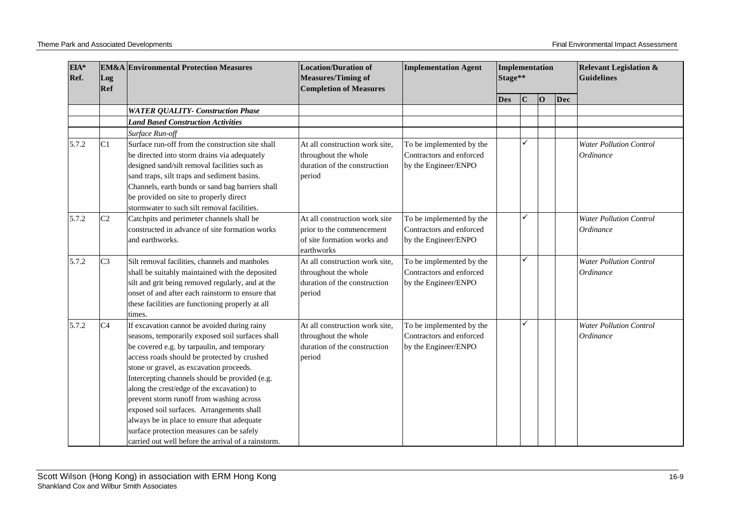| EIA*<br>Ref.<br>Log<br>Ref |               | <b>EM&amp;A</b> Environmental Protection Measures                                                                                                                                                                                                                                                                                                                                                                                                                                                                                                                                     | <b>Location/Duration of</b><br><b>Measures/Timing of</b><br><b>Completion of Measures</b>               | <b>Implementation Agent</b>                                                  | Implementation<br>Stage** |             |    |     | <b>Relevant Legislation &amp;</b><br><b>Guidelines</b>    |
|----------------------------|---------------|---------------------------------------------------------------------------------------------------------------------------------------------------------------------------------------------------------------------------------------------------------------------------------------------------------------------------------------------------------------------------------------------------------------------------------------------------------------------------------------------------------------------------------------------------------------------------------------|---------------------------------------------------------------------------------------------------------|------------------------------------------------------------------------------|---------------------------|-------------|----|-----|-----------------------------------------------------------|
|                            |               |                                                                                                                                                                                                                                                                                                                                                                                                                                                                                                                                                                                       |                                                                                                         |                                                                              | <b>Des</b>                | $\mathbf C$ | 10 | Dec |                                                           |
|                            |               | <b>WATER QUALITY- Construction Phase</b>                                                                                                                                                                                                                                                                                                                                                                                                                                                                                                                                              |                                                                                                         |                                                                              |                           |             |    |     |                                                           |
|                            |               | <b>Land Based Construction Activities</b>                                                                                                                                                                                                                                                                                                                                                                                                                                                                                                                                             |                                                                                                         |                                                                              |                           |             |    |     |                                                           |
|                            |               | Surface Run-off                                                                                                                                                                                                                                                                                                                                                                                                                                                                                                                                                                       |                                                                                                         |                                                                              |                           |             |    |     |                                                           |
| 5.7.2                      | C1            | Surface run-off from the construction site shall<br>be directed into storm drains via adequately<br>designed sand/silt removal facilities such as<br>sand traps, silt traps and sediment basins.<br>Channels, earth bunds or sand bag barriers shall<br>be provided on site to properly direct<br>stormwater to such silt removal facilities.                                                                                                                                                                                                                                         | At all construction work site.<br>throughout the whole<br>duration of the construction<br>period        | To be implemented by the<br>Contractors and enforced<br>by the Engineer/ENPO |                           |             |    |     | <b>Water Pollution Control</b><br><i><b>Ordinance</b></i> |
| 5.7.2                      | $\mathbb{C}2$ | Catchpits and perimeter channels shall be<br>constructed in advance of site formation works<br>and earthworks.                                                                                                                                                                                                                                                                                                                                                                                                                                                                        | At all construction work site<br>prior to the commencement<br>of site formation works and<br>earthworks | To be implemented by the<br>Contractors and enforced<br>by the Engineer/ENPO |                           | ✓           |    |     | <b>Water Pollution Control</b><br>Ordinance               |
| 5.7.2                      | $\mathbb{C}3$ | Silt removal facilities, channels and manholes<br>shall be suitably maintained with the deposited<br>silt and grit being removed regularly, and at the<br>onset of and after each rainstorm to ensure that<br>these facilities are functioning properly at all<br>times.                                                                                                                                                                                                                                                                                                              | At all construction work site,<br>throughout the whole<br>duration of the construction<br>period        | To be implemented by the<br>Contractors and enforced<br>by the Engineer/ENPO |                           | ✓           |    |     | <b>Water Pollution Control</b><br>Ordinance               |
| 5.7.2                      | C4            | If excavation cannot be avoided during rainy<br>seasons, temporarily exposed soil surfaces shall<br>be covered e.g. by tarpaulin, and temporary<br>access roads should be protected by crushed<br>stone or gravel, as excavation proceeds.<br>Intercepting channels should be provided (e.g.<br>along the crest/edge of the excavation) to<br>prevent storm runoff from washing across<br>exposed soil surfaces. Arrangements shall<br>always be in place to ensure that adequate<br>surface protection measures can be safely<br>carried out well before the arrival of a rainstorm. | At all construction work site.<br>throughout the whole<br>duration of the construction<br>period        | To be implemented by the<br>Contractors and enforced<br>by the Engineer/ENPO |                           | ✓           |    |     | <b>Water Pollution Control</b><br>Ordinance               |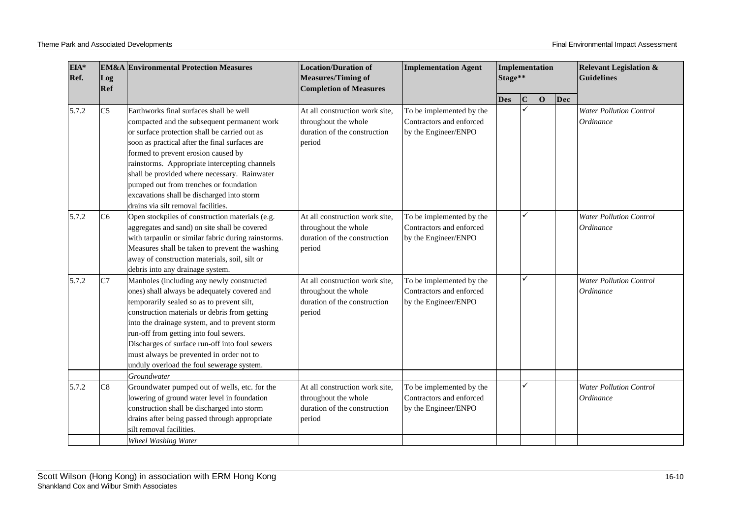| EIA*<br>Ref. | Log<br>Ref     | <b>EM&amp;A</b> Environmental Protection Measures                                                                                                                                                                                                                                                                                                                                                                                                                | <b>Location/Duration of</b><br><b>Measures/Timing of</b><br><b>Completion of Measures</b>        | <b>Implementation Agent</b>                                                  | Implementation<br>Stage** |             |             |     | <b>Relevant Legislation &amp;</b><br>Guidelines |
|--------------|----------------|------------------------------------------------------------------------------------------------------------------------------------------------------------------------------------------------------------------------------------------------------------------------------------------------------------------------------------------------------------------------------------------------------------------------------------------------------------------|--------------------------------------------------------------------------------------------------|------------------------------------------------------------------------------|---------------------------|-------------|-------------|-----|-------------------------------------------------|
|              |                |                                                                                                                                                                                                                                                                                                                                                                                                                                                                  |                                                                                                  |                                                                              | <b>Des</b>                | $\mathbf C$ | $ 0\rangle$ | Dec |                                                 |
| 5.7.2        | C <sub>5</sub> | Earthworks final surfaces shall be well<br>compacted and the subsequent permanent work<br>or surface protection shall be carried out as<br>soon as practical after the final surfaces are<br>formed to prevent erosion caused by<br>rainstorms. Appropriate intercepting channels<br>shall be provided where necessary. Rainwater<br>pumped out from trenches or foundation<br>excavations shall be discharged into storm<br>drains via silt removal facilities. | At all construction work site,<br>throughout the whole<br>duration of the construction<br>period | To be implemented by the<br>Contractors and enforced<br>by the Engineer/ENPO |                           | ✓           |             |     | <b>Water Pollution Control</b><br>Ordinance     |
| 5.7.2        | C6             | Open stockpiles of construction materials (e.g.<br>aggregates and sand) on site shall be covered<br>with tarpaulin or similar fabric during rainstorms.<br>Measures shall be taken to prevent the washing<br>away of construction materials, soil, silt or<br>debris into any drainage system.                                                                                                                                                                   | At all construction work site,<br>throughout the whole<br>duration of the construction<br>period | To be implemented by the<br>Contractors and enforced<br>by the Engineer/ENPO |                           | ✓           |             |     | <b>Water Pollution Control</b><br>Ordinance     |
| 5.7.2        | C7             | Manholes (including any newly constructed<br>ones) shall always be adequately covered and<br>temporarily sealed so as to prevent silt,<br>construction materials or debris from getting<br>into the drainage system, and to prevent storm<br>run-off from getting into foul sewers.<br>Discharges of surface run-off into foul sewers<br>must always be prevented in order not to<br>unduly overload the foul sewerage system.                                   | At all construction work site,<br>throughout the whole<br>duration of the construction<br>period | To be implemented by the<br>Contractors and enforced<br>by the Engineer/ENPO |                           | ✓           |             |     | <b>Water Pollution Control</b><br>Ordinance     |
| 5.7.2        | C8             | Groundwater<br>Groundwater pumped out of wells, etc. for the<br>lowering of ground water level in foundation<br>construction shall be discharged into storm<br>drains after being passed through appropriate<br>silt removal facilities.<br><b>Wheel Washing Water</b>                                                                                                                                                                                           | At all construction work site,<br>throughout the whole<br>duration of the construction<br>period | To be implemented by the<br>Contractors and enforced<br>by the Engineer/ENPO |                           | ✓           |             |     | <b>Water Pollution Control</b><br>Ordinance     |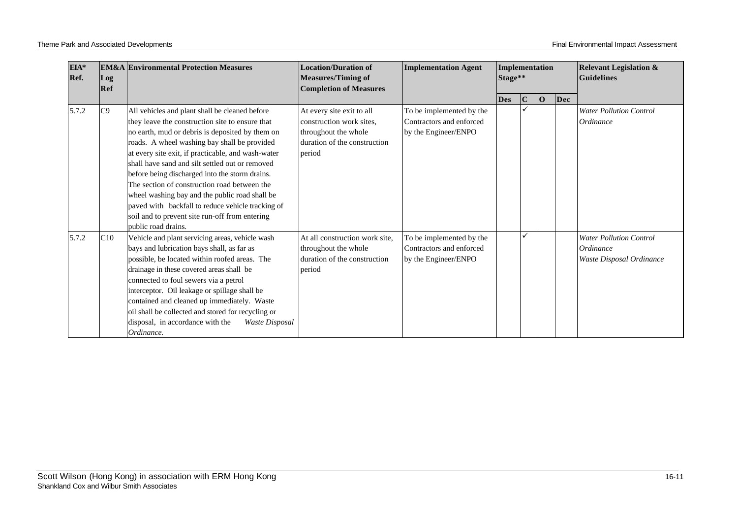| EIA*<br>Ref. | Log<br>Ref | <b>EM&amp;A Environmental Protection Measures</b>                                                                                                                                                                                                                                                                                                                                                                                                                                                                                                                                               | <b>Location/Duration of</b><br><b>Measures/Timing of</b><br><b>Completion of Measures</b>                               | <b>Implementation Agent</b><br>Implementation<br>Stage**<br><b>Guidelines</b> |            |             | <b>Relevant Legislation &amp;</b> |     |                                                                                |
|--------------|------------|-------------------------------------------------------------------------------------------------------------------------------------------------------------------------------------------------------------------------------------------------------------------------------------------------------------------------------------------------------------------------------------------------------------------------------------------------------------------------------------------------------------------------------------------------------------------------------------------------|-------------------------------------------------------------------------------------------------------------------------|-------------------------------------------------------------------------------|------------|-------------|-----------------------------------|-----|--------------------------------------------------------------------------------|
|              |            |                                                                                                                                                                                                                                                                                                                                                                                                                                                                                                                                                                                                 |                                                                                                                         |                                                                               | <b>Des</b> | $\mathbf C$ | lО                                | Dec |                                                                                |
| 5.7.2        | C9         | All vehicles and plant shall be cleaned before<br>they leave the construction site to ensure that<br>no earth, mud or debris is deposited by them on<br>roads. A wheel washing bay shall be provided<br>at every site exit, if practicable, and wash-water<br>shall have sand and silt settled out or removed<br>before being discharged into the storm drains.<br>The section of construction road between the<br>wheel washing bay and the public road shall be<br>paved with backfall to reduce vehicle tracking of<br>soil and to prevent site run-off from entering<br>public road drains. | At every site exit to all<br>construction work sites.<br>throughout the whole<br>duration of the construction<br>period | To be implemented by the<br>Contractors and enforced<br>by the Engineer/ENPO  |            |             |                                   |     | <b>Water Pollution Control</b><br><i><b>Ordinance</b></i>                      |
| 5.7.2        | C10        | Vehicle and plant servicing areas, vehicle wash<br>bays and lubrication bays shall, as far as<br>possible, be located within roofed areas. The<br>drainage in these covered areas shall be<br>connected to foul sewers via a petrol<br>interceptor. Oil leakage or spillage shall be<br>contained and cleaned up immediately. Waste<br>oil shall be collected and stored for recycling or<br>disposal, in accordance with the<br>Waste Disposal<br>Ordinance.                                                                                                                                   | At all construction work site,<br>throughout the whole<br>duration of the construction<br>period                        | To be implemented by the<br>Contractors and enforced<br>by the Engineer/ENPO  |            |             |                                   |     | <b>Water Pollution Control</b><br><i>Ordinance</i><br>Waste Disposal Ordinance |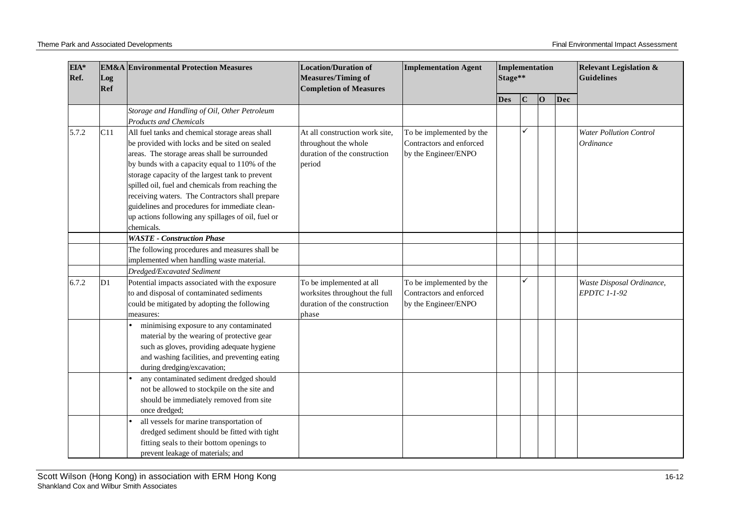| EIA*<br>Ref.<br>Log<br>Ref |     | <b>EM&amp;A Environmental Protection Measures</b>                                                                                                                                                                                                                                                                                                                                                                                                                                  | <b>Location/Duration of</b><br><b>Measures/Timing of</b><br><b>Completion of Measures</b>          | <b>Implementation Agent</b>                                                  | Implementation<br>Stage** |             |                |     | <b>Relevant Legislation &amp;</b><br><b>Guidelines</b>    |
|----------------------------|-----|------------------------------------------------------------------------------------------------------------------------------------------------------------------------------------------------------------------------------------------------------------------------------------------------------------------------------------------------------------------------------------------------------------------------------------------------------------------------------------|----------------------------------------------------------------------------------------------------|------------------------------------------------------------------------------|---------------------------|-------------|----------------|-----|-----------------------------------------------------------|
|                            |     |                                                                                                                                                                                                                                                                                                                                                                                                                                                                                    |                                                                                                    |                                                                              | <b>Des</b>                | $\mathbf C$ | $\overline{O}$ | Dec |                                                           |
|                            |     | Storage and Handling of Oil, Other Petroleum<br><b>Products and Chemicals</b>                                                                                                                                                                                                                                                                                                                                                                                                      |                                                                                                    |                                                                              |                           |             |                |     |                                                           |
| 5.7.2                      | C11 | All fuel tanks and chemical storage areas shall<br>be provided with locks and be sited on sealed<br>areas. The storage areas shall be surrounded<br>by bunds with a capacity equal to 110% of the<br>storage capacity of the largest tank to prevent<br>spilled oil, fuel and chemicals from reaching the<br>receiving waters. The Contractors shall prepare<br>guidelines and procedures for immediate clean-<br>up actions following any spillages of oil, fuel or<br>chemicals. | At all construction work site,<br>throughout the whole<br>duration of the construction<br>period   | To be implemented by the<br>Contractors and enforced<br>by the Engineer/ENPO |                           | ✓           |                |     | <b>Water Pollution Control</b><br><i><b>Ordinance</b></i> |
|                            |     | <b>WASTE - Construction Phase</b>                                                                                                                                                                                                                                                                                                                                                                                                                                                  |                                                                                                    |                                                                              |                           |             |                |     |                                                           |
|                            |     | The following procedures and measures shall be<br>implemented when handling waste material.                                                                                                                                                                                                                                                                                                                                                                                        |                                                                                                    |                                                                              |                           |             |                |     |                                                           |
|                            |     | Dredged/Excavated Sediment                                                                                                                                                                                                                                                                                                                                                                                                                                                         |                                                                                                    |                                                                              |                           |             |                |     |                                                           |
| 6.7.2                      | D1  | Potential impacts associated with the exposure<br>to and disposal of contaminated sediments<br>could be mitigated by adopting the following<br>measures:                                                                                                                                                                                                                                                                                                                           | To be implemented at all<br>worksites throughout the full<br>duration of the construction<br>phase | To be implemented by the<br>Contractors and enforced<br>by the Engineer/ENPO |                           | ✓           |                |     | Waste Disposal Ordinance,<br>EPDTC 1-1-92                 |
|                            |     | minimising exposure to any contaminated<br>material by the wearing of protective gear<br>such as gloves, providing adequate hygiene<br>and washing facilities, and preventing eating<br>during dredging/excavation;                                                                                                                                                                                                                                                                |                                                                                                    |                                                                              |                           |             |                |     |                                                           |
|                            |     | any contaminated sediment dredged should<br>not be allowed to stockpile on the site and<br>should be immediately removed from site<br>once dredged;                                                                                                                                                                                                                                                                                                                                |                                                                                                    |                                                                              |                           |             |                |     |                                                           |
|                            |     | all vessels for marine transportation of<br>dredged sediment should be fitted with tight<br>fitting seals to their bottom openings to<br>prevent leakage of materials; and                                                                                                                                                                                                                                                                                                         |                                                                                                    |                                                                              |                           |             |                |     |                                                           |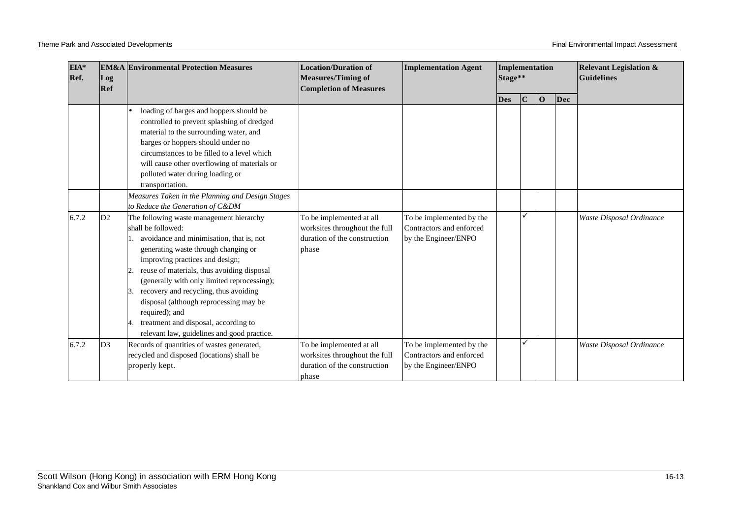| EIA*<br>Ref.<br>Log<br>Ref |                | <b>EM&amp;A Environmental Protection Measures</b>                                                                                                                                                                                                                                                                                                                                                                                                                                                                  | <b>Location/Duration of</b><br><b>Measures/Timing of</b><br><b>Completion of Measures</b>          | <b>Implementation Agent</b>                                                  | Implementation<br>Stage** |             |    |     | <b>Relevant Legislation &amp;</b><br><b>Guidelines</b> |
|----------------------------|----------------|--------------------------------------------------------------------------------------------------------------------------------------------------------------------------------------------------------------------------------------------------------------------------------------------------------------------------------------------------------------------------------------------------------------------------------------------------------------------------------------------------------------------|----------------------------------------------------------------------------------------------------|------------------------------------------------------------------------------|---------------------------|-------------|----|-----|--------------------------------------------------------|
|                            |                |                                                                                                                                                                                                                                                                                                                                                                                                                                                                                                                    |                                                                                                    |                                                                              | <b>Des</b>                | $\mathbf C$ | lО | Dec |                                                        |
|                            |                | loading of barges and hoppers should be<br>controlled to prevent splashing of dredged<br>material to the surrounding water, and<br>barges or hoppers should under no<br>circumstances to be filled to a level which<br>will cause other overflowing of materials or<br>polluted water during loading or<br>transportation.                                                                                                                                                                                         |                                                                                                    |                                                                              |                           |             |    |     |                                                        |
|                            |                | Measures Taken in the Planning and Design Stages                                                                                                                                                                                                                                                                                                                                                                                                                                                                   |                                                                                                    |                                                                              |                           |             |    |     |                                                        |
| 6.7.2                      | D2             | to Reduce the Generation of C&DM<br>The following waste management hierarchy<br>shall be followed:<br>avoidance and minimisation, that is, not<br>generating waste through changing or<br>improving practices and design;<br>reuse of materials, thus avoiding disposal<br>(generally with only limited reprocessing);<br>recovery and recycling, thus avoiding<br>disposal (although reprocessing may be<br>required); and<br>treatment and disposal, according to<br>relevant law, guidelines and good practice. | To be implemented at all<br>worksites throughout the full<br>duration of the construction<br>phase | To be implemented by the<br>Contractors and enforced<br>by the Engineer/ENPO |                           | ✓           |    |     | Waste Disposal Ordinance                               |
| 6.7.2                      | D <sub>3</sub> | Records of quantities of wastes generated,<br>recycled and disposed (locations) shall be<br>properly kept.                                                                                                                                                                                                                                                                                                                                                                                                         | To be implemented at all<br>worksites throughout the full<br>duration of the construction<br>phase | To be implemented by the<br>Contractors and enforced<br>by the Engineer/ENPO |                           | ✓           |    |     | Waste Disposal Ordinance                               |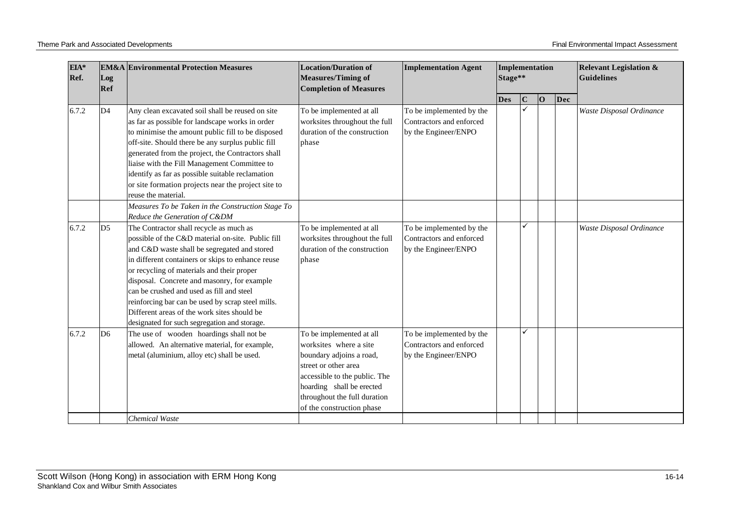| EIA*<br>Ref.<br>Log<br>Ref |                | <b>EM&amp;A</b> Environmental Protection Measures                                                                                                                                                                                                                                                                                                                                                                                                                                               | <b>Location/Duration of</b><br><b>Measures/Timing of</b><br><b>Completion of Measures</b>                                                                                                                                         | <b>Implementation Agent</b>                                                  | Implementation<br>Stage** |              |          |     | <b>Relevant Legislation &amp;</b><br><b>Guidelines</b> |
|----------------------------|----------------|-------------------------------------------------------------------------------------------------------------------------------------------------------------------------------------------------------------------------------------------------------------------------------------------------------------------------------------------------------------------------------------------------------------------------------------------------------------------------------------------------|-----------------------------------------------------------------------------------------------------------------------------------------------------------------------------------------------------------------------------------|------------------------------------------------------------------------------|---------------------------|--------------|----------|-----|--------------------------------------------------------|
|                            |                |                                                                                                                                                                                                                                                                                                                                                                                                                                                                                                 |                                                                                                                                                                                                                                   |                                                                              | <b>Des</b>                | $\mathbf C$  | $\bf{O}$ | Dec |                                                        |
| 6.7.2                      | D <sub>4</sub> | Any clean excavated soil shall be reused on site<br>as far as possible for landscape works in order<br>to minimise the amount public fill to be disposed<br>off-site. Should there be any surplus public fill<br>generated from the project, the Contractors shall<br>liaise with the Fill Management Committee to<br>identify as far as possible suitable reclamation<br>or site formation projects near the project site to<br>reuse the material.                                            | To be implemented at all<br>worksites throughout the full<br>duration of the construction<br>phase                                                                                                                                | To be implemented by the<br>Contractors and enforced<br>by the Engineer/ENPO |                           | $\checkmark$ |          |     | Waste Disposal Ordinance                               |
|                            |                | Measures To be Taken in the Construction Stage To<br>Reduce the Generation of C&DM                                                                                                                                                                                                                                                                                                                                                                                                              |                                                                                                                                                                                                                                   |                                                                              |                           |              |          |     |                                                        |
| 6.7.2                      | D <sub>5</sub> | The Contractor shall recycle as much as<br>possible of the C&D material on-site. Public fill<br>and C&D waste shall be segregated and stored<br>in different containers or skips to enhance reuse<br>or recycling of materials and their proper<br>disposal. Concrete and masonry, for example<br>can be crushed and used as fill and steel<br>reinforcing bar can be used by scrap steel mills.<br>Different areas of the work sites should be<br>designated for such segregation and storage. | To be implemented at all<br>worksites throughout the full<br>duration of the construction<br>phase                                                                                                                                | To be implemented by the<br>Contractors and enforced<br>by the Engineer/ENPO |                           | ✓            |          |     | Waste Disposal Ordinance                               |
| 6.7.2                      | D <sub>6</sub> | The use of wooden hoardings shall not be<br>allowed. An alternative material, for example,<br>metal (aluminium, alloy etc) shall be used.                                                                                                                                                                                                                                                                                                                                                       | To be implemented at all<br>worksites where a site<br>boundary adjoins a road,<br>street or other area<br>accessible to the public. The<br>hoarding shall be erected<br>throughout the full duration<br>of the construction phase | To be implemented by the<br>Contractors and enforced<br>by the Engineer/ENPO |                           | ✓            |          |     |                                                        |
|                            |                | <b>Chemical Waste</b>                                                                                                                                                                                                                                                                                                                                                                                                                                                                           |                                                                                                                                                                                                                                   |                                                                              |                           |              |          |     |                                                        |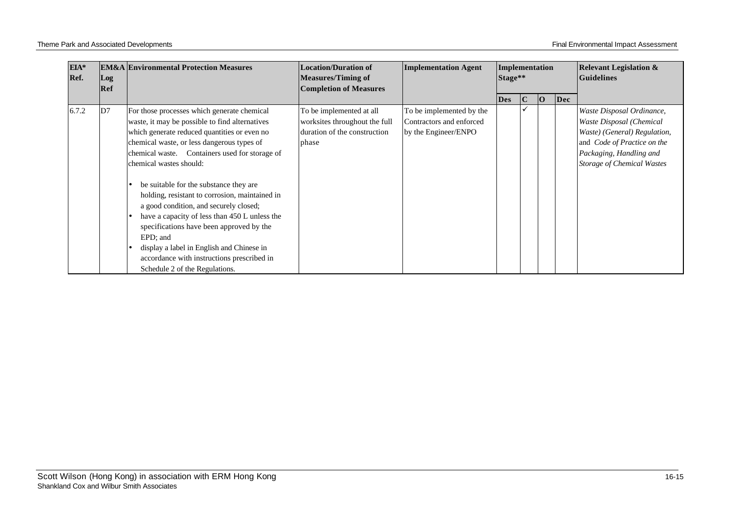| EIA*<br>Ref. | Log | <b>EM&amp;A Environmental Protection Measures</b>                                                                                                                                                                                                                                                                                                                                                                                                                                                                                                                                                                                                    | <b>Location/Duration of</b><br><b>Measures/Timing of</b>                                           | <b>Implementation Agent</b>                                                  | Implementation<br>Stage** |     |   | <b>Relevant Legislation &amp;</b><br><b>Guidelines</b> |                                                                                                                                                                                      |
|--------------|-----|------------------------------------------------------------------------------------------------------------------------------------------------------------------------------------------------------------------------------------------------------------------------------------------------------------------------------------------------------------------------------------------------------------------------------------------------------------------------------------------------------------------------------------------------------------------------------------------------------------------------------------------------------|----------------------------------------------------------------------------------------------------|------------------------------------------------------------------------------|---------------------------|-----|---|--------------------------------------------------------|--------------------------------------------------------------------------------------------------------------------------------------------------------------------------------------|
|              | Ref |                                                                                                                                                                                                                                                                                                                                                                                                                                                                                                                                                                                                                                                      | <b>Completion of Measures</b>                                                                      |                                                                              | <b>Des</b>                | IC. | Ю | Dec                                                    |                                                                                                                                                                                      |
| 6.7.2        | D7  | For those processes which generate chemical<br>waste, it may be possible to find alternatives<br>which generate reduced quantities or even no<br>chemical waste, or less dangerous types of<br>chemical waste. Containers used for storage of<br>chemical wastes should:<br>be suitable for the substance they are<br>holding, resistant to corrosion, maintained in<br>a good condition, and securely closed;<br>have a capacity of less than 450 L unless the<br>specifications have been approved by the<br>EPD: and<br>display a label in English and Chinese in<br>accordance with instructions prescribed in<br>Schedule 2 of the Regulations. | To be implemented at all<br>worksites throughout the full<br>duration of the construction<br>phase | To be implemented by the<br>Contractors and enforced<br>by the Engineer/ENPO |                           |     |   |                                                        | Waste Disposal Ordinance,<br>Waste Disposal (Chemical<br>Waste) (General) Regulation,<br>and Code of Practice on the<br>Packaging, Handling and<br><b>Storage of Chemical Wastes</b> |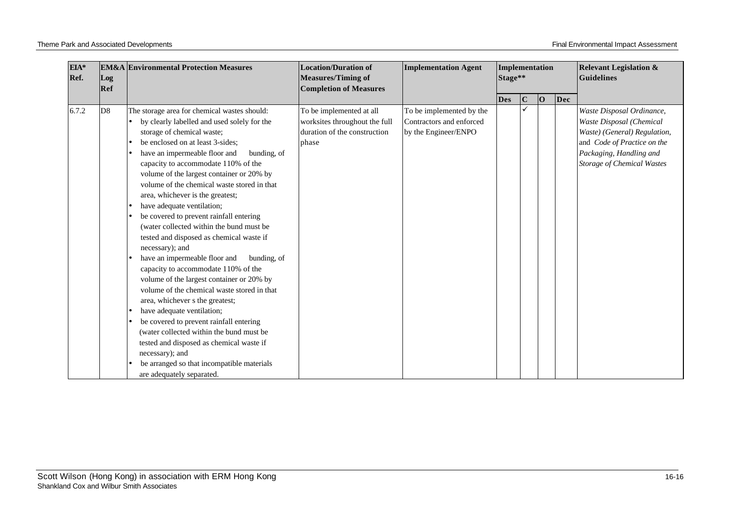| EIA*<br>Ref. | <b>EM&amp;A</b> Environmental Protection Measures<br>Log<br>Ref |                                                                                                                                                                                                                                                                                                                                                                                                                                                                                                                                                                                                                                                                                                                                                                                                                                                                                                                                                                                                                                                               | <b>Location/Duration of</b><br><b>Measures/Timing of</b><br><b>Completion of Measures</b>          | <b>Implementation Agent</b>                                                  | Implementation<br>Stage** |             |                |     | <b>Relevant Legislation &amp;</b><br><b>Guidelines</b>                                                                                                                               |
|--------------|-----------------------------------------------------------------|---------------------------------------------------------------------------------------------------------------------------------------------------------------------------------------------------------------------------------------------------------------------------------------------------------------------------------------------------------------------------------------------------------------------------------------------------------------------------------------------------------------------------------------------------------------------------------------------------------------------------------------------------------------------------------------------------------------------------------------------------------------------------------------------------------------------------------------------------------------------------------------------------------------------------------------------------------------------------------------------------------------------------------------------------------------|----------------------------------------------------------------------------------------------------|------------------------------------------------------------------------------|---------------------------|-------------|----------------|-----|--------------------------------------------------------------------------------------------------------------------------------------------------------------------------------------|
|              |                                                                 |                                                                                                                                                                                                                                                                                                                                                                                                                                                                                                                                                                                                                                                                                                                                                                                                                                                                                                                                                                                                                                                               |                                                                                                    |                                                                              | <b>Des</b>                | $\mathbf C$ | $\overline{O}$ | Dec |                                                                                                                                                                                      |
| 6.7.2        | D <sub>8</sub>                                                  | The storage area for chemical wastes should:<br>by clearly labelled and used solely for the<br>storage of chemical waste;<br>be enclosed on at least 3-sides;<br>have an impermeable floor and<br>bunding, of<br>capacity to accommodate 110% of the<br>volume of the largest container or 20% by<br>volume of the chemical waste stored in that<br>area, whichever is the greatest;<br>have adequate ventilation;<br>be covered to prevent rainfall entering<br>(water collected within the bund must be<br>tested and disposed as chemical waste if<br>necessary); and<br>have an impermeable floor and<br>bunding, of<br>capacity to accommodate 110% of the<br>volume of the largest container or 20% by<br>volume of the chemical waste stored in that<br>area, whichever s the greatest;<br>have adequate ventilation;<br>be covered to prevent rainfall entering<br>(water collected within the bund must be<br>tested and disposed as chemical waste if<br>necessary); and<br>be arranged so that incompatible materials<br>are adequately separated. | To be implemented at all<br>worksites throughout the full<br>duration of the construction<br>phase | To be implemented by the<br>Contractors and enforced<br>by the Engineer/ENPO |                           |             |                |     | Waste Disposal Ordinance,<br>Waste Disposal (Chemical<br>Waste) (General) Regulation,<br>and Code of Practice on the<br>Packaging, Handling and<br><b>Storage of Chemical Wastes</b> |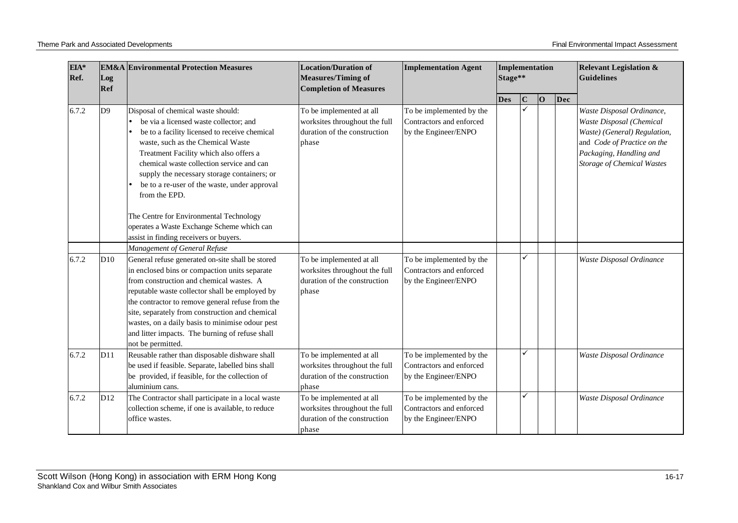| EIA*<br>Ref.<br>Log<br>Ref |                 | <b>EM&amp;A Environmental Protection Measures</b>                                                                                                                                                                                                                                                                                                                                                                                                                                                            | <b>Location/Duration of</b><br><b>Measures/Timing of</b><br><b>Completion of Measures</b>          | <b>Implementation Agent</b>                                                  | Implementation<br>Stage** |             |    |     | <b>Relevant Legislation &amp;</b><br><b>Guidelines</b>                                                                                                                               |
|----------------------------|-----------------|--------------------------------------------------------------------------------------------------------------------------------------------------------------------------------------------------------------------------------------------------------------------------------------------------------------------------------------------------------------------------------------------------------------------------------------------------------------------------------------------------------------|----------------------------------------------------------------------------------------------------|------------------------------------------------------------------------------|---------------------------|-------------|----|-----|--------------------------------------------------------------------------------------------------------------------------------------------------------------------------------------|
|                            |                 |                                                                                                                                                                                                                                                                                                                                                                                                                                                                                                              |                                                                                                    |                                                                              | <b>Des</b>                | $\mathbf C$ | 10 | Dec |                                                                                                                                                                                      |
| 6.7.2                      | D <sub>9</sub>  | Disposal of chemical waste should:<br>be via a licensed waste collector; and<br>be to a facility licensed to receive chemical<br>waste, such as the Chemical Waste<br>Treatment Facility which also offers a<br>chemical waste collection service and can<br>supply the necessary storage containers; or<br>be to a re-user of the waste, under approval<br>from the EPD.<br>The Centre for Environmental Technology<br>operates a Waste Exchange Scheme which can<br>assist in finding receivers or buyers. | To be implemented at all<br>worksites throughout the full<br>duration of the construction<br>phase | To be implemented by the<br>Contractors and enforced<br>by the Engineer/ENPO |                           |             |    |     | Waste Disposal Ordinance,<br>Waste Disposal (Chemical<br>Waste) (General) Regulation,<br>and Code of Practice on the<br>Packaging, Handling and<br><b>Storage of Chemical Wastes</b> |
|                            |                 | Management of General Refuse                                                                                                                                                                                                                                                                                                                                                                                                                                                                                 |                                                                                                    |                                                                              |                           |             |    |     |                                                                                                                                                                                      |
| 6.7.2                      | D10             | General refuse generated on-site shall be stored<br>in enclosed bins or compaction units separate<br>from construction and chemical wastes. A<br>reputable waste collector shall be employed by<br>the contractor to remove general refuse from the<br>site, separately from construction and chemical<br>wastes, on a daily basis to minimise odour pest<br>and litter impacts. The burning of refuse shall<br>not be permitted.                                                                            | To be implemented at all<br>worksites throughout the full<br>duration of the construction<br>phase | To be implemented by the<br>Contractors and enforced<br>by the Engineer/ENPO |                           | ✓           |    |     | Waste Disposal Ordinance                                                                                                                                                             |
| 6.7.2                      | D11             | Reusable rather than disposable dishware shall<br>be used if feasible. Separate, labelled bins shall<br>be provided, if feasible, for the collection of<br>aluminium cans.                                                                                                                                                                                                                                                                                                                                   | To be implemented at all<br>worksites throughout the full<br>duration of the construction<br>phase | To be implemented by the<br>Contractors and enforced<br>by the Engineer/ENPO |                           | ✓           |    |     | Waste Disposal Ordinance                                                                                                                                                             |
| 6.7.2                      | D <sub>12</sub> | The Contractor shall participate in a local waste<br>collection scheme, if one is available, to reduce<br>office wastes.                                                                                                                                                                                                                                                                                                                                                                                     | To be implemented at all<br>worksites throughout the full<br>duration of the construction<br>phase | To be implemented by the<br>Contractors and enforced<br>by the Engineer/ENPO |                           | ✓           |    |     | Waste Disposal Ordinance                                                                                                                                                             |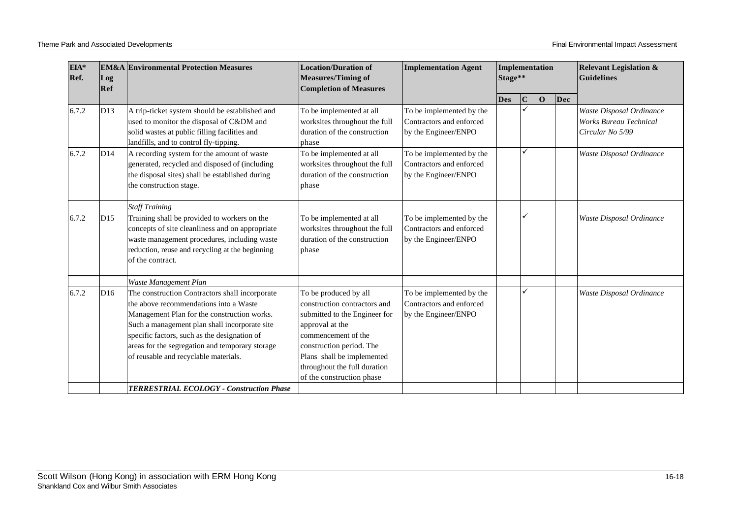| EIA*<br>Ref. | <b>EM&amp;A</b> Environmental Protection Measures<br>Log<br>Ref |                                                                                                                                                                                                                                                                                                                                      | <b>Location/Duration of</b><br><b>Measures/Timing of</b><br><b>Completion of Measures</b>                                                                                                                                                               | <b>Implementation Agent</b>                                                  | <b>Implementation</b><br>Stage** |             |    |     | <b>Relevant Legislation &amp;</b><br><b>Guidelines</b>                        |
|--------------|-----------------------------------------------------------------|--------------------------------------------------------------------------------------------------------------------------------------------------------------------------------------------------------------------------------------------------------------------------------------------------------------------------------------|---------------------------------------------------------------------------------------------------------------------------------------------------------------------------------------------------------------------------------------------------------|------------------------------------------------------------------------------|----------------------------------|-------------|----|-----|-------------------------------------------------------------------------------|
|              |                                                                 |                                                                                                                                                                                                                                                                                                                                      |                                                                                                                                                                                                                                                         |                                                                              | <b>Des</b>                       | $\mathbf C$ | 10 | Dec |                                                                               |
| 6.7.2        | D13                                                             | A trip-ticket system should be established and<br>used to monitor the disposal of C&DM and<br>solid wastes at public filling facilities and<br>landfills, and to control fly-tipping.                                                                                                                                                | To be implemented at all<br>worksites throughout the full<br>duration of the construction<br>phase                                                                                                                                                      | To be implemented by the<br>Contractors and enforced<br>by the Engineer/ENPO |                                  |             |    |     | Waste Disposal Ordinance<br><b>Works Bureau Technical</b><br>Circular No 5/99 |
| 6.7.2        | D14                                                             | A recording system for the amount of waste<br>generated, recycled and disposed of (including<br>the disposal sites) shall be established during<br>the construction stage.                                                                                                                                                           | To be implemented at all<br>worksites throughout the full<br>duration of the construction<br>phase                                                                                                                                                      | To be implemented by the<br>Contractors and enforced<br>by the Engineer/ENPO |                                  | ✓           |    |     | Waste Disposal Ordinance                                                      |
|              |                                                                 | <b>Staff Training</b>                                                                                                                                                                                                                                                                                                                |                                                                                                                                                                                                                                                         |                                                                              |                                  |             |    |     |                                                                               |
| 6.7.2        | D15                                                             | Training shall be provided to workers on the<br>concepts of site cleanliness and on appropriate<br>waste management procedures, including waste<br>reduction, reuse and recycling at the beginning<br>of the contract.                                                                                                               | To be implemented at all<br>worksites throughout the full<br>duration of the construction<br>phase                                                                                                                                                      | To be implemented by the<br>Contractors and enforced<br>by the Engineer/ENPO |                                  | ✓           |    |     | Waste Disposal Ordinance                                                      |
|              |                                                                 | Waste Management Plan                                                                                                                                                                                                                                                                                                                |                                                                                                                                                                                                                                                         |                                                                              |                                  |             |    |     |                                                                               |
| 6.7.2        | D <sub>16</sub>                                                 | The construction Contractors shall incorporate<br>the above recommendations into a Waste<br>Management Plan for the construction works.<br>Such a management plan shall incorporate site<br>specific factors, such as the designation of<br>areas for the segregation and temporary storage<br>of reusable and recyclable materials. | To be produced by all<br>construction contractors and<br>submitted to the Engineer for<br>approval at the<br>commencement of the<br>construction period. The<br>Plans shall be implemented<br>throughout the full duration<br>of the construction phase | To be implemented by the<br>Contractors and enforced<br>by the Engineer/ENPO |                                  | ✓           |    |     | Waste Disposal Ordinance                                                      |
|              |                                                                 | <b>TERRESTRIAL ECOLOGY - Construction Phase</b>                                                                                                                                                                                                                                                                                      |                                                                                                                                                                                                                                                         |                                                                              |                                  |             |    |     |                                                                               |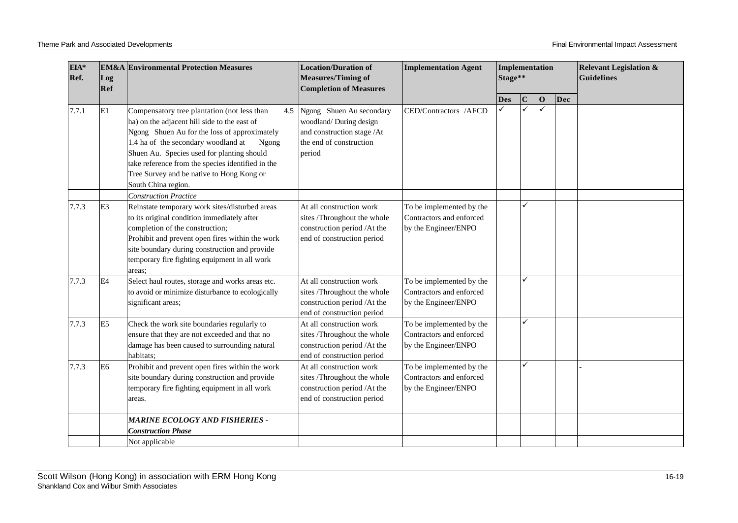| EIA*<br>Ref. | Log<br>Ref     | <b>EM&amp;A</b> Environmental Protection Measures                                                                                                                                                                                                                                                                                                                  | <b>Location/Duration of</b><br><b>Measures/Timing of</b><br><b>Completion of Measures</b>                                 | <b>Implementation Agent</b>                                                  | Implementation<br>Stage** |             |             |     | <b>Relevant Legislation &amp;</b><br><b>Guidelines</b> |
|--------------|----------------|--------------------------------------------------------------------------------------------------------------------------------------------------------------------------------------------------------------------------------------------------------------------------------------------------------------------------------------------------------------------|---------------------------------------------------------------------------------------------------------------------------|------------------------------------------------------------------------------|---------------------------|-------------|-------------|-----|--------------------------------------------------------|
|              |                |                                                                                                                                                                                                                                                                                                                                                                    |                                                                                                                           |                                                                              | <b>Des</b>                | $\mathbf C$ | $ 0\rangle$ | Dec |                                                        |
| 7.7.1        | E1             | Compensatory tree plantation (not less than<br>ha) on the adjacent hill side to the east of<br>Ngong Shuen Au for the loss of approximately<br>1.4 ha of the secondary woodland at<br>Ngong<br>Shuen Au. Species used for planting should<br>take reference from the species identified in the<br>Tree Survey and be native to Hong Kong or<br>South China region. | 4.5 Ngong Shuen Au secondary<br>woodland/During design<br>and construction stage /At<br>the end of construction<br>period | CED/Contractors /AFCD                                                        |                           | ✓           |             |     |                                                        |
| 7.7.3        | E <sub>3</sub> | <b>Construction Practice</b><br>Reinstate temporary work sites/disturbed areas<br>to its original condition immediately after<br>completion of the construction;<br>Prohibit and prevent open fires within the work<br>site boundary during construction and provide<br>temporary fire fighting equipment in all work<br>areas;                                    | At all construction work<br>sites /Throughout the whole<br>construction period /At the<br>end of construction period      | To be implemented by the<br>Contractors and enforced<br>by the Engineer/ENPO |                           |             |             |     |                                                        |
| 7.7.3        | E <sub>4</sub> | Select haul routes, storage and works areas etc.<br>to avoid or minimize disturbance to ecologically<br>significant areas;                                                                                                                                                                                                                                         | At all construction work<br>sites /Throughout the whole<br>construction period /At the<br>end of construction period      | To be implemented by the<br>Contractors and enforced<br>by the Engineer/ENPO |                           | ✓           |             |     |                                                        |
| 7.7.3        | E <sub>5</sub> | Check the work site boundaries regularly to<br>ensure that they are not exceeded and that no<br>damage has been caused to surrounding natural<br>habitats:                                                                                                                                                                                                         | At all construction work<br>sites /Throughout the whole<br>construction period /At the<br>end of construction period      | To be implemented by the<br>Contractors and enforced<br>by the Engineer/ENPO |                           | ✓           |             |     |                                                        |
| 7.7.3        | E <sub>6</sub> | Prohibit and prevent open fires within the work<br>site boundary during construction and provide<br>temporary fire fighting equipment in all work<br>areas.                                                                                                                                                                                                        | At all construction work<br>sites /Throughout the whole<br>construction period /At the<br>end of construction period      | To be implemented by the<br>Contractors and enforced<br>by the Engineer/ENPO |                           | ✓           |             |     |                                                        |
|              |                | <b>MARINE ECOLOGY AND FISHERIES -</b><br><b>Construction Phase</b><br>Not applicable                                                                                                                                                                                                                                                                               |                                                                                                                           |                                                                              |                           |             |             |     |                                                        |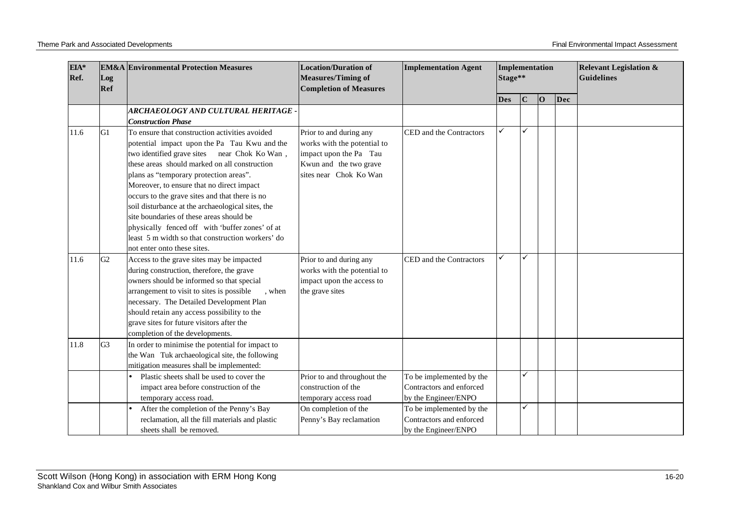| $EIA*$<br>Ref.<br>Log<br>Ref |                | <b>EM&amp;A Environmental Protection Measures</b>   | <b>Location/Duration of</b><br><b>Measures/Timing of</b><br><b>Completion of Measures</b> | <b>Implementation Agent</b> | Implementation<br>Stage** |             |    |     | <b>Relevant Legislation &amp;</b><br>Guidelines |
|------------------------------|----------------|-----------------------------------------------------|-------------------------------------------------------------------------------------------|-----------------------------|---------------------------|-------------|----|-----|-------------------------------------------------|
|                              |                |                                                     |                                                                                           |                             | Des                       | $\mathbf C$ | 10 | Dec |                                                 |
|                              |                | ARCHAEOLOGY AND CULTURAL HERITAGE .                 |                                                                                           |                             |                           |             |    |     |                                                 |
|                              |                | <b>Construction Phase</b>                           |                                                                                           |                             |                           |             |    |     |                                                 |
| 11.6                         | G <sub>1</sub> | To ensure that construction activities avoided      | Prior to and during any                                                                   | CED and the Contractors     |                           | ✓           |    |     |                                                 |
|                              |                | potential impact upon the Pa Tau Kwu and the        | works with the potential to                                                               |                             |                           |             |    |     |                                                 |
|                              |                | two identified grave sites near Chok Ko Wan,        | impact upon the Pa Tau                                                                    |                             |                           |             |    |     |                                                 |
|                              |                | these areas should marked on all construction       | Kwun and the two grave                                                                    |                             |                           |             |    |     |                                                 |
|                              |                | plans as "temporary protection areas".              | sites near Chok Ko Wan                                                                    |                             |                           |             |    |     |                                                 |
|                              |                | Moreover, to ensure that no direct impact           |                                                                                           |                             |                           |             |    |     |                                                 |
|                              |                | occurs to the grave sites and that there is no      |                                                                                           |                             |                           |             |    |     |                                                 |
|                              |                | soil disturbance at the archaeological sites, the   |                                                                                           |                             |                           |             |    |     |                                                 |
|                              |                | site boundaries of these areas should be            |                                                                                           |                             |                           |             |    |     |                                                 |
|                              |                | physically fenced off with 'buffer zones' of at     |                                                                                           |                             |                           |             |    |     |                                                 |
|                              |                | least 5 m width so that construction workers' do    |                                                                                           |                             |                           |             |    |     |                                                 |
|                              |                | not enter onto these sites.                         |                                                                                           |                             |                           |             |    |     |                                                 |
| 11.6                         | G2             | Access to the grave sites may be impacted           | Prior to and during any                                                                   | CED and the Contractors     |                           | ✓           |    |     |                                                 |
|                              |                | during construction, therefore, the grave           | works with the potential to                                                               |                             |                           |             |    |     |                                                 |
|                              |                | owners should be informed so that special           | impact upon the access to                                                                 |                             |                           |             |    |     |                                                 |
|                              |                | arrangement to visit to sites is possible<br>, when | the grave sites                                                                           |                             |                           |             |    |     |                                                 |
|                              |                | necessary. The Detailed Development Plan            |                                                                                           |                             |                           |             |    |     |                                                 |
|                              |                | should retain any access possibility to the         |                                                                                           |                             |                           |             |    |     |                                                 |
|                              |                | grave sites for future visitors after the           |                                                                                           |                             |                           |             |    |     |                                                 |
|                              |                | completion of the developments.                     |                                                                                           |                             |                           |             |    |     |                                                 |
| 11.8                         | G <sub>3</sub> | In order to minimise the potential for impact to    |                                                                                           |                             |                           |             |    |     |                                                 |
|                              |                | the Wan Tuk archaeological site, the following      |                                                                                           |                             |                           |             |    |     |                                                 |
|                              |                | mitigation measures shall be implemented:           |                                                                                           |                             |                           |             |    |     |                                                 |
|                              |                | Plastic sheets shall be used to cover the           | Prior to and throughout the                                                               | To be implemented by the    |                           | ✓           |    |     |                                                 |
|                              |                | impact area before construction of the              | construction of the                                                                       | Contractors and enforced    |                           |             |    |     |                                                 |
|                              |                | temporary access road.                              | temporary access road                                                                     | by the Engineer/ENPO        |                           |             |    |     |                                                 |
|                              |                | After the completion of the Penny's Bay             | On completion of the                                                                      | To be implemented by the    |                           | ✓           |    |     |                                                 |
|                              |                | reclamation, all the fill materials and plastic     | Penny's Bay reclamation                                                                   | Contractors and enforced    |                           |             |    |     |                                                 |
|                              |                | sheets shall be removed.                            |                                                                                           | by the Engineer/ENPO        |                           |             |    |     |                                                 |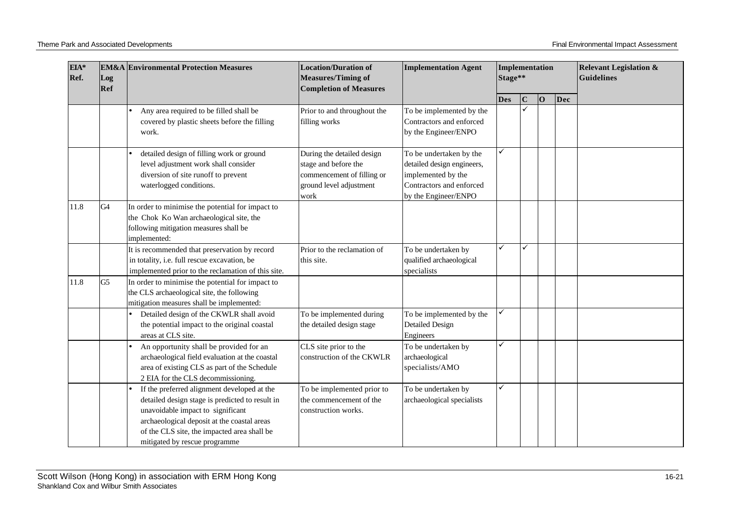| $EIA*$<br>Ref. | Log<br>Ref     | <b>EM&amp;A</b> Environmental Protection Measures                                                                                                                                                                                                                  | <b>Location/Duration of</b><br><b>Measures/Timing of</b><br><b>Completion of Measures</b>                           | <b>Implementation Agent</b>                                                                                                     | Implementation<br>Stage** |             |                |     | <b>Relevant Legislation &amp;</b><br><b>Guidelines</b> |
|----------------|----------------|--------------------------------------------------------------------------------------------------------------------------------------------------------------------------------------------------------------------------------------------------------------------|---------------------------------------------------------------------------------------------------------------------|---------------------------------------------------------------------------------------------------------------------------------|---------------------------|-------------|----------------|-----|--------------------------------------------------------|
|                |                |                                                                                                                                                                                                                                                                    |                                                                                                                     |                                                                                                                                 | <b>Des</b>                | $\mathbf C$ | $\overline{O}$ | Dec |                                                        |
|                |                | Any area required to be filled shall be<br>covered by plastic sheets before the filling<br>work.                                                                                                                                                                   | Prior to and throughout the<br>filling works                                                                        | To be implemented by the<br>Contractors and enforced<br>by the Engineer/ENPO                                                    |                           |             |                |     |                                                        |
|                |                | detailed design of filling work or ground<br>level adjustment work shall consider<br>diversion of site runoff to prevent<br>waterlogged conditions.                                                                                                                | During the detailed design<br>stage and before the<br>commencement of filling or<br>ground level adjustment<br>work | To be undertaken by the<br>detailed design engineers,<br>implemented by the<br>Contractors and enforced<br>by the Engineer/ENPO |                           |             |                |     |                                                        |
| 11.8           | G4             | In order to minimise the potential for impact to<br>the Chok Ko Wan archaeological site, the<br>following mitigation measures shall be<br>implemented:                                                                                                             |                                                                                                                     |                                                                                                                                 |                           |             |                |     |                                                        |
|                |                | It is recommended that preservation by record<br>in totality, i.e. full rescue excavation, be<br>implemented prior to the reclamation of this site.                                                                                                                | Prior to the reclamation of<br>this site.                                                                           | To be undertaken by<br>qualified archaeological<br>specialists                                                                  |                           | ✓           |                |     |                                                        |
| 11.8           | G <sub>5</sub> | In order to minimise the potential for impact to<br>the CLS archaeological site, the following<br>mitigation measures shall be implemented:                                                                                                                        |                                                                                                                     |                                                                                                                                 |                           |             |                |     |                                                        |
|                |                | Detailed design of the CKWLR shall avoid<br>the potential impact to the original coastal<br>areas at CLS site.                                                                                                                                                     | To be implemented during<br>the detailed design stage                                                               | To be implemented by the<br><b>Detailed Design</b><br>Engineers                                                                 |                           |             |                |     |                                                        |
|                |                | An opportunity shall be provided for an<br>archaeological field evaluation at the coastal<br>area of existing CLS as part of the Schedule<br>2 EIA for the CLS decommissioning.                                                                                    | CLS site prior to the<br>construction of the CKWLR                                                                  | To be undertaken by<br>archaeological<br>specialists/AMO                                                                        |                           |             |                |     |                                                        |
|                |                | If the preferred alignment developed at the<br>detailed design stage is predicted to result in<br>unavoidable impact to significant<br>archaeological deposit at the coastal areas<br>of the CLS site, the impacted area shall be<br>mitigated by rescue programme | To be implemented prior to<br>the commencement of the<br>construction works.                                        | To be undertaken by<br>archaeological specialists                                                                               | ✓                         |             |                |     |                                                        |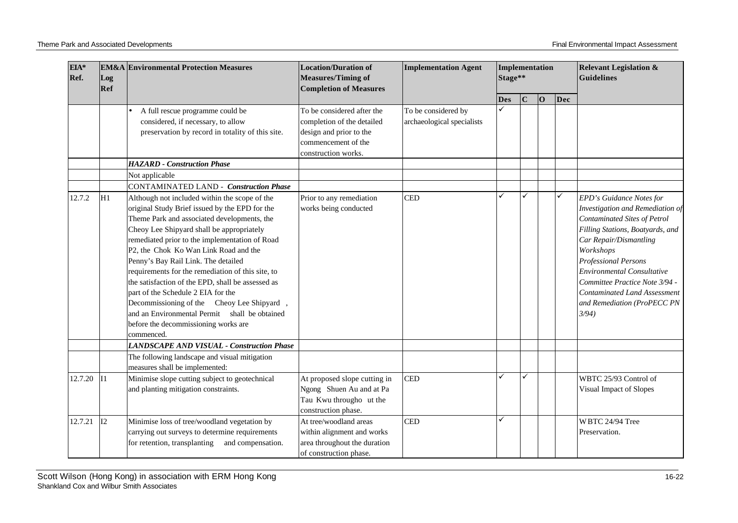| EIA*<br>Ref. | Log<br>Ref | <b>EM&amp;A Environmental Protection Measures</b>                                                                                                                                                                                                                                                                                                                                                                                                                                                                                                                                                                                 | <b>Location/Duration of</b><br><b>Measures/Timing of</b><br><b>Completion of Measures</b>                                         | <b>Implementation Agent</b>                       | Implementation<br>Stage** |             |          |     | <b>Relevant Legislation &amp;</b><br><b>Guidelines</b>                                                                                                                                                                                                                                                                                                       |
|--------------|------------|-----------------------------------------------------------------------------------------------------------------------------------------------------------------------------------------------------------------------------------------------------------------------------------------------------------------------------------------------------------------------------------------------------------------------------------------------------------------------------------------------------------------------------------------------------------------------------------------------------------------------------------|-----------------------------------------------------------------------------------------------------------------------------------|---------------------------------------------------|---------------------------|-------------|----------|-----|--------------------------------------------------------------------------------------------------------------------------------------------------------------------------------------------------------------------------------------------------------------------------------------------------------------------------------------------------------------|
|              |            |                                                                                                                                                                                                                                                                                                                                                                                                                                                                                                                                                                                                                                   |                                                                                                                                   |                                                   | <b>Des</b>                | $\mathbf C$ | $\bf{O}$ | Dec |                                                                                                                                                                                                                                                                                                                                                              |
|              |            | A full rescue programme could be<br>considered, if necessary, to allow<br>preservation by record in totality of this site.                                                                                                                                                                                                                                                                                                                                                                                                                                                                                                        | To be considered after the<br>completion of the detailed<br>design and prior to the<br>commencement of the<br>construction works. | To be considered by<br>archaeological specialists |                           |             |          |     |                                                                                                                                                                                                                                                                                                                                                              |
|              |            | <b>HAZARD</b> - Construction Phase                                                                                                                                                                                                                                                                                                                                                                                                                                                                                                                                                                                                |                                                                                                                                   |                                                   |                           |             |          |     |                                                                                                                                                                                                                                                                                                                                                              |
|              |            | Not applicable<br>CONTAMINATED LAND - Construction Phase                                                                                                                                                                                                                                                                                                                                                                                                                                                                                                                                                                          |                                                                                                                                   |                                                   |                           |             |          |     |                                                                                                                                                                                                                                                                                                                                                              |
| 12.7.2       | H1         | Although not included within the scope of the<br>original Study Brief issued by the EPD for the<br>Theme Park and associated developments, the<br>Cheoy Lee Shipyard shall be appropriately<br>remediated prior to the implementation of Road<br>P2, the Chok Ko Wan Link Road and the<br>Penny's Bay Rail Link. The detailed<br>requirements for the remediation of this site, to<br>the satisfaction of the EPD, shall be assessed as<br>part of the Schedule 2 EIA for the<br>Decommissioning of the Cheoy Lee Shipyard<br>and an Environmental Permit shall be obtained<br>before the decommissioning works are<br>commenced. | Prior to any remediation<br>works being conducted                                                                                 | <b>CED</b>                                        |                           |             |          | ✓   | EPD's Guidance Notes for<br>Investigation and Remediation of<br>Contaminated Sites of Petrol<br>Filling Stations, Boatyards, and<br>Car Repair/Dismantling<br>Workshops<br><b>Professional Persons</b><br><b>Environmental Consultative</b><br>Committee Practice Note 3/94 -<br><b>Contaminated Land Assessment</b><br>and Remediation (ProPECC PN<br>3/94) |
|              |            | <b>LANDSCAPE AND VISUAL - Construction Phase</b>                                                                                                                                                                                                                                                                                                                                                                                                                                                                                                                                                                                  |                                                                                                                                   |                                                   |                           |             |          |     |                                                                                                                                                                                                                                                                                                                                                              |
|              |            | The following landscape and visual mitigation<br>measures shall be implemented:                                                                                                                                                                                                                                                                                                                                                                                                                                                                                                                                                   |                                                                                                                                   |                                                   |                           |             |          |     |                                                                                                                                                                                                                                                                                                                                                              |
| 12.7.20      | II1        | Minimise slope cutting subject to geotechnical<br>and planting mitigation constraints.                                                                                                                                                                                                                                                                                                                                                                                                                                                                                                                                            | At proposed slope cutting in<br>Ngong Shuen Au and at Pa<br>Tau Kwu througho ut the<br>construction phase.                        | <b>CED</b>                                        |                           | ✓           |          |     | WBTC 25/93 Control of<br>Visual Impact of Slopes                                                                                                                                                                                                                                                                                                             |
| 12.7.21      | I2         | Minimise loss of tree/woodland vegetation by<br>carrying out surveys to determine requirements<br>for retention, transplanting<br>and compensation.                                                                                                                                                                                                                                                                                                                                                                                                                                                                               | At tree/woodland areas<br>within alignment and works<br>area throughout the duration<br>of construction phase.                    | <b>CED</b>                                        |                           |             |          |     | WBTC 24/94 Tree<br>Preservation.                                                                                                                                                                                                                                                                                                                             |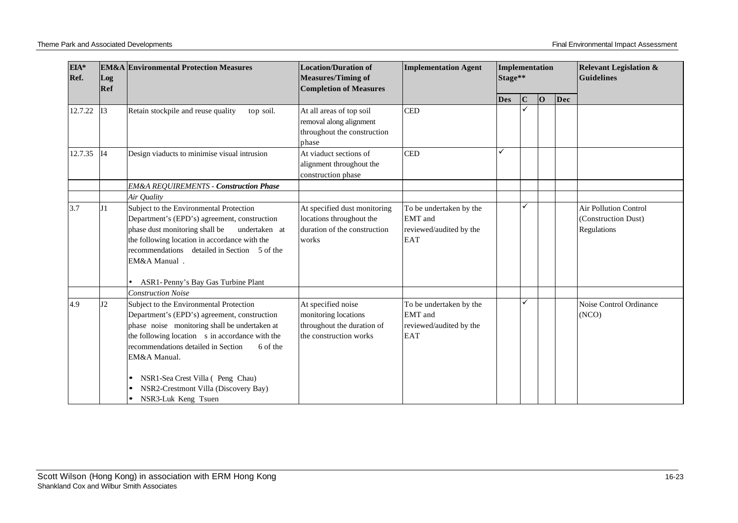| EIA*<br>Ref. | Log<br>Ref | <b>EM&amp;A</b> Environmental Protection Measures                                                                                                                                                                                                                                                  | <b>Location/Duration of</b><br><b>Measures/Timing of</b><br><b>Completion of Measures</b>          | <b>Implementation Agent</b>                                                        | Implementation<br>Stage** |             |          |     | <b>Relevant Legislation &amp;</b><br><b>Guidelines</b>             |
|--------------|------------|----------------------------------------------------------------------------------------------------------------------------------------------------------------------------------------------------------------------------------------------------------------------------------------------------|----------------------------------------------------------------------------------------------------|------------------------------------------------------------------------------------|---------------------------|-------------|----------|-----|--------------------------------------------------------------------|
|              |            |                                                                                                                                                                                                                                                                                                    |                                                                                                    |                                                                                    | <b>Des</b>                | $\mathbf C$ | $\bf{O}$ | Dec |                                                                    |
| 12.7.22      | I3         | Retain stockpile and reuse quality<br>top soil.                                                                                                                                                                                                                                                    | At all areas of top soil<br>removal along alignment<br>throughout the construction<br>phase        | <b>CED</b>                                                                         |                           |             |          |     |                                                                    |
| 12.7.35 14   |            | Design viaducts to minimise visual intrusion                                                                                                                                                                                                                                                       | At viaduct sections of<br>alignment throughout the<br>construction phase                           | <b>CED</b>                                                                         |                           |             |          |     |                                                                    |
|              |            | <b>EM&amp;A REQUIREMENTS - Construction Phase</b>                                                                                                                                                                                                                                                  |                                                                                                    |                                                                                    |                           |             |          |     |                                                                    |
|              |            | Air Quality                                                                                                                                                                                                                                                                                        |                                                                                                    |                                                                                    |                           |             |          |     |                                                                    |
| 3.7          |            | Subject to the Environmental Protection<br>Department's (EPD's) agreement, construction<br>phase dust monitoring shall be<br>undertaken at<br>the following location in accordance with the<br>recommendations detailed in Section 5 of the<br>EM&A Manual.                                        | At specified dust monitoring<br>locations throughout the<br>duration of the construction<br>works  | To be undertaken by the<br><b>EMT</b> and<br>reviewed/audited by the<br><b>EAT</b> |                           | ✓           |          |     | <b>Air Pollution Control</b><br>(Construction Dust)<br>Regulations |
|              |            | ASR1-Penny's Bay Gas Turbine Plant<br><b>Construction Noise</b>                                                                                                                                                                                                                                    |                                                                                                    |                                                                                    |                           |             |          |     |                                                                    |
| 4.9          | J2         | Subject to the Environmental Protection<br>Department's (EPD's) agreement, construction<br>phase noise monitoring shall be undertaken at<br>the following location s in accordance with the<br>recommendations detailed in Section<br>6 of the<br>EM&A Manual.<br>NSR1-Sea Crest Villa (Peng Chau) | At specified noise<br>monitoring locations<br>throughout the duration of<br>the construction works | To be undertaken by the<br><b>EMT</b> and<br>reviewed/audited by the<br><b>EAT</b> |                           | ✓           |          |     | Noise Control Ordinance<br>(NCO)                                   |
|              |            | NSR2-Crestmont Villa (Discovery Bay)<br>NSR3-Luk Keng Tsuen                                                                                                                                                                                                                                        |                                                                                                    |                                                                                    |                           |             |          |     |                                                                    |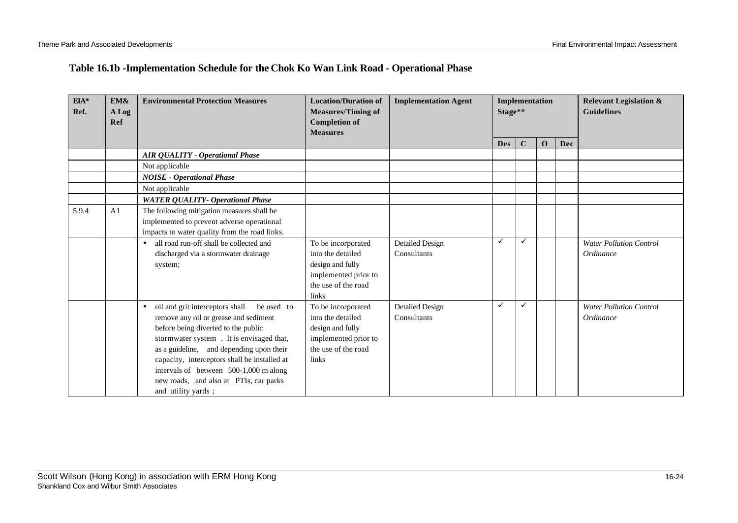# **Table 16.1b -Implementation Schedule for the Chok Ko Wan Link Road - Operational Phase**

| $EIA*$<br>Ref. | EM&<br>A Log<br>Ref | <b>Environmental Protection Measures</b>                   | <b>Location/Duration of</b><br><b>Implementation Agent</b><br>Implementation<br>Stage**<br><b>Measures/Timing of</b><br><b>Completion of</b><br><b>Measures</b> |                        |              |              |              | <b>Relevant Legislation &amp;</b><br><b>Guidelines</b> |                                |
|----------------|---------------------|------------------------------------------------------------|-----------------------------------------------------------------------------------------------------------------------------------------------------------------|------------------------|--------------|--------------|--------------|--------------------------------------------------------|--------------------------------|
|                |                     |                                                            |                                                                                                                                                                 |                        | <b>Des</b>   | $\mathbf C$  | $\mathbf{O}$ | Dec                                                    |                                |
|                |                     | <b>AIR QUALITY - Operational Phase</b>                     |                                                                                                                                                                 |                        |              |              |              |                                                        |                                |
|                |                     | Not applicable                                             |                                                                                                                                                                 |                        |              |              |              |                                                        |                                |
|                |                     | <b>NOISE - Operational Phase</b>                           |                                                                                                                                                                 |                        |              |              |              |                                                        |                                |
|                |                     | Not applicable                                             |                                                                                                                                                                 |                        |              |              |              |                                                        |                                |
|                |                     | <b>WATER QUALITY- Operational Phase</b>                    |                                                                                                                                                                 |                        |              |              |              |                                                        |                                |
| 5.9.4          | A <sub>1</sub>      | The following mitigation measures shall be                 |                                                                                                                                                                 |                        |              |              |              |                                                        |                                |
|                |                     | implemented to prevent adverse operational                 |                                                                                                                                                                 |                        |              |              |              |                                                        |                                |
|                |                     | impacts to water quality from the road links.              |                                                                                                                                                                 |                        |              |              |              |                                                        |                                |
|                |                     | all road run-off shall be collected and<br>$\bullet$       | To be incorporated                                                                                                                                              | <b>Detailed Design</b> | $\checkmark$ | $\checkmark$ |              |                                                        | <b>Water Pollution Control</b> |
|                |                     | discharged via a stormwater drainage                       | into the detailed                                                                                                                                               | Consultants            |              |              |              |                                                        | Ordinance                      |
|                |                     | system;                                                    | design and fully                                                                                                                                                |                        |              |              |              |                                                        |                                |
|                |                     |                                                            | implemented prior to                                                                                                                                            |                        |              |              |              |                                                        |                                |
|                |                     |                                                            | the use of the road                                                                                                                                             |                        |              |              |              |                                                        |                                |
|                |                     |                                                            | links                                                                                                                                                           |                        |              |              |              |                                                        |                                |
|                |                     | oil and grit interceptors shall<br>be used to<br>$\bullet$ | To be incorporated                                                                                                                                              | <b>Detailed Design</b> | ✓            | ✓            |              |                                                        | <b>Water Pollution Control</b> |
|                |                     | remove any oil or grease and sediment                      | into the detailed                                                                                                                                               | Consultants            |              |              |              |                                                        | Ordinance                      |
|                |                     | before being diverted to the public                        | design and fully                                                                                                                                                |                        |              |              |              |                                                        |                                |
|                |                     | stormwater system . It is envisaged that,                  | implemented prior to                                                                                                                                            |                        |              |              |              |                                                        |                                |
|                |                     | as a guideline, and depending upon their                   | the use of the road                                                                                                                                             |                        |              |              |              |                                                        |                                |
|                |                     | capacity, interceptors shall be installed at               | links                                                                                                                                                           |                        |              |              |              |                                                        |                                |
|                |                     | intervals of between 500-1,000 m along                     |                                                                                                                                                                 |                        |              |              |              |                                                        |                                |
|                |                     | new roads, and also at PTIs, car parks                     |                                                                                                                                                                 |                        |              |              |              |                                                        |                                |
|                |                     | and utility yards;                                         |                                                                                                                                                                 |                        |              |              |              |                                                        |                                |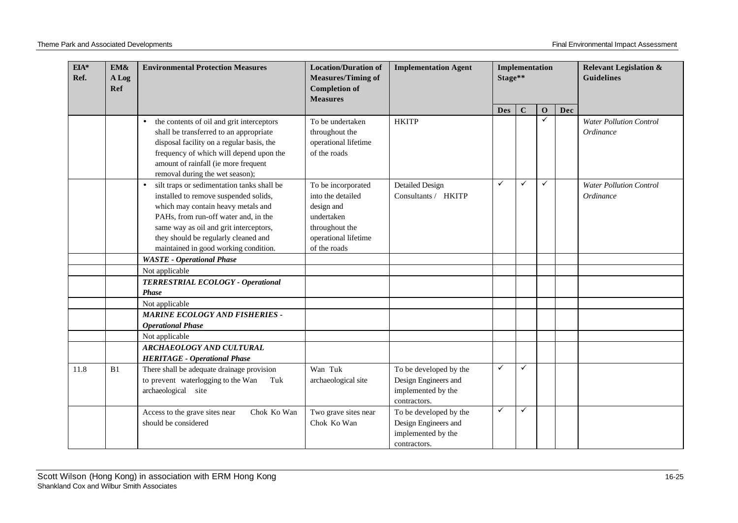| $EIA*$<br>Ref. | EM&<br>A Log<br>Ref | <b>Environmental Protection Measures</b>                                                                                                                                                                                                                                                                  | <b>Location/Duration of</b><br><b>Measures/Timing of</b><br><b>Completion of</b><br><b>Measures</b>                           | <b>Implementation Agent</b>                                                          | Stage**      | Implementation |              |     | <b>Relevant Legislation &amp;</b><br><b>Guidelines</b> |
|----------------|---------------------|-----------------------------------------------------------------------------------------------------------------------------------------------------------------------------------------------------------------------------------------------------------------------------------------------------------|-------------------------------------------------------------------------------------------------------------------------------|--------------------------------------------------------------------------------------|--------------|----------------|--------------|-----|--------------------------------------------------------|
|                |                     |                                                                                                                                                                                                                                                                                                           |                                                                                                                               |                                                                                      | <b>Des</b>   | $\mathbf C$    | $\mathbf{o}$ | Dec |                                                        |
|                |                     | the contents of oil and grit interceptors<br>$\bullet$<br>shall be transferred to an appropriate<br>disposal facility on a regular basis, the<br>frequency of which will depend upon the<br>amount of rainfall (ie more frequent<br>removal during the wet season);                                       | To be undertaken<br>throughout the<br>operational lifetime<br>of the roads                                                    | <b>HKITP</b>                                                                         |              |                | ✓            |     | <b>Water Pollution Control</b><br>Ordinance            |
|                |                     | silt traps or sedimentation tanks shall be<br>$\bullet$<br>installed to remove suspended solids,<br>which may contain heavy metals and<br>PAHs, from run-off water and, in the<br>same way as oil and grit interceptors,<br>they should be regularly cleaned and<br>maintained in good working condition. | To be incorporated<br>into the detailed<br>design and<br>undertaken<br>throughout the<br>operational lifetime<br>of the roads | <b>Detailed Design</b><br>Consultants / HKITP                                        | ✓            | ✓              | ✓            |     | <b>Water Pollution Control</b><br>Ordinance            |
|                |                     | <b>WASTE</b> - Operational Phase                                                                                                                                                                                                                                                                          |                                                                                                                               |                                                                                      |              |                |              |     |                                                        |
|                |                     | Not applicable                                                                                                                                                                                                                                                                                            |                                                                                                                               |                                                                                      |              |                |              |     |                                                        |
|                |                     | TERRESTRIAL ECOLOGY - Operational<br><b>Phase</b>                                                                                                                                                                                                                                                         |                                                                                                                               |                                                                                      |              |                |              |     |                                                        |
|                |                     | Not applicable                                                                                                                                                                                                                                                                                            |                                                                                                                               |                                                                                      |              |                |              |     |                                                        |
|                |                     | <b>MARINE ECOLOGY AND FISHERIES -</b><br><b>Operational Phase</b>                                                                                                                                                                                                                                         |                                                                                                                               |                                                                                      |              |                |              |     |                                                        |
|                |                     | Not applicable                                                                                                                                                                                                                                                                                            |                                                                                                                               |                                                                                      |              |                |              |     |                                                        |
|                |                     | <b>ARCHAEOLOGY AND CULTURAL</b><br><b>HERITAGE - Operational Phase</b>                                                                                                                                                                                                                                    |                                                                                                                               |                                                                                      |              |                |              |     |                                                        |
| 11.8           | B1                  | There shall be adequate drainage provision<br>to prevent waterlogging to the Wan<br>Tuk<br>archaeological site                                                                                                                                                                                            | Wan Tuk<br>archaeological site                                                                                                | To be developed by the<br>Design Engineers and<br>implemented by the<br>contractors. | ✓            | ✓              |              |     |                                                        |
|                |                     | Access to the grave sites near<br>Chok Ko Wan<br>should be considered                                                                                                                                                                                                                                     | Two grave sites near<br>Chok Ko Wan                                                                                           | To be developed by the<br>Design Engineers and<br>implemented by the<br>contractors. | $\checkmark$ | ✓              |              |     |                                                        |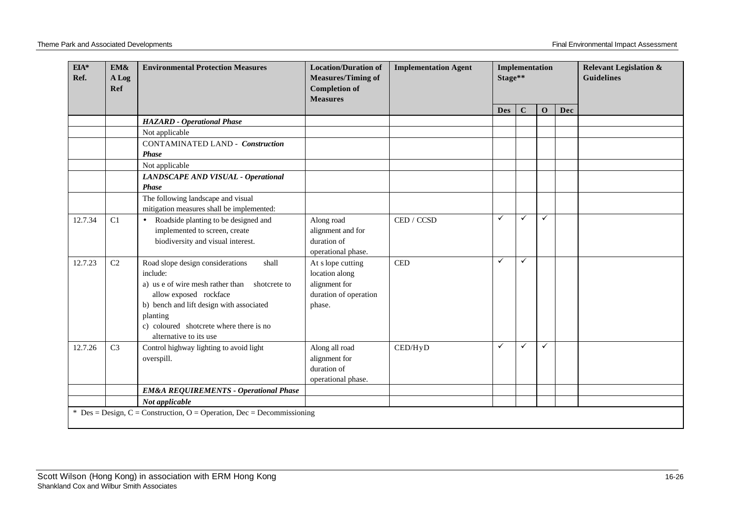| $EIA*$<br>EM&<br>Ref.<br>A Log<br>Ref |                                                                        | <b>Environmental Protection Measures</b>                                                                                                                                                                                                                         | <b>Location/Duration of</b><br><b>Measures/Timing of</b><br><b>Completion of</b><br><b>Measures</b> | <b>Implementation Agent</b> | Stage**      | Implementation |              |     | <b>Relevant Legislation &amp;</b><br><b>Guidelines</b> |  |  |
|---------------------------------------|------------------------------------------------------------------------|------------------------------------------------------------------------------------------------------------------------------------------------------------------------------------------------------------------------------------------------------------------|-----------------------------------------------------------------------------------------------------|-----------------------------|--------------|----------------|--------------|-----|--------------------------------------------------------|--|--|
|                                       |                                                                        |                                                                                                                                                                                                                                                                  |                                                                                                     |                             | <b>Des</b>   | $\mathbf C$    | $\mathbf{O}$ | Dec |                                                        |  |  |
|                                       |                                                                        | <b>HAZARD</b> - Operational Phase                                                                                                                                                                                                                                |                                                                                                     |                             |              |                |              |     |                                                        |  |  |
|                                       |                                                                        | Not applicable                                                                                                                                                                                                                                                   |                                                                                                     |                             |              |                |              |     |                                                        |  |  |
|                                       |                                                                        | <b>CONTAMINATED LAND - Construction</b><br><b>Phase</b>                                                                                                                                                                                                          |                                                                                                     |                             |              |                |              |     |                                                        |  |  |
|                                       |                                                                        | Not applicable                                                                                                                                                                                                                                                   |                                                                                                     |                             |              |                |              |     |                                                        |  |  |
|                                       |                                                                        | LANDSCAPE AND VISUAL - Operational<br><b>Phase</b>                                                                                                                                                                                                               |                                                                                                     |                             |              |                |              |     |                                                        |  |  |
|                                       |                                                                        | The following landscape and visual<br>mitigation measures shall be implemented:                                                                                                                                                                                  |                                                                                                     |                             |              |                |              |     |                                                        |  |  |
| 12.7.34                               | C1                                                                     | Roadside planting to be designed and<br>$\bullet$<br>implemented to screen, create<br>biodiversity and visual interest.                                                                                                                                          | Along road<br>alignment and for<br>duration of<br>operational phase.                                | CED / CCSD                  | ✓            | ✓              | $\checkmark$ |     |                                                        |  |  |
| 12.7.23                               | C <sub>2</sub>                                                         | Road slope design considerations<br>shall<br>include:<br>a) us e of wire mesh rather than<br>shotcrete to<br>allow exposed rockface<br>b) bench and lift design with associated<br>planting<br>c) coloured shotcrete where there is no<br>alternative to its use | At s lope cutting<br>location along<br>alignment for<br>duration of operation<br>phase.             | <b>CED</b>                  | $\checkmark$ | $\checkmark$   |              |     |                                                        |  |  |
| 12.7.26                               | C <sub>3</sub>                                                         | Control highway lighting to avoid light<br>overspill.                                                                                                                                                                                                            | Along all road<br>alignment for<br>duration of<br>operational phase.                                | CED/HyD                     | $\checkmark$ | ✓              | ✓            |     |                                                        |  |  |
|                                       |                                                                        | <b>EM&amp;A REQUIREMENTS - Operational Phase</b>                                                                                                                                                                                                                 |                                                                                                     |                             |              |                |              |     |                                                        |  |  |
|                                       |                                                                        | Not applicable                                                                                                                                                                                                                                                   |                                                                                                     |                             |              |                |              |     |                                                        |  |  |
|                                       | * Des = Design, C = Construction, O = Operation, Dec = Decommissioning |                                                                                                                                                                                                                                                                  |                                                                                                     |                             |              |                |              |     |                                                        |  |  |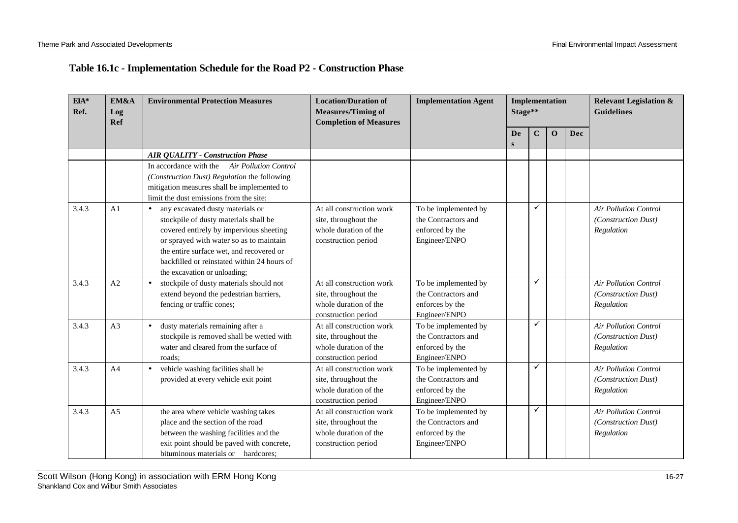## **Table 16.1c - Implementation Schedule for the Road P2 - Construction Phase**

| $EIA*$<br>Ref. | EM&A<br>Log<br>Ref | <b>Environmental Protection Measures</b>                                                                                                                                                                                                                                                                | <b>Location/Duration of</b><br><b>Measures/Timing of</b><br><b>Completion of Measures</b>        | <b>Implementation Agent</b>                                                     |          | <b>Implementation</b><br>Stage** |              |            | <b>Relevant Legislation &amp;</b><br><b>Guidelines</b>            |
|----------------|--------------------|---------------------------------------------------------------------------------------------------------------------------------------------------------------------------------------------------------------------------------------------------------------------------------------------------------|--------------------------------------------------------------------------------------------------|---------------------------------------------------------------------------------|----------|----------------------------------|--------------|------------|-------------------------------------------------------------------|
|                |                    |                                                                                                                                                                                                                                                                                                         |                                                                                                  |                                                                                 | De.<br>S | $\mathbf C$                      | $\mathbf{O}$ | <b>Dec</b> |                                                                   |
|                |                    | <b>AIR QUALITY - Construction Phase</b>                                                                                                                                                                                                                                                                 |                                                                                                  |                                                                                 |          |                                  |              |            |                                                                   |
|                |                    | In accordance with the Air Pollution Control<br>(Construction Dust) Regulation the following<br>mitigation measures shall be implemented to<br>limit the dust emissions from the site:                                                                                                                  |                                                                                                  |                                                                                 |          |                                  |              |            |                                                                   |
| 3.4.3          | A <sub>1</sub>     | any excavated dusty materials or<br>$\bullet$<br>stockpile of dusty materials shall be<br>covered entirely by impervious sheeting<br>or sprayed with water so as to maintain<br>the entire surface wet, and recovered or<br>backfilled or reinstated within 24 hours of<br>the excavation or unloading; | At all construction work<br>site, throughout the<br>whole duration of the<br>construction period | To be implemented by<br>the Contractors and<br>enforced by the<br>Engineer/ENPO |          | ✓                                |              |            | <b>Air Pollution Control</b><br>(Construction Dust)<br>Regulation |
| 3.4.3          | A2                 | stockpile of dusty materials should not<br>$\bullet$<br>extend beyond the pedestrian barriers,<br>fencing or traffic cones;                                                                                                                                                                             | At all construction work<br>site, throughout the<br>whole duration of the<br>construction period | To be implemented by<br>the Contractors and<br>enforces by the<br>Engineer/ENPO |          | ✓                                |              |            | <b>Air Pollution Control</b><br>(Construction Dust)<br>Regulation |
| 3.4.3          | A <sub>3</sub>     | dusty materials remaining after a<br>$\bullet$<br>stockpile is removed shall be wetted with<br>water and cleared from the surface of<br>roads;                                                                                                                                                          | At all construction work<br>site, throughout the<br>whole duration of the<br>construction period | To be implemented by<br>the Contractors and<br>enforced by the<br>Engineer/ENPO |          | ✓                                |              |            | <b>Air Pollution Control</b><br>(Construction Dust)<br>Regulation |
| 3.4.3          | A <sub>4</sub>     | vehicle washing facilities shall be<br>$\bullet$<br>provided at every vehicle exit point                                                                                                                                                                                                                | At all construction work<br>site, throughout the<br>whole duration of the<br>construction period | To be implemented by<br>the Contractors and<br>enforced by the<br>Engineer/ENPO |          | ✓                                |              |            | <b>Air Pollution Control</b><br>(Construction Dust)<br>Regulation |
| 3.4.3          | A <sub>5</sub>     | the area where vehicle washing takes<br>place and the section of the road<br>between the washing facilities and the<br>exit point should be paved with concrete,<br>bituminous materials or hardcores;                                                                                                  | At all construction work<br>site, throughout the<br>whole duration of the<br>construction period | To be implemented by<br>the Contractors and<br>enforced by the<br>Engineer/ENPO |          | ✓                                |              |            | <b>Air Pollution Control</b><br>(Construction Dust)<br>Regulation |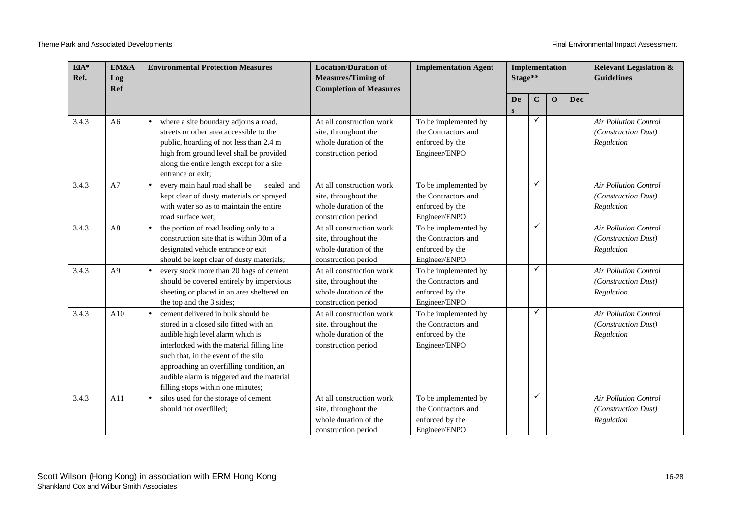| $EIA*$<br>Ref. | EM&A<br>Log<br>Ref | <b>Environmental Protection Measures</b>                                                                                                                                                                                                                                                                                                            | <b>Location/Duration of</b><br><b>Measures/Timing of</b><br><b>Completion of Measures</b>        | <b>Implementation Agent</b>                                                     | Implementation<br>Stage** |              |              | <b>Relevant Legislation &amp;</b><br><b>Guidelines</b> |                                                                   |
|----------------|--------------------|-----------------------------------------------------------------------------------------------------------------------------------------------------------------------------------------------------------------------------------------------------------------------------------------------------------------------------------------------------|--------------------------------------------------------------------------------------------------|---------------------------------------------------------------------------------|---------------------------|--------------|--------------|--------------------------------------------------------|-------------------------------------------------------------------|
|                |                    |                                                                                                                                                                                                                                                                                                                                                     |                                                                                                  |                                                                                 | De<br>S                   | $\mathbf C$  | $\mathbf{O}$ | Dec                                                    |                                                                   |
| 3.4.3          | A6                 | where a site boundary adjoins a road,<br>$\bullet$<br>streets or other area accessible to the<br>public, hoarding of not less than 2.4 m<br>high from ground level shall be provided<br>along the entire length except for a site<br>entrance or exit;                                                                                              | At all construction work<br>site, throughout the<br>whole duration of the<br>construction period | To be implemented by<br>the Contractors and<br>enforced by the<br>Engineer/ENPO |                           | ✓            |              |                                                        | <b>Air Pollution Control</b><br>(Construction Dust)<br>Regulation |
| 3.4.3          | A7                 | every main haul road shall be<br>sealed and<br>$\bullet$<br>kept clear of dusty materials or sprayed<br>with water so as to maintain the entire<br>road surface wet:                                                                                                                                                                                | At all construction work<br>site, throughout the<br>whole duration of the<br>construction period | To be implemented by<br>the Contractors and<br>enforced by the<br>Engineer/ENPO |                           | $\checkmark$ |              |                                                        | <b>Air Pollution Control</b><br>(Construction Dust)<br>Regulation |
| 3.4.3          | A8                 | the portion of road leading only to a<br>$\bullet$<br>construction site that is within 30m of a<br>designated vehicle entrance or exit<br>should be kept clear of dusty materials;                                                                                                                                                                  | At all construction work<br>site, throughout the<br>whole duration of the<br>construction period | To be implemented by<br>the Contractors and<br>enforced by the<br>Engineer/ENPO |                           | ✓            |              |                                                        | <b>Air Pollution Control</b><br>(Construction Dust)<br>Regulation |
| 3.4.3          | A <sup>9</sup>     | every stock more than 20 bags of cement<br>$\bullet$<br>should be covered entirely by impervious<br>sheeting or placed in an area sheltered on<br>the top and the 3 sides;                                                                                                                                                                          | At all construction work<br>site, throughout the<br>whole duration of the<br>construction period | To be implemented by<br>the Contractors and<br>enforced by the<br>Engineer/ENPO |                           | ✓            |              |                                                        | <b>Air Pollution Control</b><br>(Construction Dust)<br>Regulation |
| 3.4.3          | A10                | cement delivered in bulk should be<br>$\bullet$<br>stored in a closed silo fitted with an<br>audible high level alarm which is<br>interlocked with the material filling line<br>such that, in the event of the silo<br>approaching an overfilling condition, an<br>audible alarm is triggered and the material<br>filling stops within one minutes; | At all construction work<br>site, throughout the<br>whole duration of the<br>construction period | To be implemented by<br>the Contractors and<br>enforced by the<br>Engineer/ENPO |                           | ✓            |              |                                                        | <b>Air Pollution Control</b><br>(Construction Dust)<br>Regulation |
| 3.4.3          | A11                | silos used for the storage of cement<br>$\bullet$<br>should not overfilled;                                                                                                                                                                                                                                                                         | At all construction work<br>site, throughout the<br>whole duration of the<br>construction period | To be implemented by<br>the Contractors and<br>enforced by the<br>Engineer/ENPO |                           | ✓            |              |                                                        | <b>Air Pollution Control</b><br>(Construction Dust)<br>Regulation |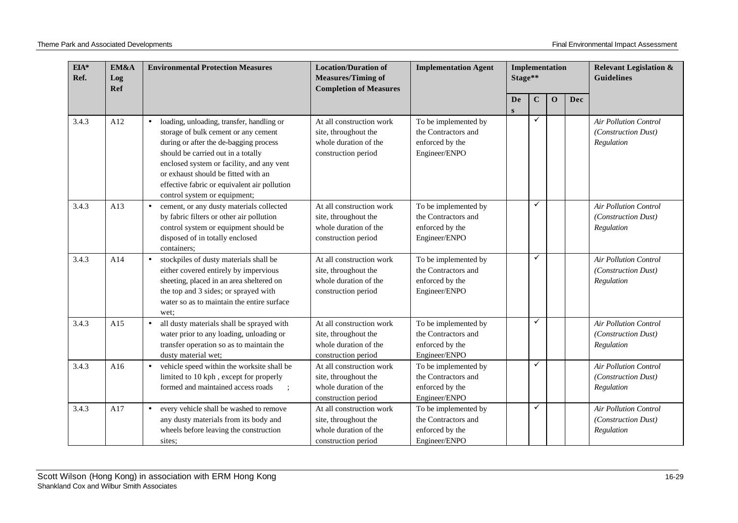| EIA*<br>Ref. | EM&A<br>Log<br>Ref | <b>Environmental Protection Measures</b>                                                                                                                                                                                                                                                                                                           | <b>Location/Duration of</b><br><b>Measures/Timing of</b><br><b>Completion of Measures</b>        | <b>Implementation Agent</b>                                                     |                | Implementation<br>Stage** |          |     | <b>Relevant Legislation &amp;</b><br><b>Guidelines</b>            |
|--------------|--------------------|----------------------------------------------------------------------------------------------------------------------------------------------------------------------------------------------------------------------------------------------------------------------------------------------------------------------------------------------------|--------------------------------------------------------------------------------------------------|---------------------------------------------------------------------------------|----------------|---------------------------|----------|-----|-------------------------------------------------------------------|
|              |                    |                                                                                                                                                                                                                                                                                                                                                    |                                                                                                  |                                                                                 | De<br>$\bf{s}$ | $\mathbf C$               | $\Omega$ | Dec |                                                                   |
| 3.4.3        | A12                | loading, unloading, transfer, handling or<br>$\bullet$<br>storage of bulk cement or any cement<br>during or after the de-bagging process<br>should be carried out in a totally<br>enclosed system or facility, and any vent<br>or exhaust should be fitted with an<br>effective fabric or equivalent air pollution<br>control system or equipment; | At all construction work<br>site, throughout the<br>whole duration of the<br>construction period | To be implemented by<br>the Contractors and<br>enforced by the<br>Engineer/ENPO |                | ✓                         |          |     | Air Pollution Control<br>(Construction Dust)<br>Regulation        |
| 3.4.3        | A13                | cement, or any dusty materials collected<br>$\bullet$<br>by fabric filters or other air pollution<br>control system or equipment should be<br>disposed of in totally enclosed<br>containers;                                                                                                                                                       | At all construction work<br>site, throughout the<br>whole duration of the<br>construction period | To be implemented by<br>the Contractors and<br>enforced by the<br>Engineer/ENPO |                | ✓                         |          |     | <b>Air Pollution Control</b><br>(Construction Dust)<br>Regulation |
| 3.4.3        | A14                | stockpiles of dusty materials shall be<br>$\bullet$<br>either covered entirely by impervious<br>sheeting, placed in an area sheltered on<br>the top and 3 sides; or sprayed with<br>water so as to maintain the entire surface<br>wet:                                                                                                             | At all construction work<br>site, throughout the<br>whole duration of the<br>construction period | To be implemented by<br>the Contractors and<br>enforced by the<br>Engineer/ENPO |                | ✓                         |          |     | <b>Air Pollution Control</b><br>(Construction Dust)<br>Regulation |
| 3.4.3        | A15                | all dusty materials shall be sprayed with<br>$\bullet$<br>water prior to any loading, unloading or<br>transfer operation so as to maintain the<br>dusty material wet;                                                                                                                                                                              | At all construction work<br>site, throughout the<br>whole duration of the<br>construction period | To be implemented by<br>the Contractors and<br>enforced by the<br>Engineer/ENPO |                | ✓                         |          |     | <b>Air Pollution Control</b><br>(Construction Dust)<br>Regulation |
| 3.4.3        | A16                | vehicle speed within the worksite shall be<br>limited to 10 kph, except for properly<br>formed and maintained access roads                                                                                                                                                                                                                         | At all construction work<br>site, throughout the<br>whole duration of the<br>construction period | To be implemented by<br>the Contractors and<br>enforced by the<br>Engineer/ENPO |                | ✓                         |          |     | <b>Air Pollution Control</b><br>(Construction Dust)<br>Regulation |
| 3.4.3        | A17                | every vehicle shall be washed to remove<br>$\bullet$<br>any dusty materials from its body and<br>wheels before leaving the construction<br>sites;                                                                                                                                                                                                  | At all construction work<br>site, throughout the<br>whole duration of the<br>construction period | To be implemented by<br>the Contractors and<br>enforced by the<br>Engineer/ENPO |                | ✓                         |          |     | <b>Air Pollution Control</b><br>(Construction Dust)<br>Regulation |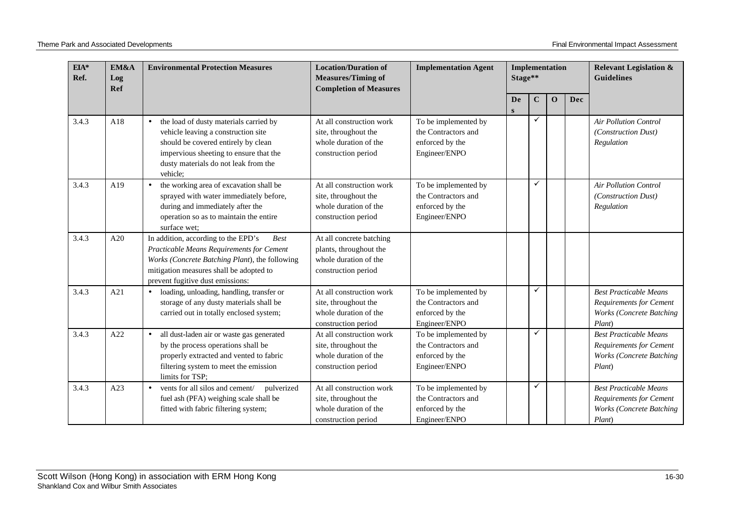| $EIA*$<br>Ref. | EM&A<br>Log<br>Ref | <b>Environmental Protection Measures</b>                                                                                                                                                                                         | <b>Location/Duration of</b><br><b>Measures/Timing of</b><br><b>Completion of Measures</b>          | <b>Implementation Agent</b>                                                     | <b>Implementation</b><br>Stage** |             |             | <b>Relevant Legislation &amp;</b><br><b>Guidelines</b> |                                                                                                              |
|----------------|--------------------|----------------------------------------------------------------------------------------------------------------------------------------------------------------------------------------------------------------------------------|----------------------------------------------------------------------------------------------------|---------------------------------------------------------------------------------|----------------------------------|-------------|-------------|--------------------------------------------------------|--------------------------------------------------------------------------------------------------------------|
|                |                    |                                                                                                                                                                                                                                  |                                                                                                    |                                                                                 | De<br>S                          | $\mathbf C$ | $\mathbf 0$ | Dec                                                    |                                                                                                              |
| 3.4.3          | A18                | the load of dusty materials carried by<br>$\bullet$<br>vehicle leaving a construction site<br>should be covered entirely by clean<br>impervious sheeting to ensure that the<br>dusty materials do not leak from the<br>vehicle:  | At all construction work<br>site, throughout the<br>whole duration of the<br>construction period   | To be implemented by<br>the Contractors and<br>enforced by the<br>Engineer/ENPO |                                  | ✓           |             |                                                        | <b>Air Pollution Control</b><br>(Construction Dust)<br>Regulation                                            |
| 3.4.3          | A19                | the working area of excavation shall be<br>$\bullet$<br>sprayed with water immediately before,<br>during and immediately after the<br>operation so as to maintain the entire<br>surface wet:                                     | At all construction work<br>site, throughout the<br>whole duration of the<br>construction period   | To be implemented by<br>the Contractors and<br>enforced by the<br>Engineer/ENPO |                                  | ✓           |             |                                                        | <b>Air Pollution Control</b><br>(Construction Dust)<br>Regulation                                            |
| 3.4.3          | A20                | In addition, according to the EPD's<br><b>Best</b><br>Practicable Means Requirements for Cement<br>Works (Concrete Batching Plant), the following<br>mitigation measures shall be adopted to<br>prevent fugitive dust emissions: | At all concrete batching<br>plants, throughout the<br>whole duration of the<br>construction period |                                                                                 |                                  |             |             |                                                        |                                                                                                              |
| 3.4.3          | A21                | loading, unloading, handling, transfer or<br>$\bullet$<br>storage of any dusty materials shall be<br>carried out in totally enclosed system;                                                                                     | At all construction work<br>site, throughout the<br>whole duration of the<br>construction period   | To be implemented by<br>the Contractors and<br>enforced by the<br>Engineer/ENPO |                                  | ✓           |             |                                                        | <b>Best Practicable Means</b><br><b>Requirements for Cement</b><br><b>Works (Concrete Batching</b><br>Plant) |
| 3.4.3          | A22                | all dust-laden air or waste gas generated<br>$\bullet$<br>by the process operations shall be<br>properly extracted and vented to fabric<br>filtering system to meet the emission<br>limits for TSP:                              | At all construction work<br>site, throughout the<br>whole duration of the<br>construction period   | To be implemented by<br>the Contractors and<br>enforced by the<br>Engineer/ENPO |                                  | ✓           |             |                                                        | <b>Best Practicable Means</b><br><b>Requirements for Cement</b><br><b>Works (Concrete Batching</b><br>Plant) |
| 3.4.3          | A23                | vents for all silos and cement/<br>pulverized<br>$\bullet$<br>fuel ash (PFA) weighing scale shall be<br>fitted with fabric filtering system;                                                                                     | At all construction work<br>site, throughout the<br>whole duration of the<br>construction period   | To be implemented by<br>the Contractors and<br>enforced by the<br>Engineer/ENPO |                                  | ✓           |             |                                                        | <b>Best Practicable Means</b><br><b>Requirements for Cement</b><br><b>Works (Concrete Batching</b><br>Plant) |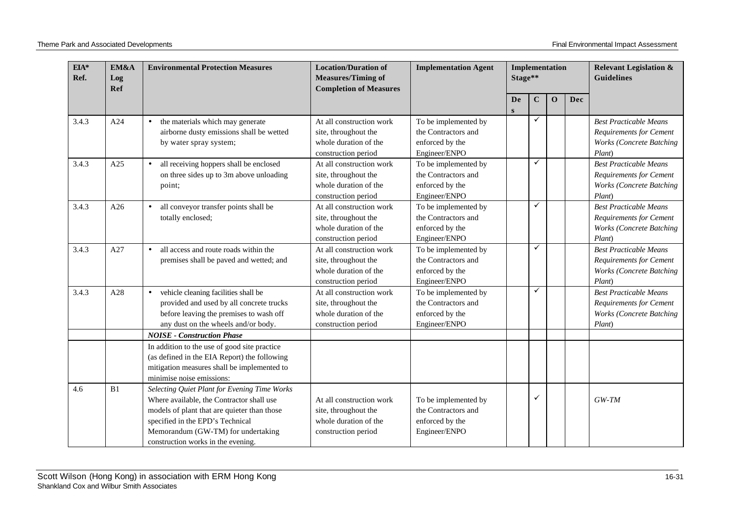| $EIA*$<br>Ref. | EM&A<br>Log<br><b>Ref</b> | <b>Environmental Protection Measures</b>                                                                                                                                                                                                                 | <b>Location/Duration of</b><br><b>Measures/Timing of</b><br><b>Completion of Measures</b>        | <b>Implementation Agent</b>                                                     | Implementation<br>Stage** |             |             | <b>Relevant Legislation &amp;</b><br><b>Guidelines</b> |                                                                                                              |
|----------------|---------------------------|----------------------------------------------------------------------------------------------------------------------------------------------------------------------------------------------------------------------------------------------------------|--------------------------------------------------------------------------------------------------|---------------------------------------------------------------------------------|---------------------------|-------------|-------------|--------------------------------------------------------|--------------------------------------------------------------------------------------------------------------|
|                |                           |                                                                                                                                                                                                                                                          |                                                                                                  |                                                                                 | De<br>S                   | $\mathbf C$ | $\mathbf 0$ | Dec                                                    |                                                                                                              |
| 3.4.3          | A24                       | the materials which may generate<br>$\bullet$<br>airborne dusty emissions shall be wetted<br>by water spray system;                                                                                                                                      | At all construction work<br>site, throughout the<br>whole duration of the<br>construction period | To be implemented by<br>the Contractors and<br>enforced by the<br>Engineer/ENPO |                           | ✓           |             |                                                        | <b>Best Practicable Means</b><br>Requirements for Cement<br><b>Works (Concrete Batching</b><br>Plant)        |
| 3.4.3          | A25                       | all receiving hoppers shall be enclosed<br>$\bullet$<br>on three sides up to 3m above unloading<br>point;                                                                                                                                                | At all construction work<br>site, throughout the<br>whole duration of the<br>construction period | To be implemented by<br>the Contractors and<br>enforced by the<br>Engineer/ENPO |                           | ✓           |             |                                                        | <b>Best Practicable Means</b><br><b>Requirements for Cement</b><br><b>Works (Concrete Batching</b><br>Plant) |
| 3.4.3          | A26                       | all conveyor transfer points shall be<br>$\bullet$<br>totally enclosed;                                                                                                                                                                                  | At all construction work<br>site, throughout the<br>whole duration of the<br>construction period | To be implemented by<br>the Contractors and<br>enforced by the<br>Engineer/ENPO |                           | ✓           |             |                                                        | <b>Best Practicable Means</b><br><b>Requirements for Cement</b><br><b>Works (Concrete Batching</b><br>Plant) |
| 3.4.3          | A27                       | all access and route roads within the<br>$\bullet$<br>premises shall be paved and wetted; and                                                                                                                                                            | At all construction work<br>site, throughout the<br>whole duration of the<br>construction period | To be implemented by<br>the Contractors and<br>enforced by the<br>Engineer/ENPO |                           | ✓           |             |                                                        | <b>Best Practicable Means</b><br><b>Requirements for Cement</b><br><b>Works (Concrete Batching</b><br>Plant) |
| 3.4.3          | A28                       | vehicle cleaning facilities shall be<br>$\bullet$<br>provided and used by all concrete trucks<br>before leaving the premises to wash off<br>any dust on the wheels and/or body.                                                                          | At all construction work<br>site, throughout the<br>whole duration of the<br>construction period | To be implemented by<br>the Contractors and<br>enforced by the<br>Engineer/ENPO |                           | ✓           |             |                                                        | <b>Best Practicable Means</b><br><b>Requirements for Cement</b><br><b>Works (Concrete Batching</b><br>Plant) |
|                |                           | <b>NOISE - Construction Phase</b><br>In addition to the use of good site practice<br>(as defined in the EIA Report) the following<br>mitigation measures shall be implemented to<br>minimise noise emissions:                                            |                                                                                                  |                                                                                 |                           |             |             |                                                        |                                                                                                              |
| 4.6            | B1                        | Selecting Quiet Plant for Evening Time Works<br>Where available, the Contractor shall use<br>models of plant that are quieter than those<br>specified in the EPD's Technical<br>Memorandum (GW-TM) for undertaking<br>construction works in the evening. | At all construction work<br>site, throughout the<br>whole duration of the<br>construction period | To be implemented by<br>the Contractors and<br>enforced by the<br>Engineer/ENPO |                           |             |             |                                                        | $GW-TM$                                                                                                      |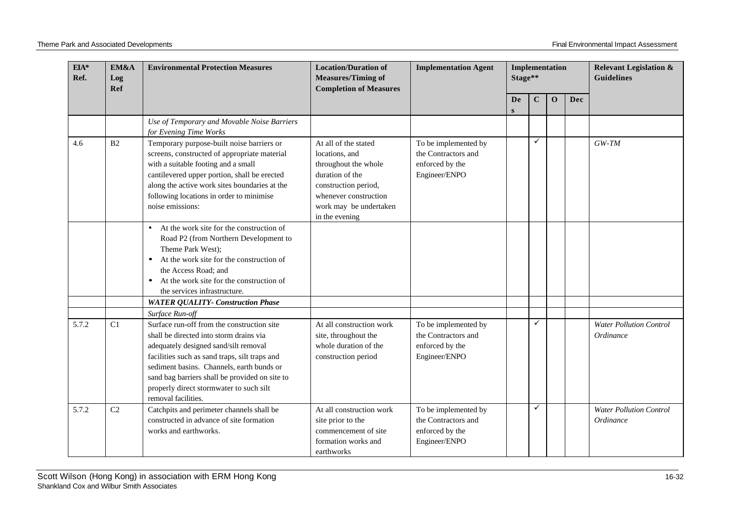| $EIA*$<br>Ref. | EM&A<br>Log<br>Ref | <b>Environmental Protection Measures</b>                                                                                                                                                                                                                                                                                                                            | <b>Location/Duration of</b><br><b>Measures/Timing of</b><br><b>Completion of Measures</b>                                                                                      | <b>Implementation Agent</b>                                                     | Stage** |         | Implementation |            | <b>Relevant Legislation &amp;</b><br><b>Guidelines</b> |
|----------------|--------------------|---------------------------------------------------------------------------------------------------------------------------------------------------------------------------------------------------------------------------------------------------------------------------------------------------------------------------------------------------------------------|--------------------------------------------------------------------------------------------------------------------------------------------------------------------------------|---------------------------------------------------------------------------------|---------|---------|----------------|------------|--------------------------------------------------------|
|                |                    |                                                                                                                                                                                                                                                                                                                                                                     |                                                                                                                                                                                |                                                                                 | De<br>S | $\bf C$ | $\mathbf{0}$   | <b>Dec</b> |                                                        |
|                |                    | Use of Temporary and Movable Noise Barriers<br>for Evening Time Works                                                                                                                                                                                                                                                                                               |                                                                                                                                                                                |                                                                                 |         |         |                |            |                                                        |
| 4.6            | B2                 | Temporary purpose-built noise barriers or<br>screens, constructed of appropriate material<br>with a suitable footing and a small<br>cantilevered upper portion, shall be erected<br>along the active work sites boundaries at the<br>following locations in order to minimise<br>noise emissions:                                                                   | At all of the stated<br>locations, and<br>throughout the whole<br>duration of the<br>construction period,<br>whenever construction<br>work may be undertaken<br>in the evening | To be implemented by<br>the Contractors and<br>enforced by the<br>Engineer/ENPO |         | ✓       |                |            | $GW-TM$                                                |
|                |                    | At the work site for the construction of<br>$\bullet$<br>Road P2 (from Northern Development to<br>Theme Park West);<br>At the work site for the construction of<br>$\bullet$<br>the Access Road; and<br>At the work site for the construction of<br>the services infrastructure.                                                                                    |                                                                                                                                                                                |                                                                                 |         |         |                |            |                                                        |
|                |                    | <b>WATER QUALITY- Construction Phase</b>                                                                                                                                                                                                                                                                                                                            |                                                                                                                                                                                |                                                                                 |         |         |                |            |                                                        |
| 5.7.2          | C1                 | Surface Run-off<br>Surface run-off from the construction site<br>shall be directed into storm drains via<br>adequately designed sand/silt removal<br>facilities such as sand traps, silt traps and<br>sediment basins. Channels, earth bunds or<br>sand bag barriers shall be provided on site to<br>properly direct stormwater to such silt<br>removal facilities. | At all construction work<br>site, throughout the<br>whole duration of the<br>construction period                                                                               | To be implemented by<br>the Contractors and<br>enforced by the<br>Engineer/ENPO |         | ✓       |                |            | <b>Water Pollution Control</b><br>Ordinance            |
| 5.7.2          | C <sub>2</sub>     | Catchpits and perimeter channels shall be<br>constructed in advance of site formation<br>works and earthworks.                                                                                                                                                                                                                                                      | At all construction work<br>site prior to the<br>commencement of site<br>formation works and<br>earthworks                                                                     | To be implemented by<br>the Contractors and<br>enforced by the<br>Engineer/ENPO |         | ✓       |                |            | <b>Water Pollution Control</b><br>Ordinance            |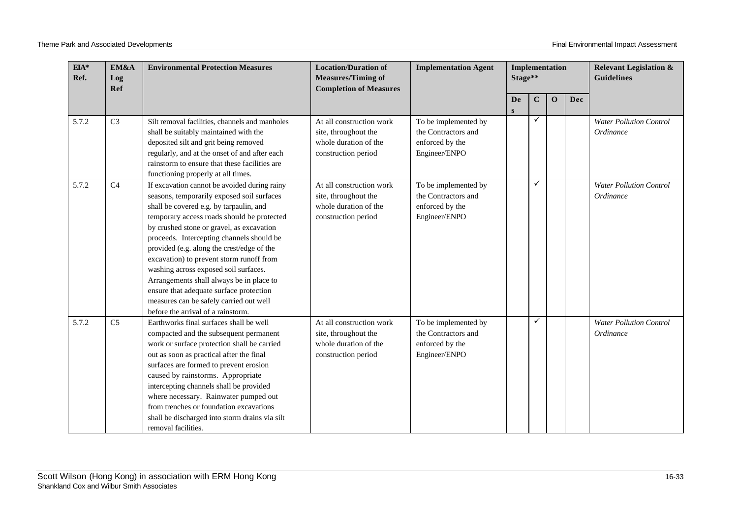| $\mathbf{EIA}^*$<br>Ref. | EM&A<br>Log<br><b>Ref</b> | <b>Environmental Protection Measures</b>                                                                                                                                                                                                                                                                                                                                                                                                                                                                                                                                                 | <b>Location/Duration of</b><br><b>Measures/Timing of</b><br><b>Completion of Measures</b>        | <b>Implementation Agent</b>                                                     | Implementation<br>Stage** |             |              |     | <b>Relevant Legislation &amp;</b><br><b>Guidelines</b> |
|--------------------------|---------------------------|------------------------------------------------------------------------------------------------------------------------------------------------------------------------------------------------------------------------------------------------------------------------------------------------------------------------------------------------------------------------------------------------------------------------------------------------------------------------------------------------------------------------------------------------------------------------------------------|--------------------------------------------------------------------------------------------------|---------------------------------------------------------------------------------|---------------------------|-------------|--------------|-----|--------------------------------------------------------|
|                          |                           |                                                                                                                                                                                                                                                                                                                                                                                                                                                                                                                                                                                          |                                                                                                  |                                                                                 | <b>De</b><br>S            | $\mathbf C$ | $\mathbf{O}$ | Dec |                                                        |
| 5.7.2                    | C <sub>3</sub>            | Silt removal facilities, channels and manholes<br>shall be suitably maintained with the<br>deposited silt and grit being removed<br>regularly, and at the onset of and after each<br>rainstorm to ensure that these facilities are<br>functioning properly at all times.                                                                                                                                                                                                                                                                                                                 | At all construction work<br>site, throughout the<br>whole duration of the<br>construction period | To be implemented by<br>the Contractors and<br>enforced by the<br>Engineer/ENPO |                           | ✓           |              |     | <b>Water Pollution Control</b><br>Ordinance            |
| 5.7.2                    | C <sub>4</sub>            | If excavation cannot be avoided during rainy<br>seasons, temporarily exposed soil surfaces<br>shall be covered e.g. by tarpaulin, and<br>temporary access roads should be protected<br>by crushed stone or gravel, as excavation<br>proceeds. Intercepting channels should be<br>provided (e.g. along the crest/edge of the<br>excavation) to prevent storm runoff from<br>washing across exposed soil surfaces.<br>Arrangements shall always be in place to<br>ensure that adequate surface protection<br>measures can be safely carried out well<br>before the arrival of a rainstorm. | At all construction work<br>site, throughout the<br>whole duration of the<br>construction period | To be implemented by<br>the Contractors and<br>enforced by the<br>Engineer/ENPO |                           | ✓           |              |     | <b>Water Pollution Control</b><br>Ordinance            |
| 5.7.2                    | C <sub>5</sub>            | Earthworks final surfaces shall be well<br>compacted and the subsequent permanent<br>work or surface protection shall be carried<br>out as soon as practical after the final<br>surfaces are formed to prevent erosion<br>caused by rainstorms. Appropriate<br>intercepting channels shall be provided<br>where necessary. Rainwater pumped out<br>from trenches or foundation excavations<br>shall be discharged into storm drains via silt<br>removal facilities.                                                                                                                      | At all construction work<br>site, throughout the<br>whole duration of the<br>construction period | To be implemented by<br>the Contractors and<br>enforced by the<br>Engineer/ENPO |                           | ✓           |              |     | <b>Water Pollution Control</b><br>Ordinance            |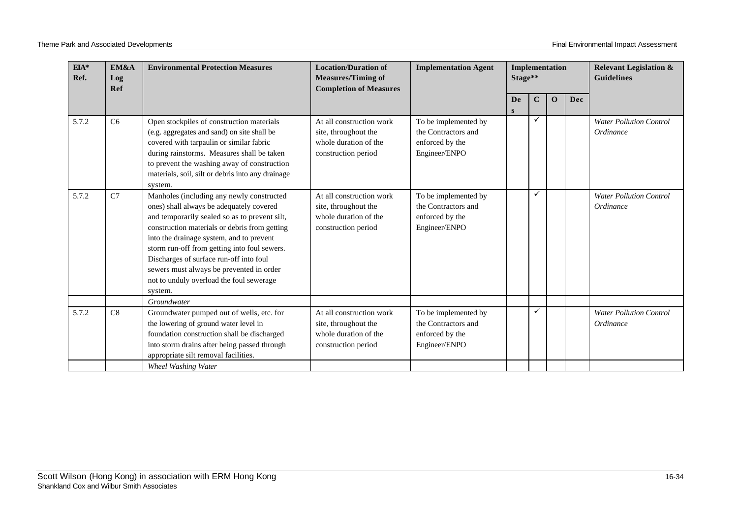| EIA*<br>Ref. | EM&A<br>Log<br>Ref | <b>Environmental Protection Measures</b>                                                                                                                                                                                                                                                                                                                                                                                          | <b>Location/Duration of</b><br><b>Measures/Timing of</b><br><b>Completion of Measures</b>        | <b>Implementation Agent</b>                                                     |                | Implementation<br>Stage** |              |            | <b>Relevant Legislation &amp;</b><br><b>Guidelines</b> |
|--------------|--------------------|-----------------------------------------------------------------------------------------------------------------------------------------------------------------------------------------------------------------------------------------------------------------------------------------------------------------------------------------------------------------------------------------------------------------------------------|--------------------------------------------------------------------------------------------------|---------------------------------------------------------------------------------|----------------|---------------------------|--------------|------------|--------------------------------------------------------|
|              |                    |                                                                                                                                                                                                                                                                                                                                                                                                                                   |                                                                                                  |                                                                                 | <b>De</b><br>S | $\mathbf C$               | $\mathbf{O}$ | <b>Dec</b> |                                                        |
| 5.7.2        | C6                 | Open stockpiles of construction materials<br>(e.g. aggregates and sand) on site shall be<br>covered with tarpaulin or similar fabric<br>during rainstorms. Measures shall be taken<br>to prevent the washing away of construction<br>materials, soil, silt or debris into any drainage<br>system.                                                                                                                                 | At all construction work<br>site, throughout the<br>whole duration of the<br>construction period | To be implemented by<br>the Contractors and<br>enforced by the<br>Engineer/ENPO |                | ✓                         |              |            | <b>Water Pollution Control</b><br>Ordinance            |
| 5.7.2        | C7                 | Manholes (including any newly constructed<br>ones) shall always be adequately covered<br>and temporarily sealed so as to prevent silt,<br>construction materials or debris from getting<br>into the drainage system, and to prevent<br>storm run-off from getting into foul sewers.<br>Discharges of surface run-off into foul<br>sewers must always be prevented in order<br>not to unduly overload the foul sewerage<br>system. | At all construction work<br>site, throughout the<br>whole duration of the<br>construction period | To be implemented by<br>the Contractors and<br>enforced by the<br>Engineer/ENPO |                | ✓                         |              |            | <b>Water Pollution Control</b><br>Ordinance            |
|              |                    | Groundwater                                                                                                                                                                                                                                                                                                                                                                                                                       |                                                                                                  |                                                                                 |                |                           |              |            |                                                        |
| 5.7.2        | C8                 | Groundwater pumped out of wells, etc. for<br>the lowering of ground water level in<br>foundation construction shall be discharged<br>into storm drains after being passed through<br>appropriate silt removal facilities.                                                                                                                                                                                                         | At all construction work<br>site, throughout the<br>whole duration of the<br>construction period | To be implemented by<br>the Contractors and<br>enforced by the<br>Engineer/ENPO |                |                           |              |            | <b>Water Pollution Control</b><br>Ordinance            |
|              |                    | Wheel Washing Water                                                                                                                                                                                                                                                                                                                                                                                                               |                                                                                                  |                                                                                 |                |                           |              |            |                                                        |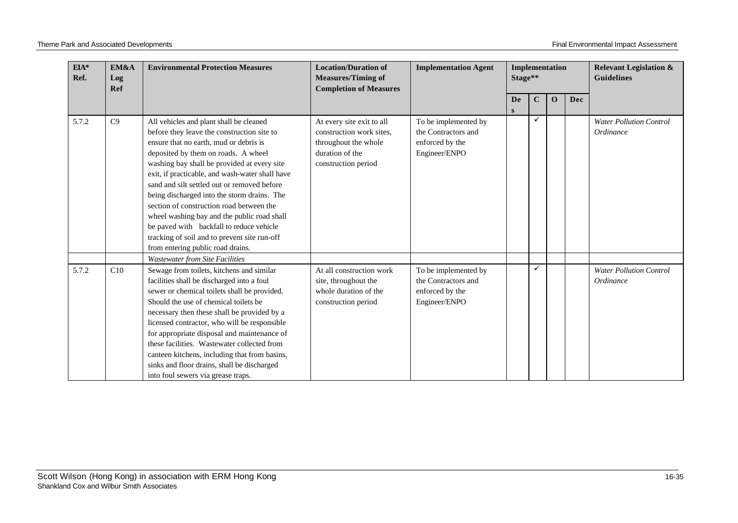| $EIA*$<br>Ref. | EM&A<br>Log<br><b>Ref</b> | <b>Environmental Protection Measures</b>                                                                                                                                                                                                                                                                                                                                                                                                                                                                                                                                                           | <b>Location/Duration of</b><br><b>Measures/Timing of</b><br><b>Completion of Measures</b>                               | <b>Implementation Agent</b>                                                     | Implementation<br>Stage** |             |             |            | <b>Relevant Legislation &amp;</b><br><b>Guidelines</b> |
|----------------|---------------------------|----------------------------------------------------------------------------------------------------------------------------------------------------------------------------------------------------------------------------------------------------------------------------------------------------------------------------------------------------------------------------------------------------------------------------------------------------------------------------------------------------------------------------------------------------------------------------------------------------|-------------------------------------------------------------------------------------------------------------------------|---------------------------------------------------------------------------------|---------------------------|-------------|-------------|------------|--------------------------------------------------------|
|                |                           |                                                                                                                                                                                                                                                                                                                                                                                                                                                                                                                                                                                                    |                                                                                                                         |                                                                                 | De<br>S                   | $\mathbf C$ | $\mathbf 0$ | <b>Dec</b> |                                                        |
| 5.7.2          | C9                        | All vehicles and plant shall be cleaned<br>before they leave the construction site to<br>ensure that no earth, mud or debris is<br>deposited by them on roads. A wheel<br>washing bay shall be provided at every site<br>exit, if practicable, and wash-water shall have<br>sand and silt settled out or removed before<br>being discharged into the storm drains. The<br>section of construction road between the<br>wheel washing bay and the public road shall<br>be paved with backfall to reduce vehicle<br>tracking of soil and to prevent site run-off<br>from entering public road drains. | At every site exit to all<br>construction work sites.<br>throughout the whole<br>duration of the<br>construction period | To be implemented by<br>the Contractors and<br>enforced by the<br>Engineer/ENPO |                           |             |             |            | <b>Water Pollution Control</b><br>Ordinance            |
|                |                           | <b>Wastewater from Site Facilities</b>                                                                                                                                                                                                                                                                                                                                                                                                                                                                                                                                                             |                                                                                                                         |                                                                                 |                           |             |             |            |                                                        |
| 5.7.2          | C10                       | Sewage from toilets, kitchens and similar<br>facilities shall be discharged into a foul<br>sewer or chemical toilets shall be provided.<br>Should the use of chemical toilets be<br>necessary then these shall be provided by a<br>licensed contractor, who will be responsible<br>for appropriate disposal and maintenance of<br>these facilities. Wastewater collected from<br>canteen kitchens, including that from basins,<br>sinks and floor drains, shall be discharged<br>into foul sewers via grease traps.                                                                                | At all construction work<br>site, throughout the<br>whole duration of the<br>construction period                        | To be implemented by<br>the Contractors and<br>enforced by the<br>Engineer/ENPO |                           |             |             |            | <b>Water Pollution Control</b><br>Ordinance            |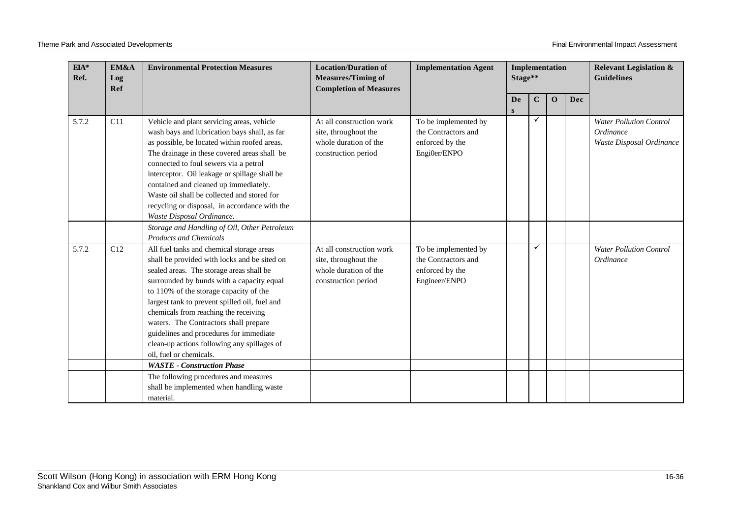| $EIA*$<br>Ref. | EM&A<br>Log<br>Ref | <b>Environmental Protection Measures</b>                                                                                                                                                                                                                                                                                                                                                                                                                                             | <b>Location/Duration of</b><br><b>Measures/Timing of</b><br><b>Completion of Measures</b>        | <b>Implementation Agent</b>                                                     | Implementation<br>Stage** |             |             |     | <b>Relevant Legislation &amp;</b><br><b>Guidelines</b>                  |
|----------------|--------------------|--------------------------------------------------------------------------------------------------------------------------------------------------------------------------------------------------------------------------------------------------------------------------------------------------------------------------------------------------------------------------------------------------------------------------------------------------------------------------------------|--------------------------------------------------------------------------------------------------|---------------------------------------------------------------------------------|---------------------------|-------------|-------------|-----|-------------------------------------------------------------------------|
|                |                    |                                                                                                                                                                                                                                                                                                                                                                                                                                                                                      |                                                                                                  |                                                                                 | De<br>${\bf S}$           | $\mathbf C$ | $\mathbf 0$ | Dec |                                                                         |
| 5.7.2          | C11                | Vehicle and plant servicing areas, vehicle<br>wash bays and lubrication bays shall, as far<br>as possible, be located within roofed areas.<br>The drainage in these covered areas shall be<br>connected to foul sewers via a petrol<br>interceptor. Oil leakage or spillage shall be<br>contained and cleaned up immediately.<br>Waste oil shall be collected and stored for<br>recycling or disposal, in accordance with the<br>Waste Disposal Ordinance.                           | At all construction work<br>site, throughout the<br>whole duration of the<br>construction period | To be implemented by<br>the Contractors and<br>enforced by the<br>Engi0er/ENPO  |                           |             |             |     | <b>Water Pollution Control</b><br>Ordinance<br>Waste Disposal Ordinance |
|                |                    | Storage and Handling of Oil, Other Petroleum<br><b>Products and Chemicals</b>                                                                                                                                                                                                                                                                                                                                                                                                        |                                                                                                  |                                                                                 |                           |             |             |     |                                                                         |
| 5.7.2          | C12                | All fuel tanks and chemical storage areas<br>shall be provided with locks and be sited on<br>sealed areas. The storage areas shall be<br>surrounded by bunds with a capacity equal<br>to 110% of the storage capacity of the<br>largest tank to prevent spilled oil, fuel and<br>chemicals from reaching the receiving<br>waters. The Contractors shall prepare<br>guidelines and procedures for immediate<br>clean-up actions following any spillages of<br>oil, fuel or chemicals. | At all construction work<br>site, throughout the<br>whole duration of the<br>construction period | To be implemented by<br>the Contractors and<br>enforced by the<br>Engineer/ENPO |                           | ✓           |             |     | <b>Water Pollution Control</b><br>Ordinance                             |
|                |                    | <b>WASTE</b> - Construction Phase                                                                                                                                                                                                                                                                                                                                                                                                                                                    |                                                                                                  |                                                                                 |                           |             |             |     |                                                                         |
|                |                    | The following procedures and measures<br>shall be implemented when handling waste<br>material.                                                                                                                                                                                                                                                                                                                                                                                       |                                                                                                  |                                                                                 |                           |             |             |     |                                                                         |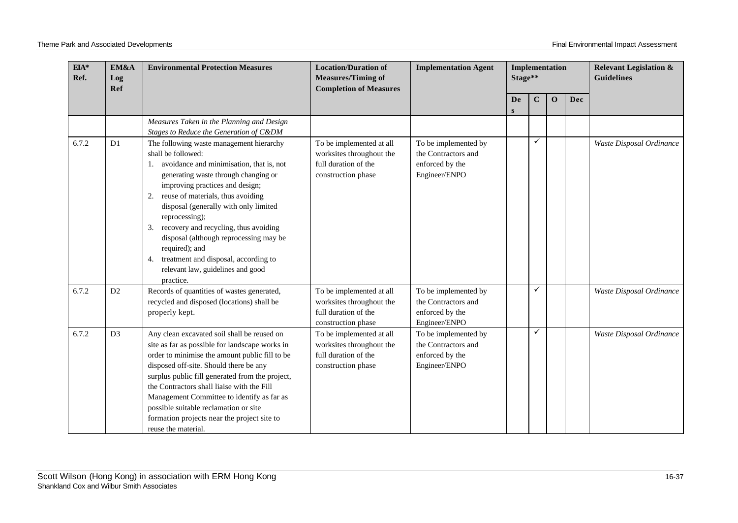| $\mathbf{EIA}^*$<br>Ref. | EM&A<br>Log<br><b>Ref</b> | <b>Environmental Protection Measures</b>                                                                                                                                                                                                                                                                                                                                                                                                                                                                     | <b>Location/Duration of</b><br><b>Measures/Timing of</b><br><b>Completion of Measures</b>          | <b>Implementation Agent</b>                                                     | Implementation<br>Stage** |             |              |     | <b>Relevant Legislation &amp;</b><br><b>Guidelines</b> |
|--------------------------|---------------------------|--------------------------------------------------------------------------------------------------------------------------------------------------------------------------------------------------------------------------------------------------------------------------------------------------------------------------------------------------------------------------------------------------------------------------------------------------------------------------------------------------------------|----------------------------------------------------------------------------------------------------|---------------------------------------------------------------------------------|---------------------------|-------------|--------------|-----|--------------------------------------------------------|
|                          |                           |                                                                                                                                                                                                                                                                                                                                                                                                                                                                                                              |                                                                                                    |                                                                                 | <b>De</b><br>S            | $\mathbf C$ | $\mathbf{O}$ | Dec |                                                        |
|                          |                           | Measures Taken in the Planning and Design<br>Stages to Reduce the Generation of C&DM                                                                                                                                                                                                                                                                                                                                                                                                                         |                                                                                                    |                                                                                 |                           |             |              |     |                                                        |
| 6.7.2                    | D <sub>1</sub>            | The following waste management hierarchy<br>shall be followed:<br>avoidance and minimisation, that is, not<br>1.<br>generating waste through changing or<br>improving practices and design;<br>reuse of materials, thus avoiding<br>2.<br>disposal (generally with only limited<br>reprocessing);<br>recovery and recycling, thus avoiding<br>3.<br>disposal (although reprocessing may be<br>required); and<br>treatment and disposal, according to<br>4.<br>relevant law, guidelines and good<br>practice. | To be implemented at all<br>worksites throughout the<br>full duration of the<br>construction phase | To be implemented by<br>the Contractors and<br>enforced by the<br>Engineer/ENPO |                           | ✓           |              |     | Waste Disposal Ordinance                               |
| 6.7.2                    | D2                        | Records of quantities of wastes generated,<br>recycled and disposed (locations) shall be<br>properly kept.                                                                                                                                                                                                                                                                                                                                                                                                   | To be implemented at all<br>worksites throughout the<br>full duration of the<br>construction phase | To be implemented by<br>the Contractors and<br>enforced by the<br>Engineer/ENPO |                           | ✓           |              |     | Waste Disposal Ordinance                               |
| 6.7.2                    | D <sub>3</sub>            | Any clean excavated soil shall be reused on<br>site as far as possible for landscape works in<br>order to minimise the amount public fill to be<br>disposed off-site. Should there be any<br>surplus public fill generated from the project,<br>the Contractors shall liaise with the Fill<br>Management Committee to identify as far as<br>possible suitable reclamation or site<br>formation projects near the project site to<br>reuse the material.                                                      | To be implemented at all<br>worksites throughout the<br>full duration of the<br>construction phase | To be implemented by<br>the Contractors and<br>enforced by the<br>Engineer/ENPO |                           | ✓           |              |     | Waste Disposal Ordinance                               |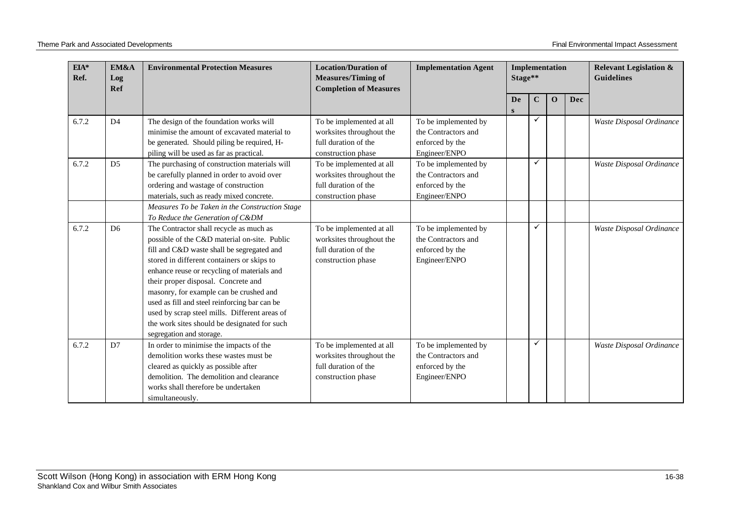| $EIA*$<br>Ref. | EM&A<br>Log<br>Ref | <b>Environmental Protection Measures</b>                                                                                                                                                                                                                                                                                                                                                                                                                                                           | <b>Location/Duration of</b><br><b>Measures/Timing of</b><br><b>Completion of Measures</b>          | <b>Implementation Agent</b>                                                     |                | Implementation<br>Stage** |             |     | <b>Relevant Legislation &amp;</b><br><b>Guidelines</b> |
|----------------|--------------------|----------------------------------------------------------------------------------------------------------------------------------------------------------------------------------------------------------------------------------------------------------------------------------------------------------------------------------------------------------------------------------------------------------------------------------------------------------------------------------------------------|----------------------------------------------------------------------------------------------------|---------------------------------------------------------------------------------|----------------|---------------------------|-------------|-----|--------------------------------------------------------|
|                |                    |                                                                                                                                                                                                                                                                                                                                                                                                                                                                                                    |                                                                                                    |                                                                                 | <b>De</b><br>S | $\mathbf C$               | $\mathbf 0$ | Dec |                                                        |
| 6.7.2          | D <sub>4</sub>     | The design of the foundation works will<br>minimise the amount of excavated material to<br>be generated. Should piling be required, H-<br>piling will be used as far as practical.                                                                                                                                                                                                                                                                                                                 | To be implemented at all<br>worksites throughout the<br>full duration of the<br>construction phase | To be implemented by<br>the Contractors and<br>enforced by the<br>Engineer/ENPO |                | ✓                         |             |     | Waste Disposal Ordinance                               |
| 6.7.2          | D <sub>5</sub>     | The purchasing of construction materials will<br>be carefully planned in order to avoid over<br>ordering and wastage of construction<br>materials, such as ready mixed concrete.<br>Measures To be Taken in the Construction Stage<br>To Reduce the Generation of C&DM                                                                                                                                                                                                                             | To be implemented at all<br>worksites throughout the<br>full duration of the<br>construction phase | To be implemented by<br>the Contractors and<br>enforced by the<br>Engineer/ENPO |                | ✓                         |             |     | Waste Disposal Ordinance                               |
| 6.7.2          | D <sub>6</sub>     | The Contractor shall recycle as much as<br>possible of the C&D material on-site. Public<br>fill and C&D waste shall be segregated and<br>stored in different containers or skips to<br>enhance reuse or recycling of materials and<br>their proper disposal. Concrete and<br>masonry, for example can be crushed and<br>used as fill and steel reinforcing bar can be<br>used by scrap steel mills. Different areas of<br>the work sites should be designated for such<br>segregation and storage. | To be implemented at all<br>worksites throughout the<br>full duration of the<br>construction phase | To be implemented by<br>the Contractors and<br>enforced by the<br>Engineer/ENPO |                | $\checkmark$              |             |     | Waste Disposal Ordinance                               |
| 6.7.2          | D7                 | In order to minimise the impacts of the<br>demolition works these wastes must be<br>cleared as quickly as possible after<br>demolition. The demolition and clearance<br>works shall therefore be undertaken<br>simultaneously.                                                                                                                                                                                                                                                                     | To be implemented at all<br>worksites throughout the<br>full duration of the<br>construction phase | To be implemented by<br>the Contractors and<br>enforced by the<br>Engineer/ENPO |                | $\checkmark$              |             |     | Waste Disposal Ordinance                               |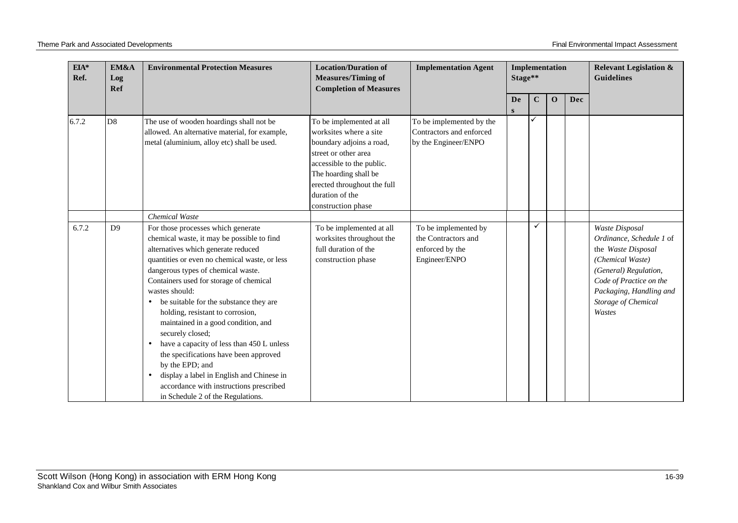| $EIA*$<br>EM&A<br>Ref.<br>Log<br>Ref |                | <b>Environmental Protection Measures</b>                                                                                                                                                                                                                                                                                                                                                                                                                                                                                                                                                                                                                                             | <b>Location/Duration of</b><br><b>Measures/Timing of</b><br><b>Completion of Measures</b>                                                                                                                                            | <b>Implementation Agent</b>                                                     | Stage** |             | Implementation |     | <b>Relevant Legislation &amp;</b><br><b>Guidelines</b>                                                                                                                                               |
|--------------------------------------|----------------|--------------------------------------------------------------------------------------------------------------------------------------------------------------------------------------------------------------------------------------------------------------------------------------------------------------------------------------------------------------------------------------------------------------------------------------------------------------------------------------------------------------------------------------------------------------------------------------------------------------------------------------------------------------------------------------|--------------------------------------------------------------------------------------------------------------------------------------------------------------------------------------------------------------------------------------|---------------------------------------------------------------------------------|---------|-------------|----------------|-----|------------------------------------------------------------------------------------------------------------------------------------------------------------------------------------------------------|
|                                      |                |                                                                                                                                                                                                                                                                                                                                                                                                                                                                                                                                                                                                                                                                                      |                                                                                                                                                                                                                                      |                                                                                 | De<br>S | $\mathbf C$ | $\mathbf 0$    | Dec |                                                                                                                                                                                                      |
| 6.7.2                                | D <sub>8</sub> | The use of wooden hoardings shall not be<br>allowed. An alternative material, for example,<br>metal (aluminium, alloy etc) shall be used.                                                                                                                                                                                                                                                                                                                                                                                                                                                                                                                                            | To be implemented at all<br>worksites where a site<br>boundary adjoins a road,<br>street or other area<br>accessible to the public.<br>The hoarding shall be<br>erected throughout the full<br>duration of the<br>construction phase | To be implemented by the<br>Contractors and enforced<br>by the Engineer/ENPO    |         |             |                |     |                                                                                                                                                                                                      |
|                                      |                | Chemical Waste                                                                                                                                                                                                                                                                                                                                                                                                                                                                                                                                                                                                                                                                       |                                                                                                                                                                                                                                      |                                                                                 |         |             |                |     |                                                                                                                                                                                                      |
| 6.7.2                                | D <sup>9</sup> | For those processes which generate<br>chemical waste, it may be possible to find<br>alternatives which generate reduced<br>quantities or even no chemical waste, or less<br>dangerous types of chemical waste.<br>Containers used for storage of chemical<br>wastes should:<br>be suitable for the substance they are<br>$\bullet$<br>holding, resistant to corrosion,<br>maintained in a good condition, and<br>securely closed;<br>have a capacity of less than 450 L unless<br>$\bullet$<br>the specifications have been approved<br>by the EPD; and<br>display a label in English and Chinese in<br>accordance with instructions prescribed<br>in Schedule 2 of the Regulations. | To be implemented at all<br>worksites throughout the<br>full duration of the<br>construction phase                                                                                                                                   | To be implemented by<br>the Contractors and<br>enforced by the<br>Engineer/ENPO |         | ✓           |                |     | Waste Disposal<br>Ordinance, Schedule 1 of<br>the Waste Disposal<br>(Chemical Waste)<br>(General) Regulation,<br>Code of Practice on the<br>Packaging, Handling and<br>Storage of Chemical<br>Wastes |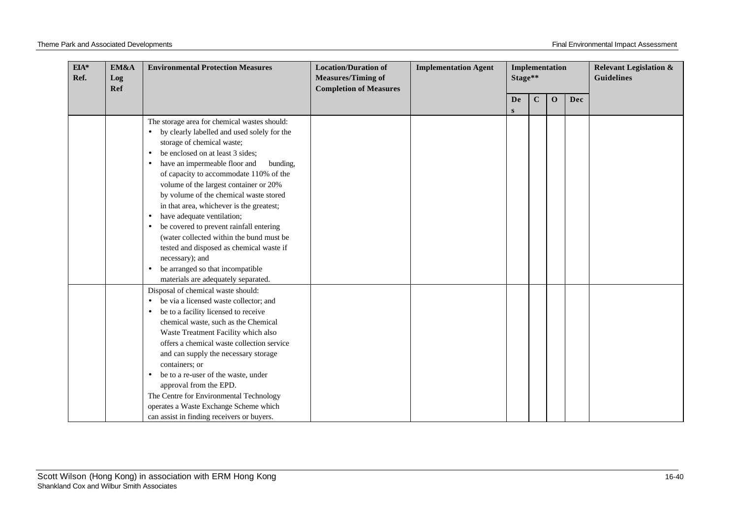| EIA*<br>Ref. | EM&A<br>Log | <b>Environmental Protection Measures</b>                                                                                                                                                                                                                                                                                                                                                                                                                                                                                                                                                                                                                                                                             | <b>Location/Duration of</b><br><b>Measures/Timing of</b> | <b>Implementation Agent</b> | Implementation<br>Stage** |         |             |            | <b>Relevant Legislation &amp;</b><br><b>Guidelines</b> |
|--------------|-------------|----------------------------------------------------------------------------------------------------------------------------------------------------------------------------------------------------------------------------------------------------------------------------------------------------------------------------------------------------------------------------------------------------------------------------------------------------------------------------------------------------------------------------------------------------------------------------------------------------------------------------------------------------------------------------------------------------------------------|----------------------------------------------------------|-----------------------------|---------------------------|---------|-------------|------------|--------------------------------------------------------|
|              | Ref         |                                                                                                                                                                                                                                                                                                                                                                                                                                                                                                                                                                                                                                                                                                                      | <b>Completion of Measures</b>                            |                             | De                        | $\bf C$ | $\mathbf 0$ | <b>Dec</b> |                                                        |
|              |             |                                                                                                                                                                                                                                                                                                                                                                                                                                                                                                                                                                                                                                                                                                                      |                                                          |                             | S                         |         |             |            |                                                        |
|              |             | The storage area for chemical wastes should:<br>by clearly labelled and used solely for the<br>storage of chemical waste;<br>be enclosed on at least 3 sides;<br>$\bullet$<br>have an impermeable floor and<br>bunding,<br>$\bullet$<br>of capacity to accommodate 110% of the<br>volume of the largest container or 20%<br>by volume of the chemical waste stored<br>in that area, whichever is the greatest;<br>have adequate ventilation;<br>$\bullet$<br>be covered to prevent rainfall entering<br>$\bullet$<br>(water collected within the bund must be<br>tested and disposed as chemical waste if<br>necessary); and<br>be arranged so that incompatible<br>$\bullet$<br>materials are adequately separated. |                                                          |                             |                           |         |             |            |                                                        |
|              |             | Disposal of chemical waste should:<br>be via a licensed waste collector; and<br>be to a facility licensed to receive<br>$\bullet$<br>chemical waste, such as the Chemical<br>Waste Treatment Facility which also<br>offers a chemical waste collection service<br>and can supply the necessary storage<br>containers; or<br>be to a re-user of the waste, under<br>$\bullet$<br>approval from the EPD.<br>The Centre for Environmental Technology<br>operates a Waste Exchange Scheme which<br>can assist in finding receivers or buyers.                                                                                                                                                                            |                                                          |                             |                           |         |             |            |                                                        |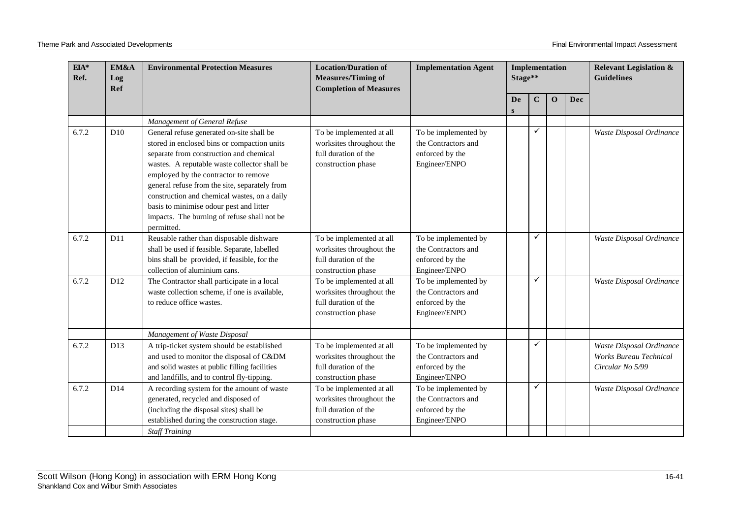| $EIA*$<br>Ref. | EM&A<br>Log<br>Ref | <b>Environmental Protection Measures</b>                                                                                                                                                                                                                                                                                                                                                                                             | <b>Location/Duration of</b><br><b>Measures/Timing of</b><br><b>Completion of Measures</b>          | <b>Implementation Agent</b>                                                     | Implementation<br>Stage** |              |              |     | <b>Relevant Legislation &amp;</b><br><b>Guidelines</b>                        |
|----------------|--------------------|--------------------------------------------------------------------------------------------------------------------------------------------------------------------------------------------------------------------------------------------------------------------------------------------------------------------------------------------------------------------------------------------------------------------------------------|----------------------------------------------------------------------------------------------------|---------------------------------------------------------------------------------|---------------------------|--------------|--------------|-----|-------------------------------------------------------------------------------|
|                |                    |                                                                                                                                                                                                                                                                                                                                                                                                                                      |                                                                                                    |                                                                                 | De<br>S                   | $\mathbf C$  | $\mathbf{O}$ | Dec |                                                                               |
|                |                    | Management of General Refuse                                                                                                                                                                                                                                                                                                                                                                                                         |                                                                                                    |                                                                                 |                           |              |              |     |                                                                               |
| 6.7.2          | D10                | General refuse generated on-site shall be<br>stored in enclosed bins or compaction units<br>separate from construction and chemical<br>wastes. A reputable waste collector shall be<br>employed by the contractor to remove<br>general refuse from the site, separately from<br>construction and chemical wastes, on a daily<br>basis to minimise odour pest and litter<br>impacts. The burning of refuse shall not be<br>permitted. | To be implemented at all<br>worksites throughout the<br>full duration of the<br>construction phase | To be implemented by<br>the Contractors and<br>enforced by the<br>Engineer/ENPO |                           | ✓            |              |     | Waste Disposal Ordinance                                                      |
| 6.7.2          | D11                | Reusable rather than disposable dishware<br>shall be used if feasible. Separate, labelled<br>bins shall be provided, if feasible, for the<br>collection of aluminium cans.                                                                                                                                                                                                                                                           | To be implemented at all<br>worksites throughout the<br>full duration of the<br>construction phase | To be implemented by<br>the Contractors and<br>enforced by the<br>Engineer/ENPO |                           | $\checkmark$ |              |     | Waste Disposal Ordinance                                                      |
| 6.7.2          | D12                | The Contractor shall participate in a local<br>waste collection scheme, if one is available,<br>to reduce office wastes.                                                                                                                                                                                                                                                                                                             | To be implemented at all<br>worksites throughout the<br>full duration of the<br>construction phase | To be implemented by<br>the Contractors and<br>enforced by the<br>Engineer/ENPO |                           | ✓            |              |     | Waste Disposal Ordinance                                                      |
|                |                    | Management of Waste Disposal                                                                                                                                                                                                                                                                                                                                                                                                         |                                                                                                    |                                                                                 |                           |              |              |     |                                                                               |
| 6.7.2          | D13                | A trip-ticket system should be established<br>and used to monitor the disposal of C&DM<br>and solid wastes at public filling facilities<br>and landfills, and to control fly-tipping.                                                                                                                                                                                                                                                | To be implemented at all<br>worksites throughout the<br>full duration of the<br>construction phase | To be implemented by<br>the Contractors and<br>enforced by the<br>Engineer/ENPO |                           | ✓            |              |     | Waste Disposal Ordinance<br><b>Works Bureau Technical</b><br>Circular No 5/99 |
| 6.7.2          | D14                | A recording system for the amount of waste<br>generated, recycled and disposed of<br>(including the disposal sites) shall be<br>established during the construction stage.<br><b>Staff Training</b>                                                                                                                                                                                                                                  | To be implemented at all<br>worksites throughout the<br>full duration of the<br>construction phase | To be implemented by<br>the Contractors and<br>enforced by the<br>Engineer/ENPO |                           | ✓            |              |     | Waste Disposal Ordinance                                                      |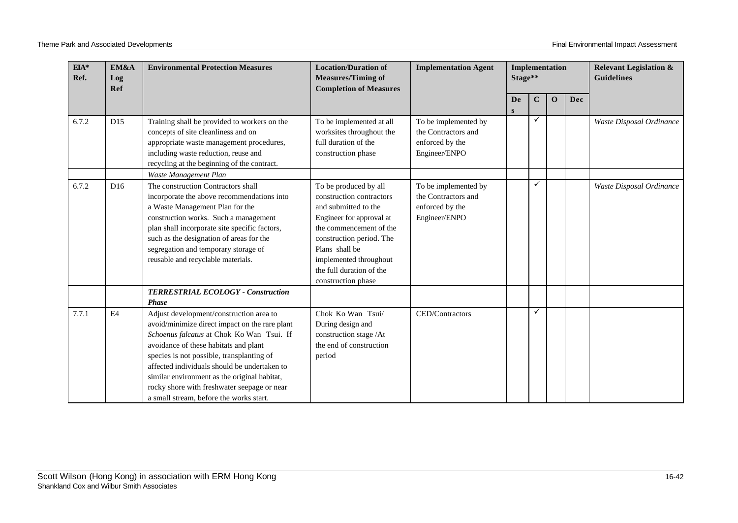| $EIA*$<br>EM&A<br>Ref.<br>Log<br>Ref |     | <b>Environmental Protection Measures</b>                                                                                                                                                                                                                                                                                                                                                                               | <b>Location/Duration of</b><br><b>Measures/Timing of</b><br><b>Completion of Measures</b>                                                                                                                                                                  | <b>Implementation Agent</b>                                                     | Stage** |             | Implementation |            | <b>Relevant Legislation &amp;</b><br><b>Guidelines</b> |
|--------------------------------------|-----|------------------------------------------------------------------------------------------------------------------------------------------------------------------------------------------------------------------------------------------------------------------------------------------------------------------------------------------------------------------------------------------------------------------------|------------------------------------------------------------------------------------------------------------------------------------------------------------------------------------------------------------------------------------------------------------|---------------------------------------------------------------------------------|---------|-------------|----------------|------------|--------------------------------------------------------|
|                                      |     |                                                                                                                                                                                                                                                                                                                                                                                                                        |                                                                                                                                                                                                                                                            |                                                                                 | De<br>S | $\mathbf C$ | $\mathbf 0$    | <b>Dec</b> |                                                        |
| 6.7.2                                | D15 | Training shall be provided to workers on the<br>concepts of site cleanliness and on<br>appropriate waste management procedures,<br>including waste reduction, reuse and<br>recycling at the beginning of the contract.                                                                                                                                                                                                 | To be implemented at all<br>worksites throughout the<br>full duration of the<br>construction phase                                                                                                                                                         | To be implemented by<br>the Contractors and<br>enforced by the<br>Engineer/ENPO |         |             |                |            | Waste Disposal Ordinance                               |
| 6.7.2                                | D16 | Waste Management Plan<br>The construction Contractors shall<br>incorporate the above recommendations into<br>a Waste Management Plan for the<br>construction works. Such a management<br>plan shall incorporate site specific factors,<br>such as the designation of areas for the<br>segregation and temporary storage of<br>reusable and recyclable materials.                                                       | To be produced by all<br>construction contractors<br>and submitted to the<br>Engineer for approval at<br>the commencement of the<br>construction period. The<br>Plans shall be<br>implemented throughout<br>the full duration of the<br>construction phase | To be implemented by<br>the Contractors and<br>enforced by the<br>Engineer/ENPO |         | ✓           |                |            | Waste Disposal Ordinance                               |
|                                      |     | TERRESTRIAL ECOLOGY - Construction<br><b>Phase</b>                                                                                                                                                                                                                                                                                                                                                                     |                                                                                                                                                                                                                                                            |                                                                                 |         |             |                |            |                                                        |
| 7.7.1                                | E4  | Adjust development/construction area to<br>avoid/minimize direct impact on the rare plant<br>Schoenus falcatus at Chok Ko Wan Tsui. If<br>avoidance of these habitats and plant<br>species is not possible, transplanting of<br>affected individuals should be undertaken to<br>similar environment as the original habitat,<br>rocky shore with freshwater seepage or near<br>a small stream, before the works start. | Chok Ko Wan Tsui/<br>During design and<br>construction stage /At<br>the end of construction<br>period                                                                                                                                                      | CED/Contractors                                                                 |         | ✓           |                |            |                                                        |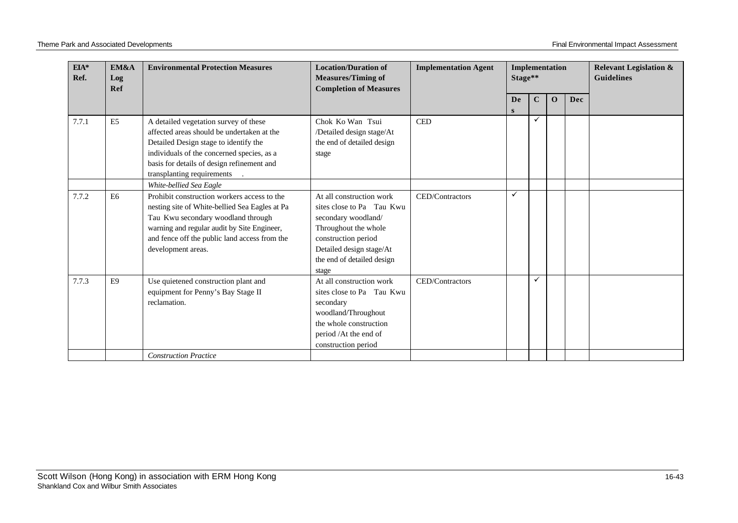|       |                |                                                                                                                                                                                                                                                                                      | <b>Completion of Measures</b>                                                                                                                                                                  |                 | Implementation<br>Stage** |             |              |     | <b>Guidelines</b> |
|-------|----------------|--------------------------------------------------------------------------------------------------------------------------------------------------------------------------------------------------------------------------------------------------------------------------------------|------------------------------------------------------------------------------------------------------------------------------------------------------------------------------------------------|-----------------|---------------------------|-------------|--------------|-----|-------------------|
|       |                |                                                                                                                                                                                                                                                                                      |                                                                                                                                                                                                |                 | <b>De</b><br>S            | $\mathbf C$ | $\mathbf{O}$ | Dec |                   |
| 7.7.1 | E <sub>5</sub> | A detailed vegetation survey of these<br>affected areas should be undertaken at the<br>Detailed Design stage to identify the<br>individuals of the concerned species, as a<br>basis for details of design refinement and<br>transplanting requirements                               | Chok Ko Wan Tsui<br>/Detailed design stage/At<br>the end of detailed design<br>stage                                                                                                           | <b>CED</b>      |                           | ✓           |              |     |                   |
| 7.7.2 | E <sub>6</sub> | White-bellied Sea Eagle<br>Prohibit construction workers access to the<br>nesting site of White-bellied Sea Eagles at Pa<br>Tau Kwu secondary woodland through<br>warning and regular audit by Site Engineer,<br>and fence off the public land access from the<br>development areas. | At all construction work<br>sites close to Pa Tau Kwu<br>secondary woodland/<br>Throughout the whole<br>construction period<br>Detailed design stage/At<br>the end of detailed design<br>stage | CED/Contractors | ✓                         |             |              |     |                   |
| 7.7.3 | E <sub>9</sub> | Use quietened construction plant and<br>equipment for Penny's Bay Stage II<br>reclamation.<br><b>Construction Practice</b>                                                                                                                                                           | At all construction work<br>sites close to Pa Tau Kwu<br>secondary<br>woodland/Throughout<br>the whole construction<br>period /At the end of<br>construction period                            | CED/Contractors |                           | ✓           |              |     |                   |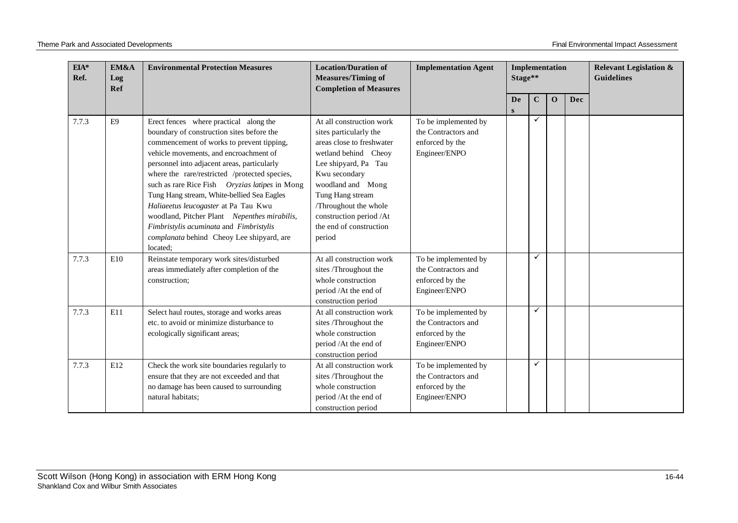| EIA*<br>Ref. | EM&A<br>Log<br>Ref | <b>Environmental Protection Measures</b>                                                                                                                                                                                                                                                                                                                                                                                                                                                                                                                               | <b>Location/Duration of</b><br><b>Measures/Timing of</b><br><b>Completion of Measures</b>                                                                                                                                                                                         | <b>Implementation Agent</b>                                                     | Implementation<br>Stage** |              |             |     | <b>Relevant Legislation &amp;</b><br><b>Guidelines</b> |
|--------------|--------------------|------------------------------------------------------------------------------------------------------------------------------------------------------------------------------------------------------------------------------------------------------------------------------------------------------------------------------------------------------------------------------------------------------------------------------------------------------------------------------------------------------------------------------------------------------------------------|-----------------------------------------------------------------------------------------------------------------------------------------------------------------------------------------------------------------------------------------------------------------------------------|---------------------------------------------------------------------------------|---------------------------|--------------|-------------|-----|--------------------------------------------------------|
|              |                    |                                                                                                                                                                                                                                                                                                                                                                                                                                                                                                                                                                        |                                                                                                                                                                                                                                                                                   |                                                                                 | De<br>S                   | $\mathbf C$  | $\mathbf 0$ | Dec |                                                        |
| 7.7.3        | E <sub>9</sub>     | Erect fences where practical along the<br>boundary of construction sites before the<br>commencement of works to prevent tipping,<br>vehicle movements, and encroachment of<br>personnel into adjacent areas, particularly<br>where the rare/restricted /protected species,<br>such as rare Rice Fish Oryzias latipes in Mong<br>Tung Hang stream, White-bellied Sea Eagles<br>Haliaeetus leucogaster at Pa Tau Kwu<br>woodland, Pitcher Plant Nepenthes mirabilis,<br>Fimbristylis acuminata and Fimbristylis<br>complanata behind Cheoy Lee shipyard, are<br>located; | At all construction work<br>sites particularly the<br>areas close to freshwater<br>wetland behind Cheoy<br>Lee shipyard, Pa Tau<br>Kwu secondary<br>woodland and Mong<br>Tung Hang stream<br>Throughout the whole<br>construction period /At<br>the end of construction<br>period | To be implemented by<br>the Contractors and<br>enforced by the<br>Engineer/ENPO |                           | ✓            |             |     |                                                        |
| 7.7.3        | E10                | Reinstate temporary work sites/disturbed<br>areas immediately after completion of the<br>construction;                                                                                                                                                                                                                                                                                                                                                                                                                                                                 | At all construction work<br>sites /Throughout the<br>whole construction<br>period /At the end of<br>construction period                                                                                                                                                           | To be implemented by<br>the Contractors and<br>enforced by the<br>Engineer/ENPO |                           | ✓            |             |     |                                                        |
| 7.7.3        | E11                | Select haul routes, storage and works areas<br>etc. to avoid or minimize disturbance to<br>ecologically significant areas;                                                                                                                                                                                                                                                                                                                                                                                                                                             | At all construction work<br>sites /Throughout the<br>whole construction<br>period /At the end of<br>construction period                                                                                                                                                           | To be implemented by<br>the Contractors and<br>enforced by the<br>Engineer/ENPO |                           | ✓            |             |     |                                                        |
| 7.7.3        | E12                | Check the work site boundaries regularly to<br>ensure that they are not exceeded and that<br>no damage has been caused to surrounding<br>natural habitats;                                                                                                                                                                                                                                                                                                                                                                                                             | At all construction work<br>sites /Throughout the<br>whole construction<br>period /At the end of<br>construction period                                                                                                                                                           | To be implemented by<br>the Contractors and<br>enforced by the<br>Engineer/ENPO |                           | $\checkmark$ |             |     |                                                        |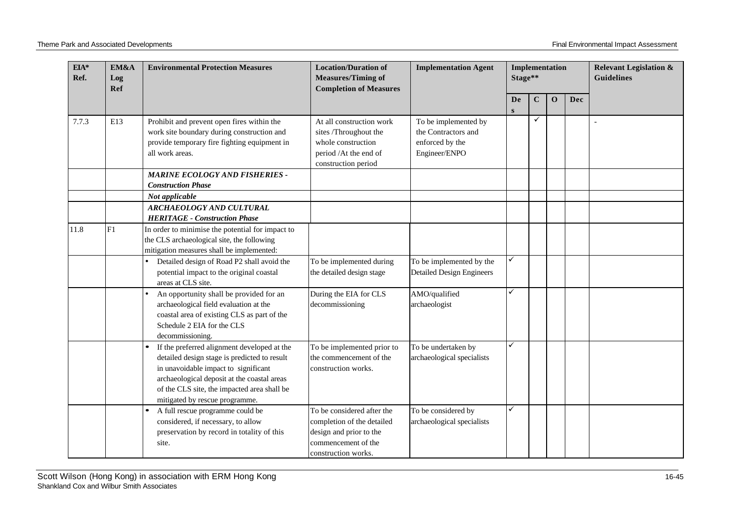| $EIA*$<br>Ref. | EM&A<br>Log<br>Ref | <b>Environmental Protection Measures</b>                                                                                                                                                                                                                            | <b>Location/Duration of</b><br><b>Measures/Timing of</b><br><b>Completion of Measures</b>                                         | <b>Implementation Agent</b>                                                     | Stage** | Implementation |             |     | <b>Relevant Legislation &amp;</b><br><b>Guidelines</b> |
|----------------|--------------------|---------------------------------------------------------------------------------------------------------------------------------------------------------------------------------------------------------------------------------------------------------------------|-----------------------------------------------------------------------------------------------------------------------------------|---------------------------------------------------------------------------------|---------|----------------|-------------|-----|--------------------------------------------------------|
|                |                    |                                                                                                                                                                                                                                                                     |                                                                                                                                   |                                                                                 | De<br>S | $\bf C$        | $\mathbf 0$ | Dec |                                                        |
| 7.7.3          | E13                | Prohibit and prevent open fires within the<br>work site boundary during construction and<br>provide temporary fire fighting equipment in<br>all work areas.                                                                                                         | At all construction work<br>sites /Throughout the<br>whole construction<br>period /At the end of<br>construction period           | To be implemented by<br>the Contractors and<br>enforced by the<br>Engineer/ENPO |         | ✓              |             |     |                                                        |
|                |                    | <b>MARINE ECOLOGY AND FISHERIES -</b><br><b>Construction Phase</b>                                                                                                                                                                                                  |                                                                                                                                   |                                                                                 |         |                |             |     |                                                        |
|                |                    | Not applicable<br>ARCHAEOLOGY AND CULTURAL<br><b>HERITAGE - Construction Phase</b>                                                                                                                                                                                  |                                                                                                                                   |                                                                                 |         |                |             |     |                                                        |
| 11.8           | F1                 | In order to minimise the potential for impact to<br>the CLS archaeological site, the following<br>mitigation measures shall be implemented:                                                                                                                         |                                                                                                                                   |                                                                                 |         |                |             |     |                                                        |
|                |                    | Detailed design of Road P2 shall avoid the<br>potential impact to the original coastal<br>areas at CLS site.                                                                                                                                                        | To be implemented during<br>the detailed design stage                                                                             | To be implemented by the<br><b>Detailed Design Engineers</b>                    | ✓       |                |             |     |                                                        |
|                |                    | An opportunity shall be provided for an<br>archaeological field evaluation at the<br>coastal area of existing CLS as part of the<br>Schedule 2 EIA for the CLS<br>decommissioning.                                                                                  | During the EIA for CLS<br>decommissioning                                                                                         | AMO/qualified<br>archaeologist                                                  | ✓       |                |             |     |                                                        |
|                |                    | If the preferred alignment developed at the<br>detailed design stage is predicted to result<br>in unavoidable impact to significant<br>archaeological deposit at the coastal areas<br>of the CLS site, the impacted area shall be<br>mitigated by rescue programme. | To be implemented prior to<br>the commencement of the<br>construction works.                                                      | To be undertaken by<br>archaeological specialists                               | ✓       |                |             |     |                                                        |
|                |                    | A full rescue programme could be<br>considered, if necessary, to allow<br>preservation by record in totality of this<br>site.                                                                                                                                       | To be considered after the<br>completion of the detailed<br>design and prior to the<br>commencement of the<br>construction works. | To be considered by<br>archaeological specialists                               | ✓       |                |             |     |                                                        |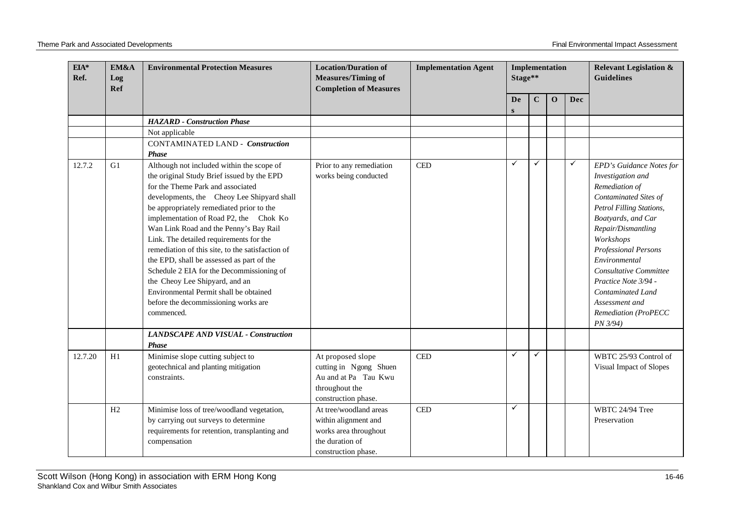| EIA*<br>Ref. | EM&A<br>Log<br><b>Ref</b> | <b>Environmental Protection Measures</b>                                                                                                                                                                                                                                                                                                                                                                                                                                                                                                                                                                                              | <b>Location/Duration of</b><br><b>Measures/Timing of</b><br><b>Completion of Measures</b>                         | <b>Implementation Agent</b> | Implementation<br>Stage** |             |              | <b>Relevant Legislation &amp;</b><br><b>Guidelines</b> |                                                                                                                                                                                                                                                                                                                                                            |
|--------------|---------------------------|---------------------------------------------------------------------------------------------------------------------------------------------------------------------------------------------------------------------------------------------------------------------------------------------------------------------------------------------------------------------------------------------------------------------------------------------------------------------------------------------------------------------------------------------------------------------------------------------------------------------------------------|-------------------------------------------------------------------------------------------------------------------|-----------------------------|---------------------------|-------------|--------------|--------------------------------------------------------|------------------------------------------------------------------------------------------------------------------------------------------------------------------------------------------------------------------------------------------------------------------------------------------------------------------------------------------------------------|
|              |                           |                                                                                                                                                                                                                                                                                                                                                                                                                                                                                                                                                                                                                                       |                                                                                                                   |                             | De<br>S                   | $\mathbf C$ | $\mathbf{0}$ | Dec                                                    |                                                                                                                                                                                                                                                                                                                                                            |
|              |                           | <b>HAZARD</b> - Construction Phase                                                                                                                                                                                                                                                                                                                                                                                                                                                                                                                                                                                                    |                                                                                                                   |                             |                           |             |              |                                                        |                                                                                                                                                                                                                                                                                                                                                            |
|              |                           | Not applicable                                                                                                                                                                                                                                                                                                                                                                                                                                                                                                                                                                                                                        |                                                                                                                   |                             |                           |             |              |                                                        |                                                                                                                                                                                                                                                                                                                                                            |
|              |                           | <b>CONTAMINATED LAND - Construction</b><br><b>Phase</b>                                                                                                                                                                                                                                                                                                                                                                                                                                                                                                                                                                               |                                                                                                                   |                             |                           |             |              |                                                        |                                                                                                                                                                                                                                                                                                                                                            |
| 12.7.2       | G1                        | Although not included within the scope of<br>the original Study Brief issued by the EPD<br>for the Theme Park and associated<br>developments, the Cheoy Lee Shipyard shall<br>be appropriately remediated prior to the<br>implementation of Road P2, the Chok Ko<br>Wan Link Road and the Penny's Bay Rail<br>Link. The detailed requirements for the<br>remediation of this site, to the satisfaction of<br>the EPD, shall be assessed as part of the<br>Schedule 2 EIA for the Decommissioning of<br>the Cheoy Lee Shipyard, and an<br>Environmental Permit shall be obtained<br>before the decommissioning works are<br>commenced. | Prior to any remediation<br>works being conducted                                                                 | $\mathop{\mathrm{CED}}$     | ✓                         | ✓           |              | $\checkmark$                                           | EPD's Guidance Notes for<br>Investigation and<br>Remediation of<br>Contaminated Sites of<br>Petrol Filling Stations,<br>Boatyards, and Car<br>Repair/Dismantling<br>Workshops<br><b>Professional Persons</b><br>Environmental<br>Consultative Committee<br>Practice Note 3/94 -<br>Contaminated Land<br>Assessment and<br>Remediation (ProPECC<br>PN 3/94) |
|              |                           | <b>LANDSCAPE AND VISUAL - Construction</b><br>Phase                                                                                                                                                                                                                                                                                                                                                                                                                                                                                                                                                                                   |                                                                                                                   |                             |                           |             |              |                                                        |                                                                                                                                                                                                                                                                                                                                                            |
| 12.7.20      | H1                        | Minimise slope cutting subject to<br>geotechnical and planting mitigation<br>constraints.                                                                                                                                                                                                                                                                                                                                                                                                                                                                                                                                             | At proposed slope<br>cutting in Ngong Shuen<br>Au and at Pa Tau Kwu<br>throughout the<br>construction phase.      | $\rm CED$                   | $\checkmark$              | ✓           |              |                                                        | WBTC 25/93 Control of<br>Visual Impact of Slopes                                                                                                                                                                                                                                                                                                           |
|              | H2                        | Minimise loss of tree/woodland vegetation,<br>by carrying out surveys to determine<br>requirements for retention, transplanting and<br>compensation                                                                                                                                                                                                                                                                                                                                                                                                                                                                                   | At tree/woodland areas<br>within alignment and<br>works area throughout<br>the duration of<br>construction phase. | $\mathop{\mathrm{CED}}$     | ✓                         |             |              |                                                        | WBTC 24/94 Tree<br>Preservation                                                                                                                                                                                                                                                                                                                            |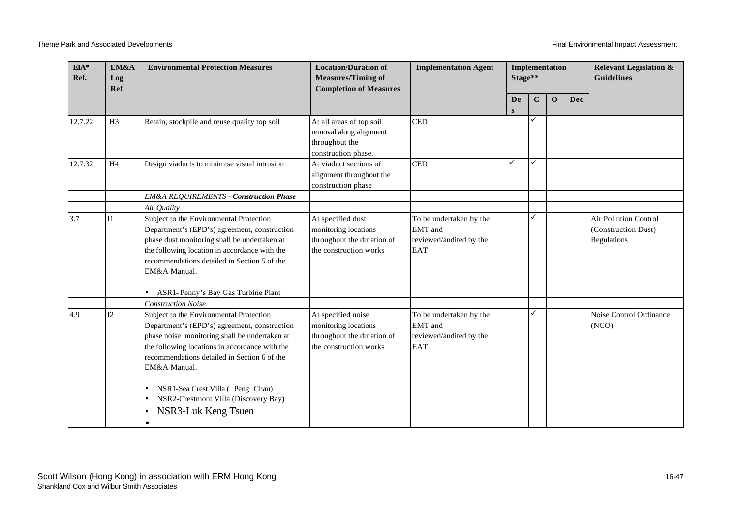| $EIA*$<br>EM&A<br>Ref.<br>Log<br>Ref |                 | <b>Environmental Protection Measures</b>                                                                                                                                                                                                                                                       | <b>Location/Duration of</b><br><b>Measures/Timing of</b><br><b>Completion of Measures</b>          | <b>Implementation Agent</b>                                                 | Stage** | Implementation |              |     | <b>Relevant Legislation &amp;</b><br><b>Guidelines</b>             |
|--------------------------------------|-----------------|------------------------------------------------------------------------------------------------------------------------------------------------------------------------------------------------------------------------------------------------------------------------------------------------|----------------------------------------------------------------------------------------------------|-----------------------------------------------------------------------------|---------|----------------|--------------|-----|--------------------------------------------------------------------|
|                                      |                 |                                                                                                                                                                                                                                                                                                |                                                                                                    |                                                                             | De<br>S | $\mathbf C$    | $\mathbf{o}$ | Dec |                                                                    |
| 12.7.22                              | H <sub>3</sub>  | Retain, stockpile and reuse quality top soil                                                                                                                                                                                                                                                   | At all areas of top soil<br>removal along alignment<br>throughout the<br>construction phase.       | <b>CED</b>                                                                  |         | ✓              |              |     |                                                                    |
| 12.7.32                              | H4              | Design viaducts to minimise visual intrusion                                                                                                                                                                                                                                                   | At viaduct sections of<br>alignment throughout the<br>construction phase                           | <b>CED</b>                                                                  | ✓       | ✓              |              |     |                                                                    |
|                                      |                 | <b>EM&amp;A REQUIREMENTS - Construction Phase</b>                                                                                                                                                                                                                                              |                                                                                                    |                                                                             |         |                |              |     |                                                                    |
|                                      |                 | Air Quality                                                                                                                                                                                                                                                                                    |                                                                                                    |                                                                             |         |                |              |     |                                                                    |
| 3.7                                  | $\overline{11}$ | Subject to the Environmental Protection<br>Department's (EPD's) agreement, construction<br>phase dust monitoring shall be undertaken at<br>the following location in accordance with the<br>recommendations detailed in Section 5 of the<br>EM&A Manual.<br>ASR1-Penny's Bay Gas Turbine Plant | At specified dust<br>monitoring locations<br>throughout the duration of<br>the construction works  | To be undertaken by the<br>EMT and<br>reviewed/audited by the<br><b>EAT</b> |         | ✓              |              |     | <b>Air Pollution Control</b><br>(Construction Dust)<br>Regulations |
|                                      |                 | <b>Construction Noise</b>                                                                                                                                                                                                                                                                      |                                                                                                    |                                                                             |         |                |              |     |                                                                    |
| 4.9                                  | I2              | Subject to the Environmental Protection<br>Department's (EPD's) agreement, construction<br>phase noise monitoring shall be undertaken at<br>the following locations in accordance with the<br>recommendations detailed in Section 6 of the<br>EM&A Manual.                                     | At specified noise<br>monitoring locations<br>throughout the duration of<br>the construction works | To be undertaken by the<br>EMT and<br>reviewed/audited by the<br><b>EAT</b> |         | ✓              |              |     | Noise Control Ordinance<br>(NO)                                    |
|                                      |                 | NSR1-Sea Crest Villa (Peng Chau)<br>NSR2-Crestmont Villa (Discovery Bay)<br>NSR3-Luk Keng Tsuen                                                                                                                                                                                                |                                                                                                    |                                                                             |         |                |              |     |                                                                    |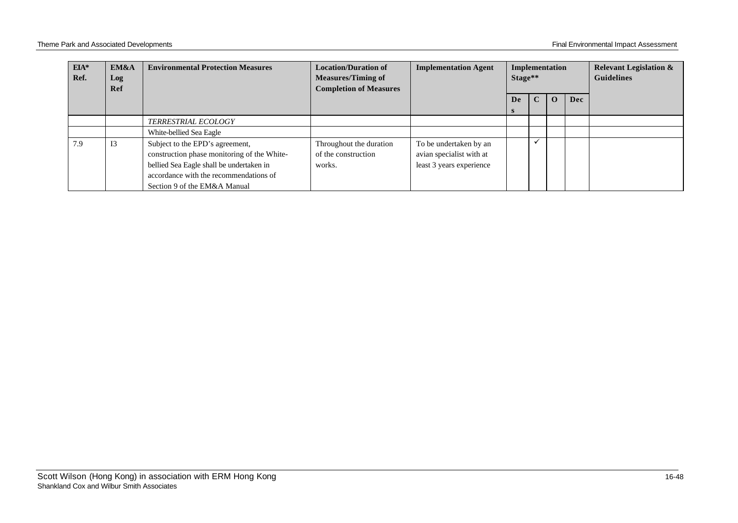| $EIA*$<br>Ref. | EM&A<br>Log<br>Ref | <b>Environmental Protection Measures</b>                                                                                                                                                             | <b>Location/Duration of</b><br><b>Measures/Timing of</b><br><b>Completion of Measures</b> | <b>Implementation Agent</b>                                                    | Implementation<br>Stage** |             |          |     | <b>Relevant Legislation &amp;</b><br><b>Guidelines</b> |
|----------------|--------------------|------------------------------------------------------------------------------------------------------------------------------------------------------------------------------------------------------|-------------------------------------------------------------------------------------------|--------------------------------------------------------------------------------|---------------------------|-------------|----------|-----|--------------------------------------------------------|
|                |                    |                                                                                                                                                                                                      |                                                                                           |                                                                                | De<br>S                   | $\mathbf C$ | $\Omega$ | Dec |                                                        |
|                |                    | <i>TERRESTRIAL ECOLOGY</i>                                                                                                                                                                           |                                                                                           |                                                                                |                           |             |          |     |                                                        |
|                |                    | White-bellied Sea Eagle                                                                                                                                                                              |                                                                                           |                                                                                |                           |             |          |     |                                                        |
| 7.9            | I3                 | Subject to the EPD's agreement,<br>construction phase monitoring of the White-<br>bellied Sea Eagle shall be undertaken in<br>accordance with the recommendations of<br>Section 9 of the EM&A Manual | Throughout the duration<br>of the construction<br>works.                                  | To be undertaken by an<br>avian specialist with at<br>least 3 years experience |                           |             |          |     |                                                        |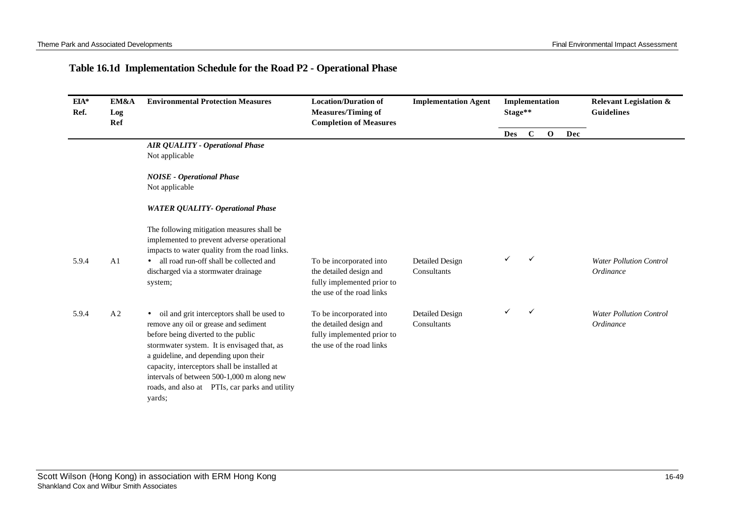## **Table 16.1d Implementation Schedule for the Road P2 - Operational Phase**

| EIA*<br>Ref. | EM&A<br>Log<br>Ref | <b>Environmental Protection Measures</b>                                                                                                                                                                                                                                                                                                                                     | <b>Location/Duration of</b><br><b>Measures/Timing of</b><br><b>Completion of Measures</b>                     | <b>Implementation Agent</b>           | Stage** |              | Implementation |     | <b>Relevant Legislation &amp;</b><br><b>Guidelines</b> |
|--------------|--------------------|------------------------------------------------------------------------------------------------------------------------------------------------------------------------------------------------------------------------------------------------------------------------------------------------------------------------------------------------------------------------------|---------------------------------------------------------------------------------------------------------------|---------------------------------------|---------|--------------|----------------|-----|--------------------------------------------------------|
|              |                    |                                                                                                                                                                                                                                                                                                                                                                              |                                                                                                               |                                       | Des     | $\mathbf C$  | $\mathbf{o}$   | Dec |                                                        |
|              |                    | <b>AIR QUALITY - Operational Phase</b><br>Not applicable                                                                                                                                                                                                                                                                                                                     |                                                                                                               |                                       |         |              |                |     |                                                        |
|              |                    | <b>NOISE</b> - Operational Phase<br>Not applicable                                                                                                                                                                                                                                                                                                                           |                                                                                                               |                                       |         |              |                |     |                                                        |
|              |                    | <b>WATER QUALITY- Operational Phase</b>                                                                                                                                                                                                                                                                                                                                      |                                                                                                               |                                       |         |              |                |     |                                                        |
|              |                    | The following mitigation measures shall be<br>implemented to prevent adverse operational<br>impacts to water quality from the road links.                                                                                                                                                                                                                                    |                                                                                                               |                                       |         |              |                |     |                                                        |
| 5.9.4        | A1                 | all road run-off shall be collected and<br>discharged via a stormwater drainage<br>system;                                                                                                                                                                                                                                                                                   | To be incorporated into<br>the detailed design and<br>fully implemented prior to<br>the use of the road links | <b>Detailed Design</b><br>Consultants |         | $\checkmark$ |                |     | <b>Water Pollution Control</b><br>Ordinance            |
| 5.9.4        | A <sub>2</sub>     | oil and grit interceptors shall be used to<br>remove any oil or grease and sediment<br>before being diverted to the public<br>stormwater system. It is envisaged that, as<br>a guideline, and depending upon their<br>capacity, interceptors shall be installed at<br>intervals of between 500-1,000 m along new<br>roads, and also at PTIs, car parks and utility<br>yards; | To be incorporated into<br>the detailed design and<br>fully implemented prior to<br>the use of the road links | Detailed Design<br>Consultants        |         | $\checkmark$ |                |     | <b>Water Pollution Control</b><br>Ordinance            |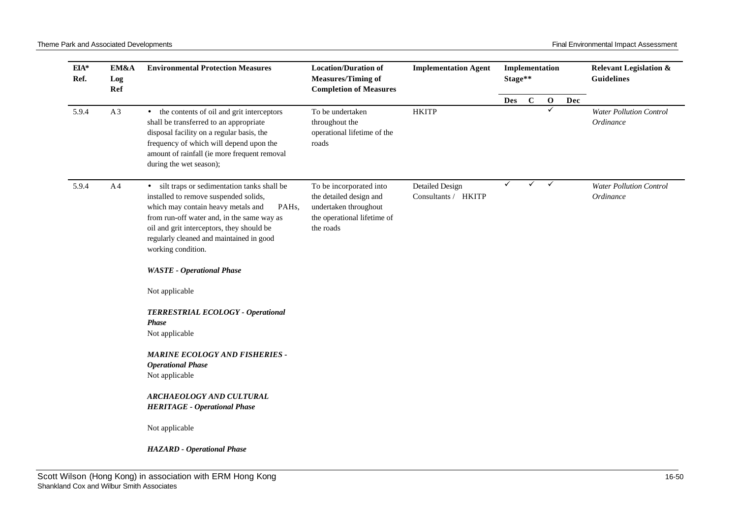| EIA*<br>Ref. | EM&A<br>Log<br>Ref | <b>Environmental Protection Measures</b>                                                                                                                                                                                                                                                                                                                                                                                             | <b>Location/Duration of</b><br><b>Measures/Timing of</b><br><b>Completion of Measures</b>                               | <b>Implementation Agent</b>                   | Stage**      |             | Implementation |     | <b>Relevant Legislation &amp;</b><br><b>Guidelines</b> |
|--------------|--------------------|--------------------------------------------------------------------------------------------------------------------------------------------------------------------------------------------------------------------------------------------------------------------------------------------------------------------------------------------------------------------------------------------------------------------------------------|-------------------------------------------------------------------------------------------------------------------------|-----------------------------------------------|--------------|-------------|----------------|-----|--------------------------------------------------------|
|              |                    |                                                                                                                                                                                                                                                                                                                                                                                                                                      |                                                                                                                         |                                               | <b>Des</b>   | $\mathbf C$ | $\mathbf 0$    | Dec |                                                        |
| 5.9.4        | A3                 | • the contents of oil and grit interceptors<br>shall be transferred to an appropriate<br>disposal facility on a regular basis, the<br>frequency of which will depend upon the<br>amount of rainfall (ie more frequent removal<br>during the wet season);                                                                                                                                                                             | To be undertaken<br>throughout the<br>operational lifetime of the<br>roads                                              | <b>HKITP</b>                                  |              |             | ✓              |     | <b>Water Pollution Control</b><br>Ordinance            |
| 5.9.4        | A <sub>4</sub>     | silt traps or sedimentation tanks shall be<br>$\bullet$<br>installed to remove suspended solids,<br>which may contain heavy metals and<br>PAH <sub>s</sub> ,<br>from run-off water and, in the same way as<br>oil and grit interceptors, they should be<br>regularly cleaned and maintained in good<br>working condition.<br><b>WASTE</b> - Operational Phase<br>Not applicable<br>TERRESTRIAL ECOLOGY - Operational<br><b>Phase</b> | To be incorporated into<br>the detailed design and<br>undertaken throughout<br>the operational lifetime of<br>the roads | <b>Detailed Design</b><br>Consultants / HKITP | $\checkmark$ | ✓           | $\checkmark$   |     | <b>Water Pollution Control</b><br>Ordinance            |
|              |                    | Not applicable<br><b>MARINE ECOLOGY AND FISHERIES -</b><br><b>Operational Phase</b>                                                                                                                                                                                                                                                                                                                                                  |                                                                                                                         |                                               |              |             |                |     |                                                        |
|              |                    | Not applicable                                                                                                                                                                                                                                                                                                                                                                                                                       |                                                                                                                         |                                               |              |             |                |     |                                                        |
|              |                    | ARCHAEOLOGY AND CULTURAL<br><b>HERITAGE - Operational Phase</b>                                                                                                                                                                                                                                                                                                                                                                      |                                                                                                                         |                                               |              |             |                |     |                                                        |
|              |                    | Not applicable                                                                                                                                                                                                                                                                                                                                                                                                                       |                                                                                                                         |                                               |              |             |                |     |                                                        |
|              |                    | <b>HAZARD</b> - Operational Phase                                                                                                                                                                                                                                                                                                                                                                                                    |                                                                                                                         |                                               |              |             |                |     |                                                        |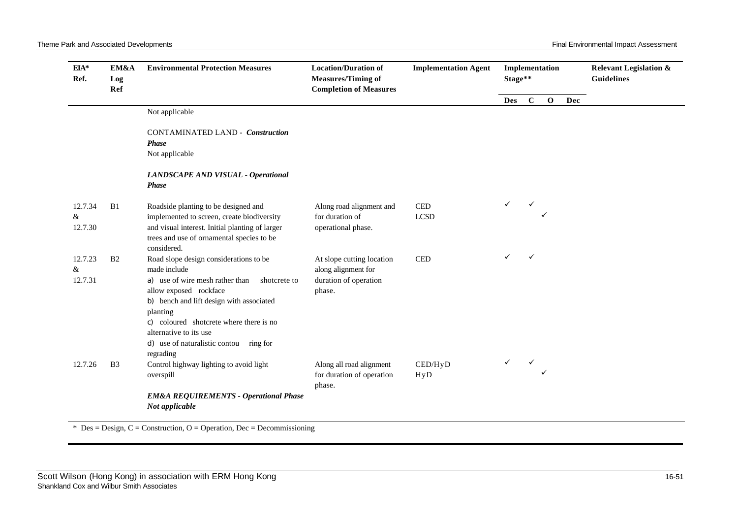| EIA*<br>Ref. | EM&A<br>Log<br>Ref | <b>Environmental Protection Measures</b>                                                      | <b>Location/Duration of</b><br><b>Measures/Timing of</b><br><b>Completion of Measures</b> | <b>Implementation Agent</b> | Implementation<br>Stage** |              |              |     | <b>Relevant Legislation &amp;</b><br><b>Guidelines</b> |
|--------------|--------------------|-----------------------------------------------------------------------------------------------|-------------------------------------------------------------------------------------------|-----------------------------|---------------------------|--------------|--------------|-----|--------------------------------------------------------|
|              |                    |                                                                                               |                                                                                           |                             | <b>Des</b>                | $\mathbf C$  | $\mathbf{o}$ | Dec |                                                        |
|              |                    | Not applicable                                                                                |                                                                                           |                             |                           |              |              |     |                                                        |
|              |                    | <b>CONTAMINATED LAND - Construction</b><br><b>Phase</b>                                       |                                                                                           |                             |                           |              |              |     |                                                        |
|              |                    | Not applicable                                                                                |                                                                                           |                             |                           |              |              |     |                                                        |
|              |                    | LANDSCAPE AND VISUAL - Operational<br><b>Phase</b>                                            |                                                                                           |                             |                           |              |              |     |                                                        |
| 12.7.34      | B1                 | Roadside planting to be designed and                                                          | Along road alignment and                                                                  | $\ensuremath{\mathsf{CED}}$ |                           | ✓            |              |     |                                                        |
| &<br>12.7.30 |                    | implemented to screen, create biodiversity<br>and visual interest. Initial planting of larger | for duration of<br>operational phase.                                                     | <b>LCSD</b>                 |                           |              |              |     |                                                        |
|              |                    | trees and use of ornamental species to be<br>considered.                                      |                                                                                           |                             |                           |              |              |     |                                                        |
| 12.7.23      | B <sub>2</sub>     | Road slope design considerations to be                                                        | At slope cutting location                                                                 | <b>CED</b>                  |                           | $\checkmark$ |              |     |                                                        |
| &<br>12.7.31 |                    | made include<br>a) use of wire mesh rather than<br>shotcrete to                               | along alignment for<br>duration of operation                                              |                             |                           |              |              |     |                                                        |
|              |                    | allow exposed rockface                                                                        | phase.                                                                                    |                             |                           |              |              |     |                                                        |
|              |                    | b) bench and lift design with associated<br>planting                                          |                                                                                           |                             |                           |              |              |     |                                                        |
|              |                    | c) coloured shotcrete where there is no                                                       |                                                                                           |                             |                           |              |              |     |                                                        |
|              |                    | alternative to its use                                                                        |                                                                                           |                             |                           |              |              |     |                                                        |
|              |                    | d) use of naturalistic contou ring for<br>regrading                                           |                                                                                           |                             |                           |              |              |     |                                                        |
| 12.7.26      | B <sub>3</sub>     | Control highway lighting to avoid light                                                       | Along all road alignment                                                                  | CED/HyD                     |                           | ✓            |              |     |                                                        |
|              |                    | overspill                                                                                     | for duration of operation<br>phase.                                                       | HyD                         |                           |              |              |     |                                                        |
|              |                    | <b>EM&amp;A REQUIREMENTS - Operational Phase</b><br>Not applicable                            |                                                                                           |                             |                           |              |              |     |                                                        |

 $*$  Des = Design, C = Construction, O = Operation, Dec = Decommissioning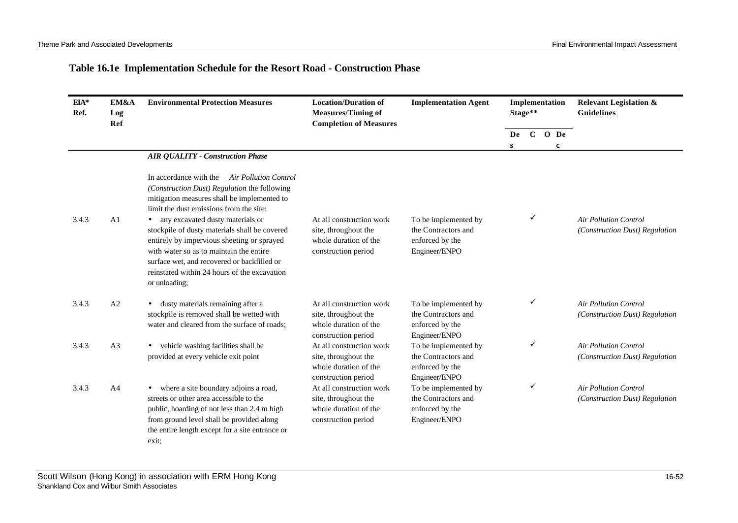#### **Table 16.1e Implementation Schedule for the Resort Road - Construction Phase**

| EIA*<br>Ref. | EM&A<br>Log<br>Ref | <b>Environmental Protection Measures</b>                                                                                                                                                                                                                                                                                                                                                                                                                                                         | <b>Location/Duration of</b><br><b>Measures/Timing of</b><br><b>Completion of Measures</b>        | <b>Implementation Agent</b>                                                     | Implementation<br>Stage** |   |                         | <b>Relevant Legislation &amp;</b><br><b>Guidelines</b>         |
|--------------|--------------------|--------------------------------------------------------------------------------------------------------------------------------------------------------------------------------------------------------------------------------------------------------------------------------------------------------------------------------------------------------------------------------------------------------------------------------------------------------------------------------------------------|--------------------------------------------------------------------------------------------------|---------------------------------------------------------------------------------|---------------------------|---|-------------------------|----------------------------------------------------------------|
|              |                    |                                                                                                                                                                                                                                                                                                                                                                                                                                                                                                  |                                                                                                  |                                                                                 | De<br>S                   |   | $C$ O De<br>$\mathbf c$ |                                                                |
|              |                    | <b>AIR QUALITY - Construction Phase</b>                                                                                                                                                                                                                                                                                                                                                                                                                                                          |                                                                                                  |                                                                                 |                           |   |                         |                                                                |
| 3.4.3        | A <sub>1</sub>     | In accordance with the<br><b>Air Pollution Control</b><br>(Construction Dust) Regulation the following<br>mitigation measures shall be implemented to<br>limit the dust emissions from the site:<br>• any excavated dusty materials or<br>stockpile of dusty materials shall be covered<br>entirely by impervious sheeting or sprayed<br>with water so as to maintain the entire<br>surface wet, and recovered or backfilled or<br>reinstated within 24 hours of the excavation<br>or unloading; | At all construction work<br>site, throughout the<br>whole duration of the<br>construction period | To be implemented by<br>the Contractors and<br>enforced by the<br>Engineer/ENPO |                           | ✓ |                         | <b>Air Pollution Control</b><br>(Construction Dust) Regulation |
| 3.4.3        | A2                 | dusty materials remaining after a<br>stockpile is removed shall be wetted with<br>water and cleared from the surface of roads;                                                                                                                                                                                                                                                                                                                                                                   | At all construction work<br>site, throughout the<br>whole duration of the<br>construction period | To be implemented by<br>the Contractors and<br>enforced by the<br>Engineer/ENPO |                           | ✓ |                         | <b>Air Pollution Control</b><br>(Construction Dust) Regulation |
| 3.4.3        | A3                 | vehicle washing facilities shall be<br>provided at every vehicle exit point                                                                                                                                                                                                                                                                                                                                                                                                                      | At all construction work<br>site, throughout the<br>whole duration of the<br>construction period | To be implemented by<br>the Contractors and<br>enforced by the<br>Engineer/ENPO |                           | ✓ |                         | <b>Air Pollution Control</b><br>(Construction Dust) Regulation |
| 3.4.3        | A <sub>4</sub>     | where a site boundary adjoins a road,<br>streets or other area accessible to the<br>public, hoarding of not less than 2.4 m high<br>from ground level shall be provided along<br>the entire length except for a site entrance or<br>exit:                                                                                                                                                                                                                                                        | At all construction work<br>site, throughout the<br>whole duration of the<br>construction period | To be implemented by<br>the Contractors and<br>enforced by the<br>Engineer/ENPO |                           | ✓ |                         | <b>Air Pollution Control</b><br>(Construction Dust) Regulation |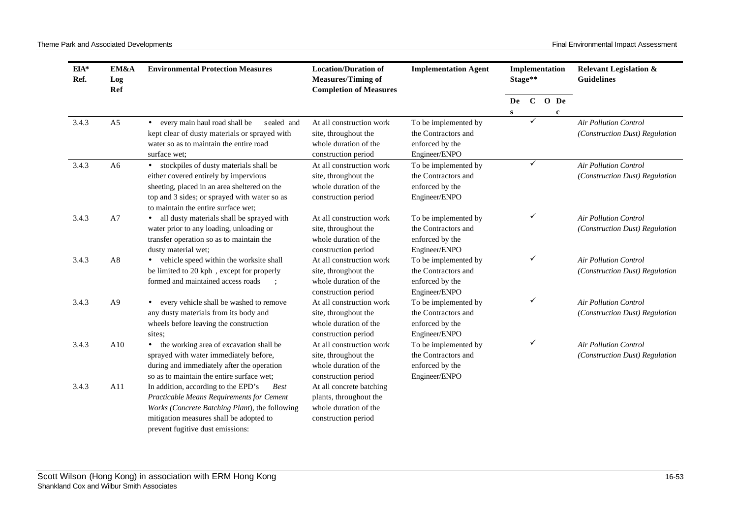| $EIA*$<br>EM&A<br>Ref.<br>Log<br>Ref |                | <b>Environmental Protection Measures</b>                                                                                                                                                                                         | <b>Location/Duration of</b><br><b>Measures/Timing of</b><br><b>Completion of Measures</b>          | <b>Implementation Agent</b>                                                     |         | Implementation<br>Stage** |                                                                |                         | Relevant Legislation &<br><b>Guidelines</b>                    |  |
|--------------------------------------|----------------|----------------------------------------------------------------------------------------------------------------------------------------------------------------------------------------------------------------------------------|----------------------------------------------------------------------------------------------------|---------------------------------------------------------------------------------|---------|---------------------------|----------------------------------------------------------------|-------------------------|----------------------------------------------------------------|--|
|                                      |                |                                                                                                                                                                                                                                  |                                                                                                    |                                                                                 | De<br>S |                           |                                                                | $C$ O De<br>$\mathbf c$ |                                                                |  |
| 3.4.3                                | A <sub>5</sub> | • every main haul road shall be<br>sealed and<br>kept clear of dusty materials or sprayed with<br>water so as to maintain the entire road<br>surface wet;                                                                        | At all construction work<br>site, throughout the<br>whole duration of the<br>construction period   | To be implemented by<br>the Contractors and<br>enforced by the<br>Engineer/ENPO |         | ✓                         |                                                                |                         | <b>Air Pollution Control</b><br>(Construction Dust) Regulation |  |
| 3.4.3                                | A6             | • stockpiles of dusty materials shall be<br>either covered entirely by impervious<br>sheeting, placed in an area sheltered on the<br>top and 3 sides; or sprayed with water so as<br>to maintain the entire surface wet;         | At all construction work<br>site, throughout the<br>whole duration of the<br>construction period   | To be implemented by<br>the Contractors and<br>enforced by the<br>Engineer/ENPO |         | ✓                         |                                                                |                         | <b>Air Pollution Control</b><br>(Construction Dust) Regulation |  |
| 3.4.3                                | A7             | all dusty materials shall be sprayed with<br>water prior to any loading, unloading or<br>transfer operation so as to maintain the<br>dusty material wet;                                                                         | At all construction work<br>site, throughout the<br>whole duration of the<br>construction period   | To be implemented by<br>the Contractors and<br>enforced by the<br>Engineer/ENPO |         | ✓                         |                                                                |                         | <b>Air Pollution Control</b><br>(Construction Dust) Regulation |  |
| 3.4.3                                | A8             | • vehicle speed within the worksite shall<br>be limited to 20 kph, except for properly<br>formed and maintained access roads                                                                                                     | At all construction work<br>site, throughout the<br>whole duration of the<br>construction period   | To be implemented by<br>the Contractors and<br>enforced by the<br>Engineer/ENPO |         | ✓                         |                                                                |                         | <b>Air Pollution Control</b><br>(Construction Dust) Regulation |  |
| 3.4.3                                | A <sub>9</sub> | every vehicle shall be washed to remove<br>any dusty materials from its body and<br>wheels before leaving the construction<br>sites;                                                                                             | At all construction work<br>site, throughout the<br>whole duration of the<br>construction period   | To be implemented by<br>the Contractors and<br>enforced by the<br>Engineer/ENPO |         | ✓                         |                                                                |                         | <b>Air Pollution Control</b><br>(Construction Dust) Regulation |  |
| 3.4.3                                | A10            | • the working area of excavation shall be<br>sprayed with water immediately before,<br>during and immediately after the operation<br>so as to maintain the entire surface wet:                                                   | At all construction work<br>site, throughout the<br>whole duration of the<br>construction period   | To be implemented by<br>the Contractors and<br>enforced by the<br>Engineer/ENPO |         | ✓                         | <b>Air Pollution Control</b><br>(Construction Dust) Regulation |                         |                                                                |  |
| 3.4.3                                | A11            | In addition, according to the EPD's<br><b>Best</b><br>Practicable Means Requirements for Cement<br>Works (Concrete Batching Plant), the following<br>mitigation measures shall be adopted to<br>prevent fugitive dust emissions: | At all concrete batching<br>plants, throughout the<br>whole duration of the<br>construction period |                                                                                 |         |                           |                                                                |                         |                                                                |  |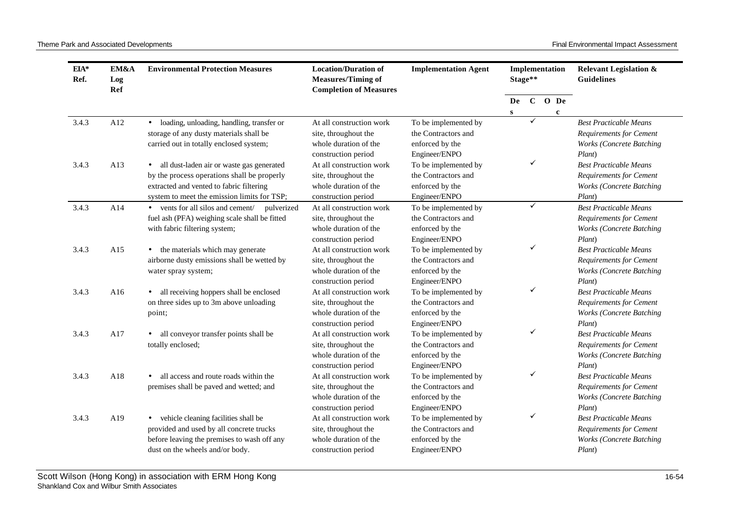Theme Park and Associated Developments **Final Environmental Impact Assessment** 

| EIA*<br>Ref. | EM&A<br>Log<br>Ref | <b>Environmental Protection Measures</b>               | <b>Location/Duration of</b><br><b>Measures/Timing of</b><br><b>Completion of Measures</b> | <b>Implementation Agent</b> |    | Implementation<br>Stage** |  |             | <b>Relevant Legislation &amp;</b><br><b>Guidelines</b> |  |
|--------------|--------------------|--------------------------------------------------------|-------------------------------------------------------------------------------------------|-----------------------------|----|---------------------------|--|-------------|--------------------------------------------------------|--|
|              |                    |                                                        |                                                                                           |                             | De |                           |  | $C$ O De    |                                                        |  |
| 3.4.3        | A12                | · loading, unloading, handling, transfer or            | At all construction work                                                                  | To be implemented by        | S  | ✓                         |  | $\mathbf c$ | <b>Best Practicable Means</b>                          |  |
|              |                    | storage of any dusty materials shall be                | site, throughout the                                                                      | the Contractors and         |    |                           |  |             | <b>Requirements for Cement</b>                         |  |
|              |                    | carried out in totally enclosed system;                | whole duration of the                                                                     | enforced by the             |    |                           |  |             | <b>Works (Concrete Batching</b>                        |  |
|              |                    |                                                        | construction period                                                                       | Engineer/ENPO               |    |                           |  |             | Plant)                                                 |  |
| 3.4.3        | A13                | all dust-laden air or waste gas generated<br>$\bullet$ | At all construction work                                                                  | To be implemented by        |    | ✓                         |  |             | <b>Best Practicable Means</b>                          |  |
|              |                    | by the process operations shall be properly            | site, throughout the                                                                      | the Contractors and         |    |                           |  |             | <b>Requirements for Cement</b>                         |  |
|              |                    | extracted and vented to fabric filtering               | whole duration of the                                                                     | enforced by the             |    |                           |  |             | <b>Works (Concrete Batching</b>                        |  |
|              |                    | system to meet the emission limits for TSP;            | construction period                                                                       | Engineer/ENPO               |    |                           |  |             | Plant)                                                 |  |
| 3.4.3        | A14                | • vents for all silos and cement/<br>pulverized        | At all construction work                                                                  | To be implemented by        |    | ✓                         |  |             | <b>Best Practicable Means</b>                          |  |
|              |                    | fuel ash (PFA) weighing scale shall be fitted          | site, throughout the                                                                      | the Contractors and         |    |                           |  |             | <b>Requirements for Cement</b>                         |  |
|              |                    | with fabric filtering system;                          | whole duration of the                                                                     | enforced by the             |    |                           |  |             | <b>Works (Concrete Batching</b>                        |  |
|              |                    |                                                        | construction period                                                                       | Engineer/ENPO               |    |                           |  |             | Plant)                                                 |  |
| 3.4.3        | A15                | • the materials which may generate                     | At all construction work                                                                  | To be implemented by        |    | ✓                         |  |             | <b>Best Practicable Means</b>                          |  |
|              |                    | airborne dusty emissions shall be wetted by            | site, throughout the                                                                      | the Contractors and         |    |                           |  |             | <b>Requirements for Cement</b>                         |  |
|              |                    | water spray system;                                    | whole duration of the                                                                     | enforced by the             |    |                           |  |             | <b>Works (Concrete Batching</b>                        |  |
|              |                    |                                                        | construction period                                                                       | Engineer/ENPO               |    |                           |  |             | Plant)                                                 |  |
| 3.4.3        | A16                | all receiving hoppers shall be enclosed<br>$\bullet$   | At all construction work                                                                  | To be implemented by        |    | ✓                         |  |             | <b>Best Practicable Means</b>                          |  |
|              |                    | on three sides up to 3m above unloading                | site, throughout the                                                                      | the Contractors and         |    |                           |  |             | <b>Requirements for Cement</b>                         |  |
|              |                    | point;                                                 | whole duration of the                                                                     | enforced by the             |    |                           |  |             | <b>Works (Concrete Batching</b>                        |  |
|              |                    |                                                        | construction period                                                                       | Engineer/ENPO               |    |                           |  |             | Plant)                                                 |  |
| 3.4.3        | A17                | all conveyor transfer points shall be                  | At all construction work                                                                  | To be implemented by        |    | ✓                         |  |             | <b>Best Practicable Means</b>                          |  |
|              |                    | totally enclosed;                                      | site, throughout the                                                                      | the Contractors and         |    |                           |  |             | <b>Requirements for Cement</b>                         |  |
|              |                    |                                                        | whole duration of the                                                                     | enforced by the             |    |                           |  |             | <b>Works (Concrete Batching</b>                        |  |
|              |                    |                                                        | construction period                                                                       | Engineer/ENPO               |    |                           |  |             | Plant)                                                 |  |
| 3.4.3        | A18                | all access and route roads within the                  | At all construction work                                                                  | To be implemented by        |    | ✓                         |  |             | <b>Best Practicable Means</b>                          |  |
|              |                    | premises shall be paved and wetted; and                | site, throughout the                                                                      | the Contractors and         |    |                           |  |             | <b>Requirements for Cement</b>                         |  |
|              |                    |                                                        | whole duration of the                                                                     | enforced by the             |    |                           |  |             | <b>Works (Concrete Batching</b>                        |  |
|              |                    |                                                        | construction period                                                                       | Engineer/ENPO               |    |                           |  |             | Plant)                                                 |  |
| 3.4.3        | A19                | vehicle cleaning facilities shall be<br>$\bullet$      | At all construction work                                                                  | To be implemented by        |    | ✓                         |  |             | <b>Best Practicable Means</b>                          |  |
|              |                    | provided and used by all concrete trucks               | site, throughout the                                                                      | the Contractors and         |    |                           |  |             | <b>Requirements for Cement</b>                         |  |
|              |                    | before leaving the premises to wash off any            | whole duration of the                                                                     | enforced by the             |    |                           |  |             | <b>Works (Concrete Batching</b>                        |  |
|              |                    | dust on the wheels and/or body.                        | construction period                                                                       | Engineer/ENPO               |    |                           |  |             | Plant)                                                 |  |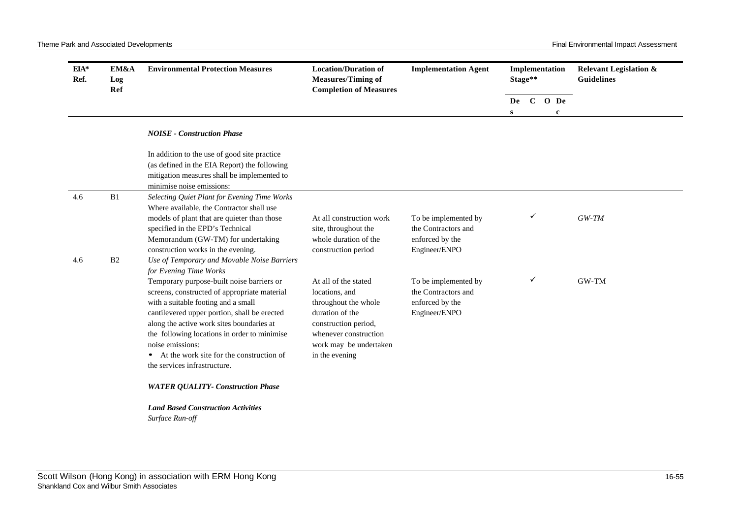| EIA*<br>Ref. | EM&A<br>Log<br>Ref   | <b>Environmental Protection Measures</b>                                                                                                                                                                                                                                                                                                                                                                                                               | <b>Location/Duration of</b><br><b>Measures/Timing of</b><br><b>Completion of Measures</b>                                                                                      | <b>Implementation Agent</b>                                                     |   | Implementation<br>Stage** |             | <b>Guidelines</b> |  | <b>Relevant Legislation &amp;</b> |
|--------------|----------------------|--------------------------------------------------------------------------------------------------------------------------------------------------------------------------------------------------------------------------------------------------------------------------------------------------------------------------------------------------------------------------------------------------------------------------------------------------------|--------------------------------------------------------------------------------------------------------------------------------------------------------------------------------|---------------------------------------------------------------------------------|---|---------------------------|-------------|-------------------|--|-----------------------------------|
|              |                      |                                                                                                                                                                                                                                                                                                                                                                                                                                                        |                                                                                                                                                                                |                                                                                 |   |                           | De C O De   |                   |  |                                   |
|              |                      | <b>NOISE - Construction Phase</b>                                                                                                                                                                                                                                                                                                                                                                                                                      |                                                                                                                                                                                |                                                                                 | S |                           | $\mathbf c$ |                   |  |                                   |
|              |                      | In addition to the use of good site practice<br>(as defined in the EIA Report) the following<br>mitigation measures shall be implemented to<br>minimise noise emissions:                                                                                                                                                                                                                                                                               |                                                                                                                                                                                |                                                                                 |   |                           |             |                   |  |                                   |
| 4.6          | B1<br>B <sub>2</sub> | Selecting Quiet Plant for Evening Time Works<br>Where available, the Contractor shall use<br>models of plant that are quieter than those<br>specified in the EPD's Technical<br>Memorandum (GW-TM) for undertaking<br>construction works in the evening.                                                                                                                                                                                               | At all construction work<br>site, throughout the<br>whole duration of the<br>construction period                                                                               | To be implemented by<br>the Contractors and<br>enforced by the<br>Engineer/ENPO |   | ✓                         |             | $GW-TM$           |  |                                   |
| 4.6          |                      | Use of Temporary and Movable Noise Barriers<br>for Evening Time Works<br>Temporary purpose-built noise barriers or<br>screens, constructed of appropriate material<br>with a suitable footing and a small<br>cantilevered upper portion, shall be erected<br>along the active work sites boundaries at<br>the following locations in order to minimise<br>noise emissions:<br>At the work site for the construction of<br>the services infrastructure. | At all of the stated<br>locations, and<br>throughout the whole<br>duration of the<br>construction period,<br>whenever construction<br>work may be undertaken<br>in the evening | To be implemented by<br>the Contractors and<br>enforced by the<br>Engineer/ENPO |   | ✓                         |             | GW-TM             |  |                                   |
|              |                      | <b>WATER QUALITY- Construction Phase</b>                                                                                                                                                                                                                                                                                                                                                                                                               |                                                                                                                                                                                |                                                                                 |   |                           |             |                   |  |                                   |
|              |                      | <b>Land Based Construction Activities</b><br>Surface Run-off                                                                                                                                                                                                                                                                                                                                                                                           |                                                                                                                                                                                |                                                                                 |   |                           |             |                   |  |                                   |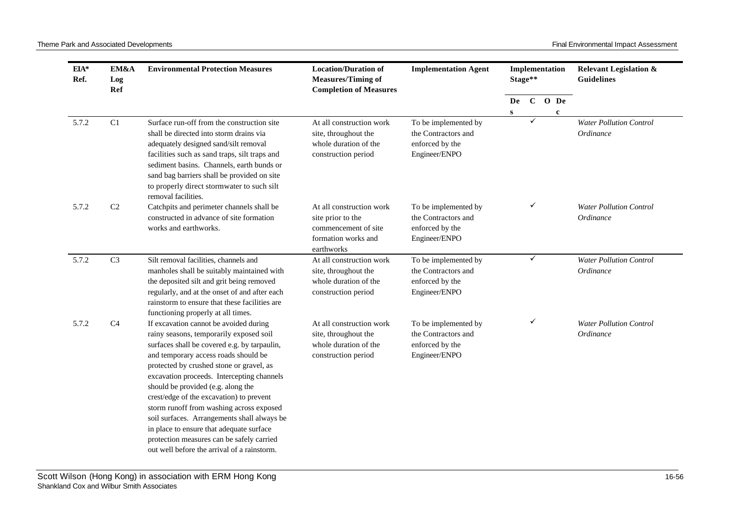| EIA*<br>Ref. | EM&A<br>Log<br>Ref | <b>Environmental Protection Measures</b>                                                                                                                                                                                                                                                                                                                                                                                                                                                                                                                                                 | <b>Location/Duration of</b><br><b>Measures/Timing of</b><br><b>Completion of Measures</b>                  | <b>Implementation Agent</b>                                                     |    | Stage** |  | Implementation          |                                             |  | <b>Relevant Legislation &amp;</b><br>Guidelines |
|--------------|--------------------|------------------------------------------------------------------------------------------------------------------------------------------------------------------------------------------------------------------------------------------------------------------------------------------------------------------------------------------------------------------------------------------------------------------------------------------------------------------------------------------------------------------------------------------------------------------------------------------|------------------------------------------------------------------------------------------------------------|---------------------------------------------------------------------------------|----|---------|--|-------------------------|---------------------------------------------|--|-------------------------------------------------|
|              |                    |                                                                                                                                                                                                                                                                                                                                                                                                                                                                                                                                                                                          |                                                                                                            |                                                                                 | De |         |  | $C$ O De<br>$\mathbf c$ |                                             |  |                                                 |
| 5.7.2        | C1                 | Surface run-off from the construction site<br>shall be directed into storm drains via<br>adequately designed sand/silt removal<br>facilities such as sand traps, silt traps and<br>sediment basins. Channels, earth bunds or<br>sand bag barriers shall be provided on site<br>to properly direct stormwater to such silt<br>removal facilities.                                                                                                                                                                                                                                         | At all construction work<br>site, throughout the<br>whole duration of the<br>construction period           | To be implemented by<br>the Contractors and<br>enforced by the<br>Engineer/ENPO | S  |         |  |                         | <b>Water Pollution Control</b><br>Ordinance |  |                                                 |
| 5.7.2        | $\rm C2$           | Catchpits and perimeter channels shall be<br>constructed in advance of site formation<br>works and earthworks.                                                                                                                                                                                                                                                                                                                                                                                                                                                                           | At all construction work<br>site prior to the<br>commencement of site<br>formation works and<br>earthworks | To be implemented by<br>the Contractors and<br>enforced by the<br>Engineer/ENPO |    | ✓       |  |                         | <b>Water Pollution Control</b><br>Ordinance |  |                                                 |
| 5.7.2        | C <sub>3</sub>     | Silt removal facilities, channels and<br>manholes shall be suitably maintained with<br>the deposited silt and grit being removed<br>regularly, and at the onset of and after each<br>rainstorm to ensure that these facilities are<br>functioning properly at all times.                                                                                                                                                                                                                                                                                                                 | At all construction work<br>site, throughout the<br>whole duration of the<br>construction period           | To be implemented by<br>the Contractors and<br>enforced by the<br>Engineer/ENPO |    | ✓       |  |                         | <b>Water Pollution Control</b><br>Ordinance |  |                                                 |
| 5.7.2        | C <sub>4</sub>     | If excavation cannot be avoided during<br>rainy seasons, temporarily exposed soil<br>surfaces shall be covered e.g. by tarpaulin,<br>and temporary access roads should be<br>protected by crushed stone or gravel, as<br>excavation proceeds. Intercepting channels<br>should be provided (e.g. along the<br>crest/edge of the excavation) to prevent<br>storm runoff from washing across exposed<br>soil surfaces. Arrangements shall always be<br>in place to ensure that adequate surface<br>protection measures can be safely carried<br>out well before the arrival of a rainstorm. | At all construction work<br>site, throughout the<br>whole duration of the<br>construction period           | To be implemented by<br>the Contractors and<br>enforced by the<br>Engineer/ENPO |    | ✓       |  |                         | <b>Water Pollution Control</b><br>Ordinance |  |                                                 |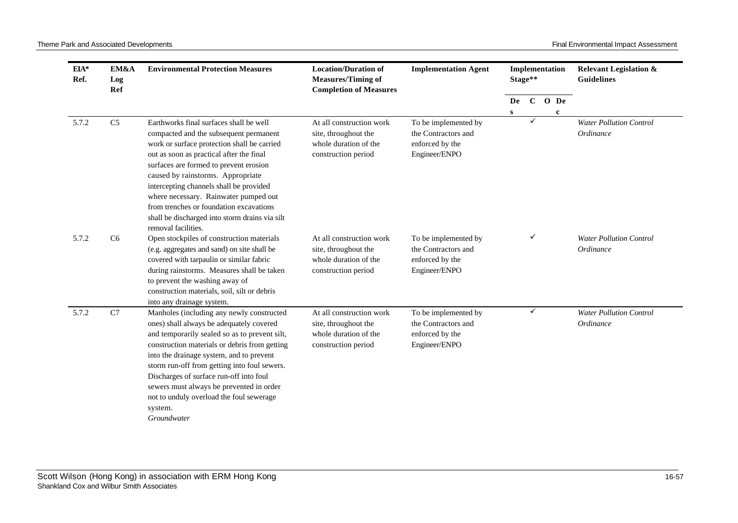| $EIA*$<br>Ref. | EM&A<br>Log<br>Ref | <b>Environmental Protection Measures</b>                                                                                                                                                                                                                                                                                                                                                                                                         | <b>Location/Duration of</b><br><b>Measures/Timing of</b><br><b>Completion of Measures</b>        | <b>Implementation Agent</b>                                                     |    | Stage**      | Implementation | <b>Relevant Legislation &amp;</b><br><b>Guidelines</b> |
|----------------|--------------------|--------------------------------------------------------------------------------------------------------------------------------------------------------------------------------------------------------------------------------------------------------------------------------------------------------------------------------------------------------------------------------------------------------------------------------------------------|--------------------------------------------------------------------------------------------------|---------------------------------------------------------------------------------|----|--------------|----------------|--------------------------------------------------------|
|                |                    |                                                                                                                                                                                                                                                                                                                                                                                                                                                  |                                                                                                  |                                                                                 | De | $\mathbf{C}$ | O De           |                                                        |
|                |                    |                                                                                                                                                                                                                                                                                                                                                                                                                                                  |                                                                                                  |                                                                                 | s  | ✓            | $\mathbf c$    |                                                        |
| 5.7.2          | C <sub>5</sub>     | Earthworks final surfaces shall be well<br>compacted and the subsequent permanent<br>work or surface protection shall be carried<br>out as soon as practical after the final<br>surfaces are formed to prevent erosion<br>caused by rainstorms. Appropriate<br>intercepting channels shall be provided<br>where necessary. Rainwater pumped out<br>from trenches or foundation excavations<br>shall be discharged into storm drains via silt     | At all construction work<br>site, throughout the<br>whole duration of the<br>construction period | To be implemented by<br>the Contractors and<br>enforced by the<br>Engineer/ENPO |    |              |                | <b>Water Pollution Control</b><br>Ordinance            |
| 5.7.2          | C <sub>6</sub>     | removal facilities.<br>Open stockpiles of construction materials<br>(e.g. aggregates and sand) on site shall be<br>covered with tarpaulin or similar fabric<br>during rainstorms. Measures shall be taken<br>to prevent the washing away of<br>construction materials, soil, silt or debris<br>into any drainage system.                                                                                                                         | At all construction work<br>site, throughout the<br>whole duration of the<br>construction period | To be implemented by<br>the Contractors and<br>enforced by the<br>Engineer/ENPO |    | ✓            |                | <b>Water Pollution Control</b><br>Ordinance            |
| 5.7.2          | C7                 | Manholes (including any newly constructed<br>ones) shall always be adequately covered<br>and temporarily sealed so as to prevent silt,<br>construction materials or debris from getting<br>into the drainage system, and to prevent<br>storm run-off from getting into foul sewers.<br>Discharges of surface run-off into foul<br>sewers must always be prevented in order<br>not to unduly overload the foul sewerage<br>system.<br>Groundwater | At all construction work<br>site, throughout the<br>whole duration of the<br>construction period | To be implemented by<br>the Contractors and<br>enforced by the<br>Engineer/ENPO |    | ✓            |                | <b>Water Pollution Control</b><br>Ordinance            |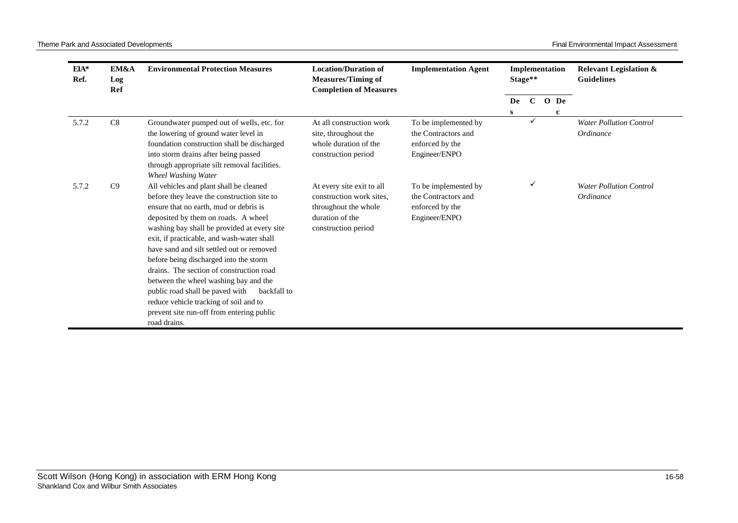| $EIA*$<br>Ref. | EM&A<br>Log<br>Ref | <b>Environmental Protection Measures</b>                                                                                                                                                                                                                                                                                                                                                                                                                                                                                                                                                                 | <b>Location/Duration of</b><br><b>Measures/Timing of</b><br><b>Completion of Measures</b>                               | <b>Implementation Agent</b>                                                     |    | Implementation<br>Stage** |          | <b>Relevant Legislation &amp;</b><br><b>Guidelines</b> |
|----------------|--------------------|----------------------------------------------------------------------------------------------------------------------------------------------------------------------------------------------------------------------------------------------------------------------------------------------------------------------------------------------------------------------------------------------------------------------------------------------------------------------------------------------------------------------------------------------------------------------------------------------------------|-------------------------------------------------------------------------------------------------------------------------|---------------------------------------------------------------------------------|----|---------------------------|----------|--------------------------------------------------------|
|                |                    |                                                                                                                                                                                                                                                                                                                                                                                                                                                                                                                                                                                                          |                                                                                                                         |                                                                                 | De |                           | $C$ O De |                                                        |
| 5.7.2          | $\rm{C}8$          | Groundwater pumped out of wells, etc. for<br>the lowering of ground water level in<br>foundation construction shall be discharged<br>into storm drains after being passed<br>through appropriate silt removal facilities.<br>Wheel Washing Water                                                                                                                                                                                                                                                                                                                                                         | At all construction work<br>site, throughout the<br>whole duration of the<br>construction period                        | To be implemented by<br>the Contractors and<br>enforced by the<br>Engineer/ENPO | S  |                           | c        | <b>Water Pollution Control</b><br>Ordinance            |
| 5.7.2          | C9                 | All vehicles and plant shall be cleaned<br>before they leave the construction site to<br>ensure that no earth, mud or debris is<br>deposited by them on roads. A wheel<br>washing bay shall be provided at every site<br>exit, if practicable, and wash-water shall<br>have sand and silt settled out or removed<br>before being discharged into the storm<br>drains. The section of construction road<br>between the wheel washing bay and the<br>public road shall be paved with<br>backfall to<br>reduce vehicle tracking of soil and to<br>prevent site run-off from entering public<br>road drains. | At every site exit to all<br>construction work sites.<br>throughout the whole<br>duration of the<br>construction period | To be implemented by<br>the Contractors and<br>enforced by the<br>Engineer/ENPO |    | ✓                         |          | <b>Water Pollution Control</b><br>Ordinance            |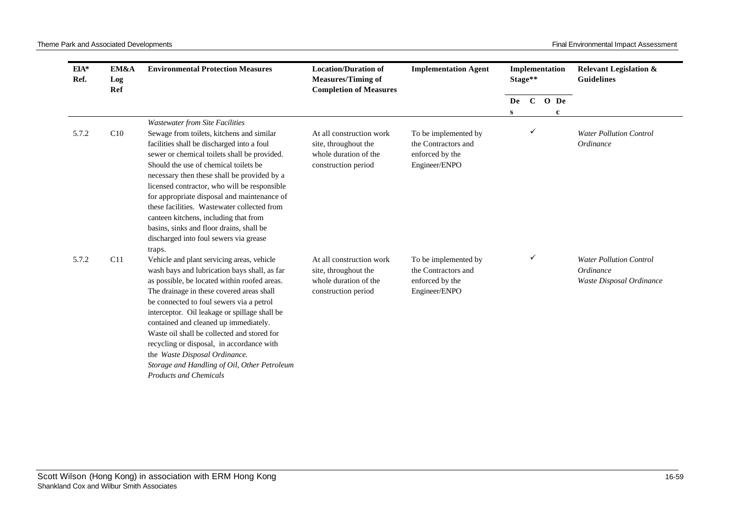| $EIA*$<br>Ref. | EM&A<br>Log<br>Ref | <b>Environmental Protection Measures</b>                                                                                                                                                                                                                                                                                                                                                                                                                                                                                                                | <b>Location/Duration of</b><br><b>Measures/Timing of</b><br><b>Completion of Measures</b>        | <b>Implementation Agent</b>                                                     | Implementation<br>Stage** |   |  |               | <b>Relevant Legislation &amp;</b><br><b>Guidelines</b>                  |
|----------------|--------------------|---------------------------------------------------------------------------------------------------------------------------------------------------------------------------------------------------------------------------------------------------------------------------------------------------------------------------------------------------------------------------------------------------------------------------------------------------------------------------------------------------------------------------------------------------------|--------------------------------------------------------------------------------------------------|---------------------------------------------------------------------------------|---------------------------|---|--|---------------|-------------------------------------------------------------------------|
|                |                    |                                                                                                                                                                                                                                                                                                                                                                                                                                                                                                                                                         |                                                                                                  |                                                                                 | De<br>S                   |   |  | $C$ O De<br>c |                                                                         |
| 5.7.2          | C10                | <b>Wastewater from Site Facilities</b><br>Sewage from toilets, kitchens and similar<br>facilities shall be discharged into a foul<br>sewer or chemical toilets shall be provided.<br>Should the use of chemical toilets be.<br>necessary then these shall be provided by a<br>licensed contractor, who will be responsible<br>for appropriate disposal and maintenance of<br>these facilities. Wastewater collected from<br>canteen kitchens, including that from<br>basins, sinks and floor drains, shall be<br>discharged into foul sewers via grease | At all construction work<br>site, throughout the<br>whole duration of the<br>construction period | To be implemented by<br>the Contractors and<br>enforced by the<br>Engineer/ENPO |                           | ✓ |  |               | <b>Water Pollution Control</b><br>Ordinance                             |
| 5.7.2          | C11                | traps.<br>Vehicle and plant servicing areas, vehicle<br>wash bays and lubrication bays shall, as far<br>as possible, be located within roofed areas.<br>The drainage in these covered areas shall<br>be connected to foul sewers via a petrol<br>interceptor. Oil leakage or spillage shall be<br>contained and cleaned up immediately.<br>Waste oil shall be collected and stored for<br>recycling or disposal, in accordance with<br>the Waste Disposal Ordinance.<br>Storage and Handling of Oil, Other Petroleum<br><b>Products and Chemicals</b>   | At all construction work<br>site, throughout the<br>whole duration of the<br>construction period | To be implemented by<br>the Contractors and<br>enforced by the<br>Engineer/ENPO |                           | ✓ |  |               | <b>Water Pollution Control</b><br>Ordinance<br>Waste Disposal Ordinance |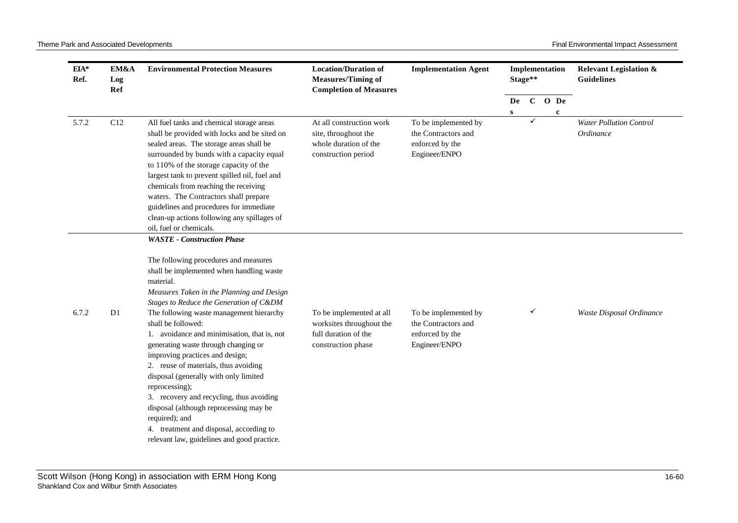| EIA*<br>Ref. | EM&A<br>Log<br>Ref | <b>Environmental Protection Measures</b>                                                                                                                                                                                                                                                                                                                                                                                                                                                                                                                                                                                                                                                                                     | <b>Location/Duration of</b><br><b>Implementation Agent</b><br><b>Measures/Timing of</b><br><b>Completion of Measures</b> |                                                                                 |    |              | Stage**     | Implementation                              | <b>Relevant Legislation &amp;</b><br><b>Guidelines</b> |
|--------------|--------------------|------------------------------------------------------------------------------------------------------------------------------------------------------------------------------------------------------------------------------------------------------------------------------------------------------------------------------------------------------------------------------------------------------------------------------------------------------------------------------------------------------------------------------------------------------------------------------------------------------------------------------------------------------------------------------------------------------------------------------|--------------------------------------------------------------------------------------------------------------------------|---------------------------------------------------------------------------------|----|--------------|-------------|---------------------------------------------|--------------------------------------------------------|
|              |                    |                                                                                                                                                                                                                                                                                                                                                                                                                                                                                                                                                                                                                                                                                                                              |                                                                                                                          |                                                                                 | De | $\mathbf{C}$ | O De        |                                             |                                                        |
| 5.7.2        | C12                | All fuel tanks and chemical storage areas<br>shall be provided with locks and be sited on<br>sealed areas. The storage areas shall be<br>surrounded by bunds with a capacity equal<br>to 110% of the storage capacity of the<br>largest tank to prevent spilled oil, fuel and<br>chemicals from reaching the receiving<br>waters. The Contractors shall prepare<br>guidelines and procedures for immediate<br>clean-up actions following any spillages of<br>oil, fuel or chemicals.                                                                                                                                                                                                                                         | At all construction work<br>site, throughout the<br>whole duration of the<br>construction period                         | To be implemented by<br>the Contractors and<br>enforced by the<br>Engineer/ENPO | S  | ✓            | $\mathbf c$ | <b>Water Pollution Control</b><br>Ordinance |                                                        |
| 6.7.2        | D1                 | <b>WASTE</b> - Construction Phase<br>The following procedures and measures<br>shall be implemented when handling waste<br>material.<br>Measures Taken in the Planning and Design<br>Stages to Reduce the Generation of C&DM<br>The following waste management hierarchy<br>shall be followed:<br>1. avoidance and minimisation, that is, not<br>generating waste through changing or<br>improving practices and design;<br>2. reuse of materials, thus avoiding<br>disposal (generally with only limited<br>reprocessing);<br>3. recovery and recycling, thus avoiding<br>disposal (although reprocessing may be<br>required); and<br>4. treatment and disposal, according to<br>relevant law, guidelines and good practice. | To be implemented at all<br>worksites throughout the<br>full duration of the<br>construction phase                       | To be implemented by<br>the Contractors and<br>enforced by the<br>Engineer/ENPO |    | ✓            |             | Waste Disposal Ordinance                    |                                                        |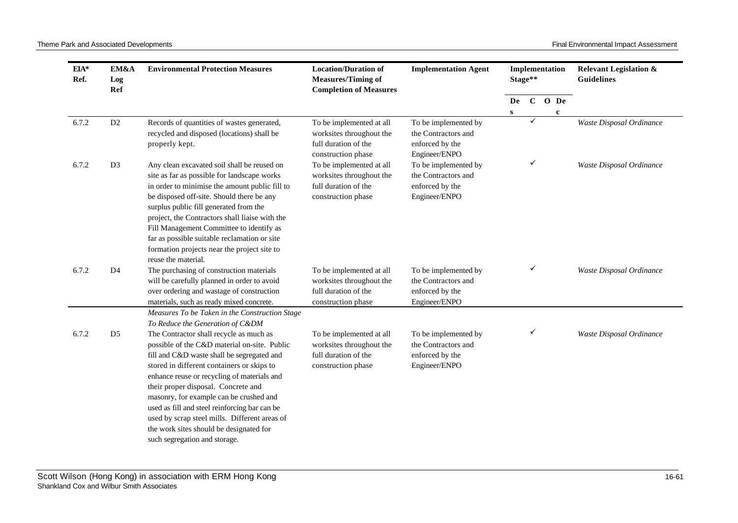| EIA*<br>Ref. | EM&A<br>Log<br>Ref | <b>Environmental Protection Measures</b>                                                                                                                                                                                                                                                                                                                                                                                                                          | <b>Location/Duration of</b><br><b>Measures/Timing of</b><br><b>Completion of Measures</b>          | <b>Implementation Agent</b>                                                     | Implementation<br>Stage** |              |                          |             | <b>Relevant Legislation &amp;</b><br><b>Guidelines</b> |
|--------------|--------------------|-------------------------------------------------------------------------------------------------------------------------------------------------------------------------------------------------------------------------------------------------------------------------------------------------------------------------------------------------------------------------------------------------------------------------------------------------------------------|----------------------------------------------------------------------------------------------------|---------------------------------------------------------------------------------|---------------------------|--------------|--------------------------|-------------|--------------------------------------------------------|
|              |                    |                                                                                                                                                                                                                                                                                                                                                                                                                                                                   |                                                                                                    |                                                                                 | De                        | $\mathbf{C}$ |                          | O De        |                                                        |
|              |                    |                                                                                                                                                                                                                                                                                                                                                                                                                                                                   |                                                                                                    |                                                                                 | ${\bf S}$                 | ✓            |                          | $\mathbf c$ |                                                        |
| 6.7.2        | D2                 | Records of quantities of wastes generated,<br>recycled and disposed (locations) shall be                                                                                                                                                                                                                                                                                                                                                                          | To be implemented at all<br>worksites throughout the                                               | To be implemented by<br>the Contractors and                                     |                           |              |                          |             | Waste Disposal Ordinance                               |
|              |                    | properly kept.                                                                                                                                                                                                                                                                                                                                                                                                                                                    | full duration of the<br>construction phase                                                         | enforced by the<br>Engineer/ENPO                                                |                           |              |                          |             |                                                        |
| 6.7.2        | D <sub>3</sub>     | Any clean excavated soil shall be reused on<br>site as far as possible for landscape works<br>in order to minimise the amount public fill to<br>be disposed off-site. Should there be any                                                                                                                                                                                                                                                                         | To be implemented at all<br>worksites throughout the<br>full duration of the<br>construction phase | To be implemented by<br>the Contractors and<br>enforced by the<br>Engineer/ENPO |                           | ✓            | Waste Disposal Ordinance |             |                                                        |
|              |                    | surplus public fill generated from the<br>project, the Contractors shall liaise with the<br>Fill Management Committee to identify as<br>far as possible suitable reclamation or site<br>formation projects near the project site to<br>reuse the material.                                                                                                                                                                                                        |                                                                                                    |                                                                                 |                           |              |                          |             |                                                        |
| 6.7.2        | D <sub>4</sub>     | The purchasing of construction materials<br>will be carefully planned in order to avoid<br>over ordering and wastage of construction<br>materials, such as ready mixed concrete.                                                                                                                                                                                                                                                                                  | To be implemented at all<br>worksites throughout the<br>full duration of the<br>construction phase | To be implemented by<br>the Contractors and<br>enforced by the<br>Engineer/ENPO |                           | ✓            |                          |             | Waste Disposal Ordinance                               |
|              |                    | Measures To be Taken in the Construction Stage                                                                                                                                                                                                                                                                                                                                                                                                                    |                                                                                                    |                                                                                 |                           |              |                          |             |                                                        |
|              |                    | To Reduce the Generation of C&DM                                                                                                                                                                                                                                                                                                                                                                                                                                  |                                                                                                    |                                                                                 |                           |              |                          |             |                                                        |
| 6.7.2        | D <sub>5</sub>     | The Contractor shall recycle as much as<br>possible of the C&D material on-site. Public<br>fill and C&D waste shall be segregated and<br>stored in different containers or skips to<br>enhance reuse or recycling of materials and<br>their proper disposal. Concrete and<br>masonry, for example can be crushed and<br>used as fill and steel reinforcing bar can be<br>used by scrap steel mills. Different areas of<br>the work sites should be designated for | To be implemented at all<br>worksites throughout the<br>full duration of the<br>construction phase | To be implemented by<br>the Contractors and<br>enforced by the<br>Engineer/ENPO |                           | ✓            |                          |             | Waste Disposal Ordinance                               |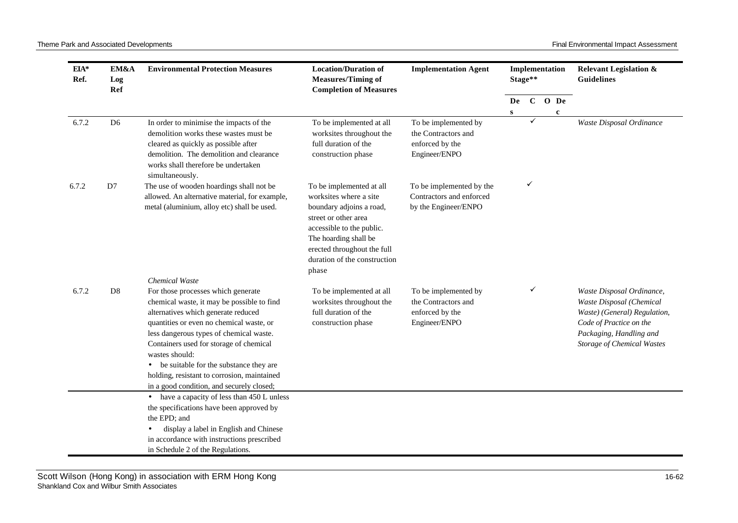| EIA*<br>Ref. | EM&A<br>Log<br>Ref | <b>Environmental Protection Measures</b>                                                                                                                                                                                                                                                                                                                                                                                            | <b>Location/Duration of</b><br><b>Measures/Timing of</b><br><b>Completion of Measures</b>                                                                                                                                            | <b>Implementation Agent</b>                                                       | Implementation<br>Stage** |              |  |             | <b>Relevant Legislation &amp;</b><br><b>Guidelines</b>                                                                                                                    |
|--------------|--------------------|-------------------------------------------------------------------------------------------------------------------------------------------------------------------------------------------------------------------------------------------------------------------------------------------------------------------------------------------------------------------------------------------------------------------------------------|--------------------------------------------------------------------------------------------------------------------------------------------------------------------------------------------------------------------------------------|-----------------------------------------------------------------------------------|---------------------------|--------------|--|-------------|---------------------------------------------------------------------------------------------------------------------------------------------------------------------------|
|              |                    |                                                                                                                                                                                                                                                                                                                                                                                                                                     |                                                                                                                                                                                                                                      |                                                                                   | De                        | $\mathbf{C}$ |  | O De        |                                                                                                                                                                           |
| 6.7.2        | D <sub>6</sub>     | In order to minimise the impacts of the<br>demolition works these wastes must be<br>cleared as quickly as possible after<br>demolition. The demolition and clearance<br>works shall therefore be undertaken<br>simultaneously.                                                                                                                                                                                                      | To be implemented at all<br>worksites throughout the<br>full duration of the<br>construction phase                                                                                                                                   | To be implemented by<br>the Contractors and<br>enforced by the<br>Engineer/ENPO   | S                         |              |  | $\mathbf c$ | Waste Disposal Ordinance                                                                                                                                                  |
| 6.7.2        | D7                 | The use of wooden hoardings shall not be<br>allowed. An alternative material, for example,<br>metal (aluminium, alloy etc) shall be used.                                                                                                                                                                                                                                                                                           | To be implemented at all<br>worksites where a site<br>boundary adjoins a road,<br>street or other area<br>accessible to the public.<br>The hoarding shall be<br>erected throughout the full<br>duration of the construction<br>phase | ✓<br>To be implemented by the<br>Contractors and enforced<br>by the Engineer/ENPO |                           |              |  |             |                                                                                                                                                                           |
| 6.7.2        | D <sub>8</sub>     | Chemical Waste<br>For those processes which generate<br>chemical waste, it may be possible to find<br>alternatives which generate reduced<br>quantities or even no chemical waste, or<br>less dangerous types of chemical waste.<br>Containers used for storage of chemical<br>wastes should:<br>be suitable for the substance they are<br>holding, resistant to corrosion, maintained<br>in a good condition, and securely closed; | To be implemented at all<br>worksites throughout the<br>full duration of the<br>construction phase                                                                                                                                   | To be implemented by<br>the Contractors and<br>enforced by the<br>Engineer/ENPO   |                           | ✓            |  |             | Waste Disposal Ordinance,<br>Waste Disposal (Chemical<br>Waste) (General) Regulation,<br>Code of Practice on the<br>Packaging, Handling and<br>Storage of Chemical Wastes |
|              |                    | have a capacity of less than 450 L unless<br>the specifications have been approved by<br>the EPD; and<br>display a label in English and Chinese<br>in accordance with instructions prescribed<br>in Schedule 2 of the Regulations.                                                                                                                                                                                                  |                                                                                                                                                                                                                                      |                                                                                   |                           |              |  |             |                                                                                                                                                                           |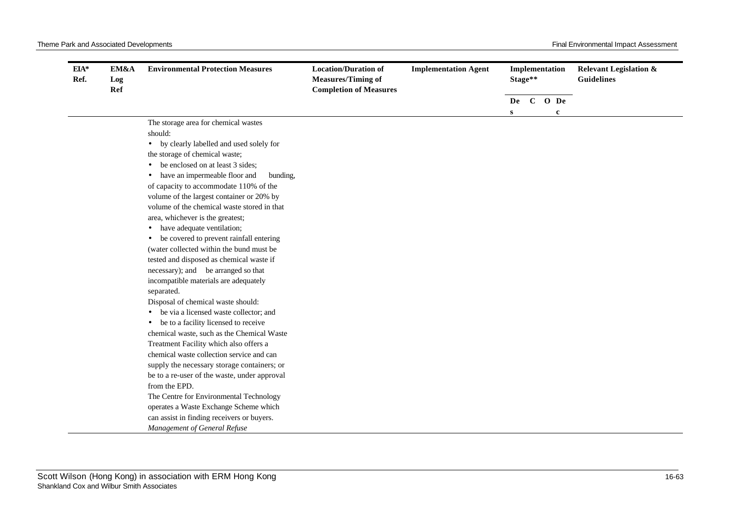| EIA*<br>Ref. | EM&A<br>Log<br>Ref | <b>Environmental Protection Measures</b>          | <b>Location/Duration of</b><br><b>Measures/Timing of</b><br><b>Completion of Measures</b> | <b>Implementation Agent</b> | Implementation<br>Stage** |  |  |           | <b>Relevant Legislation &amp;</b><br><b>Guidelines</b> |
|--------------|--------------------|---------------------------------------------------|-------------------------------------------------------------------------------------------|-----------------------------|---------------------------|--|--|-----------|--------------------------------------------------------|
|              |                    |                                                   |                                                                                           |                             |                           |  |  | De C O De |                                                        |
|              |                    | The storage area for chemical wastes              |                                                                                           |                             | $\mathbf{s}$              |  |  | c         |                                                        |
|              |                    | should:                                           |                                                                                           |                             |                           |  |  |           |                                                        |
|              |                    | • by clearly labelled and used solely for         |                                                                                           |                             |                           |  |  |           |                                                        |
|              |                    | the storage of chemical waste;                    |                                                                                           |                             |                           |  |  |           |                                                        |
|              |                    | be enclosed on at least 3 sides;                  |                                                                                           |                             |                           |  |  |           |                                                        |
|              |                    | have an impermeable floor and<br>bunding,         |                                                                                           |                             |                           |  |  |           |                                                        |
|              |                    | of capacity to accommodate 110% of the            |                                                                                           |                             |                           |  |  |           |                                                        |
|              |                    | volume of the largest container or 20% by         |                                                                                           |                             |                           |  |  |           |                                                        |
|              |                    | volume of the chemical waste stored in that       |                                                                                           |                             |                           |  |  |           |                                                        |
|              |                    | area, whichever is the greatest;                  |                                                                                           |                             |                           |  |  |           |                                                        |
|              |                    | have adequate ventilation;                        |                                                                                           |                             |                           |  |  |           |                                                        |
|              |                    | be covered to prevent rainfall entering           |                                                                                           |                             |                           |  |  |           |                                                        |
|              |                    | (water collected within the bund must be          |                                                                                           |                             |                           |  |  |           |                                                        |
|              |                    | tested and disposed as chemical waste if          |                                                                                           |                             |                           |  |  |           |                                                        |
|              |                    | necessary); and be arranged so that               |                                                                                           |                             |                           |  |  |           |                                                        |
|              |                    | incompatible materials are adequately             |                                                                                           |                             |                           |  |  |           |                                                        |
|              |                    | separated.                                        |                                                                                           |                             |                           |  |  |           |                                                        |
|              |                    | Disposal of chemical waste should:                |                                                                                           |                             |                           |  |  |           |                                                        |
|              |                    | be via a licensed waste collector; and            |                                                                                           |                             |                           |  |  |           |                                                        |
|              |                    | be to a facility licensed to receive<br>$\bullet$ |                                                                                           |                             |                           |  |  |           |                                                        |
|              |                    | chemical waste, such as the Chemical Waste        |                                                                                           |                             |                           |  |  |           |                                                        |
|              |                    | Treatment Facility which also offers a            |                                                                                           |                             |                           |  |  |           |                                                        |
|              |                    | chemical waste collection service and can         |                                                                                           |                             |                           |  |  |           |                                                        |
|              |                    | supply the necessary storage containers; or       |                                                                                           |                             |                           |  |  |           |                                                        |
|              |                    | be to a re-user of the waste, under approval      |                                                                                           |                             |                           |  |  |           |                                                        |
|              |                    | from the EPD.                                     |                                                                                           |                             |                           |  |  |           |                                                        |
|              |                    | The Centre for Environmental Technology           |                                                                                           |                             |                           |  |  |           |                                                        |
|              |                    | operates a Waste Exchange Scheme which            |                                                                                           |                             |                           |  |  |           |                                                        |
|              |                    | can assist in finding receivers or buyers.        |                                                                                           |                             |                           |  |  |           |                                                        |
|              |                    | Management of General Refuse                      |                                                                                           |                             |                           |  |  |           |                                                        |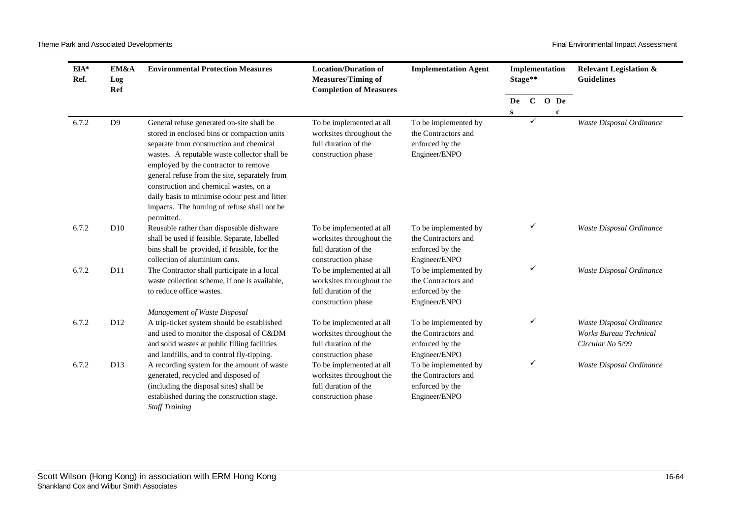| EIA*<br>Ref. | EM&A<br>Log<br>Ref | <b>Environmental Protection Measures</b>                                                                                                                                                                                                                                                                                                                                                                                             | <b>Location/Duration of</b><br><b>Measures/Timing of</b><br><b>Completion of Measures</b>          | <b>Implementation Agent</b>                                                     | Implementation<br>Stage** |              |             | <b>Relevant Legislation &amp;</b><br><b>Guidelines</b>                        |
|--------------|--------------------|--------------------------------------------------------------------------------------------------------------------------------------------------------------------------------------------------------------------------------------------------------------------------------------------------------------------------------------------------------------------------------------------------------------------------------------|----------------------------------------------------------------------------------------------------|---------------------------------------------------------------------------------|---------------------------|--------------|-------------|-------------------------------------------------------------------------------|
|              |                    |                                                                                                                                                                                                                                                                                                                                                                                                                                      |                                                                                                    |                                                                                 | De                        |              | C O De      |                                                                               |
| 6.7.2        | D <sub>9</sub>     | General refuse generated on-site shall be<br>stored in enclosed bins or compaction units<br>separate from construction and chemical<br>wastes. A reputable waste collector shall be<br>employed by the contractor to remove<br>general refuse from the site, separately from<br>construction and chemical wastes, on a<br>daily basis to minimise odour pest and litter<br>impacts. The burning of refuse shall not be<br>permitted. | To be implemented at all<br>worksites throughout the<br>full duration of the<br>construction phase | To be implemented by<br>the Contractors and<br>enforced by the<br>Engineer/ENPO | S                         | ✓            | $\mathbf c$ | Waste Disposal Ordinance                                                      |
| 6.7.2        | D10                | Reusable rather than disposable dishware<br>shall be used if feasible. Separate, labelled<br>bins shall be provided, if feasible, for the<br>collection of aluminium cans.                                                                                                                                                                                                                                                           | To be implemented at all<br>worksites throughout the<br>full duration of the<br>construction phase | To be implemented by<br>the Contractors and<br>enforced by the<br>Engineer/ENPO |                           | ✓            |             | Waste Disposal Ordinance                                                      |
| 6.7.2        | D11                | The Contractor shall participate in a local<br>waste collection scheme, if one is available,<br>to reduce office wastes.                                                                                                                                                                                                                                                                                                             | To be implemented at all<br>worksites throughout the<br>full duration of the<br>construction phase | To be implemented by<br>the Contractors and<br>enforced by the<br>Engineer/ENPO |                           | $\checkmark$ |             | Waste Disposal Ordinance                                                      |
| 6.7.2        | D12                | Management of Waste Disposal<br>A trip-ticket system should be established<br>and used to monitor the disposal of C&DM<br>and solid wastes at public filling facilities<br>and landfills, and to control fly-tipping.                                                                                                                                                                                                                | To be implemented at all<br>worksites throughout the<br>full duration of the<br>construction phase | To be implemented by<br>the Contractors and<br>enforced by the<br>Engineer/ENPO |                           | ✓            |             | Waste Disposal Ordinance<br><b>Works Bureau Technical</b><br>Circular No 5/99 |
| 6.7.2        | D <sub>13</sub>    | A recording system for the amount of waste<br>generated, recycled and disposed of<br>(including the disposal sites) shall be<br>established during the construction stage.<br><b>Staff Training</b>                                                                                                                                                                                                                                  | To be implemented at all<br>worksites throughout the<br>full duration of the<br>construction phase | To be implemented by<br>the Contractors and<br>enforced by the<br>Engineer/ENPO |                           | $\checkmark$ |             | Waste Disposal Ordinance                                                      |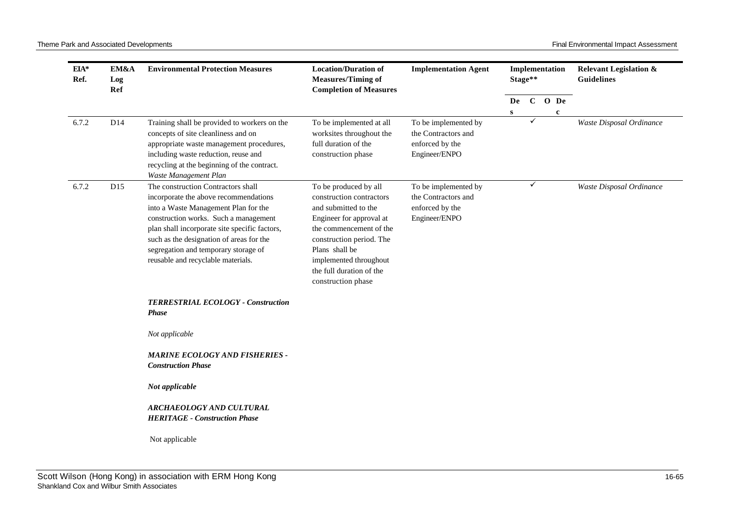| $EIA*$<br>Ref. | EM&A<br>Log<br>Ref | <b>Environmental Protection Measures</b>                                                                                                                                                                                                                                                                                                | <b>Location/Duration of</b><br><b>Measures/Timing of</b><br><b>Completion of Measures</b>                                                                                                                                                                  | <b>Implementation Agent</b>                                                     | Stage** |              | Implementation      | <b>Relevant Legislation &amp;</b><br><b>Guidelines</b> |
|----------------|--------------------|-----------------------------------------------------------------------------------------------------------------------------------------------------------------------------------------------------------------------------------------------------------------------------------------------------------------------------------------|------------------------------------------------------------------------------------------------------------------------------------------------------------------------------------------------------------------------------------------------------------|---------------------------------------------------------------------------------|---------|--------------|---------------------|--------------------------------------------------------|
|                |                    |                                                                                                                                                                                                                                                                                                                                         |                                                                                                                                                                                                                                                            |                                                                                 | De<br>s | $\mathbf{C}$ | O De<br>$\mathbf c$ |                                                        |
| 6.7.2          | D <sub>14</sub>    | Training shall be provided to workers on the<br>concepts of site cleanliness and on<br>appropriate waste management procedures,<br>including waste reduction, reuse and<br>recycling at the beginning of the contract.<br>Waste Management Plan                                                                                         | To be implemented at all<br>worksites throughout the<br>full duration of the<br>construction phase                                                                                                                                                         | To be implemented by<br>the Contractors and<br>enforced by the<br>Engineer/ENPO |         | ✓            |                     | Waste Disposal Ordinance                               |
| 6.7.2          | D15                | The construction Contractors shall<br>incorporate the above recommendations<br>into a Waste Management Plan for the<br>construction works. Such a management<br>plan shall incorporate site specific factors,<br>such as the designation of areas for the<br>segregation and temporary storage of<br>reusable and recyclable materials. | To be produced by all<br>construction contractors<br>and submitted to the<br>Engineer for approval at<br>the commencement of the<br>construction period. The<br>Plans shall be<br>implemented throughout<br>the full duration of the<br>construction phase | To be implemented by<br>the Contractors and<br>enforced by the<br>Engineer/ENPO |         | ✓            |                     | Waste Disposal Ordinance                               |
|                |                    | TERRESTRIAL ECOLOGY - Construction<br><b>Phase</b>                                                                                                                                                                                                                                                                                      |                                                                                                                                                                                                                                                            |                                                                                 |         |              |                     |                                                        |
|                |                    | Not applicable                                                                                                                                                                                                                                                                                                                          |                                                                                                                                                                                                                                                            |                                                                                 |         |              |                     |                                                        |
|                |                    | <b>MARINE ECOLOGY AND FISHERIES -</b><br><b>Construction Phase</b>                                                                                                                                                                                                                                                                      |                                                                                                                                                                                                                                                            |                                                                                 |         |              |                     |                                                        |
|                |                    | Not applicable                                                                                                                                                                                                                                                                                                                          |                                                                                                                                                                                                                                                            |                                                                                 |         |              |                     |                                                        |
|                |                    | ARCHAEOLOGY AND CULTURAL<br><b>HERITAGE - Construction Phase</b>                                                                                                                                                                                                                                                                        |                                                                                                                                                                                                                                                            |                                                                                 |         |              |                     |                                                        |
|                |                    | Not applicable                                                                                                                                                                                                                                                                                                                          |                                                                                                                                                                                                                                                            |                                                                                 |         |              |                     |                                                        |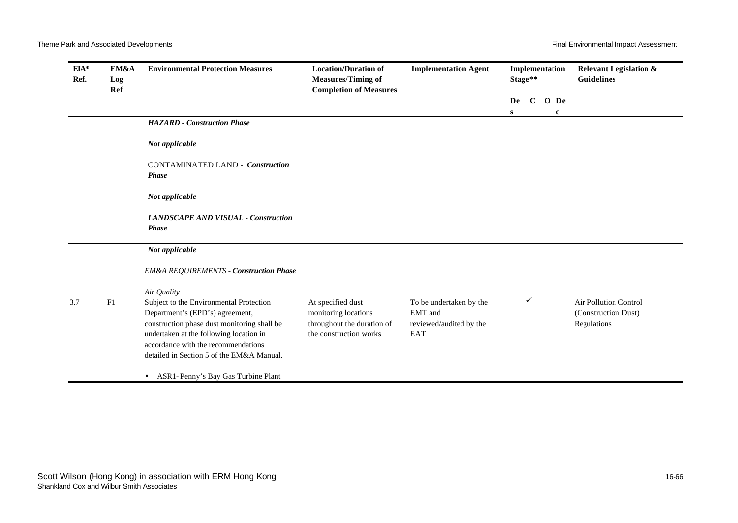| $EIA*$<br>Ref. | EM&A<br>Log<br>Ref | <b>Environmental Protection Measures</b>                                                                                                                                                                                                                                | <b>Location/Duration of</b><br><b>Measures/Timing of</b><br><b>Completion of Measures</b>         | <b>Implementation Agent</b>                                          | Stage** |   | Implementation           | <b>Relevant Legislation &amp;</b><br><b>Guidelines</b>             |
|----------------|--------------------|-------------------------------------------------------------------------------------------------------------------------------------------------------------------------------------------------------------------------------------------------------------------------|---------------------------------------------------------------------------------------------------|----------------------------------------------------------------------|---------|---|--------------------------|--------------------------------------------------------------------|
|                |                    |                                                                                                                                                                                                                                                                         |                                                                                                   |                                                                      | S       |   | De C O De<br>$\mathbf c$ |                                                                    |
|                |                    | <b>HAZARD</b> - Construction Phase                                                                                                                                                                                                                                      |                                                                                                   |                                                                      |         |   |                          |                                                                    |
|                |                    | Not applicable                                                                                                                                                                                                                                                          |                                                                                                   |                                                                      |         |   |                          |                                                                    |
|                |                    | <b>CONTAMINATED LAND - Construction</b><br><b>Phase</b>                                                                                                                                                                                                                 |                                                                                                   |                                                                      |         |   |                          |                                                                    |
|                |                    | Not applicable                                                                                                                                                                                                                                                          |                                                                                                   |                                                                      |         |   |                          |                                                                    |
|                |                    | <b>LANDSCAPE AND VISUAL - Construction</b><br><b>Phase</b>                                                                                                                                                                                                              |                                                                                                   |                                                                      |         |   |                          |                                                                    |
|                |                    | Not applicable                                                                                                                                                                                                                                                          |                                                                                                   |                                                                      |         |   |                          |                                                                    |
|                |                    | <b>EM&amp;A REQUIREMENTS - Construction Phase</b>                                                                                                                                                                                                                       |                                                                                                   |                                                                      |         |   |                          |                                                                    |
| 3.7            | F1                 | Air Quality<br>Subject to the Environmental Protection<br>Department's (EPD's) agreement,<br>construction phase dust monitoring shall be<br>undertaken at the following location in<br>accordance with the recommendations<br>detailed in Section 5 of the EM&A Manual. | At specified dust<br>monitoring locations<br>throughout the duration of<br>the construction works | To be undertaken by the<br>EMT and<br>reviewed/audited by the<br>EAT |         | ✓ |                          | <b>Air Pollution Control</b><br>(Construction Dust)<br>Regulations |
|                |                    | • ASR1-Penny's Bay Gas Turbine Plant                                                                                                                                                                                                                                    |                                                                                                   |                                                                      |         |   |                          |                                                                    |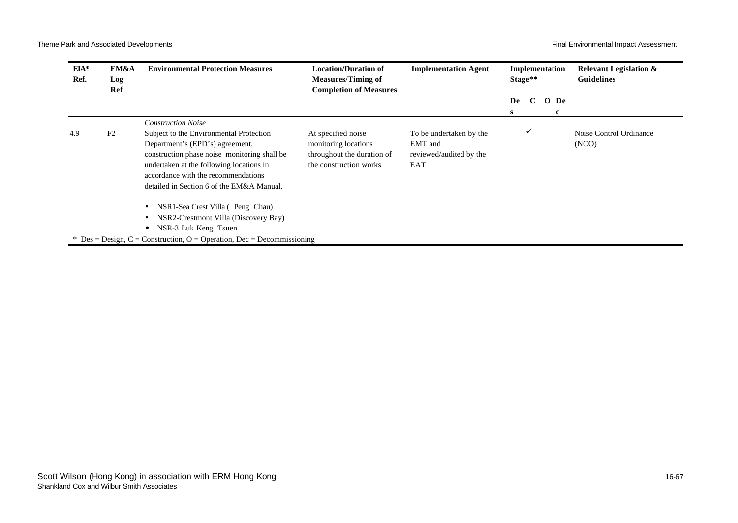| EIA*<br>Ref. | EM&A<br>Log<br>Ref | <b>Environmental Protection Measures</b>                                                                                                                                                                                                                   | <b>Location/Duration of</b><br><b>Measures/Timing of</b><br><b>Completion of Measures</b>          | <b>Implementation Agent</b>                                          |         | Implementation<br>Stage** |  | <b>Guidelines</b> |                                 | <b>Relevant Legislation &amp;</b> |
|--------------|--------------------|------------------------------------------------------------------------------------------------------------------------------------------------------------------------------------------------------------------------------------------------------------|----------------------------------------------------------------------------------------------------|----------------------------------------------------------------------|---------|---------------------------|--|-------------------|---------------------------------|-----------------------------------|
|              |                    |                                                                                                                                                                                                                                                            |                                                                                                    |                                                                      | De<br>s | $\mathbf C$               |  | O De<br>c         |                                 |                                   |
|              |                    | <b>Construction Noise</b>                                                                                                                                                                                                                                  |                                                                                                    |                                                                      |         |                           |  |                   |                                 |                                   |
| 4.9          | F <sub>2</sub>     | Subject to the Environmental Protection<br>Department's (EPD's) agreement,<br>construction phase noise monitoring shall be<br>undertaken at the following locations in<br>accordance with the recommendations<br>detailed in Section 6 of the EM&A Manual. | At specified noise<br>monitoring locations<br>throughout the duration of<br>the construction works | To be undertaken by the<br>EMT and<br>reviewed/audited by the<br>EAT |         | $\checkmark$              |  |                   | Noise Control Ordinance<br>(NO) |                                   |
|              |                    | NSR1-Sea Crest Villa (Peng Chau)<br>$\bullet$<br>NSR2-Crestmont Villa (Discovery Bay)<br>$\bullet$<br>NSR-3 Luk Keng Tsuen<br>$\bullet$                                                                                                                    |                                                                                                    |                                                                      |         |                           |  |                   |                                 |                                   |
|              |                    | * Des = Design, C = Construction, O = Operation, Dec = Decommissioning                                                                                                                                                                                     |                                                                                                    |                                                                      |         |                           |  |                   |                                 |                                   |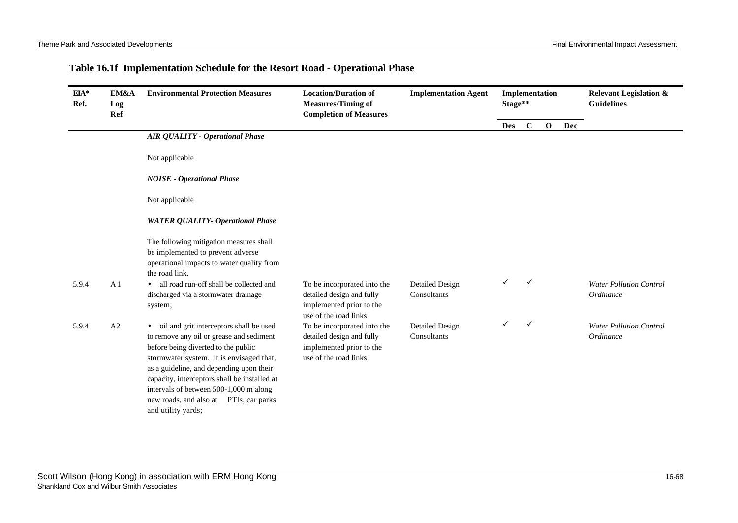## **Table 16.1f Implementation Schedule for the Resort Road - Operational Phase**

| EIA*<br>Ref. | EM&A<br>Log<br>Ref | <b>Environmental Protection Measures</b>                                                                                                                                                                                                                                                                                                                                                  | <b>Location/Duration of</b><br><b>Measures/Timing of</b><br><b>Completion of Measures</b>                     | <b>Implementation Agent</b>           |            | Implementation<br>Stage** |              |     | <b>Relevant Legislation &amp;</b><br><b>Guidelines</b> |
|--------------|--------------------|-------------------------------------------------------------------------------------------------------------------------------------------------------------------------------------------------------------------------------------------------------------------------------------------------------------------------------------------------------------------------------------------|---------------------------------------------------------------------------------------------------------------|---------------------------------------|------------|---------------------------|--------------|-----|--------------------------------------------------------|
|              |                    |                                                                                                                                                                                                                                                                                                                                                                                           |                                                                                                               |                                       | <b>Des</b> | $\mathbf C$               | $\mathbf{o}$ | Dec |                                                        |
|              |                    | <b>AIR QUALITY - Operational Phase</b>                                                                                                                                                                                                                                                                                                                                                    |                                                                                                               |                                       |            |                           |              |     |                                                        |
|              |                    | Not applicable                                                                                                                                                                                                                                                                                                                                                                            |                                                                                                               |                                       |            |                           |              |     |                                                        |
|              |                    | <b>NOISE</b> - Operational Phase                                                                                                                                                                                                                                                                                                                                                          |                                                                                                               |                                       |            |                           |              |     |                                                        |
|              |                    | Not applicable                                                                                                                                                                                                                                                                                                                                                                            |                                                                                                               |                                       |            |                           |              |     |                                                        |
|              |                    | <b>WATER QUALITY- Operational Phase</b>                                                                                                                                                                                                                                                                                                                                                   |                                                                                                               |                                       |            |                           |              |     |                                                        |
|              |                    | The following mitigation measures shall<br>be implemented to prevent adverse<br>operational impacts to water quality from<br>the road link.                                                                                                                                                                                                                                               |                                                                                                               |                                       |            |                           |              |     |                                                        |
| 5.9.4        | A <sub>1</sub>     | all road run-off shall be collected and<br>$\bullet$<br>discharged via a stormwater drainage<br>system;                                                                                                                                                                                                                                                                                   | To be incorporated into the<br>detailed design and fully<br>implemented prior to the<br>use of the road links | Detailed Design<br>Consultants        |            | ✓                         |              |     | <b>Water Pollution Control</b><br>Ordinance            |
| 5.9.4        | A2                 | oil and grit interceptors shall be used<br>$\bullet$<br>to remove any oil or grease and sediment<br>before being diverted to the public<br>stormwater system. It is envisaged that,<br>as a guideline, and depending upon their<br>capacity, interceptors shall be installed at<br>intervals of between 500-1,000 m along<br>new roads, and also at PTIs, car parks<br>and utility yards; | To be incorporated into the<br>detailed design and fully<br>implemented prior to the<br>use of the road links | <b>Detailed Design</b><br>Consultants | ✓          | $\checkmark$              |              |     | <b>Water Pollution Control</b><br>Ordinance            |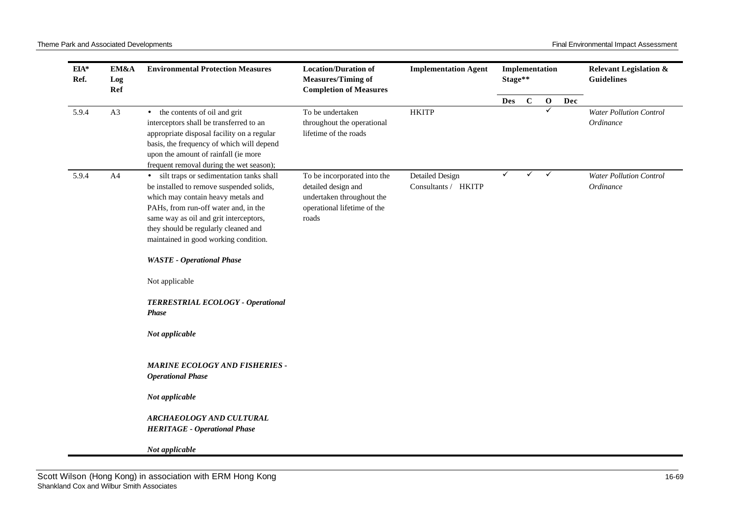Theme Park and Associated Developments **Final Environmental Impact Assessment** Final Environmental Impact Assessment

| A3<br>5.9.4 | Ref | EM&A<br><b>Environmental Protection Measures</b>                                                                                                                                                                                                                                                                                                                                                                                                                                                                                                                                                        | <b>Location/Duration of</b><br><b>Measures/Timing of</b><br><b>Completion of Measures</b>                               | <b>Implementation Agent</b>            | Stage** |             |              |     | <b>Relevant Legislation &amp;</b><br><b>Guidelines</b> |
|-------------|-----|---------------------------------------------------------------------------------------------------------------------------------------------------------------------------------------------------------------------------------------------------------------------------------------------------------------------------------------------------------------------------------------------------------------------------------------------------------------------------------------------------------------------------------------------------------------------------------------------------------|-------------------------------------------------------------------------------------------------------------------------|----------------------------------------|---------|-------------|--------------|-----|--------------------------------------------------------|
|             |     |                                                                                                                                                                                                                                                                                                                                                                                                                                                                                                                                                                                                         |                                                                                                                         |                                        | Des     | $\mathbf C$ | $\mathbf 0$  | Dec |                                                        |
|             |     | • the contents of oil and grit<br>interceptors shall be transferred to an<br>appropriate disposal facility on a regular<br>basis, the frequency of which will depend<br>upon the amount of rainfall (ie more<br>frequent removal during the wet season);                                                                                                                                                                                                                                                                                                                                                | To be undertaken<br>throughout the operational<br>lifetime of the roads                                                 | <b>HKITP</b>                           |         |             | ✓            |     | <b>Water Pollution Control</b><br>Ordinance            |
| 5.9.4       | A4  | · silt traps or sedimentation tanks shall<br>be installed to remove suspended solids,<br>which may contain heavy metals and<br>PAHs, from run-off water and, in the<br>same way as oil and grit interceptors,<br>they should be regularly cleaned and<br>maintained in good working condition.<br><b>WASTE</b> - Operational Phase<br>Not applicable<br>TERRESTRIAL ECOLOGY - Operational<br><b>Phase</b><br>Not applicable<br><b>MARINE ECOLOGY AND FISHERIES -</b><br><b>Operational Phase</b><br>Not applicable<br>ARCHAEOLOGY AND CULTURAL<br><b>HERITAGE - Operational Phase</b><br>Not applicable | To be incorporated into the<br>detailed design and<br>undertaken throughout the<br>operational lifetime of the<br>roads | Detailed Design<br>Consultants / HKITP | ✓       | ✓           | $\checkmark$ |     | <b>Water Pollution Control</b><br>Ordinance            |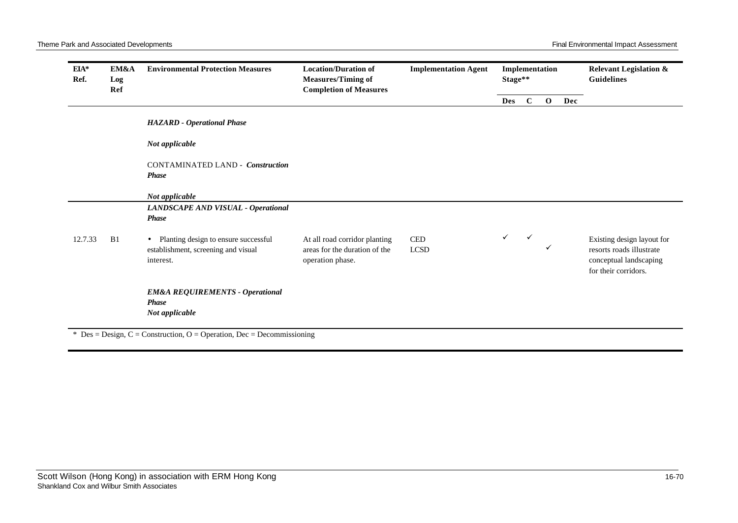| EIA*<br>Ref. | EM&A<br>Log<br>Ref | <b>Environmental Protection Measures</b>                                                              | <b>Location/Duration of</b><br><b>Measures/Timing of</b><br><b>Completion of Measures</b> | <b>Implementation Agent</b>                |              | Implementation<br>Stage** |              |     | <b>Relevant Legislation &amp;</b><br><b>Guidelines</b>                                                   |
|--------------|--------------------|-------------------------------------------------------------------------------------------------------|-------------------------------------------------------------------------------------------|--------------------------------------------|--------------|---------------------------|--------------|-----|----------------------------------------------------------------------------------------------------------|
|              |                    |                                                                                                       |                                                                                           |                                            | <b>Des</b>   | $\mathbf C$               | $\mathbf{o}$ | Dec |                                                                                                          |
|              |                    | <b>HAZARD</b> - Operational Phase                                                                     |                                                                                           |                                            |              |                           |              |     |                                                                                                          |
|              |                    | Not applicable                                                                                        |                                                                                           |                                            |              |                           |              |     |                                                                                                          |
|              |                    | <b>CONTAMINATED LAND - Construction</b><br><b>Phase</b>                                               |                                                                                           |                                            |              |                           |              |     |                                                                                                          |
|              |                    | Not applicable                                                                                        |                                                                                           |                                            |              |                           |              |     |                                                                                                          |
|              |                    | LANDSCAPE AND VISUAL - Operational<br><b>Phase</b>                                                    |                                                                                           |                                            |              |                           |              |     |                                                                                                          |
| 12.7.33      | B1                 | Planting design to ensure successful<br>$\bullet$<br>establishment, screening and visual<br>interest. | At all road corridor planting<br>areas for the duration of the<br>operation phase.        | $\ensuremath{\mathsf{CED}}$<br><b>LCSD</b> | $\checkmark$ | $\checkmark$              | ✓            |     | Existing design layout for<br>resorts roads illustrate<br>conceptual landscaping<br>for their corridors. |
|              |                    | <b>EM&amp;A REQUIREMENTS - Operational</b><br><b>Phase</b><br>Not applicable                          |                                                                                           |                                            |              |                           |              |     |                                                                                                          |

 $*$  Des = Design, C = Construction, O = Operation, Dec = Decommissioning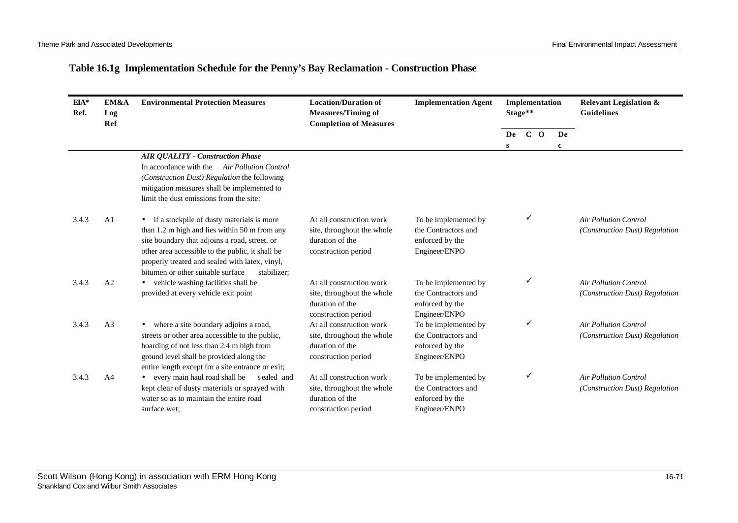# **Table 16.1g Implementation Schedule for the Penny's Bay Reclamation - Construction Phase**

| $EIA*$<br>Ref. | EM&A<br>Log<br>Ref | <b>Environmental Protection Measures</b>                                                    | <b>Location/Duration of</b><br><b>Measures/Timing of</b><br><b>Completion of Measures</b> | <b>Implementation Agent</b>      | Implementation<br>Stage** |       |  | <b>Relevant Legislation &amp;</b><br><b>Guidelines</b> |                                |
|----------------|--------------------|---------------------------------------------------------------------------------------------|-------------------------------------------------------------------------------------------|----------------------------------|---------------------------|-------|--|--------------------------------------------------------|--------------------------------|
|                |                    |                                                                                             |                                                                                           |                                  | De                        | $C$ O |  | De                                                     |                                |
|                |                    |                                                                                             |                                                                                           |                                  | S                         |       |  | $\mathbf c$                                            |                                |
|                |                    | <b>AIR QUALITY - Construction Phase</b><br>In accordance with the Air Pollution Control     |                                                                                           |                                  |                           |       |  |                                                        |                                |
|                |                    |                                                                                             |                                                                                           |                                  |                           |       |  |                                                        |                                |
|                |                    | (Construction Dust) Regulation the following<br>mitigation measures shall be implemented to |                                                                                           |                                  |                           |       |  |                                                        |                                |
|                |                    | limit the dust emissions from the site:                                                     |                                                                                           |                                  |                           |       |  |                                                        |                                |
| 3.4.3          | A <sub>1</sub>     | if a stockpile of dusty materials is more<br>$\bullet$                                      | At all construction work                                                                  | To be implemented by             |                           |       |  |                                                        | <b>Air Pollution Control</b>   |
|                |                    | than 1.2 m high and lies within 50 m from any                                               | site, throughout the whole                                                                | the Contractors and              |                           |       |  |                                                        | (Construction Dust) Regulation |
|                |                    | site boundary that adjoins a road, street, or                                               | duration of the                                                                           | enforced by the                  |                           |       |  |                                                        |                                |
|                |                    | other area accessible to the public, it shall be                                            | construction period                                                                       | Engineer/ENPO                    |                           |       |  |                                                        |                                |
|                |                    | properly treated and sealed with latex, vinyl,                                              |                                                                                           |                                  |                           |       |  |                                                        |                                |
|                |                    | bitumen or other suitable surface<br>stabilizer;                                            |                                                                                           |                                  |                           |       |  |                                                        |                                |
| 3.4.3          | A2                 | • vehicle washing facilities shall be                                                       | At all construction work                                                                  | To be implemented by             |                           |       |  |                                                        | <b>Air Pollution Control</b>   |
|                |                    | provided at every vehicle exit point                                                        | site, throughout the whole                                                                | the Contractors and              |                           |       |  |                                                        | (Construction Dust) Regulation |
|                |                    |                                                                                             | duration of the<br>construction period                                                    | enforced by the<br>Engineer/ENPO |                           |       |  |                                                        |                                |
| 3.4.3          | A <sub>3</sub>     | where a site boundary adjoins a road,<br>$\bullet$                                          | At all construction work                                                                  | To be implemented by             |                           |       |  |                                                        | <b>Air Pollution Control</b>   |
|                |                    | streets or other area accessible to the public,                                             | site, throughout the whole                                                                | the Contractors and              |                           |       |  |                                                        | (Construction Dust) Regulation |
|                |                    | hoarding of not less than 2.4 m high from                                                   | duration of the                                                                           | enforced by the                  |                           |       |  |                                                        |                                |
|                |                    | ground level shall be provided along the                                                    | construction period                                                                       | Engineer/ENPO                    |                           |       |  |                                                        |                                |
|                |                    | entire length except for a site entrance or exit;                                           |                                                                                           |                                  |                           |       |  |                                                        |                                |
| 3.4.3          | A <sub>4</sub>     | every main haul road shall be<br>sealed and<br>$\bullet$                                    | At all construction work                                                                  | To be implemented by             |                           |       |  |                                                        | <b>Air Pollution Control</b>   |
|                |                    | kept clear of dusty materials or sprayed with                                               | site, throughout the whole                                                                | the Contractors and              |                           |       |  |                                                        | (Construction Dust) Regulation |
|                |                    | water so as to maintain the entire road                                                     | duration of the                                                                           | enforced by the                  |                           |       |  |                                                        |                                |
|                |                    | surface wet:                                                                                | construction period                                                                       | Engineer/ENPO                    |                           |       |  |                                                        |                                |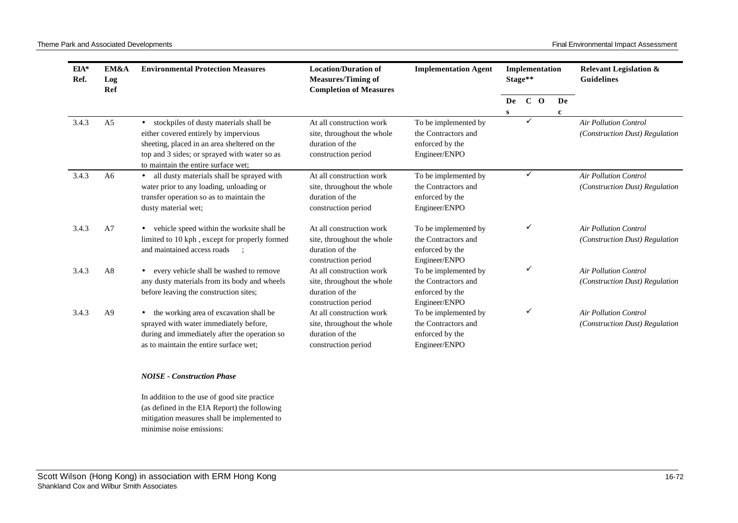Theme Park and Associated Developments **Final Environmental Impact Assessment** Final Environmental Impact Assessment

| $EIA*$<br>Ref. | EM&A<br>Log<br>Ref | <b>Environmental Protection Measures</b>                                                                                                                                                                               | <b>Location/Duration of</b><br><b>Measures/Timing of</b><br><b>Completion of Measures</b>        | <b>Implementation Agent</b>                                                     | Implementation<br>Stage** |       |  |    | <b>Relevant Legislation &amp;</b><br><b>Guidelines</b>         |
|----------------|--------------------|------------------------------------------------------------------------------------------------------------------------------------------------------------------------------------------------------------------------|--------------------------------------------------------------------------------------------------|---------------------------------------------------------------------------------|---------------------------|-------|--|----|----------------------------------------------------------------|
|                |                    |                                                                                                                                                                                                                        |                                                                                                  |                                                                                 | De<br>S                   | $C$ O |  | De |                                                                |
| 3.4.3          | A <sub>5</sub>     | stockpiles of dusty materials shall be<br>either covered entirely by impervious<br>sheeting, placed in an area sheltered on the<br>top and 3 sides; or sprayed with water so as<br>to maintain the entire surface wet: | At all construction work<br>site, throughout the whole<br>duration of the<br>construction period | To be implemented by<br>the Contractors and<br>enforced by the<br>Engineer/ENPO |                           |       |  |    | <b>Air Pollution Control</b><br>(Construction Dust) Regulation |
| 3.4.3          | A6                 | all dusty materials shall be sprayed with<br>water prior to any loading, unloading or<br>transfer operation so as to maintain the<br>dusty material wet;                                                               | At all construction work<br>site, throughout the whole<br>duration of the<br>construction period | To be implemented by<br>the Contractors and<br>enforced by the<br>Engineer/ENPO |                           | ✓     |  |    | <b>Air Pollution Control</b><br>(Construction Dust) Regulation |
| 3.4.3          | A <sub>7</sub>     | vehicle speed within the worksite shall be<br>limited to 10 kph, except for properly formed<br>and maintained access roads                                                                                             | At all construction work<br>site, throughout the whole<br>duration of the<br>construction period | To be implemented by<br>the Contractors and<br>enforced by the<br>Engineer/ENPO |                           |       |  |    | <b>Air Pollution Control</b><br>(Construction Dust) Regulation |
| 3.4.3          | A8                 | every vehicle shall be washed to remove<br>any dusty materials from its body and wheels<br>before leaving the construction sites;                                                                                      | At all construction work<br>site, throughout the whole<br>duration of the<br>construction period | To be implemented by<br>the Contractors and<br>enforced by the<br>Engineer/ENPO |                           |       |  |    | <b>Air Pollution Control</b><br>(Construction Dust) Regulation |
| 3.4.3          | A <sub>9</sub>     | the working area of excavation shall be<br>sprayed with water immediately before,<br>during and immediately after the operation so<br>as to maintain the entire surface wet;                                           | At all construction work<br>site, throughout the whole<br>duration of the<br>construction period | To be implemented by<br>the Contractors and<br>enforced by the<br>Engineer/ENPO |                           |       |  |    | <b>Air Pollution Control</b><br>(Construction Dust) Regulation |

#### *NOISE - Construction Phase*

In addition to the use of good site practice (as defined in the EIA Report) the following mitigation measures shall be implemented to minimise noise emissions: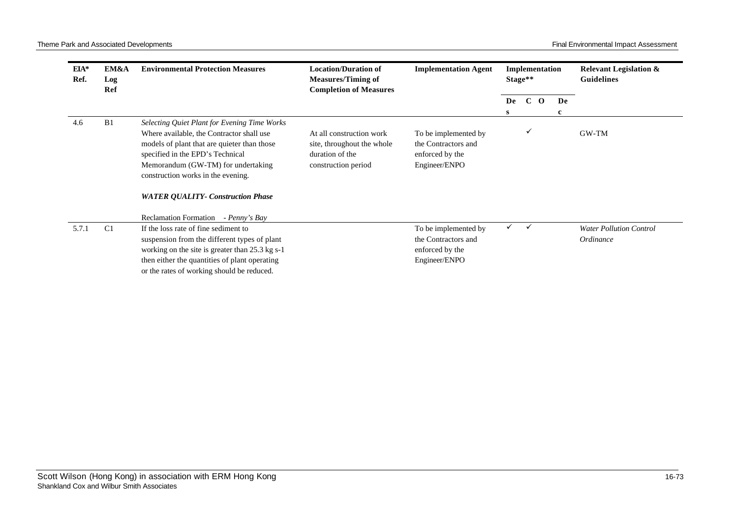| EIA*<br>Ref. | EM&A<br>Log<br>Ref | <b>Environmental Protection Measures</b>                                                                                                                                                                                                                                                             | <b>Location/Duration of</b><br><b>Measures/Timing of</b><br><b>Completion of Measures</b>        | <b>Implementation Agent</b>                                                     |              | Implementation<br>Stage** |    | <b>Relevant Legislation &amp;</b><br><b>Guidelines</b> |
|--------------|--------------------|------------------------------------------------------------------------------------------------------------------------------------------------------------------------------------------------------------------------------------------------------------------------------------------------------|--------------------------------------------------------------------------------------------------|---------------------------------------------------------------------------------|--------------|---------------------------|----|--------------------------------------------------------|
|              |                    |                                                                                                                                                                                                                                                                                                      |                                                                                                  |                                                                                 | De           | $\mathbf C$<br>$\Omega$   | De |                                                        |
|              |                    |                                                                                                                                                                                                                                                                                                      |                                                                                                  |                                                                                 | s            |                           | c  |                                                        |
| 4.6          | B1                 | Selecting Quiet Plant for Evening Time Works<br>Where available, the Contractor shall use<br>models of plant that are quieter than those<br>specified in the EPD's Technical<br>Memorandum (GW-TM) for undertaking<br>construction works in the evening.<br><b>WATER QUALITY- Construction Phase</b> | At all construction work<br>site, throughout the whole<br>duration of the<br>construction period | To be implemented by<br>the Contractors and<br>enforced by the<br>Engineer/ENPO |              |                           |    | GW-TM                                                  |
|              |                    | <b>Reclamation Formation</b><br>- Penny's Bay                                                                                                                                                                                                                                                        |                                                                                                  |                                                                                 |              |                           |    |                                                        |
| 5.7.1        | C <sub>1</sub>     | If the loss rate of fine sediment to<br>suspension from the different types of plant<br>working on the site is greater than 25.3 kg s-1<br>then either the quantities of plant operating<br>or the rates of working should be reduced.                                                               |                                                                                                  | To be implemented by<br>the Contractors and<br>enforced by the<br>Engineer/ENPO | $\checkmark$ | $\checkmark$              |    | <b>Water Pollution Control</b><br><i>Ordinance</i>     |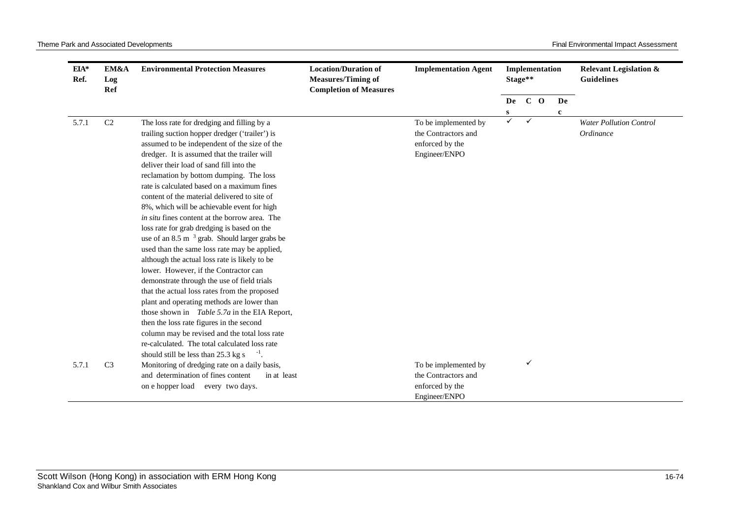| $EIA*$<br>Ref. | EM&A<br>Log<br>Ref | <b>Environmental Protection Measures</b>                    | <b>Location/Duration of</b><br><b>Implementation Agent</b><br><b>Measures/Timing of</b><br><b>Completion of Measures</b> | Implementation<br>Stage** |              |        |  | <b>Relevant Legislation &amp;</b><br><b>Guidelines</b> |                                |
|----------------|--------------------|-------------------------------------------------------------|--------------------------------------------------------------------------------------------------------------------------|---------------------------|--------------|--------|--|--------------------------------------------------------|--------------------------------|
|                |                    |                                                             |                                                                                                                          |                           |              | De C O |  | De                                                     |                                |
|                |                    |                                                             |                                                                                                                          |                           | S            |        |  | $\mathbf c$                                            |                                |
| 5.7.1          | $\rm C2$           | The loss rate for dredging and filling by a                 |                                                                                                                          | To be implemented by      | $\checkmark$ | ✓      |  |                                                        | <b>Water Pollution Control</b> |
|                |                    | trailing suction hopper dredger ('trailer') is              |                                                                                                                          | the Contractors and       |              |        |  |                                                        | Ordinance                      |
|                |                    | assumed to be independent of the size of the                |                                                                                                                          | enforced by the           |              |        |  |                                                        |                                |
|                |                    | dredger. It is assumed that the trailer will                |                                                                                                                          | Engineer/ENPO             |              |        |  |                                                        |                                |
|                |                    | deliver their load of sand fill into the                    |                                                                                                                          |                           |              |        |  |                                                        |                                |
|                |                    | reclamation by bottom dumping. The loss                     |                                                                                                                          |                           |              |        |  |                                                        |                                |
|                |                    | rate is calculated based on a maximum fines                 |                                                                                                                          |                           |              |        |  |                                                        |                                |
|                |                    | content of the material delivered to site of                |                                                                                                                          |                           |              |        |  |                                                        |                                |
|                |                    | 8%, which will be achievable event for high                 |                                                                                                                          |                           |              |        |  |                                                        |                                |
|                |                    | <i>in situ</i> fines content at the borrow area. The        |                                                                                                                          |                           |              |        |  |                                                        |                                |
|                |                    | loss rate for grab dredging is based on the                 |                                                                                                                          |                           |              |        |  |                                                        |                                |
|                |                    | use of an $8.5 \text{ m}^{-3}$ grab. Should larger grabs be |                                                                                                                          |                           |              |        |  |                                                        |                                |
|                |                    | used than the same loss rate may be applied,                |                                                                                                                          |                           |              |        |  |                                                        |                                |
|                |                    | although the actual loss rate is likely to be               |                                                                                                                          |                           |              |        |  |                                                        |                                |
|                |                    | lower. However, if the Contractor can                       |                                                                                                                          |                           |              |        |  |                                                        |                                |
|                |                    | demonstrate through the use of field trials                 |                                                                                                                          |                           |              |        |  |                                                        |                                |
|                |                    | that the actual loss rates from the proposed                |                                                                                                                          |                           |              |        |  |                                                        |                                |
|                |                    | plant and operating methods are lower than                  |                                                                                                                          |                           |              |        |  |                                                        |                                |
|                |                    | those shown in <i>Table 5.7a</i> in the EIA Report,         |                                                                                                                          |                           |              |        |  |                                                        |                                |
|                |                    | then the loss rate figures in the second                    |                                                                                                                          |                           |              |        |  |                                                        |                                |
|                |                    | column may be revised and the total loss rate               |                                                                                                                          |                           |              |        |  |                                                        |                                |
|                |                    | re-calculated. The total calculated loss rate               |                                                                                                                          |                           |              |        |  |                                                        |                                |
|                |                    | should still be less than 25.3 kg s                         |                                                                                                                          |                           |              |        |  |                                                        |                                |
| 5.7.1          | C <sub>3</sub>     | Monitoring of dredging rate on a daily basis,               |                                                                                                                          | To be implemented by      |              | ✓      |  |                                                        |                                |
|                |                    | and determination of fines content<br>in at least           |                                                                                                                          | the Contractors and       |              |        |  |                                                        |                                |
|                |                    | on e hopper load<br>every two days.                         |                                                                                                                          | enforced by the           |              |        |  |                                                        |                                |
|                |                    |                                                             |                                                                                                                          | Engineer/ENPO             |              |        |  |                                                        |                                |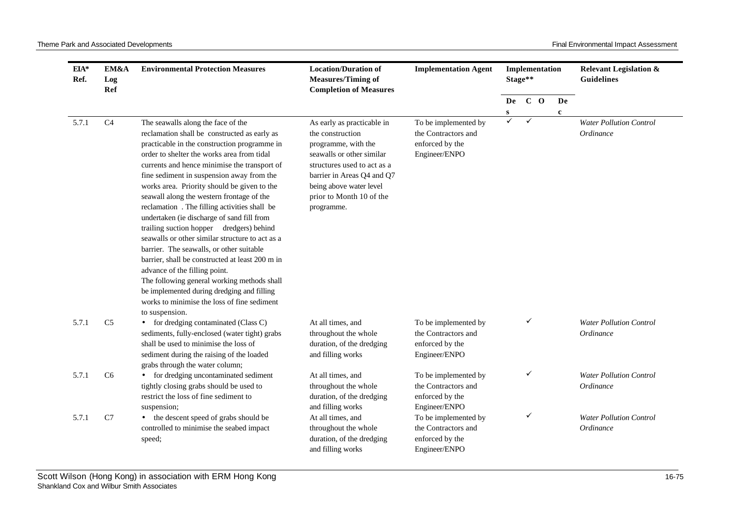| EIA*<br>Ref. | EM&A<br>Log<br><b>Ref</b> | <b>Environmental Protection Measures</b>                                                                                                                                                                                                                                                                                                                                                                                                                                                                                                                                                                                                                                                                                                                                                                                                                             | <b>Location/Duration of</b><br><b>Measures/Timing of</b><br><b>Completion of Measures</b>                                                                                                                                            | <b>Implementation Agent</b>                                                     |                   | Implementation<br>Stage** |  |             | <b>Relevant Legislation &amp;</b><br><b>Guidelines</b> |  |
|--------------|---------------------------|----------------------------------------------------------------------------------------------------------------------------------------------------------------------------------------------------------------------------------------------------------------------------------------------------------------------------------------------------------------------------------------------------------------------------------------------------------------------------------------------------------------------------------------------------------------------------------------------------------------------------------------------------------------------------------------------------------------------------------------------------------------------------------------------------------------------------------------------------------------------|--------------------------------------------------------------------------------------------------------------------------------------------------------------------------------------------------------------------------------------|---------------------------------------------------------------------------------|-------------------|---------------------------|--|-------------|--------------------------------------------------------|--|
|              |                           |                                                                                                                                                                                                                                                                                                                                                                                                                                                                                                                                                                                                                                                                                                                                                                                                                                                                      |                                                                                                                                                                                                                                      |                                                                                 | De C O            |                           |  | De          |                                                        |  |
| 5.7.1        | C <sub>4</sub>            | The seawalls along the face of the<br>reclamation shall be constructed as early as<br>practicable in the construction programme in<br>order to shelter the works area from tidal<br>currents and hence minimise the transport of<br>fine sediment in suspension away from the<br>works area. Priority should be given to the<br>seawall along the western frontage of the<br>reclamation. The filling activities shall be<br>undertaken (ie discharge of sand fill from<br>trailing suction hopper dredgers) behind<br>seawalls or other similar structure to act as a<br>barrier. The seawalls, or other suitable<br>barrier, shall be constructed at least 200 m in<br>advance of the filling point.<br>The following general working methods shall<br>be implemented during dredging and filling<br>works to minimise the loss of fine sediment<br>to suspension. | As early as practicable in<br>the construction<br>programme, with the<br>seawalls or other similar<br>structures used to act as a<br>barrier in Areas Q4 and Q7<br>being above water level<br>prior to Month 10 of the<br>programme. | To be implemented by<br>the Contractors and<br>enforced by the<br>Engineer/ENPO | s<br>$\checkmark$ | $\checkmark$              |  | $\mathbf c$ | <b>Water Pollution Control</b><br>Ordinance            |  |
| 5.7.1        | C <sub>5</sub>            | for dredging contaminated (Class C)<br>$\bullet$<br>sediments, fully-enclosed (water tight) grabs<br>shall be used to minimise the loss of<br>sediment during the raising of the loaded<br>grabs through the water column;                                                                                                                                                                                                                                                                                                                                                                                                                                                                                                                                                                                                                                           | At all times, and<br>throughout the whole<br>duration, of the dredging<br>and filling works                                                                                                                                          | To be implemented by<br>the Contractors and<br>enforced by the<br>Engineer/ENPO |                   | ✓                         |  |             | <b>Water Pollution Control</b><br>Ordinance            |  |
| 5.7.1        | C <sub>6</sub>            | for dredging uncontaminated sediment<br>$\bullet$<br>tightly closing grabs should be used to<br>restrict the loss of fine sediment to<br>suspension;                                                                                                                                                                                                                                                                                                                                                                                                                                                                                                                                                                                                                                                                                                                 | At all times, and<br>throughout the whole<br>duration, of the dredging<br>and filling works                                                                                                                                          | To be implemented by<br>the Contractors and<br>enforced by the<br>Engineer/ENPO |                   | ✓                         |  |             | <b>Water Pollution Control</b><br>Ordinance            |  |
| 5.7.1        | C7                        | the descent speed of grabs should be<br>$\bullet$<br>controlled to minimise the seabed impact<br>speed;                                                                                                                                                                                                                                                                                                                                                                                                                                                                                                                                                                                                                                                                                                                                                              | At all times, and<br>throughout the whole<br>duration, of the dredging<br>and filling works                                                                                                                                          | To be implemented by<br>the Contractors and<br>enforced by the<br>Engineer/ENPO |                   | ✓                         |  |             | <b>Water Pollution Control</b><br>Ordinance            |  |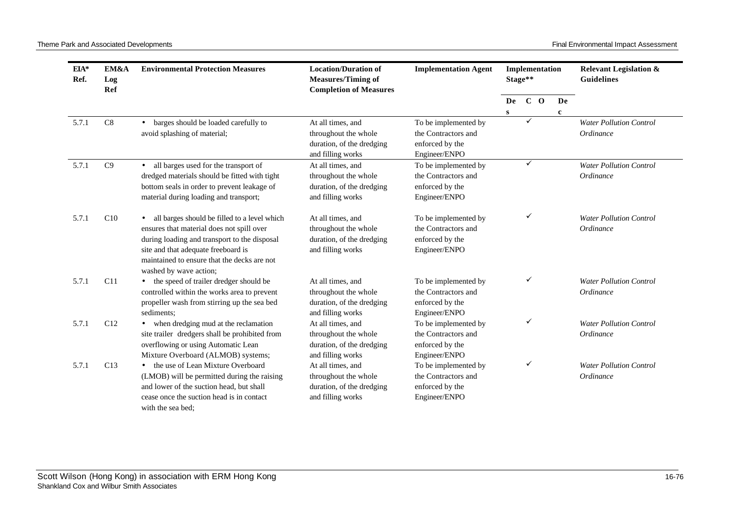Theme Park and Associated Developments **Final Environmental Impact Assessment** 

| EIA*<br>Ref. | EM&A<br>Log<br>Ref | <b>Environmental Protection Measures</b>                                                                                                                                                                                                                  | <b>Location/Duration of</b><br><b>Measures/Timing of</b><br><b>Completion of Measures</b>   | <b>Implementation Agent</b>                                                     |                    | Implementation<br>Stage** |                   | <b>Relevant Legislation &amp;</b><br><b>Guidelines</b> |
|--------------|--------------------|-----------------------------------------------------------------------------------------------------------------------------------------------------------------------------------------------------------------------------------------------------------|---------------------------------------------------------------------------------------------|---------------------------------------------------------------------------------|--------------------|---------------------------|-------------------|--------------------------------------------------------|
|              |                    |                                                                                                                                                                                                                                                           |                                                                                             |                                                                                 | De<br>$\mathbf{s}$ | $C$ O                     | De<br>$\mathbf c$ |                                                        |
| 5.7.1        | C8                 | barges should be loaded carefully to<br>$\bullet$<br>avoid splashing of material;                                                                                                                                                                         | At all times, and<br>throughout the whole<br>duration, of the dredging<br>and filling works | To be implemented by<br>the Contractors and<br>enforced by the<br>Engineer/ENPO |                    |                           |                   | <b>Water Pollution Control</b><br>Ordinance            |
| 5.7.1        | C9                 | all barges used for the transport of<br>$\bullet$<br>dredged materials should be fitted with tight<br>bottom seals in order to prevent leakage of<br>material during loading and transport;                                                               | At all times, and<br>throughout the whole<br>duration, of the dredging<br>and filling works | To be implemented by<br>the Contractors and<br>enforced by the<br>Engineer/ENPO |                    | $\checkmark$              |                   | <b>Water Pollution Control</b><br>Ordinance            |
| 5.7.1        | C10                | all barges should be filled to a level which<br>ensures that material does not spill over<br>during loading and transport to the disposal<br>site and that adequate freeboard is<br>maintained to ensure that the decks are not<br>washed by wave action; | At all times, and<br>throughout the whole<br>duration, of the dredging<br>and filling works | To be implemented by<br>the Contractors and<br>enforced by the<br>Engineer/ENPO |                    | ✓                         |                   | <b>Water Pollution Control</b><br>Ordinance            |
| 5.7.1        | C11                | • the speed of trailer dredger should be<br>controlled within the works area to prevent<br>propeller wash from stirring up the sea bed<br>sediments;                                                                                                      | At all times, and<br>throughout the whole<br>duration, of the dredging<br>and filling works | To be implemented by<br>the Contractors and<br>enforced by the<br>Engineer/ENPO |                    | ✓                         |                   | <b>Water Pollution Control</b><br>Ordinance            |
| 5.7.1        | C12                | when dredging mud at the reclamation<br>site trailer dredgers shall be prohibited from<br>overflowing or using Automatic Lean<br>Mixture Overboard (ALMOB) systems;                                                                                       | At all times, and<br>throughout the whole<br>duration, of the dredging<br>and filling works | To be implemented by<br>the Contractors and<br>enforced by the<br>Engineer/ENPO |                    | ✓                         |                   | <b>Water Pollution Control</b><br>Ordinance            |
| 5.7.1        | C13                | • the use of Lean Mixture Overboard<br>(LMOB) will be permitted during the raising<br>and lower of the suction head, but shall<br>cease once the suction head is in contact<br>with the sea bed:                                                          | At all times, and<br>throughout the whole<br>duration, of the dredging<br>and filling works | To be implemented by<br>the Contractors and<br>enforced by the<br>Engineer/ENPO |                    | ✓                         |                   | <b>Water Pollution Control</b><br>Ordinance            |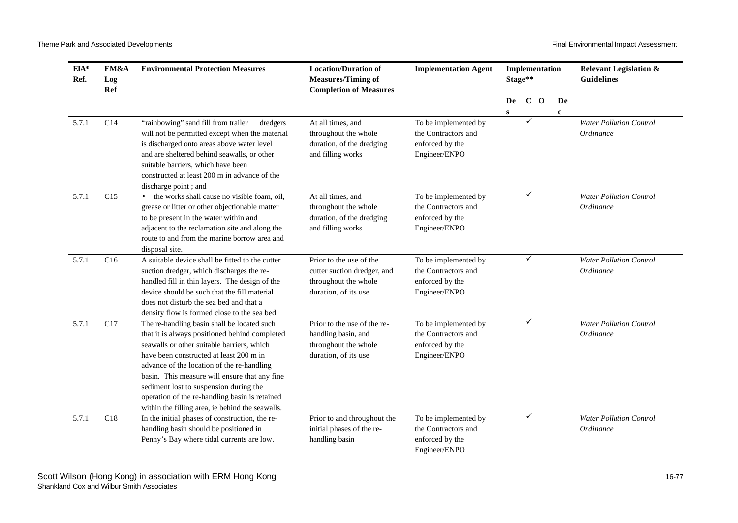| EIA*<br>Ref. | EM&A<br>Log<br>Ref | <b>Environmental Protection Measures</b>                                                                                                                                                                                                                                                                                                                                                                                             | <b>Location/Duration of</b><br><b>Measures/Timing of</b><br><b>Completion of Measures</b>              | <b>Implementation Agent</b>                                                     | Implementation     | Stage** |                   | <b>Relevant Legislation &amp;</b><br><b>Guidelines</b> |
|--------------|--------------------|--------------------------------------------------------------------------------------------------------------------------------------------------------------------------------------------------------------------------------------------------------------------------------------------------------------------------------------------------------------------------------------------------------------------------------------|--------------------------------------------------------------------------------------------------------|---------------------------------------------------------------------------------|--------------------|---------|-------------------|--------------------------------------------------------|
|              |                    |                                                                                                                                                                                                                                                                                                                                                                                                                                      |                                                                                                        |                                                                                 | De<br>$\mathbf{s}$ | $C$ O   | De<br>$\mathbf c$ |                                                        |
| 5.7.1        | C14                | "rainbowing" sand fill from trailer<br>dredgers<br>will not be permitted except when the material<br>is discharged onto areas above water level<br>and are sheltered behind seawalls, or other<br>suitable barriers, which have been<br>constructed at least 200 m in advance of the<br>discharge point; and                                                                                                                         | At all times, and<br>throughout the whole<br>duration, of the dredging<br>and filling works            | To be implemented by<br>the Contractors and<br>enforced by the<br>Engineer/ENPO |                    | ✓       |                   | Water Pollution Control<br>Ordinance                   |
| 5.7.1        | C15                | • the works shall cause no visible foam, oil,<br>grease or litter or other objectionable matter<br>to be present in the water within and<br>adjacent to the reclamation site and along the<br>route to and from the marine borrow area and<br>disposal site.                                                                                                                                                                         | At all times, and<br>throughout the whole<br>duration, of the dredging<br>and filling works            | To be implemented by<br>the Contractors and<br>enforced by the<br>Engineer/ENPO |                    | ✓       |                   | <b>Water Pollution Control</b><br>Ordinance            |
| 5.7.1        | C16                | A suitable device shall be fitted to the cutter<br>suction dredger, which discharges the re-<br>handled fill in thin layers. The design of the<br>device should be such that the fill material<br>does not disturb the sea bed and that a<br>density flow is formed close to the sea bed.                                                                                                                                            | Prior to the use of the<br>cutter suction dredger, and<br>throughout the whole<br>duration, of its use | To be implemented by<br>the Contractors and<br>enforced by the<br>Engineer/ENPO |                    | ✓       |                   | <b>Water Pollution Control</b><br>Ordinance            |
| 5.7.1        | C17                | The re-handling basin shall be located such<br>that it is always positioned behind completed<br>seawalls or other suitable barriers, which<br>have been constructed at least 200 m in<br>advance of the location of the re-handling<br>basin. This measure will ensure that any fine<br>sediment lost to suspension during the<br>operation of the re-handling basin is retained<br>within the filling area, ie behind the seawalls. | Prior to the use of the re-<br>handling basin, and<br>throughout the whole<br>duration, of its use     | To be implemented by<br>the Contractors and<br>enforced by the<br>Engineer/ENPO |                    | ✓       |                   | <b>Water Pollution Control</b><br><i>Ordinance</i>     |
| 5.7.1        | C18                | In the initial phases of construction, the re-<br>handling basin should be positioned in<br>Penny's Bay where tidal currents are low.                                                                                                                                                                                                                                                                                                | Prior to and throughout the<br>initial phases of the re-<br>handling basin                             | To be implemented by<br>the Contractors and<br>enforced by the<br>Engineer/ENPO |                    | ✓       |                   | <b>Water Pollution Control</b><br><i>Ordinance</i>     |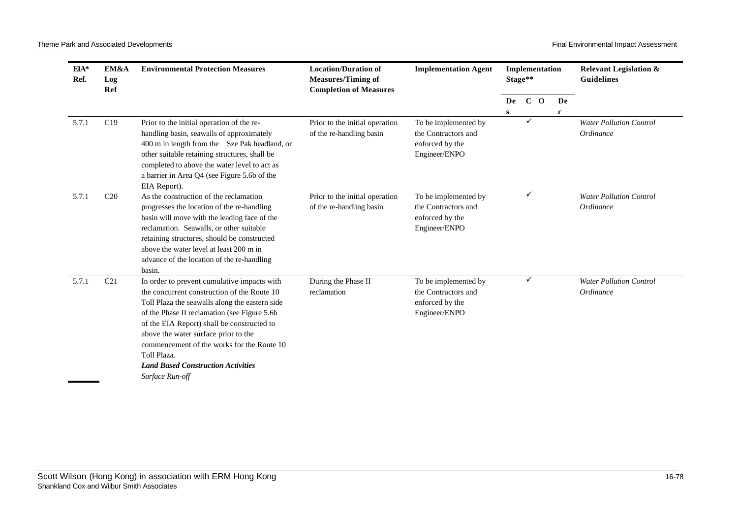| $EIA*$<br>Ref. | EM&A<br>Log<br>Ref | <b>Environmental Protection Measures</b>                                                                                                                                                                                                                                                                                                                                                                         | <b>Location/Duration of</b><br><b>Measures/Timing of</b><br><b>Completion of Measures</b> | <b>Implementation Agent</b>                                                     |         | Implementation<br>Stage** |                   | <b>Relevant Legislation &amp;</b><br><b>Guidelines</b> |
|----------------|--------------------|------------------------------------------------------------------------------------------------------------------------------------------------------------------------------------------------------------------------------------------------------------------------------------------------------------------------------------------------------------------------------------------------------------------|-------------------------------------------------------------------------------------------|---------------------------------------------------------------------------------|---------|---------------------------|-------------------|--------------------------------------------------------|
|                |                    |                                                                                                                                                                                                                                                                                                                                                                                                                  |                                                                                           |                                                                                 | De<br>S | $C$ O                     | De<br>$\mathbf c$ |                                                        |
| 5.7.1          | C19                | Prior to the initial operation of the re-<br>handling basin, seawalls of approximately<br>400 m in length from the Sze Pak headland, or<br>other suitable retaining structures, shall be<br>completed to above the water level to act as<br>a barrier in Area Q4 (see Figure 5.6b of the<br>EIA Report).                                                                                                         | Prior to the initial operation<br>of the re-handling basin                                | To be implemented by<br>the Contractors and<br>enforced by the<br>Engineer/ENPO |         | ✓                         |                   | <b>Water Pollution Control</b><br>Ordinance            |
| 5.7.1          | C <sub>20</sub>    | As the construction of the reclamation<br>progresses the location of the re-handling<br>basin will move with the leading face of the<br>reclamation. Seawalls, or other suitable<br>retaining structures, should be constructed<br>above the water level at least 200 m in<br>advance of the location of the re-handling<br>basin.                                                                               | Prior to the initial operation<br>of the re-handling basin                                | To be implemented by<br>the Contractors and<br>enforced by the<br>Engineer/ENPO |         |                           |                   | <b>Water Pollution Control</b><br>Ordinance            |
| 5.7.1          | C21                | In order to prevent cumulative impacts with<br>the concurrent construction of the Route 10<br>Toll Plaza the seawalls along the eastern side<br>of the Phase II reclamation (see Figure 5.6b)<br>of the EIA Report) shall be constructed to<br>above the water surface prior to the<br>commencement of the works for the Route 10<br>Toll Plaza.<br><b>Land Based Construction Activities</b><br>Surface Run-off | During the Phase II<br>reclamation                                                        | To be implemented by<br>the Contractors and<br>enforced by the<br>Engineer/ENPO |         | ✓                         |                   | <b>Water Pollution Control</b><br>Ordinance            |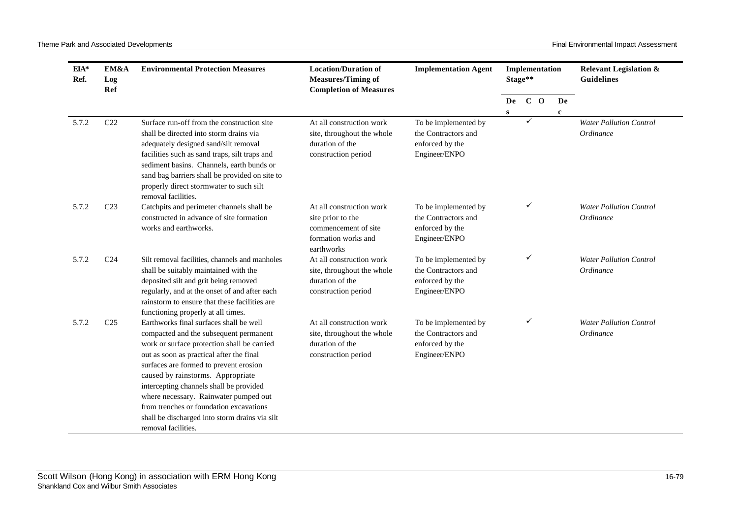| EIA*<br>Ref. | EM&A<br>Log<br>Ref | <b>Environmental Protection Measures</b>                                                                                                                                                                                                                                                                                                                                                                                                                            | <b>Location/Duration of</b><br><b>Measures/Timing of</b><br><b>Completion of Measures</b>                  | <b>Implementation Agent</b>                                                     |           | Implementation<br>Stage** |  |             | <b>Relevant Legislation &amp;</b><br><b>Guidelines</b> |
|--------------|--------------------|---------------------------------------------------------------------------------------------------------------------------------------------------------------------------------------------------------------------------------------------------------------------------------------------------------------------------------------------------------------------------------------------------------------------------------------------------------------------|------------------------------------------------------------------------------------------------------------|---------------------------------------------------------------------------------|-----------|---------------------------|--|-------------|--------------------------------------------------------|
|              |                    |                                                                                                                                                                                                                                                                                                                                                                                                                                                                     |                                                                                                            |                                                                                 | De        | $C$ O                     |  | De          |                                                        |
|              |                    |                                                                                                                                                                                                                                                                                                                                                                                                                                                                     |                                                                                                            |                                                                                 | ${\bf S}$ |                           |  | $\mathbf c$ |                                                        |
| 5.7.2        | C22                | Surface run-off from the construction site<br>shall be directed into storm drains via<br>adequately designed sand/silt removal<br>facilities such as sand traps, silt traps and<br>sediment basins. Channels, earth bunds or<br>sand bag barriers shall be provided on site to<br>properly direct stormwater to such silt<br>removal facilities.                                                                                                                    | At all construction work<br>site, throughout the whole<br>duration of the<br>construction period           | To be implemented by<br>the Contractors and<br>enforced by the<br>Engineer/ENPO |           | $\checkmark$              |  |             | <b>Water Pollution Control</b><br>Ordinance            |
| 5.7.2        | C <sub>23</sub>    | Catchpits and perimeter channels shall be<br>constructed in advance of site formation<br>works and earthworks.                                                                                                                                                                                                                                                                                                                                                      | At all construction work<br>site prior to the<br>commencement of site<br>formation works and<br>earthworks | To be implemented by<br>the Contractors and<br>enforced by the<br>Engineer/ENPO |           | ✓                         |  |             | <b>Water Pollution Control</b><br>Ordinance            |
| 5.7.2        | C <sub>24</sub>    | Silt removal facilities, channels and manholes<br>shall be suitably maintained with the<br>deposited silt and grit being removed<br>regularly, and at the onset of and after each<br>rainstorm to ensure that these facilities are<br>functioning properly at all times.                                                                                                                                                                                            | At all construction work<br>site, throughout the whole<br>duration of the<br>construction period           | To be implemented by<br>the Contractors and<br>enforced by the<br>Engineer/ENPO |           | ✓                         |  |             | <b>Water Pollution Control</b><br>Ordinance            |
| 5.7.2        | C <sub>25</sub>    | Earthworks final surfaces shall be well<br>compacted and the subsequent permanent<br>work or surface protection shall be carried<br>out as soon as practical after the final<br>surfaces are formed to prevent erosion<br>caused by rainstorms. Appropriate<br>intercepting channels shall be provided<br>where necessary. Rainwater pumped out<br>from trenches or foundation excavations<br>shall be discharged into storm drains via silt<br>removal facilities. | At all construction work<br>site, throughout the whole<br>duration of the<br>construction period           | To be implemented by<br>the Contractors and<br>enforced by the<br>Engineer/ENPO |           | ✓                         |  |             | <b>Water Pollution Control</b><br>Ordinance            |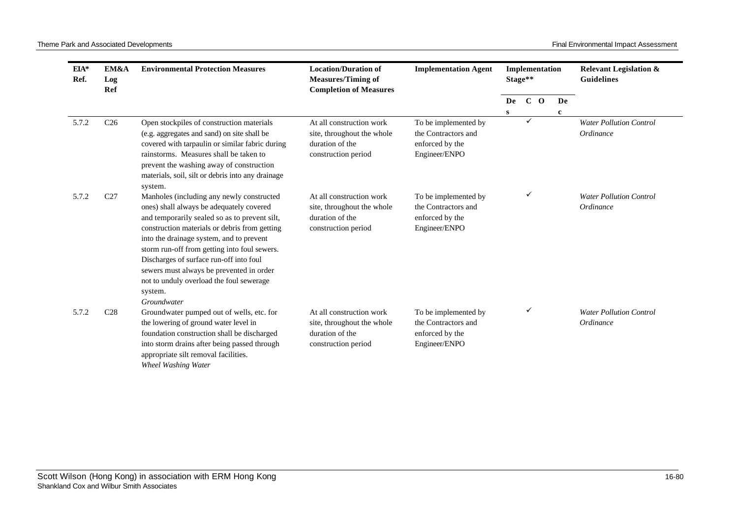| EIA*<br>EM&A<br>Ref.<br>Log<br>Ref |                 | <b>Environmental Protection Measures</b>                                                                                                                                                                                                                                                                                                                                                                                                         | <b>Location/Duration of</b><br><b>Implementation Agent</b><br><b>Measures/Timing of</b><br><b>Completion of Measures</b> |                                                                                 | Stage**   | Implementation |             | <b>Relevant Legislation &amp;</b><br><b>Guidelines</b> |  |
|------------------------------------|-----------------|--------------------------------------------------------------------------------------------------------------------------------------------------------------------------------------------------------------------------------------------------------------------------------------------------------------------------------------------------------------------------------------------------------------------------------------------------|--------------------------------------------------------------------------------------------------------------------------|---------------------------------------------------------------------------------|-----------|----------------|-------------|--------------------------------------------------------|--|
|                                    |                 |                                                                                                                                                                                                                                                                                                                                                                                                                                                  |                                                                                                                          |                                                                                 | De        | $C$ O          | De          |                                                        |  |
|                                    |                 |                                                                                                                                                                                                                                                                                                                                                                                                                                                  |                                                                                                                          |                                                                                 | ${\bf S}$ | $\checkmark$   | $\mathbf c$ |                                                        |  |
| 5.7.2                              | C <sub>26</sub> | Open stockpiles of construction materials<br>(e.g. aggregates and sand) on site shall be<br>covered with tarpaulin or similar fabric during                                                                                                                                                                                                                                                                                                      | At all construction work<br>site, throughout the whole<br>duration of the                                                | To be implemented by<br>the Contractors and<br>enforced by the                  |           |                |             | <b>Water Pollution Control</b><br>Ordinance            |  |
|                                    |                 | rainstorms. Measures shall be taken to<br>prevent the washing away of construction<br>materials, soil, silt or debris into any drainage<br>system.                                                                                                                                                                                                                                                                                               | construction period                                                                                                      | Engineer/ENPO                                                                   |           |                |             |                                                        |  |
| 5.7.2                              | C27             | Manholes (including any newly constructed<br>ones) shall always be adequately covered<br>and temporarily sealed so as to prevent silt,<br>construction materials or debris from getting<br>into the drainage system, and to prevent<br>storm run-off from getting into foul sewers.<br>Discharges of surface run-off into foul<br>sewers must always be prevented in order<br>not to unduly overload the foul sewerage<br>system.<br>Groundwater | At all construction work<br>site, throughout the whole<br>duration of the<br>construction period                         | To be implemented by<br>the Contractors and<br>enforced by the<br>Engineer/ENPO |           | ✓              |             | <b>Water Pollution Control</b><br>Ordinance            |  |
| 5.7.2                              | C <sub>28</sub> | Groundwater pumped out of wells, etc. for<br>the lowering of ground water level in<br>foundation construction shall be discharged<br>into storm drains after being passed through<br>appropriate silt removal facilities.<br><b>Wheel Washing Water</b>                                                                                                                                                                                          | At all construction work<br>site, throughout the whole<br>duration of the<br>construction period                         | To be implemented by<br>the Contractors and<br>enforced by the<br>Engineer/ENPO |           | ✓              |             | <b>Water Pollution Control</b><br>Ordinance            |  |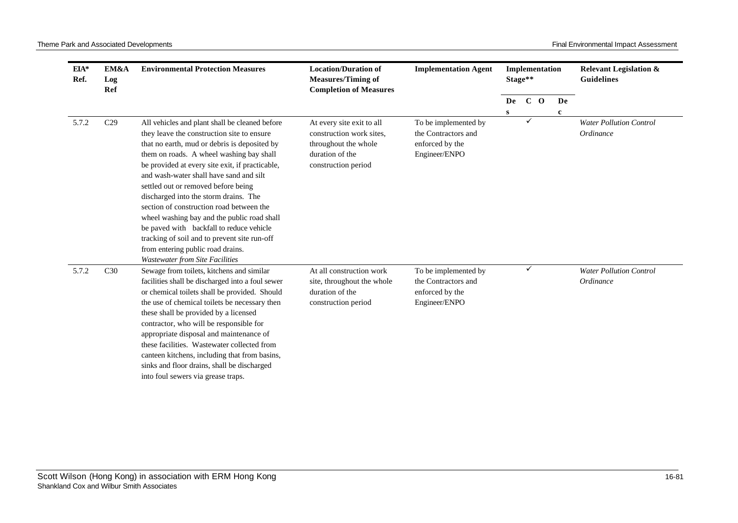| $EIA*$<br>Ref. | EM&A<br>Log<br>Ref | <b>Environmental Protection Measures</b>                                                                                                                                                                                                                                                                                                                                                                                                                                                                                                                                                                                                     | <b>Location/Duration of</b><br><b>Measures/Timing of</b><br><b>Completion of Measures</b>                               | <b>Implementation Agent</b>                                                     |                    | Implementation<br>Stage** |                   | <b>Relevant Legislation &amp;</b><br><b>Guidelines</b> |
|----------------|--------------------|----------------------------------------------------------------------------------------------------------------------------------------------------------------------------------------------------------------------------------------------------------------------------------------------------------------------------------------------------------------------------------------------------------------------------------------------------------------------------------------------------------------------------------------------------------------------------------------------------------------------------------------------|-------------------------------------------------------------------------------------------------------------------------|---------------------------------------------------------------------------------|--------------------|---------------------------|-------------------|--------------------------------------------------------|
|                |                    |                                                                                                                                                                                                                                                                                                                                                                                                                                                                                                                                                                                                                                              |                                                                                                                         |                                                                                 | De<br>$\mathbf{s}$ | $C$ O                     | De<br>$\mathbf c$ |                                                        |
| 5.7.2          | C <sub>29</sub>    | All vehicles and plant shall be cleaned before<br>they leave the construction site to ensure<br>that no earth, mud or debris is deposited by<br>them on roads. A wheel washing bay shall<br>be provided at every site exit, if practicable,<br>and wash-water shall have sand and silt<br>settled out or removed before being<br>discharged into the storm drains. The<br>section of construction road between the<br>wheel washing bay and the public road shall<br>be paved with backfall to reduce vehicle<br>tracking of soil and to prevent site run-off<br>from entering public road drains.<br><b>Wastewater from Site Facilities</b> | At every site exit to all<br>construction work sites.<br>throughout the whole<br>duration of the<br>construction period | To be implemented by<br>the Contractors and<br>enforced by the<br>Engineer/ENPO |                    | ✓                         |                   | <b>Water Pollution Control</b><br>Ordinance            |
| 5.7.2          | C30                | Sewage from toilets, kitchens and similar<br>facilities shall be discharged into a foul sewer<br>or chemical toilets shall be provided. Should<br>the use of chemical toilets be necessary then<br>these shall be provided by a licensed<br>contractor, who will be responsible for<br>appropriate disposal and maintenance of<br>these facilities. Wastewater collected from<br>canteen kitchens, including that from basins,<br>sinks and floor drains, shall be discharged<br>into foul sewers via grease traps.                                                                                                                          | At all construction work<br>site, throughout the whole<br>duration of the<br>construction period                        | To be implemented by<br>the Contractors and<br>enforced by the<br>Engineer/ENPO |                    | ✓                         |                   | <b>Water Pollution Control</b><br>Ordinance            |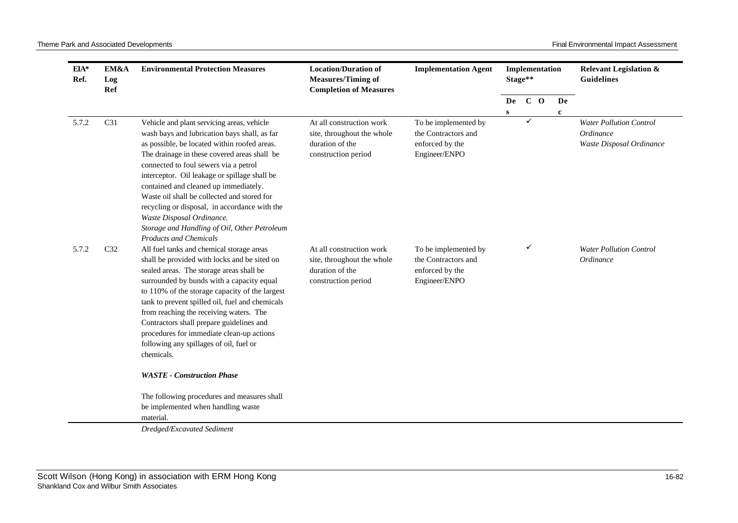| EIA*<br>Ref. | EM&A<br>Log<br>Ref | <b>Environmental Protection Measures</b>                                                                                                                                                                                                                                                                                                                                                                                                                                                                                                    | <b>Location/Duration of</b><br><b>Measures/Timing of</b><br><b>Completion of Measures</b>        | <b>Implementation Agent</b>                                                     |           | Implementation<br>Stage** |  |             | <b>Relevant Legislation &amp;</b><br><b>Guidelines</b>                  |
|--------------|--------------------|---------------------------------------------------------------------------------------------------------------------------------------------------------------------------------------------------------------------------------------------------------------------------------------------------------------------------------------------------------------------------------------------------------------------------------------------------------------------------------------------------------------------------------------------|--------------------------------------------------------------------------------------------------|---------------------------------------------------------------------------------|-----------|---------------------------|--|-------------|-------------------------------------------------------------------------|
|              |                    |                                                                                                                                                                                                                                                                                                                                                                                                                                                                                                                                             |                                                                                                  |                                                                                 | De        | $C$ O                     |  | De          |                                                                         |
|              |                    |                                                                                                                                                                                                                                                                                                                                                                                                                                                                                                                                             |                                                                                                  |                                                                                 | ${\bf S}$ |                           |  | $\mathbf c$ |                                                                         |
| 5.7.2        | C31                | Vehicle and plant servicing areas, vehicle<br>wash bays and lubrication bays shall, as far<br>as possible, be located within roofed areas.<br>The drainage in these covered areas shall be<br>connected to foul sewers via a petrol<br>interceptor. Oil leakage or spillage shall be<br>contained and cleaned up immediately.<br>Waste oil shall be collected and stored for<br>recycling or disposal, in accordance with the<br>Waste Disposal Ordinance.<br>Storage and Handling of Oil, Other Petroleum<br><b>Products and Chemicals</b> | At all construction work<br>site, throughout the whole<br>duration of the<br>construction period | To be implemented by<br>the Contractors and<br>enforced by the<br>Engineer/ENPO |           | ✓                         |  |             | <b>Water Pollution Control</b><br>Ordinance<br>Waste Disposal Ordinance |
| 5.7.2        | C <sub>32</sub>    | All fuel tanks and chemical storage areas<br>shall be provided with locks and be sited on<br>sealed areas. The storage areas shall be<br>surrounded by bunds with a capacity equal<br>to 110% of the storage capacity of the largest<br>tank to prevent spilled oil, fuel and chemicals<br>from reaching the receiving waters. The<br>Contractors shall prepare guidelines and<br>procedures for immediate clean-up actions<br>following any spillages of oil, fuel or<br>chemicals.                                                        | At all construction work<br>site, throughout the whole<br>duration of the<br>construction period | To be implemented by<br>the Contractors and<br>enforced by the<br>Engineer/ENPO |           | ✓                         |  |             | <b>Water Pollution Control</b><br>Ordinance                             |
|              |                    | <b>WASTE - Construction Phase</b>                                                                                                                                                                                                                                                                                                                                                                                                                                                                                                           |                                                                                                  |                                                                                 |           |                           |  |             |                                                                         |
|              |                    | The following procedures and measures shall<br>be implemented when handling waste<br>material.<br>Dredged/Excavated Sediment                                                                                                                                                                                                                                                                                                                                                                                                                |                                                                                                  |                                                                                 |           |                           |  |             |                                                                         |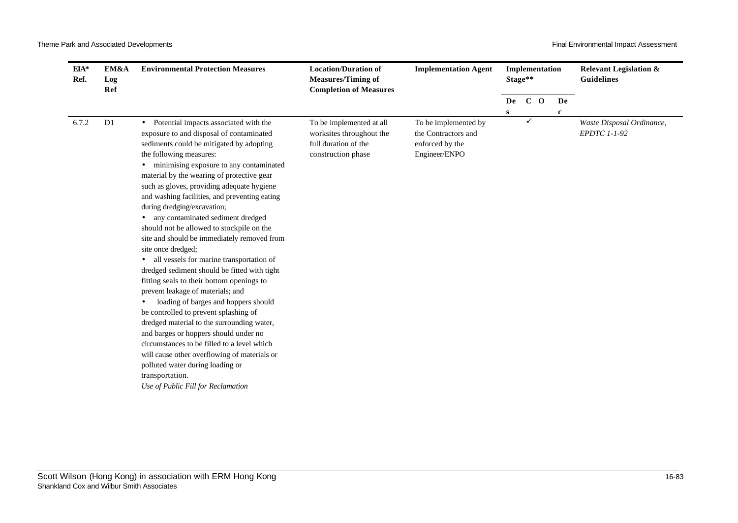| $EIA*$<br>Ref. | EM&A<br>Log<br>Ref | <b>Environmental Protection Measures</b>                                                                                                                                                                                                                                                                                                                                                                                                                                                                                                                                                                                                                                                                                                                                                                                                                                                                                                                                                                                                                                                                | <b>Location/Duration of</b><br><b>Measures/Timing of</b><br><b>Completion of Measures</b>          | <b>Implementation Agent</b>                                                     |         | Implementation<br>Stage** |       |                   | <b>Relevant Legislation &amp;</b><br><b>Guidelines</b> |
|----------------|--------------------|---------------------------------------------------------------------------------------------------------------------------------------------------------------------------------------------------------------------------------------------------------------------------------------------------------------------------------------------------------------------------------------------------------------------------------------------------------------------------------------------------------------------------------------------------------------------------------------------------------------------------------------------------------------------------------------------------------------------------------------------------------------------------------------------------------------------------------------------------------------------------------------------------------------------------------------------------------------------------------------------------------------------------------------------------------------------------------------------------------|----------------------------------------------------------------------------------------------------|---------------------------------------------------------------------------------|---------|---------------------------|-------|-------------------|--------------------------------------------------------|
|                |                    |                                                                                                                                                                                                                                                                                                                                                                                                                                                                                                                                                                                                                                                                                                                                                                                                                                                                                                                                                                                                                                                                                                         |                                                                                                    |                                                                                 | De<br>S |                           | $C$ O | De<br>$\mathbf c$ |                                                        |
| 6.7.2          | D <sub>1</sub>     | • Potential impacts associated with the<br>exposure to and disposal of contaminated<br>sediments could be mitigated by adopting<br>the following measures:<br>minimising exposure to any contaminated<br>material by the wearing of protective gear<br>such as gloves, providing adequate hygiene<br>and washing facilities, and preventing eating<br>during dredging/excavation;<br>any contaminated sediment dredged<br>should not be allowed to stockpile on the<br>site and should be immediately removed from<br>site once dredged;<br>all vessels for marine transportation of<br>$\bullet$<br>dredged sediment should be fitted with tight<br>fitting seals to their bottom openings to<br>prevent leakage of materials; and<br>loading of barges and hoppers should<br>be controlled to prevent splashing of<br>dredged material to the surrounding water,<br>and barges or hoppers should under no<br>circumstances to be filled to a level which<br>will cause other overflowing of materials or<br>polluted water during loading or<br>transportation.<br>Use of Public Fill for Reclamation | To be implemented at all<br>worksites throughout the<br>full duration of the<br>construction phase | To be implemented by<br>the Contractors and<br>enforced by the<br>Engineer/ENPO |         | ✓                         |       |                   | Waste Disposal Ordinance,<br>EPDTC 1-1-92              |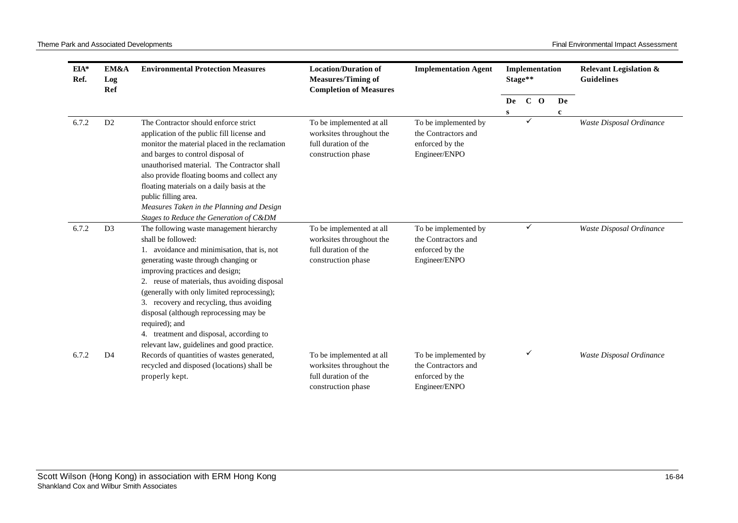| $EIA*$<br>Ref. | EM&A<br>Log<br>Ref | <b>Environmental Protection Measures</b>                                                                                                                                                                                                                                                                                                                                                                                                                                                                                              | <b>Location/Duration of</b><br><b>Measures/Timing of</b><br><b>Completion of Measures</b>          | <b>Implementation Agent</b>                                                     | Stage** | Implementation |    | <b>Relevant Legislation &amp;</b><br><b>Guidelines</b> |
|----------------|--------------------|---------------------------------------------------------------------------------------------------------------------------------------------------------------------------------------------------------------------------------------------------------------------------------------------------------------------------------------------------------------------------------------------------------------------------------------------------------------------------------------------------------------------------------------|----------------------------------------------------------------------------------------------------|---------------------------------------------------------------------------------|---------|----------------|----|--------------------------------------------------------|
|                |                    |                                                                                                                                                                                                                                                                                                                                                                                                                                                                                                                                       |                                                                                                    |                                                                                 | De      | $C$ O          | De |                                                        |
| 6.7.2          | D <sub>2</sub>     | The Contractor should enforce strict<br>application of the public fill license and<br>monitor the material placed in the reclamation<br>and barges to control disposal of<br>unauthorised material. The Contractor shall<br>also provide floating booms and collect any<br>floating materials on a daily basis at the<br>public filling area.<br>Measures Taken in the Planning and Design                                                                                                                                            | To be implemented at all<br>worksites throughout the<br>full duration of the<br>construction phase | To be implemented by<br>the Contractors and<br>enforced by the<br>Engineer/ENPO | s       | ✓              | c  | Waste Disposal Ordinance                               |
| 6.7.2          | D <sub>3</sub>     | Stages to Reduce the Generation of C&DM<br>The following waste management hierarchy<br>shall be followed:<br>1. avoidance and minimisation, that is, not<br>generating waste through changing or<br>improving practices and design;<br>2. reuse of materials, thus avoiding disposal<br>(generally with only limited reprocessing);<br>3. recovery and recycling, thus avoiding<br>disposal (although reprocessing may be<br>required); and<br>4. treatment and disposal, according to<br>relevant law, guidelines and good practice. | To be implemented at all<br>worksites throughout the<br>full duration of the<br>construction phase | To be implemented by<br>the Contractors and<br>enforced by the<br>Engineer/ENPO |         | ✓              |    | Waste Disposal Ordinance                               |
| 6.7.2          | D <sub>4</sub>     | Records of quantities of wastes generated,<br>recycled and disposed (locations) shall be<br>properly kept.                                                                                                                                                                                                                                                                                                                                                                                                                            | To be implemented at all<br>worksites throughout the<br>full duration of the<br>construction phase | To be implemented by<br>the Contractors and<br>enforced by the<br>Engineer/ENPO |         | ✓              |    | Waste Disposal Ordinance                               |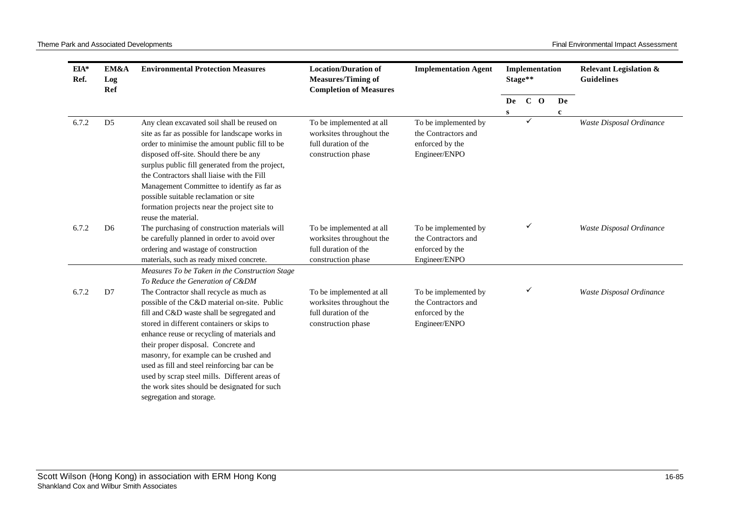| $EIA*$<br>Ref. | EM&A<br>Log<br>Ref | <b>Environmental Protection Measures</b>                                                                                                                                                                                                                                                                                                                                                                                                                                                           | <b>Location/Duration of</b><br><b>Measures/Timing of</b><br><b>Completion of Measures</b>          | <b>Implementation Agent</b>                                                     |                    | Stage** | Implementation |                   | <b>Relevant Legislation &amp;</b><br><b>Guidelines</b> |
|----------------|--------------------|----------------------------------------------------------------------------------------------------------------------------------------------------------------------------------------------------------------------------------------------------------------------------------------------------------------------------------------------------------------------------------------------------------------------------------------------------------------------------------------------------|----------------------------------------------------------------------------------------------------|---------------------------------------------------------------------------------|--------------------|---------|----------------|-------------------|--------------------------------------------------------|
|                |                    |                                                                                                                                                                                                                                                                                                                                                                                                                                                                                                    |                                                                                                    |                                                                                 | De<br>$\mathbf{s}$ | $C$ O   |                | De<br>$\mathbf c$ |                                                        |
| 6.7.2          | D <sub>5</sub>     | Any clean excavated soil shall be reused on<br>site as far as possible for landscape works in<br>order to minimise the amount public fill to be<br>disposed off-site. Should there be any<br>surplus public fill generated from the project,<br>the Contractors shall liaise with the Fill<br>Management Committee to identify as far as<br>possible suitable reclamation or site<br>formation projects near the project site to<br>reuse the material.                                            | To be implemented at all<br>worksites throughout the<br>full duration of the<br>construction phase | To be implemented by<br>the Contractors and<br>enforced by the<br>Engineer/ENPO |                    | ✓       |                |                   | Waste Disposal Ordinance                               |
| 6.7.2          | D <sub>6</sub>     | The purchasing of construction materials will<br>be carefully planned in order to avoid over<br>ordering and wastage of construction<br>materials, such as ready mixed concrete.                                                                                                                                                                                                                                                                                                                   | To be implemented at all<br>worksites throughout the<br>full duration of the<br>construction phase | To be implemented by<br>the Contractors and<br>enforced by the<br>Engineer/ENPO |                    | ✓       |                |                   | Waste Disposal Ordinance                               |
|                |                    | Measures To be Taken in the Construction Stage<br>To Reduce the Generation of C&DM                                                                                                                                                                                                                                                                                                                                                                                                                 |                                                                                                    |                                                                                 |                    |         |                |                   |                                                        |
| 6.7.2          | D7                 | The Contractor shall recycle as much as<br>possible of the C&D material on-site. Public<br>fill and C&D waste shall be segregated and<br>stored in different containers or skips to<br>enhance reuse or recycling of materials and<br>their proper disposal. Concrete and<br>masonry, for example can be crushed and<br>used as fill and steel reinforcing bar can be<br>used by scrap steel mills. Different areas of<br>the work sites should be designated for such<br>segregation and storage. | To be implemented at all<br>worksites throughout the<br>full duration of the<br>construction phase | To be implemented by<br>the Contractors and<br>enforced by the<br>Engineer/ENPO |                    |         |                |                   | Waste Disposal Ordinance                               |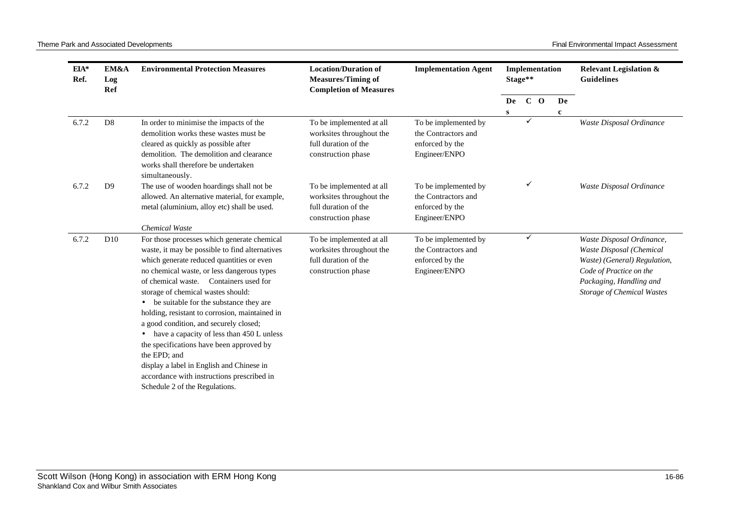Theme Park and Associated Developments **Final Environmental Impact Assessment** Final Environmental Impact Assessment

| $EIA*$<br>Ref. | EM&A<br>Log<br>Ref | <b>Environmental Protection Measures</b>                                                                                                                                                                                                                                                                                                                                                                                                                                                                                                                                                                                                                                                      | <b>Location/Duration of</b><br><b>Measures/Timing of</b><br><b>Completion of Measures</b>          | <b>Implementation Agent</b>                                                     |         | Stage** | Implementation |                    | <b>Relevant Legislation &amp;</b><br><b>Guidelines</b>                                                                                                                    |
|----------------|--------------------|-----------------------------------------------------------------------------------------------------------------------------------------------------------------------------------------------------------------------------------------------------------------------------------------------------------------------------------------------------------------------------------------------------------------------------------------------------------------------------------------------------------------------------------------------------------------------------------------------------------------------------------------------------------------------------------------------|----------------------------------------------------------------------------------------------------|---------------------------------------------------------------------------------|---------|---------|----------------|--------------------|---------------------------------------------------------------------------------------------------------------------------------------------------------------------------|
|                |                    |                                                                                                                                                                                                                                                                                                                                                                                                                                                                                                                                                                                                                                                                                               |                                                                                                    |                                                                                 | De<br>S |         | $C$ O          | De<br>$\mathbf{c}$ |                                                                                                                                                                           |
| 6.7.2          | D <sub>8</sub>     | In order to minimise the impacts of the<br>demolition works these wastes must be<br>cleared as quickly as possible after<br>demolition. The demolition and clearance<br>works shall therefore be undertaken<br>simultaneously.                                                                                                                                                                                                                                                                                                                                                                                                                                                                | To be implemented at all<br>worksites throughout the<br>full duration of the<br>construction phase | To be implemented by<br>the Contractors and<br>enforced by the<br>Engineer/ENPO |         | ✓       |                |                    | Waste Disposal Ordinance                                                                                                                                                  |
| 6.7.2          | D <sub>9</sub>     | The use of wooden hoardings shall not be<br>allowed. An alternative material, for example,<br>metal (aluminium, alloy etc) shall be used.                                                                                                                                                                                                                                                                                                                                                                                                                                                                                                                                                     | To be implemented at all<br>worksites throughout the<br>full duration of the<br>construction phase | To be implemented by<br>the Contractors and<br>enforced by the<br>Engineer/ENPO |         |         |                |                    | Waste Disposal Ordinance                                                                                                                                                  |
| 6.7.2          | D10                | <b>Chemical Waste</b><br>For those processes which generate chemical<br>waste, it may be possible to find alternatives<br>which generate reduced quantities or even<br>no chemical waste, or less dangerous types<br>Containers used for<br>of chemical waste.<br>storage of chemical wastes should:<br>be suitable for the substance they are<br>$\bullet$<br>holding, resistant to corrosion, maintained in<br>a good condition, and securely closed;<br>have a capacity of less than 450 L unless<br>the specifications have been approved by<br>the EPD; and<br>display a label in English and Chinese in<br>accordance with instructions prescribed in<br>Schedule 2 of the Regulations. | To be implemented at all<br>worksites throughout the<br>full duration of the<br>construction phase | To be implemented by<br>the Contractors and<br>enforced by the<br>Engineer/ENPO |         | ✓       |                |                    | Waste Disposal Ordinance,<br>Waste Disposal (Chemical<br>Waste) (General) Regulation,<br>Code of Practice on the<br>Packaging, Handling and<br>Storage of Chemical Wastes |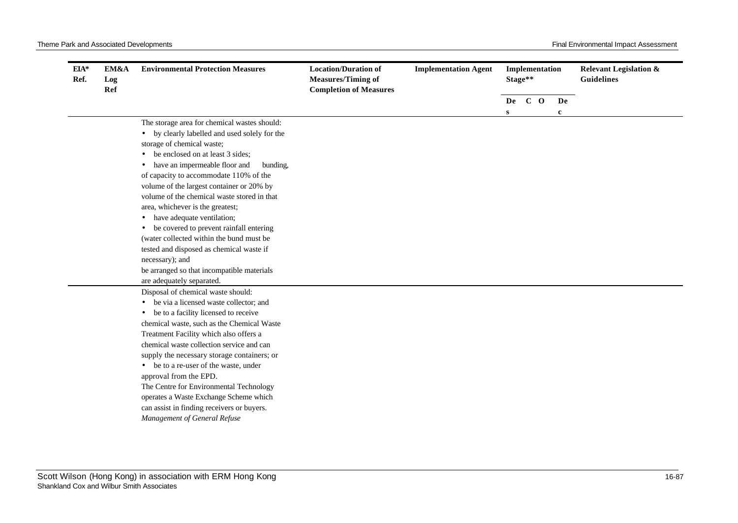| $EIA*$<br>Ref.<br>Log<br>Ref | EM&A | <b>Environmental Protection Measures</b>                                       | <b>Location/Duration of</b><br><b>Measures/Timing of</b><br><b>Completion of Measures</b> | <b>Implementation Agent</b> |   | Implementation<br>Stage** |             | <b>Relevant Legislation &amp;</b><br><b>Guidelines</b> |
|------------------------------|------|--------------------------------------------------------------------------------|-------------------------------------------------------------------------------------------|-----------------------------|---|---------------------------|-------------|--------------------------------------------------------|
|                              |      |                                                                                |                                                                                           |                             |   | De C O                    | De          |                                                        |
|                              |      | The storage area for chemical wastes should:                                   |                                                                                           |                             | S |                           | $\mathbf c$ |                                                        |
|                              |      | • by clearly labelled and used solely for the                                  |                                                                                           |                             |   |                           |             |                                                        |
|                              |      | storage of chemical waste;                                                     |                                                                                           |                             |   |                           |             |                                                        |
|                              |      | be enclosed on at least 3 sides;                                               |                                                                                           |                             |   |                           |             |                                                        |
|                              |      | have an impermeable floor and<br>bunding,                                      |                                                                                           |                             |   |                           |             |                                                        |
|                              |      | of capacity to accommodate 110% of the                                         |                                                                                           |                             |   |                           |             |                                                        |
|                              |      | volume of the largest container or 20% by                                      |                                                                                           |                             |   |                           |             |                                                        |
|                              |      | volume of the chemical waste stored in that                                    |                                                                                           |                             |   |                           |             |                                                        |
|                              |      | area, whichever is the greatest;                                               |                                                                                           |                             |   |                           |             |                                                        |
|                              |      | have adequate ventilation;<br>$\bullet$                                        |                                                                                           |                             |   |                           |             |                                                        |
|                              |      | be covered to prevent rainfall entering<br>$\bullet$                           |                                                                                           |                             |   |                           |             |                                                        |
|                              |      | (water collected within the bund must be                                       |                                                                                           |                             |   |                           |             |                                                        |
|                              |      | tested and disposed as chemical waste if                                       |                                                                                           |                             |   |                           |             |                                                        |
|                              |      | necessary); and                                                                |                                                                                           |                             |   |                           |             |                                                        |
|                              |      | be arranged so that incompatible materials                                     |                                                                                           |                             |   |                           |             |                                                        |
|                              |      | are adequately separated.                                                      |                                                                                           |                             |   |                           |             |                                                        |
|                              |      | Disposal of chemical waste should:                                             |                                                                                           |                             |   |                           |             |                                                        |
|                              |      | be via a licensed waste collector; and<br>be to a facility licensed to receive |                                                                                           |                             |   |                           |             |                                                        |
|                              |      | $\bullet$<br>chemical waste, such as the Chemical Waste                        |                                                                                           |                             |   |                           |             |                                                        |
|                              |      | Treatment Facility which also offers a                                         |                                                                                           |                             |   |                           |             |                                                        |
|                              |      | chemical waste collection service and can                                      |                                                                                           |                             |   |                           |             |                                                        |
|                              |      | supply the necessary storage containers; or                                    |                                                                                           |                             |   |                           |             |                                                        |
|                              |      | • be to a re-user of the waste, under                                          |                                                                                           |                             |   |                           |             |                                                        |
|                              |      | approval from the EPD.                                                         |                                                                                           |                             |   |                           |             |                                                        |
|                              |      | The Centre for Environmental Technology                                        |                                                                                           |                             |   |                           |             |                                                        |
|                              |      | operates a Waste Exchange Scheme which                                         |                                                                                           |                             |   |                           |             |                                                        |
|                              |      | can assist in finding receivers or buyers.                                     |                                                                                           |                             |   |                           |             |                                                        |
|                              |      | Management of General Refuse                                                   |                                                                                           |                             |   |                           |             |                                                        |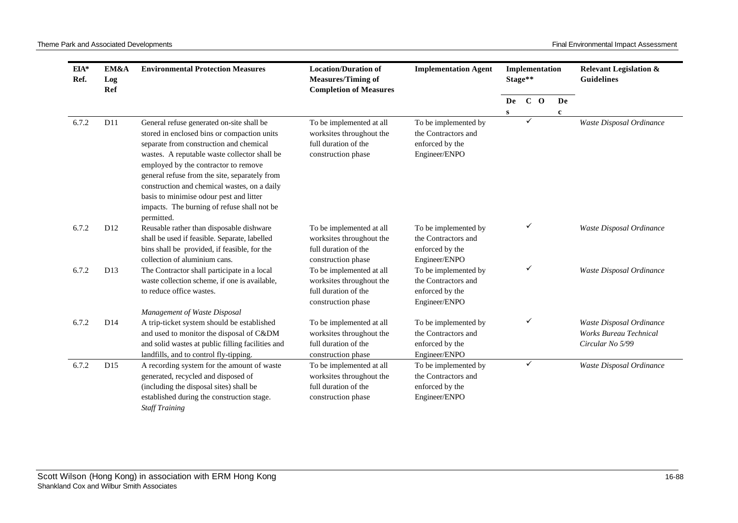| $EIA*$<br>Ref. | EM&A<br>Log<br>Ref | <b>Environmental Protection Measures</b>                                                                                                                                                                                                                                                                                                                                                                                             | <b>Location/Duration of</b><br><b>Measures/Timing of</b><br><b>Completion of Measures</b>          | <b>Implementation Agent</b>                                                     |    | Implementation<br>Stage** |             | <b>Guidelines</b>                                                             |  | <b>Relevant Legislation &amp;</b> |
|----------------|--------------------|--------------------------------------------------------------------------------------------------------------------------------------------------------------------------------------------------------------------------------------------------------------------------------------------------------------------------------------------------------------------------------------------------------------------------------------|----------------------------------------------------------------------------------------------------|---------------------------------------------------------------------------------|----|---------------------------|-------------|-------------------------------------------------------------------------------|--|-----------------------------------|
|                |                    |                                                                                                                                                                                                                                                                                                                                                                                                                                      |                                                                                                    |                                                                                 | De | $C$ O                     | De          |                                                                               |  |                                   |
| 6.7.2          | D11                | General refuse generated on-site shall be<br>stored in enclosed bins or compaction units<br>separate from construction and chemical<br>wastes. A reputable waste collector shall be<br>employed by the contractor to remove<br>general refuse from the site, separately from<br>construction and chemical wastes, on a daily<br>basis to minimise odour pest and litter<br>impacts. The burning of refuse shall not be<br>permitted. | To be implemented at all<br>worksites throughout the<br>full duration of the<br>construction phase | To be implemented by<br>the Contractors and<br>enforced by the<br>Engineer/ENPO | S  | ✓                         | $\mathbf c$ | Waste Disposal Ordinance                                                      |  |                                   |
| 6.7.2          | D <sub>12</sub>    | Reusable rather than disposable dishware<br>shall be used if feasible. Separate, labelled<br>bins shall be provided, if feasible, for the<br>collection of aluminium cans.                                                                                                                                                                                                                                                           | To be implemented at all<br>worksites throughout the<br>full duration of the<br>construction phase | To be implemented by<br>the Contractors and<br>enforced by the<br>Engineer/ENPO |    | ✓                         |             | Waste Disposal Ordinance                                                      |  |                                   |
| 6.7.2          | D <sub>13</sub>    | The Contractor shall participate in a local<br>waste collection scheme, if one is available,<br>to reduce office wastes.                                                                                                                                                                                                                                                                                                             | To be implemented at all<br>worksites throughout the<br>full duration of the<br>construction phase | To be implemented by<br>the Contractors and<br>enforced by the<br>Engineer/ENPO |    | ✓                         |             | Waste Disposal Ordinance                                                      |  |                                   |
| 6.7.2          | D14                | Management of Waste Disposal<br>A trip-ticket system should be established<br>and used to monitor the disposal of C&DM<br>and solid wastes at public filling facilities and<br>landfills, and to control fly-tipping.                                                                                                                                                                                                                | To be implemented at all<br>worksites throughout the<br>full duration of the<br>construction phase | To be implemented by<br>the Contractors and<br>enforced by the<br>Engineer/ENPO |    | ✓                         |             | Waste Disposal Ordinance<br><b>Works Bureau Technical</b><br>Circular No 5/99 |  |                                   |
| 6.7.2          | D15                | A recording system for the amount of waste<br>generated, recycled and disposed of<br>(including the disposal sites) shall be<br>established during the construction stage.<br><b>Staff Training</b>                                                                                                                                                                                                                                  | To be implemented at all<br>worksites throughout the<br>full duration of the<br>construction phase | To be implemented by<br>the Contractors and<br>enforced by the<br>Engineer/ENPO |    | $\checkmark$              |             | Waste Disposal Ordinance                                                      |  |                                   |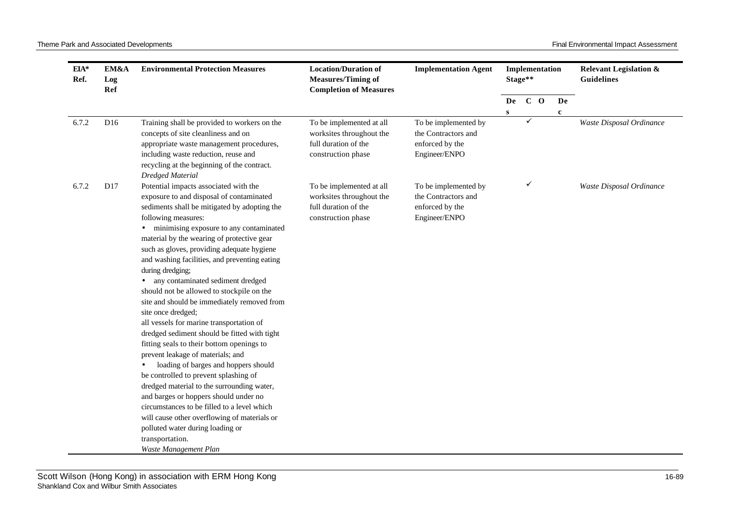| $EIA*$<br>Ref. | EM&A<br>Log<br><b>Ref</b> | <b>Environmental Protection Measures</b>                                                                                                                                                                                                                                                                                                                                                                                                                                                                                                                                                                                                                                                                                                                                                                                                                                                                                                                                                                                                                                      | <b>Location/Duration of</b><br><b>Measures/Timing of</b><br><b>Completion of Measures</b>          | <b>Implementation Agent</b>                                                     |    | Implementation<br>Stage** |  |             | <b>Relevant Legislation &amp;</b><br><b>Guidelines</b> |
|----------------|---------------------------|-------------------------------------------------------------------------------------------------------------------------------------------------------------------------------------------------------------------------------------------------------------------------------------------------------------------------------------------------------------------------------------------------------------------------------------------------------------------------------------------------------------------------------------------------------------------------------------------------------------------------------------------------------------------------------------------------------------------------------------------------------------------------------------------------------------------------------------------------------------------------------------------------------------------------------------------------------------------------------------------------------------------------------------------------------------------------------|----------------------------------------------------------------------------------------------------|---------------------------------------------------------------------------------|----|---------------------------|--|-------------|--------------------------------------------------------|
|                |                           |                                                                                                                                                                                                                                                                                                                                                                                                                                                                                                                                                                                                                                                                                                                                                                                                                                                                                                                                                                                                                                                                               |                                                                                                    |                                                                                 | De | $C$ O                     |  | De          |                                                        |
|                |                           |                                                                                                                                                                                                                                                                                                                                                                                                                                                                                                                                                                                                                                                                                                                                                                                                                                                                                                                                                                                                                                                                               |                                                                                                    |                                                                                 | S  |                           |  | $\mathbf c$ |                                                        |
| 6.7.2          | D <sub>16</sub>           | Training shall be provided to workers on the<br>concepts of site cleanliness and on<br>appropriate waste management procedures,<br>including waste reduction, reuse and<br>recycling at the beginning of the contract.<br><b>Dredged Material</b>                                                                                                                                                                                                                                                                                                                                                                                                                                                                                                                                                                                                                                                                                                                                                                                                                             | To be implemented at all<br>worksites throughout the<br>full duration of the<br>construction phase | To be implemented by<br>the Contractors and<br>enforced by the<br>Engineer/ENPO |    |                           |  |             | Waste Disposal Ordinance                               |
| 6.7.2          | D17                       | Potential impacts associated with the<br>exposure to and disposal of contaminated<br>sediments shall be mitigated by adopting the<br>following measures:<br>minimising exposure to any contaminated<br>$\bullet$<br>material by the wearing of protective gear<br>such as gloves, providing adequate hygiene<br>and washing facilities, and preventing eating<br>during dredging;<br>any contaminated sediment dredged<br>should not be allowed to stockpile on the<br>site and should be immediately removed from<br>site once dredged;<br>all vessels for marine transportation of<br>dredged sediment should be fitted with tight<br>fitting seals to their bottom openings to<br>prevent leakage of materials; and<br>loading of barges and hoppers should<br>be controlled to prevent splashing of<br>dredged material to the surrounding water,<br>and barges or hoppers should under no<br>circumstances to be filled to a level which<br>will cause other overflowing of materials or<br>polluted water during loading or<br>transportation.<br>Waste Management Plan | To be implemented at all<br>worksites throughout the<br>full duration of the<br>construction phase | To be implemented by<br>the Contractors and<br>enforced by the<br>Engineer/ENPO |    | ✓                         |  |             | Waste Disposal Ordinance                               |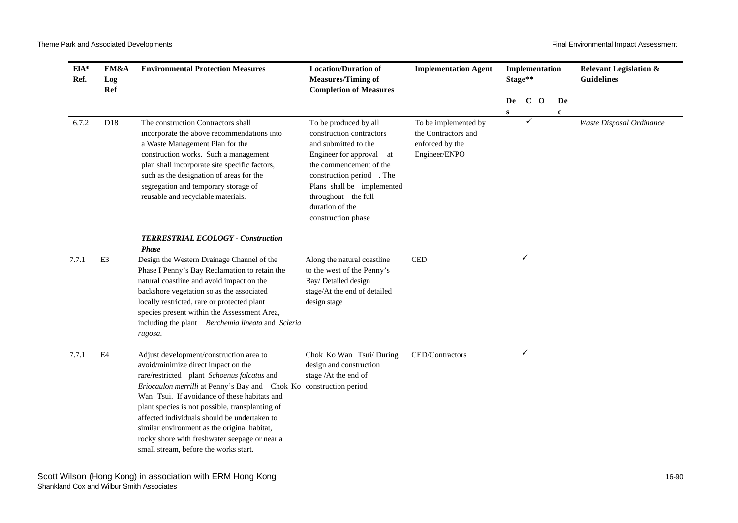| $EIA*$<br>Ref. | EM&A<br>Log<br><b>Ref</b> | <b>Environmental Protection Measures</b>                                                                                                                                                                                                                                                                                                                                                                                                                                                         | <b>Location/Duration of</b><br><b>Measures/Timing of</b><br><b>Completion of Measures</b>                                                                                                                                                                      | <b>Implementation Agent</b>                                                     |   | Implementation<br>Stage**<br>$C$ O<br>De |  | <b>Relevant Legislation &amp;</b><br><b>Guidelines</b> |                          |
|----------------|---------------------------|--------------------------------------------------------------------------------------------------------------------------------------------------------------------------------------------------------------------------------------------------------------------------------------------------------------------------------------------------------------------------------------------------------------------------------------------------------------------------------------------------|----------------------------------------------------------------------------------------------------------------------------------------------------------------------------------------------------------------------------------------------------------------|---------------------------------------------------------------------------------|---|------------------------------------------|--|--------------------------------------------------------|--------------------------|
|                |                           |                                                                                                                                                                                                                                                                                                                                                                                                                                                                                                  |                                                                                                                                                                                                                                                                |                                                                                 | S |                                          |  | De<br>$\mathbf c$                                      |                          |
| 6.7.2          | D18                       | The construction Contractors shall<br>incorporate the above recommendations into<br>a Waste Management Plan for the<br>construction works. Such a management<br>plan shall incorporate site specific factors,<br>such as the designation of areas for the<br>segregation and temporary storage of<br>reusable and recyclable materials.                                                                                                                                                          | To be produced by all<br>construction contractors<br>and submitted to the<br>Engineer for approval<br>at<br>the commencement of the<br>construction period . The<br>Plans shall be implemented<br>throughout the full<br>duration of the<br>construction phase | To be implemented by<br>the Contractors and<br>enforced by the<br>Engineer/ENPO |   | $\checkmark$                             |  |                                                        | Waste Disposal Ordinance |
| 7.7.1          | E <sub>3</sub>            | <b>TERRESTRIAL ECOLOGY - Construction</b><br><b>Phase</b><br>Design the Western Drainage Channel of the<br>Phase I Penny's Bay Reclamation to retain the<br>natural coastline and avoid impact on the<br>backshore vegetation so as the associated<br>locally restricted, rare or protected plant<br>species present within the Assessment Area,<br>including the plant Berchemia lineata and Scleria<br>rugosa.                                                                                 | Along the natural coastline<br>to the west of the Penny's<br>Bay/ Detailed design<br>stage/At the end of detailed<br>design stage                                                                                                                              | <b>CED</b>                                                                      |   | ✓                                        |  |                                                        |                          |
| 7.7.1          | E4                        | Adjust development/construction area to<br>avoid/minimize direct impact on the<br>rare/restricted plant Schoenus falcatus and<br>Eriocaulon merrilli at Penny's Bay and Chok Ko construction period<br>Wan Tsui. If avoidance of these habitats and<br>plant species is not possible, transplanting of<br>affected individuals should be undertaken to<br>similar environment as the original habitat,<br>rocky shore with freshwater seepage or near a<br>small stream, before the works start. | Chok Ko Wan Tsui/ During<br>design and construction<br>stage /At the end of                                                                                                                                                                                    | CED/Contractors                                                                 |   | ✓                                        |  |                                                        |                          |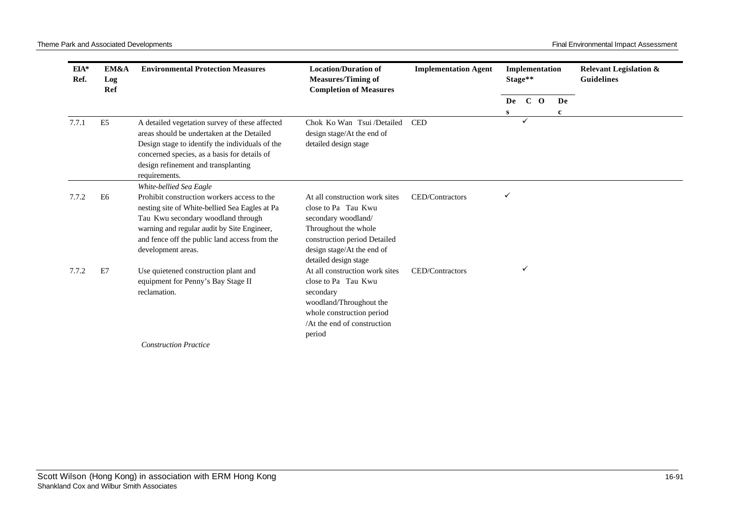| $EIA*$<br>Ref. | EM&A<br>Log<br>Ref | <b>Environmental Protection Measures</b><br><b>Location/Duration of</b><br><b>Measures/Timing of</b><br><b>Completion of Measures</b>                                                                                                                                                |                                                                                                                                                                                             | <b>Implementation Agent</b> |       | Stage**      | Implementation |   | <b>Relevant Legislation &amp;</b><br><b>Guidelines</b> |
|----------------|--------------------|--------------------------------------------------------------------------------------------------------------------------------------------------------------------------------------------------------------------------------------------------------------------------------------|---------------------------------------------------------------------------------------------------------------------------------------------------------------------------------------------|-----------------------------|-------|--------------|----------------|---|--------------------------------------------------------|
|                |                    |                                                                                                                                                                                                                                                                                      |                                                                                                                                                                                             | De                          | $C$ O |              | De             |   |                                                        |
|                |                    |                                                                                                                                                                                                                                                                                      |                                                                                                                                                                                             |                             | S     |              |                | c |                                                        |
| 7.7.1          | E <sub>5</sub>     | A detailed vegetation survey of these affected<br>areas should be undertaken at the Detailed<br>Design stage to identify the individuals of the<br>concerned species, as a basis for details of<br>design refinement and transplanting<br>requirements.                              | Chok Ko Wan Tsui /Detailed<br>design stage/At the end of<br>detailed design stage                                                                                                           | <b>CED</b>                  |       | ✓            |                |   |                                                        |
| 7.7.2          | E <sub>6</sub>     | White-bellied Sea Eagle<br>Prohibit construction workers access to the<br>nesting site of White-bellied Sea Eagles at Pa<br>Tau Kwu secondary woodland through<br>warning and regular audit by Site Engineer,<br>and fence off the public land access from the<br>development areas. | At all construction work sites<br>close to Pa Tau Kwu<br>secondary woodland/<br>Throughout the whole<br>construction period Detailed<br>design stage/At the end of<br>detailed design stage | CED/Contractors             |       |              |                |   |                                                        |
| 7.7.2          | E7                 | Use quietened construction plant and<br>equipment for Penny's Bay Stage II<br>reclamation.                                                                                                                                                                                           | At all construction work sites<br>close to Pa Tau Kwu<br>secondary<br>woodland/Throughout the<br>whole construction period<br>/At the end of construction<br>period                         | CED/Contractors             |       | $\checkmark$ |                |   |                                                        |
|                |                    | <b>Construction Practice</b>                                                                                                                                                                                                                                                         |                                                                                                                                                                                             |                             |       |              |                |   |                                                        |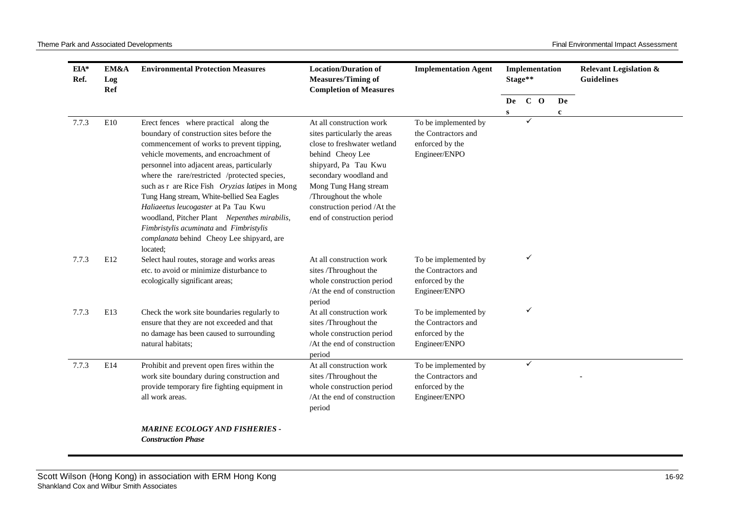| EIA*<br>Ref. | EM&A<br>Log<br>Ref | <b>Environmental Protection Measures</b>                                                                                                                                                                                                                                                                                                                                                                                                                                                                                                                    | <b>Location/Duration of</b><br><b>Measures/Timing of</b><br><b>Completion of Measures</b>                                                                                                                                                                                    | <b>Implementation Agent</b>                                                     | Stage**      | Implementation |             | <b>Relevant Legislation &amp;</b><br><b>Guidelines</b> |
|--------------|--------------------|-------------------------------------------------------------------------------------------------------------------------------------------------------------------------------------------------------------------------------------------------------------------------------------------------------------------------------------------------------------------------------------------------------------------------------------------------------------------------------------------------------------------------------------------------------------|------------------------------------------------------------------------------------------------------------------------------------------------------------------------------------------------------------------------------------------------------------------------------|---------------------------------------------------------------------------------|--------------|----------------|-------------|--------------------------------------------------------|
|              |                    |                                                                                                                                                                                                                                                                                                                                                                                                                                                                                                                                                             |                                                                                                                                                                                                                                                                              |                                                                                 | De           | C <sub>0</sub> | De          |                                                        |
| 7.7.3        | E10                | Erect fences where practical along the<br>boundary of construction sites before the<br>commencement of works to prevent tipping,<br>vehicle movements, and encroachment of<br>personnel into adjacent areas, particularly<br>where the rare/restricted /protected species,<br>such as r are Rice Fish Oryzias latipes in Mong<br>Tung Hang stream, White-bellied Sea Eagles<br>Haliaeetus leucogaster at Pa Tau Kwu<br>woodland, Pitcher Plant Nepenthes mirabilis,<br>Fimbristylis acuminata and Fimbristylis<br>complanata behind Cheoy Lee shipyard, are | At all construction work<br>sites particularly the areas<br>close to freshwater wetland<br>behind Cheoy Lee<br>shipyard, Pa Tau Kwu<br>secondary woodland and<br>Mong Tung Hang stream<br>/Throughout the whole<br>construction period /At the<br>end of construction period | To be implemented by<br>the Contractors and<br>enforced by the<br>Engineer/ENPO | $\mathbf{s}$ | ✓              | $\mathbf c$ |                                                        |
| 7.7.3        | E12                | located;<br>Select haul routes, storage and works areas<br>etc. to avoid or minimize disturbance to<br>ecologically significant areas;                                                                                                                                                                                                                                                                                                                                                                                                                      | At all construction work<br>sites /Throughout the<br>whole construction period<br>/At the end of construction<br>period                                                                                                                                                      | To be implemented by<br>the Contractors and<br>enforced by the<br>Engineer/ENPO |              | ✓              |             |                                                        |
| 7.7.3        | E13                | Check the work site boundaries regularly to<br>ensure that they are not exceeded and that<br>no damage has been caused to surrounding<br>natural habitats;                                                                                                                                                                                                                                                                                                                                                                                                  | At all construction work<br>sites /Throughout the<br>whole construction period<br>/At the end of construction<br>period                                                                                                                                                      | To be implemented by<br>the Contractors and<br>enforced by the<br>Engineer/ENPO |              | ✓              |             |                                                        |
| 7.7.3        | E14                | Prohibit and prevent open fires within the<br>work site boundary during construction and<br>provide temporary fire fighting equipment in<br>all work areas.                                                                                                                                                                                                                                                                                                                                                                                                 | At all construction work<br>sites /Throughout the<br>whole construction period<br>/At the end of construction<br>period                                                                                                                                                      | To be implemented by<br>the Contractors and<br>enforced by the<br>Engineer/ENPO |              | $\checkmark$   |             |                                                        |
|              |                    | <b>MARINE ECOLOGY AND FISHERIES -</b><br><b>Construction Phase</b>                                                                                                                                                                                                                                                                                                                                                                                                                                                                                          |                                                                                                                                                                                                                                                                              |                                                                                 |              |                |             |                                                        |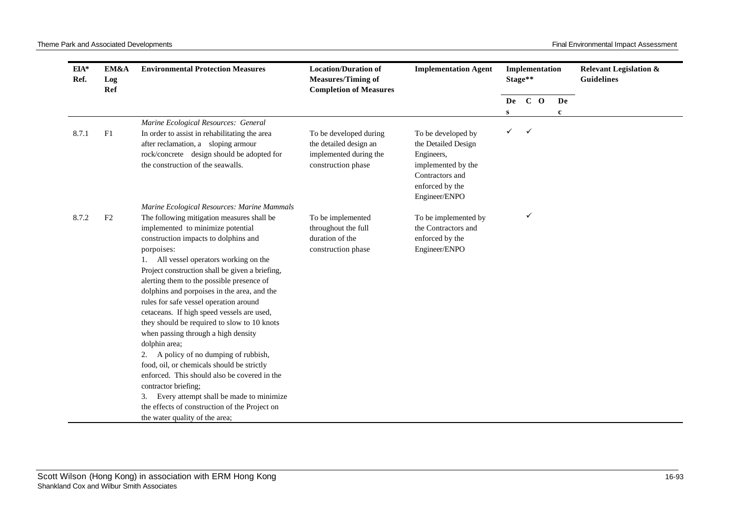| $EIA*$<br>Ref. | EM&A<br>Log<br>Ref | <b>Environmental Protection Measures</b>                                                  | <b>Location/Duration of</b><br><b>Measures/Timing of</b><br><b>Completion of Measures</b> | <b>Implementation Agent</b> |   | Implementation<br>Stage** |  |             | <b>Relevant Legislation &amp;</b><br><b>Guidelines</b> |
|----------------|--------------------|-------------------------------------------------------------------------------------------|-------------------------------------------------------------------------------------------|-----------------------------|---|---------------------------|--|-------------|--------------------------------------------------------|
|                |                    |                                                                                           |                                                                                           |                             |   | De C O                    |  | De          |                                                        |
|                |                    |                                                                                           |                                                                                           |                             | s |                           |  | $\mathbf c$ |                                                        |
|                |                    | Marine Ecological Resources: General                                                      |                                                                                           |                             |   |                           |  |             |                                                        |
| 8.7.1          | F1                 | In order to assist in rehabilitating the area                                             | To be developed during                                                                    | To be developed by          | ✓ | $\checkmark$              |  |             |                                                        |
|                |                    | after reclamation, a sloping armour                                                       | the detailed design an                                                                    | the Detailed Design         |   |                           |  |             |                                                        |
|                |                    | rock/concrete design should be adopted for                                                | implemented during the                                                                    | Engineers,                  |   |                           |  |             |                                                        |
|                |                    | the construction of the seawalls.                                                         | construction phase                                                                        | implemented by the          |   |                           |  |             |                                                        |
|                |                    |                                                                                           |                                                                                           | Contractors and             |   |                           |  |             |                                                        |
|                |                    |                                                                                           |                                                                                           | enforced by the             |   |                           |  |             |                                                        |
|                |                    |                                                                                           |                                                                                           | Engineer/ENPO               |   |                           |  |             |                                                        |
| 8.7.2          | F2                 | Marine Ecological Resources: Marine Mammals<br>The following mitigation measures shall be | To be implemented                                                                         | To be implemented by        |   | ✓                         |  |             |                                                        |
|                |                    | implemented to minimize potential                                                         | throughout the full                                                                       | the Contractors and         |   |                           |  |             |                                                        |
|                |                    | construction impacts to dolphins and                                                      | duration of the                                                                           | enforced by the             |   |                           |  |             |                                                        |
|                |                    | porpoises:                                                                                | construction phase                                                                        | Engineer/ENPO               |   |                           |  |             |                                                        |
|                |                    | 1. All vessel operators working on the                                                    |                                                                                           |                             |   |                           |  |             |                                                        |
|                |                    | Project construction shall be given a briefing,                                           |                                                                                           |                             |   |                           |  |             |                                                        |
|                |                    | alerting them to the possible presence of                                                 |                                                                                           |                             |   |                           |  |             |                                                        |
|                |                    | dolphins and porpoises in the area, and the                                               |                                                                                           |                             |   |                           |  |             |                                                        |
|                |                    | rules for safe vessel operation around                                                    |                                                                                           |                             |   |                           |  |             |                                                        |
|                |                    | cetaceans. If high speed vessels are used,                                                |                                                                                           |                             |   |                           |  |             |                                                        |
|                |                    | they should be required to slow to 10 knots                                               |                                                                                           |                             |   |                           |  |             |                                                        |
|                |                    | when passing through a high density                                                       |                                                                                           |                             |   |                           |  |             |                                                        |
|                |                    | dolphin area;                                                                             |                                                                                           |                             |   |                           |  |             |                                                        |
|                |                    | A policy of no dumping of rubbish,<br>2.                                                  |                                                                                           |                             |   |                           |  |             |                                                        |
|                |                    | food, oil, or chemicals should be strictly                                                |                                                                                           |                             |   |                           |  |             |                                                        |
|                |                    | enforced. This should also be covered in the<br>contractor briefing;                      |                                                                                           |                             |   |                           |  |             |                                                        |
|                |                    | Every attempt shall be made to minimize<br>3.                                             |                                                                                           |                             |   |                           |  |             |                                                        |
|                |                    | the effects of construction of the Project on                                             |                                                                                           |                             |   |                           |  |             |                                                        |
|                |                    | the water quality of the area;                                                            |                                                                                           |                             |   |                           |  |             |                                                        |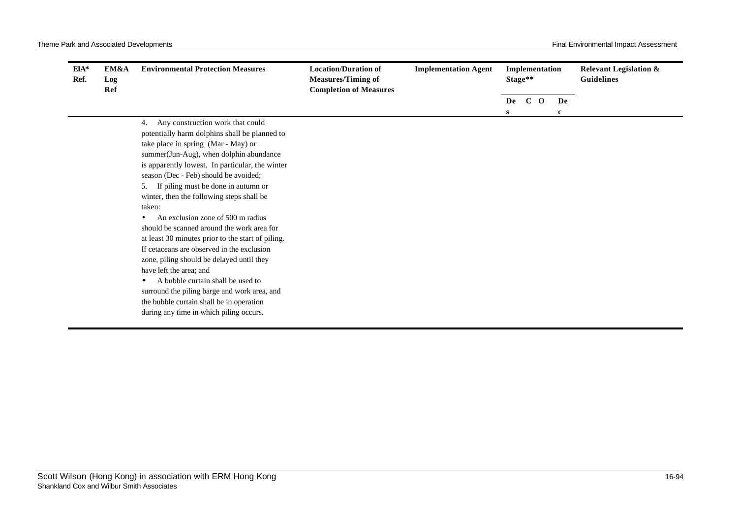| $EIA*$<br>Ref. | EM&A<br>Log<br>Ref | <b>Environmental Protection Measures</b>                                                                                                                                                              | <b>Location/Duration of</b><br><b>Measures/Timing of</b><br><b>Completion of Measures</b> | <b>Implementation Agent</b> | Stage** | Implementation |             | <b>Relevant Legislation &amp;</b><br><b>Guidelines</b> |
|----------------|--------------------|-------------------------------------------------------------------------------------------------------------------------------------------------------------------------------------------------------|-------------------------------------------------------------------------------------------|-----------------------------|---------|----------------|-------------|--------------------------------------------------------|
|                |                    |                                                                                                                                                                                                       |                                                                                           |                             | De      | $C$ O          | De          |                                                        |
|                |                    | Any construction work that could<br>4.<br>potentially harm dolphins shall be planned to<br>take place in spring (Mar - May) or<br>summer(Jun-Aug), when dolphin abundance                             |                                                                                           |                             | s       |                | $\mathbf c$ |                                                        |
|                |                    | is apparently lowest. In particular, the winter<br>season (Dec - Feb) should be avoided;<br>If piling must be done in autumn or<br>5.<br>winter, then the following steps shall be                    |                                                                                           |                             |         |                |             |                                                        |
|                |                    | taken:<br>An exclusion zone of 500 m radius<br>should be scanned around the work area for<br>at least 30 minutes prior to the start of piling.<br>If cetaceans are observed in the exclusion          |                                                                                           |                             |         |                |             |                                                        |
|                |                    | zone, piling should be delayed until they<br>have left the area; and<br>A bubble curtain shall be used to<br>surround the piling barge and work area, and<br>the bubble curtain shall be in operation |                                                                                           |                             |         |                |             |                                                        |
|                |                    | during any time in which piling occurs.                                                                                                                                                               |                                                                                           |                             |         |                |             |                                                        |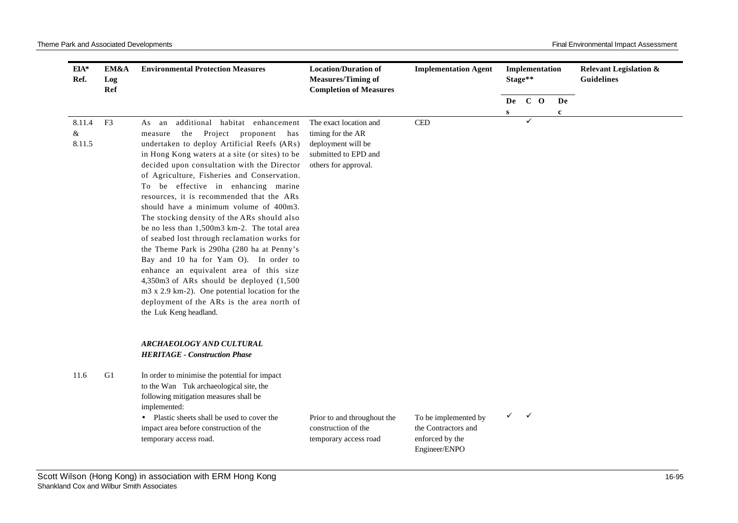| EIA*<br>Ref. | EM&A<br>Log<br>Ref | <b>Environmental Protection Measures</b>                                            | <b>Location/Duration of</b><br><b>Measures/Timing of</b><br><b>Completion of Measures</b> | <b>Implementation Agent</b> |   | Stage**      | Implementation |    | <b>Relevant Legislation &amp;</b><br><b>Guidelines</b> |
|--------------|--------------------|-------------------------------------------------------------------------------------|-------------------------------------------------------------------------------------------|-----------------------------|---|--------------|----------------|----|--------------------------------------------------------|
|              |                    |                                                                                     |                                                                                           |                             |   | De C O       |                | De |                                                        |
|              |                    |                                                                                     |                                                                                           |                             | S |              |                | c  |                                                        |
| 8.11.4       | F <sub>3</sub>     | additional habitat enhancement<br>As an                                             | The exact location and                                                                    | <b>CED</b>                  |   | ✓            |                |    |                                                        |
| $\&$         |                    | Project<br>the<br>proponent has<br>measure                                          | timing for the AR                                                                         |                             |   |              |                |    |                                                        |
| 8.11.5       |                    | undertaken to deploy Artificial Reefs (ARs)                                         | deployment will be                                                                        |                             |   |              |                |    |                                                        |
|              |                    | in Hong Kong waters at a site (or sites) to be                                      | submitted to EPD and                                                                      |                             |   |              |                |    |                                                        |
|              |                    | decided upon consultation with the Director                                         | others for approval.                                                                      |                             |   |              |                |    |                                                        |
|              |                    | of Agriculture, Fisheries and Conservation.                                         |                                                                                           |                             |   |              |                |    |                                                        |
|              |                    | To be effective in enhancing marine                                                 |                                                                                           |                             |   |              |                |    |                                                        |
|              |                    | resources, it is recommended that the ARs<br>should have a minimum volume of 400m3. |                                                                                           |                             |   |              |                |    |                                                        |
|              |                    | The stocking density of the ARs should also                                         |                                                                                           |                             |   |              |                |    |                                                        |
|              |                    | be no less than 1,500m3 km-2. The total area                                        |                                                                                           |                             |   |              |                |    |                                                        |
|              |                    | of seabed lost through reclamation works for                                        |                                                                                           |                             |   |              |                |    |                                                        |
|              |                    | the Theme Park is 290ha (280 ha at Penny's                                          |                                                                                           |                             |   |              |                |    |                                                        |
|              |                    | Bay and 10 ha for Yam O). In order to                                               |                                                                                           |                             |   |              |                |    |                                                        |
|              |                    | enhance an equivalent area of this size                                             |                                                                                           |                             |   |              |                |    |                                                        |
|              |                    | 4,350m3 of ARs should be deployed (1,500                                            |                                                                                           |                             |   |              |                |    |                                                        |
|              |                    | m3 x 2.9 km-2). One potential location for the                                      |                                                                                           |                             |   |              |                |    |                                                        |
|              |                    | deployment of the ARs is the area north of                                          |                                                                                           |                             |   |              |                |    |                                                        |
|              |                    | the Luk Keng headland.                                                              |                                                                                           |                             |   |              |                |    |                                                        |
|              |                    | ARCHAEOLOGY AND CULTURAL                                                            |                                                                                           |                             |   |              |                |    |                                                        |
|              |                    | <b>HERITAGE - Construction Phase</b>                                                |                                                                                           |                             |   |              |                |    |                                                        |
| 11.6         | G1                 | In order to minimise the potential for impact                                       |                                                                                           |                             |   |              |                |    |                                                        |
|              |                    | to the Wan Tuk archaeological site, the                                             |                                                                                           |                             |   |              |                |    |                                                        |
|              |                    | following mitigation measures shall be<br>implemented:                              |                                                                                           |                             |   |              |                |    |                                                        |
|              |                    | • Plastic sheets shall be used to cover the                                         | Prior to and throughout the                                                               | To be implemented by        | ✓ | $\checkmark$ |                |    |                                                        |
|              |                    | impact area before construction of the                                              | construction of the                                                                       | the Contractors and         |   |              |                |    |                                                        |
|              |                    | temporary access road.                                                              | temporary access road                                                                     | enforced by the             |   |              |                |    |                                                        |
|              |                    |                                                                                     |                                                                                           | Engineer/ENPO               |   |              |                |    |                                                        |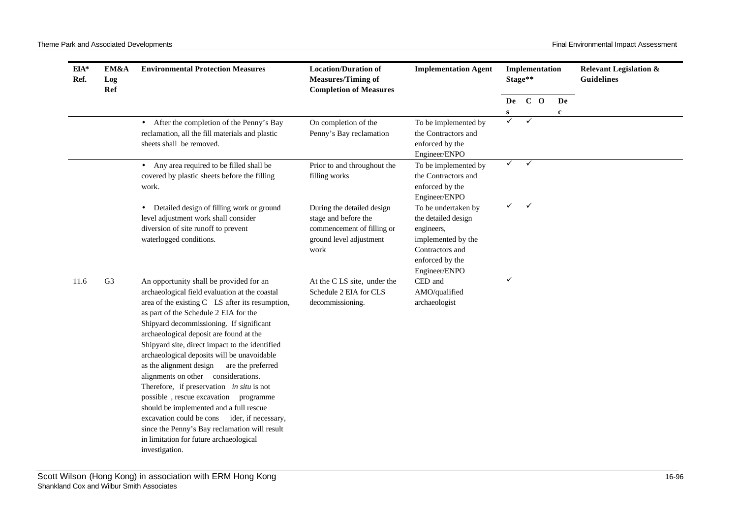| $EIA*$<br>Ref. | EM&A<br>Log<br>Ref | <b>Environmental Protection Measures</b>                                                                                                                                                                                                                                                                                                                                                                                                                                                                                                                                                                                                                                                                                                                            | <b>Location/Duration of</b><br><b>Measures/Timing of</b><br><b>Completion of Measures</b>                           | <b>Implementation Agent</b>                                                                                                           |                   | Implementation<br>Stage** |             | <b>Relevant Legislation &amp;</b><br><b>Guidelines</b> |
|----------------|--------------------|---------------------------------------------------------------------------------------------------------------------------------------------------------------------------------------------------------------------------------------------------------------------------------------------------------------------------------------------------------------------------------------------------------------------------------------------------------------------------------------------------------------------------------------------------------------------------------------------------------------------------------------------------------------------------------------------------------------------------------------------------------------------|---------------------------------------------------------------------------------------------------------------------|---------------------------------------------------------------------------------------------------------------------------------------|-------------------|---------------------------|-------------|--------------------------------------------------------|
|                |                    |                                                                                                                                                                                                                                                                                                                                                                                                                                                                                                                                                                                                                                                                                                                                                                     |                                                                                                                     |                                                                                                                                       |                   | De C O                    | De          |                                                        |
|                |                    | • After the completion of the Penny's Bay                                                                                                                                                                                                                                                                                                                                                                                                                                                                                                                                                                                                                                                                                                                           | On completion of the                                                                                                | To be implemented by                                                                                                                  | S<br>$\checkmark$ | $\checkmark$              | $\mathbf c$ |                                                        |
|                |                    | reclamation, all the fill materials and plastic<br>sheets shall be removed.                                                                                                                                                                                                                                                                                                                                                                                                                                                                                                                                                                                                                                                                                         | Penny's Bay reclamation                                                                                             | the Contractors and<br>enforced by the<br>Engineer/ENPO                                                                               |                   |                           |             |                                                        |
|                |                    | • Any area required to be filled shall be<br>covered by plastic sheets before the filling<br>work.                                                                                                                                                                                                                                                                                                                                                                                                                                                                                                                                                                                                                                                                  | Prior to and throughout the<br>filling works                                                                        | To be implemented by<br>the Contractors and<br>enforced by the<br>Engineer/ENPO                                                       | $\checkmark$      | $\checkmark$              |             |                                                        |
|                |                    | • Detailed design of filling work or ground<br>level adjustment work shall consider<br>diversion of site runoff to prevent<br>waterlogged conditions.                                                                                                                                                                                                                                                                                                                                                                                                                                                                                                                                                                                                               | During the detailed design<br>stage and before the<br>commencement of filling or<br>ground level adjustment<br>work | To be undertaken by<br>the detailed design<br>engineers,<br>implemented by the<br>Contractors and<br>enforced by the<br>Engineer/ENPO | ✓                 | $\checkmark$              |             |                                                        |
| 11.6           | G <sub>3</sub>     | An opportunity shall be provided for an<br>archaeological field evaluation at the coastal<br>area of the existing C LS after its resumption,<br>as part of the Schedule 2 EIA for the<br>Shipyard decommissioning. If significant<br>archaeological deposit are found at the<br>Shipyard site, direct impact to the identified<br>archaeological deposits will be unavoidable<br>as the alignment design<br>are the preferred<br>alignments on other considerations.<br>Therefore, if preservation in situ is not<br>possible, rescue excavation programme<br>should be implemented and a full rescue<br>excavation could be cons ider, if necessary,<br>since the Penny's Bay reclamation will result<br>in limitation for future archaeological<br>investigation. | At the CLS site, under the<br>Schedule 2 EIA for CLS<br>decommissioning.                                            | CED and<br>AMO/qualified<br>archaeologist                                                                                             | ✓                 |                           |             |                                                        |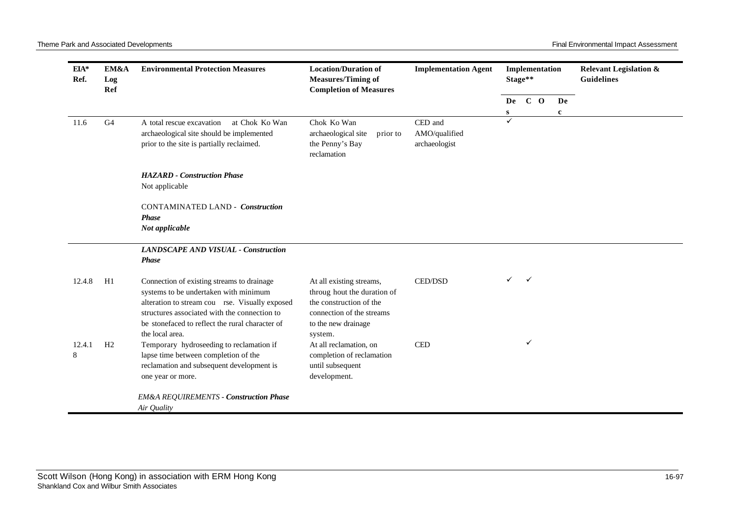| $EIA*$<br>Ref. | EM&A<br>Log<br>Ref | <b>Environmental Protection Measures</b>                                                                                                                                                                                                                    | <b>Location/Duration of</b><br><b>Measures/Timing of</b><br><b>Completion of Measures</b>                                              | <b>Implementation Agent</b>               |         | Implementation<br>Stage** |                   | <b>Relevant Legislation &amp;</b><br><b>Guidelines</b> |
|----------------|--------------------|-------------------------------------------------------------------------------------------------------------------------------------------------------------------------------------------------------------------------------------------------------------|----------------------------------------------------------------------------------------------------------------------------------------|-------------------------------------------|---------|---------------------------|-------------------|--------------------------------------------------------|
|                |                    |                                                                                                                                                                                                                                                             |                                                                                                                                        |                                           | De<br>S | $C$ O                     | De<br>$\mathbf c$ |                                                        |
| 11.6           | G <sub>4</sub>     | at Chok Ko Wan<br>A total rescue excavation<br>archaeological site should be implemented<br>prior to the site is partially reclaimed.                                                                                                                       | Chok Ko Wan<br>archaeological site<br>prior to<br>the Penny's Bay<br>reclamation                                                       | CED and<br>AMO/qualified<br>archaeologist |         |                           |                   |                                                        |
|                |                    | <b>HAZARD</b> - Construction Phase<br>Not applicable                                                                                                                                                                                                        |                                                                                                                                        |                                           |         |                           |                   |                                                        |
|                |                    | <b>CONTAMINATED LAND - Construction</b><br><b>Phase</b><br>Not applicable                                                                                                                                                                                   |                                                                                                                                        |                                           |         |                           |                   |                                                        |
|                |                    | <b>LANDSCAPE AND VISUAL - Construction</b><br><b>Phase</b>                                                                                                                                                                                                  |                                                                                                                                        |                                           |         |                           |                   |                                                        |
| 12.4.8         | H1                 | Connection of existing streams to drainage<br>systems to be undertaken with minimum<br>alteration to stream cou rse. Visually exposed<br>structures associated with the connection to<br>be stonefaced to reflect the rural character of<br>the local area. | At all existing streams,<br>throug hout the duration of<br>the construction of the<br>connection of the streams<br>to the new drainage | <b>CED/DSD</b>                            | ✓       | $\checkmark$              |                   |                                                        |
| 12.4.1<br>8    | H <sub>2</sub>     | Temporary hydroseeding to reclamation if<br>lapse time between completion of the<br>reclamation and subsequent development is<br>one year or more.                                                                                                          | system.<br>At all reclamation, on<br>completion of reclamation<br>until subsequent<br>development.                                     | <b>CED</b>                                |         | ✓                         |                   |                                                        |
|                |                    | <b>EM&amp;A REQUIREMENTS - Construction Phase</b><br>Air Quality                                                                                                                                                                                            |                                                                                                                                        |                                           |         |                           |                   |                                                        |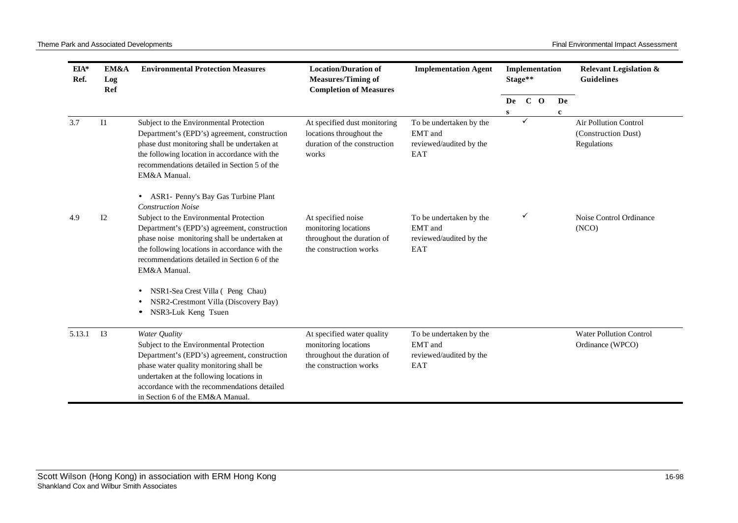| EIA*<br>Ref. | EM&A<br>Log<br>Ref | <b>Environmental Protection Measures</b>                                                                                                                                                                                                                                                                                       | <b>Location/Duration of</b><br><b>Measures/Timing of</b><br><b>Completion of Measures</b>                  | <b>Implementation Agent</b>                                          |         | Stage** | Implementation |                   | <b>Relevant Legislation &amp;</b><br><b>Guidelines</b>             |
|--------------|--------------------|--------------------------------------------------------------------------------------------------------------------------------------------------------------------------------------------------------------------------------------------------------------------------------------------------------------------------------|------------------------------------------------------------------------------------------------------------|----------------------------------------------------------------------|---------|---------|----------------|-------------------|--------------------------------------------------------------------|
|              |                    |                                                                                                                                                                                                                                                                                                                                |                                                                                                            |                                                                      | De<br>S |         | $C$ O          | De<br>$\mathbf c$ |                                                                    |
| 3.7          | $_{\rm II}$        | Subject to the Environmental Protection<br>Department's (EPD's) agreement, construction<br>phase dust monitoring shall be undertaken at<br>the following location in accordance with the<br>recommendations detailed in Section 5 of the<br>EM&A Manual.                                                                       | At specified dust monitoring<br>locations throughout the<br>duration of the construction<br>works          | To be undertaken by the<br>EMT and<br>reviewed/audited by the<br>EAT |         | ✓       |                |                   | <b>Air Pollution Control</b><br>(Construction Dust)<br>Regulations |
| 4.9          | 12                 | ASR1- Penny's Bay Gas Turbine Plant<br><b>Construction Noise</b><br>Subject to the Environmental Protection<br>Department's (EPD's) agreement, construction<br>phase noise monitoring shall be undertaken at<br>the following locations in accordance with the<br>recommendations detailed in Section 6 of the<br>EM&A Manual. | At specified noise<br>monitoring locations<br>throughout the duration of<br>the construction works         | To be undertaken by the<br>EMT and<br>reviewed/audited by the<br>EAT |         | ✓       |                |                   | Noise Control Ordinance<br>(NCO)                                   |
|              |                    | NSR1-Sea Crest Villa (Peng Chau)<br>$\bullet$<br>NSR2-Crestmont Villa (Discovery Bay)<br>NSR3-Luk Keng Tsuen                                                                                                                                                                                                                   |                                                                                                            |                                                                      |         |         |                |                   |                                                                    |
| 5.13.1       | I3                 | Water Quality<br>Subject to the Environmental Protection<br>Department's (EPD's) agreement, construction<br>phase water quality monitoring shall be<br>undertaken at the following locations in<br>accordance with the recommendations detailed<br>in Section 6 of the EM&A Manual.                                            | At specified water quality<br>monitoring locations<br>throughout the duration of<br>the construction works | To be undertaken by the<br>EMT and<br>reviewed/audited by the<br>EAT |         |         |                |                   | <b>Water Pollution Control</b><br>Ordinance (WPCO)                 |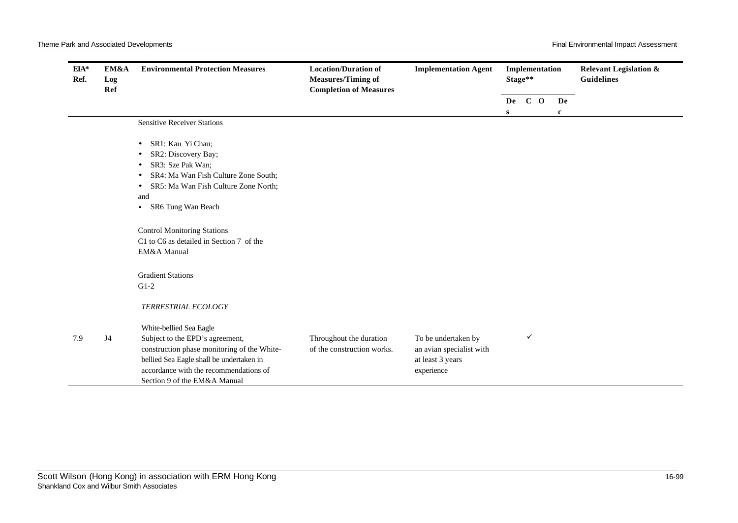| $EIA*$<br>Ref. | EM&A<br>Log<br>Ref | <b>Environmental Protection Measures</b>                                                                                                                                                                                                                                  | <b>Location/Duration of</b><br><b>Measures/Timing of</b><br><b>Completion of Measures</b> | <b>Implementation Agent</b>                                                       |   | Implementation<br>Stage** |                   | <b>Relevant Legislation &amp;</b><br><b>Guidelines</b> |
|----------------|--------------------|---------------------------------------------------------------------------------------------------------------------------------------------------------------------------------------------------------------------------------------------------------------------------|-------------------------------------------------------------------------------------------|-----------------------------------------------------------------------------------|---|---------------------------|-------------------|--------------------------------------------------------|
|                |                    |                                                                                                                                                                                                                                                                           |                                                                                           |                                                                                   | S | De C O                    | De<br>$\mathbf c$ |                                                        |
|                |                    | <b>Sensitive Receiver Stations</b>                                                                                                                                                                                                                                        |                                                                                           |                                                                                   |   |                           |                   |                                                        |
|                |                    | SR1: Kau Yi Chau;<br>SR2: Discovery Bay;<br>SR3: Sze Pak Wan;<br>SR4: Ma Wan Fish Culture Zone South;<br>SR5: Ma Wan Fish Culture Zone North;<br>and<br>SR6 Tung Wan Beach<br>$\bullet$<br><b>Control Monitoring Stations</b><br>C1 to C6 as detailed in Section 7 of the |                                                                                           |                                                                                   |   |                           |                   |                                                        |
|                |                    | EM&A Manual<br><b>Gradient Stations</b><br>$G1-2$<br>TERRESTRIAL ECOLOGY                                                                                                                                                                                                  |                                                                                           |                                                                                   |   |                           |                   |                                                        |
| 7.9            | J <sub>4</sub>     | White-bellied Sea Eagle<br>Subject to the EPD's agreement,<br>construction phase monitoring of the White-<br>bellied Sea Eagle shall be undertaken in<br>accordance with the recommendations of<br>Section 9 of the EM&A Manual                                           | Throughout the duration<br>of the construction works.                                     | To be undertaken by<br>an avian specialist with<br>at least 3 years<br>experience |   | ✓                         |                   |                                                        |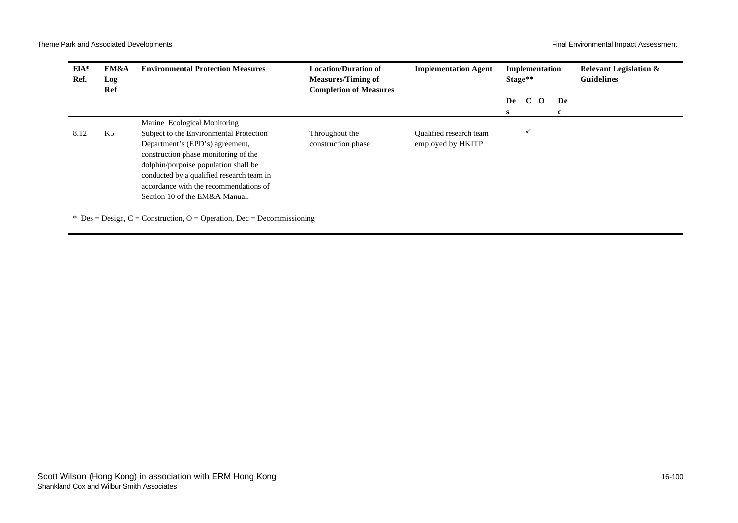| EIA*<br>Ref. | EM&A<br>Log<br>Ref | <b>Environmental Protection Measures</b>                                                                                                                                                                                                                                            | <b>Location/Duration of</b><br><b>Measures/Timing of</b><br><b>Completion of Measures</b> | <b>Implementation Agent</b>                  | Stage**  | Implementation           |         | <b>Relevant Legislation &amp;</b><br><b>Guidelines</b> |
|--------------|--------------------|-------------------------------------------------------------------------------------------------------------------------------------------------------------------------------------------------------------------------------------------------------------------------------------|-------------------------------------------------------------------------------------------|----------------------------------------------|----------|--------------------------|---------|--------------------------------------------------------|
|              |                    |                                                                                                                                                                                                                                                                                     |                                                                                           |                                              | De<br>S. | $\mathbf{C}$<br>$\Omega$ | De<br>c |                                                        |
|              |                    | Marine Ecological Monitoring                                                                                                                                                                                                                                                        |                                                                                           |                                              |          |                          |         |                                                        |
| 8.12         | K5                 | Subject to the Environmental Protection<br>Department's (EPD's) agreement,<br>construction phase monitoring of the<br>dolphin/porpoise population shall be<br>conducted by a qualified research team in<br>accordance with the recommendations of<br>Section 10 of the EM&A Manual. | Throughout the<br>construction phase                                                      | Qualified research team<br>employed by HKITP |          | $\checkmark$             |         |                                                        |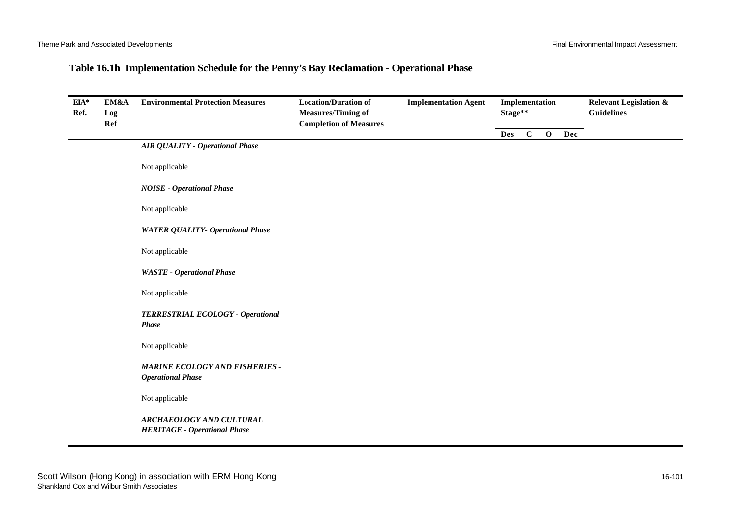## **Table 16.1h Implementation Schedule for the Penny's Bay Reclamation - Operational Phase**

| EIA*<br>Ref. | EM&A<br>Log<br>Ref | <b>Environmental Protection Measures</b>                          | <b>Location/Duration of</b><br><b>Measures/Timing of</b><br><b>Completion of Measures</b> | <b>Implementation Agent</b> |            | Implementation<br>Stage** |             |     | <b>Relevant Legislation &amp;</b><br><b>Guidelines</b> |
|--------------|--------------------|-------------------------------------------------------------------|-------------------------------------------------------------------------------------------|-----------------------------|------------|---------------------------|-------------|-----|--------------------------------------------------------|
|              |                    |                                                                   |                                                                                           |                             | <b>Des</b> | $\mathbf C$               | $\mathbf 0$ | Dec |                                                        |
|              |                    | <b>AIR QUALITY - Operational Phase</b>                            |                                                                                           |                             |            |                           |             |     |                                                        |
|              |                    | Not applicable                                                    |                                                                                           |                             |            |                           |             |     |                                                        |
|              |                    | <b>NOISE - Operational Phase</b>                                  |                                                                                           |                             |            |                           |             |     |                                                        |
|              |                    | Not applicable                                                    |                                                                                           |                             |            |                           |             |     |                                                        |
|              |                    | <b>WATER QUALITY- Operational Phase</b>                           |                                                                                           |                             |            |                           |             |     |                                                        |
|              |                    | Not applicable                                                    |                                                                                           |                             |            |                           |             |     |                                                        |
|              |                    | <b>WASTE</b> - Operational Phase                                  |                                                                                           |                             |            |                           |             |     |                                                        |
|              |                    | Not applicable                                                    |                                                                                           |                             |            |                           |             |     |                                                        |
|              |                    | TERRESTRIAL ECOLOGY - Operational<br><b>Phase</b>                 |                                                                                           |                             |            |                           |             |     |                                                        |
|              |                    | Not applicable                                                    |                                                                                           |                             |            |                           |             |     |                                                        |
|              |                    | <b>MARINE ECOLOGY AND FISHERIES -</b><br><b>Operational Phase</b> |                                                                                           |                             |            |                           |             |     |                                                        |
|              |                    | Not applicable                                                    |                                                                                           |                             |            |                           |             |     |                                                        |
|              |                    | ARCHAEOLOGY AND CULTURAL<br><b>HERITAGE - Operational Phase</b>   |                                                                                           |                             |            |                           |             |     |                                                        |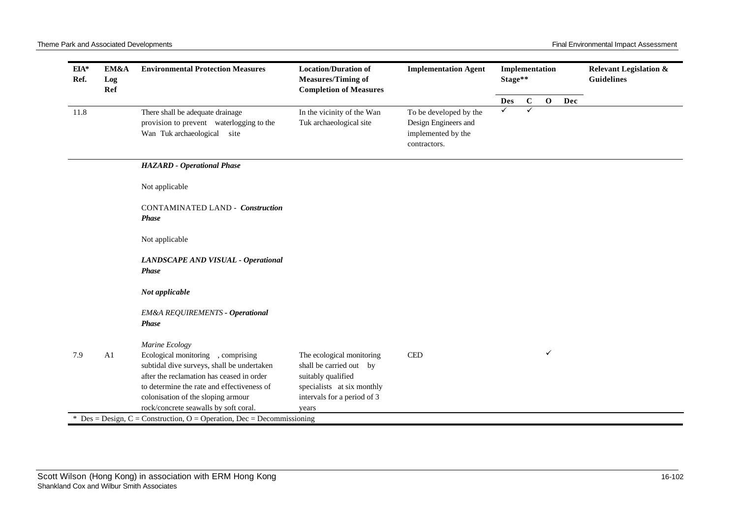| $EIA*$<br>Ref. | EM&A<br>Log<br>Ref | <b>Environmental Protection Measures</b>                                                                                                                                                                                                                   | <b>Location/Duration of</b><br><b>Measures/Timing of</b><br><b>Completion of Measures</b>                                                        | <b>Implementation Agent</b>                                                          |            | Implementation<br>Stage** |              |     | <b>Relevant Legislation &amp;</b><br><b>Guidelines</b> |  |
|----------------|--------------------|------------------------------------------------------------------------------------------------------------------------------------------------------------------------------------------------------------------------------------------------------------|--------------------------------------------------------------------------------------------------------------------------------------------------|--------------------------------------------------------------------------------------|------------|---------------------------|--------------|-----|--------------------------------------------------------|--|
|                |                    |                                                                                                                                                                                                                                                            |                                                                                                                                                  |                                                                                      | <b>Des</b> | $\mathbf C$               | $\mathbf{o}$ | Dec |                                                        |  |
| 11.8           |                    | There shall be adequate drainage<br>provision to prevent waterlogging to the<br>Wan Tuk archaeological site                                                                                                                                                | In the vicinity of the Wan<br>Tuk archaeological site                                                                                            | To be developed by the<br>Design Engineers and<br>implemented by the<br>contractors. | ✓          | ✓                         |              |     |                                                        |  |
|                |                    | <b>HAZARD</b> - Operational Phase                                                                                                                                                                                                                          |                                                                                                                                                  |                                                                                      |            |                           |              |     |                                                        |  |
|                |                    | Not applicable                                                                                                                                                                                                                                             |                                                                                                                                                  |                                                                                      |            |                           |              |     |                                                        |  |
|                |                    | <b>CONTAMINATED LAND - Construction</b><br><b>Phase</b>                                                                                                                                                                                                    |                                                                                                                                                  |                                                                                      |            |                           |              |     |                                                        |  |
|                |                    | Not applicable                                                                                                                                                                                                                                             |                                                                                                                                                  |                                                                                      |            |                           |              |     |                                                        |  |
|                |                    | LANDSCAPE AND VISUAL - Operational<br><b>Phase</b>                                                                                                                                                                                                         |                                                                                                                                                  |                                                                                      |            |                           |              |     |                                                        |  |
|                |                    | Not applicable                                                                                                                                                                                                                                             |                                                                                                                                                  |                                                                                      |            |                           |              |     |                                                        |  |
|                |                    | <b>EM&amp;A REQUIREMENTS - Operational</b><br><b>Phase</b>                                                                                                                                                                                                 |                                                                                                                                                  |                                                                                      |            |                           |              |     |                                                        |  |
|                |                    | Marine Ecology                                                                                                                                                                                                                                             |                                                                                                                                                  |                                                                                      |            |                           |              |     |                                                        |  |
| 7.9            | A <sub>1</sub>     | Ecological monitoring , comprising<br>subtidal dive surveys, shall be undertaken<br>after the reclamation has ceased in order<br>to determine the rate and effectiveness of<br>colonisation of the sloping armour<br>rock/concrete seawalls by soft coral. | The ecological monitoring<br>shall be carried out by<br>suitably qualified<br>specialists at six monthly<br>intervals for a period of 3<br>years | <b>CED</b>                                                                           |            |                           | ✓            |     |                                                        |  |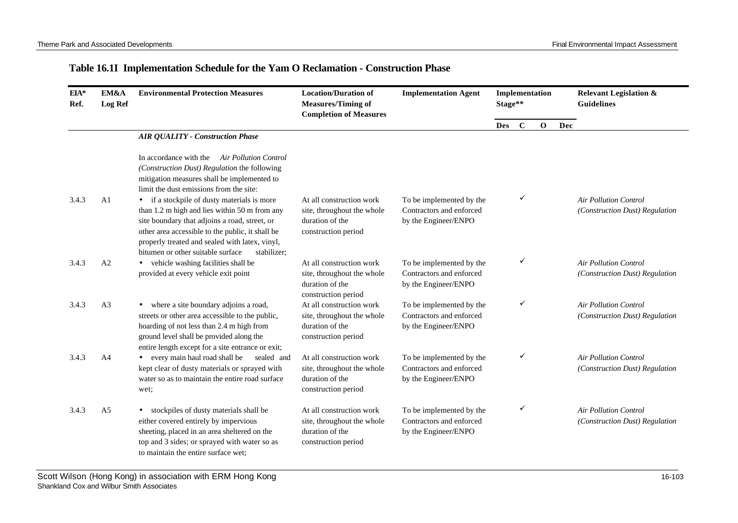## **Table 16.1I Implementation Schedule for the Yam O Reclamation - Construction Phase**

| EIA*<br>Ref. | EM&A<br><b>Log Ref</b> | <b>Environmental Protection Measures</b>                                                                                                                                                                                                                                                                | <b>Location/Duration of</b><br><b>Measures/Timing of</b><br><b>Completion of Measures</b>        | <b>Implementation Agent</b>                                                  |            | Implementation<br>Stage** |             |     | <b>Relevant Legislation &amp;</b><br><b>Guidelines</b>         |
|--------------|------------------------|---------------------------------------------------------------------------------------------------------------------------------------------------------------------------------------------------------------------------------------------------------------------------------------------------------|--------------------------------------------------------------------------------------------------|------------------------------------------------------------------------------|------------|---------------------------|-------------|-----|----------------------------------------------------------------|
|              |                        |                                                                                                                                                                                                                                                                                                         |                                                                                                  |                                                                              | <b>Des</b> | $\mathbf C$               | $\mathbf 0$ | Dec |                                                                |
|              |                        | <b>AIR QUALITY - Construction Phase</b>                                                                                                                                                                                                                                                                 |                                                                                                  |                                                                              |            |                           |             |     |                                                                |
|              |                        | In accordance with the<br><b>Air Pollution Control</b><br>(Construction Dust) Regulation the following<br>mitigation measures shall be implemented to<br>limit the dust emissions from the site:                                                                                                        |                                                                                                  |                                                                              |            |                           |             |     |                                                                |
| 3.4.3        | A <sub>1</sub>         | • if a stockpile of dusty materials is more<br>than 1.2 m high and lies within 50 m from any<br>site boundary that adjoins a road, street, or<br>other area accessible to the public, it shall be<br>properly treated and sealed with latex, vinyl,<br>bitumen or other suitable surface<br>stabilizer; | At all construction work<br>site, throughout the whole<br>duration of the<br>construction period | To be implemented by the<br>Contractors and enforced<br>by the Engineer/ENPO |            | ✓                         |             |     | <b>Air Pollution Control</b><br>(Construction Dust) Regulation |
| 3.4.3        | A <sub>2</sub>         | • vehicle washing facilities shall be<br>provided at every vehicle exit point                                                                                                                                                                                                                           | At all construction work<br>site, throughout the whole<br>duration of the<br>construction period | To be implemented by the<br>Contractors and enforced<br>by the Engineer/ENPO |            | ✓                         |             |     | <b>Air Pollution Control</b><br>(Construction Dust) Regulation |
| 3.4.3        | A <sub>3</sub>         | • where a site boundary adjoins a road,<br>streets or other area accessible to the public,<br>hoarding of not less than 2.4 m high from<br>ground level shall be provided along the<br>entire length except for a site entrance or exit;                                                                | At all construction work<br>site, throughout the whole<br>duration of the<br>construction period | To be implemented by the<br>Contractors and enforced<br>by the Engineer/ENPO |            | ✓                         |             |     | <b>Air Pollution Control</b><br>(Construction Dust) Regulation |
| 3.4.3        | A4                     | • every main haul road shall be<br>sealed and<br>kept clear of dusty materials or sprayed with<br>water so as to maintain the entire road surface<br>wet;                                                                                                                                               | At all construction work<br>site, throughout the whole<br>duration of the<br>construction period | To be implemented by the<br>Contractors and enforced<br>by the Engineer/ENPO |            | ✓                         |             |     | <b>Air Pollution Control</b><br>(Construction Dust) Regulation |
| 3.4.3        | A <sub>5</sub>         | stockpiles of dusty materials shall be<br>$\bullet$<br>either covered entirely by impervious<br>sheeting, placed in an area sheltered on the<br>top and 3 sides; or sprayed with water so as<br>to maintain the entire surface wet;                                                                     | At all construction work<br>site, throughout the whole<br>duration of the<br>construction period | To be implemented by the<br>Contractors and enforced<br>by the Engineer/ENPO |            | ✓                         |             |     | <b>Air Pollution Control</b><br>(Construction Dust) Regulation |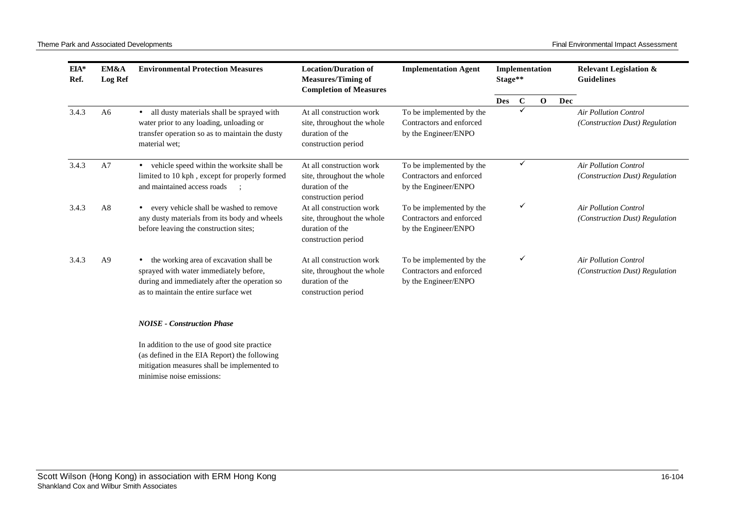| $EIA*$<br>Ref. | EM&A<br><b>Log Ref</b> | <b>Environmental Protection Measures</b>                                                                                                                                    | <b>Location/Duration of</b><br><b>Measures/Timing of</b><br><b>Completion of Measures</b>        | <b>Implementation Agent</b>                                                  | Stage**    |              | Implementation |     | <b>Relevant Legislation &amp;</b><br><b>Guidelines</b>         |
|----------------|------------------------|-----------------------------------------------------------------------------------------------------------------------------------------------------------------------------|--------------------------------------------------------------------------------------------------|------------------------------------------------------------------------------|------------|--------------|----------------|-----|----------------------------------------------------------------|
|                |                        |                                                                                                                                                                             |                                                                                                  |                                                                              | <b>Des</b> | $\mathbf{C}$ | $\mathbf 0$    | Dec |                                                                |
| 3.4.3          | A6                     | all dusty materials shall be sprayed with<br>water prior to any loading, unloading or<br>transfer operation so as to maintain the dusty<br>material wet:                    | At all construction work<br>site, throughout the whole<br>duration of the<br>construction period | To be implemented by the<br>Contractors and enforced<br>by the Engineer/ENPO |            |              |                |     | <b>Air Pollution Control</b><br>(Construction Dust) Regulation |
| 3.4.3          | A7                     | vehicle speed within the worksite shall be<br>limited to 10 kph, except for properly formed<br>and maintained access roads                                                  | At all construction work<br>site, throughout the whole<br>duration of the<br>construction period | To be implemented by the<br>Contractors and enforced<br>by the Engineer/ENPO |            | ✓            |                |     | <b>Air Pollution Control</b><br>(Construction Dust) Regulation |
| 3.4.3          | A8                     | every vehicle shall be washed to remove<br>any dusty materials from its body and wheels<br>before leaving the construction sites;                                           | At all construction work<br>site, throughout the whole<br>duration of the<br>construction period | To be implemented by the<br>Contractors and enforced<br>by the Engineer/ENPO |            | ✓            |                |     | Air Pollution Control<br>(Construction Dust) Regulation        |
| 3.4.3          | A <sup>9</sup>         | the working area of excavation shall be<br>sprayed with water immediately before,<br>during and immediately after the operation so<br>as to maintain the entire surface wet | At all construction work<br>site, throughout the whole<br>duration of the<br>construction period | To be implemented by the<br>Contractors and enforced<br>by the Engineer/ENPO |            | ٧            |                |     | <b>Air Pollution Control</b><br>(Construction Dust) Regulation |

## *NOISE - Construction Phase*

In addition to the use of good site practice (as defined in the EIA Report) the following mitigation measures shall be implemented to minimise noise emissions: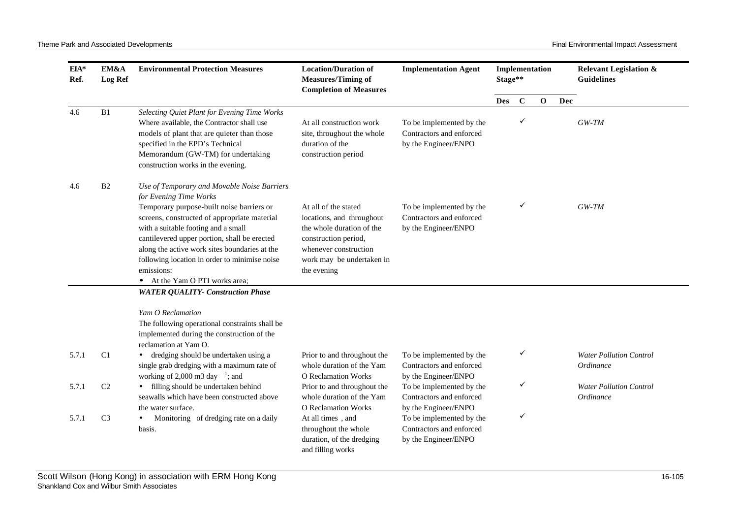| EIA*<br>Ref. | EM&A<br>Log Ref | <b>Environmental Protection Measures</b>                                                                                                                                                                                                                                                                                                                                                                    | <b>Location/Duration of</b><br><b>Measures/Timing of</b><br><b>Completion of Measures</b>                                                                                   | <b>Implementation Agent</b>                                                  | Stage**    |              | Implementation |     | <b>Relevant Legislation &amp;</b><br><b>Guidelines</b> |
|--------------|-----------------|-------------------------------------------------------------------------------------------------------------------------------------------------------------------------------------------------------------------------------------------------------------------------------------------------------------------------------------------------------------------------------------------------------------|-----------------------------------------------------------------------------------------------------------------------------------------------------------------------------|------------------------------------------------------------------------------|------------|--------------|----------------|-----|--------------------------------------------------------|
|              |                 |                                                                                                                                                                                                                                                                                                                                                                                                             |                                                                                                                                                                             |                                                                              | <b>Des</b> | $\mathbf C$  | $\mathbf{O}$   | Dec |                                                        |
| 4.6          | B1              | Selecting Quiet Plant for Evening Time Works<br>Where available, the Contractor shall use<br>models of plant that are quieter than those<br>specified in the EPD's Technical<br>Memorandum (GW-TM) for undertaking<br>construction works in the evening.                                                                                                                                                    | At all construction work<br>site, throughout the whole<br>duration of the<br>construction period                                                                            | To be implemented by the<br>Contractors and enforced<br>by the Engineer/ENPO |            |              |                |     | $GW-TM$                                                |
| 4.6          | B <sub>2</sub>  | Use of Temporary and Movable Noise Barriers<br>for Evening Time Works<br>Temporary purpose-built noise barriers or<br>screens, constructed of appropriate material<br>with a suitable footing and a small<br>cantilevered upper portion, shall be erected<br>along the active work sites boundaries at the<br>following location in order to minimise noise<br>emissions:<br>- At the Yam O PTI works area; | At all of the stated<br>locations, and throughout<br>the whole duration of the<br>construction period,<br>whenever construction<br>work may be undertaken in<br>the evening | To be implemented by the<br>Contractors and enforced<br>by the Engineer/ENPO |            | $\checkmark$ |                |     | $GW-TM$                                                |
|              |                 | <b>WATER QUALITY- Construction Phase</b>                                                                                                                                                                                                                                                                                                                                                                    |                                                                                                                                                                             |                                                                              |            |              |                |     |                                                        |
|              |                 | Yam O Reclamation<br>The following operational constraints shall be<br>implemented during the construction of the<br>reclamation at Yam O.                                                                                                                                                                                                                                                                  |                                                                                                                                                                             |                                                                              |            |              |                |     |                                                        |
| 5.7.1        | C1              | dredging should be undertaken using a<br>single grab dredging with a maximum rate of<br>working of 2,000 m3 day $^{-1}$ ; and                                                                                                                                                                                                                                                                               | Prior to and throughout the<br>whole duration of the Yam<br><b>O</b> Reclamation Works                                                                                      | To be implemented by the<br>Contractors and enforced<br>by the Engineer/ENPO |            | ✓            |                |     | <b>Water Pollution Control</b><br>Ordinance            |
| 5.7.1        | C <sub>2</sub>  | • filling should be undertaken behind<br>seawalls which have been constructed above<br>the water surface.                                                                                                                                                                                                                                                                                                   | Prior to and throughout the<br>whole duration of the Yam<br><b>O</b> Reclamation Works                                                                                      | To be implemented by the<br>Contractors and enforced<br>by the Engineer/ENPO |            | ✓            |                |     | <b>Water Pollution Control</b><br>Ordinance            |
| 5.7.1        | C <sub>3</sub>  | Monitoring of dredging rate on a daily<br>basis.                                                                                                                                                                                                                                                                                                                                                            | At all times, and<br>throughout the whole<br>duration, of the dredging<br>and filling works                                                                                 | To be implemented by the<br>Contractors and enforced<br>by the Engineer/ENPO |            | ✓            |                |     |                                                        |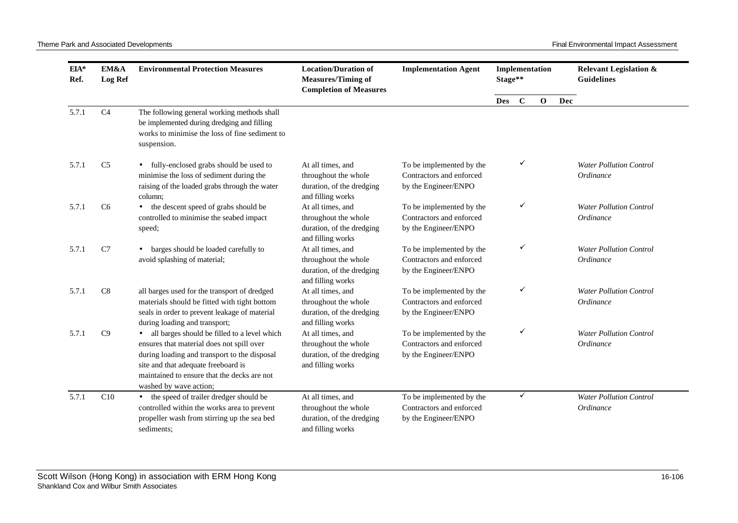| EIA*<br>Ref. | EM&A<br><b>Log Ref</b> | <b>Environmental Protection Measures</b>                                                                                                                                                                                                                    | <b>Location/Duration of</b><br><b>Measures/Timing of</b><br><b>Completion of Measures</b>   | <b>Implementation Agent</b>                                                  | Stage**    |             | Implementation |            | <b>Relevant Legislation &amp;</b><br><b>Guidelines</b> |
|--------------|------------------------|-------------------------------------------------------------------------------------------------------------------------------------------------------------------------------------------------------------------------------------------------------------|---------------------------------------------------------------------------------------------|------------------------------------------------------------------------------|------------|-------------|----------------|------------|--------------------------------------------------------|
|              |                        |                                                                                                                                                                                                                                                             |                                                                                             |                                                                              | <b>Des</b> | $\mathbf C$ | $\mathbf{o}$   | <b>Dec</b> |                                                        |
| 5.7.1        | C <sub>4</sub>         | The following general working methods shall<br>be implemented during dredging and filling<br>works to minimise the loss of fine sediment to<br>suspension.                                                                                                  |                                                                                             |                                                                              |            |             |                |            |                                                        |
| 5.7.1        | C <sub>5</sub>         | • fully-enclosed grabs should be used to<br>minimise the loss of sediment during the<br>raising of the loaded grabs through the water<br>column:                                                                                                            | At all times, and<br>throughout the whole<br>duration, of the dredging<br>and filling works | To be implemented by the<br>Contractors and enforced<br>by the Engineer/ENPO |            | ✓           |                |            | <b>Water Pollution Control</b><br><i>Ordinance</i>     |
| 5.7.1        | C <sub>6</sub>         | • the descent speed of grabs should be<br>controlled to minimise the seabed impact<br>speed;                                                                                                                                                                | At all times, and<br>throughout the whole<br>duration, of the dredging<br>and filling works | To be implemented by the<br>Contractors and enforced<br>by the Engineer/ENPO |            | ✓           |                |            | <b>Water Pollution Control</b><br>Ordinance            |
| 5.7.1        | C7                     | barges should be loaded carefully to<br>$\bullet$<br>avoid splashing of material;                                                                                                                                                                           | At all times, and<br>throughout the whole<br>duration, of the dredging<br>and filling works | To be implemented by the<br>Contractors and enforced<br>by the Engineer/ENPO |            | ✓           |                |            | <b>Water Pollution Control</b><br>Ordinance            |
| 5.7.1        | C8                     | all barges used for the transport of dredged<br>materials should be fitted with tight bottom<br>seals in order to prevent leakage of material<br>during loading and transport;                                                                              | At all times, and<br>throughout the whole<br>duration, of the dredging<br>and filling works | To be implemented by the<br>Contractors and enforced<br>by the Engineer/ENPO |            | ✓           |                |            | <b>Water Pollution Control</b><br>Ordinance            |
| 5.7.1        | C9                     | • all barges should be filled to a level which<br>ensures that material does not spill over<br>during loading and transport to the disposal<br>site and that adequate freeboard is<br>maintained to ensure that the decks are not<br>washed by wave action; | At all times, and<br>throughout the whole<br>duration, of the dredging<br>and filling works | To be implemented by the<br>Contractors and enforced<br>by the Engineer/ENPO |            | ✓           |                |            | <b>Water Pollution Control</b><br>Ordinance            |
| 5.7.1        | C10                    | • the speed of trailer dredger should be<br>controlled within the works area to prevent<br>propeller wash from stirring up the sea bed<br>sediments;                                                                                                        | At all times, and<br>throughout the whole<br>duration, of the dredging<br>and filling works | To be implemented by the<br>Contractors and enforced<br>by the Engineer/ENPO |            | ✓           |                |            | <b>Water Pollution Control</b><br>Ordinance            |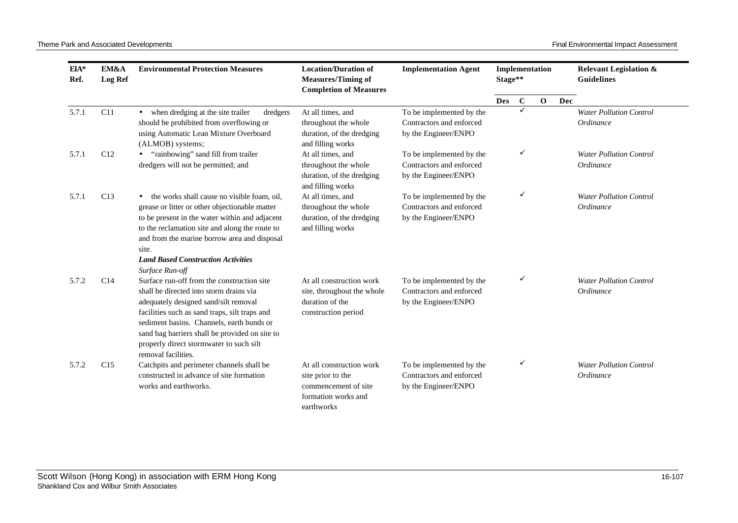| $EIA*$<br>Ref. | EM&A<br>Log Ref | <b>Environmental Protection Measures</b>                                                                                                                                                                                                                                                                                                         | <b>Location/Duration of</b><br><b>Measures/Timing of</b><br><b>Completion of Measures</b>                  | <b>Implementation Agent</b>                                                  |            | Implementation<br>Stage** |             | <b>Guidelines</b> |                                             | <b>Relevant Legislation &amp;</b> |
|----------------|-----------------|--------------------------------------------------------------------------------------------------------------------------------------------------------------------------------------------------------------------------------------------------------------------------------------------------------------------------------------------------|------------------------------------------------------------------------------------------------------------|------------------------------------------------------------------------------|------------|---------------------------|-------------|-------------------|---------------------------------------------|-----------------------------------|
|                |                 |                                                                                                                                                                                                                                                                                                                                                  |                                                                                                            |                                                                              | <b>Des</b> | $\mathbf C$               | $\mathbf 0$ | Dec               |                                             |                                   |
| 5.7.1          | C11             | • when dredging at the site trailer<br>dredgers<br>should be prohibited from overflowing or<br>using Automatic Lean Mixture Overboard<br>(ALMOB) systems;                                                                                                                                                                                        | At all times, and<br>throughout the whole<br>duration, of the dredging<br>and filling works                | To be implemented by the<br>Contractors and enforced<br>by the Engineer/ENPO |            | ✓                         |             |                   | <b>Water Pollution Control</b><br>Ordinance |                                   |
| 5.7.1          | C12             | "rainbowing" sand fill from trailer<br>dredgers will not be permitted; and                                                                                                                                                                                                                                                                       | At all times, and<br>throughout the whole<br>duration, of the dredging<br>and filling works                | To be implemented by the<br>Contractors and enforced<br>by the Engineer/ENPO |            | ✓                         |             |                   | <b>Water Pollution Control</b><br>Ordinance |                                   |
| 5.7.1          | C13             | • the works shall cause no visible foam, oil,<br>grease or litter or other objectionable matter<br>to be present in the water within and adjacent<br>to the reclamation site and along the route to<br>and from the marine borrow area and disposal<br>site.<br><b>Land Based Construction Activities</b><br>Surface Run-off                     | At all times, and<br>throughout the whole<br>duration, of the dredging<br>and filling works                | To be implemented by the<br>Contractors and enforced<br>by the Engineer/ENPO |            | ✓                         |             |                   | <b>Water Pollution Control</b><br>Ordinance |                                   |
| 5.7.2          | C14             | Surface run-off from the construction site<br>shall be directed into storm drains via<br>adequately designed sand/silt removal<br>facilities such as sand traps, silt traps and<br>sediment basins. Channels, earth bunds or<br>sand bag barriers shall be provided on site to<br>properly direct stormwater to such silt<br>removal facilities. | At all construction work<br>site, throughout the whole<br>duration of the<br>construction period           | To be implemented by the<br>Contractors and enforced<br>by the Engineer/ENPO |            | ✓                         |             |                   | <b>Water Pollution Control</b><br>Ordinance |                                   |
| 5.7.2          | C15             | Catchpits and perimeter channels shall be<br>constructed in advance of site formation<br>works and earthworks.                                                                                                                                                                                                                                   | At all construction work<br>site prior to the<br>commencement of site<br>formation works and<br>earthworks | To be implemented by the<br>Contractors and enforced<br>by the Engineer/ENPO |            | ✓                         |             |                   | <b>Water Pollution Control</b><br>Ordinance |                                   |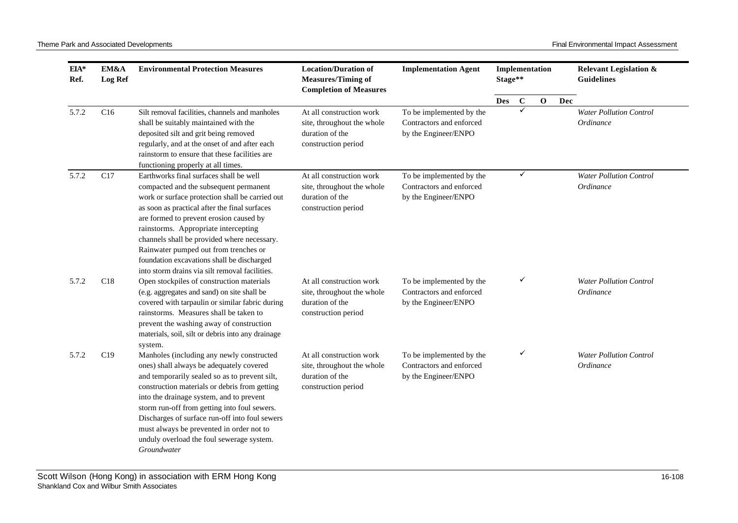| EM&A<br>$EIA*$<br>Ref.<br><b>Log Ref</b> |     | <b>Environmental Protection Measures</b>                                                                                                                                                                                                                                                                                                                                                                                                                         | <b>Location/Duration of</b><br><b>Measures/Timing of</b><br><b>Completion of Measures</b>        | <b>Implementation Agent</b>                                                  | Stage**    |              | Implementation |     | <b>Relevant Legislation &amp;</b><br><b>Guidelines</b> |
|------------------------------------------|-----|------------------------------------------------------------------------------------------------------------------------------------------------------------------------------------------------------------------------------------------------------------------------------------------------------------------------------------------------------------------------------------------------------------------------------------------------------------------|--------------------------------------------------------------------------------------------------|------------------------------------------------------------------------------|------------|--------------|----------------|-----|--------------------------------------------------------|
|                                          |     |                                                                                                                                                                                                                                                                                                                                                                                                                                                                  |                                                                                                  |                                                                              | <b>Des</b> | $\mathbf{C}$ | $\mathbf 0$    | Dec |                                                        |
| 5.7.2                                    | C16 | Silt removal facilities, channels and manholes<br>shall be suitably maintained with the<br>deposited silt and grit being removed<br>regularly, and at the onset of and after each<br>rainstorm to ensure that these facilities are<br>functioning properly at all times.                                                                                                                                                                                         | At all construction work<br>site, throughout the whole<br>duration of the<br>construction period | To be implemented by the<br>Contractors and enforced<br>by the Engineer/ENPO |            | ✓            |                |     | <b>Water Pollution Control</b><br>Ordinance            |
| 5.7.2                                    | C17 | Earthworks final surfaces shall be well<br>compacted and the subsequent permanent<br>work or surface protection shall be carried out<br>as soon as practical after the final surfaces<br>are formed to prevent erosion caused by<br>rainstorms. Appropriate intercepting<br>channels shall be provided where necessary.<br>Rainwater pumped out from trenches or<br>foundation excavations shall be discharged<br>into storm drains via silt removal facilities. | At all construction work<br>site, throughout the whole<br>duration of the<br>construction period | To be implemented by the<br>Contractors and enforced<br>by the Engineer/ENPO |            | ✓            |                |     | <b>Water Pollution Control</b><br>Ordinance            |
| 5.7.2                                    | C18 | Open stockpiles of construction materials<br>(e.g. aggregates and sand) on site shall be<br>covered with tarpaulin or similar fabric during<br>rainstorms. Measures shall be taken to<br>prevent the washing away of construction<br>materials, soil, silt or debris into any drainage<br>system.                                                                                                                                                                | At all construction work<br>site, throughout the whole<br>duration of the<br>construction period | To be implemented by the<br>Contractors and enforced<br>by the Engineer/ENPO |            | ✓            |                |     | <b>Water Pollution Control</b><br>Ordinance            |
| 5.7.2                                    | C19 | Manholes (including any newly constructed<br>ones) shall always be adequately covered<br>and temporarily sealed so as to prevent silt,<br>construction materials or debris from getting<br>into the drainage system, and to prevent<br>storm run-off from getting into foul sewers.<br>Discharges of surface run-off into foul sewers<br>must always be prevented in order not to<br>unduly overload the foul sewerage system.<br>Groundwater                    | At all construction work<br>site, throughout the whole<br>duration of the<br>construction period | To be implemented by the<br>Contractors and enforced<br>by the Engineer/ENPO |            | ✓            |                |     | <b>Water Pollution Control</b><br>Ordinance            |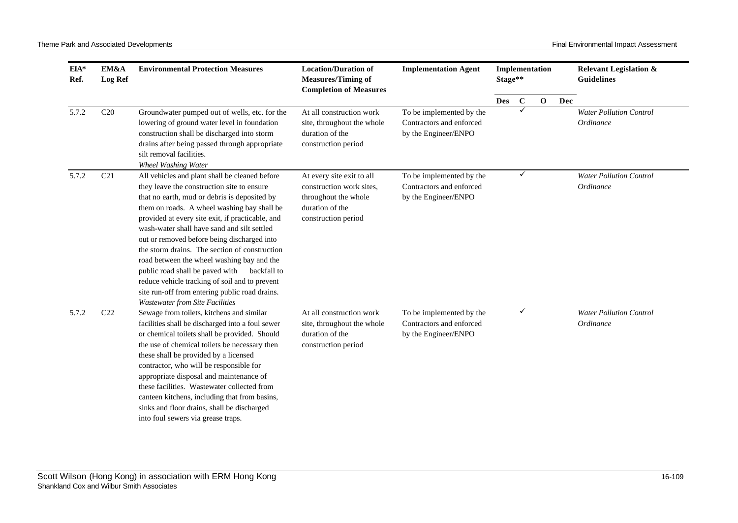| EIA*<br>Ref. | EM&A<br>Log Ref | <b>Environmental Protection Measures</b>                                                                                                                                                                                                                                                                                                                                                                                                                                                                                                                                                                                                     | <b>Location/Duration of</b><br><b>Measures/Timing of</b><br><b>Completion of Measures</b>                               | <b>Implementation Agent</b>                                                  | Stage**    |          | Implementation |     | <b>Relevant Legislation &amp;</b><br><b>Guidelines</b> |
|--------------|-----------------|----------------------------------------------------------------------------------------------------------------------------------------------------------------------------------------------------------------------------------------------------------------------------------------------------------------------------------------------------------------------------------------------------------------------------------------------------------------------------------------------------------------------------------------------------------------------------------------------------------------------------------------------|-------------------------------------------------------------------------------------------------------------------------|------------------------------------------------------------------------------|------------|----------|----------------|-----|--------------------------------------------------------|
|              |                 |                                                                                                                                                                                                                                                                                                                                                                                                                                                                                                                                                                                                                                              |                                                                                                                         |                                                                              | <b>Des</b> | $\bf{C}$ | $\mathbf{o}$   | Dec |                                                        |
| 5.7.2        | C20             | Groundwater pumped out of wells, etc. for the<br>lowering of ground water level in foundation<br>construction shall be discharged into storm<br>drains after being passed through appropriate<br>silt removal facilities.<br>Wheel Washing Water                                                                                                                                                                                                                                                                                                                                                                                             | At all construction work<br>site, throughout the whole<br>duration of the<br>construction period                        | To be implemented by the<br>Contractors and enforced<br>by the Engineer/ENPO |            | ✓        |                |     | <b>Water Pollution Control</b><br>Ordinance            |
| 5.7.2        | C <sub>21</sub> | All vehicles and plant shall be cleaned before<br>they leave the construction site to ensure<br>that no earth, mud or debris is deposited by<br>them on roads. A wheel washing bay shall be<br>provided at every site exit, if practicable, and<br>wash-water shall have sand and silt settled<br>out or removed before being discharged into<br>the storm drains. The section of construction<br>road between the wheel washing bay and the<br>public road shall be paved with<br>backfall to<br>reduce vehicle tracking of soil and to prevent<br>site run-off from entering public road drains.<br><b>Wastewater from Site Facilities</b> | At every site exit to all<br>construction work sites.<br>throughout the whole<br>duration of the<br>construction period | To be implemented by the<br>Contractors and enforced<br>by the Engineer/ENPO |            | ✓        |                |     | <b>Water Pollution Control</b><br>Ordinance            |
| 5.7.2        | C22             | Sewage from toilets, kitchens and similar<br>facilities shall be discharged into a foul sewer<br>or chemical toilets shall be provided. Should<br>the use of chemical toilets be necessary then<br>these shall be provided by a licensed<br>contractor, who will be responsible for<br>appropriate disposal and maintenance of<br>these facilities. Wastewater collected from<br>canteen kitchens, including that from basins,<br>sinks and floor drains, shall be discharged<br>into foul sewers via grease traps.                                                                                                                          | At all construction work<br>site, throughout the whole<br>duration of the<br>construction period                        | To be implemented by the<br>Contractors and enforced<br>by the Engineer/ENPO |            | ✓        |                |     | <b>Water Pollution Control</b><br>Ordinance            |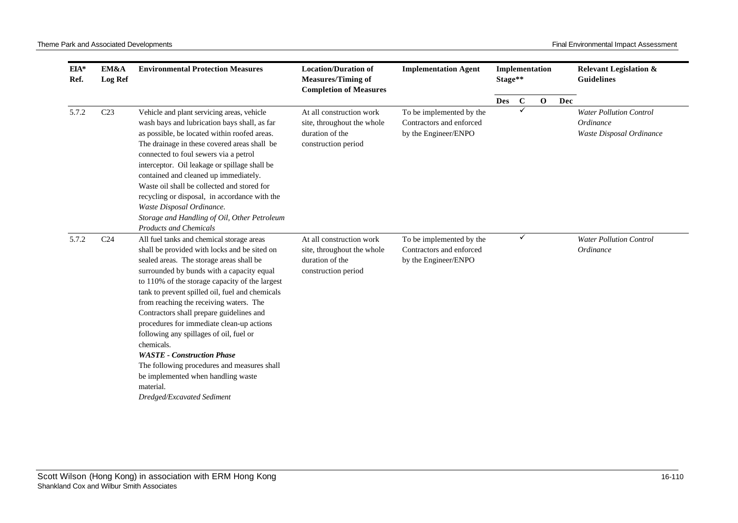| $EIA*$<br>Ref. | EM&A<br><b>Log Ref</b> | <b>Environmental Protection Measures</b>                                                                                                                                                                                                                                                                                                                                                                                                                                                                                                                                                                                                                  | <b>Location/Duration of</b><br><b>Measures/Timing of</b><br><b>Completion of Measures</b>        | <b>Implementation Agent</b>                                                  | Implementation<br>Stage** |              |              | <b>Relevant Legislation &amp;</b><br><b>Guidelines</b> |                                                                         |
|----------------|------------------------|-----------------------------------------------------------------------------------------------------------------------------------------------------------------------------------------------------------------------------------------------------------------------------------------------------------------------------------------------------------------------------------------------------------------------------------------------------------------------------------------------------------------------------------------------------------------------------------------------------------------------------------------------------------|--------------------------------------------------------------------------------------------------|------------------------------------------------------------------------------|---------------------------|--------------|--------------|--------------------------------------------------------|-------------------------------------------------------------------------|
|                |                        |                                                                                                                                                                                                                                                                                                                                                                                                                                                                                                                                                                                                                                                           |                                                                                                  |                                                                              | <b>Des</b>                | $\mathbf C$  | $\mathbf{o}$ | Dec                                                    |                                                                         |
| 5.7.2          | C <sub>23</sub>        | Vehicle and plant servicing areas, vehicle<br>wash bays and lubrication bays shall, as far<br>as possible, be located within roofed areas.<br>The drainage in these covered areas shall be<br>connected to foul sewers via a petrol<br>interceptor. Oil leakage or spillage shall be<br>contained and cleaned up immediately.<br>Waste oil shall be collected and stored for<br>recycling or disposal, in accordance with the<br>Waste Disposal Ordinance.<br>Storage and Handling of Oil, Other Petroleum<br><b>Products and Chemicals</b>                                                                                                               | At all construction work<br>site, throughout the whole<br>duration of the<br>construction period | To be implemented by the<br>Contractors and enforced<br>by the Engineer/ENPO |                           | ✓            |              |                                                        | <b>Water Pollution Control</b><br>Ordinance<br>Waste Disposal Ordinance |
| 5.7.2          | C <sub>24</sub>        | All fuel tanks and chemical storage areas<br>shall be provided with locks and be sited on<br>sealed areas. The storage areas shall be<br>surrounded by bunds with a capacity equal<br>to 110% of the storage capacity of the largest<br>tank to prevent spilled oil, fuel and chemicals<br>from reaching the receiving waters. The<br>Contractors shall prepare guidelines and<br>procedures for immediate clean-up actions<br>following any spillages of oil, fuel or<br>chemicals.<br><b>WASTE</b> - Construction Phase<br>The following procedures and measures shall<br>be implemented when handling waste<br>material.<br>Dredged/Excavated Sediment | At all construction work<br>site, throughout the whole<br>duration of the<br>construction period | To be implemented by the<br>Contractors and enforced<br>by the Engineer/ENPO |                           | $\checkmark$ |              |                                                        | <b>Water Pollution Control</b><br>Ordinance                             |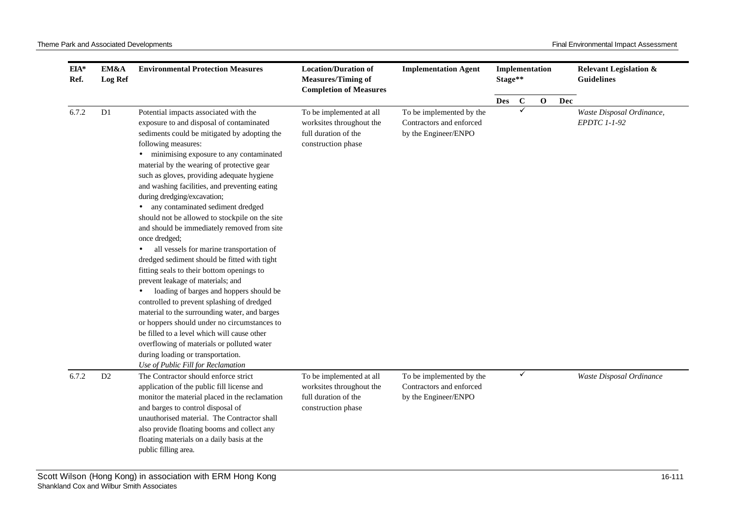| $EIA*$<br>Ref. | EM&A<br><b>Log Ref</b> | <b>Environmental Protection Measures</b>                                                                                                                                                                                                                                                                                                                                                                                                                                                                                                                                                                                                                                                                                                                                                                                                                                                                                                                                                                                                        | <b>Location/Duration of</b><br><b>Measures/Timing of</b><br><b>Completion of Measures</b>          | <b>Implementation Agent</b>                                                  | Stage**    |              | Implementation |     | <b>Relevant Legislation &amp;</b><br><b>Guidelines</b> |
|----------------|------------------------|-------------------------------------------------------------------------------------------------------------------------------------------------------------------------------------------------------------------------------------------------------------------------------------------------------------------------------------------------------------------------------------------------------------------------------------------------------------------------------------------------------------------------------------------------------------------------------------------------------------------------------------------------------------------------------------------------------------------------------------------------------------------------------------------------------------------------------------------------------------------------------------------------------------------------------------------------------------------------------------------------------------------------------------------------|----------------------------------------------------------------------------------------------------|------------------------------------------------------------------------------|------------|--------------|----------------|-----|--------------------------------------------------------|
|                |                        |                                                                                                                                                                                                                                                                                                                                                                                                                                                                                                                                                                                                                                                                                                                                                                                                                                                                                                                                                                                                                                                 |                                                                                                    |                                                                              | <b>Des</b> | $\mathbf C$  | $\mathbf 0$    | Dec |                                                        |
| 6.7.2          | D1                     | Potential impacts associated with the<br>exposure to and disposal of contaminated<br>sediments could be mitigated by adopting the<br>following measures:<br>minimising exposure to any contaminated<br>material by the wearing of protective gear<br>such as gloves, providing adequate hygiene<br>and washing facilities, and preventing eating<br>during dredging/excavation;<br>any contaminated sediment dredged<br>should not be allowed to stockpile on the site<br>and should be immediately removed from site<br>once dredged;<br>all vessels for marine transportation of<br>dredged sediment should be fitted with tight<br>fitting seals to their bottom openings to<br>prevent leakage of materials; and<br>loading of barges and hoppers should be<br>controlled to prevent splashing of dredged<br>material to the surrounding water, and barges<br>or hoppers should under no circumstances to<br>be filled to a level which will cause other<br>overflowing of materials or polluted water<br>during loading or transportation. | To be implemented at all<br>worksites throughout the<br>full duration of the<br>construction phase | To be implemented by the<br>Contractors and enforced<br>by the Engineer/ENPO |            | ✓            |                |     | Waste Disposal Ordinance,<br>EPDTC 1-1-92              |
| 6.7.2          | D <sub>2</sub>         | Use of Public Fill for Reclamation<br>The Contractor should enforce strict<br>application of the public fill license and<br>monitor the material placed in the reclamation<br>and barges to control disposal of<br>unauthorised material. The Contractor shall<br>also provide floating booms and collect any<br>floating materials on a daily basis at the<br>public filling area.                                                                                                                                                                                                                                                                                                                                                                                                                                                                                                                                                                                                                                                             | To be implemented at all<br>worksites throughout the<br>full duration of the<br>construction phase | To be implemented by the<br>Contractors and enforced<br>by the Engineer/ENPO |            | $\checkmark$ |                |     | Waste Disposal Ordinance                               |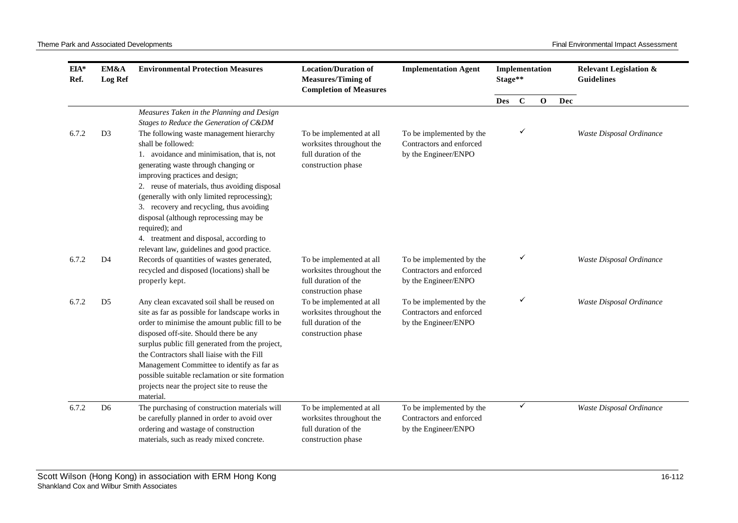| $EIA*$<br>Ref. | EM&A<br>Log Ref | <b>Environmental Protection Measures</b>                                                                                                                                                                                                                                                                                                                                                                                                                                                   | <b>Location/Duration of</b><br><b>Measures/Timing of</b><br><b>Completion of Measures</b>          | <b>Implementation Agent</b>                                                  | Stage** |             | Implementation |     | <b>Relevant Legislation &amp;</b><br><b>Guidelines</b> |
|----------------|-----------------|--------------------------------------------------------------------------------------------------------------------------------------------------------------------------------------------------------------------------------------------------------------------------------------------------------------------------------------------------------------------------------------------------------------------------------------------------------------------------------------------|----------------------------------------------------------------------------------------------------|------------------------------------------------------------------------------|---------|-------------|----------------|-----|--------------------------------------------------------|
|                |                 |                                                                                                                                                                                                                                                                                                                                                                                                                                                                                            |                                                                                                    |                                                                              | Des     | $\mathbf C$ | $\mathbf{o}$   | Dec |                                                        |
|                |                 | Measures Taken in the Planning and Design<br>Stages to Reduce the Generation of C&DM                                                                                                                                                                                                                                                                                                                                                                                                       |                                                                                                    |                                                                              |         |             |                |     |                                                        |
| 6.7.2          | D <sub>3</sub>  | The following waste management hierarchy<br>shall be followed:<br>1. avoidance and minimisation, that is, not<br>generating waste through changing or<br>improving practices and design;<br>2. reuse of materials, thus avoiding disposal<br>(generally with only limited reprocessing);<br>3. recovery and recycling, thus avoiding<br>disposal (although reprocessing may be<br>required); and<br>4. treatment and disposal, according to<br>relevant law, guidelines and good practice. | To be implemented at all<br>worksites throughout the<br>full duration of the<br>construction phase | To be implemented by the<br>Contractors and enforced<br>by the Engineer/ENPO |         |             |                |     | Waste Disposal Ordinance                               |
| 6.7.2          | D <sub>4</sub>  | Records of quantities of wastes generated,<br>recycled and disposed (locations) shall be<br>properly kept.                                                                                                                                                                                                                                                                                                                                                                                 | To be implemented at all<br>worksites throughout the<br>full duration of the<br>construction phase | To be implemented by the<br>Contractors and enforced<br>by the Engineer/ENPO |         | ✓           |                |     | Waste Disposal Ordinance                               |
| 6.7.2          | D <sub>5</sub>  | Any clean excavated soil shall be reused on<br>site as far as possible for landscape works in<br>order to minimise the amount public fill to be<br>disposed off-site. Should there be any<br>surplus public fill generated from the project,<br>the Contractors shall liaise with the Fill<br>Management Committee to identify as far as<br>possible suitable reclamation or site formation<br>projects near the project site to reuse the<br>material.                                    | To be implemented at all<br>worksites throughout the<br>full duration of the<br>construction phase | To be implemented by the<br>Contractors and enforced<br>by the Engineer/ENPO |         | ✓           |                |     | Waste Disposal Ordinance                               |
| 6.7.2          | D <sub>6</sub>  | The purchasing of construction materials will<br>be carefully planned in order to avoid over<br>ordering and wastage of construction<br>materials, such as ready mixed concrete.                                                                                                                                                                                                                                                                                                           | To be implemented at all<br>worksites throughout the<br>full duration of the<br>construction phase | To be implemented by the<br>Contractors and enforced<br>by the Engineer/ENPO |         | ✓           |                |     | Waste Disposal Ordinance                               |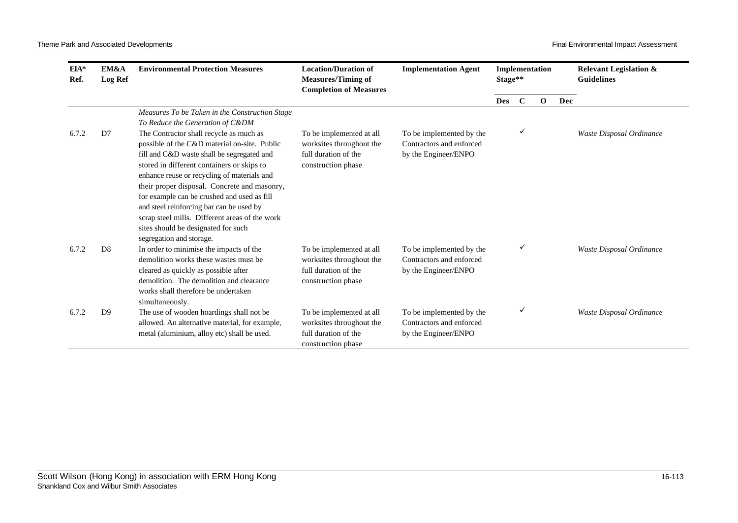| $EIA*$<br>Ref. | EM&A<br><b>Log Ref</b> | <b>Environmental Protection Measures</b>                                                                                                                                                                                                                                                                                                                                                                                                                                                           | <b>Location/Duration of</b><br><b>Measures/Timing of</b><br><b>Completion of Measures</b>          | <b>Implementation Agent</b>                                                  | Implementation<br>Stage** |              |             | <b>Relevant Legislation &amp;</b><br><b>Guidelines</b> |                          |
|----------------|------------------------|----------------------------------------------------------------------------------------------------------------------------------------------------------------------------------------------------------------------------------------------------------------------------------------------------------------------------------------------------------------------------------------------------------------------------------------------------------------------------------------------------|----------------------------------------------------------------------------------------------------|------------------------------------------------------------------------------|---------------------------|--------------|-------------|--------------------------------------------------------|--------------------------|
|                |                        |                                                                                                                                                                                                                                                                                                                                                                                                                                                                                                    |                                                                                                    |                                                                              | <b>Des</b>                | $\mathbf C$  | $\mathbf 0$ | Dec                                                    |                          |
|                |                        | Measures To be Taken in the Construction Stage<br>To Reduce the Generation of C&DM                                                                                                                                                                                                                                                                                                                                                                                                                 |                                                                                                    |                                                                              |                           |              |             |                                                        |                          |
| 6.7.2          | D7                     | The Contractor shall recycle as much as<br>possible of the C&D material on-site. Public<br>fill and C&D waste shall be segregated and<br>stored in different containers or skips to<br>enhance reuse or recycling of materials and<br>their proper disposal. Concrete and masonry,<br>for example can be crushed and used as fill<br>and steel reinforcing bar can be used by<br>scrap steel mills. Different areas of the work<br>sites should be designated for such<br>segregation and storage. | To be implemented at all<br>worksites throughout the<br>full duration of the<br>construction phase | To be implemented by the<br>Contractors and enforced<br>by the Engineer/ENPO |                           | ✓            |             |                                                        | Waste Disposal Ordinance |
| 6.7.2          | D <sub>8</sub>         | In order to minimise the impacts of the<br>demolition works these wastes must be<br>cleared as quickly as possible after<br>demolition. The demolition and clearance<br>works shall therefore be undertaken<br>simultaneously.                                                                                                                                                                                                                                                                     | To be implemented at all<br>worksites throughout the<br>full duration of the<br>construction phase | To be implemented by the<br>Contractors and enforced<br>by the Engineer/ENPO |                           | ✓            |             |                                                        | Waste Disposal Ordinance |
| 6.7.2          | D <sub>9</sub>         | The use of wooden hoardings shall not be<br>allowed. An alternative material, for example,<br>metal (aluminium, alloy etc) shall be used.                                                                                                                                                                                                                                                                                                                                                          | To be implemented at all<br>worksites throughout the<br>full duration of the<br>construction phase | To be implemented by the<br>Contractors and enforced<br>by the Engineer/ENPO |                           | $\checkmark$ |             |                                                        | Waste Disposal Ordinance |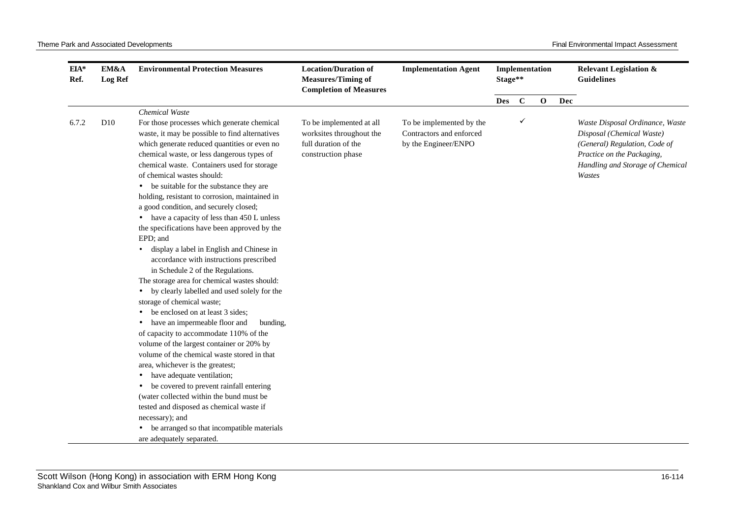| $EIA*$<br>Ref. | EM&A<br>Log Ref | <b>Environmental Protection Measures</b>                                                                                                                                                                                                                                                                                                                                                                                                                                                                                                                                                                                                                                                                                                                                                                                                                                                                                                                                                                                                                                                                                                                                                                                                                                                                                                             | <b>Location/Duration of</b><br><b>Measures/Timing of</b><br><b>Completion of Measures</b>          | <b>Implementation Agent</b>                                                  | Implementation<br>Stage** |             |              |     | <b>Relevant Legislation &amp;</b><br><b>Guidelines</b>                                                                                                                    |
|----------------|-----------------|------------------------------------------------------------------------------------------------------------------------------------------------------------------------------------------------------------------------------------------------------------------------------------------------------------------------------------------------------------------------------------------------------------------------------------------------------------------------------------------------------------------------------------------------------------------------------------------------------------------------------------------------------------------------------------------------------------------------------------------------------------------------------------------------------------------------------------------------------------------------------------------------------------------------------------------------------------------------------------------------------------------------------------------------------------------------------------------------------------------------------------------------------------------------------------------------------------------------------------------------------------------------------------------------------------------------------------------------------|----------------------------------------------------------------------------------------------------|------------------------------------------------------------------------------|---------------------------|-------------|--------------|-----|---------------------------------------------------------------------------------------------------------------------------------------------------------------------------|
|                |                 |                                                                                                                                                                                                                                                                                                                                                                                                                                                                                                                                                                                                                                                                                                                                                                                                                                                                                                                                                                                                                                                                                                                                                                                                                                                                                                                                                      |                                                                                                    |                                                                              | <b>Des</b>                | $\mathbf C$ | $\mathbf{o}$ | Dec |                                                                                                                                                                           |
|                |                 | Chemical Waste                                                                                                                                                                                                                                                                                                                                                                                                                                                                                                                                                                                                                                                                                                                                                                                                                                                                                                                                                                                                                                                                                                                                                                                                                                                                                                                                       |                                                                                                    |                                                                              |                           |             |              |     |                                                                                                                                                                           |
| 6.7.2          | D10             | For those processes which generate chemical<br>waste, it may be possible to find alternatives<br>which generate reduced quantities or even no<br>chemical waste, or less dangerous types of<br>chemical waste. Containers used for storage<br>of chemical wastes should:<br>• be suitable for the substance they are<br>holding, resistant to corrosion, maintained in<br>a good condition, and securely closed;<br>• have a capacity of less than 450 L unless<br>the specifications have been approved by the<br>EPD; and<br>display a label in English and Chinese in<br>$\bullet$<br>accordance with instructions prescribed<br>in Schedule 2 of the Regulations.<br>The storage area for chemical wastes should:<br>by clearly labelled and used solely for the<br>$\bullet$<br>storage of chemical waste;<br>be enclosed on at least 3 sides;<br>have an impermeable floor and<br>bunding,<br>of capacity to accommodate 110% of the<br>volume of the largest container or 20% by<br>volume of the chemical waste stored in that<br>area, whichever is the greatest;<br>have adequate ventilation;<br>$\bullet$<br>be covered to prevent rainfall entering<br>$\bullet$<br>(water collected within the bund must be)<br>tested and disposed as chemical waste if<br>necessary); and<br>be arranged so that incompatible materials<br>$\bullet$ | To be implemented at all<br>worksites throughout the<br>full duration of the<br>construction phase | To be implemented by the<br>Contractors and enforced<br>by the Engineer/ENPO |                           | ✓           |              |     | Waste Disposal Ordinance, Waste<br>Disposal (Chemical Waste)<br>(General) Regulation, Code of<br>Practice on the Packaging,<br>Handling and Storage of Chemical<br>Wastes |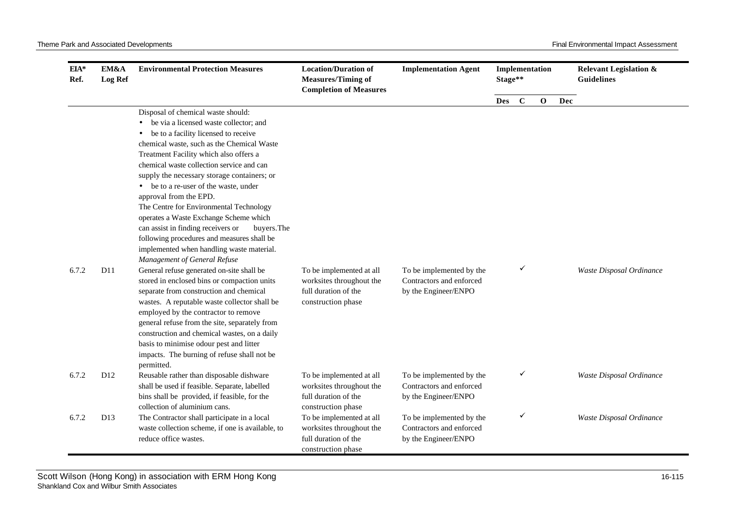| $EIA*$<br>Ref. | EM&A<br><b>Log Ref</b> | <b>Environmental Protection Measures</b>                                                                                                                                                                                                                                                                                                                                                                                                                                                                                                                                                                                         | <b>Location/Duration of</b><br><b>Measures/Timing of</b><br><b>Completion of Measures</b>                                | <b>Implementation Agent</b>                                                  | Stage**    | Implementation |             |     | <b>Relevant Legislation &amp;</b><br><b>Guidelines</b> |
|----------------|------------------------|----------------------------------------------------------------------------------------------------------------------------------------------------------------------------------------------------------------------------------------------------------------------------------------------------------------------------------------------------------------------------------------------------------------------------------------------------------------------------------------------------------------------------------------------------------------------------------------------------------------------------------|--------------------------------------------------------------------------------------------------------------------------|------------------------------------------------------------------------------|------------|----------------|-------------|-----|--------------------------------------------------------|
|                |                        |                                                                                                                                                                                                                                                                                                                                                                                                                                                                                                                                                                                                                                  |                                                                                                                          |                                                                              | <b>Des</b> | $\mathbf C$    | $\mathbf 0$ | Dec |                                                        |
|                |                        | Disposal of chemical waste should:<br>be via a licensed waste collector; and<br>$\bullet$<br>be to a facility licensed to receive<br>٠<br>chemical waste, such as the Chemical Waste<br>Treatment Facility which also offers a<br>chemical waste collection service and can<br>supply the necessary storage containers; or<br>be to a re-user of the waste, under<br>approval from the EPD.<br>The Centre for Environmental Technology<br>operates a Waste Exchange Scheme which<br>can assist in finding receivers or<br>buyers. The<br>following procedures and measures shall be<br>implemented when handling waste material. |                                                                                                                          |                                                                              |            |                |             |     |                                                        |
| 6.7.2          | D11                    | Management of General Refuse<br>General refuse generated on-site shall be<br>stored in enclosed bins or compaction units<br>separate from construction and chemical<br>wastes. A reputable waste collector shall be<br>employed by the contractor to remove<br>general refuse from the site, separately from<br>construction and chemical wastes, on a daily<br>basis to minimise odour pest and litter<br>impacts. The burning of refuse shall not be<br>permitted.                                                                                                                                                             | To be implemented at all<br>worksites throughout the<br>full duration of the<br>construction phase                       | To be implemented by the<br>Contractors and enforced<br>by the Engineer/ENPO |            | ✓              |             |     | Waste Disposal Ordinance                               |
| 6.7.2          | D <sub>12</sub>        | Reusable rather than disposable dishware<br>shall be used if feasible. Separate, labelled<br>bins shall be provided, if feasible, for the<br>collection of aluminium cans.                                                                                                                                                                                                                                                                                                                                                                                                                                                       | To be implemented at all<br>worksites throughout the<br>full duration of the                                             | To be implemented by the<br>Contractors and enforced<br>by the Engineer/ENPO |            | ✓              |             |     | Waste Disposal Ordinance                               |
| 6.7.2          | D <sub>13</sub>        | The Contractor shall participate in a local<br>waste collection scheme, if one is available, to<br>reduce office wastes.                                                                                                                                                                                                                                                                                                                                                                                                                                                                                                         | construction phase<br>To be implemented at all<br>worksites throughout the<br>full duration of the<br>construction phase | To be implemented by the<br>Contractors and enforced<br>by the Engineer/ENPO |            | ✓              |             |     | Waste Disposal Ordinance                               |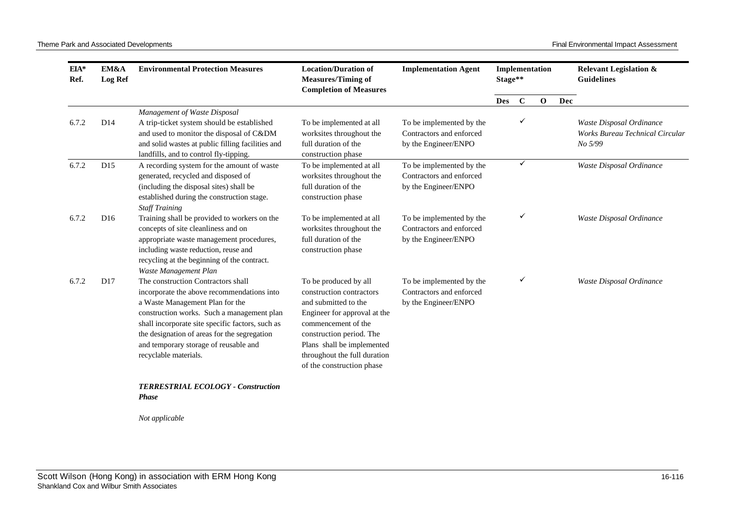| $EIA*$<br>Ref. | EM&A<br><b>Log Ref</b> | <b>Environmental Protection Measures</b>                            | <b>Location/Duration of</b><br><b>Measures/Timing of</b><br><b>Completion of Measures</b> | <b>Implementation Agent</b> | Stage**    |             | Implementation |     | <b>Relevant Legislation &amp;</b><br><b>Guidelines</b> |                          |
|----------------|------------------------|---------------------------------------------------------------------|-------------------------------------------------------------------------------------------|-----------------------------|------------|-------------|----------------|-----|--------------------------------------------------------|--------------------------|
|                |                        |                                                                     |                                                                                           |                             | <b>Des</b> | $\mathbf C$ | $\mathbf 0$    | Dec |                                                        |                          |
|                |                        | Management of Waste Disposal                                        |                                                                                           |                             |            |             |                |     |                                                        |                          |
| 6.7.2          | D14                    | A trip-ticket system should be established                          | To be implemented at all                                                                  | To be implemented by the    |            | ✓           |                |     | Waste Disposal Ordinance                               |                          |
|                |                        | and used to monitor the disposal of C&DM                            | worksites throughout the                                                                  | Contractors and enforced    |            |             |                |     | <b>Works Bureau Technical Circular</b>                 |                          |
|                |                        | and solid wastes at public filling facilities and                   | full duration of the                                                                      | by the Engineer/ENPO        |            |             |                |     | No 5/99                                                |                          |
|                |                        | landfills, and to control fly-tipping.                              | construction phase                                                                        |                             |            |             |                |     |                                                        |                          |
| 6.7.2          | D15                    | A recording system for the amount of waste                          | To be implemented at all                                                                  | To be implemented by the    |            | ✓           |                |     |                                                        | Waste Disposal Ordinance |
|                |                        | generated, recycled and disposed of                                 | worksites throughout the                                                                  | Contractors and enforced    |            |             |                |     |                                                        |                          |
|                |                        | (including the disposal sites) shall be                             | full duration of the                                                                      | by the Engineer/ENPO        |            |             |                |     |                                                        |                          |
|                |                        | established during the construction stage.<br><b>Staff Training</b> | construction phase                                                                        |                             |            |             |                |     |                                                        |                          |
| 6.7.2          | D <sub>16</sub>        | Training shall be provided to workers on the                        | To be implemented at all                                                                  | To be implemented by the    |            | ✓           |                |     | Waste Disposal Ordinance                               |                          |
|                |                        | concepts of site cleanliness and on                                 | worksites throughout the                                                                  | Contractors and enforced    |            |             |                |     |                                                        |                          |
|                |                        | appropriate waste management procedures,                            | full duration of the                                                                      | by the Engineer/ENPO        |            |             |                |     |                                                        |                          |
|                |                        | including waste reduction, reuse and                                | construction phase                                                                        |                             |            |             |                |     |                                                        |                          |
|                |                        | recycling at the beginning of the contract.                         |                                                                                           |                             |            |             |                |     |                                                        |                          |
|                |                        | Waste Management Plan                                               |                                                                                           |                             |            |             |                |     |                                                        |                          |
| 6.7.2          | D17                    | The construction Contractors shall                                  | To be produced by all                                                                     | To be implemented by the    |            | ✓           |                |     | Waste Disposal Ordinance                               |                          |
|                |                        | incorporate the above recommendations into                          | construction contractors                                                                  | Contractors and enforced    |            |             |                |     |                                                        |                          |
|                |                        | a Waste Management Plan for the                                     | and submitted to the                                                                      | by the Engineer/ENPO        |            |             |                |     |                                                        |                          |
|                |                        | construction works. Such a management plan                          | Engineer for approval at the                                                              |                             |            |             |                |     |                                                        |                          |
|                |                        | shall incorporate site specific factors, such as                    | commencement of the                                                                       |                             |            |             |                |     |                                                        |                          |
|                |                        | the designation of areas for the segregation                        | construction period. The                                                                  |                             |            |             |                |     |                                                        |                          |
|                |                        | and temporary storage of reusable and                               | Plans shall be implemented<br>throughout the full duration                                |                             |            |             |                |     |                                                        |                          |
|                |                        | recyclable materials.                                               | of the construction phase                                                                 |                             |            |             |                |     |                                                        |                          |
|                |                        |                                                                     |                                                                                           |                             |            |             |                |     |                                                        |                          |
|                |                        | <b>TERRESTRIAL ECOLOGY - Construction</b>                           |                                                                                           |                             |            |             |                |     |                                                        |                          |
|                |                        | <b>Phase</b>                                                        |                                                                                           |                             |            |             |                |     |                                                        |                          |
|                |                        |                                                                     |                                                                                           |                             |            |             |                |     |                                                        |                          |

*Not applicable*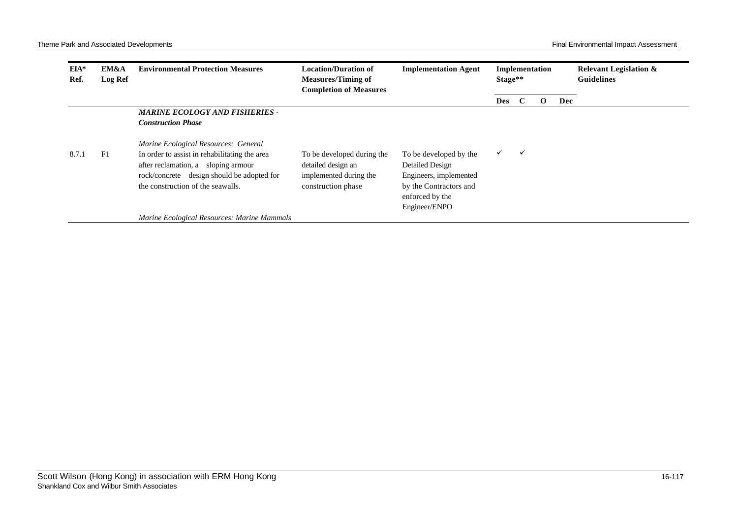| EIA*<br>Ref. | EM&A<br><b>Log Ref</b> | <b>Environmental Protection Measures</b>                                                                                                                                                                        | <b>Location/Duration of</b><br><b>Measures/Timing of</b><br><b>Completion of Measures</b>        | <b>Implementation Agent</b>                                                                                                       |            | Implementation<br>Stage** |          |     | <b>Relevant Legislation &amp;</b><br><b>Guidelines</b> |
|--------------|------------------------|-----------------------------------------------------------------------------------------------------------------------------------------------------------------------------------------------------------------|--------------------------------------------------------------------------------------------------|-----------------------------------------------------------------------------------------------------------------------------------|------------|---------------------------|----------|-----|--------------------------------------------------------|
|              |                        |                                                                                                                                                                                                                 |                                                                                                  |                                                                                                                                   | <b>Des</b> | - C                       | $\Omega$ | Dec |                                                        |
|              |                        | <b>MARINE ECOLOGY AND FISHERIES -</b><br><b>Construction Phase</b>                                                                                                                                              |                                                                                                  |                                                                                                                                   |            |                           |          |     |                                                        |
| 8.7.1        | F1                     | Marine Ecological Resources: General<br>In order to assist in rehabilitating the area<br>after reclamation, a sloping armour<br>rock/concrete design should be adopted for<br>the construction of the seawalls. | To be developed during the<br>detailed design an<br>implemented during the<br>construction phase | To be developed by the<br>Detailed Design<br>Engineers, implemented<br>by the Contractors and<br>enforced by the<br>Engineer/ENPO | ✓          | $\checkmark$              |          |     |                                                        |
|              |                        | Marine Ecological Resources: Marine Mammals                                                                                                                                                                     |                                                                                                  |                                                                                                                                   |            |                           |          |     |                                                        |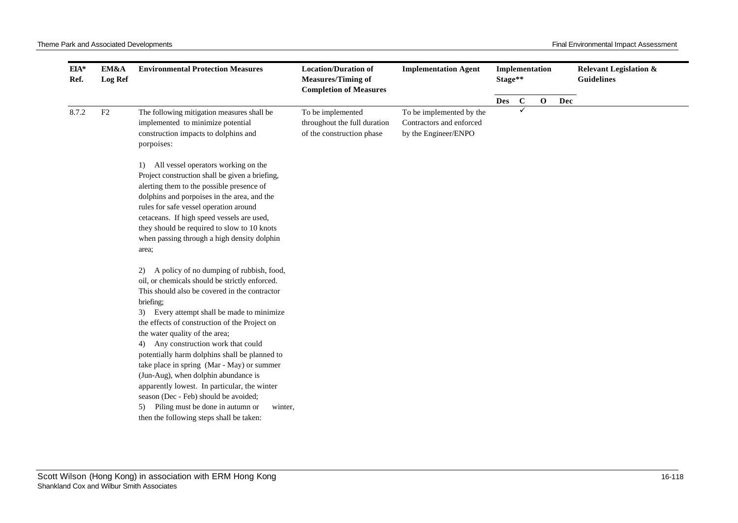| $EIA*$<br>Ref. | EM&A<br><b>Log Ref</b> | <b>Environmental Protection Measures</b>                                                                                                                                                                                                                                                                                                                                                                                                                                                                                                  | <b>Location/Duration of</b><br><b>Measures/Timing of</b><br><b>Completion of Measures</b> | <b>Implementation Agent</b>                                                  | Implementation<br>Stage** |              |             |     | <b>Relevant Legislation &amp;</b><br><b>Guidelines</b> |
|----------------|------------------------|-------------------------------------------------------------------------------------------------------------------------------------------------------------------------------------------------------------------------------------------------------------------------------------------------------------------------------------------------------------------------------------------------------------------------------------------------------------------------------------------------------------------------------------------|-------------------------------------------------------------------------------------------|------------------------------------------------------------------------------|---------------------------|--------------|-------------|-----|--------------------------------------------------------|
|                |                        |                                                                                                                                                                                                                                                                                                                                                                                                                                                                                                                                           |                                                                                           |                                                                              | <b>Des</b>                | $\mathbf{C}$ | $\mathbf 0$ | Dec |                                                        |
| 8.7.2          | F2                     | The following mitigation measures shall be<br>implemented to minimize potential<br>construction impacts to dolphins and<br>porpoises:                                                                                                                                                                                                                                                                                                                                                                                                     | To be implemented<br>throughout the full duration<br>of the construction phase            | To be implemented by the<br>Contractors and enforced<br>by the Engineer/ENPO |                           | ✓            |             |     |                                                        |
|                |                        | 1) All vessel operators working on the<br>Project construction shall be given a briefing,<br>alerting them to the possible presence of<br>dolphins and porpoises in the area, and the<br>rules for safe vessel operation around<br>cetaceans. If high speed vessels are used,<br>they should be required to slow to 10 knots<br>when passing through a high density dolphin<br>area;<br>A policy of no dumping of rubbish, food,<br>2)<br>oil, or chemicals should be strictly enforced.<br>This should also be covered in the contractor |                                                                                           |                                                                              |                           |              |             |     |                                                        |
|                |                        | briefing;<br>Every attempt shall be made to minimize<br>3)<br>the effects of construction of the Project on<br>the water quality of the area;<br>Any construction work that could<br>4)<br>potentially harm dolphins shall be planned to<br>take place in spring (Mar - May) or summer<br>(Jun-Aug), when dolphin abundance is<br>apparently lowest. In particular, the winter<br>season (Dec - Feb) should be avoided;<br>Piling must be done in autumn or<br>5)<br>winter,<br>then the following steps shall be taken:                  |                                                                                           |                                                                              |                           |              |             |     |                                                        |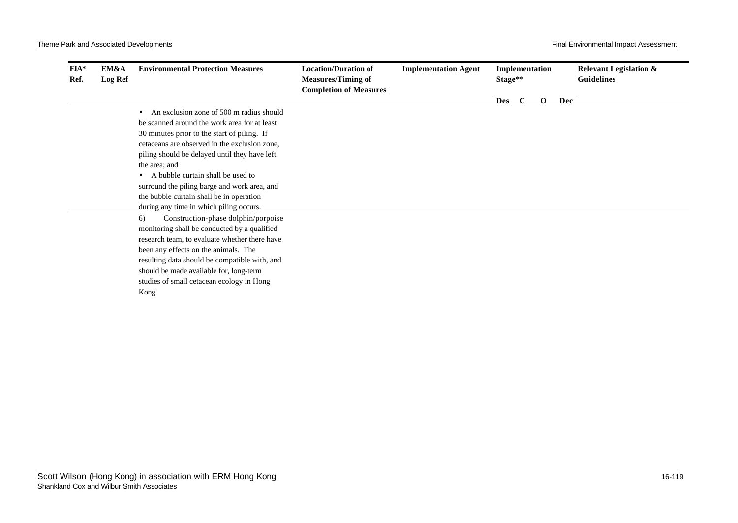| $EIA*$<br>Ref. | EM&A<br>Log Ref | <b>Environmental Protection Measures</b>              | <b>Location/Duration of</b><br><b>Measures/Timing of</b><br><b>Completion of Measures</b> | <b>Implementation Agent</b> | Stage** |             | Implementation |     | <b>Relevant Legislation &amp;</b><br><b>Guidelines</b> |
|----------------|-----------------|-------------------------------------------------------|-------------------------------------------------------------------------------------------|-----------------------------|---------|-------------|----------------|-----|--------------------------------------------------------|
|                |                 |                                                       |                                                                                           |                             | Des     | $\mathbf C$ | $\mathbf 0$    | Dec |                                                        |
|                |                 | An exclusion zone of 500 m radius should<br>$\bullet$ |                                                                                           |                             |         |             |                |     |                                                        |
|                |                 | be scanned around the work area for at least          |                                                                                           |                             |         |             |                |     |                                                        |
|                |                 | 30 minutes prior to the start of piling. If           |                                                                                           |                             |         |             |                |     |                                                        |
|                |                 | cetaceans are observed in the exclusion zone,         |                                                                                           |                             |         |             |                |     |                                                        |
|                |                 | piling should be delayed until they have left         |                                                                                           |                             |         |             |                |     |                                                        |
|                |                 | the area; and                                         |                                                                                           |                             |         |             |                |     |                                                        |
|                |                 | A bubble curtain shall be used to                     |                                                                                           |                             |         |             |                |     |                                                        |
|                |                 | surround the piling barge and work area, and          |                                                                                           |                             |         |             |                |     |                                                        |
|                |                 | the bubble curtain shall be in operation              |                                                                                           |                             |         |             |                |     |                                                        |
|                |                 | during any time in which piling occurs.               |                                                                                           |                             |         |             |                |     |                                                        |
|                |                 | Construction-phase dolphin/porpoise<br>6)             |                                                                                           |                             |         |             |                |     |                                                        |
|                |                 | monitoring shall be conducted by a qualified          |                                                                                           |                             |         |             |                |     |                                                        |
|                |                 | research team, to evaluate whether there have         |                                                                                           |                             |         |             |                |     |                                                        |
|                |                 | been any effects on the animals. The                  |                                                                                           |                             |         |             |                |     |                                                        |
|                |                 | resulting data should be compatible with, and         |                                                                                           |                             |         |             |                |     |                                                        |
|                |                 | should be made available for, long-term               |                                                                                           |                             |         |             |                |     |                                                        |
|                |                 | studies of small cetacean ecology in Hong             |                                                                                           |                             |         |             |                |     |                                                        |
|                |                 | Kong.                                                 |                                                                                           |                             |         |             |                |     |                                                        |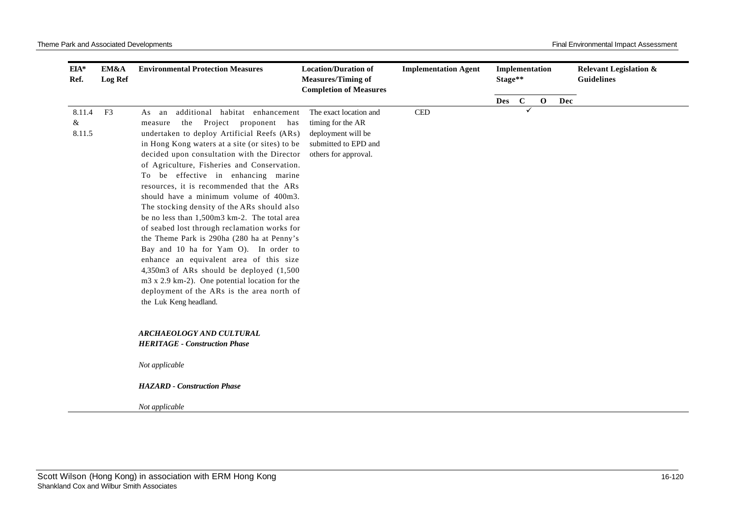| EIA*<br>Ref.          | EM&A<br><b>Log Ref</b> | <b>Environmental Protection Measures</b>                                                                                                                                                                                                                                                                                                                                                                                                                                                                                                                                                                                                                                                                                                                                                                                                                                    | <b>Location/Duration of</b><br><b>Measures/Timing of</b><br><b>Completion of Measures</b>                         | <b>Implementation Agent</b> | Implementation<br>Stage** |             |              |     | <b>Relevant Legislation &amp;</b><br><b>Guidelines</b> |
|-----------------------|------------------------|-----------------------------------------------------------------------------------------------------------------------------------------------------------------------------------------------------------------------------------------------------------------------------------------------------------------------------------------------------------------------------------------------------------------------------------------------------------------------------------------------------------------------------------------------------------------------------------------------------------------------------------------------------------------------------------------------------------------------------------------------------------------------------------------------------------------------------------------------------------------------------|-------------------------------------------------------------------------------------------------------------------|-----------------------------|---------------------------|-------------|--------------|-----|--------------------------------------------------------|
|                       |                        |                                                                                                                                                                                                                                                                                                                                                                                                                                                                                                                                                                                                                                                                                                                                                                                                                                                                             |                                                                                                                   |                             | Des                       | $\mathbf C$ | $\mathbf{o}$ | Dec |                                                        |
| 8.11.4<br>&<br>8.11.5 | F <sub>3</sub>         | additional habitat enhancement<br>As an<br>Project proponent has<br>the<br>measure<br>undertaken to deploy Artificial Reefs (ARs)<br>in Hong Kong waters at a site (or sites) to be<br>decided upon consultation with the Director<br>of Agriculture, Fisheries and Conservation.<br>To be effective in enhancing marine<br>resources, it is recommended that the ARs<br>should have a minimum volume of 400m3.<br>The stocking density of the ARs should also<br>be no less than 1,500m3 km-2. The total area<br>of seabed lost through reclamation works for<br>the Theme Park is 290ha (280 ha at Penny's<br>Bay and 10 ha for Yam O). In order to<br>enhance an equivalent area of this size<br>$4,350m3$ of ARs should be deployed $(1,500)$<br>m3 x 2.9 km-2). One potential location for the<br>deployment of the ARs is the area north of<br>the Luk Keng headland. | The exact location and<br>timing for the AR<br>deployment will be<br>submitted to EPD and<br>others for approval. | $\ensuremath{\mathsf{CED}}$ |                           |             | ✓            |     |                                                        |
|                       |                        | <b>ARCHAEOLOGY AND CULTURAL</b><br><b>HERITAGE - Construction Phase</b>                                                                                                                                                                                                                                                                                                                                                                                                                                                                                                                                                                                                                                                                                                                                                                                                     |                                                                                                                   |                             |                           |             |              |     |                                                        |
|                       |                        | Not applicable                                                                                                                                                                                                                                                                                                                                                                                                                                                                                                                                                                                                                                                                                                                                                                                                                                                              |                                                                                                                   |                             |                           |             |              |     |                                                        |
|                       |                        | <b>HAZARD</b> - Construction Phase                                                                                                                                                                                                                                                                                                                                                                                                                                                                                                                                                                                                                                                                                                                                                                                                                                          |                                                                                                                   |                             |                           |             |              |     |                                                        |
|                       |                        | Not applicable                                                                                                                                                                                                                                                                                                                                                                                                                                                                                                                                                                                                                                                                                                                                                                                                                                                              |                                                                                                                   |                             |                           |             |              |     |                                                        |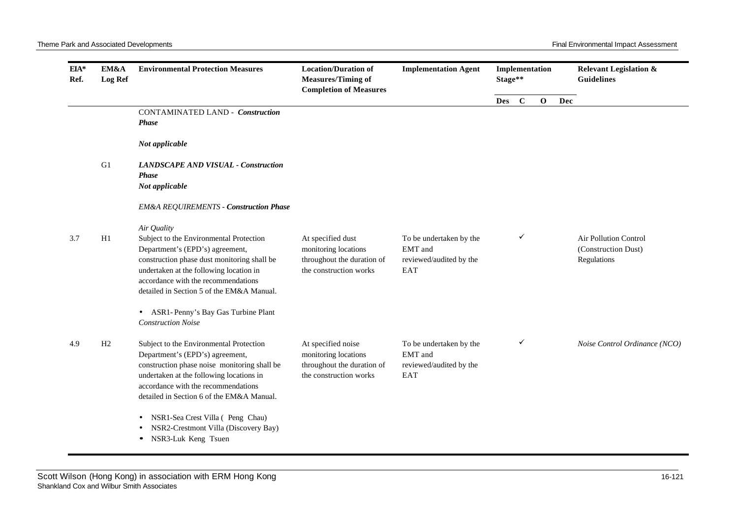| EIA*<br>Ref. | EM&A<br><b>Log Ref</b> | <b>Environmental Protection Measures</b>                                                                                                                                                                                                                                | <b>Location/Duration of</b><br><b>Measures/Timing of</b><br><b>Completion of Measures</b>          | <b>Implementation Agent</b>                                          | Stage**    |             | Implementation |     | <b>Relevant Legislation &amp;</b><br><b>Guidelines</b>             |
|--------------|------------------------|-------------------------------------------------------------------------------------------------------------------------------------------------------------------------------------------------------------------------------------------------------------------------|----------------------------------------------------------------------------------------------------|----------------------------------------------------------------------|------------|-------------|----------------|-----|--------------------------------------------------------------------|
|              |                        |                                                                                                                                                                                                                                                                         |                                                                                                    |                                                                      | <b>Des</b> | $\mathbf C$ | $\mathbf{o}$   | Dec |                                                                    |
|              |                        | <b>CONTAMINATED LAND - Construction</b><br><b>Phase</b>                                                                                                                                                                                                                 |                                                                                                    |                                                                      |            |             |                |     |                                                                    |
|              |                        | Not applicable                                                                                                                                                                                                                                                          |                                                                                                    |                                                                      |            |             |                |     |                                                                    |
|              | G1                     | <b>LANDSCAPE AND VISUAL - Construction</b><br><b>Phase</b><br>Not applicable                                                                                                                                                                                            |                                                                                                    |                                                                      |            |             |                |     |                                                                    |
|              |                        | <b>EM&amp;A REQUIREMENTS - Construction Phase</b>                                                                                                                                                                                                                       |                                                                                                    |                                                                      |            |             |                |     |                                                                    |
| 3.7          | H1                     | Air Quality<br>Subject to the Environmental Protection<br>Department's (EPD's) agreement,<br>construction phase dust monitoring shall be<br>undertaken at the following location in<br>accordance with the recommendations<br>detailed in Section 5 of the EM&A Manual. | At specified dust<br>monitoring locations<br>throughout the duration of<br>the construction works  | To be undertaken by the<br>EMT and<br>reviewed/audited by the<br>EAT |            | ✓           |                |     | <b>Air Pollution Control</b><br>(Construction Dust)<br>Regulations |
|              |                        | • ASR1-Penny's Bay Gas Turbine Plant<br><b>Construction Noise</b>                                                                                                                                                                                                       |                                                                                                    |                                                                      |            |             |                |     |                                                                    |
| 4.9          | H <sub>2</sub>         | Subject to the Environmental Protection<br>Department's (EPD's) agreement,<br>construction phase noise monitoring shall be<br>undertaken at the following locations in<br>accordance with the recommendations<br>detailed in Section 6 of the EM&A Manual.              | At specified noise<br>monitoring locations<br>throughout the duration of<br>the construction works | To be undertaken by the<br>EMT and<br>reviewed/audited by the<br>EAT |            | ✓           |                |     | Noise Control Ordinance (NCO)                                      |
|              |                        | NSR1-Sea Crest Villa (Peng Chau)<br>$\bullet$<br>NSR2-Crestmont Villa (Discovery Bay)<br>NSR3-Luk Keng Tsuen<br>$\bullet$                                                                                                                                               |                                                                                                    |                                                                      |            |             |                |     |                                                                    |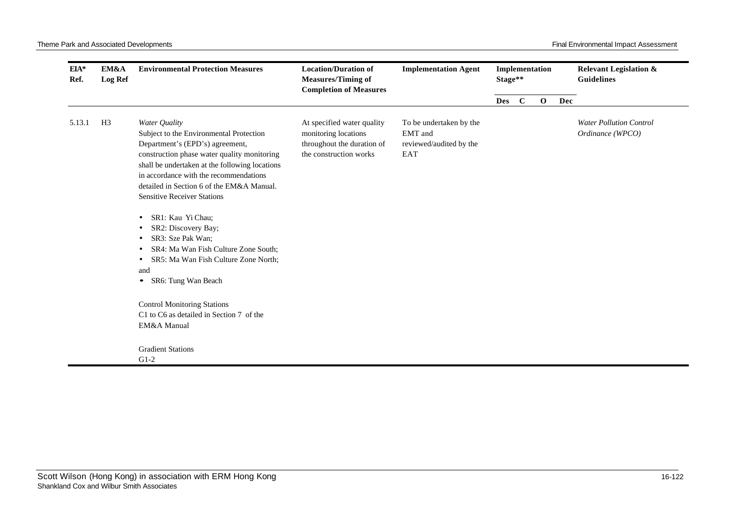| $EIA*$<br>Ref. | EM&A<br><b>Log Ref</b> | <b>Environmental Protection Measures</b>                                                                                                                                                                                                                                                                                                                                                                                                                                                                                                                                        | <b>Location/Duration of</b><br><b>Implementation Agent</b><br><b>Measures/Timing of</b><br>Stage**<br><b>Completion of Measures</b> | Implementation                                                       |            | <b>Relevant Legislation &amp;</b><br><b>Guidelines</b> |              |     |                                                    |
|----------------|------------------------|---------------------------------------------------------------------------------------------------------------------------------------------------------------------------------------------------------------------------------------------------------------------------------------------------------------------------------------------------------------------------------------------------------------------------------------------------------------------------------------------------------------------------------------------------------------------------------|-------------------------------------------------------------------------------------------------------------------------------------|----------------------------------------------------------------------|------------|--------------------------------------------------------|--------------|-----|----------------------------------------------------|
|                |                        |                                                                                                                                                                                                                                                                                                                                                                                                                                                                                                                                                                                 |                                                                                                                                     |                                                                      | <b>Des</b> | $\mathbf C$                                            | $\mathbf{o}$ | Dec |                                                    |
| 5.13.1         | H <sub>3</sub>         | Water Quality<br>Subject to the Environmental Protection<br>Department's (EPD's) agreement,<br>construction phase water quality monitoring<br>shall be undertaken at the following locations<br>in accordance with the recommendations<br>detailed in Section 6 of the EM&A Manual.<br><b>Sensitive Receiver Stations</b><br>SR1: Kau Yi Chau;<br>٠<br>SR2: Discovery Bay;<br>٠<br>SR3: Sze Pak Wan;<br>٠<br>SR4: Ma Wan Fish Culture Zone South;<br>SR5: Ma Wan Fish Culture Zone North;<br>٠<br>and<br>SR6: Tung Wan Beach<br>$\bullet$<br><b>Control Monitoring Stations</b> | At specified water quality<br>monitoring locations<br>throughout the duration of<br>the construction works                          | To be undertaken by the<br>EMT and<br>reviewed/audited by the<br>EAT |            |                                                        |              |     | <b>Water Pollution Control</b><br>Ordinance (WPCO) |
|                |                        | C1 to C6 as detailed in Section 7 of the<br>EM&A Manual                                                                                                                                                                                                                                                                                                                                                                                                                                                                                                                         |                                                                                                                                     |                                                                      |            |                                                        |              |     |                                                    |
|                |                        | <b>Gradient Stations</b><br>$G1-2$                                                                                                                                                                                                                                                                                                                                                                                                                                                                                                                                              |                                                                                                                                     |                                                                      |            |                                                        |              |     |                                                    |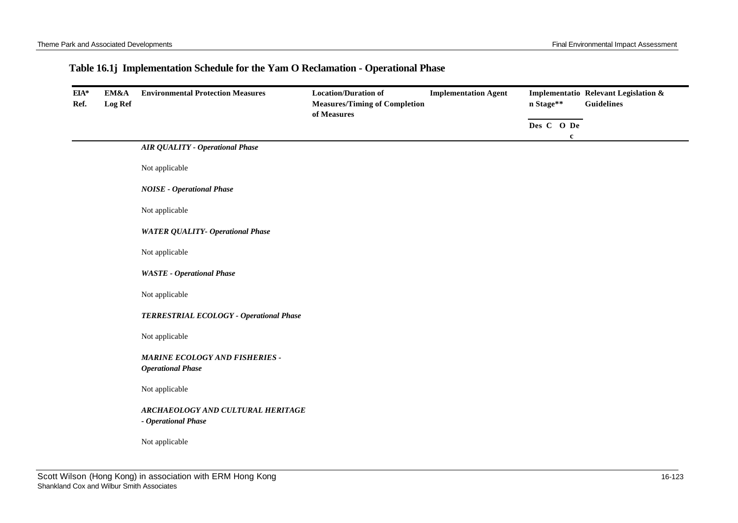## **Table 16.1j Implementation Schedule for the Yam O Reclamation - Operational Phase**

| EIA*<br>Ref. | EM&A<br><b>Log Ref</b> | <b>Environmental Protection Measures</b>                   | <b>Location/Duration of</b><br><b>Measures/Timing of Completion</b><br>of Measures | <b>Implementation Agent</b> | n Stage**  |              | Implementatio Relevant Legislation &<br><b>Guidelines</b> |
|--------------|------------------------|------------------------------------------------------------|------------------------------------------------------------------------------------|-----------------------------|------------|--------------|-----------------------------------------------------------|
|              |                        |                                                            |                                                                                    |                             | Des C O De |              |                                                           |
|              |                        | <b>AIR QUALITY - Operational Phase</b>                     |                                                                                    |                             |            | $\mathbf{c}$ |                                                           |
|              |                        | Not applicable                                             |                                                                                    |                             |            |              |                                                           |
|              |                        | <b>NOISE</b> - Operational Phase                           |                                                                                    |                             |            |              |                                                           |
|              |                        | Not applicable                                             |                                                                                    |                             |            |              |                                                           |
|              |                        | <b>WATER QUALITY- Operational Phase</b>                    |                                                                                    |                             |            |              |                                                           |
|              |                        | Not applicable                                             |                                                                                    |                             |            |              |                                                           |
|              |                        | <b>WASTE</b> - Operational Phase                           |                                                                                    |                             |            |              |                                                           |
|              |                        | Not applicable                                             |                                                                                    |                             |            |              |                                                           |
|              |                        | TERRESTRIAL ECOLOGY - Operational Phase                    |                                                                                    |                             |            |              |                                                           |
|              |                        | Not applicable                                             |                                                                                    |                             |            |              |                                                           |
|              |                        | MARINE ECOLOGY AND FISHERIES -<br><b>Operational Phase</b> |                                                                                    |                             |            |              |                                                           |
|              |                        | Not applicable                                             |                                                                                    |                             |            |              |                                                           |
|              |                        | ARCHAEOLOGY AND CULTURAL HERITAGE<br>- Operational Phase   |                                                                                    |                             |            |              |                                                           |
|              |                        | Not applicable                                             |                                                                                    |                             |            |              |                                                           |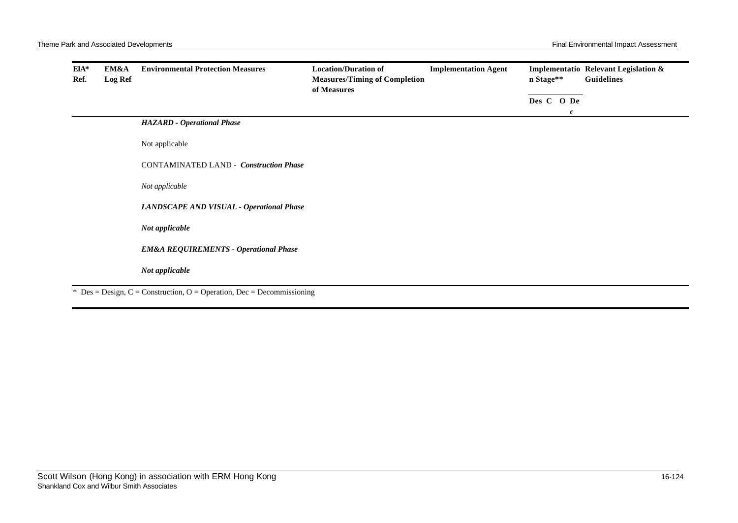|  | <b>HAZARD</b> - Operational Phase                |  | Des C O De<br>c |  |
|--|--------------------------------------------------|--|-----------------|--|
|  |                                                  |  |                 |  |
|  |                                                  |  |                 |  |
|  | Not applicable                                   |  |                 |  |
|  | <b>CONTAMINATED LAND - Construction Phase</b>    |  |                 |  |
|  | Not applicable                                   |  |                 |  |
|  | LANDSCAPE AND VISUAL - Operational Phase         |  |                 |  |
|  | Not applicable                                   |  |                 |  |
|  | <b>EM&amp;A REQUIREMENTS - Operational Phase</b> |  |                 |  |
|  | Not applicable                                   |  |                 |  |

 $Des = Design, C = Construction, O = Operation, Dec = Decommissioning$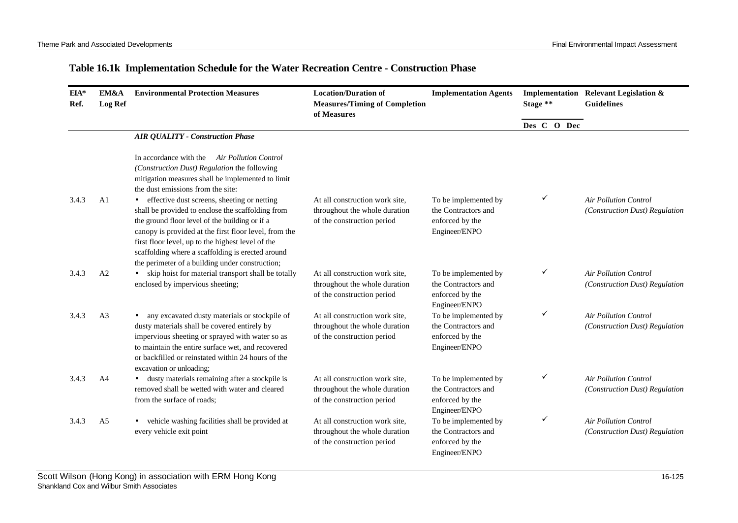## **Table 16.1k Implementation Schedule for the Water Recreation Centre - Construction Phase**

| EIA*<br>Ref. | EM&A<br><b>Log Ref</b> | <b>Environmental Protection Measures</b>                                                                                                                                                                                                                                                                                                                                   | <b>Location/Duration of</b><br><b>Measures/Timing of Completion</b><br>of Measures            | <b>Implementation Agents</b>                                                    | Stage **    |   |  | Implementation Relevant Legislation &<br><b>Guidelines</b>     |
|--------------|------------------------|----------------------------------------------------------------------------------------------------------------------------------------------------------------------------------------------------------------------------------------------------------------------------------------------------------------------------------------------------------------------------|-----------------------------------------------------------------------------------------------|---------------------------------------------------------------------------------|-------------|---|--|----------------------------------------------------------------|
|              |                        |                                                                                                                                                                                                                                                                                                                                                                            |                                                                                               |                                                                                 | Des C O Dec |   |  |                                                                |
|              |                        | <b>AIR QUALITY - Construction Phase</b>                                                                                                                                                                                                                                                                                                                                    |                                                                                               |                                                                                 |             |   |  |                                                                |
|              |                        | In accordance with the Air Pollution Control<br>(Construction Dust) Regulation the following<br>mitigation measures shall be implemented to limit<br>the dust emissions from the site:                                                                                                                                                                                     |                                                                                               |                                                                                 |             |   |  |                                                                |
| 3.4.3        | A <sub>1</sub>         | • effective dust screens, sheeting or netting<br>shall be provided to enclose the scaffolding from<br>the ground floor level of the building or if a<br>canopy is provided at the first floor level, from the<br>first floor level, up to the highest level of the<br>scaffolding where a scaffolding is erected around<br>the perimeter of a building under construction; | At all construction work site,<br>throughout the whole duration<br>of the construction period | To be implemented by<br>the Contractors and<br>enforced by the<br>Engineer/ENPO |             | ✓ |  | <b>Air Pollution Control</b><br>(Construction Dust) Regulation |
| 3.4.3        | A <sub>2</sub>         | skip hoist for material transport shall be totally<br>enclosed by impervious sheeting;                                                                                                                                                                                                                                                                                     | At all construction work site,<br>throughout the whole duration<br>of the construction period | To be implemented by<br>the Contractors and<br>enforced by the<br>Engineer/ENPO |             | ✓ |  | <b>Air Pollution Control</b><br>(Construction Dust) Regulation |
| 3.4.3        | A <sub>3</sub>         | • any excavated dusty materials or stockpile of<br>dusty materials shall be covered entirely by<br>impervious sheeting or sprayed with water so as<br>to maintain the entire surface wet, and recovered<br>or backfilled or reinstated within 24 hours of the<br>excavation or unloading;                                                                                  | At all construction work site,<br>throughout the whole duration<br>of the construction period | To be implemented by<br>the Contractors and<br>enforced by the<br>Engineer/ENPO |             | ✓ |  | <b>Air Pollution Control</b><br>(Construction Dust) Regulation |
| 3.4.3        | A <sub>4</sub>         | • dusty materials remaining after a stockpile is<br>removed shall be wetted with water and cleared<br>from the surface of roads;                                                                                                                                                                                                                                           | At all construction work site,<br>throughout the whole duration<br>of the construction period | To be implemented by<br>the Contractors and<br>enforced by the<br>Engineer/ENPO |             | ✓ |  | <b>Air Pollution Control</b><br>(Construction Dust) Regulation |
| 3.4.3        | A <sub>5</sub>         | vehicle washing facilities shall be provided at<br>every vehicle exit point                                                                                                                                                                                                                                                                                                | At all construction work site,<br>throughout the whole duration<br>of the construction period | To be implemented by<br>the Contractors and<br>enforced by the<br>Engineer/ENPO |             | ✓ |  | <b>Air Pollution Control</b><br>(Construction Dust) Regulation |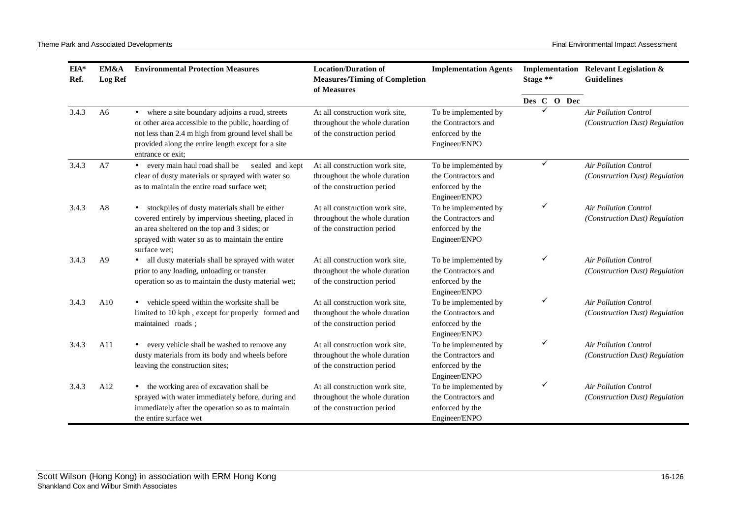| EIA*<br>Ref. | EM&A<br><b>Log Ref</b> | <b>Environmental Protection Measures</b>                                                                                                                                                                                                            | <b>Location/Duration of</b><br><b>Measures/Timing of Completion</b><br>of Measures            | <b>Implementation Agents</b>                                                    | Stage **    | Implementation Relevant Legislation &<br><b>Guidelines</b>     |
|--------------|------------------------|-----------------------------------------------------------------------------------------------------------------------------------------------------------------------------------------------------------------------------------------------------|-----------------------------------------------------------------------------------------------|---------------------------------------------------------------------------------|-------------|----------------------------------------------------------------|
|              |                        |                                                                                                                                                                                                                                                     |                                                                                               |                                                                                 | Des C O Dec |                                                                |
| 3.4.3        | A <sub>6</sub>         | where a site boundary adjoins a road, streets<br>$\bullet$<br>or other area accessible to the public, hoarding of<br>not less than 2.4 m high from ground level shall be<br>provided along the entire length except for a site<br>entrance or exit; | At all construction work site.<br>throughout the whole duration<br>of the construction period | To be implemented by<br>the Contractors and<br>enforced by the<br>Engineer/ENPO | ✓           | <b>Air Pollution Control</b><br>(Construction Dust) Regulation |
| 3.4.3        | A7                     | • every main haul road shall be<br>sealed and kept<br>clear of dusty materials or sprayed with water so<br>as to maintain the entire road surface wet;                                                                                              | At all construction work site.<br>throughout the whole duration<br>of the construction period | To be implemented by<br>the Contractors and<br>enforced by the<br>Engineer/ENPO | ✓           | <b>Air Pollution Control</b><br>(Construction Dust) Regulation |
| 3.4.3        | A8                     | stockpiles of dusty materials shall be either<br>covered entirely by impervious sheeting, placed in<br>an area sheltered on the top and 3 sides; or<br>sprayed with water so as to maintain the entire<br>surface wet:                              | At all construction work site,<br>throughout the whole duration<br>of the construction period | To be implemented by<br>the Contractors and<br>enforced by the<br>Engineer/ENPO | ✓           | <b>Air Pollution Control</b><br>(Construction Dust) Regulation |
| 3.4.3        | A <sup>9</sup>         | all dusty materials shall be sprayed with water<br>prior to any loading, unloading or transfer<br>operation so as to maintain the dusty material wet;                                                                                               | At all construction work site,<br>throughout the whole duration<br>of the construction period | To be implemented by<br>the Contractors and<br>enforced by the<br>Engineer/ENPO | ✓           | <b>Air Pollution Control</b><br>(Construction Dust) Regulation |
| 3.4.3        | A10                    | • vehicle speed within the worksite shall be<br>limited to 10 kph, except for properly formed and<br>maintained roads;                                                                                                                              | At all construction work site,<br>throughout the whole duration<br>of the construction period | To be implemented by<br>the Contractors and<br>enforced by the<br>Engineer/ENPO | ✓           | <b>Air Pollution Control</b><br>(Construction Dust) Regulation |
| 3.4.3        | A11                    | every vehicle shall be washed to remove any<br>dusty materials from its body and wheels before<br>leaving the construction sites;                                                                                                                   | At all construction work site,<br>throughout the whole duration<br>of the construction period | To be implemented by<br>the Contractors and<br>enforced by the<br>Engineer/ENPO | ✓           | <b>Air Pollution Control</b><br>(Construction Dust) Regulation |
| 3.4.3        | A <sub>12</sub>        | • the working area of excavation shall be<br>sprayed with water immediately before, during and<br>immediately after the operation so as to maintain<br>the entire surface wet                                                                       | At all construction work site,<br>throughout the whole duration<br>of the construction period | To be implemented by<br>the Contractors and<br>enforced by the<br>Engineer/ENPO | ✓           | <b>Air Pollution Control</b><br>(Construction Dust) Regulation |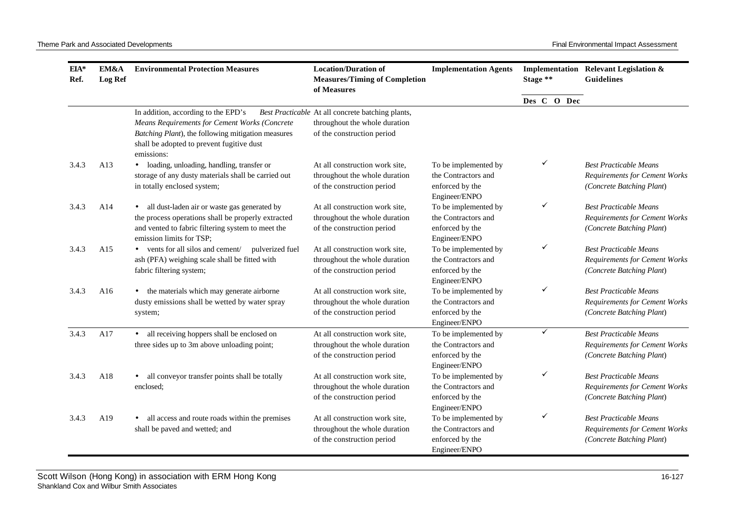| EIA*<br>Ref. | EM&A<br>Log Ref | <b>Environmental Protection Measures</b>                                                                                                                                                                     | <b>Location/Duration of</b><br><b>Measures/Timing of Completion</b><br>of Measures                               | <b>Implementation Agents</b>                                                    | Stage **     | Implementation Relevant Legislation &<br><b>Guidelines</b>                                         |
|--------------|-----------------|--------------------------------------------------------------------------------------------------------------------------------------------------------------------------------------------------------------|------------------------------------------------------------------------------------------------------------------|---------------------------------------------------------------------------------|--------------|----------------------------------------------------------------------------------------------------|
|              |                 |                                                                                                                                                                                                              |                                                                                                                  |                                                                                 | Des C O Dec  |                                                                                                    |
|              |                 | In addition, according to the EPD's<br><b>Means Requirements for Cement Works (Concrete</b><br>Batching Plant), the following mitigation measures<br>shall be adopted to prevent fugitive dust<br>emissions: | Best Practicable At all concrete batching plants,<br>throughout the whole duration<br>of the construction period |                                                                                 |              |                                                                                                    |
| 3.4.3        | A13             | · loading, unloading, handling, transfer or<br>storage of any dusty materials shall be carried out<br>in totally enclosed system;                                                                            | At all construction work site,<br>throughout the whole duration<br>of the construction period                    | To be implemented by<br>the Contractors and<br>enforced by the<br>Engineer/ENPO | ✓            | <b>Best Practicable Means</b><br><b>Requirements for Cement Works</b><br>(Concrete Batching Plant) |
| 3.4.3        | A14             | • all dust-laden air or waste gas generated by<br>the process operations shall be properly extracted<br>and vented to fabric filtering system to meet the<br>emission limits for TSP;                        | At all construction work site,<br>throughout the whole duration<br>of the construction period                    | To be implemented by<br>the Contractors and<br>enforced by the<br>Engineer/ENPO | ✓            | <b>Best Practicable Means</b><br><b>Requirements for Cement Works</b><br>(Concrete Batching Plant) |
| 3.4.3        | A15             | • vents for all silos and cement/<br>pulverized fuel<br>ash (PFA) weighing scale shall be fitted with<br>fabric filtering system;                                                                            | At all construction work site,<br>throughout the whole duration<br>of the construction period                    | To be implemented by<br>the Contractors and<br>enforced by the<br>Engineer/ENPO | ✓            | <b>Best Practicable Means</b><br><b>Requirements for Cement Works</b><br>(Concrete Batching Plant) |
| 3.4.3        | A16             | • the materials which may generate airborne<br>dusty emissions shall be wetted by water spray<br>system;                                                                                                     | At all construction work site,<br>throughout the whole duration<br>of the construction period                    | To be implemented by<br>the Contractors and<br>enforced by the<br>Engineer/ENPO | ✓            | <b>Best Practicable Means</b><br><b>Requirements for Cement Works</b><br>(Concrete Batching Plant) |
| 3.4.3        | A17             | • all receiving hoppers shall be enclosed on<br>three sides up to 3m above unloading point;                                                                                                                  | At all construction work site,<br>throughout the whole duration<br>of the construction period                    | To be implemented by<br>the Contractors and<br>enforced by the<br>Engineer/ENPO | $\checkmark$ | <b>Best Practicable Means</b><br><b>Requirements for Cement Works</b><br>(Concrete Batching Plant) |
| 3.4.3        | A18             | • all conveyor transfer points shall be totally<br>enclosed;                                                                                                                                                 | At all construction work site,<br>throughout the whole duration<br>of the construction period                    | To be implemented by<br>the Contractors and<br>enforced by the<br>Engineer/ENPO | ✓            | <b>Best Practicable Means</b><br><b>Requirements for Cement Works</b><br>(Concrete Batching Plant) |
| 3.4.3        | A19             | • all access and route roads within the premises<br>shall be paved and wetted; and                                                                                                                           | At all construction work site,<br>throughout the whole duration<br>of the construction period                    | To be implemented by<br>the Contractors and<br>enforced by the<br>Engineer/ENPO | ✓            | <b>Best Practicable Means</b><br><b>Requirements for Cement Works</b><br>(Concrete Batching Plant) |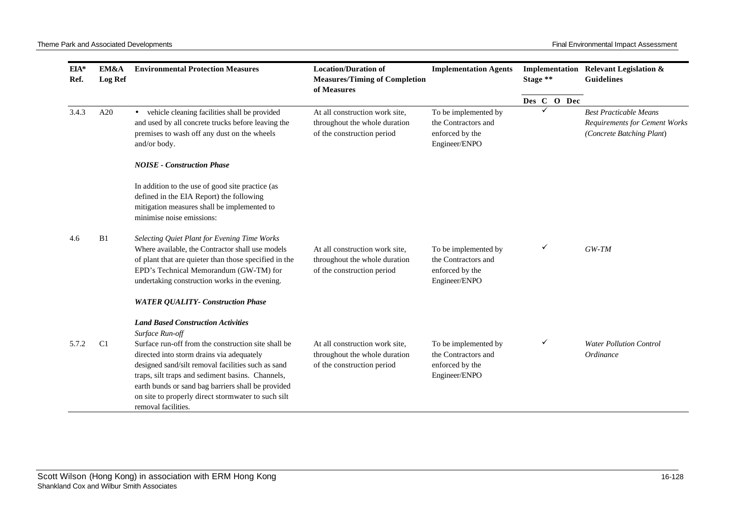| EIA*<br>Ref. | EM&A<br><b>Log Ref</b> | <b>Environmental Protection Measures</b>                                                                                                                                                                                                                                                                                                                                                                      | <b>Location/Duration of</b><br><b>Measures/Timing of Completion</b><br>of Measures            | <b>Implementation Agents</b>                                                    | Stage ** |   |             | Implementation Relevant Legislation &<br><b>Guidelines</b>                                         |
|--------------|------------------------|---------------------------------------------------------------------------------------------------------------------------------------------------------------------------------------------------------------------------------------------------------------------------------------------------------------------------------------------------------------------------------------------------------------|-----------------------------------------------------------------------------------------------|---------------------------------------------------------------------------------|----------|---|-------------|----------------------------------------------------------------------------------------------------|
|              |                        |                                                                                                                                                                                                                                                                                                                                                                                                               |                                                                                               |                                                                                 |          |   | Des C O Dec |                                                                                                    |
| 3.4.3        | A20                    | • vehicle cleaning facilities shall be provided<br>and used by all concrete trucks before leaving the<br>premises to wash off any dust on the wheels<br>and/or body.                                                                                                                                                                                                                                          | At all construction work site,<br>throughout the whole duration<br>of the construction period | To be implemented by<br>the Contractors and<br>enforced by the<br>Engineer/ENPO |          | ✓ |             | <b>Best Practicable Means</b><br><b>Requirements for Cement Works</b><br>(Concrete Batching Plant) |
|              |                        | <b>NOISE - Construction Phase</b>                                                                                                                                                                                                                                                                                                                                                                             |                                                                                               |                                                                                 |          |   |             |                                                                                                    |
|              |                        | In addition to the use of good site practice (as<br>defined in the EIA Report) the following<br>mitigation measures shall be implemented to<br>minimise noise emissions:                                                                                                                                                                                                                                      |                                                                                               |                                                                                 |          |   |             |                                                                                                    |
| 4.6          | B1                     | Selecting Quiet Plant for Evening Time Works<br>Where available, the Contractor shall use models<br>of plant that are quieter than those specified in the<br>EPD's Technical Memorandum (GW-TM) for<br>undertaking construction works in the evening.                                                                                                                                                         | At all construction work site,<br>throughout the whole duration<br>of the construction period | To be implemented by<br>the Contractors and<br>enforced by the<br>Engineer/ENPO |          | ✓ |             | $GW-TM$                                                                                            |
|              |                        | <b>WATER QUALITY- Construction Phase</b>                                                                                                                                                                                                                                                                                                                                                                      |                                                                                               |                                                                                 |          |   |             |                                                                                                    |
| 5.7.2        | C <sub>1</sub>         | <b>Land Based Construction Activities</b><br>Surface Run-off<br>Surface run-off from the construction site shall be<br>directed into storm drains via adequately<br>designed sand/silt removal facilities such as sand<br>traps, silt traps and sediment basins. Channels,<br>earth bunds or sand bag barriers shall be provided<br>on site to properly direct stormwater to such silt<br>removal facilities. | At all construction work site,<br>throughout the whole duration<br>of the construction period | To be implemented by<br>the Contractors and<br>enforced by the<br>Engineer/ENPO |          | ✓ |             | <b>Water Pollution Control</b><br>Ordinance                                                        |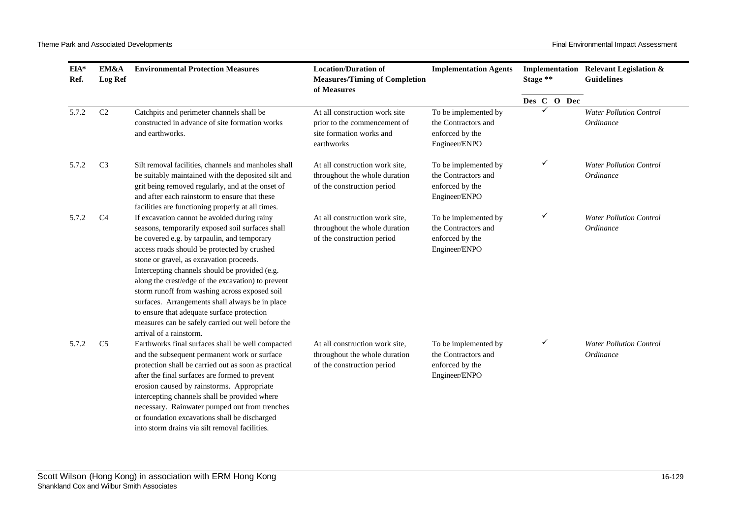| EIA*<br>Ref. | EM&A<br><b>Log Ref</b> | <b>Environmental Protection Measures</b>                                                                                                                                                                                                                                                                                                                                                                                                                                                                                                                                              | <b>Location/Duration of</b><br><b>Measures/Timing of Completion</b><br>of Measures                      | <b>Implementation Agents</b>                                                    | Stage **    | Implementation Relevant Legislation &<br><b>Guidelines</b> |
|--------------|------------------------|---------------------------------------------------------------------------------------------------------------------------------------------------------------------------------------------------------------------------------------------------------------------------------------------------------------------------------------------------------------------------------------------------------------------------------------------------------------------------------------------------------------------------------------------------------------------------------------|---------------------------------------------------------------------------------------------------------|---------------------------------------------------------------------------------|-------------|------------------------------------------------------------|
|              |                        |                                                                                                                                                                                                                                                                                                                                                                                                                                                                                                                                                                                       |                                                                                                         |                                                                                 | Des C O Dec |                                                            |
| 5.7.2        | C <sub>2</sub>         | Catchpits and perimeter channels shall be<br>constructed in advance of site formation works<br>and earthworks.                                                                                                                                                                                                                                                                                                                                                                                                                                                                        | At all construction work site<br>prior to the commencement of<br>site formation works and<br>earthworks | To be implemented by<br>the Contractors and<br>enforced by the<br>Engineer/ENPO | ✓           | <b>Water Pollution Control</b><br>Ordinance                |
| 5.7.2        | C <sub>3</sub>         | Silt removal facilities, channels and manholes shall<br>be suitably maintained with the deposited silt and<br>grit being removed regularly, and at the onset of<br>and after each rainstorm to ensure that these<br>facilities are functioning properly at all times.                                                                                                                                                                                                                                                                                                                 | At all construction work site,<br>throughout the whole duration<br>of the construction period           | To be implemented by<br>the Contractors and<br>enforced by the<br>Engineer/ENPO | ✓           | <b>Water Pollution Control</b><br>Ordinance                |
| 5.7.2        | C <sub>4</sub>         | If excavation cannot be avoided during rainy<br>seasons, temporarily exposed soil surfaces shall<br>be covered e.g. by tarpaulin, and temporary<br>access roads should be protected by crushed<br>stone or gravel, as excavation proceeds.<br>Intercepting channels should be provided (e.g.<br>along the crest/edge of the excavation) to prevent<br>storm runoff from washing across exposed soil<br>surfaces. Arrangements shall always be in place<br>to ensure that adequate surface protection<br>measures can be safely carried out well before the<br>arrival of a rainstorm. | At all construction work site,<br>throughout the whole duration<br>of the construction period           | To be implemented by<br>the Contractors and<br>enforced by the<br>Engineer/ENPO | ✓           | <b>Water Pollution Control</b><br>Ordinance                |
| 5.7.2        | C <sub>5</sub>         | Earthworks final surfaces shall be well compacted<br>and the subsequent permanent work or surface<br>protection shall be carried out as soon as practical<br>after the final surfaces are formed to prevent<br>erosion caused by rainstorms. Appropriate<br>intercepting channels shall be provided where<br>necessary. Rainwater pumped out from trenches<br>or foundation excavations shall be discharged<br>into storm drains via silt removal facilities.                                                                                                                         | At all construction work site,<br>throughout the whole duration<br>of the construction period           | To be implemented by<br>the Contractors and<br>enforced by the<br>Engineer/ENPO | ✓           | <b>Water Pollution Control</b><br>Ordinance                |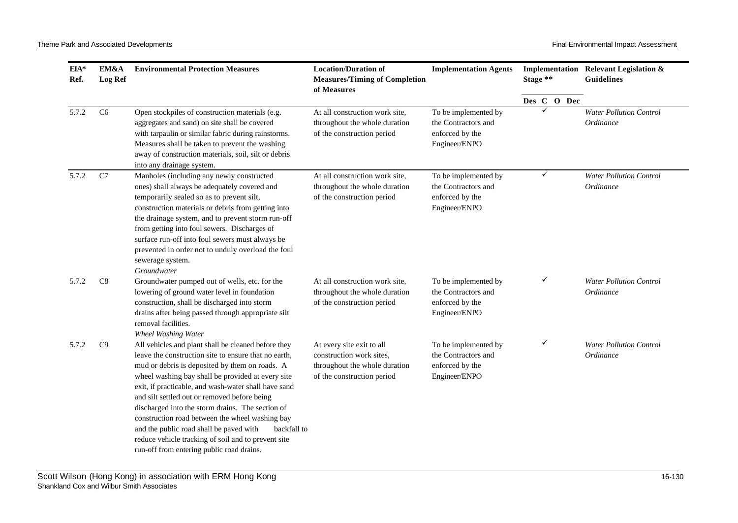| $EIA*$<br>Ref. | <b>EM&amp;A</b><br><b>Log Ref</b> | <b>Environmental Protection Measures</b>                                                                                                                                                                                                                                                                                                                                                                                                                                                                                                                                                        | <b>Location/Duration of</b><br><b>Measures/Timing of Completion</b><br>of Measures                                   | <b>Implementation Agents</b>                                                    | Stage **    | Implementation Relevant Legislation &<br><b>Guidelines</b> |
|----------------|-----------------------------------|-------------------------------------------------------------------------------------------------------------------------------------------------------------------------------------------------------------------------------------------------------------------------------------------------------------------------------------------------------------------------------------------------------------------------------------------------------------------------------------------------------------------------------------------------------------------------------------------------|----------------------------------------------------------------------------------------------------------------------|---------------------------------------------------------------------------------|-------------|------------------------------------------------------------|
|                |                                   |                                                                                                                                                                                                                                                                                                                                                                                                                                                                                                                                                                                                 |                                                                                                                      |                                                                                 | Des C O Dec |                                                            |
| 5.7.2          | C <sub>6</sub>                    | Open stockpiles of construction materials (e.g.<br>aggregates and sand) on site shall be covered<br>with tarpaulin or similar fabric during rainstorms.<br>Measures shall be taken to prevent the washing<br>away of construction materials, soil, silt or debris<br>into any drainage system.                                                                                                                                                                                                                                                                                                  | At all construction work site,<br>throughout the whole duration<br>of the construction period                        | To be implemented by<br>the Contractors and<br>enforced by the<br>Engineer/ENPO |             | <b>Water Pollution Control</b><br>Ordinance                |
| 5.7.2          | C7                                | Manholes (including any newly constructed<br>ones) shall always be adequately covered and<br>temporarily sealed so as to prevent silt,<br>construction materials or debris from getting into<br>the drainage system, and to prevent storm run-off<br>from getting into foul sewers. Discharges of<br>surface run-off into foul sewers must always be<br>prevented in order not to unduly overload the foul<br>sewerage system.<br>Groundwater                                                                                                                                                   | At all construction work site,<br>throughout the whole duration<br>of the construction period                        | To be implemented by<br>the Contractors and<br>enforced by the<br>Engineer/ENPO | ✓           | <b>Water Pollution Control</b><br>Ordinance                |
| 5.7.2          | C8                                | Groundwater pumped out of wells, etc. for the<br>lowering of ground water level in foundation<br>construction, shall be discharged into storm<br>drains after being passed through appropriate silt<br>removal facilities.<br>Wheel Washing Water                                                                                                                                                                                                                                                                                                                                               | At all construction work site,<br>throughout the whole duration<br>of the construction period                        | To be implemented by<br>the Contractors and<br>enforced by the<br>Engineer/ENPO | ✓           | <b>Water Pollution Control</b><br>Ordinance                |
| 5.7.2          | C9                                | All vehicles and plant shall be cleaned before they<br>leave the construction site to ensure that no earth,<br>mud or debris is deposited by them on roads. A<br>wheel washing bay shall be provided at every site<br>exit, if practicable, and wash-water shall have sand<br>and silt settled out or removed before being<br>discharged into the storm drains. The section of<br>construction road between the wheel washing bay<br>and the public road shall be paved with<br>backfall to<br>reduce vehicle tracking of soil and to prevent site<br>run-off from entering public road drains. | At every site exit to all<br>construction work sites,<br>throughout the whole duration<br>of the construction period | To be implemented by<br>the Contractors and<br>enforced by the<br>Engineer/ENPO | ✓           | <b>Water Pollution Control</b><br>Ordinance                |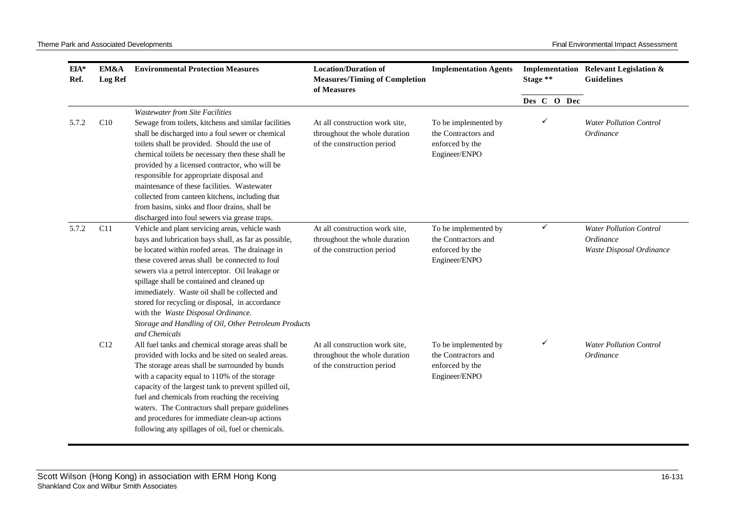| $EIA*$<br>Ref. | EM&A<br><b>Log Ref</b> | <b>Environmental Protection Measures</b>                                                                                                                                                                                                                                                                                                                                                                                                                                                                                          | <b>Location/Duration of</b><br><b>Measures/Timing of Completion</b><br>of Measures            | <b>Implementation Agents</b>                                                    | Stage ** |              | Implementation Relevant Legislation &<br><b>Guidelines</b>              |
|----------------|------------------------|-----------------------------------------------------------------------------------------------------------------------------------------------------------------------------------------------------------------------------------------------------------------------------------------------------------------------------------------------------------------------------------------------------------------------------------------------------------------------------------------------------------------------------------|-----------------------------------------------------------------------------------------------|---------------------------------------------------------------------------------|----------|--------------|-------------------------------------------------------------------------|
|                |                        |                                                                                                                                                                                                                                                                                                                                                                                                                                                                                                                                   |                                                                                               |                                                                                 |          | Des C O Dec  |                                                                         |
| 5.7.2          | C10                    | <b>Wastewater from Site Facilities</b><br>Sewage from toilets, kitchens and similar facilities<br>shall be discharged into a foul sewer or chemical<br>toilets shall be provided. Should the use of<br>chemical toilets be necessary then these shall be<br>provided by a licensed contractor, who will be<br>responsible for appropriate disposal and<br>maintenance of these facilities. Wastewater<br>collected from canteen kitchens, including that                                                                          | At all construction work site,<br>throughout the whole duration<br>of the construction period | To be implemented by<br>the Contractors and<br>enforced by the<br>Engineer/ENPO |          | ✓            | <b>Water Pollution Control</b><br>Ordinance                             |
|                |                        | from basins, sinks and floor drains, shall be<br>discharged into foul sewers via grease traps.                                                                                                                                                                                                                                                                                                                                                                                                                                    |                                                                                               |                                                                                 |          |              |                                                                         |
| 5.7.2          | C11                    | Vehicle and plant servicing areas, vehicle wash<br>bays and lubrication bays shall, as far as possible,<br>be located within roofed areas. The drainage in<br>these covered areas shall be connected to foul<br>sewers via a petrol interceptor. Oil leakage or<br>spillage shall be contained and cleaned up<br>immediately. Waste oil shall be collected and<br>stored for recycling or disposal, in accordance<br>with the Waste Disposal Ordinance.<br>Storage and Handling of Oil, Other Petroleum Products<br>and Chemicals | At all construction work site,<br>throughout the whole duration<br>of the construction period | To be implemented by<br>the Contractors and<br>enforced by the<br>Engineer/ENPO |          | $\checkmark$ | <b>Water Pollution Control</b><br>Ordinance<br>Waste Disposal Ordinance |
|                | C12                    | All fuel tanks and chemical storage areas shall be<br>provided with locks and be sited on sealed areas.<br>The storage areas shall be surrounded by bunds<br>with a capacity equal to 110% of the storage<br>capacity of the largest tank to prevent spilled oil,<br>fuel and chemicals from reaching the receiving<br>waters. The Contractors shall prepare guidelines<br>and procedures for immediate clean-up actions<br>following any spillages of oil, fuel or chemicals.                                                    | At all construction work site,<br>throughout the whole duration<br>of the construction period | To be implemented by<br>the Contractors and<br>enforced by the<br>Engineer/ENPO |          | ✓            | <b>Water Pollution Control</b><br>Ordinance                             |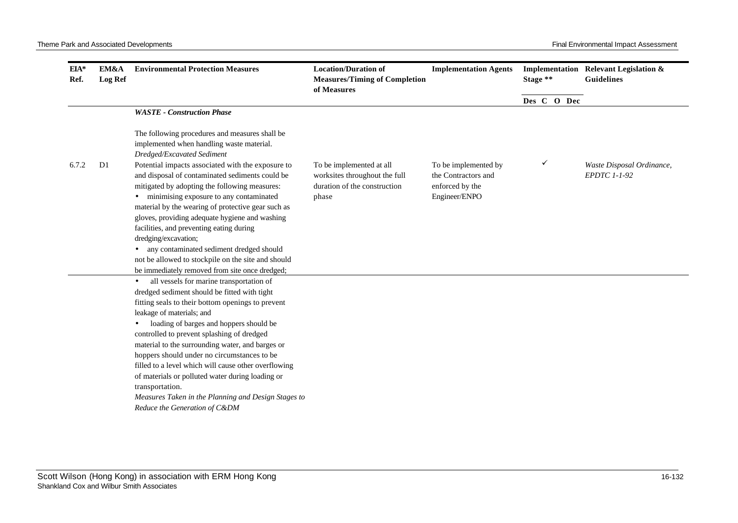| $EIA*$<br>Ref. | EM&A<br><b>Log Ref</b> | <b>Environmental Protection Measures</b>                                                                                                                                                                                                                                                                                                                                                                                                                                                                                                                                                                                                                                                                                                                                                                                                                                                                                                                                                                                                | <b>Location/Duration of</b><br><b>Measures/Timing of Completion</b><br>of Measures                 | <b>Implementation Agents</b>                                                    | Stage **    |   |  | Implementation Relevant Legislation &<br><b>Guidelines</b> |
|----------------|------------------------|-----------------------------------------------------------------------------------------------------------------------------------------------------------------------------------------------------------------------------------------------------------------------------------------------------------------------------------------------------------------------------------------------------------------------------------------------------------------------------------------------------------------------------------------------------------------------------------------------------------------------------------------------------------------------------------------------------------------------------------------------------------------------------------------------------------------------------------------------------------------------------------------------------------------------------------------------------------------------------------------------------------------------------------------|----------------------------------------------------------------------------------------------------|---------------------------------------------------------------------------------|-------------|---|--|------------------------------------------------------------|
|                |                        |                                                                                                                                                                                                                                                                                                                                                                                                                                                                                                                                                                                                                                                                                                                                                                                                                                                                                                                                                                                                                                         |                                                                                                    |                                                                                 | Des C O Dec |   |  |                                                            |
|                |                        | <b>WASTE</b> - Construction Phase                                                                                                                                                                                                                                                                                                                                                                                                                                                                                                                                                                                                                                                                                                                                                                                                                                                                                                                                                                                                       |                                                                                                    |                                                                                 |             |   |  |                                                            |
|                |                        | The following procedures and measures shall be<br>implemented when handling waste material.<br>Dredged/Excavated Sediment                                                                                                                                                                                                                                                                                                                                                                                                                                                                                                                                                                                                                                                                                                                                                                                                                                                                                                               |                                                                                                    |                                                                                 |             |   |  |                                                            |
| 6.7.2          | D <sub>1</sub>         | Potential impacts associated with the exposure to<br>and disposal of contaminated sediments could be<br>mitigated by adopting the following measures:<br>• minimising exposure to any contaminated<br>material by the wearing of protective gear such as<br>gloves, providing adequate hygiene and washing<br>facilities, and preventing eating during<br>dredging/excavation;<br>· any contaminated sediment dredged should<br>not be allowed to stockpile on the site and should<br>be immediately removed from site once dredged;<br>all vessels for marine transportation of<br>$\bullet$<br>dredged sediment should be fitted with tight<br>fitting seals to their bottom openings to prevent<br>leakage of materials; and<br>loading of barges and hoppers should be<br>controlled to prevent splashing of dredged<br>material to the surrounding water, and barges or<br>hoppers should under no circumstances to be<br>filled to a level which will cause other overflowing<br>of materials or polluted water during loading or | To be implemented at all<br>worksites throughout the full<br>duration of the construction<br>phase | To be implemented by<br>the Contractors and<br>enforced by the<br>Engineer/ENPO |             | ✓ |  | Waste Disposal Ordinance,<br><b>EPDTC 1-1-92</b>           |
|                |                        | transportation.<br>Measures Taken in the Planning and Design Stages to<br>Reduce the Generation of C&DM                                                                                                                                                                                                                                                                                                                                                                                                                                                                                                                                                                                                                                                                                                                                                                                                                                                                                                                                 |                                                                                                    |                                                                                 |             |   |  |                                                            |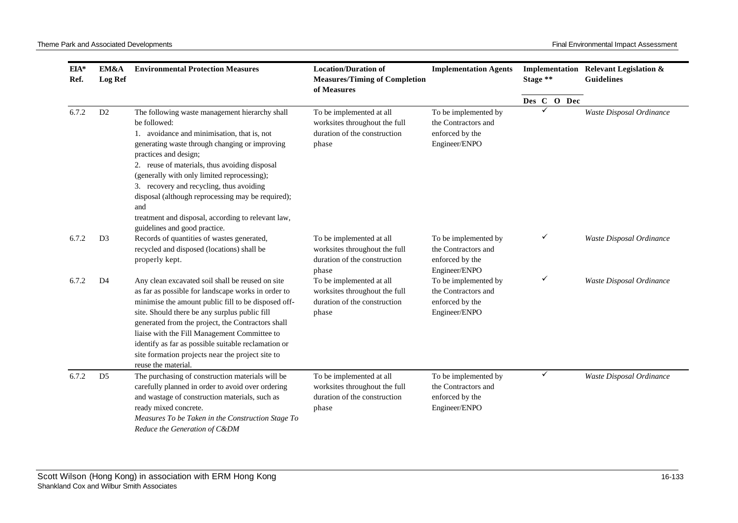| EIA*<br>Ref. | EM&A<br><b>Log Ref</b> | <b>Environmental Protection Measures</b>                                                                                                                                                                                                                                                                                                                                                                                                               | <b>Location/Duration of</b><br><b>Measures/Timing of Completion</b><br>of Measures                 | <b>Implementation Agents</b>                                                    | Stage **    | Implementation Relevant Legislation &<br><b>Guidelines</b> |
|--------------|------------------------|--------------------------------------------------------------------------------------------------------------------------------------------------------------------------------------------------------------------------------------------------------------------------------------------------------------------------------------------------------------------------------------------------------------------------------------------------------|----------------------------------------------------------------------------------------------------|---------------------------------------------------------------------------------|-------------|------------------------------------------------------------|
|              |                        |                                                                                                                                                                                                                                                                                                                                                                                                                                                        |                                                                                                    |                                                                                 | Des C O Dec |                                                            |
| 6.7.2        | D <sub>2</sub>         | The following waste management hierarchy shall<br>be followed:<br>1. avoidance and minimisation, that is, not<br>generating waste through changing or improving<br>practices and design;<br>2. reuse of materials, thus avoiding disposal<br>(generally with only limited reprocessing);<br>3. recovery and recycling, thus avoiding<br>disposal (although reprocessing may be required);<br>and<br>treatment and disposal, according to relevant law, | To be implemented at all<br>worksites throughout the full<br>duration of the construction<br>phase | To be implemented by<br>the Contractors and<br>enforced by the<br>Engineer/ENPO |             | Waste Disposal Ordinance                                   |
| 6.7.2        | D <sub>3</sub>         | guidelines and good practice.<br>Records of quantities of wastes generated,<br>recycled and disposed (locations) shall be<br>properly kept.                                                                                                                                                                                                                                                                                                            | To be implemented at all<br>worksites throughout the full<br>duration of the construction<br>phase | To be implemented by<br>the Contractors and<br>enforced by the<br>Engineer/ENPO | ✓           | Waste Disposal Ordinance                                   |
| 6.7.2        | D4                     | Any clean excavated soil shall be reused on site<br>as far as possible for landscape works in order to<br>minimise the amount public fill to be disposed off-<br>site. Should there be any surplus public fill<br>generated from the project, the Contractors shall<br>liaise with the Fill Management Committee to<br>identify as far as possible suitable reclamation or<br>site formation projects near the project site to<br>reuse the material.  | To be implemented at all<br>worksites throughout the full<br>duration of the construction<br>phase | To be implemented by<br>the Contractors and<br>enforced by the<br>Engineer/ENPO | ✓           | Waste Disposal Ordinance                                   |
| 6.7.2        | D <sub>5</sub>         | The purchasing of construction materials will be<br>carefully planned in order to avoid over ordering<br>and wastage of construction materials, such as<br>ready mixed concrete.<br>Measures To be Taken in the Construction Stage To<br>Reduce the Generation of C&DM                                                                                                                                                                                 | To be implemented at all<br>worksites throughout the full<br>duration of the construction<br>phase | To be implemented by<br>the Contractors and<br>enforced by the<br>Engineer/ENPO | ✓           | Waste Disposal Ordinance                                   |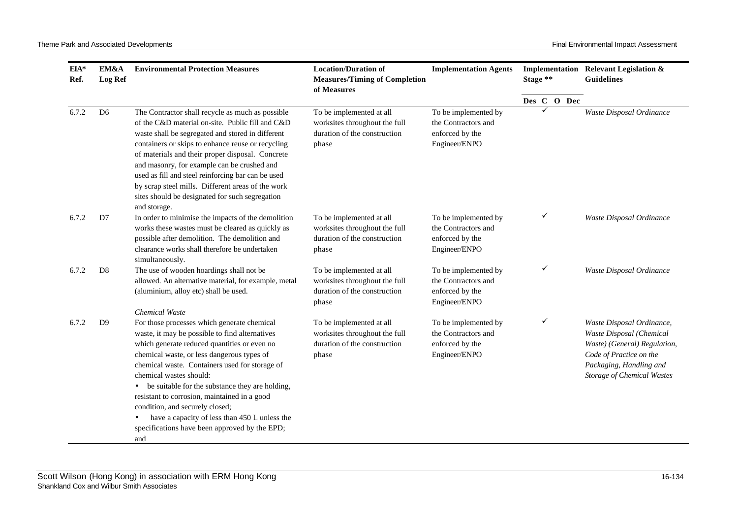| $EIA*$<br>Ref. | EM&A<br><b>Log Ref</b> | <b>Environmental Protection Measures</b>                                                                                                                                                                                                                                                                                                                                                                                                                                                                                | <b>Location/Duration of</b><br><b>Measures/Timing of Completion</b><br>of Measures                 | <b>Implementation Agents</b>                                                    | Stage **    | Implementation Relevant Legislation &<br><b>Guidelines</b>                                                                                                                       |
|----------------|------------------------|-------------------------------------------------------------------------------------------------------------------------------------------------------------------------------------------------------------------------------------------------------------------------------------------------------------------------------------------------------------------------------------------------------------------------------------------------------------------------------------------------------------------------|----------------------------------------------------------------------------------------------------|---------------------------------------------------------------------------------|-------------|----------------------------------------------------------------------------------------------------------------------------------------------------------------------------------|
|                |                        |                                                                                                                                                                                                                                                                                                                                                                                                                                                                                                                         |                                                                                                    |                                                                                 | Des C O Dec |                                                                                                                                                                                  |
| 6.7.2          | D <sub>6</sub>         | The Contractor shall recycle as much as possible<br>of the C&D material on-site. Public fill and C&D<br>waste shall be segregated and stored in different<br>containers or skips to enhance reuse or recycling<br>of materials and their proper disposal. Concrete<br>and masonry, for example can be crushed and<br>used as fill and steel reinforcing bar can be used<br>by scrap steel mills. Different areas of the work<br>sites should be designated for such segregation<br>and storage.                         | To be implemented at all<br>worksites throughout the full<br>duration of the construction<br>phase | To be implemented by<br>the Contractors and<br>enforced by the<br>Engineer/ENPO |             | Waste Disposal Ordinance                                                                                                                                                         |
| 6.7.2          | D7                     | In order to minimise the impacts of the demolition<br>works these wastes must be cleared as quickly as<br>possible after demolition. The demolition and<br>clearance works shall therefore be undertaken<br>simultaneously.                                                                                                                                                                                                                                                                                             | To be implemented at all<br>worksites throughout the full<br>duration of the construction<br>phase | To be implemented by<br>the Contractors and<br>enforced by the<br>Engineer/ENPO | ✓           | Waste Disposal Ordinance                                                                                                                                                         |
| 6.7.2          | D <sub>8</sub>         | The use of wooden hoardings shall not be<br>allowed. An alternative material, for example, metal<br>(aluminium, alloy etc) shall be used.<br><b>Chemical Waste</b>                                                                                                                                                                                                                                                                                                                                                      | To be implemented at all<br>worksites throughout the full<br>duration of the construction<br>phase | To be implemented by<br>the Contractors and<br>enforced by the<br>Engineer/ENPO | ✓           | Waste Disposal Ordinance                                                                                                                                                         |
| 6.7.2          | D <sup>9</sup>         | For those processes which generate chemical<br>waste, it may be possible to find alternatives<br>which generate reduced quantities or even no<br>chemical waste, or less dangerous types of<br>chemical waste. Containers used for storage of<br>chemical wastes should:<br>be suitable for the substance they are holding,<br>resistant to corrosion, maintained in a good<br>condition, and securely closed;<br>have a capacity of less than 450 L unless the<br>specifications have been approved by the EPD;<br>and | To be implemented at all<br>worksites throughout the full<br>duration of the construction<br>phase | To be implemented by<br>the Contractors and<br>enforced by the<br>Engineer/ENPO | ✓           | Waste Disposal Ordinance,<br>Waste Disposal (Chemical<br>Waste) (General) Regulation,<br>Code of Practice on the<br>Packaging, Handling and<br><b>Storage of Chemical Wastes</b> |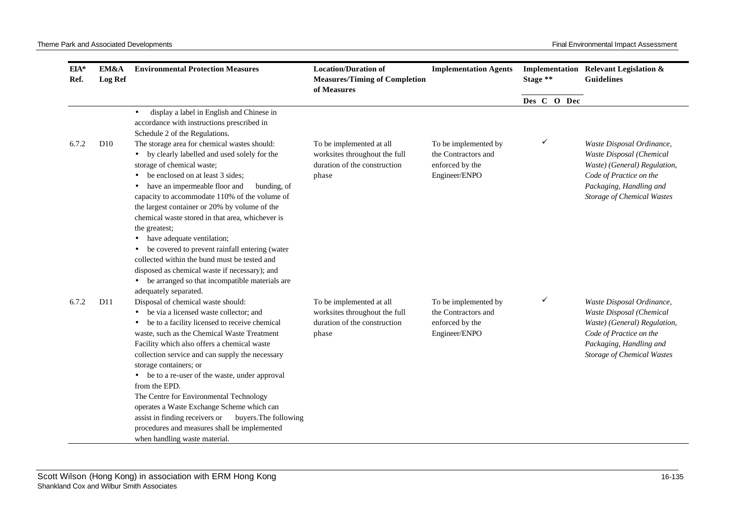| EIA*<br>Ref. | EM&A<br><b>Log Ref</b> | <b>Environmental Protection Measures</b>                                                                                                                                                                                                                                                                                                                                                                                                                                                                                                                                                                                                             | <b>Location/Duration of</b><br><b>Measures/Timing of Completion</b><br>of Measures                 | <b>Implementation Agents</b>                                                    | Stage ** |             | Implementation Relevant Legislation &<br><b>Guidelines</b>                                                                                                                       |
|--------------|------------------------|------------------------------------------------------------------------------------------------------------------------------------------------------------------------------------------------------------------------------------------------------------------------------------------------------------------------------------------------------------------------------------------------------------------------------------------------------------------------------------------------------------------------------------------------------------------------------------------------------------------------------------------------------|----------------------------------------------------------------------------------------------------|---------------------------------------------------------------------------------|----------|-------------|----------------------------------------------------------------------------------------------------------------------------------------------------------------------------------|
|              |                        |                                                                                                                                                                                                                                                                                                                                                                                                                                                                                                                                                                                                                                                      |                                                                                                    |                                                                                 |          | Des C O Dec |                                                                                                                                                                                  |
|              |                        | display a label in English and Chinese in<br>$\bullet$<br>accordance with instructions prescribed in<br>Schedule 2 of the Regulations.                                                                                                                                                                                                                                                                                                                                                                                                                                                                                                               |                                                                                                    |                                                                                 |          |             |                                                                                                                                                                                  |
| 6.7.2        | D10                    | The storage area for chemical wastes should:<br>• by clearly labelled and used solely for the<br>storage of chemical waste;<br>be enclosed on at least 3 sides;<br>have an impermeable floor and<br>bunding, of<br>capacity to accommodate 110% of the volume of<br>the largest container or 20% by volume of the<br>chemical waste stored in that area, whichever is<br>the greatest;<br>have adequate ventilation;<br>be covered to prevent rainfall entering (water<br>collected within the bund must be tested and<br>disposed as chemical waste if necessary); and<br>• be arranged so that incompatible materials are<br>adequately separated. | To be implemented at all<br>worksites throughout the full<br>duration of the construction<br>phase | To be implemented by<br>the Contractors and<br>enforced by the<br>Engineer/ENPO |          | ✓           | Waste Disposal Ordinance,<br>Waste Disposal (Chemical<br>Waste) (General) Regulation,<br>Code of Practice on the<br>Packaging, Handling and<br><b>Storage of Chemical Wastes</b> |
| 6.7.2        | D11                    | Disposal of chemical waste should:<br>be via a licensed waste collector; and<br>• be to a facility licensed to receive chemical<br>waste, such as the Chemical Waste Treatment<br>Facility which also offers a chemical waste<br>collection service and can supply the necessary<br>storage containers; or<br>be to a re-user of the waste, under approval<br>from the EPD.<br>The Centre for Environmental Technology<br>operates a Waste Exchange Scheme which can<br>assist in finding receivers or<br>buyers. The following<br>procedures and measures shall be implemented<br>when handling waste material.                                     | To be implemented at all<br>worksites throughout the full<br>duration of the construction<br>phase | To be implemented by<br>the Contractors and<br>enforced by the<br>Engineer/ENPO |          | ✓           | Waste Disposal Ordinance,<br>Waste Disposal (Chemical<br>Waste) (General) Regulation,<br>Code of Practice on the<br>Packaging, Handling and<br><b>Storage of Chemical Wastes</b> |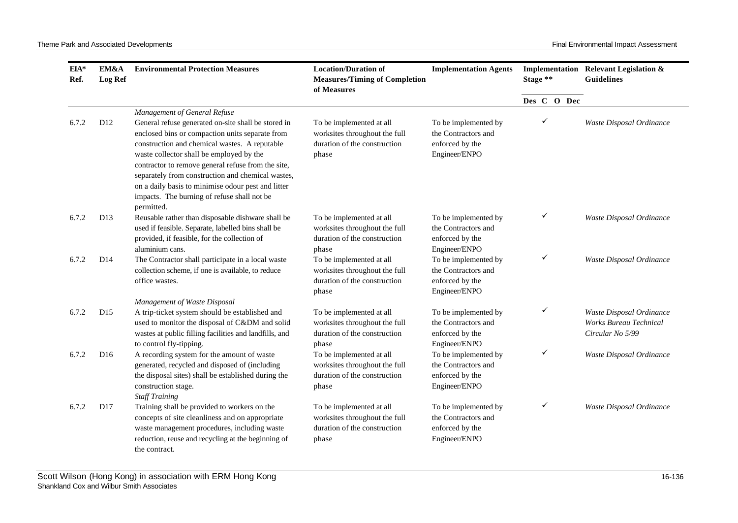| EIA*<br>Ref. | EM&A<br><b>Log Ref</b> | <b>Environmental Protection Measures</b>                                                                                                                                                                                                                                                                                                                                                                                                            | <b>Location/Duration of</b><br><b>Measures/Timing of Completion</b><br>of Measures                 | <b>Implementation Agents</b>                                                    | Stage **    | Implementation Relevant Legislation &<br><b>Guidelines</b>                    |  |
|--------------|------------------------|-----------------------------------------------------------------------------------------------------------------------------------------------------------------------------------------------------------------------------------------------------------------------------------------------------------------------------------------------------------------------------------------------------------------------------------------------------|----------------------------------------------------------------------------------------------------|---------------------------------------------------------------------------------|-------------|-------------------------------------------------------------------------------|--|
|              |                        |                                                                                                                                                                                                                                                                                                                                                                                                                                                     |                                                                                                    |                                                                                 | Des C O Dec |                                                                               |  |
| 6.7.2        | D12                    | Management of General Refuse<br>General refuse generated on-site shall be stored in<br>enclosed bins or compaction units separate from<br>construction and chemical wastes. A reputable<br>waste collector shall be employed by the<br>contractor to remove general refuse from the site,<br>separately from construction and chemical wastes,<br>on a daily basis to minimise odour pest and litter<br>impacts. The burning of refuse shall not be | To be implemented at all<br>worksites throughout the full<br>duration of the construction<br>phase | To be implemented by<br>the Contractors and<br>enforced by the<br>Engineer/ENPO |             | Waste Disposal Ordinance                                                      |  |
| 6.7.2        | D <sub>13</sub>        | permitted.<br>Reusable rather than disposable dishware shall be<br>used if feasible. Separate, labelled bins shall be<br>provided, if feasible, for the collection of<br>aluminium cans.                                                                                                                                                                                                                                                            | To be implemented at all<br>worksites throughout the full<br>duration of the construction<br>phase | To be implemented by<br>the Contractors and<br>enforced by the<br>Engineer/ENPO | ✓           | Waste Disposal Ordinance                                                      |  |
| 6.7.2        | D14                    | The Contractor shall participate in a local waste<br>collection scheme, if one is available, to reduce<br>office wastes.                                                                                                                                                                                                                                                                                                                            | To be implemented at all<br>worksites throughout the full<br>duration of the construction<br>phase | To be implemented by<br>the Contractors and<br>enforced by the<br>Engineer/ENPO | ✓           | Waste Disposal Ordinance                                                      |  |
| 6.7.2        | D <sub>15</sub>        | Management of Waste Disposal<br>A trip-ticket system should be established and<br>used to monitor the disposal of C&DM and solid<br>wastes at public filling facilities and landfills, and<br>to control fly-tipping.                                                                                                                                                                                                                               | To be implemented at all<br>worksites throughout the full<br>duration of the construction<br>phase | To be implemented by<br>the Contractors and<br>enforced by the<br>Engineer/ENPO | ✓           | Waste Disposal Ordinance<br><b>Works Bureau Technical</b><br>Circular No 5/99 |  |
| 6.7.2        | D16                    | A recording system for the amount of waste<br>generated, recycled and disposed of (including<br>the disposal sites) shall be established during the<br>construction stage.<br><b>Staff Training</b>                                                                                                                                                                                                                                                 | To be implemented at all<br>worksites throughout the full<br>duration of the construction<br>phase | To be implemented by<br>the Contractors and<br>enforced by the<br>Engineer/ENPO | ✓           | Waste Disposal Ordinance                                                      |  |
| 6.7.2        | D17                    | Training shall be provided to workers on the<br>concepts of site cleanliness and on appropriate<br>waste management procedures, including waste<br>reduction, reuse and recycling at the beginning of<br>the contract.                                                                                                                                                                                                                              | To be implemented at all<br>worksites throughout the full<br>duration of the construction<br>phase | To be implemented by<br>the Contractors and<br>enforced by the<br>Engineer/ENPO |             | Waste Disposal Ordinance                                                      |  |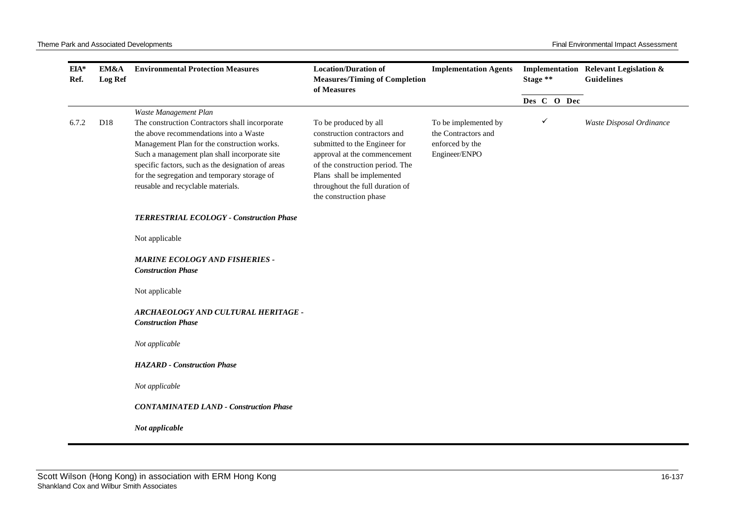| $EIA*$<br>Ref. | EM&A<br><b>Log Ref</b> | <b>Environmental Protection Measures</b>                                                                                                                                                                                                                                                                                                                      | <b>Location/Duration of</b><br><b>Measures/Timing of Completion</b><br>of Measures                                                                                                                                                                   | <b>Implementation Agents</b>                                                    | Stage **    | Implementation Relevant Legislation &<br>Guidelines |
|----------------|------------------------|---------------------------------------------------------------------------------------------------------------------------------------------------------------------------------------------------------------------------------------------------------------------------------------------------------------------------------------------------------------|------------------------------------------------------------------------------------------------------------------------------------------------------------------------------------------------------------------------------------------------------|---------------------------------------------------------------------------------|-------------|-----------------------------------------------------|
|                |                        |                                                                                                                                                                                                                                                                                                                                                               |                                                                                                                                                                                                                                                      |                                                                                 | Des C O Dec |                                                     |
| 6.7.2          | D <sub>18</sub>        | Waste Management Plan<br>The construction Contractors shall incorporate<br>the above recommendations into a Waste<br>Management Plan for the construction works.<br>Such a management plan shall incorporate site<br>specific factors, such as the designation of areas<br>for the segregation and temporary storage of<br>reusable and recyclable materials. | To be produced by all<br>construction contractors and<br>submitted to the Engineer for<br>approval at the commencement<br>of the construction period. The<br>Plans shall be implemented<br>throughout the full duration of<br>the construction phase | To be implemented by<br>the Contractors and<br>enforced by the<br>Engineer/ENPO | ✓           | Waste Disposal Ordinance                            |
|                |                        | TERRESTRIAL ECOLOGY - Construction Phase                                                                                                                                                                                                                                                                                                                      |                                                                                                                                                                                                                                                      |                                                                                 |             |                                                     |
|                |                        | Not applicable                                                                                                                                                                                                                                                                                                                                                |                                                                                                                                                                                                                                                      |                                                                                 |             |                                                     |
|                |                        | <b>MARINE ECOLOGY AND FISHERIES -</b><br><b>Construction Phase</b>                                                                                                                                                                                                                                                                                            |                                                                                                                                                                                                                                                      |                                                                                 |             |                                                     |
|                |                        | Not applicable                                                                                                                                                                                                                                                                                                                                                |                                                                                                                                                                                                                                                      |                                                                                 |             |                                                     |
|                |                        | ARCHAEOLOGY AND CULTURAL HERITAGE -<br><b>Construction Phase</b>                                                                                                                                                                                                                                                                                              |                                                                                                                                                                                                                                                      |                                                                                 |             |                                                     |
|                |                        | Not applicable                                                                                                                                                                                                                                                                                                                                                |                                                                                                                                                                                                                                                      |                                                                                 |             |                                                     |
|                |                        | <b>HAZARD</b> - Construction Phase                                                                                                                                                                                                                                                                                                                            |                                                                                                                                                                                                                                                      |                                                                                 |             |                                                     |
|                |                        | Not applicable                                                                                                                                                                                                                                                                                                                                                |                                                                                                                                                                                                                                                      |                                                                                 |             |                                                     |
|                |                        | <b>CONTAMINATED LAND - Construction Phase</b>                                                                                                                                                                                                                                                                                                                 |                                                                                                                                                                                                                                                      |                                                                                 |             |                                                     |
|                |                        | Not applicable                                                                                                                                                                                                                                                                                                                                                |                                                                                                                                                                                                                                                      |                                                                                 |             |                                                     |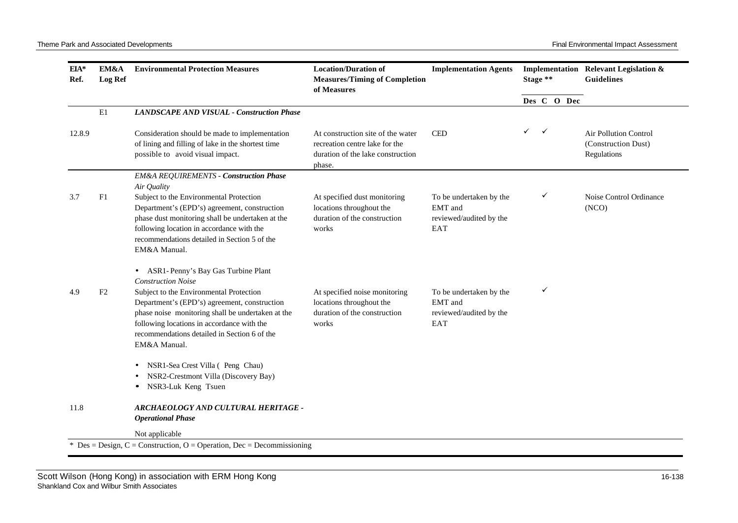| $EIA*$<br>Ref. | EM&A<br>Log Ref | <b>Environmental Protection Measures</b>                                                                                                                                                                                                                                                | <b>Location/Duration of</b><br><b>Measures/Timing of Completion</b><br>of Measures                                 | <b>Implementation Agents</b>                                         | Stage **     |              |             | Implementation Relevant Legislation &<br><b>Guidelines</b>         |
|----------------|-----------------|-----------------------------------------------------------------------------------------------------------------------------------------------------------------------------------------------------------------------------------------------------------------------------------------|--------------------------------------------------------------------------------------------------------------------|----------------------------------------------------------------------|--------------|--------------|-------------|--------------------------------------------------------------------|
|                |                 |                                                                                                                                                                                                                                                                                         |                                                                                                                    |                                                                      |              |              | Des C O Dec |                                                                    |
|                | $\rm E1$        | <b>LANDSCAPE AND VISUAL - Construction Phase</b>                                                                                                                                                                                                                                        |                                                                                                                    |                                                                      |              |              |             |                                                                    |
| 12.8.9         |                 | Consideration should be made to implementation<br>of lining and filling of lake in the shortest time<br>possible to avoid visual impact.                                                                                                                                                | At construction site of the water<br>recreation centre lake for the<br>duration of the lake construction<br>phase. | <b>CED</b>                                                           | $\checkmark$ | $\checkmark$ |             | <b>Air Pollution Control</b><br>(Construction Dust)<br>Regulations |
|                |                 | <b>EM&amp;A REQUIREMENTS - Construction Phase</b>                                                                                                                                                                                                                                       |                                                                                                                    |                                                                      |              |              |             |                                                                    |
| 3.7            | F <sub>1</sub>  | Air Quality<br>Subject to the Environmental Protection<br>Department's (EPD's) agreement, construction<br>phase dust monitoring shall be undertaken at the<br>following location in accordance with the<br>recommendations detailed in Section 5 of the<br>EM&A Manual.                 | At specified dust monitoring<br>locations throughout the<br>duration of the construction<br>works                  | To be undertaken by the<br>EMT and<br>reviewed/audited by the<br>EAT |              | ✓            |             | Noise Control Ordinance<br>(NCO)                                   |
|                |                 | • ASR1-Penny's Bay Gas Turbine Plant                                                                                                                                                                                                                                                    |                                                                                                                    |                                                                      |              |              |             |                                                                    |
| 4.9            | F2              | <b>Construction Noise</b><br>Subject to the Environmental Protection<br>Department's (EPD's) agreement, construction<br>phase noise monitoring shall be undertaken at the<br>following locations in accordance with the<br>recommendations detailed in Section 6 of the<br>EM&A Manual. | At specified noise monitoring<br>locations throughout the<br>duration of the construction<br>works                 | To be undertaken by the<br>EMT and<br>reviewed/audited by the<br>EAT |              | ✓            |             |                                                                    |
|                |                 | • NSR1-Sea Crest Villa ( Peng Chau)<br>NSR2-Crestmont Villa (Discovery Bay)<br>NSR3-Luk Keng Tsuen                                                                                                                                                                                      |                                                                                                                    |                                                                      |              |              |             |                                                                    |
| 11.8           |                 | ARCHAEOLOGY AND CULTURAL HERITAGE -<br><b>Operational Phase</b>                                                                                                                                                                                                                         |                                                                                                                    |                                                                      |              |              |             |                                                                    |
|                |                 | Not applicable                                                                                                                                                                                                                                                                          |                                                                                                                    |                                                                      |              |              |             |                                                                    |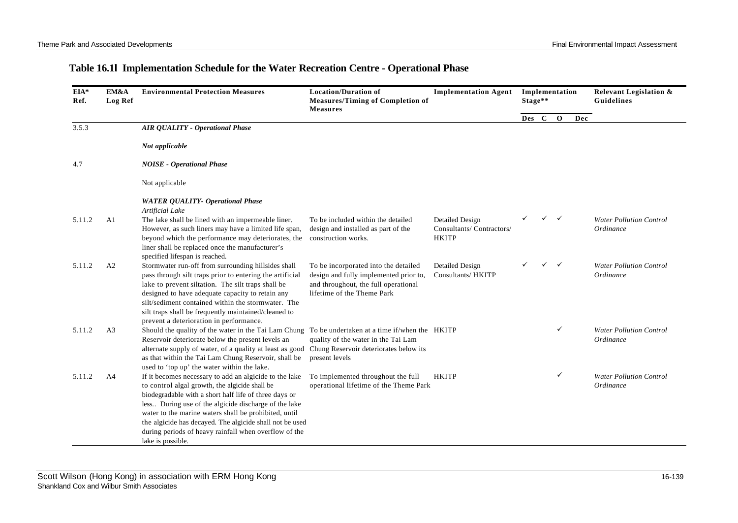## **Table 16.1l Implementation Schedule for the Water Recreation Centre - Operational Phase**

| EIA*<br>Ref. | EM&A<br><b>Log Ref</b> | <b>Environmental Protection Measures</b>                                                                                                                                                                                                                                                                                                                                                                                      | <b>Location/Duration of</b><br><b>Measures/Timing of Completion of</b><br><b>Measures</b>                                                            | <b>Implementation Agent</b>                                        | Stage** |         | Implementation |     | <b>Relevant Legislation &amp;</b><br><b>Guidelines</b> |
|--------------|------------------------|-------------------------------------------------------------------------------------------------------------------------------------------------------------------------------------------------------------------------------------------------------------------------------------------------------------------------------------------------------------------------------------------------------------------------------|------------------------------------------------------------------------------------------------------------------------------------------------------|--------------------------------------------------------------------|---------|---------|----------------|-----|--------------------------------------------------------|
|              |                        |                                                                                                                                                                                                                                                                                                                                                                                                                               |                                                                                                                                                      |                                                                    |         | Des C O |                | Dec |                                                        |
| 3.5.3        |                        | <b>AIR QUALITY - Operational Phase</b>                                                                                                                                                                                                                                                                                                                                                                                        |                                                                                                                                                      |                                                                    |         |         |                |     |                                                        |
|              |                        | Not applicable                                                                                                                                                                                                                                                                                                                                                                                                                |                                                                                                                                                      |                                                                    |         |         |                |     |                                                        |
| 4.7          |                        | <b>NOISE</b> - Operational Phase                                                                                                                                                                                                                                                                                                                                                                                              |                                                                                                                                                      |                                                                    |         |         |                |     |                                                        |
|              |                        | Not applicable                                                                                                                                                                                                                                                                                                                                                                                                                |                                                                                                                                                      |                                                                    |         |         |                |     |                                                        |
|              |                        | <b>WATER QUALITY- Operational Phase</b><br>Artificial Lake                                                                                                                                                                                                                                                                                                                                                                    |                                                                                                                                                      |                                                                    |         |         |                |     |                                                        |
| 5.11.2       | A1                     | The lake shall be lined with an impermeable liner.<br>However, as such liners may have a limited life span,<br>beyond which the performance may deteriorates, the<br>liner shall be replaced once the manufacturer's<br>specified lifespan is reached.                                                                                                                                                                        | To be included within the detailed<br>design and installed as part of the<br>construction works.                                                     | <b>Detailed Design</b><br>Consultants/Contractors/<br><b>HKITP</b> |         |         | ✓              |     | <b>Water Pollution Control</b><br>Ordinance            |
| 5.11.2       | A2                     | Stormwater run-off from surrounding hillsides shall<br>pass through silt traps prior to entering the artificial<br>lake to prevent siltation. The silt traps shall be<br>designed to have adequate capacity to retain any<br>silt/sediment contained within the stormwater. The<br>silt traps shall be frequently maintained/cleaned to<br>prevent a deterioration in performance.                                            | To be incorporated into the detailed<br>design and fully implemented prior to,<br>and throughout, the full operational<br>lifetime of the Theme Park | Detailed Design<br>Consultants/ HKITP                              |         | ✓       | $\checkmark$   |     | <b>Water Pollution Control</b><br>Ordinance            |
| 5.11.2       | A <sub>3</sub>         | Should the quality of the water in the Tai Lam Chung<br>Reservoir deteriorate below the present levels an<br>alternate supply of water, of a quality at least as good Chung Reservoir deteriorates below its<br>as that within the Tai Lam Chung Reservoir, shall be<br>used to 'top up' the water within the lake.                                                                                                           | To be undertaken at a time if/when the HKITP<br>quality of the water in the Tai Lam<br>present levels                                                |                                                                    |         |         | ✓              |     | <b>Water Pollution Control</b><br>Ordinance            |
| 5.11.2       | A4                     | If it becomes necessary to add an algicide to the lake<br>to control algal growth, the algicide shall be<br>biodegradable with a short half life of three days or<br>less During use of the algicide discharge of the lake<br>water to the marine waters shall be prohibited, until<br>the algicide has decayed. The algicide shall not be used<br>during periods of heavy rainfall when overflow of the<br>lake is possible. | To implemented throughout the full<br>operational lifetime of the Theme Park                                                                         | <b>HKITP</b>                                                       |         |         | ✓              |     | <b>Water Pollution Control</b><br>Ordinance            |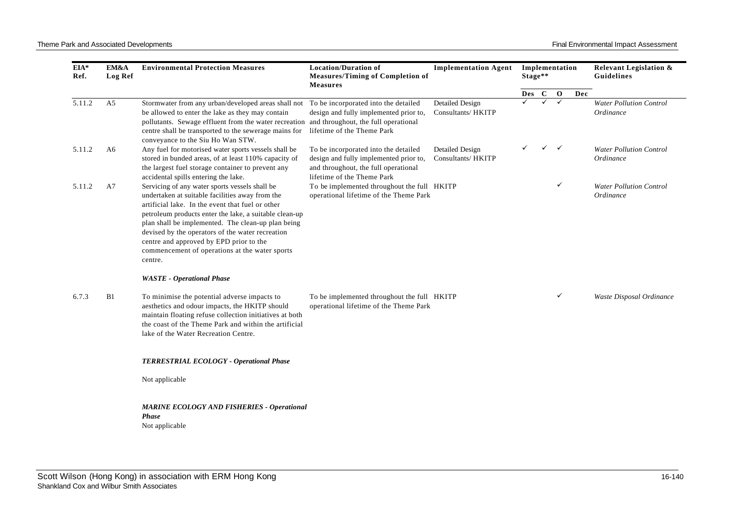| EIA*<br>Ref. | EM&A<br>Log Ref | <b>Environmental Protection Measures</b>                                                                                                                                                                                                                                                                                                                                                                                          | <b>Location/Duration of</b><br><b>Measures/Timing of Completion of</b><br><b>Measures</b>                                                            | <b>Implementation Agent</b>           | Stage** |                | Implementation |     | <b>Relevant Legislation &amp;</b><br>Guidelines |
|--------------|-----------------|-----------------------------------------------------------------------------------------------------------------------------------------------------------------------------------------------------------------------------------------------------------------------------------------------------------------------------------------------------------------------------------------------------------------------------------|------------------------------------------------------------------------------------------------------------------------------------------------------|---------------------------------------|---------|----------------|----------------|-----|-------------------------------------------------|
|              |                 |                                                                                                                                                                                                                                                                                                                                                                                                                                   |                                                                                                                                                      |                                       | Des     | $\overline{C}$ | $\mathbf{O}$   | Dec |                                                 |
| 5.11.2       | A <sub>5</sub>  | Stormwater from any urban/developed areas shall not To be incorporated into the detailed<br>be allowed to enter the lake as they may contain<br>pollutants. Sewage effluent from the water recreation and throughout, the full operational<br>centre shall be transported to the sewerage mains for<br>conveyance to the Siu Ho Wan STW.                                                                                          | design and fully implemented prior to,<br>lifetime of the Theme Park                                                                                 | Detailed Design<br>Consultants/ HKITP |         | $\checkmark$   | $\checkmark$   |     | <b>Water Pollution Control</b><br>Ordinance     |
| 5.11.2       | A6              | Any fuel for motorised water sports vessels shall be<br>stored in bunded areas, of at least 110% capacity of<br>the largest fuel storage container to prevent any<br>accidental spills entering the lake.                                                                                                                                                                                                                         | To be incorporated into the detailed<br>design and fully implemented prior to,<br>and throughout, the full operational<br>lifetime of the Theme Park | Detailed Design<br>Consultants/ HKITP |         | $\checkmark$   | $\checkmark$   |     | <b>Water Pollution Control</b><br>Ordinance     |
| 5.11.2       | A <sub>7</sub>  | Servicing of any water sports vessels shall be<br>undertaken at suitable facilities away from the<br>artificial lake. In the event that fuel or other<br>petroleum products enter the lake, a suitable clean-up<br>plan shall be implemented. The clean-up plan being<br>devised by the operators of the water recreation<br>centre and approved by EPD prior to the<br>commencement of operations at the water sports<br>centre. | To be implemented throughout the full HKITP<br>operational lifetime of the Theme Park                                                                |                                       |         |                | ✓              |     | <b>Water Pollution Control</b><br>Ordinance     |
|              |                 | <b>WASTE</b> - Operational Phase                                                                                                                                                                                                                                                                                                                                                                                                  |                                                                                                                                                      |                                       |         |                |                |     |                                                 |
| 6.7.3        | B1              | To minimise the potential adverse impacts to<br>aesthetics and odour impacts, the HKITP should<br>maintain floating refuse collection initiatives at both<br>the coast of the Theme Park and within the artificial<br>lake of the Water Recreation Centre.                                                                                                                                                                        | To be implemented throughout the full HKITP<br>operational lifetime of the Theme Park                                                                |                                       |         |                | $\checkmark$   |     | Waste Disposal Ordinance                        |
|              |                 | <b>TERRESTRIAL ECOLOGY - Operational Phase</b>                                                                                                                                                                                                                                                                                                                                                                                    |                                                                                                                                                      |                                       |         |                |                |     |                                                 |
|              |                 | Not applicable                                                                                                                                                                                                                                                                                                                                                                                                                    |                                                                                                                                                      |                                       |         |                |                |     |                                                 |
|              |                 | <b>MARINE ECOLOGY AND FISHERIES - Operational</b><br><b>Phase</b><br>Not applicable                                                                                                                                                                                                                                                                                                                                               |                                                                                                                                                      |                                       |         |                |                |     |                                                 |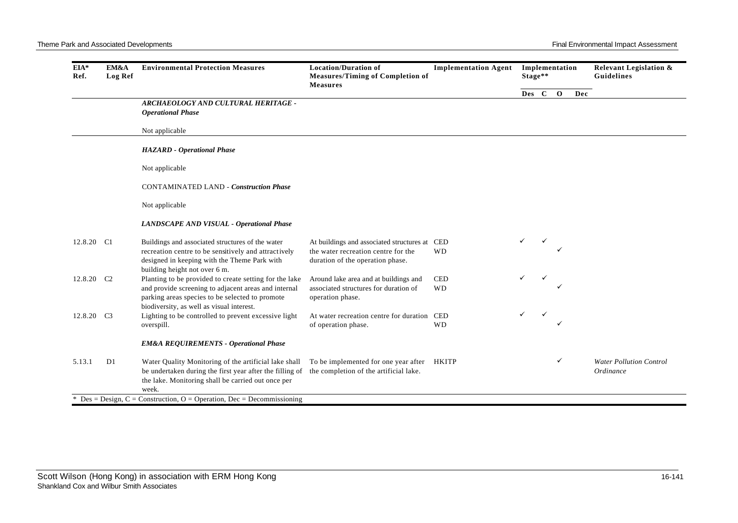| EIA*<br>Ref.           | EM&A<br><b>Log Ref</b> | <b>Environmental Protection Measures</b>                                                                                                                                                                                | <b>Location/Duration of</b><br><b>Measures/Timing of Completion of</b><br><b>Measures</b>                                | <b>Implementation Agent</b> | Stage** | Implementation |     | <b>Relevant Legislation &amp;</b><br>Guidelines |
|------------------------|------------------------|-------------------------------------------------------------------------------------------------------------------------------------------------------------------------------------------------------------------------|--------------------------------------------------------------------------------------------------------------------------|-----------------------------|---------|----------------|-----|-------------------------------------------------|
|                        |                        |                                                                                                                                                                                                                         |                                                                                                                          |                             | Des C O |                | Dec |                                                 |
|                        |                        | ARCHAEOLOGY AND CULTURAL HERITAGE -<br><b>Operational Phase</b>                                                                                                                                                         |                                                                                                                          |                             |         |                |     |                                                 |
|                        |                        | Not applicable                                                                                                                                                                                                          |                                                                                                                          |                             |         |                |     |                                                 |
|                        |                        | <b>HAZARD</b> - Operational Phase                                                                                                                                                                                       |                                                                                                                          |                             |         |                |     |                                                 |
|                        |                        | Not applicable                                                                                                                                                                                                          |                                                                                                                          |                             |         |                |     |                                                 |
|                        |                        | <b>CONTAMINATED LAND - Construction Phase</b>                                                                                                                                                                           |                                                                                                                          |                             |         |                |     |                                                 |
|                        |                        | Not applicable                                                                                                                                                                                                          |                                                                                                                          |                             |         |                |     |                                                 |
|                        |                        | <b>LANDSCAPE AND VISUAL - Operational Phase</b>                                                                                                                                                                         |                                                                                                                          |                             |         |                |     |                                                 |
| 12.8.20 C1             |                        | Buildings and associated structures of the water<br>recreation centre to be sensitively and attractively<br>designed in keeping with the Theme Park with<br>building height not over 6 m.                               | At buildings and associated structures at CED<br>the water recreation centre for the<br>duration of the operation phase. | <b>WD</b>                   | ✓       |                |     |                                                 |
| 12.8.20 C <sub>2</sub> |                        | Planting to be provided to create setting for the lake<br>and provide screening to adjacent areas and internal<br>parking areas species to be selected to promote<br>biodiversity, as well as visual interest.          | Around lake area and at buildings and<br>associated structures for duration of<br>operation phase.                       | <b>CED</b><br><b>WD</b>     |         |                |     |                                                 |
| 12.8.20 C3             |                        | Lighting to be controlled to prevent excessive light<br>overspill.                                                                                                                                                      | At water recreation centre for duration<br>of operation phase.                                                           | CED<br><b>WD</b>            | ✓       | ✓              |     |                                                 |
|                        |                        | <b>EM&amp;A REQUIREMENTS - Operational Phase</b>                                                                                                                                                                        |                                                                                                                          |                             |         |                |     |                                                 |
| 5.13.1                 | D1                     | Water Quality Monitoring of the artificial lake shall<br>be undertaken during the first year after the filling of the completion of the artificial lake.<br>the lake. Monitoring shall be carried out once per<br>week. | To be implemented for one year after HKITP                                                                               |                             |         | ✓              |     | <b>Water Pollution Control</b><br>Ordinance     |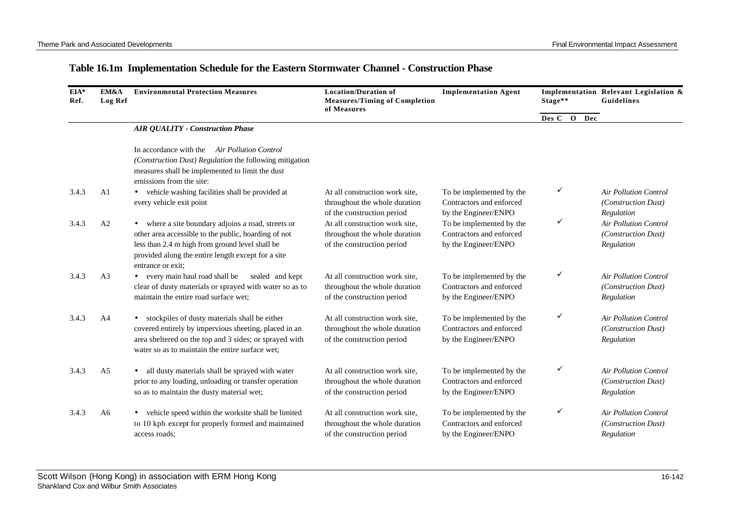## **Table 16.1m Implementation Schedule for the Eastern Stormwater Channel - Construction Phase**

| EIA*<br>Ref. | EM&A<br><b>Log Ref</b> | <b>Environmental Protection Measures</b>                                                                                                                                                                                                 | <b>Location/Duration of</b><br><b>Measures/Timing of Completion</b><br>of Measures            | <b>Implementation Agent</b>                                                  | Stage**     | Implementation Relevant Legislation &<br>Guidelines               |
|--------------|------------------------|------------------------------------------------------------------------------------------------------------------------------------------------------------------------------------------------------------------------------------------|-----------------------------------------------------------------------------------------------|------------------------------------------------------------------------------|-------------|-------------------------------------------------------------------|
|              |                        |                                                                                                                                                                                                                                          |                                                                                               |                                                                              | Des C O Dec |                                                                   |
|              |                        | <b>AIR QUALITY - Construction Phase</b>                                                                                                                                                                                                  |                                                                                               |                                                                              |             |                                                                   |
|              |                        | In accordance with the Air Pollution Control<br>(Construction Dust) Regulation the following mitigation<br>measures shall be implemented to limit the dust<br>emissions from the site:                                                   |                                                                                               |                                                                              |             |                                                                   |
| 3.4.3        | A <sub>1</sub>         | • vehicle washing facilities shall be provided at<br>every vehicle exit point                                                                                                                                                            | At all construction work site,<br>throughout the whole duration<br>of the construction period | To be implemented by the<br>Contractors and enforced<br>by the Engineer/ENPO | ✓           | <b>Air Pollution Control</b><br>(Construction Dust)<br>Regulation |
| 3.4.3        | A2                     | • where a site boundary adjoins a road, streets or<br>other area accessible to the public, hoarding of not<br>less than 2.4 m high from ground level shall be<br>provided along the entire length except for a site<br>entrance or exit: | At all construction work site,<br>throughout the whole duration<br>of the construction period | To be implemented by the<br>Contractors and enforced<br>by the Engineer/ENPO | ✓           | <b>Air Pollution Control</b><br>(Construction Dust)<br>Regulation |
| 3.4.3        | A <sub>3</sub>         | • every main haul road shall be<br>sealed and kept<br>clear of dusty materials or sprayed with water so as to<br>maintain the entire road surface wet;                                                                                   | At all construction work site,<br>throughout the whole duration<br>of the construction period | To be implemented by the<br>Contractors and enforced<br>by the Engineer/ENPO | ✓           | Air Pollution Control<br>(Construction Dust)<br>Regulation        |
| 3.4.3        | A <sub>4</sub>         | • stockpiles of dusty materials shall be either<br>covered entirely by impervious sheeting, placed in an<br>area sheltered on the top and 3 sides; or sprayed with<br>water so as to maintain the entire surface wet;                    | At all construction work site,<br>throughout the whole duration<br>of the construction period | To be implemented by the<br>Contractors and enforced<br>by the Engineer/ENPO | ✓           | <b>Air Pollution Control</b><br>(Construction Dust)<br>Regulation |
| 3.4.3        | A <sub>5</sub>         | all dusty materials shall be sprayed with water<br>$\bullet$<br>prior to any loading, unloading or transfer operation<br>so as to maintain the dusty material wet;                                                                       | At all construction work site,<br>throughout the whole duration<br>of the construction period | To be implemented by the<br>Contractors and enforced<br>by the Engineer/ENPO | ✓           | <b>Air Pollution Control</b><br>(Construction Dust)<br>Regulation |
| 3.4.3        | A6                     | • vehicle speed within the worksite shall be limited<br>to 10 kph except for properly formed and maintained<br>access roads;                                                                                                             | At all construction work site,<br>throughout the whole duration<br>of the construction period | To be implemented by the<br>Contractors and enforced<br>by the Engineer/ENPO | ✓           | <b>Air Pollution Control</b><br>(Construction Dust)<br>Regulation |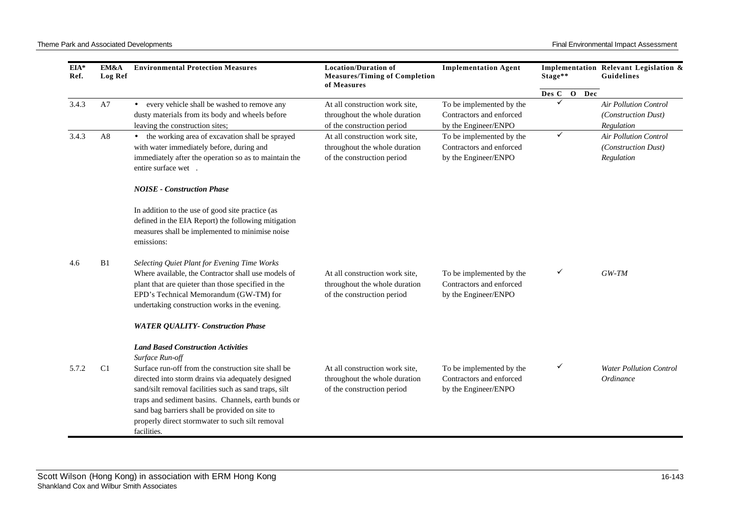| EIA*<br>Ref. | <b>EM&amp;A</b><br>Log Ref | <b>Environmental Protection Measures</b>                                                                                                                                                                                                                                                                                                      | <b>Location/Duration of</b><br><b>Measures/Timing of Completion</b><br>of Measures            | <b>Implementation Agent</b>                                                  | Stage**      | Implementation Relevant Legislation &<br>Guidelines               |
|--------------|----------------------------|-----------------------------------------------------------------------------------------------------------------------------------------------------------------------------------------------------------------------------------------------------------------------------------------------------------------------------------------------|-----------------------------------------------------------------------------------------------|------------------------------------------------------------------------------|--------------|-------------------------------------------------------------------|
|              |                            |                                                                                                                                                                                                                                                                                                                                               |                                                                                               |                                                                              | Des C O Dec  |                                                                   |
| 3.4.3        | A7                         | • every vehicle shall be washed to remove any<br>dusty materials from its body and wheels before<br>leaving the construction sites;                                                                                                                                                                                                           | At all construction work site,<br>throughout the whole duration<br>of the construction period | To be implemented by the<br>Contractors and enforced<br>by the Engineer/ENPO |              | <b>Air Pollution Control</b><br>(Construction Dust)<br>Regulation |
| 3.4.3        | A <sub>8</sub>             | • the working area of excavation shall be sprayed<br>with water immediately before, during and<br>immediately after the operation so as to maintain the<br>entire surface wet.                                                                                                                                                                | At all construction work site,<br>throughout the whole duration<br>of the construction period | To be implemented by the<br>Contractors and enforced<br>by the Engineer/ENPO | $\checkmark$ | <b>Air Pollution Control</b><br>(Construction Dust)<br>Regulation |
|              |                            | <b>NOISE - Construction Phase</b>                                                                                                                                                                                                                                                                                                             |                                                                                               |                                                                              |              |                                                                   |
|              |                            | In addition to the use of good site practice (as<br>defined in the EIA Report) the following mitigation<br>measures shall be implemented to minimise noise<br>emissions:                                                                                                                                                                      |                                                                                               |                                                                              |              |                                                                   |
| 4.6          | B1                         | Selecting Quiet Plant for Evening Time Works<br>Where available, the Contractor shall use models of<br>plant that are quieter than those specified in the<br>EPD's Technical Memorandum (GW-TM) for<br>undertaking construction works in the evening.                                                                                         | At all construction work site,<br>throughout the whole duration<br>of the construction period | To be implemented by the<br>Contractors and enforced<br>by the Engineer/ENPO | ✓            | $GW-TM$                                                           |
|              |                            | <b>WATER QUALITY- Construction Phase</b>                                                                                                                                                                                                                                                                                                      |                                                                                               |                                                                              |              |                                                                   |
|              |                            | <b>Land Based Construction Activities</b><br>Surface Run-off                                                                                                                                                                                                                                                                                  |                                                                                               |                                                                              |              |                                                                   |
| 5.7.2        | C <sub>1</sub>             | Surface run-off from the construction site shall be<br>directed into storm drains via adequately designed<br>sand/silt removal facilities such as sand traps, silt<br>traps and sediment basins. Channels, earth bunds or<br>sand bag barriers shall be provided on site to<br>properly direct stormwater to such silt removal<br>facilities. | At all construction work site,<br>throughout the whole duration<br>of the construction period | To be implemented by the<br>Contractors and enforced<br>by the Engineer/ENPO | ✓            | <b>Water Pollution Control</b><br>Ordinance                       |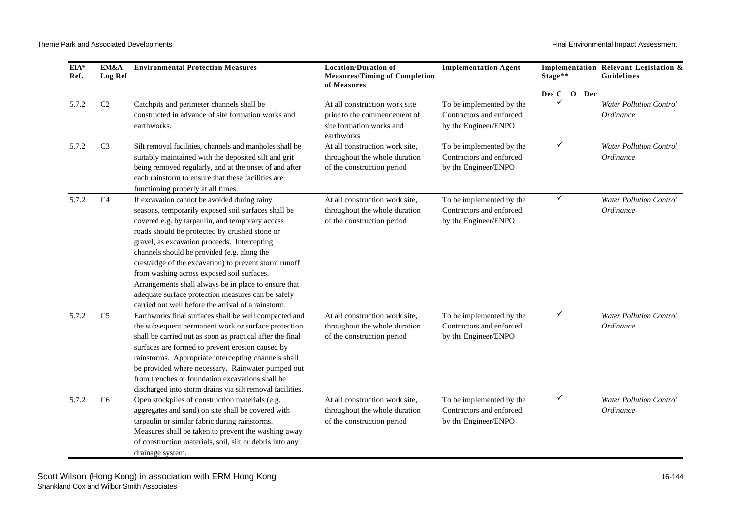| EIA*<br>Ref. | EM&A<br><b>Log Ref</b> | <b>Environmental Protection Measures</b>                                                                                                                                                                                                                                                                                                                                                                                                                                                                                                                                           | <b>Location/Duration of</b><br><b>Measures/Timing of Completion</b><br>of Measures                      | <b>Implementation Agent</b>                                                  | Stage**        | Implementation Relevant Legislation &<br>Guidelines |
|--------------|------------------------|------------------------------------------------------------------------------------------------------------------------------------------------------------------------------------------------------------------------------------------------------------------------------------------------------------------------------------------------------------------------------------------------------------------------------------------------------------------------------------------------------------------------------------------------------------------------------------|---------------------------------------------------------------------------------------------------------|------------------------------------------------------------------------------|----------------|-----------------------------------------------------|
|              |                        |                                                                                                                                                                                                                                                                                                                                                                                                                                                                                                                                                                                    |                                                                                                         |                                                                              | Des C<br>O Dec |                                                     |
| 5.7.2        | C2                     | Catchpits and perimeter channels shall be<br>constructed in advance of site formation works and<br>earthworks.                                                                                                                                                                                                                                                                                                                                                                                                                                                                     | At all construction work site<br>prior to the commencement of<br>site formation works and<br>earthworks | To be implemented by the<br>Contractors and enforced<br>by the Engineer/ENPO | ✓              | <b>Water Pollution Control</b><br>Ordinance         |
| 5.7.2        | C <sub>3</sub>         | Silt removal facilities, channels and manholes shall be<br>suitably maintained with the deposited silt and grit<br>being removed regularly, and at the onset of and after<br>each rainstorm to ensure that these facilities are<br>functioning properly at all times.                                                                                                                                                                                                                                                                                                              | At all construction work site,<br>throughout the whole duration<br>of the construction period           | To be implemented by the<br>Contractors and enforced<br>by the Engineer/ENPO | ✓              | <b>Water Pollution Control</b><br>Ordinance         |
| 5.7.2        | C <sub>4</sub>         | If excavation cannot be avoided during rainy<br>seasons, temporarily exposed soil surfaces shall be<br>covered e.g. by tarpaulin, and temporary access<br>roads should be protected by crushed stone or<br>gravel, as excavation proceeds. Intercepting<br>channels should be provided (e.g. along the<br>crest/edge of the excavation) to prevent storm runoff<br>from washing across exposed soil surfaces.<br>Arrangements shall always be in place to ensure that<br>adequate surface protection measures can be safely<br>carried out well before the arrival of a rainstorm. | At all construction work site,<br>throughout the whole duration<br>of the construction period           | To be implemented by the<br>Contractors and enforced<br>by the Engineer/ENPO | ✓              | <b>Water Pollution Control</b><br><i>Ordinance</i>  |
| 5.7.2        | C <sub>5</sub>         | Earthworks final surfaces shall be well compacted and<br>the subsequent permanent work or surface protection<br>shall be carried out as soon as practical after the final<br>surfaces are formed to prevent erosion caused by<br>rainstorms. Appropriate intercepting channels shall<br>be provided where necessary. Rainwater pumped out<br>from trenches or foundation excavations shall be<br>discharged into storm drains via silt removal facilities.                                                                                                                         | At all construction work site,<br>throughout the whole duration<br>of the construction period           | To be implemented by the<br>Contractors and enforced<br>by the Engineer/ENPO | ✓              | <b>Water Pollution Control</b><br>Ordinance         |
| 5.7.2        | C <sub>6</sub>         | Open stockpiles of construction materials (e.g.<br>aggregates and sand) on site shall be covered with<br>tarpaulin or similar fabric during rainstorms.<br>Measures shall be taken to prevent the washing away<br>of construction materials, soil, silt or debris into any<br>drainage system.                                                                                                                                                                                                                                                                                     | At all construction work site,<br>throughout the whole duration<br>of the construction period           | To be implemented by the<br>Contractors and enforced<br>by the Engineer/ENPO | ✓              | <b>Water Pollution Control</b><br>Ordinance         |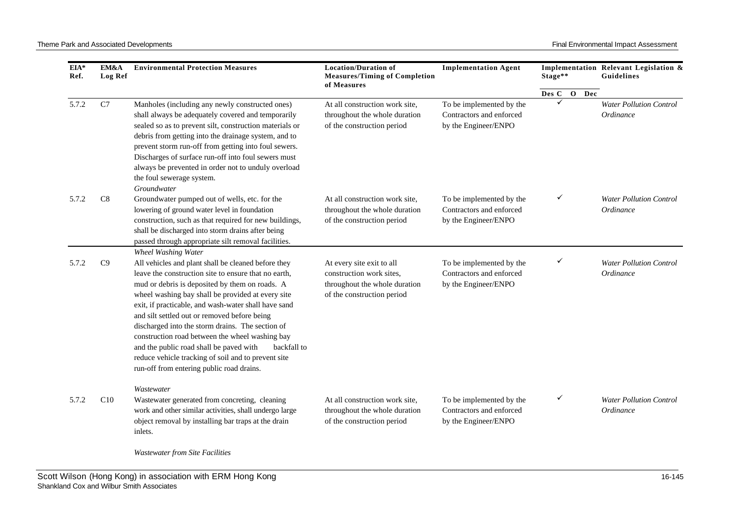| EIA*<br>Ref. | EM&A<br>Log Ref | <b>Environmental Protection Measures</b>                                                                                                                                                                                                                                                                                                                                                                                                                                                                                                                                                                               | <b>Location/Duration of</b><br><b>Measures/Timing of Completion</b><br>of Measures                                   | <b>Implementation Agent</b>                                                  | Stage**        | Implementation Relevant Legislation &<br>Guidelines |
|--------------|-----------------|------------------------------------------------------------------------------------------------------------------------------------------------------------------------------------------------------------------------------------------------------------------------------------------------------------------------------------------------------------------------------------------------------------------------------------------------------------------------------------------------------------------------------------------------------------------------------------------------------------------------|----------------------------------------------------------------------------------------------------------------------|------------------------------------------------------------------------------|----------------|-----------------------------------------------------|
|              |                 |                                                                                                                                                                                                                                                                                                                                                                                                                                                                                                                                                                                                                        |                                                                                                                      |                                                                              | O Dec<br>Des C |                                                     |
| 5.7.2        | C7              | Manholes (including any newly constructed ones)<br>shall always be adequately covered and temporarily<br>sealed so as to prevent silt, construction materials or<br>debris from getting into the drainage system, and to<br>prevent storm run-off from getting into foul sewers.<br>Discharges of surface run-off into foul sewers must<br>always be prevented in order not to unduly overload<br>the foul sewerage system.<br>Groundwater                                                                                                                                                                             | At all construction work site,<br>throughout the whole duration<br>of the construction period                        | To be implemented by the<br>Contractors and enforced<br>by the Engineer/ENPO | $\checkmark$   | <b>Water Pollution Control</b><br>Ordinance         |
| 5.7.2        | C8              | Groundwater pumped out of wells, etc. for the<br>lowering of ground water level in foundation<br>construction, such as that required for new buildings,<br>shall be discharged into storm drains after being<br>passed through appropriate silt removal facilities.                                                                                                                                                                                                                                                                                                                                                    | At all construction work site,<br>throughout the whole duration<br>of the construction period                        | To be implemented by the<br>Contractors and enforced<br>by the Engineer/ENPO | ✓              | <b>Water Pollution Control</b><br>Ordinance         |
| 5.7.2        | C9              | Wheel Washing Water<br>All vehicles and plant shall be cleaned before they<br>leave the construction site to ensure that no earth,<br>mud or debris is deposited by them on roads. A<br>wheel washing bay shall be provided at every site<br>exit, if practicable, and wash-water shall have sand<br>and silt settled out or removed before being<br>discharged into the storm drains. The section of<br>construction road between the wheel washing bay<br>and the public road shall be paved with<br>backfall to<br>reduce vehicle tracking of soil and to prevent site<br>run-off from entering public road drains. | At every site exit to all<br>construction work sites,<br>throughout the whole duration<br>of the construction period | To be implemented by the<br>Contractors and enforced<br>by the Engineer/ENPO | ✓              | <b>Water Pollution Control</b><br>Ordinance         |
| 5.7.2        | C10             | Wastewater<br>Wastewater generated from concreting, cleaning<br>work and other similar activities, shall undergo large<br>object removal by installing bar traps at the drain<br>inlets.                                                                                                                                                                                                                                                                                                                                                                                                                               | At all construction work site,<br>throughout the whole duration<br>of the construction period                        | To be implemented by the<br>Contractors and enforced<br>by the Engineer/ENPO | ✓              | <b>Water Pollution Control</b><br>Ordinance         |

*Wastewater from Site Facilities*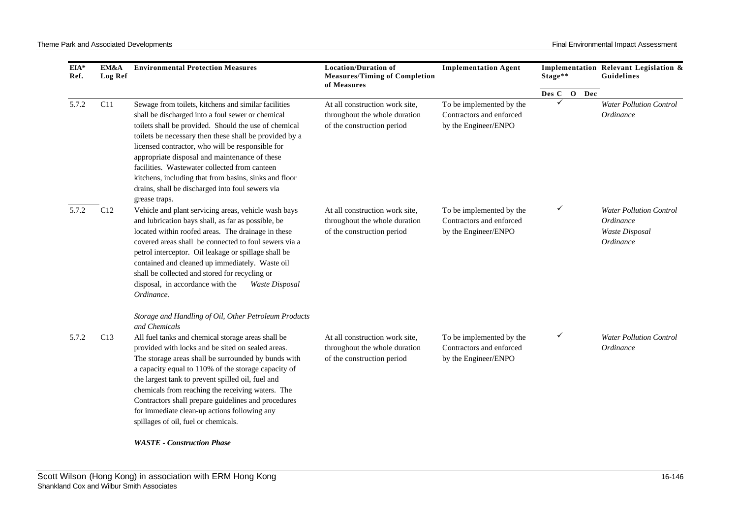| EIA*<br>Ref. | EM&A<br>Log Ref | <b>Environmental Protection Measures</b>                                                                                                                                                                                                                                                                                                                                                                                                                                                                                                                 | <b>Location/Duration of</b><br><b>Measures/Timing of Completion</b><br>of Measures            | <b>Implementation Agent</b>                                                  | Stage**     | Implementation Relevant Legislation &<br>Guidelines                        |
|--------------|-----------------|----------------------------------------------------------------------------------------------------------------------------------------------------------------------------------------------------------------------------------------------------------------------------------------------------------------------------------------------------------------------------------------------------------------------------------------------------------------------------------------------------------------------------------------------------------|-----------------------------------------------------------------------------------------------|------------------------------------------------------------------------------|-------------|----------------------------------------------------------------------------|
|              |                 |                                                                                                                                                                                                                                                                                                                                                                                                                                                                                                                                                          |                                                                                               |                                                                              | Des C O Dec |                                                                            |
| 5.7.2        | C11             | Sewage from toilets, kitchens and similar facilities<br>shall be discharged into a foul sewer or chemical<br>toilets shall be provided. Should the use of chemical<br>toilets be necessary then these shall be provided by a<br>licensed contractor, who will be responsible for<br>appropriate disposal and maintenance of these<br>facilities. Wastewater collected from canteen<br>kitchens, including that from basins, sinks and floor<br>drains, shall be discharged into foul sewers via<br>grease traps.                                         | At all construction work site,<br>throughout the whole duration<br>of the construction period | To be implemented by the<br>Contractors and enforced<br>by the Engineer/ENPO | ✓           | <b>Water Pollution Control</b><br>Ordinance                                |
| 5.7.2        | C12             | Vehicle and plant servicing areas, vehicle wash bays<br>and lubrication bays shall, as far as possible, be<br>located within roofed areas. The drainage in these<br>covered areas shall be connected to foul sewers via a<br>petrol interceptor. Oil leakage or spillage shall be<br>contained and cleaned up immediately. Waste oil<br>shall be collected and stored for recycling or<br>disposal, in accordance with the<br><b>Waste Disposal</b><br>Ordinance.                                                                                        | At all construction work site,<br>throughout the whole duration<br>of the construction period | To be implemented by the<br>Contractors and enforced<br>by the Engineer/ENPO | ✓           | <b>Water Pollution Control</b><br>Ordinance<br>Waste Disposal<br>Ordinance |
| 5.7.2        | C13             | Storage and Handling of Oil, Other Petroleum Products<br>and Chemicals<br>All fuel tanks and chemical storage areas shall be<br>provided with locks and be sited on sealed areas.<br>The storage areas shall be surrounded by bunds with<br>a capacity equal to 110% of the storage capacity of<br>the largest tank to prevent spilled oil, fuel and<br>chemicals from reaching the receiving waters. The<br>Contractors shall prepare guidelines and procedures<br>for immediate clean-up actions following any<br>spillages of oil, fuel or chemicals. | At all construction work site,<br>throughout the whole duration<br>of the construction period | To be implemented by the<br>Contractors and enforced<br>by the Engineer/ENPO | ✓           | <b>Water Pollution Control</b><br>Ordinance                                |
|              |                 | $\mathbf{W}$ a $\mathbf{C}$ $\mathbf{F}$ $\mathbf{F}$ $\mathbf{C}$ and $\mathbf{C}$ $\mathbf{C}$ and $\mathbf{C}$ $\mathbf{C}$ $\mathbf{D}$ $\mathbf{L}$ and $\mathbf{C}$                                                                                                                                                                                                                                                                                                                                                                                |                                                                                               |                                                                              |             |                                                                            |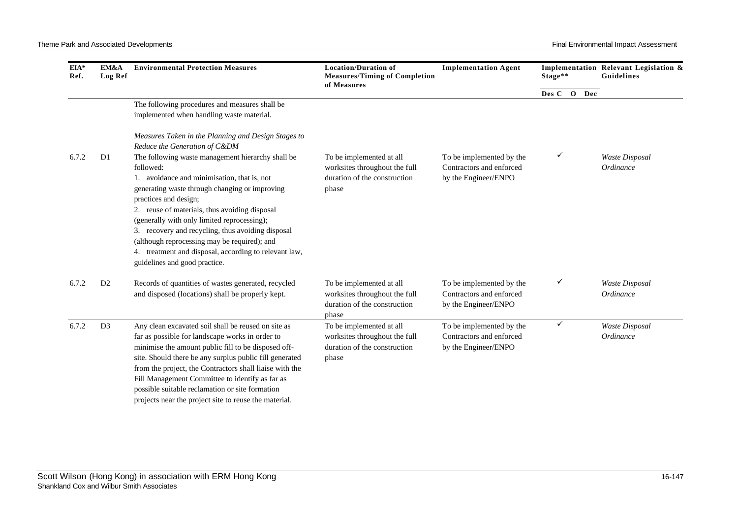| EIA*<br>Ref. | EM&A<br><b>Log Ref</b> | <b>Environmental Protection Measures</b>                                                                                                                                                                                                                                                                                                                                                                                                                                                | <b>Location/Duration of</b><br><b>Measures/Timing of Completion</b><br>of Measures                 | <b>Implementation Agent</b>                                                  | Stage** |     | Implementation Relevant Legislation &<br>Guidelines |
|--------------|------------------------|-----------------------------------------------------------------------------------------------------------------------------------------------------------------------------------------------------------------------------------------------------------------------------------------------------------------------------------------------------------------------------------------------------------------------------------------------------------------------------------------|----------------------------------------------------------------------------------------------------|------------------------------------------------------------------------------|---------|-----|-----------------------------------------------------|
|              |                        |                                                                                                                                                                                                                                                                                                                                                                                                                                                                                         |                                                                                                    |                                                                              | Des C O | Dec |                                                     |
|              |                        | The following procedures and measures shall be<br>implemented when handling waste material.                                                                                                                                                                                                                                                                                                                                                                                             |                                                                                                    |                                                                              |         |     |                                                     |
|              |                        | Measures Taken in the Planning and Design Stages to<br>Reduce the Generation of C&DM                                                                                                                                                                                                                                                                                                                                                                                                    |                                                                                                    |                                                                              |         |     |                                                     |
| 6.7.2        | D <sub>1</sub>         | The following waste management hierarchy shall be<br>followed:<br>1. avoidance and minimisation, that is, not<br>generating waste through changing or improving<br>practices and design;<br>2. reuse of materials, thus avoiding disposal<br>(generally with only limited reprocessing);<br>3. recovery and recycling, thus avoiding disposal<br>(although reprocessing may be required); and<br>4. treatment and disposal, according to relevant law,<br>guidelines and good practice. | To be implemented at all<br>worksites throughout the full<br>duration of the construction<br>phase | To be implemented by the<br>Contractors and enforced<br>by the Engineer/ENPO | ✓       |     | <b>Waste Disposal</b><br>Ordinance                  |
| 6.7.2        | D <sub>2</sub>         | Records of quantities of wastes generated, recycled<br>and disposed (locations) shall be properly kept.                                                                                                                                                                                                                                                                                                                                                                                 | To be implemented at all<br>worksites throughout the full<br>duration of the construction<br>phase | To be implemented by the<br>Contractors and enforced<br>by the Engineer/ENPO |         |     | Waste Disposal<br>Ordinance                         |
| 6.7.2        | D <sub>3</sub>         | Any clean excavated soil shall be reused on site as<br>far as possible for landscape works in order to<br>minimise the amount public fill to be disposed off-<br>site. Should there be any surplus public fill generated<br>from the project, the Contractors shall liaise with the<br>Fill Management Committee to identify as far as<br>possible suitable reclamation or site formation<br>projects near the project site to reuse the material.                                      | To be implemented at all<br>worksites throughout the full<br>duration of the construction<br>phase | To be implemented by the<br>Contractors and enforced<br>by the Engineer/ENPO | ✓       |     | Waste Disposal<br>Ordinance                         |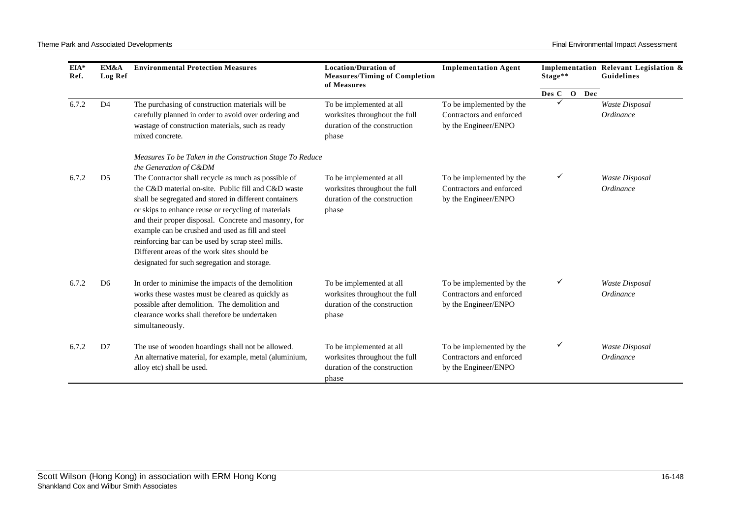| EIA*<br>Ref. | EM&A<br>Log Ref | <b>Environmental Protection Measures</b>                                                                                                                                                                                                                                                                                                                                                                                                                                                     | <b>Location/Duration of</b><br><b>Measures/Timing of Completion</b><br>of Measures                 | <b>Implementation Agent</b>                                                  | Stage**     | Implementation Relevant Legislation &<br>Guidelines |
|--------------|-----------------|----------------------------------------------------------------------------------------------------------------------------------------------------------------------------------------------------------------------------------------------------------------------------------------------------------------------------------------------------------------------------------------------------------------------------------------------------------------------------------------------|----------------------------------------------------------------------------------------------------|------------------------------------------------------------------------------|-------------|-----------------------------------------------------|
|              |                 |                                                                                                                                                                                                                                                                                                                                                                                                                                                                                              |                                                                                                    |                                                                              | Des C O Dec |                                                     |
| 6.7.2        | D <sub>4</sub>  | The purchasing of construction materials will be<br>carefully planned in order to avoid over ordering and<br>wastage of construction materials, such as ready<br>mixed concrete.                                                                                                                                                                                                                                                                                                             | To be implemented at all<br>worksites throughout the full<br>duration of the construction<br>phase | To be implemented by the<br>Contractors and enforced<br>by the Engineer/ENPO |             | Waste Disposal<br>Ordinance                         |
|              |                 | Measures To be Taken in the Construction Stage To Reduce<br>the Generation of C&DM                                                                                                                                                                                                                                                                                                                                                                                                           |                                                                                                    |                                                                              |             |                                                     |
| 6.7.2        | D <sub>5</sub>  | The Contractor shall recycle as much as possible of<br>the C&D material on-site. Public fill and C&D waste<br>shall be segregated and stored in different containers<br>or skips to enhance reuse or recycling of materials<br>and their proper disposal. Concrete and masonry, for<br>example can be crushed and used as fill and steel<br>reinforcing bar can be used by scrap steel mills.<br>Different areas of the work sites should be<br>designated for such segregation and storage. | To be implemented at all<br>worksites throughout the full<br>duration of the construction<br>phase | To be implemented by the<br>Contractors and enforced<br>by the Engineer/ENPO |             | <b>Waste Disposal</b><br>Ordinance                  |
| 6.7.2        | D <sub>6</sub>  | In order to minimise the impacts of the demolition<br>works these wastes must be cleared as quickly as<br>possible after demolition. The demolition and<br>clearance works shall therefore be undertaken<br>simultaneously.                                                                                                                                                                                                                                                                  | To be implemented at all<br>worksites throughout the full<br>duration of the construction<br>phase | To be implemented by the<br>Contractors and enforced<br>by the Engineer/ENPO |             | Waste Disposal<br>Ordinance                         |
| 6.7.2        | D7              | The use of wooden hoardings shall not be allowed.<br>An alternative material, for example, metal (aluminium,<br>alloy etc) shall be used.                                                                                                                                                                                                                                                                                                                                                    | To be implemented at all<br>worksites throughout the full<br>duration of the construction<br>phase | To be implemented by the<br>Contractors and enforced<br>by the Engineer/ENPO | ✓           | Waste Disposal<br>Ordinance                         |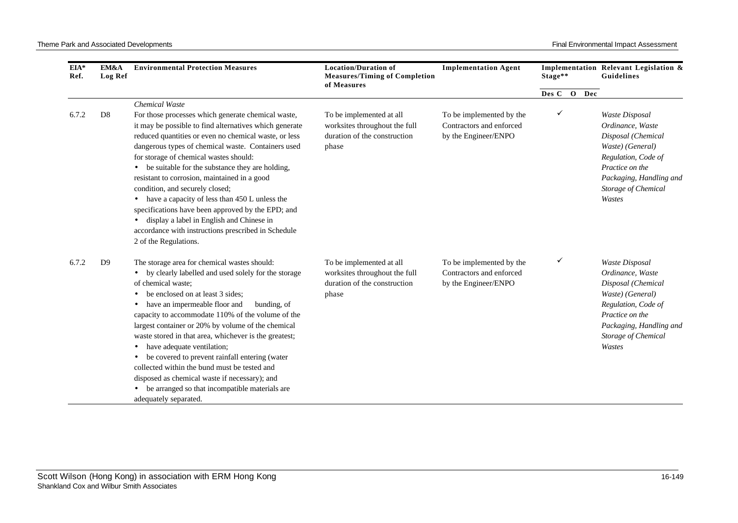| EIA*<br>Ref. | EM&A<br><b>Log Ref</b> | <b>Environmental Protection Measures</b>                                                                                                                                                                                                                                                                                                                                                                                                                                                                                                                                                                                                                         | <b>Location/Duration of</b><br><b>Measures/Timing of Completion</b><br>of Measures                 | <b>Implementation Agent</b>                                                  | Stage**      |     | Implementation Relevant Legislation &<br>Guidelines                                                                                                                                       |  |
|--------------|------------------------|------------------------------------------------------------------------------------------------------------------------------------------------------------------------------------------------------------------------------------------------------------------------------------------------------------------------------------------------------------------------------------------------------------------------------------------------------------------------------------------------------------------------------------------------------------------------------------------------------------------------------------------------------------------|----------------------------------------------------------------------------------------------------|------------------------------------------------------------------------------|--------------|-----|-------------------------------------------------------------------------------------------------------------------------------------------------------------------------------------------|--|
|              |                        |                                                                                                                                                                                                                                                                                                                                                                                                                                                                                                                                                                                                                                                                  |                                                                                                    |                                                                              | Des C O      | Dec |                                                                                                                                                                                           |  |
| 6.7.2        | D <sub>8</sub>         | Chemical Waste<br>For those processes which generate chemical waste,<br>it may be possible to find alternatives which generate<br>reduced quantities or even no chemical waste, or less<br>dangerous types of chemical waste. Containers used<br>for storage of chemical wastes should:<br>be suitable for the substance they are holding,<br>resistant to corrosion, maintained in a good<br>condition, and securely closed;<br>have a capacity of less than 450 L unless the<br>specifications have been approved by the EPD; and<br>display a label in English and Chinese in<br>accordance with instructions prescribed in Schedule<br>2 of the Regulations. | To be implemented at all<br>worksites throughout the full<br>duration of the construction<br>phase | To be implemented by the<br>Contractors and enforced<br>by the Engineer/ENPO | $\checkmark$ |     | Waste Disposal<br>Ordinance, Waste<br>Disposal (Chemical<br>Waste) (General)<br>Regulation, Code of<br>Practice on the<br>Packaging, Handling and<br>Storage of Chemical<br>Wastes        |  |
| 6.7.2        | D <sub>9</sub>         | The storage area for chemical wastes should:<br>by clearly labelled and used solely for the storage<br>of chemical waste:<br>be enclosed on at least 3 sides;<br>have an impermeable floor and<br>bunding, of<br>capacity to accommodate 110% of the volume of the<br>largest container or 20% by volume of the chemical<br>waste stored in that area, whichever is the greatest;<br>have adequate ventilation;<br>be covered to prevent rainfall entering (water<br>collected within the bund must be tested and<br>disposed as chemical waste if necessary); and<br>be arranged so that incompatible materials are<br>adequately separated.                    | To be implemented at all<br>worksites throughout the full<br>duration of the construction<br>phase | To be implemented by the<br>Contractors and enforced<br>by the Engineer/ENPO | ✓            |     | <b>Waste Disposal</b><br>Ordinance, Waste<br>Disposal (Chemical<br>Waste) (General)<br>Regulation, Code of<br>Practice on the<br>Packaging, Handling and<br>Storage of Chemical<br>Wastes |  |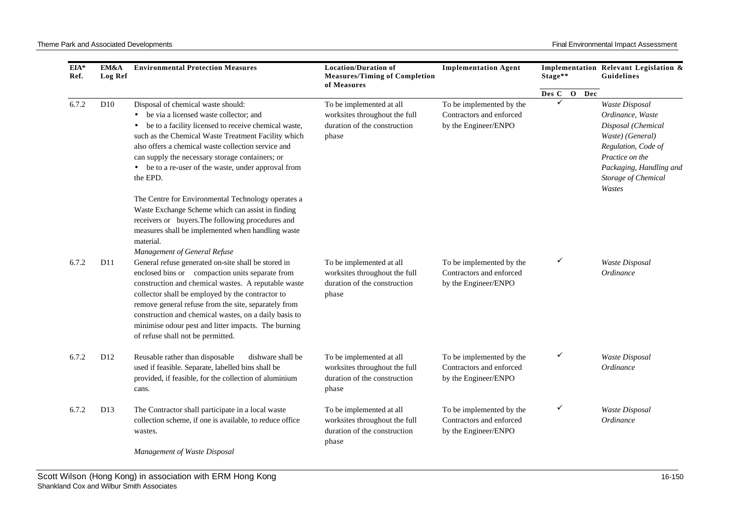| EIA*<br>Ref. | EM&A<br><b>Log Ref</b> | <b>Environmental Protection Measures</b>                                                                                                                                                                                                                                                                                                                                            | <b>Location/Duration of</b><br><b>Measures/Timing of Completion</b><br>of Measures                 | <b>Implementation Agent</b>                                                  | Stage**     | Implementation Relevant Legislation &<br><b>Guidelines</b>                                                                                                                         |
|--------------|------------------------|-------------------------------------------------------------------------------------------------------------------------------------------------------------------------------------------------------------------------------------------------------------------------------------------------------------------------------------------------------------------------------------|----------------------------------------------------------------------------------------------------|------------------------------------------------------------------------------|-------------|------------------------------------------------------------------------------------------------------------------------------------------------------------------------------------|
|              |                        |                                                                                                                                                                                                                                                                                                                                                                                     |                                                                                                    |                                                                              | Des C O Dec |                                                                                                                                                                                    |
| 6.7.2        | D <sub>10</sub>        | Disposal of chemical waste should:<br>be via a licensed waste collector; and<br>$\bullet$<br>be to a facility licensed to receive chemical waste,<br>such as the Chemical Waste Treatment Facility which<br>also offers a chemical waste collection service and<br>can supply the necessary storage containers; or<br>be to a re-user of the waste, under approval from<br>the EPD. | To be implemented at all<br>worksites throughout the full<br>duration of the construction<br>phase | To be implemented by the<br>Contractors and enforced<br>by the Engineer/ENPO | ✓           | Waste Disposal<br>Ordinance, Waste<br>Disposal (Chemical<br>Waste) (General)<br>Regulation, Code of<br>Practice on the<br>Packaging, Handling and<br>Storage of Chemical<br>Wastes |
| 6.7.2        | D11                    | The Centre for Environmental Technology operates a<br>Waste Exchange Scheme which can assist in finding<br>receivers or buyers. The following procedures and<br>measures shall be implemented when handling waste<br>material.<br>Management of General Refuse<br>General refuse generated on-site shall be stored in<br>enclosed bins or compaction units separate from            | To be implemented at all<br>worksites throughout the full                                          | To be implemented by the<br>Contractors and enforced                         | ✓           | <b>Waste Disposal</b><br>Ordinance                                                                                                                                                 |
|              |                        | construction and chemical wastes. A reputable waste<br>collector shall be employed by the contractor to<br>remove general refuse from the site, separately from<br>construction and chemical wastes, on a daily basis to<br>minimise odour pest and litter impacts. The burning<br>of refuse shall not be permitted.                                                                | duration of the construction<br>phase                                                              | by the Engineer/ENPO                                                         |             |                                                                                                                                                                                    |
| 6.7.2        | D12                    | Reusable rather than disposable<br>dishware shall be<br>used if feasible. Separate, labelled bins shall be<br>provided, if feasible, for the collection of aluminium<br>cans.                                                                                                                                                                                                       | To be implemented at all<br>worksites throughout the full<br>duration of the construction<br>phase | To be implemented by the<br>Contractors and enforced<br>by the Engineer/ENPO | ✓           | Waste Disposal<br>Ordinance                                                                                                                                                        |
| 6.7.2        | D <sub>13</sub>        | The Contractor shall participate in a local waste<br>collection scheme, if one is available, to reduce office<br>wastes.                                                                                                                                                                                                                                                            | To be implemented at all<br>worksites throughout the full<br>duration of the construction<br>phase | To be implemented by the<br>Contractors and enforced<br>by the Engineer/ENPO | ✓           | Waste Disposal<br>Ordinance                                                                                                                                                        |

*Management of Waste Disposal*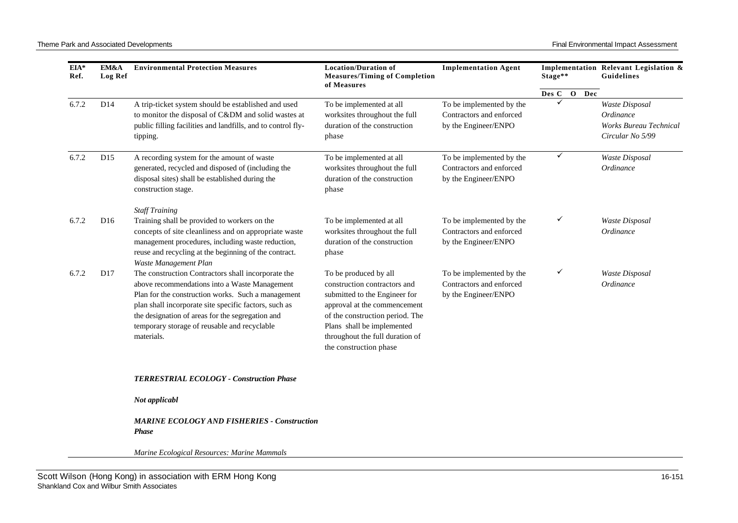| EIA*<br>Ref. | EM&A<br>Log Ref | <b>Environmental Protection Measures</b>                                                                                                                                                                                                                                                                                             | <b>Location/Duration of</b><br><b>Measures/Timing of Completion</b><br>of Measures                                                                                                                                                                   | <b>Implementation Agent</b>                                                  | Stage**     | Implementation Relevant Legislation &<br>Guidelines                              |
|--------------|-----------------|--------------------------------------------------------------------------------------------------------------------------------------------------------------------------------------------------------------------------------------------------------------------------------------------------------------------------------------|------------------------------------------------------------------------------------------------------------------------------------------------------------------------------------------------------------------------------------------------------|------------------------------------------------------------------------------|-------------|----------------------------------------------------------------------------------|
|              |                 |                                                                                                                                                                                                                                                                                                                                      |                                                                                                                                                                                                                                                      |                                                                              | Des C O Dec |                                                                                  |
| 6.7.2        | D14             | A trip-ticket system should be established and used<br>to monitor the disposal of C&DM and solid wastes at<br>public filling facilities and landfills, and to control fly-<br>tipping.                                                                                                                                               | To be implemented at all<br>worksites throughout the full<br>duration of the construction<br>phase                                                                                                                                                   | To be implemented by the<br>Contractors and enforced<br>by the Engineer/ENPO | ✓           | Waste Disposal<br>Ordinance<br><b>Works Bureau Technical</b><br>Circular No 5/99 |
| 6.7.2        | D15             | A recording system for the amount of waste<br>generated, recycled and disposed of (including the<br>disposal sites) shall be established during the<br>construction stage.                                                                                                                                                           | To be implemented at all<br>worksites throughout the full<br>duration of the construction<br>phase                                                                                                                                                   | To be implemented by the<br>Contractors and enforced<br>by the Engineer/ENPO | ✓           | Waste Disposal<br>Ordinance                                                      |
| 6.7.2        | D <sub>16</sub> | <b>Staff Training</b><br>Training shall be provided to workers on the<br>concepts of site cleanliness and on appropriate waste<br>management procedures, including waste reduction,<br>reuse and recycling at the beginning of the contract.<br>Waste Management Plan                                                                | To be implemented at all<br>worksites throughout the full<br>duration of the construction<br>phase                                                                                                                                                   | To be implemented by the<br>Contractors and enforced<br>by the Engineer/ENPO | ✓           | Waste Disposal<br>Ordinance                                                      |
| 6.7.2        | D17             | The construction Contractors shall incorporate the<br>above recommendations into a Waste Management<br>Plan for the construction works. Such a management<br>plan shall incorporate site specific factors, such as<br>the designation of areas for the segregation and<br>temporary storage of reusable and recyclable<br>materials. | To be produced by all<br>construction contractors and<br>submitted to the Engineer for<br>approval at the commencement<br>of the construction period. The<br>Plans shall be implemented<br>throughout the full duration of<br>the construction phase | To be implemented by the<br>Contractors and enforced<br>by the Engineer/ENPO | ✓           | <b>Waste Disposal</b><br>Ordinance                                               |
|              |                 | TERRESTRIAL ECOLOGY - Construction Phase                                                                                                                                                                                                                                                                                             |                                                                                                                                                                                                                                                      |                                                                              |             |                                                                                  |
|              |                 | Not applicabl                                                                                                                                                                                                                                                                                                                        |                                                                                                                                                                                                                                                      |                                                                              |             |                                                                                  |
|              |                 | <b>MARINE ECOLOGY AND FISHERIES - Construction</b><br><b>Phase</b>                                                                                                                                                                                                                                                                   |                                                                                                                                                                                                                                                      |                                                                              |             |                                                                                  |

*Marine Ecological Resources: Marine Mammals*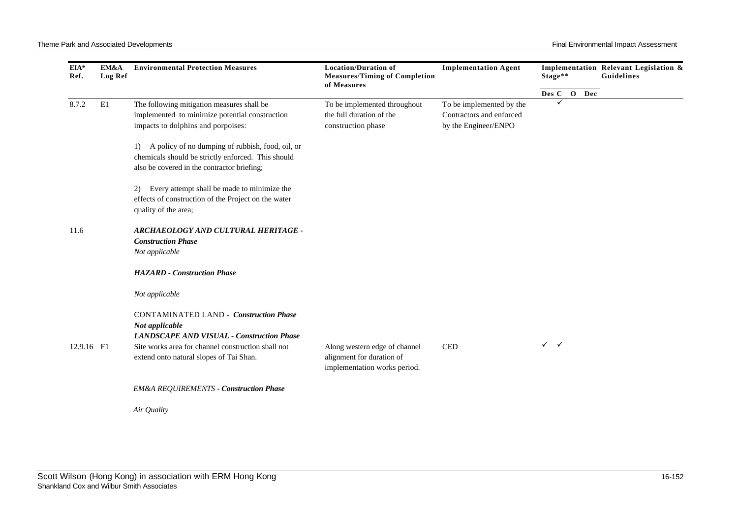| EIA*<br>Ref. | EM&A<br>Log Ref | <b>Environmental Protection Measures</b>                                                                                                                                                                             | <b>Location/Duration of</b><br><b>Measures/Timing of Completion</b><br>of Measures         | <b>Implementation Agent</b>                                                  | Stage**      | Implementation Relevant Legislation &<br>Guidelines |
|--------------|-----------------|----------------------------------------------------------------------------------------------------------------------------------------------------------------------------------------------------------------------|--------------------------------------------------------------------------------------------|------------------------------------------------------------------------------|--------------|-----------------------------------------------------|
|              |                 |                                                                                                                                                                                                                      |                                                                                            |                                                                              | Des C O Dec  |                                                     |
| 8.7.2        | E1              | The following mitigation measures shall be<br>implemented to minimize potential construction<br>impacts to dolphins and porpoises:                                                                                   | To be implemented throughout<br>the full duration of the<br>construction phase             | To be implemented by the<br>Contractors and enforced<br>by the Engineer/ENPO |              |                                                     |
|              |                 | 1) A policy of no dumping of rubbish, food, oil, or<br>chemicals should be strictly enforced. This should<br>also be covered in the contractor briefing;                                                             |                                                                                            |                                                                              |              |                                                     |
|              |                 | Every attempt shall be made to minimize the<br>2)<br>effects of construction of the Project on the water<br>quality of the area;                                                                                     |                                                                                            |                                                                              |              |                                                     |
| 11.6         |                 | ARCHAEOLOGY AND CULTURAL HERITAGE -<br><b>Construction Phase</b><br>Not applicable                                                                                                                                   |                                                                                            |                                                                              |              |                                                     |
|              |                 | <b>HAZARD</b> - Construction Phase                                                                                                                                                                                   |                                                                                            |                                                                              |              |                                                     |
|              |                 | Not applicable                                                                                                                                                                                                       |                                                                                            |                                                                              |              |                                                     |
| 12.9.16 F1   |                 | <b>CONTAMINATED LAND - Construction Phase</b><br>Not applicable<br><b>LANDSCAPE AND VISUAL - Construction Phase</b><br>Site works area for channel construction shall not<br>extend onto natural slopes of Tai Shan. | Along western edge of channel<br>alignment for duration of<br>implementation works period. | <b>CED</b>                                                                   | $\checkmark$ |                                                     |
|              |                 | <b>EM&amp;A REQUIREMENTS - Construction Phase</b>                                                                                                                                                                    |                                                                                            |                                                                              |              |                                                     |
|              |                 | Air Quality                                                                                                                                                                                                          |                                                                                            |                                                                              |              |                                                     |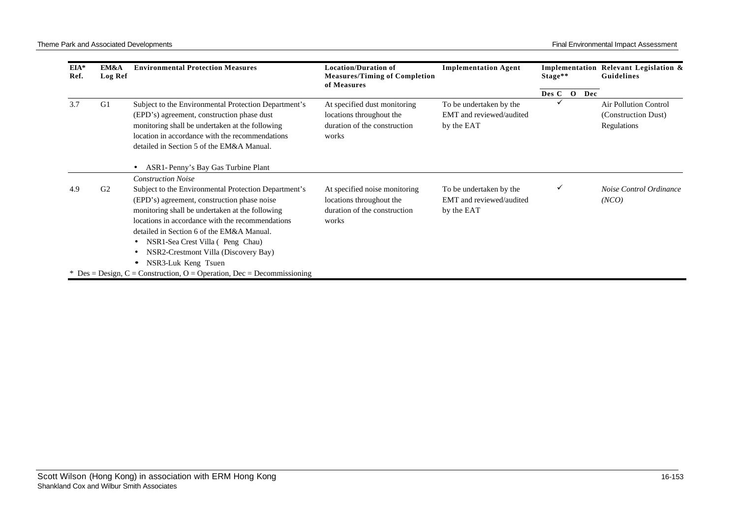| EIA*<br>Ref. | EM&A<br>Log Ref | <b>Environmental Protection Measures</b>                                                                                                                                                                                                                                                                                                                                             | <b>Location/Duration of</b><br><b>Measures/Timing of Completion</b><br>of Measures                 | <b>Implementation Agent</b>                                       | Stage**        | Implementation Relevant Legislation &<br>Guidelines                |
|--------------|-----------------|--------------------------------------------------------------------------------------------------------------------------------------------------------------------------------------------------------------------------------------------------------------------------------------------------------------------------------------------------------------------------------------|----------------------------------------------------------------------------------------------------|-------------------------------------------------------------------|----------------|--------------------------------------------------------------------|
|              |                 |                                                                                                                                                                                                                                                                                                                                                                                      |                                                                                                    |                                                                   | Des C O<br>Dec |                                                                    |
| 3.7          | G1              | Subject to the Environmental Protection Department's<br>(EPD's) agreement, construction phase dust<br>monitoring shall be undertaken at the following<br>location in accordance with the recommendations<br>detailed in Section 5 of the EM&A Manual.                                                                                                                                | At specified dust monitoring<br>locations throughout the<br>duration of the construction<br>works  | To be undertaken by the<br>EMT and reviewed/audited<br>by the EAT |                | <b>Air Pollution Control</b><br>(Construction Dust)<br>Regulations |
|              |                 | ASR1-Penny's Bay Gas Turbine Plant<br><b>Construction Noise</b>                                                                                                                                                                                                                                                                                                                      |                                                                                                    |                                                                   |                |                                                                    |
| 4.9          | G <sub>2</sub>  | Subject to the Environmental Protection Department's<br>(EPD's) agreement, construction phase noise<br>monitoring shall be undertaken at the following<br>locations in accordance with the recommendations<br>detailed in Section 6 of the EM&A Manual.<br>NSR1-Sea Crest Villa (Peng Chau)<br>$\bullet$<br>NSR2-Crestmont Villa (Discovery Bay)<br>$\bullet$<br>NSR3-Luk Keng Tsuen | At specified noise monitoring<br>locations throughout the<br>duration of the construction<br>works | To be undertaken by the<br>EMT and reviewed/audited<br>by the EAT | ✓              | Noise Control Ordinance<br>(NCO)                                   |
|              |                 | * Des = Design, C = Construction, O = Operation, Dec = Decommissioning                                                                                                                                                                                                                                                                                                               |                                                                                                    |                                                                   |                |                                                                    |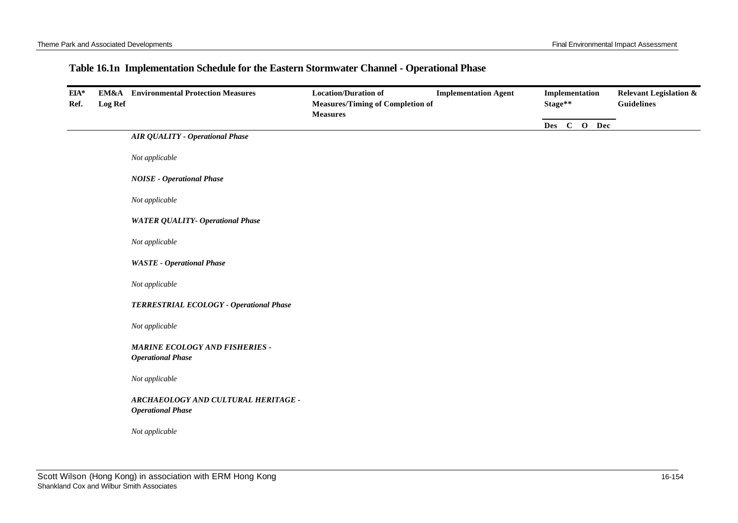## **Table 16.1n Implementation Schedule for the Eastern Stormwater Channel - Operational Phase**

| EIA*<br>Ref. | <b>Log Ref</b> | <b>EM&amp;A</b> Environmental Protection Measures                 | <b>Location/Duration of</b><br><b>Measures/Timing of Completion of</b><br><b>Measures</b> | <b>Implementation Agent</b> | Implementation<br>Stage** |  | <b>Relevant Legislation &amp;</b><br><b>Guidelines</b> |  |
|--------------|----------------|-------------------------------------------------------------------|-------------------------------------------------------------------------------------------|-----------------------------|---------------------------|--|--------------------------------------------------------|--|
|              |                |                                                                   |                                                                                           |                             | Des C O Dec               |  |                                                        |  |
|              |                | <b>AIR QUALITY - Operational Phase</b>                            |                                                                                           |                             |                           |  |                                                        |  |
|              |                | Not applicable                                                    |                                                                                           |                             |                           |  |                                                        |  |
|              |                | <b>NOISE - Operational Phase</b>                                  |                                                                                           |                             |                           |  |                                                        |  |
|              |                | Not applicable                                                    |                                                                                           |                             |                           |  |                                                        |  |
|              |                | <b>WATER QUALITY- Operational Phase</b>                           |                                                                                           |                             |                           |  |                                                        |  |
|              |                | Not applicable                                                    |                                                                                           |                             |                           |  |                                                        |  |
|              |                | <b>WASTE</b> - Operational Phase                                  |                                                                                           |                             |                           |  |                                                        |  |
|              |                | Not applicable                                                    |                                                                                           |                             |                           |  |                                                        |  |
|              |                | TERRESTRIAL ECOLOGY - Operational Phase                           |                                                                                           |                             |                           |  |                                                        |  |
|              |                | Not applicable                                                    |                                                                                           |                             |                           |  |                                                        |  |
|              |                | <b>MARINE ECOLOGY AND FISHERIES -</b><br><b>Operational Phase</b> |                                                                                           |                             |                           |  |                                                        |  |
|              |                | Not applicable                                                    |                                                                                           |                             |                           |  |                                                        |  |
|              |                | ARCHAEOLOGY AND CULTURAL HERITAGE -<br><b>Operational Phase</b>   |                                                                                           |                             |                           |  |                                                        |  |
|              |                | Not applicable                                                    |                                                                                           |                             |                           |  |                                                        |  |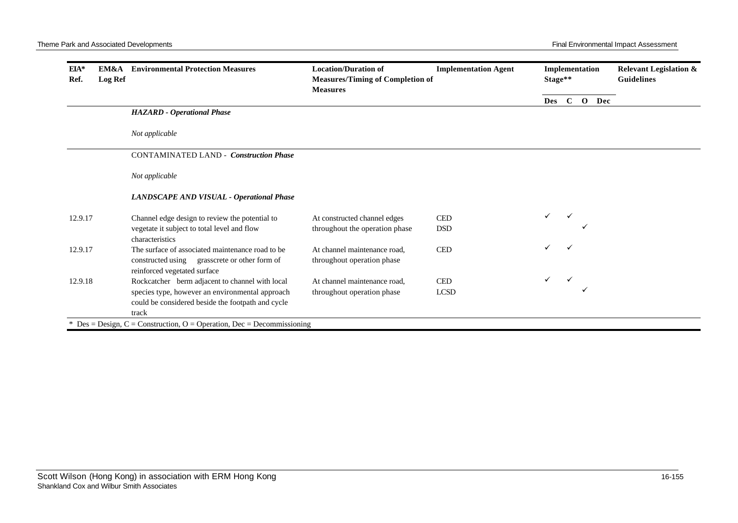| $EIA*$<br>Ref. | EM&A<br>Log Ref | <b>Environmental Protection Measures</b>                                                                                          | <b>Location/Duration of</b><br><b>Measures/Timing of Completion of</b><br><b>Measures</b> | <b>Implementation Agent</b> | Implementation<br>Stage** |  |              | <b>Relevant Legislation &amp;</b><br><b>Guidelines</b> |
|----------------|-----------------|-----------------------------------------------------------------------------------------------------------------------------------|-------------------------------------------------------------------------------------------|-----------------------------|---------------------------|--|--------------|--------------------------------------------------------|
|                |                 |                                                                                                                                   |                                                                                           |                             | Des                       |  | $C$ O<br>Dec |                                                        |
|                |                 | <b>HAZARD</b> - Operational Phase                                                                                                 |                                                                                           |                             |                           |  |              |                                                        |
|                |                 | Not applicable                                                                                                                    |                                                                                           |                             |                           |  |              |                                                        |
|                |                 | <b>CONTAMINATED LAND - Construction Phase</b>                                                                                     |                                                                                           |                             |                           |  |              |                                                        |
|                |                 | Not applicable                                                                                                                    |                                                                                           |                             |                           |  |              |                                                        |
|                |                 | LANDSCAPE AND VISUAL - Operational Phase                                                                                          |                                                                                           |                             |                           |  |              |                                                        |
| 12.9.17        |                 | Channel edge design to review the potential to                                                                                    | At constructed channel edges                                                              | <b>CED</b>                  | ✓                         |  |              |                                                        |
|                |                 | vegetate it subject to total level and flow<br>characteristics                                                                    | throughout the operation phase                                                            | <b>DSD</b>                  |                           |  |              |                                                        |
| 12.9.17        |                 | The surface of associated maintenance road to be<br>constructed using grasscrete or other form of<br>reinforced vegetated surface | At channel maintenance road,<br>throughout operation phase                                | <b>CED</b>                  | ✓                         |  |              |                                                        |
| 12.9.18        |                 | Rockcatcher berm adjacent to channel with local                                                                                   | At channel maintenance road,                                                              | <b>CED</b>                  |                           |  |              |                                                        |
|                |                 | species type, however an environmental approach<br>could be considered beside the footpath and cycle<br>track                     | throughout operation phase                                                                | LCSD                        |                           |  |              |                                                        |

\* Des = Design,  $C =$  Construction,  $O =$  Operation, Dec = Decommissioning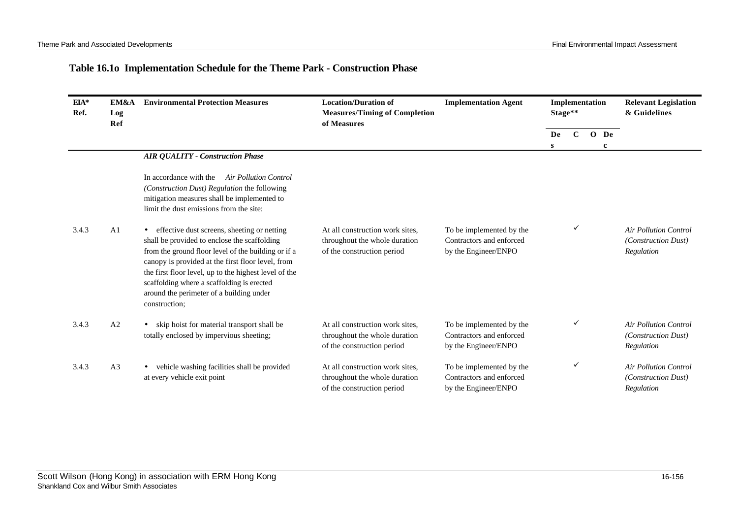## **Table 16.1o Implementation Schedule for the Theme Park - Construction Phase**

| $EIA*$<br>Ref. | EM&A<br>Log<br>Ref | <b>Environmental Protection Measures</b>                                                                                                                                                                                                                                                                                                                                    | <b>Location/Duration of</b><br><b>Measures/Timing of Completion</b><br>of Measures             | <b>Implementation Agent</b>                                                  | Implementation<br>Stage** |              |             | <b>Relevant Legislation</b><br>& Guidelines                       |
|----------------|--------------------|-----------------------------------------------------------------------------------------------------------------------------------------------------------------------------------------------------------------------------------------------------------------------------------------------------------------------------------------------------------------------------|------------------------------------------------------------------------------------------------|------------------------------------------------------------------------------|---------------------------|--------------|-------------|-------------------------------------------------------------------|
|                |                    |                                                                                                                                                                                                                                                                                                                                                                             |                                                                                                |                                                                              | De<br>S.                  | $\mathbf C$  | $O$ De<br>c |                                                                   |
|                |                    | <b>AIR QUALITY - Construction Phase</b>                                                                                                                                                                                                                                                                                                                                     |                                                                                                |                                                                              |                           |              |             |                                                                   |
|                |                    | In accordance with the<br>Air Pollution Control<br>(Construction Dust) Regulation the following<br>mitigation measures shall be implemented to<br>limit the dust emissions from the site:                                                                                                                                                                                   |                                                                                                |                                                                              |                           |              |             |                                                                   |
| 3.4.3          | A <sub>1</sub>     | effective dust screens, sheeting or netting<br>shall be provided to enclose the scaffolding<br>from the ground floor level of the building or if a<br>canopy is provided at the first floor level, from<br>the first floor level, up to the highest level of the<br>scaffolding where a scaffolding is erected<br>around the perimeter of a building under<br>construction; | At all construction work sites,<br>throughout the whole duration<br>of the construction period | To be implemented by the<br>Contractors and enforced<br>by the Engineer/ENPO |                           | ✓            |             | <b>Air Pollution Control</b><br>(Construction Dust)<br>Regulation |
| 3.4.3          | A <sub>2</sub>     | skip hoist for material transport shall be<br>$\bullet$<br>totally enclosed by impervious sheeting;                                                                                                                                                                                                                                                                         | At all construction work sites,<br>throughout the whole duration<br>of the construction period | To be implemented by the<br>Contractors and enforced<br>by the Engineer/ENPO |                           | v            |             | <b>Air Pollution Control</b><br>(Construction Dust)<br>Regulation |
| 3.4.3          | A <sub>3</sub>     | vehicle washing facilities shall be provided<br>at every vehicle exit point                                                                                                                                                                                                                                                                                                 | At all construction work sites,<br>throughout the whole duration<br>of the construction period | To be implemented by the<br>Contractors and enforced<br>by the Engineer/ENPO |                           | $\checkmark$ |             | <b>Air Pollution Control</b><br>(Construction Dust)<br>Regulation |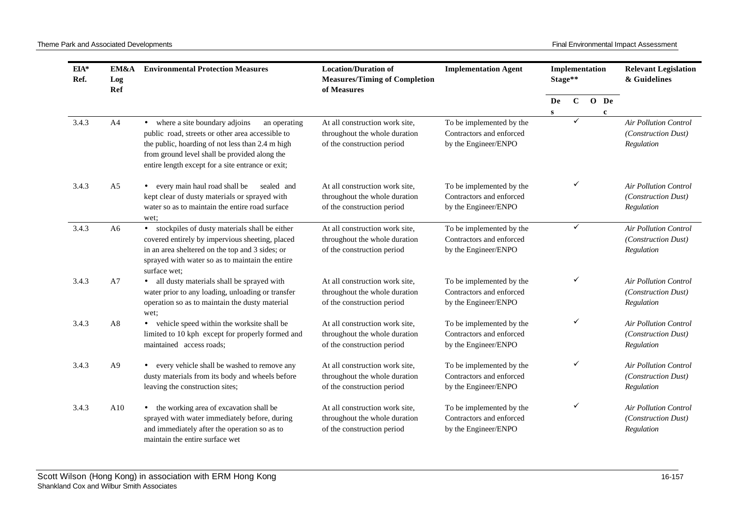| $EIA*$<br>Ref. | EM&A<br>Log<br>Ref | <b>Environmental Protection Measures</b>                                                                                                                                                                                                                      | <b>Location/Duration of</b><br><b>Measures/Timing of Completion</b><br>of Measures            | <b>Implementation Agent</b>                                                  | Implementation<br>Stage** |             |                     | <b>Relevant Legislation</b><br>& Guidelines                       |
|----------------|--------------------|---------------------------------------------------------------------------------------------------------------------------------------------------------------------------------------------------------------------------------------------------------------|-----------------------------------------------------------------------------------------------|------------------------------------------------------------------------------|---------------------------|-------------|---------------------|-------------------------------------------------------------------|
|                |                    |                                                                                                                                                                                                                                                               |                                                                                               |                                                                              | De<br>S                   | $\mathbf C$ | O De<br>$\mathbf c$ |                                                                   |
| 3.4.3          | A4                 | • where a site boundary adjoins<br>an operating<br>public road, streets or other area accessible to<br>the public, hoarding of not less than 2.4 m high<br>from ground level shall be provided along the<br>entire length except for a site entrance or exit; | At all construction work site,<br>throughout the whole duration<br>of the construction period | To be implemented by the<br>Contractors and enforced<br>by the Engineer/ENPO |                           | ✓           |                     | <b>Air Pollution Control</b><br>(Construction Dust)<br>Regulation |
| 3.4.3          | A <sub>5</sub>     | • every main haul road shall be<br>sealed and<br>kept clear of dusty materials or sprayed with<br>water so as to maintain the entire road surface<br>wet:                                                                                                     | At all construction work site,<br>throughout the whole duration<br>of the construction period | To be implemented by the<br>Contractors and enforced<br>by the Engineer/ENPO |                           | ✓           |                     | <b>Air Pollution Control</b><br>(Construction Dust)<br>Regulation |
| 3.4.3          | A <sub>6</sub>     | • stockpiles of dusty materials shall be either<br>covered entirely by impervious sheeting, placed<br>in an area sheltered on the top and 3 sides; or<br>sprayed with water so as to maintain the entire<br>surface wet:                                      | At all construction work site,<br>throughout the whole duration<br>of the construction period | To be implemented by the<br>Contractors and enforced<br>by the Engineer/ENPO |                           | ✓           |                     | Air Pollution Control<br>(Construction Dust)<br>Regulation        |
| 3.4.3          | A7                 | · all dusty materials shall be sprayed with<br>water prior to any loading, unloading or transfer<br>operation so as to maintain the dusty material<br>wet:                                                                                                    | At all construction work site,<br>throughout the whole duration<br>of the construction period | To be implemented by the<br>Contractors and enforced<br>by the Engineer/ENPO |                           | ✓           |                     | <b>Air Pollution Control</b><br>(Construction Dust)<br>Regulation |
| 3.4.3          | A8                 | • vehicle speed within the worksite shall be<br>limited to 10 kph except for properly formed and<br>maintained access roads;                                                                                                                                  | At all construction work site,<br>throughout the whole duration<br>of the construction period | To be implemented by the<br>Contractors and enforced<br>by the Engineer/ENPO |                           | ✓           |                     | <b>Air Pollution Control</b><br>(Construction Dust)<br>Regulation |
| 3.4.3          | A <sup>9</sup>     | • every vehicle shall be washed to remove any<br>dusty materials from its body and wheels before<br>leaving the construction sites;                                                                                                                           | At all construction work site,<br>throughout the whole duration<br>of the construction period | To be implemented by the<br>Contractors and enforced<br>by the Engineer/ENPO |                           | ✓           |                     | <b>Air Pollution Control</b><br>(Construction Dust)<br>Regulation |
| 3.4.3          | A10                | the working area of excavation shall be<br>$\bullet$<br>sprayed with water immediately before, during<br>and immediately after the operation so as to<br>maintain the entire surface wet                                                                      | At all construction work site,<br>throughout the whole duration<br>of the construction period | To be implemented by the<br>Contractors and enforced<br>by the Engineer/ENPO |                           | ✓           |                     | <b>Air Pollution Control</b><br>(Construction Dust)<br>Regulation |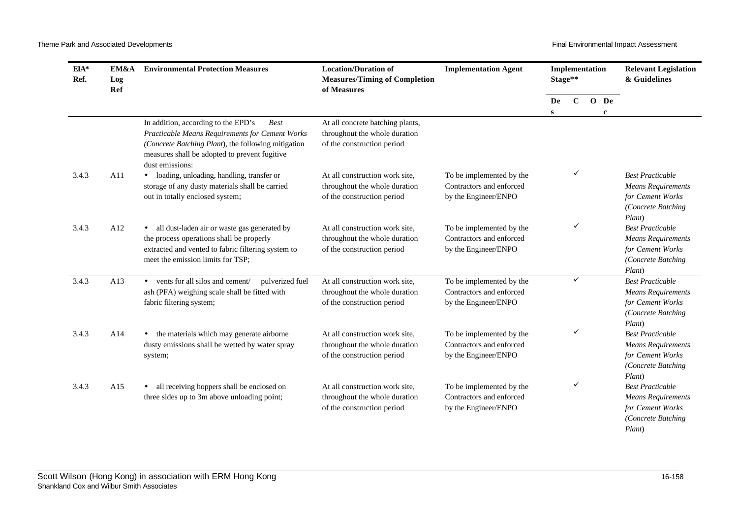| EIA*<br>Ref. | EM&A<br>Log<br>Ref | <b>Environmental Protection Measures</b>                                                                                                                                                                                         | <b>Location/Duration of</b><br><b>Measures/Timing of Completion</b><br>of Measures              | <b>Implementation Agent</b>                                                  | Implementation<br>Stage** |              |                        |                                                                                                          |  | <b>Relevant Legislation</b><br>& Guidelines |
|--------------|--------------------|----------------------------------------------------------------------------------------------------------------------------------------------------------------------------------------------------------------------------------|-------------------------------------------------------------------------------------------------|------------------------------------------------------------------------------|---------------------------|--------------|------------------------|----------------------------------------------------------------------------------------------------------|--|---------------------------------------------|
|              |                    |                                                                                                                                                                                                                                  |                                                                                                 |                                                                              | De<br>S                   | $\mathbf{C}$ | $O$ De<br>$\mathbf{c}$ |                                                                                                          |  |                                             |
|              |                    | In addition, according to the EPD's<br><b>Best</b><br>Practicable Means Requirements for Cement Works<br>(Concrete Batching Plant), the following mitigation<br>measures shall be adopted to prevent fugitive<br>dust emissions: | At all concrete batching plants,<br>throughout the whole duration<br>of the construction period |                                                                              |                           |              |                        |                                                                                                          |  |                                             |
| 3.4.3        | A11                | · loading, unloading, handling, transfer or<br>storage of any dusty materials shall be carried<br>out in totally enclosed system;                                                                                                | At all construction work site,<br>throughout the whole duration<br>of the construction period   | To be implemented by the<br>Contractors and enforced<br>by the Engineer/ENPO |                           | ✓            |                        | <b>Best Practicable</b><br><b>Means Requirements</b><br>for Cement Works<br>(Concrete Batching<br>Plant) |  |                                             |
| 3.4.3        | A12                | all dust-laden air or waste gas generated by<br>$\bullet$<br>the process operations shall be properly<br>extracted and vented to fabric filtering system to<br>meet the emission limits for TSP;                                 | At all construction work site,<br>throughout the whole duration<br>of the construction period   | To be implemented by the<br>Contractors and enforced<br>by the Engineer/ENPO |                           | ✓            |                        | <b>Best Practicable</b><br><b>Means Requirements</b><br>for Cement Works<br>(Concrete Batching<br>Plant) |  |                                             |
| 3.4.3        | A13                | • vents for all silos and cement/<br>pulverized fuel<br>ash (PFA) weighing scale shall be fitted with<br>fabric filtering system;                                                                                                | At all construction work site,<br>throughout the whole duration<br>of the construction period   | To be implemented by the<br>Contractors and enforced<br>by the Engineer/ENPO |                           | ✓            |                        | <b>Best Practicable</b><br><b>Means Requirements</b><br>for Cement Works<br>(Concrete Batching<br>Plant) |  |                                             |
| 3.4.3        | A14                | the materials which may generate airborne<br>$\bullet$<br>dusty emissions shall be wetted by water spray<br>system;                                                                                                              | At all construction work site,<br>throughout the whole duration<br>of the construction period   | To be implemented by the<br>Contractors and enforced<br>by the Engineer/ENPO |                           |              |                        | <b>Best Practicable</b><br><b>Means Requirements</b><br>for Cement Works<br>(Concrete Batching<br>Plant) |  |                                             |
| 3.4.3        | A15                | all receiving hoppers shall be enclosed on<br>$\bullet$<br>three sides up to 3m above unloading point;                                                                                                                           | At all construction work site,<br>throughout the whole duration<br>of the construction period   | To be implemented by the<br>Contractors and enforced<br>by the Engineer/ENPO |                           | ✓            |                        | <b>Best Practicable</b><br><b>Means Requirements</b><br>for Cement Works<br>(Concrete Batching<br>Plant) |  |                                             |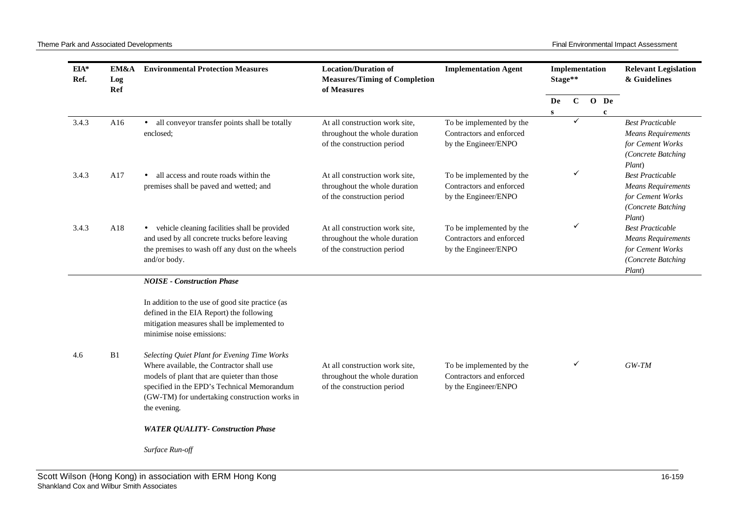Theme Park and Associated Developments **Final Environmental Impact Assessment** Final Environmental Impact Assessment

| EIA*<br>Ref. | EM&A<br>Log<br><b>Ref</b> | <b>Environmental Protection Measures</b>                                                                                                                                                                                                                 | <b>Location/Duration of</b><br><b>Measures/Timing of Completion</b><br>of Measures            | <b>Implementation Agent</b>                                                  | Implementation<br>Stage** |             |  | <b>Relevant Legislation</b><br>& Guidelines |                                                                                                          |
|--------------|---------------------------|----------------------------------------------------------------------------------------------------------------------------------------------------------------------------------------------------------------------------------------------------------|-----------------------------------------------------------------------------------------------|------------------------------------------------------------------------------|---------------------------|-------------|--|---------------------------------------------|----------------------------------------------------------------------------------------------------------|
|              |                           |                                                                                                                                                                                                                                                          |                                                                                               |                                                                              | De<br>S                   | $\mathbf C$ |  | O De<br>$\mathbf c$                         |                                                                                                          |
| 3.4.3        | A16                       | all conveyor transfer points shall be totally<br>$\bullet$<br>enclosed;                                                                                                                                                                                  | At all construction work site,<br>throughout the whole duration<br>of the construction period | To be implemented by the<br>Contractors and enforced<br>by the Engineer/ENPO |                           | ✓           |  |                                             | <b>Best Practicable</b><br><b>Means Requirements</b><br>for Cement Works<br>(Concrete Batching<br>Plant) |
| 3.4.3        | A17                       | all access and route roads within the<br>$\bullet$<br>premises shall be paved and wetted; and                                                                                                                                                            | At all construction work site,<br>throughout the whole duration<br>of the construction period | To be implemented by the<br>Contractors and enforced<br>by the Engineer/ENPO |                           | ✓           |  |                                             | <b>Best Practicable</b><br><b>Means Requirements</b><br>for Cement Works<br>(Concrete Batching<br>Plant) |
| 3.4.3        | A18                       | • vehicle cleaning facilities shall be provided<br>and used by all concrete trucks before leaving<br>the premises to wash off any dust on the wheels<br>and/or body.                                                                                     | At all construction work site,<br>throughout the whole duration<br>of the construction period | To be implemented by the<br>Contractors and enforced<br>by the Engineer/ENPO |                           | ✓           |  |                                             | <b>Best Practicable</b><br><b>Means Requirements</b><br>for Cement Works<br>(Concrete Batching<br>Plant) |
|              |                           | <b>NOISE - Construction Phase</b>                                                                                                                                                                                                                        |                                                                                               |                                                                              |                           |             |  |                                             |                                                                                                          |
|              |                           | In addition to the use of good site practice (as<br>defined in the EIA Report) the following<br>mitigation measures shall be implemented to<br>minimise noise emissions:                                                                                 |                                                                                               |                                                                              |                           |             |  |                                             |                                                                                                          |
| 4.6          | B1                        | Selecting Quiet Plant for Evening Time Works<br>Where available, the Contractor shall use<br>models of plant that are quieter than those<br>specified in the EPD's Technical Memorandum<br>(GW-TM) for undertaking construction works in<br>the evening. | At all construction work site,<br>throughout the whole duration<br>of the construction period | To be implemented by the<br>Contractors and enforced<br>by the Engineer/ENPO |                           | ✓           |  |                                             | $GW-TM$                                                                                                  |
|              |                           | <b>WATER QUALITY- Construction Phase</b>                                                                                                                                                                                                                 |                                                                                               |                                                                              |                           |             |  |                                             |                                                                                                          |
|              |                           | Surface Run-off                                                                                                                                                                                                                                          |                                                                                               |                                                                              |                           |             |  |                                             |                                                                                                          |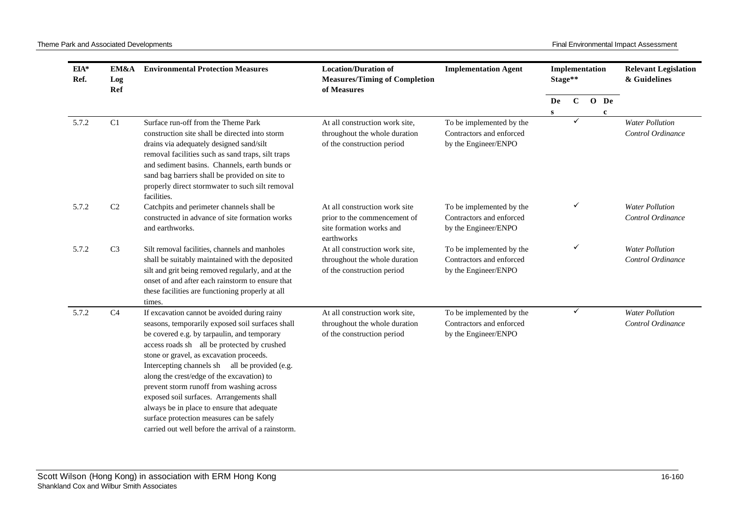| EIA*<br>Ref. | EM&A<br>Log<br>Ref | <b>Environmental Protection Measures</b>                                                                                                                                                                                                                                                                                                                                                                                                                                                                                                                                              | <b>Location/Duration of</b><br><b>Measures/Timing of Completion</b><br>of Measures                      | <b>Implementation Agent</b>                                                  | Implementation<br>Stage** |              |  | <b>Relevant Legislation</b><br>& Guidelines |                                             |
|--------------|--------------------|---------------------------------------------------------------------------------------------------------------------------------------------------------------------------------------------------------------------------------------------------------------------------------------------------------------------------------------------------------------------------------------------------------------------------------------------------------------------------------------------------------------------------------------------------------------------------------------|---------------------------------------------------------------------------------------------------------|------------------------------------------------------------------------------|---------------------------|--------------|--|---------------------------------------------|---------------------------------------------|
|              |                    |                                                                                                                                                                                                                                                                                                                                                                                                                                                                                                                                                                                       |                                                                                                         |                                                                              | De<br>$\mathbf{s}$        | $\mathbf{C}$ |  | O De<br>$\mathbf{c}$                        |                                             |
| 5.7.2        | C1                 | Surface run-off from the Theme Park<br>construction site shall be directed into storm<br>drains via adequately designed sand/silt<br>removal facilities such as sand traps, silt traps<br>and sediment basins. Channels, earth bunds or<br>sand bag barriers shall be provided on site to<br>properly direct stormwater to such silt removal<br>facilities.                                                                                                                                                                                                                           | At all construction work site.<br>throughout the whole duration<br>of the construction period           | To be implemented by the<br>Contractors and enforced<br>by the Engineer/ENPO |                           | ✓            |  |                                             | <b>Water Pollution</b><br>Control Ordinance |
| 5.7.2        | C <sub>2</sub>     | Catchpits and perimeter channels shall be<br>constructed in advance of site formation works<br>and earthworks.                                                                                                                                                                                                                                                                                                                                                                                                                                                                        | At all construction work site<br>prior to the commencement of<br>site formation works and<br>earthworks | To be implemented by the<br>Contractors and enforced<br>by the Engineer/ENPO |                           | ✓            |  |                                             | <b>Water Pollution</b><br>Control Ordinance |
| 5.7.2        | C <sub>3</sub>     | Silt removal facilities, channels and manholes<br>shall be suitably maintained with the deposited<br>silt and grit being removed regularly, and at the<br>onset of and after each rainstorm to ensure that<br>these facilities are functioning properly at all<br>times.                                                                                                                                                                                                                                                                                                              | At all construction work site,<br>throughout the whole duration<br>of the construction period           | To be implemented by the<br>Contractors and enforced<br>by the Engineer/ENPO |                           | ✓            |  |                                             | <b>Water Pollution</b><br>Control Ordinance |
| 5.7.2        | C4                 | If excavation cannot be avoided during rainy<br>seasons, temporarily exposed soil surfaces shall<br>be covered e.g. by tarpaulin, and temporary<br>access roads sh all be protected by crushed<br>stone or gravel, as excavation proceeds.<br>Intercepting channels sh all be provided (e.g.<br>along the crest/edge of the excavation) to<br>prevent storm runoff from washing across<br>exposed soil surfaces. Arrangements shall<br>always be in place to ensure that adequate<br>surface protection measures can be safely<br>carried out well before the arrival of a rainstorm. | At all construction work site,<br>throughout the whole duration<br>of the construction period           | To be implemented by the<br>Contractors and enforced<br>by the Engineer/ENPO |                           | ✓            |  |                                             | <b>Water Pollution</b><br>Control Ordinance |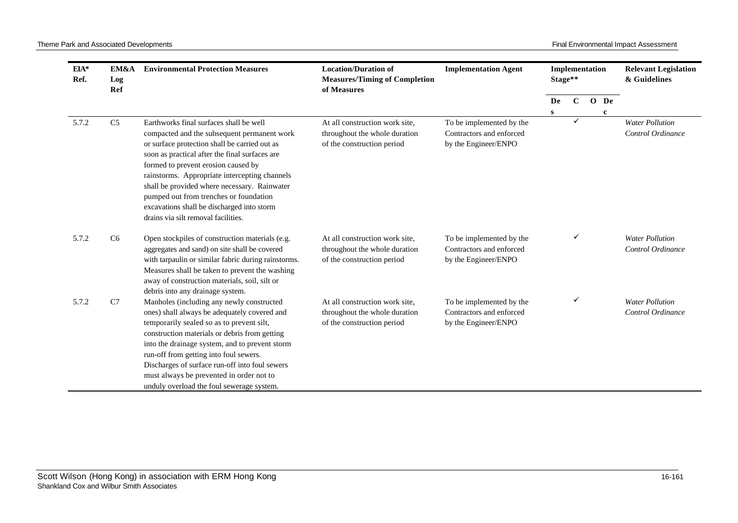| EIA*<br>Ref. | EM&A<br>Log<br>Ref | <b>Environmental Protection Measures</b>                                                                                                                                                                                                                                                                                                                                                                                                                         | <b>Location/Duration of</b><br><b>Measures/Timing of Completion</b><br>of Measures            | <b>Implementation Agent</b>                                                  |    | Implementation<br>Stage** |  |              |                                             |  |  |  |  |  | <b>Relevant Legislation</b><br>& Guidelines |
|--------------|--------------------|------------------------------------------------------------------------------------------------------------------------------------------------------------------------------------------------------------------------------------------------------------------------------------------------------------------------------------------------------------------------------------------------------------------------------------------------------------------|-----------------------------------------------------------------------------------------------|------------------------------------------------------------------------------|----|---------------------------|--|--------------|---------------------------------------------|--|--|--|--|--|---------------------------------------------|
|              |                    |                                                                                                                                                                                                                                                                                                                                                                                                                                                                  |                                                                                               |                                                                              | De | $\mathbf C$               |  | O De         |                                             |  |  |  |  |  |                                             |
| 5.7.2        | C <sub>5</sub>     | Earthworks final surfaces shall be well<br>compacted and the subsequent permanent work<br>or surface protection shall be carried out as<br>soon as practical after the final surfaces are<br>formed to prevent erosion caused by<br>rainstorms. Appropriate intercepting channels<br>shall be provided where necessary. Rainwater<br>pumped out from trenches or foundation<br>excavations shall be discharged into storm<br>drains via silt removal facilities. | At all construction work site,<br>throughout the whole duration<br>of the construction period | To be implemented by the<br>Contractors and enforced<br>by the Engineer/ENPO | s  |                           |  | $\mathbf{c}$ | <b>Water Pollution</b><br>Control Ordinance |  |  |  |  |  |                                             |
| 5.7.2        | C <sub>6</sub>     | Open stockpiles of construction materials (e.g.<br>aggregates and sand) on site shall be covered<br>with tarpaulin or similar fabric during rainstorms.<br>Measures shall be taken to prevent the washing<br>away of construction materials, soil, silt or<br>debris into any drainage system.                                                                                                                                                                   | At all construction work site,<br>throughout the whole duration<br>of the construction period | To be implemented by the<br>Contractors and enforced<br>by the Engineer/ENPO |    | ✓                         |  |              | <b>Water Pollution</b><br>Control Ordinance |  |  |  |  |  |                                             |
| 5.7.2        | C7                 | Manholes (including any newly constructed<br>ones) shall always be adequately covered and<br>temporarily sealed so as to prevent silt,<br>construction materials or debris from getting<br>into the drainage system, and to prevent storm<br>run-off from getting into foul sewers.<br>Discharges of surface run-off into foul sewers<br>must always be prevented in order not to<br>unduly overload the foul sewerage system.                                   | At all construction work site,<br>throughout the whole duration<br>of the construction period | To be implemented by the<br>Contractors and enforced<br>by the Engineer/ENPO |    |                           |  |              | <b>Water Pollution</b><br>Control Ordinance |  |  |  |  |  |                                             |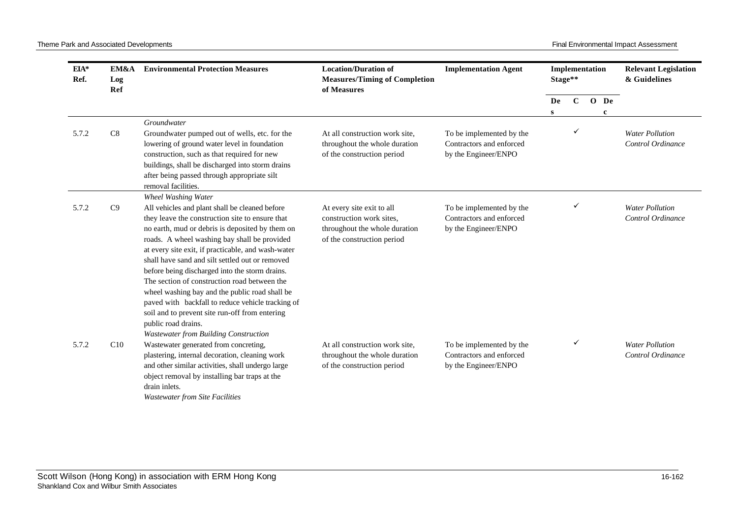| $EIA*$<br>Ref. | EM&A<br>Log<br>Ref | <b>Environmental Protection Measures</b>                                                                                                                                                                                                                                                                                                                                                                                                                                                                                                                                                                                                                                      | <b>Location/Duration of</b><br><b>Measures/Timing of Completion</b><br>of Measures                                   | <b>Implementation Agent</b>                                                  |         | Implementation<br>Stage** |  |                      | <b>Relevant Legislation</b><br>& Guidelines |
|----------------|--------------------|-------------------------------------------------------------------------------------------------------------------------------------------------------------------------------------------------------------------------------------------------------------------------------------------------------------------------------------------------------------------------------------------------------------------------------------------------------------------------------------------------------------------------------------------------------------------------------------------------------------------------------------------------------------------------------|----------------------------------------------------------------------------------------------------------------------|------------------------------------------------------------------------------|---------|---------------------------|--|----------------------|---------------------------------------------|
|                |                    |                                                                                                                                                                                                                                                                                                                                                                                                                                                                                                                                                                                                                                                                               |                                                                                                                      |                                                                              | De<br>S | $\mathbf{C}$              |  | O De<br>$\mathbf{c}$ |                                             |
|                |                    | Groundwater                                                                                                                                                                                                                                                                                                                                                                                                                                                                                                                                                                                                                                                                   |                                                                                                                      |                                                                              |         |                           |  |                      |                                             |
| 5.7.2          | C8                 | Groundwater pumped out of wells, etc. for the<br>lowering of ground water level in foundation<br>construction, such as that required for new<br>buildings, shall be discharged into storm drains<br>after being passed through appropriate silt<br>removal facilities.                                                                                                                                                                                                                                                                                                                                                                                                        | At all construction work site,<br>throughout the whole duration<br>of the construction period                        | To be implemented by the<br>Contractors and enforced<br>by the Engineer/ENPO |         | ✓                         |  |                      | <b>Water Pollution</b><br>Control Ordinance |
| 5.7.2          | C9                 | <b>Wheel Washing Water</b><br>All vehicles and plant shall be cleaned before<br>they leave the construction site to ensure that<br>no earth, mud or debris is deposited by them on<br>roads. A wheel washing bay shall be provided<br>at every site exit, if practicable, and wash-water<br>shall have sand and silt settled out or removed<br>before being discharged into the storm drains.<br>The section of construction road between the<br>wheel washing bay and the public road shall be<br>paved with backfall to reduce vehicle tracking of<br>soil and to prevent site run-off from entering<br>public road drains.<br><b>Wastewater from Building Construction</b> | At every site exit to all<br>construction work sites,<br>throughout the whole duration<br>of the construction period | To be implemented by the<br>Contractors and enforced<br>by the Engineer/ENPO |         |                           |  |                      | <b>Water Pollution</b><br>Control Ordinance |
| 5.7.2          | C10                | Wastewater generated from concreting,<br>plastering, internal decoration, cleaning work<br>and other similar activities, shall undergo large<br>object removal by installing bar traps at the<br>drain inlets.<br><b>Wastewater from Site Facilities</b>                                                                                                                                                                                                                                                                                                                                                                                                                      | At all construction work site,<br>throughout the whole duration<br>of the construction period                        | To be implemented by the<br>Contractors and enforced<br>by the Engineer/ENPO |         | ✓                         |  |                      | <b>Water Pollution</b><br>Control Ordinance |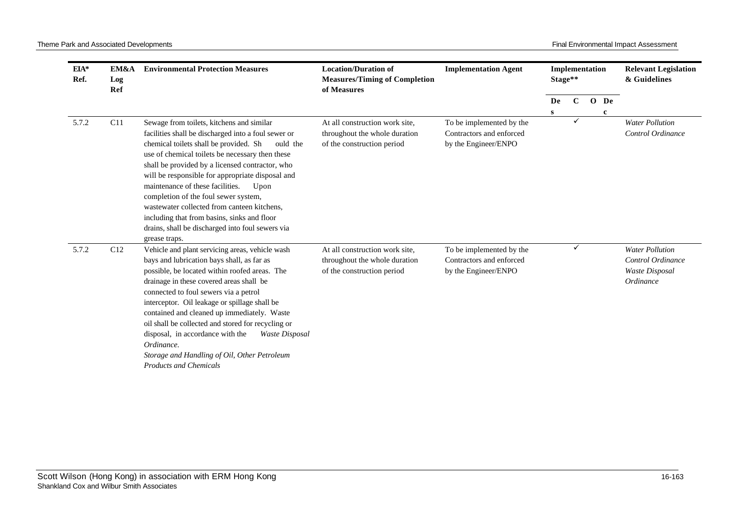| $EIA*$<br>Ref. | EM&A<br>Log<br>Ref | <b>Environmental Protection Measures</b>                                                                                                                                                                                                                                                                                                                                                                                                                                                                                                                                | <b>Location/Duration of</b><br><b>Measures/Timing of Completion</b><br>of Measures            | <b>Implementation Agent</b>                                                  | Implementation<br>Stage** |              |                     | <b>Relevant Legislation</b><br>& Guidelines                                |
|----------------|--------------------|-------------------------------------------------------------------------------------------------------------------------------------------------------------------------------------------------------------------------------------------------------------------------------------------------------------------------------------------------------------------------------------------------------------------------------------------------------------------------------------------------------------------------------------------------------------------------|-----------------------------------------------------------------------------------------------|------------------------------------------------------------------------------|---------------------------|--------------|---------------------|----------------------------------------------------------------------------|
|                |                    |                                                                                                                                                                                                                                                                                                                                                                                                                                                                                                                                                                         |                                                                                               |                                                                              | De<br>S                   | $\mathbf{C}$ | O De<br>$\mathbf c$ |                                                                            |
| 5.7.2          | C11                | Sewage from toilets, kitchens and similar<br>facilities shall be discharged into a foul sewer or<br>chemical toilets shall be provided. Sh<br>ould the<br>use of chemical toilets be necessary then these<br>shall be provided by a licensed contractor, who<br>will be responsible for appropriate disposal and<br>maintenance of these facilities.<br>Upon<br>completion of the foul sewer system,<br>wastewater collected from canteen kitchens,<br>including that from basins, sinks and floor<br>drains, shall be discharged into foul sewers via<br>grease traps. | At all construction work site,<br>throughout the whole duration<br>of the construction period | To be implemented by the<br>Contractors and enforced<br>by the Engineer/ENPO |                           | $\checkmark$ |                     | <b>Water Pollution</b><br>Control Ordinance                                |
| 5.7.2          | C12                | Vehicle and plant servicing areas, vehicle wash<br>bays and lubrication bays shall, as far as<br>possible, be located within roofed areas. The<br>drainage in these covered areas shall be<br>connected to foul sewers via a petrol<br>interceptor. Oil leakage or spillage shall be<br>contained and cleaned up immediately. Waste<br>oil shall be collected and stored for recycling or<br>disposal, in accordance with the<br>Waste Disposal<br>Ordinance.<br>Storage and Handling of Oil, Other Petroleum<br><b>Products and Chemicals</b>                          | At all construction work site,<br>throughout the whole duration<br>of the construction period | To be implemented by the<br>Contractors and enforced<br>by the Engineer/ENPO |                           | ✓            |                     | <b>Water Pollution</b><br>Control Ordinance<br>Waste Disposal<br>Ordinance |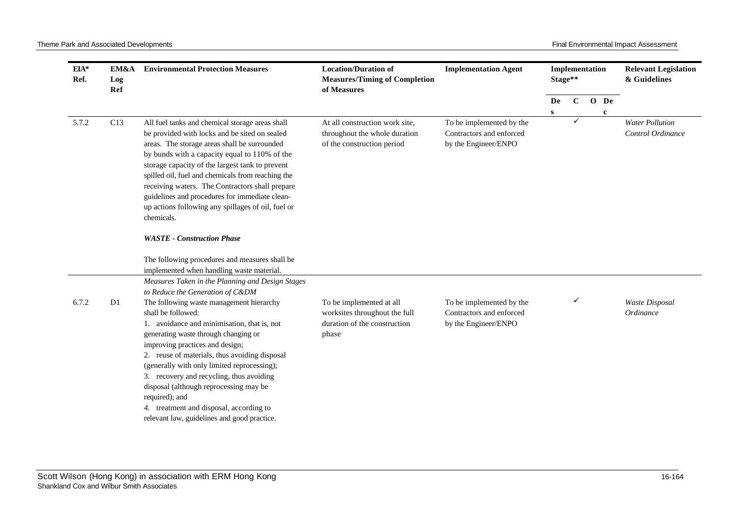| EIA*<br>Ref. | EM&A<br>Log<br>Ref | <b>Environmental Protection Measures</b>                                                                                                                                                                                                                                                                                                                                                                                                                                                   | <b>Location/Duration of</b><br><b>Measures/Timing of Completion</b><br>of Measures                 | <b>Implementation Agent</b>                                                  |              | Implementation<br>Stage** |              | <b>Relevant Legislation</b><br>& Guidelines |
|--------------|--------------------|--------------------------------------------------------------------------------------------------------------------------------------------------------------------------------------------------------------------------------------------------------------------------------------------------------------------------------------------------------------------------------------------------------------------------------------------------------------------------------------------|----------------------------------------------------------------------------------------------------|------------------------------------------------------------------------------|--------------|---------------------------|--------------|---------------------------------------------|
|              |                    |                                                                                                                                                                                                                                                                                                                                                                                                                                                                                            |                                                                                                    |                                                                              | De           | $\mathbf C$               | O De         |                                             |
|              |                    |                                                                                                                                                                                                                                                                                                                                                                                                                                                                                            |                                                                                                    |                                                                              | $\mathbf{s}$ |                           | $\mathbf{c}$ |                                             |
| 5.7.2        | C13                | All fuel tanks and chemical storage areas shall<br>be provided with locks and be sited on sealed<br>areas. The storage areas shall be surrounded<br>by bunds with a capacity equal to 110% of the<br>storage capacity of the largest tank to prevent<br>spilled oil, fuel and chemicals from reaching the<br>receiving waters. The Contractors shall prepare<br>guidelines and procedures for immediate clean-<br>up actions following any spillages of oil, fuel or<br>chemicals.         | At all construction work site,<br>throughout the whole duration<br>of the construction period      | To be implemented by the<br>Contractors and enforced<br>by the Engineer/ENPO |              | ✓                         |              | <b>Water Pollution</b><br>Control Ordinance |
|              |                    | <b>WASTE</b> - Construction Phase<br>The following procedures and measures shall be<br>implemented when handling waste material.                                                                                                                                                                                                                                                                                                                                                           |                                                                                                    |                                                                              |              |                           |              |                                             |
|              |                    | Measures Taken in the Planning and Design Stages                                                                                                                                                                                                                                                                                                                                                                                                                                           |                                                                                                    |                                                                              |              |                           |              |                                             |
|              |                    | to Reduce the Generation of C&DM                                                                                                                                                                                                                                                                                                                                                                                                                                                           |                                                                                                    |                                                                              |              |                           |              |                                             |
| 6.7.2        | D <sub>1</sub>     | The following waste management hierarchy<br>shall be followed:<br>1. avoidance and minimisation, that is, not<br>generating waste through changing or<br>improving practices and design;<br>2. reuse of materials, thus avoiding disposal<br>(generally with only limited reprocessing);<br>3. recovery and recycling, thus avoiding<br>disposal (although reprocessing may be<br>required); and<br>4. treatment and disposal, according to<br>relevant law, guidelines and good practice. | To be implemented at all<br>worksites throughout the full<br>duration of the construction<br>phase | To be implemented by the<br>Contractors and enforced<br>by the Engineer/ENPO |              |                           |              | <b>Waste Disposal</b><br>Ordinance          |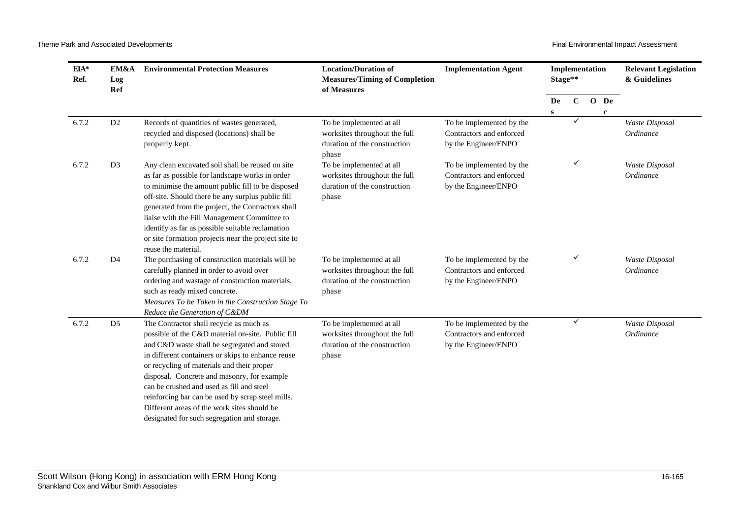| $EIA*$<br>Ref. | EM&A<br>Log<br>Ref | <b>Environmental Protection Measures</b>                                                                                                                                                                                                                                                                                                                                                                                                                                                        | <b>Location/Duration of</b><br><b>Measures/Timing of Completion</b><br>of Measures                 | <b>Implementation Agent</b>                                                  | Stage** | Implementation |                     | <b>Relevant Legislation</b><br>& Guidelines |
|----------------|--------------------|-------------------------------------------------------------------------------------------------------------------------------------------------------------------------------------------------------------------------------------------------------------------------------------------------------------------------------------------------------------------------------------------------------------------------------------------------------------------------------------------------|----------------------------------------------------------------------------------------------------|------------------------------------------------------------------------------|---------|----------------|---------------------|---------------------------------------------|
|                |                    |                                                                                                                                                                                                                                                                                                                                                                                                                                                                                                 |                                                                                                    |                                                                              | De<br>S | $\mathbf{C}$   | O De<br>$\mathbf c$ |                                             |
| 6.7.2          | D <sub>2</sub>     | Records of quantities of wastes generated,<br>recycled and disposed (locations) shall be<br>properly kept.                                                                                                                                                                                                                                                                                                                                                                                      | To be implemented at all<br>worksites throughout the full<br>duration of the construction<br>phase | To be implemented by the<br>Contractors and enforced<br>by the Engineer/ENPO |         | $\checkmark$   |                     | Waste Disposal<br>Ordinance                 |
| 6.7.2          | D <sub>3</sub>     | Any clean excavated soil shall be reused on site<br>as far as possible for landscape works in order<br>to minimise the amount public fill to be disposed<br>off-site. Should there be any surplus public fill<br>generated from the project, the Contractors shall<br>liaise with the Fill Management Committee to<br>identify as far as possible suitable reclamation<br>or site formation projects near the project site to<br>reuse the material.                                            | To be implemented at all<br>worksites throughout the full<br>duration of the construction<br>phase | To be implemented by the<br>Contractors and enforced<br>by the Engineer/ENPO |         | ✓              |                     | Waste Disposal<br>Ordinance                 |
| 6.7.2          | D <sub>4</sub>     | The purchasing of construction materials will be<br>carefully planned in order to avoid over<br>ordering and wastage of construction materials,<br>such as ready mixed concrete.<br>Measures To be Taken in the Construction Stage To<br>Reduce the Generation of C&DM                                                                                                                                                                                                                          | To be implemented at all<br>worksites throughout the full<br>duration of the construction<br>phase | To be implemented by the<br>Contractors and enforced<br>by the Engineer/ENPO |         | ✓              |                     | Waste Disposal<br>Ordinance                 |
| 6.7.2          | D <sub>5</sub>     | The Contractor shall recycle as much as<br>possible of the C&D material on-site. Public fill<br>and C&D waste shall be segregated and stored<br>in different containers or skips to enhance reuse<br>or recycling of materials and their proper<br>disposal. Concrete and masonry, for example<br>can be crushed and used as fill and steel<br>reinforcing bar can be used by scrap steel mills.<br>Different areas of the work sites should be<br>designated for such segregation and storage. | To be implemented at all<br>worksites throughout the full<br>duration of the construction<br>phase | To be implemented by the<br>Contractors and enforced<br>by the Engineer/ENPO |         | ✓              |                     | Waste Disposal<br>Ordinance                 |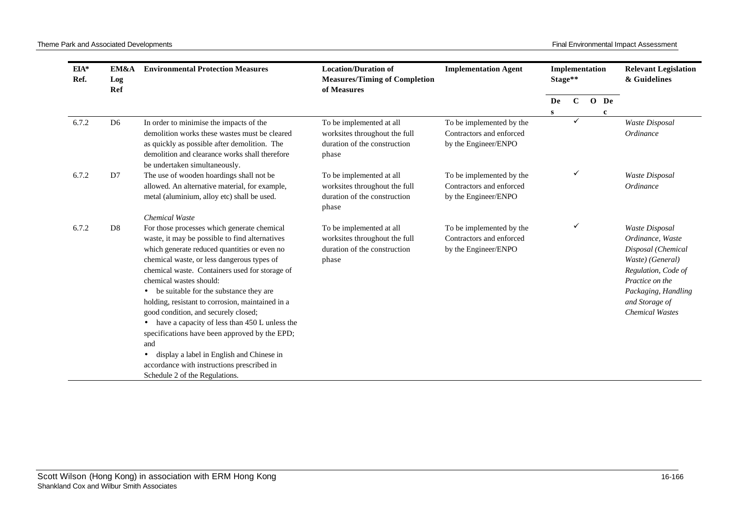| EIA*<br>Ref. | EM&A<br>Log<br>Ref | <b>Environmental Protection Measures</b>                                                                                                                                                                                                                                                                                                                                                                                                                                                                                                                                                                                                                                                                             | <b>Location/Duration of</b><br><b>Implementation Agent</b><br><b>Measures/Timing of Completion</b><br>of Measures |                                                                              | Implementation<br>Stage** |              |                     | <b>Relevant Legislation</b><br>& Guidelines                                                                                                                                               |
|--------------|--------------------|----------------------------------------------------------------------------------------------------------------------------------------------------------------------------------------------------------------------------------------------------------------------------------------------------------------------------------------------------------------------------------------------------------------------------------------------------------------------------------------------------------------------------------------------------------------------------------------------------------------------------------------------------------------------------------------------------------------------|-------------------------------------------------------------------------------------------------------------------|------------------------------------------------------------------------------|---------------------------|--------------|---------------------|-------------------------------------------------------------------------------------------------------------------------------------------------------------------------------------------|
|              |                    |                                                                                                                                                                                                                                                                                                                                                                                                                                                                                                                                                                                                                                                                                                                      |                                                                                                                   |                                                                              | De<br>${\bf S}$           | $\mathbf C$  | O De<br>$\mathbf c$ |                                                                                                                                                                                           |
| 6.7.2        | D <sub>6</sub>     | In order to minimise the impacts of the<br>demolition works these wastes must be cleared<br>as quickly as possible after demolition. The<br>demolition and clearance works shall therefore<br>be undertaken simultaneously.                                                                                                                                                                                                                                                                                                                                                                                                                                                                                          | To be implemented at all<br>worksites throughout the full<br>duration of the construction<br>phase                | To be implemented by the<br>Contractors and enforced<br>by the Engineer/ENPO |                           | $\checkmark$ |                     | Waste Disposal<br>Ordinance                                                                                                                                                               |
| 6.7.2        | D7                 | The use of wooden hoardings shall not be<br>allowed. An alternative material, for example,<br>metal (aluminium, alloy etc) shall be used.                                                                                                                                                                                                                                                                                                                                                                                                                                                                                                                                                                            | To be implemented at all<br>worksites throughout the full<br>duration of the construction<br>phase                | To be implemented by the<br>Contractors and enforced<br>by the Engineer/ENPO |                           | ✓            |                     | Waste Disposal<br>Ordinance                                                                                                                                                               |
| 6.7.2        | D <sub>8</sub>     | <b>Chemical Waste</b><br>For those processes which generate chemical<br>waste, it may be possible to find alternatives<br>which generate reduced quantities or even no<br>chemical waste, or less dangerous types of<br>chemical waste. Containers used for storage of<br>chemical wastes should:<br>be suitable for the substance they are<br>$\bullet$<br>holding, resistant to corrosion, maintained in a<br>good condition, and securely closed;<br>have a capacity of less than 450 L unless the<br>$\bullet$<br>specifications have been approved by the EPD;<br>and<br>display a label in English and Chinese in<br>$\bullet$<br>accordance with instructions prescribed in<br>Schedule 2 of the Regulations. | To be implemented at all<br>worksites throughout the full<br>duration of the construction<br>phase                | To be implemented by the<br>Contractors and enforced<br>by the Engineer/ENPO |                           | ✓            |                     | Waste Disposal<br>Ordinance, Waste<br>Disposal (Chemical<br>Waste) (General)<br>Regulation, Code of<br>Practice on the<br>Packaging, Handling<br>and Storage of<br><b>Chemical Wastes</b> |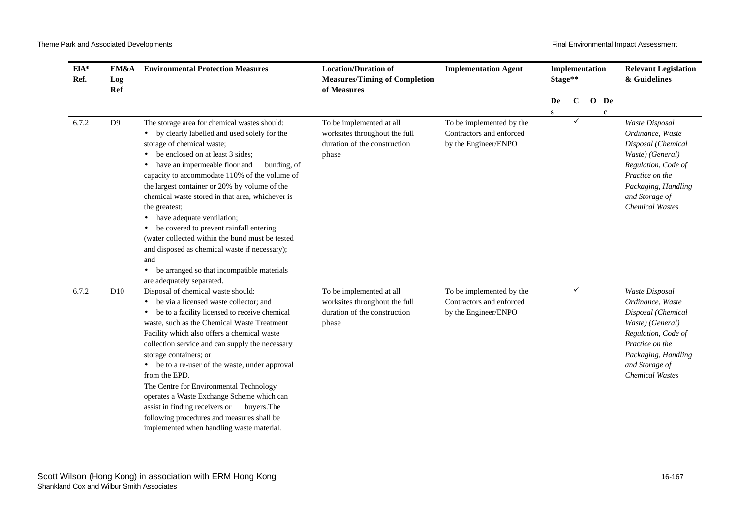| EIA*<br>Ref. | EM&A<br>Log<br>Ref | <b>Environmental Protection Measures</b>                                                                                                                                                                                                                                                                                                                                                                                                                                                                                                                                                                                                      | <b>Location/Duration of</b><br><b>Measures/Timing of Completion</b><br>of Measures                 | <b>Implementation Agent</b>                                                  |           | Implementation<br>Stage** |  |             | <b>Relevant Legislation</b><br>& Guidelines                                                                                                                                                      |
|--------------|--------------------|-----------------------------------------------------------------------------------------------------------------------------------------------------------------------------------------------------------------------------------------------------------------------------------------------------------------------------------------------------------------------------------------------------------------------------------------------------------------------------------------------------------------------------------------------------------------------------------------------------------------------------------------------|----------------------------------------------------------------------------------------------------|------------------------------------------------------------------------------|-----------|---------------------------|--|-------------|--------------------------------------------------------------------------------------------------------------------------------------------------------------------------------------------------|
|              |                    |                                                                                                                                                                                                                                                                                                                                                                                                                                                                                                                                                                                                                                               |                                                                                                    |                                                                              | De        | $\mathbf C$               |  | O De        |                                                                                                                                                                                                  |
|              |                    |                                                                                                                                                                                                                                                                                                                                                                                                                                                                                                                                                                                                                                               |                                                                                                    |                                                                              | ${\bf S}$ | ✓                         |  | $\mathbf c$ |                                                                                                                                                                                                  |
| 6.7.2        | D <sup>9</sup>     | The storage area for chemical wastes should:<br>• by clearly labelled and used solely for the<br>storage of chemical waste;<br>be enclosed on at least 3 sides;<br>have an impermeable floor and<br>bunding, of<br>capacity to accommodate 110% of the volume of<br>the largest container or 20% by volume of the<br>chemical waste stored in that area, whichever is<br>the greatest;<br>• have adequate ventilation;<br>be covered to prevent rainfall entering<br>(water collected within the bund must be tested<br>and disposed as chemical waste if necessary);<br>and<br>be arranged so that incompatible materials                    | To be implemented at all<br>worksites throughout the full<br>duration of the construction<br>phase | To be implemented by the<br>Contractors and enforced<br>by the Engineer/ENPO |           |                           |  |             | Waste Disposal<br>Ordinance, Waste<br>Disposal (Chemical<br>Waste) (General)<br>Regulation, Code of<br>Practice on the<br>Packaging, Handling<br>and Storage of<br><b>Chemical Wastes</b>        |
| 6.7.2        | D <sub>10</sub>    | are adequately separated.<br>Disposal of chemical waste should:<br>be via a licensed waste collector; and<br>be to a facility licensed to receive chemical<br>waste, such as the Chemical Waste Treatment<br>Facility which also offers a chemical waste<br>collection service and can supply the necessary<br>storage containers; or<br>• be to a re-user of the waste, under approval<br>from the EPD.<br>The Centre for Environmental Technology<br>operates a Waste Exchange Scheme which can<br>assist in finding receivers or<br>buyers. The<br>following procedures and measures shall be<br>implemented when handling waste material. | To be implemented at all<br>worksites throughout the full<br>duration of the construction<br>phase | To be implemented by the<br>Contractors and enforced<br>by the Engineer/ENPO |           | ✓                         |  |             | <b>Waste Disposal</b><br>Ordinance, Waste<br>Disposal (Chemical<br>Waste) (General)<br>Regulation, Code of<br>Practice on the<br>Packaging, Handling<br>and Storage of<br><b>Chemical Wastes</b> |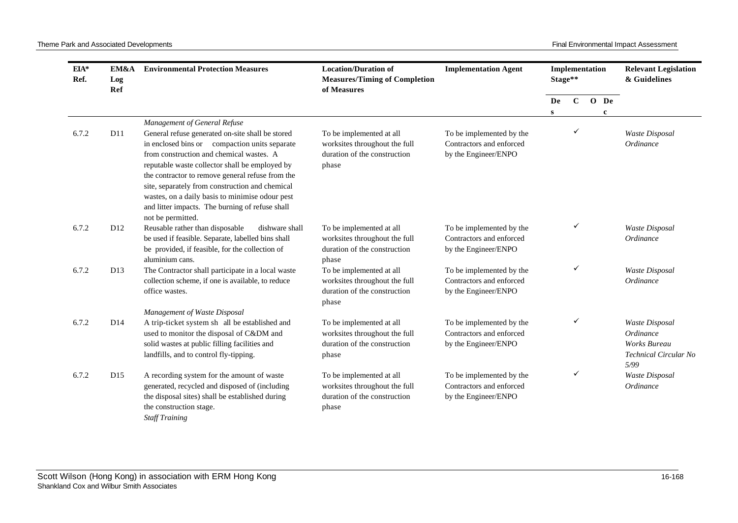| EIA*<br>Ref. | EM&A<br>Log<br>Ref | <b>Environmental Protection Measures</b>                                                                                                                                                                                                                                                                                                                                                                                                     | <b>Location/Duration of</b><br><b>Measures/Timing of Completion</b><br>of Measures                 | <b>Implementation Agent</b>                                                  | Implementation<br>Stage** |              |              | <b>Relevant Legislation</b><br>& Guidelines                                                |
|--------------|--------------------|----------------------------------------------------------------------------------------------------------------------------------------------------------------------------------------------------------------------------------------------------------------------------------------------------------------------------------------------------------------------------------------------------------------------------------------------|----------------------------------------------------------------------------------------------------|------------------------------------------------------------------------------|---------------------------|--------------|--------------|--------------------------------------------------------------------------------------------|
|              |                    |                                                                                                                                                                                                                                                                                                                                                                                                                                              |                                                                                                    |                                                                              | De                        | $\mathbf{C}$ | O De         |                                                                                            |
|              |                    |                                                                                                                                                                                                                                                                                                                                                                                                                                              |                                                                                                    |                                                                              | S                         |              | $\mathbf{c}$ |                                                                                            |
| 6.7.2        | D11                | Management of General Refuse<br>General refuse generated on-site shall be stored<br>in enclosed bins or compaction units separate<br>from construction and chemical wastes. A<br>reputable waste collector shall be employed by<br>the contractor to remove general refuse from the<br>site, separately from construction and chemical<br>wastes, on a daily basis to minimise odour pest<br>and litter impacts. The burning of refuse shall | To be implemented at all<br>worksites throughout the full<br>duration of the construction<br>phase | To be implemented by the<br>Contractors and enforced<br>by the Engineer/ENPO |                           | ✓            |              | <b>Waste Disposal</b><br><i>Ordinance</i>                                                  |
| 6.7.2        | D <sub>12</sub>    | not be permitted.<br>Reusable rather than disposable<br>dishware shall<br>be used if feasible. Separate, labelled bins shall<br>be provided, if feasible, for the collection of<br>aluminium cans.                                                                                                                                                                                                                                           | To be implemented at all<br>worksites throughout the full<br>duration of the construction<br>phase | To be implemented by the<br>Contractors and enforced<br>by the Engineer/ENPO |                           | ✓            |              | Waste Disposal<br>Ordinance                                                                |
| 6.7.2        | D13                | The Contractor shall participate in a local waste<br>collection scheme, if one is available, to reduce<br>office wastes.                                                                                                                                                                                                                                                                                                                     | To be implemented at all<br>worksites throughout the full<br>duration of the construction<br>phase | To be implemented by the<br>Contractors and enforced<br>by the Engineer/ENPO |                           | ✓            |              | Waste Disposal<br><i>Ordinance</i>                                                         |
| 6.7.2        | D <sub>14</sub>    | Management of Waste Disposal<br>A trip-ticket system sh all be established and<br>used to monitor the disposal of C&DM and<br>solid wastes at public filling facilities and<br>landfills, and to control fly-tipping.                                                                                                                                                                                                                        | To be implemented at all<br>worksites throughout the full<br>duration of the construction<br>phase | To be implemented by the<br>Contractors and enforced<br>by the Engineer/ENPO |                           | ✓            |              | Waste Disposal<br><i>Ordinance</i><br><b>Works Bureau</b><br>Technical Circular No<br>5/99 |
| 6.7.2        | D <sub>15</sub>    | A recording system for the amount of waste<br>generated, recycled and disposed of (including<br>the disposal sites) shall be established during<br>the construction stage.<br><b>Staff Training</b>                                                                                                                                                                                                                                          | To be implemented at all<br>worksites throughout the full<br>duration of the construction<br>phase | To be implemented by the<br>Contractors and enforced<br>by the Engineer/ENPO |                           | ✓            |              | Waste Disposal<br>Ordinance                                                                |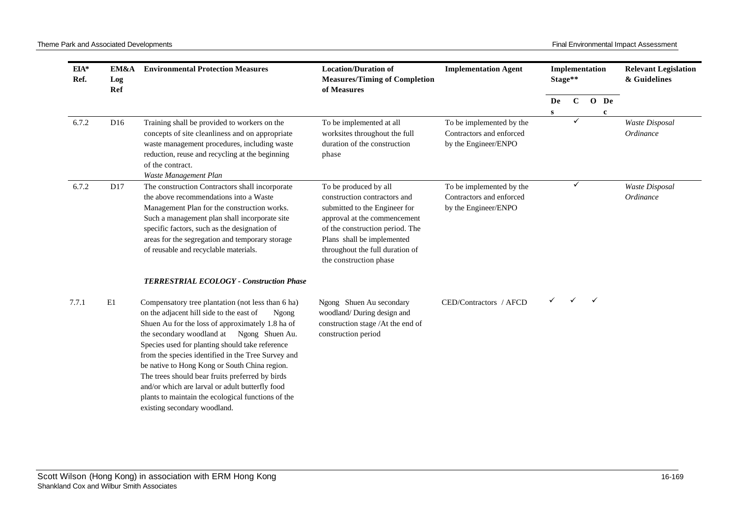| EIA*<br>Ref. | EM&A<br>Log<br>Ref | <b>Environmental Protection Measures</b>                                                                                                                                                                                                                                                                                                                                                                                                                                                                                                                                                                         | <b>Location/Duration of</b><br><b>Measures/Timing of Completion</b><br>of Measures                                                                                                                                                                   | <b>Implementation Agent</b>                                                  |         | Implementation<br>Stage** |                      |                             |  |  |  |  |  |  |  |  |  |  |  |  |  |  |  |  |  |  |  |  |  |  |  |  |  |  |  |  |  |  |  | <b>Relevant Legislation</b><br>& Guidelines |
|--------------|--------------------|------------------------------------------------------------------------------------------------------------------------------------------------------------------------------------------------------------------------------------------------------------------------------------------------------------------------------------------------------------------------------------------------------------------------------------------------------------------------------------------------------------------------------------------------------------------------------------------------------------------|------------------------------------------------------------------------------------------------------------------------------------------------------------------------------------------------------------------------------------------------------|------------------------------------------------------------------------------|---------|---------------------------|----------------------|-----------------------------|--|--|--|--|--|--|--|--|--|--|--|--|--|--|--|--|--|--|--|--|--|--|--|--|--|--|--|--|--|--|--|---------------------------------------------|
|              |                    |                                                                                                                                                                                                                                                                                                                                                                                                                                                                                                                                                                                                                  |                                                                                                                                                                                                                                                      |                                                                              | De<br>S | $\mathbf C$               | O De<br>$\mathbf{c}$ |                             |  |  |  |  |  |  |  |  |  |  |  |  |  |  |  |  |  |  |  |  |  |  |  |  |  |  |  |  |  |  |  |                                             |
| 6.7.2        | D <sub>16</sub>    | Training shall be provided to workers on the<br>concepts of site cleanliness and on appropriate<br>waste management procedures, including waste<br>reduction, reuse and recycling at the beginning<br>of the contract.<br>Waste Management Plan                                                                                                                                                                                                                                                                                                                                                                  | To be implemented at all<br>worksites throughout the full<br>duration of the construction<br>phase                                                                                                                                                   | To be implemented by the<br>Contractors and enforced<br>by the Engineer/ENPO |         |                           |                      | Waste Disposal<br>Ordinance |  |  |  |  |  |  |  |  |  |  |  |  |  |  |  |  |  |  |  |  |  |  |  |  |  |  |  |  |  |  |  |                                             |
| 6.7.2        | D17                | The construction Contractors shall incorporate<br>the above recommendations into a Waste<br>Management Plan for the construction works.<br>Such a management plan shall incorporate site<br>specific factors, such as the designation of<br>areas for the segregation and temporary storage<br>of reusable and recyclable materials.                                                                                                                                                                                                                                                                             | To be produced by all<br>construction contractors and<br>submitted to the Engineer for<br>approval at the commencement<br>of the construction period. The<br>Plans shall be implemented<br>throughout the full duration of<br>the construction phase | To be implemented by the<br>Contractors and enforced<br>by the Engineer/ENPO |         | ✓                         |                      | Waste Disposal<br>Ordinance |  |  |  |  |  |  |  |  |  |  |  |  |  |  |  |  |  |  |  |  |  |  |  |  |  |  |  |  |  |  |  |                                             |
| 7.7.1        | E1                 | <b>TERRESTRIAL ECOLOGY - Construction Phase</b><br>Compensatory tree plantation (not less than 6 ha)<br>on the adjacent hill side to the east of<br>Ngong<br>Shuen Au for the loss of approximately 1.8 ha of<br>the secondary woodland at Ngong Shuen Au.<br>Species used for planting should take reference<br>from the species identified in the Tree Survey and<br>be native to Hong Kong or South China region.<br>The trees should bear fruits preferred by birds<br>and/or which are larval or adult butterfly food<br>plants to maintain the ecological functions of the<br>existing secondary woodland. | Ngong Shuen Au secondary<br>woodland/During design and<br>construction stage /At the end of<br>construction period                                                                                                                                   | CED/Contractors / AFCD                                                       |         |                           | $\checkmark$         |                             |  |  |  |  |  |  |  |  |  |  |  |  |  |  |  |  |  |  |  |  |  |  |  |  |  |  |  |  |  |  |  |                                             |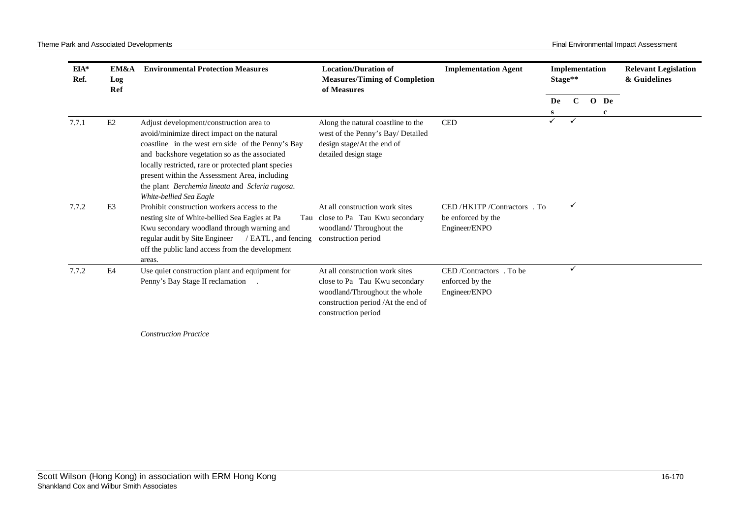| $EIA*$<br>Ref. | EM&A<br>Log<br>Ref | <b>Environmental Protection Measures</b>                                                                                                                                                                                                                                                                                                                                           | <b>Location/Duration of</b><br><b>Measures/Timing of Completion</b><br>of Measures                                                                            | <b>Implementation Agent</b>                                      |         | Implementation<br>Stage** |              |         | <b>Relevant Legislation</b><br>& Guidelines |
|----------------|--------------------|------------------------------------------------------------------------------------------------------------------------------------------------------------------------------------------------------------------------------------------------------------------------------------------------------------------------------------------------------------------------------------|---------------------------------------------------------------------------------------------------------------------------------------------------------------|------------------------------------------------------------------|---------|---------------------------|--------------|---------|---------------------------------------------|
|                |                    |                                                                                                                                                                                                                                                                                                                                                                                    |                                                                                                                                                               |                                                                  | De<br>s | $\mathbf C$               | $\mathbf{O}$ | De<br>c |                                             |
| 7.7.1          | E2                 | Adjust development/construction area to<br>avoid/minimize direct impact on the natural<br>coastline in the west ern side of the Penny's Bay<br>and backshore vegetation so as the associated<br>locally restricted, rare or protected plant species<br>present within the Assessment Area, including<br>the plant Berchemia lineata and Scleria rugosa.<br>White-bellied Sea Eagle | Along the natural coastline to the<br>west of the Penny's Bay/ Detailed<br>design stage/At the end of<br>detailed design stage                                | <b>CED</b>                                                       | ✓       |                           |              |         |                                             |
| 7.7.2          | E <sub>3</sub>     | Prohibit construction workers access to the<br>nesting site of White-bellied Sea Eagles at Pa<br>Kwu secondary woodland through warning and<br>regular audit by Site Engineer<br>/ EATL, and fencing<br>off the public land access from the development<br>areas.                                                                                                                  | At all construction work sites<br>Tau close to Pa Tau Kwu secondary<br>woodland/Throughout the<br>construction period                                         | CED/HKITP/Contractors. To<br>be enforced by the<br>Engineer/ENPO |         | ✓                         |              |         |                                             |
| 7.7.2          | E4                 | Use quiet construction plant and equipment for<br>Penny's Bay Stage II reclamation                                                                                                                                                                                                                                                                                                 | At all construction work sites<br>close to Pa Tau Kwu secondary<br>woodland/Throughout the whole<br>construction period /At the end of<br>construction period | CED/Contractors. To be<br>enforced by the<br>Engineer/ENPO       |         | $\checkmark$              |              |         |                                             |
|                |                    | <b>Construction Practice</b>                                                                                                                                                                                                                                                                                                                                                       |                                                                                                                                                               |                                                                  |         |                           |              |         |                                             |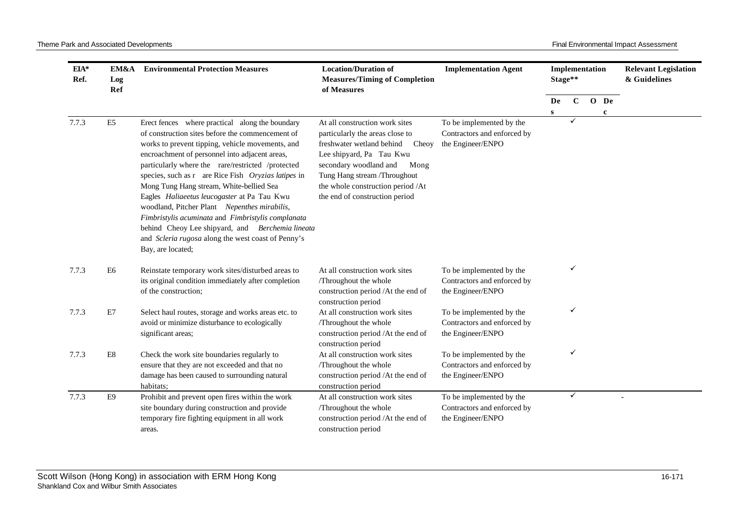| EIA*<br>Ref. | EM&A<br>Log<br>Ref | <b>Environmental Protection Measures</b>                                                                                                                                                                                                                                                                                                                                                                                                                                                                                                                                                                                                              | <b>Location/Duration of</b><br><b>Measures/Timing of Completion</b><br>of Measures                                                                                                                                                                                           | <b>Implementation Agent</b>                                                  |           | Implementation<br>Stage** |      | <b>Relevant Legislation</b><br>& Guidelines |
|--------------|--------------------|-------------------------------------------------------------------------------------------------------------------------------------------------------------------------------------------------------------------------------------------------------------------------------------------------------------------------------------------------------------------------------------------------------------------------------------------------------------------------------------------------------------------------------------------------------------------------------------------------------------------------------------------------------|------------------------------------------------------------------------------------------------------------------------------------------------------------------------------------------------------------------------------------------------------------------------------|------------------------------------------------------------------------------|-----------|---------------------------|------|---------------------------------------------|
|              |                    |                                                                                                                                                                                                                                                                                                                                                                                                                                                                                                                                                                                                                                                       |                                                                                                                                                                                                                                                                              |                                                                              | De        | $\mathbf{C}$              | O De |                                             |
| 7.7.3        | E <sub>5</sub>     | Erect fences where practical along the boundary<br>of construction sites before the commencement of<br>works to prevent tipping, vehicle movements, and<br>encroachment of personnel into adjacent areas,<br>particularly where the rare/restricted /protected<br>species, such as r are Rice Fish Oryzias latipes in<br>Mong Tung Hang stream, White-bellied Sea<br>Eagles Haliaeetus leucogaster at Pa Tau Kwu<br>woodland, Pitcher Plant Nepenthes mirabilis,<br>Fimbristylis acuminata and Fimbristylis complanata<br>behind Cheoy Lee shipyard, and Berchemia lineata<br>and Scleria rugosa along the west coast of Penny's<br>Bay, are located; | At all construction work sites<br>particularly the areas close to<br>freshwater wetland behind<br>Cheoy<br>Lee shipyard, Pa Tau Kwu<br>secondary woodland and<br>Mong<br>Tung Hang stream /Throughout<br>the whole construction period /At<br>the end of construction period | To be implemented by the<br>Contractors and enforced by<br>the Engineer/ENPO | ${\bf S}$ | ✓                         | c    |                                             |
| 7.7.3        | E <sub>6</sub>     | Reinstate temporary work sites/disturbed areas to<br>its original condition immediately after completion<br>of the construction;                                                                                                                                                                                                                                                                                                                                                                                                                                                                                                                      | At all construction work sites<br>/Throughout the whole<br>construction period /At the end of<br>construction period                                                                                                                                                         | To be implemented by the<br>Contractors and enforced by<br>the Engineer/ENPO |           | ✓                         |      |                                             |
| 7.7.3        | E7                 | Select haul routes, storage and works areas etc. to<br>avoid or minimize disturbance to ecologically<br>significant areas;                                                                                                                                                                                                                                                                                                                                                                                                                                                                                                                            | At all construction work sites<br>/Throughout the whole<br>construction period /At the end of<br>construction period                                                                                                                                                         | To be implemented by the<br>Contractors and enforced by<br>the Engineer/ENPO |           | $\checkmark$              |      |                                             |
| 7.7.3        | E8                 | Check the work site boundaries regularly to<br>ensure that they are not exceeded and that no<br>damage has been caused to surrounding natural<br>habitats;                                                                                                                                                                                                                                                                                                                                                                                                                                                                                            | At all construction work sites<br>/Throughout the whole<br>construction period /At the end of<br>construction period                                                                                                                                                         | To be implemented by the<br>Contractors and enforced by<br>the Engineer/ENPO |           | $\checkmark$              |      |                                             |
| 7.7.3        | E <sub>9</sub>     | Prohibit and prevent open fires within the work<br>site boundary during construction and provide<br>temporary fire fighting equipment in all work<br>areas.                                                                                                                                                                                                                                                                                                                                                                                                                                                                                           | At all construction work sites<br>/Throughout the whole<br>construction period /At the end of<br>construction period                                                                                                                                                         | To be implemented by the<br>Contractors and enforced by<br>the Engineer/ENPO |           | $\checkmark$              |      |                                             |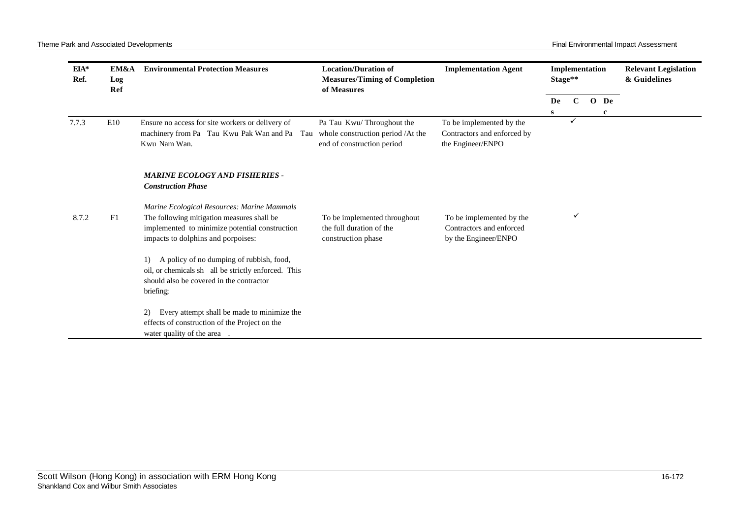| EIA*<br>Ref. | EM&A<br>Log<br>Ref | <b>Environmental Protection Measures</b>                                                                                                                                                                                                                                                                                               | <b>Location/Duration of</b><br><b>Measures/Timing of Completion</b><br>of Measures           | <b>Implementation Agent</b>                                                  | Stage** | Implementation |           | <b>Relevant Legislation</b><br>& Guidelines |
|--------------|--------------------|----------------------------------------------------------------------------------------------------------------------------------------------------------------------------------------------------------------------------------------------------------------------------------------------------------------------------------------|----------------------------------------------------------------------------------------------|------------------------------------------------------------------------------|---------|----------------|-----------|---------------------------------------------|
|              |                    |                                                                                                                                                                                                                                                                                                                                        |                                                                                              |                                                                              | De<br>S | $\mathbf C$    | O De<br>c |                                             |
| 7.7.3        | E10                | Ensure no access for site workers or delivery of<br>machinery from Pa Tau Kwu Pak Wan and Pa<br>Tau<br>Kwu Nam Wan.                                                                                                                                                                                                                    | Pa Tau Kwu/Throughout the<br>whole construction period /At the<br>end of construction period | To be implemented by the<br>Contractors and enforced by<br>the Engineer/ENPO |         | ✓              |           |                                             |
|              |                    | <b>MARINE ECOLOGY AND FISHERIES -</b><br><b>Construction Phase</b>                                                                                                                                                                                                                                                                     |                                                                                              |                                                                              |         |                |           |                                             |
| 8.7.2        | F1                 | Marine Ecological Resources: Marine Mammals<br>The following mitigation measures shall be<br>implemented to minimize potential construction<br>impacts to dolphins and porpoises:<br>A policy of no dumping of rubbish, food,<br>1)<br>oil, or chemicals sh all be strictly enforced. This<br>should also be covered in the contractor | To be implemented throughout<br>the full duration of the<br>construction phase               | To be implemented by the<br>Contractors and enforced<br>by the Engineer/ENPO |         | ✓              |           |                                             |
|              |                    | briefing;<br>Every attempt shall be made to minimize the<br>$\mathbf{2}$<br>effects of construction of the Project on the<br>water quality of the area.                                                                                                                                                                                |                                                                                              |                                                                              |         |                |           |                                             |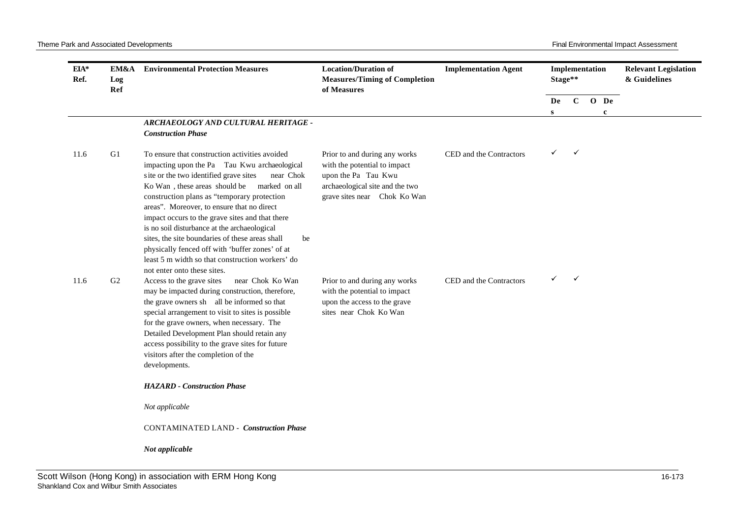| $EIA*$<br>Ref. | EM&A<br>Log<br>Ref | <b>Environmental Protection Measures</b>                                                                                                                                                                                                                                                                                                                                                                                                                                                                                                                                                            | <b>Location/Duration of</b><br><b>Measures/Timing of Completion</b><br>of Measures                                                                      | <b>Implementation Agent</b> | Implementation<br>Stage** |              |             | <b>Relevant Legislation</b><br>& Guidelines |
|----------------|--------------------|-----------------------------------------------------------------------------------------------------------------------------------------------------------------------------------------------------------------------------------------------------------------------------------------------------------------------------------------------------------------------------------------------------------------------------------------------------------------------------------------------------------------------------------------------------------------------------------------------------|---------------------------------------------------------------------------------------------------------------------------------------------------------|-----------------------------|---------------------------|--------------|-------------|---------------------------------------------|
|                |                    |                                                                                                                                                                                                                                                                                                                                                                                                                                                                                                                                                                                                     |                                                                                                                                                         |                             | De                        | $\mathbf C$  | O De        |                                             |
|                |                    | ARCHAEOLOGY AND CULTURAL HERITAGE -<br><b>Construction Phase</b>                                                                                                                                                                                                                                                                                                                                                                                                                                                                                                                                    |                                                                                                                                                         |                             | S                         |              | $\mathbf c$ |                                             |
| 11.6           | G1                 | To ensure that construction activities avoided<br>impacting upon the Pa Tau Kwu archaeological<br>site or the two identified grave sites<br>near Chok<br>Ko Wan, these areas should be marked on all<br>construction plans as "temporary protection<br>areas". Moreover, to ensure that no direct<br>impact occurs to the grave sites and that there<br>is no soil disturbance at the archaeological<br>sites, the site boundaries of these areas shall<br>be<br>physically fenced off with 'buffer zones' of at<br>least 5 m width so that construction workers' do<br>not enter onto these sites. | Prior to and during any works<br>with the potential to impact<br>upon the Pa Tau Kwu<br>archaeological site and the two<br>grave sites near Chok Ko Wan | CED and the Contractors     | ✓                         | $\checkmark$ |             |                                             |
| 11.6           | G2                 | Access to the grave sites<br>near Chok Ko Wan<br>may be impacted during construction, therefore,<br>the grave owners sh all be informed so that<br>special arrangement to visit to sites is possible<br>for the grave owners, when necessary. The<br>Detailed Development Plan should retain any<br>access possibility to the grave sites for future<br>visitors after the completion of the<br>developments.                                                                                                                                                                                       | Prior to and during any works<br>with the potential to impact<br>upon the access to the grave<br>sites near Chok Ko Wan                                 | CED and the Contractors     | ✓                         | $\checkmark$ |             |                                             |
|                |                    | <b>HAZARD</b> - Construction Phase                                                                                                                                                                                                                                                                                                                                                                                                                                                                                                                                                                  |                                                                                                                                                         |                             |                           |              |             |                                             |
|                |                    | Not applicable                                                                                                                                                                                                                                                                                                                                                                                                                                                                                                                                                                                      |                                                                                                                                                         |                             |                           |              |             |                                             |
|                |                    | <b>CONTAMINATED LAND - Construction Phase</b>                                                                                                                                                                                                                                                                                                                                                                                                                                                                                                                                                       |                                                                                                                                                         |                             |                           |              |             |                                             |
|                |                    | Not applicable                                                                                                                                                                                                                                                                                                                                                                                                                                                                                                                                                                                      |                                                                                                                                                         |                             |                           |              |             |                                             |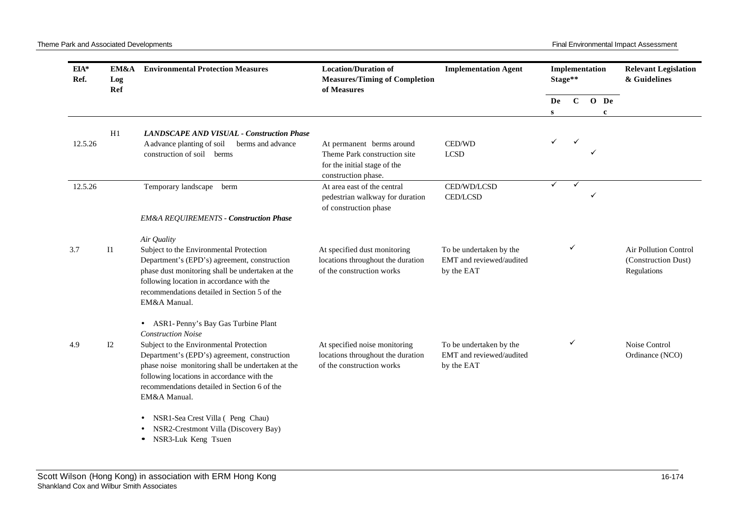| $EIA*$<br>Ref. | EM&A<br>Log<br>Ref | <b>Environmental Protection Measures</b>                                                                                                                                                                                                                   | <b>Location/Duration of</b><br><b>Measures/Timing of Completion</b><br>of Measures              | <b>Implementation Agent</b>                                       | Implementation<br>Stage** |              |                      | <b>Relevant Legislation</b><br>& Guidelines                        |
|----------------|--------------------|------------------------------------------------------------------------------------------------------------------------------------------------------------------------------------------------------------------------------------------------------------|-------------------------------------------------------------------------------------------------|-------------------------------------------------------------------|---------------------------|--------------|----------------------|--------------------------------------------------------------------|
|                |                    |                                                                                                                                                                                                                                                            |                                                                                                 |                                                                   | De<br>S                   | $\mathbf{C}$ | O De<br>$\mathbf{c}$ |                                                                    |
|                |                    |                                                                                                                                                                                                                                                            |                                                                                                 |                                                                   |                           |              |                      |                                                                    |
|                | H1                 | <b>LANDSCAPE AND VISUAL - Construction Phase</b>                                                                                                                                                                                                           |                                                                                                 |                                                                   |                           |              |                      |                                                                    |
| 12.5.26        |                    | A advance planting of soil<br>berms and advance                                                                                                                                                                                                            | At permanent berms around                                                                       | CED/WD                                                            | ✓                         |              |                      |                                                                    |
|                |                    | construction of soil berms                                                                                                                                                                                                                                 | Theme Park construction site<br>for the initial stage of the<br>construction phase.             | <b>LCSD</b>                                                       |                           |              |                      |                                                                    |
| 12.5.26        |                    | Temporary landscape berm                                                                                                                                                                                                                                   | At area east of the central<br>pedestrian walkway for duration<br>of construction phase         | CED/WD/LCSD<br><b>CED/LCSD</b>                                    | ✓                         | ✓            | ✓                    |                                                                    |
|                |                    | <b>EM&amp;A REQUIREMENTS - Construction Phase</b>                                                                                                                                                                                                          |                                                                                                 |                                                                   |                           |              |                      |                                                                    |
|                |                    | Air Quality                                                                                                                                                                                                                                                |                                                                                                 |                                                                   |                           |              |                      |                                                                    |
| 3.7            | I <sub>1</sub>     | Subject to the Environmental Protection<br>Department's (EPD's) agreement, construction<br>phase dust monitoring shall be undertaken at the<br>following location in accordance with the<br>recommendations detailed in Section 5 of the<br>EM&A Manual.   | At specified dust monitoring<br>locations throughout the duration<br>of the construction works  | To be undertaken by the<br>EMT and reviewed/audited<br>by the EAT |                           | ✓            |                      | <b>Air Pollution Control</b><br>(Construction Dust)<br>Regulations |
|                |                    | • ASR1-Penny's Bay Gas Turbine Plant<br><b>Construction Noise</b>                                                                                                                                                                                          |                                                                                                 |                                                                   |                           |              |                      |                                                                    |
| 4.9            | 12                 | Subject to the Environmental Protection<br>Department's (EPD's) agreement, construction<br>phase noise monitoring shall be undertaken at the<br>following locations in accordance with the<br>recommendations detailed in Section 6 of the<br>EM&A Manual. | At specified noise monitoring<br>locations throughout the duration<br>of the construction works | To be undertaken by the<br>EMT and reviewed/audited<br>by the EAT |                           | ✓            |                      | Noise Control<br>Ordinance (NCO)                                   |
|                |                    | NSR1-Sea Crest Villa (Peng Chau)<br>$\bullet$<br>NSR2-Crestmont Villa (Discovery Bay)<br>NSR3-Luk Keng Tsuen<br>$\bullet$                                                                                                                                  |                                                                                                 |                                                                   |                           |              |                      |                                                                    |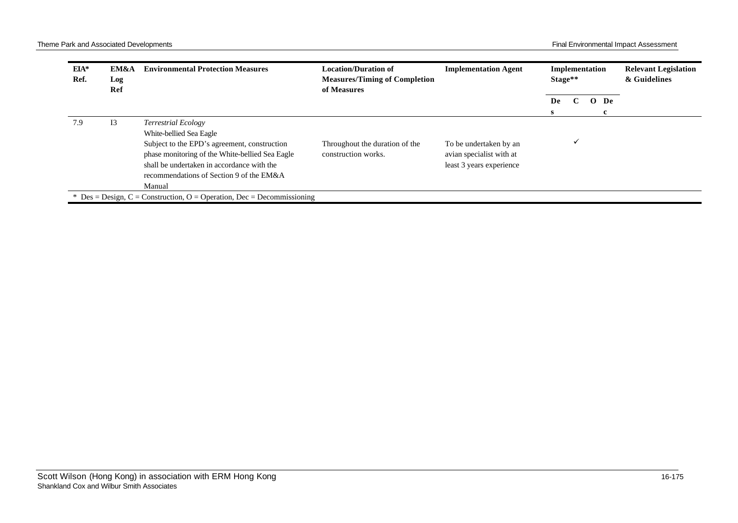| EIA*<br>Ref. | EM&A<br>Log<br>Ref | <b>Environmental Protection Measures</b>                                                                                                                                                                                                                     | <b>Location/Duration of</b><br><b>Measures/Timing of Completion</b><br>of Measures | <b>Implementation Agent</b>                                                    |    | Implementation<br>Stage** |        | <b>Relevant Legislation</b><br>& Guidelines |
|--------------|--------------------|--------------------------------------------------------------------------------------------------------------------------------------------------------------------------------------------------------------------------------------------------------------|------------------------------------------------------------------------------------|--------------------------------------------------------------------------------|----|---------------------------|--------|---------------------------------------------|
|              |                    |                                                                                                                                                                                                                                                              |                                                                                    |                                                                                | De | $\mathbf C$               | $O$ De |                                             |
| 7.9          | 13                 | <b>Terrestrial Ecology</b><br>White-bellied Sea Eagle<br>Subject to the EPD's agreement, construction<br>phase monitoring of the White-bellied Sea Eagle<br>shall be undertaken in accordance with the<br>recommendations of Section 9 of the EM&A<br>Manual | Throughout the duration of the<br>construction works.                              | To be undertaken by an<br>avian specialist with at<br>least 3 years experience | s. | $\checkmark$              |        |                                             |
|              |                    | * Des = Design, C = Construction, O = Operation, Dec = Decommissioning                                                                                                                                                                                       |                                                                                    |                                                                                |    |                           |        |                                             |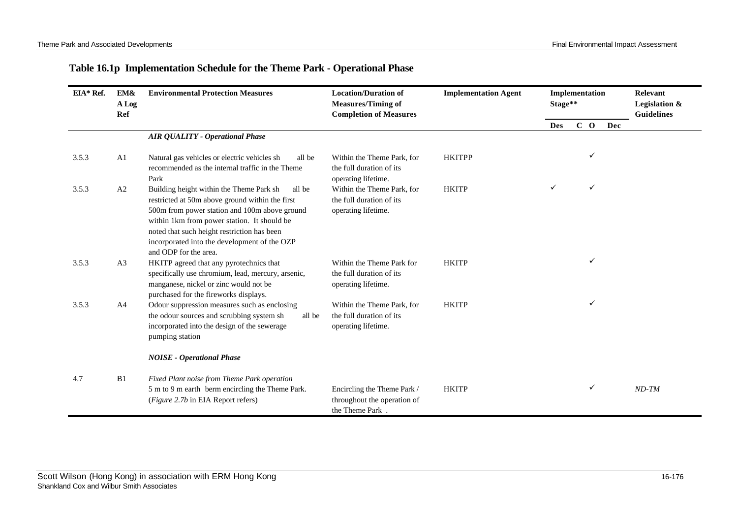| Table 16.1p Implementation Schedule for the Theme Park - Operational Phase |  |  |  |  |  |
|----------------------------------------------------------------------------|--|--|--|--|--|
|----------------------------------------------------------------------------|--|--|--|--|--|

| $EIA*Ref.$ | EM&<br>A Log<br>Ref | <b>Environmental Protection Measures</b>                                                                                                                                                                                                                                                                                      | <b>Location/Duration of</b><br><b>Measures/Timing of</b><br><b>Completion of Measures</b> | <b>Implementation Agent</b> | Implementation<br>Stage** |       |     | Relevant<br>Legislation &<br><b>Guidelines</b> |
|------------|---------------------|-------------------------------------------------------------------------------------------------------------------------------------------------------------------------------------------------------------------------------------------------------------------------------------------------------------------------------|-------------------------------------------------------------------------------------------|-----------------------------|---------------------------|-------|-----|------------------------------------------------|
|            |                     |                                                                                                                                                                                                                                                                                                                               |                                                                                           |                             | <b>Des</b>                | $C$ O | Dec |                                                |
|            |                     | <b>AIR QUALITY - Operational Phase</b>                                                                                                                                                                                                                                                                                        |                                                                                           |                             |                           |       |     |                                                |
| 3.5.3      | A <sub>1</sub>      | Natural gas vehicles or electric vehicles sh<br>all be<br>recommended as the internal traffic in the Theme<br>Park                                                                                                                                                                                                            | Within the Theme Park, for<br>the full duration of its<br>operating lifetime.             | <b>HKITPP</b>               |                           | ✓     |     |                                                |
| 3.5.3      | A2                  | Building height within the Theme Park sh<br>all be<br>restricted at 50m above ground within the first<br>500m from power station and 100m above ground<br>within 1km from power station. It should be<br>noted that such height restriction has been<br>incorporated into the development of the OZP<br>and ODP for the area. | Within the Theme Park, for<br>the full duration of its<br>operating lifetime.             | <b>HKITP</b>                |                           | ✓     |     |                                                |
| 3.5.3      | A <sub>3</sub>      | HKITP agreed that any pyrotechnics that<br>specifically use chromium, lead, mercury, arsenic,<br>manganese, nickel or zinc would not be<br>purchased for the fireworks displays.                                                                                                                                              | Within the Theme Park for<br>the full duration of its<br>operating lifetime.              | <b>HKITP</b>                |                           | ✓     |     |                                                |
| 3.5.3      | A <sub>4</sub>      | Odour suppression measures such as enclosing<br>the odour sources and scrubbing system sh<br>all be<br>incorporated into the design of the sewerage<br>pumping station                                                                                                                                                        | Within the Theme Park, for<br>the full duration of its<br>operating lifetime.             | <b>HKITP</b>                |                           | ✓     |     |                                                |
|            |                     | <b>NOISE</b> - Operational Phase                                                                                                                                                                                                                                                                                              |                                                                                           |                             |                           |       |     |                                                |
| 4.7        | B1                  | Fixed Plant noise from Theme Park operation<br>5 m to 9 m earth berm encircling the Theme Park.<br>(Figure 2.7b in EIA Report refers)                                                                                                                                                                                         | Encircling the Theme Park /<br>throughout the operation of<br>the Theme Park.             | <b>HKITP</b>                |                           | ✓     |     | $ND-TM$                                        |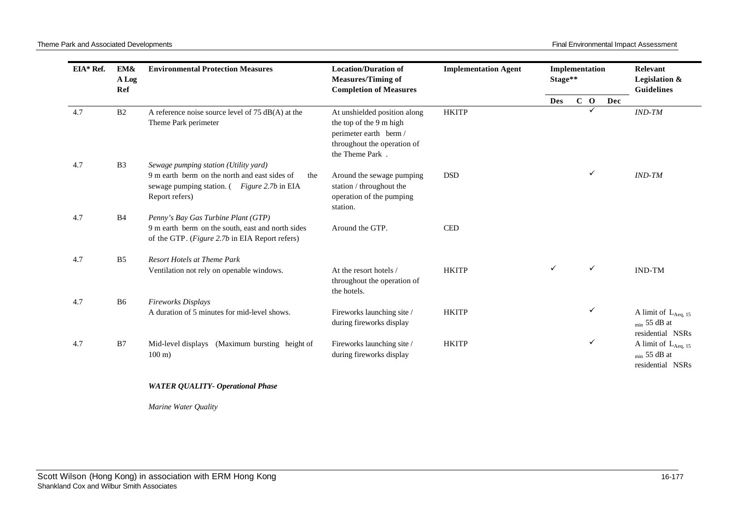Theme Park and Associated Developments **Final Environmental Impact Assessment** Final Environmental Impact Assessment

| EIA* Ref. | EM&<br>A Log<br>Ref | <b>Environmental Protection Measures</b>                                                                                                                       | <b>Location/Duration of</b><br><b>Measures/Timing of</b><br><b>Completion of Measures</b>                                           | <b>Implementation Agent</b> | Implementation<br>Stage** |   |       |                                                                   | Relevant<br>Legislation &<br><b>Guidelines</b>                    |
|-----------|---------------------|----------------------------------------------------------------------------------------------------------------------------------------------------------------|-------------------------------------------------------------------------------------------------------------------------------------|-----------------------------|---------------------------|---|-------|-------------------------------------------------------------------|-------------------------------------------------------------------|
|           |                     |                                                                                                                                                                |                                                                                                                                     |                             | <b>Des</b>                |   | $C$ O | Dec                                                               |                                                                   |
| 4.7       | B <sub>2</sub>      | A reference noise source level of $75$ dB(A) at the<br>Theme Park perimeter                                                                                    | At unshielded position along<br>the top of the 9 m high<br>perimeter earth berm /<br>throughout the operation of<br>the Theme Park. | <b>HKITP</b>                |                           |   | ✓     |                                                                   | $IND-TM$                                                          |
| 4.7       | B <sub>3</sub>      | Sewage pumping station (Utility yard)<br>9 m earth berm on the north and east sides of<br>the<br>sewage pumping station. (Figure 2.7b in EIA<br>Report refers) | Around the sewage pumping<br>station / throughout the<br>operation of the pumping<br>station.                                       | <b>DSD</b>                  |                           |   | ✓     |                                                                   | $IND-TM$                                                          |
| 4.7       | <b>B4</b>           | Penny's Bay Gas Turbine Plant (GTP)<br>9 m earth berm on the south, east and north sides<br>of the GTP. (Figure 2.7b in EIA Report refers)                     | Around the GTP.                                                                                                                     | <b>CED</b>                  |                           |   |       |                                                                   |                                                                   |
| 4.7       | B <sub>5</sub>      | <b>Resort Hotels at Theme Park</b>                                                                                                                             |                                                                                                                                     |                             |                           |   |       |                                                                   |                                                                   |
|           |                     | Ventilation not rely on openable windows.                                                                                                                      | At the resort hotels /<br>throughout the operation of<br>the hotels.                                                                | <b>HKITP</b>                | ✓                         |   | ✓     |                                                                   | <b>IND-TM</b>                                                     |
| 4.7       | B <sub>6</sub>      | Fireworks Displays                                                                                                                                             |                                                                                                                                     |                             |                           |   |       |                                                                   |                                                                   |
|           |                     | A duration of 5 minutes for mid-level shows.                                                                                                                   | Fireworks launching site /<br>during fireworks display                                                                              | <b>HKITP</b>                |                           | ✓ |       | A limit of $L_{Aeq, 15}$<br>$_{min}$ 55 dB at<br>residential NSRs |                                                                   |
| 4.7       | B7                  | (Maximum bursting height of<br>Mid-level displays<br>$100 \text{ m}$ )                                                                                         | Fireworks launching site /<br>during fireworks display                                                                              | <b>HKITP</b>                |                           |   | ✓     |                                                                   | A limit of $L_{Aeq, 15}$<br>$_{min}$ 55 dB at<br>residential NSRs |
|           |                     | <b>WATER QUALITY- Operational Phase</b>                                                                                                                        |                                                                                                                                     |                             |                           |   |       |                                                                   |                                                                   |

*Marine Water Quality*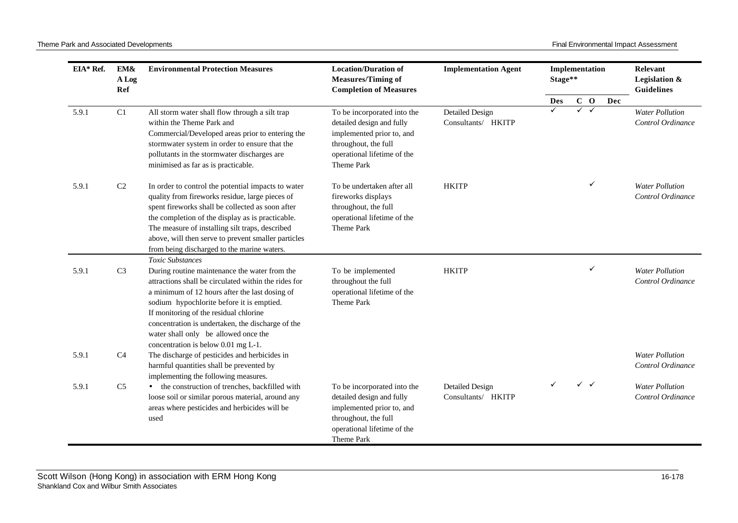| EIA* Ref. | EM&<br>A Log<br>Ref | <b>Environmental Protection Measures</b>                                                                                                                                                                                                                                                                                                                                                               | <b>Location/Duration of</b><br><b>Measures/Timing of</b><br><b>Completion of Measures</b>                                                                  | <b>Implementation Agent</b>                  | Implementation<br>Stage** |   |              |     | Relevant<br>Legislation &<br><b>Guidelines</b> |
|-----------|---------------------|--------------------------------------------------------------------------------------------------------------------------------------------------------------------------------------------------------------------------------------------------------------------------------------------------------------------------------------------------------------------------------------------------------|------------------------------------------------------------------------------------------------------------------------------------------------------------|----------------------------------------------|---------------------------|---|--------------|-----|------------------------------------------------|
|           |                     |                                                                                                                                                                                                                                                                                                                                                                                                        |                                                                                                                                                            |                                              | Des                       |   | $C$ O        | Dec |                                                |
| 5.9.1     | C1                  | All storm water shall flow through a silt trap<br>within the Theme Park and<br>Commercial/Developed areas prior to entering the<br>stormwater system in order to ensure that the<br>pollutants in the stormwater discharges are<br>minimised as far as is practicable.                                                                                                                                 | To be incorporated into the<br>detailed design and fully<br>implemented prior to, and<br>throughout, the full<br>operational lifetime of the<br>Theme Park | <b>Detailed Design</b><br>Consultants/ HKITP |                           | ✓ | $\checkmark$ |     | <b>Water Pollution</b><br>Control Ordinance    |
| 5.9.1     | C <sub>2</sub>      | In order to control the potential impacts to water<br>quality from fireworks residue, large pieces of<br>spent fireworks shall be collected as soon after<br>the completion of the display as is practicable.<br>The measure of installing silt traps, described<br>above, will then serve to prevent smaller particles<br>from being discharged to the marine waters.                                 | To be undertaken after all<br>fireworks displays<br>throughout, the full<br>operational lifetime of the<br>Theme Park                                      | <b>HKITP</b>                                 |                           |   |              |     | <b>Water Pollution</b><br>Control Ordinance    |
| 5.9.1     | C <sub>3</sub>      | Toxic Substances<br>During routine maintenance the water from the<br>attractions shall be circulated within the rides for<br>a minimum of 12 hours after the last dosing of<br>sodium hypochlorite before it is emptied.<br>If monitoring of the residual chlorine<br>concentration is undertaken, the discharge of the<br>water shall only be allowed once the<br>concentration is below 0.01 mg L-1. | To be implemented<br>throughout the full<br>operational lifetime of the<br>Theme Park                                                                      | <b>HKITP</b>                                 |                           |   | ✓            |     | <b>Water Pollution</b><br>Control Ordinance    |
| 5.9.1     | C4                  | The discharge of pesticides and herbicides in<br>harmful quantities shall be prevented by<br>implementing the following measures.                                                                                                                                                                                                                                                                      |                                                                                                                                                            |                                              |                           |   |              |     | <b>Water Pollution</b><br>Control Ordinance    |
| 5.9.1     | C <sub>5</sub>      | • the construction of trenches, backfilled with<br>loose soil or similar porous material, around any<br>areas where pesticides and herbicides will be<br>used                                                                                                                                                                                                                                          | To be incorporated into the<br>detailed design and fully<br>implemented prior to, and<br>throughout, the full<br>operational lifetime of the<br>Theme Park | <b>Detailed Design</b><br>Consultants/ HKITP |                           |   | $\checkmark$ |     | <b>Water Pollution</b><br>Control Ordinance    |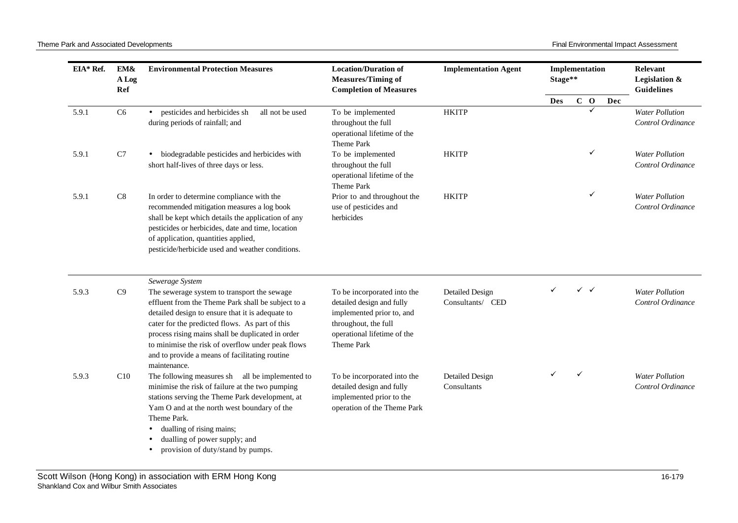Theme Park and Associated Developments **Final Environmental Impact Assessment** Final Environmental Impact Assessment

| EIA* Ref. | EM&<br>A Log<br>Ref | <b>Environmental Protection Measures</b>                                                                                                                                                                                                                                                                                                                                            | <b>Location/Duration of</b><br><b>Measures/Timing of</b><br><b>Completion of Measures</b>                                                                  | <b>Implementation Agent</b>                | Implementation<br>Stage** |   |       |     | Relevant<br>Legislation &<br><b>Guidelines</b> |
|-----------|---------------------|-------------------------------------------------------------------------------------------------------------------------------------------------------------------------------------------------------------------------------------------------------------------------------------------------------------------------------------------------------------------------------------|------------------------------------------------------------------------------------------------------------------------------------------------------------|--------------------------------------------|---------------------------|---|-------|-----|------------------------------------------------|
|           |                     |                                                                                                                                                                                                                                                                                                                                                                                     |                                                                                                                                                            |                                            | <b>Des</b>                |   | $C$ O | Dec |                                                |
| 5.9.1     | C <sub>6</sub>      | • pesticides and herbicides sh<br>all not be used<br>during periods of rainfall; and                                                                                                                                                                                                                                                                                                | To be implemented<br>throughout the full<br>operational lifetime of the<br>Theme Park                                                                      | <b>HKITP</b>                               |                           |   |       |     | <b>Water Pollution</b><br>Control Ordinance    |
| 5.9.1     | $\rm C7$            | biodegradable pesticides and herbicides with<br>$\bullet$<br>short half-lives of three days or less.                                                                                                                                                                                                                                                                                | To be implemented<br>throughout the full<br>operational lifetime of the<br>Theme Park                                                                      | <b>HKITP</b>                               |                           |   | ✓     |     | <b>Water Pollution</b><br>Control Ordinance    |
| 5.9.1     | C8                  | In order to determine compliance with the<br>recommended mitigation measures a log book<br>shall be kept which details the application of any<br>pesticides or herbicides, date and time, location<br>of application, quantities applied,<br>pesticide/herbicide used and weather conditions.                                                                                       | Prior to and throughout the<br>use of pesticides and<br>herbicides                                                                                         | <b>HKITP</b>                               |                           |   | ✓     |     | <b>Water Pollution</b><br>Control Ordinance    |
|           |                     | Sewerage System                                                                                                                                                                                                                                                                                                                                                                     |                                                                                                                                                            |                                            |                           |   |       |     |                                                |
| 5.9.3     | C9                  | The sewerage system to transport the sewage<br>effluent from the Theme Park shall be subject to a<br>detailed design to ensure that it is adequate to<br>cater for the predicted flows. As part of this<br>process rising mains shall be duplicated in order<br>to minimise the risk of overflow under peak flows<br>and to provide a means of facilitating routine<br>maintenance. | To be incorporated into the<br>detailed design and fully<br>implemented prior to, and<br>throughout, the full<br>operational lifetime of the<br>Theme Park | <b>Detailed Design</b><br>Consultants/ CED |                           |   | ✓✓    |     | <b>Water Pollution</b><br>Control Ordinance    |
| 5.9.3     | C10                 | The following measures sh all be implemented to<br>minimise the risk of failure at the two pumping<br>stations serving the Theme Park development, at<br>Yam O and at the north west boundary of the<br>Theme Park.<br>dualling of rising mains;<br>٠<br>dualling of power supply; and<br>٠<br>provision of duty/stand by pumps.<br>٠                                               | To be incorporated into the<br>detailed design and fully<br>implemented prior to the<br>operation of the Theme Park                                        | Detailed Design<br>Consultants             |                           | ✓ |       |     | <b>Water Pollution</b><br>Control Ordinance    |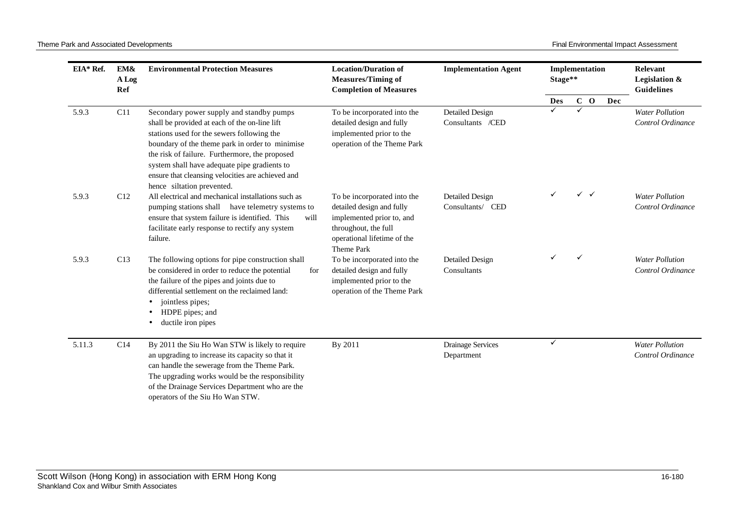| EIA* Ref. | EM&<br>A Log<br>Ref | <b>Environmental Protection Measures</b>                                                                                                                                                                                                                                                                                                                                        | <b>Location/Duration of</b><br><b>Measures/Timing of</b><br><b>Completion of Measures</b>                                                                  | <b>Implementation Agent</b>                | Implementation<br>Stage** |   |              |     | Relevant<br>Legislation &<br><b>Guidelines</b> |
|-----------|---------------------|---------------------------------------------------------------------------------------------------------------------------------------------------------------------------------------------------------------------------------------------------------------------------------------------------------------------------------------------------------------------------------|------------------------------------------------------------------------------------------------------------------------------------------------------------|--------------------------------------------|---------------------------|---|--------------|-----|------------------------------------------------|
|           |                     |                                                                                                                                                                                                                                                                                                                                                                                 |                                                                                                                                                            |                                            | Des                       |   | $C$ O        | Dec |                                                |
| 5.9.3     | C11                 | Secondary power supply and standby pumps<br>shall be provided at each of the on-line lift<br>stations used for the sewers following the<br>boundary of the theme park in order to minimise<br>the risk of failure. Furthermore, the proposed<br>system shall have adequate pipe gradients to<br>ensure that cleansing velocities are achieved and<br>hence siltation prevented. | To be incorporated into the<br>detailed design and fully<br>implemented prior to the<br>operation of the Theme Park                                        | <b>Detailed Design</b><br>Consultants /CED |                           | ✓ |              |     | <b>Water Pollution</b><br>Control Ordinance    |
| 5.9.3     | C12                 | All electrical and mechanical installations such as<br>pumping stations shall have telemetry systems to<br>ensure that system failure is identified. This<br>will<br>facilitate early response to rectify any system<br>failure.                                                                                                                                                | To be incorporated into the<br>detailed design and fully<br>implemented prior to, and<br>throughout, the full<br>operational lifetime of the<br>Theme Park | Detailed Design<br>Consultants/ CED        |                           |   | $\checkmark$ |     | <b>Water Pollution</b><br>Control Ordinance    |
| 5.9.3     | C13                 | The following options for pipe construction shall<br>be considered in order to reduce the potential<br>for<br>the failure of the pipes and joints due to<br>differential settlement on the reclaimed land:<br>jointless pipes;<br>HDPE pipes; and<br>ductile iron pipes                                                                                                         | To be incorporated into the<br>detailed design and fully<br>implemented prior to the<br>operation of the Theme Park                                        | <b>Detailed Design</b><br>Consultants      |                           | ✓ |              |     | <b>Water Pollution</b><br>Control Ordinance    |
| 5.11.3    | C14                 | By 2011 the Siu Ho Wan STW is likely to require<br>an upgrading to increase its capacity so that it<br>can handle the sewerage from the Theme Park.<br>The upgrading works would be the responsibility<br>of the Drainage Services Department who are the<br>operators of the Siu Ho Wan STW.                                                                                   | By 2011                                                                                                                                                    | Drainage Services<br>Department            | ✓                         |   |              |     | <b>Water Pollution</b><br>Control Ordinance    |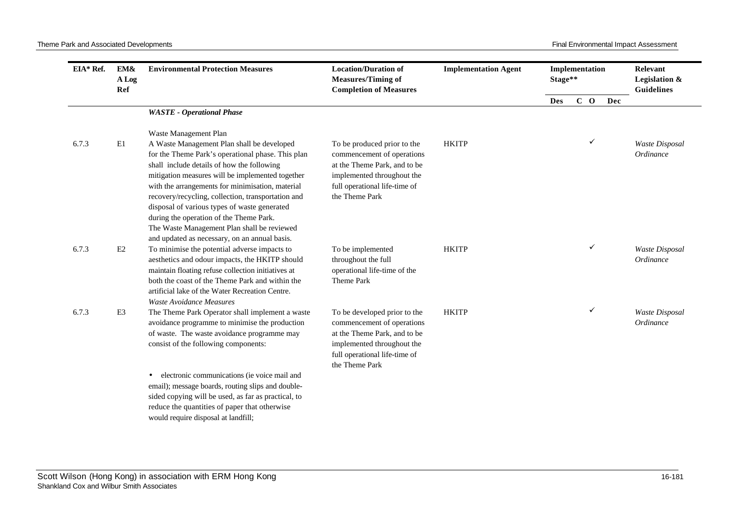| EIA* Ref. | EM&<br>A Log<br>Ref | <b>Environmental Protection Measures</b>                                                                                                                                                                                                                                                                                                                                                                                                                                                               | <b>Location/Duration of</b><br><b>Measures/Timing of</b><br><b>Completion of Measures</b>                                                                                   | <b>Implementation Agent</b> | Implementation<br>Stage** |       |     | Relevant<br>Legislation &<br><b>Guidelines</b> |
|-----------|---------------------|--------------------------------------------------------------------------------------------------------------------------------------------------------------------------------------------------------------------------------------------------------------------------------------------------------------------------------------------------------------------------------------------------------------------------------------------------------------------------------------------------------|-----------------------------------------------------------------------------------------------------------------------------------------------------------------------------|-----------------------------|---------------------------|-------|-----|------------------------------------------------|
|           |                     |                                                                                                                                                                                                                                                                                                                                                                                                                                                                                                        |                                                                                                                                                                             |                             | <b>Des</b>                | $C$ O | Dec |                                                |
|           |                     | <b>WASTE</b> - Operational Phase                                                                                                                                                                                                                                                                                                                                                                                                                                                                       |                                                                                                                                                                             |                             |                           |       |     |                                                |
|           |                     | Waste Management Plan                                                                                                                                                                                                                                                                                                                                                                                                                                                                                  |                                                                                                                                                                             |                             |                           |       |     |                                                |
| 6.7.3     | E1                  | A Waste Management Plan shall be developed<br>for the Theme Park's operational phase. This plan<br>shall include details of how the following<br>mitigation measures will be implemented together<br>with the arrangements for minimisation, material<br>recovery/recycling, collection, transportation and<br>disposal of various types of waste generated<br>during the operation of the Theme Park.<br>The Waste Management Plan shall be reviewed<br>and updated as necessary, on an annual basis. | To be produced prior to the<br>commencement of operations<br>at the Theme Park, and to be<br>implemented throughout the<br>full operational life-time of<br>the Theme Park  | <b>HKITP</b>                |                           | ✓     |     | Waste Disposal<br>Ordinance                    |
| 6.7.3     | E2                  | To minimise the potential adverse impacts to<br>aesthetics and odour impacts, the HKITP should<br>maintain floating refuse collection initiatives at<br>both the coast of the Theme Park and within the<br>artificial lake of the Water Recreation Centre.<br>Waste Avoidance Measures                                                                                                                                                                                                                 | To be implemented<br>throughout the full<br>operational life-time of the<br>Theme Park                                                                                      | <b>HKITP</b>                |                           | ✓     |     | Waste Disposal<br>Ordinance                    |
| 6.7.3     | E <sub>3</sub>      | The Theme Park Operator shall implement a waste<br>avoidance programme to minimise the production<br>of waste. The waste avoidance programme may<br>consist of the following components:<br>electronic communications (ie voice mail and<br>email); message boards, routing slips and double-<br>sided copying will be used, as far as practical, to                                                                                                                                                   | To be developed prior to the<br>commencement of operations<br>at the Theme Park, and to be<br>implemented throughout the<br>full operational life-time of<br>the Theme Park | <b>HKITP</b>                |                           | ✓     |     | Waste Disposal<br>Ordinance                    |
|           |                     | reduce the quantities of paper that otherwise<br>would require disposal at landfill;                                                                                                                                                                                                                                                                                                                                                                                                                   |                                                                                                                                                                             |                             |                           |       |     |                                                |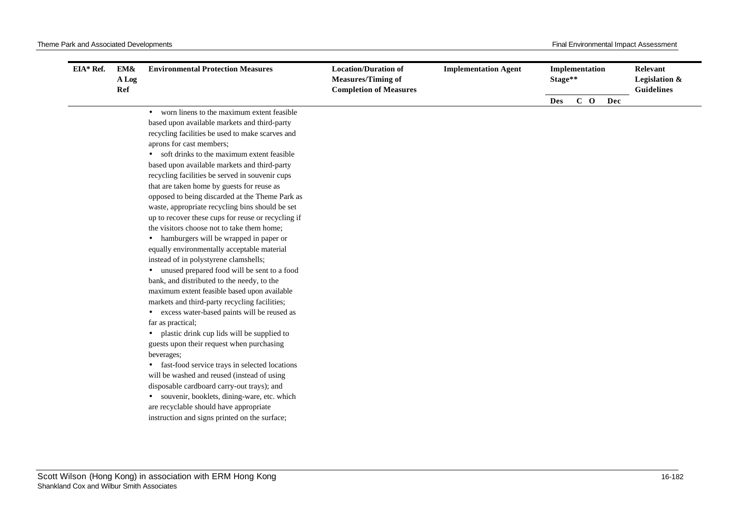| EIA* Ref. | EM&<br>A Log<br>Ref | <b>Environmental Protection Measures</b>           | <b>Location/Duration of</b><br><b>Measures/Timing of</b><br><b>Completion of Measures</b> | <b>Implementation Agent</b> |            | Implementation<br>Stage** |       | Relevant<br>Legislation &<br>Guidelines |  |
|-----------|---------------------|----------------------------------------------------|-------------------------------------------------------------------------------------------|-----------------------------|------------|---------------------------|-------|-----------------------------------------|--|
|           |                     |                                                    |                                                                                           |                             | <b>Des</b> |                           | $C$ O | Dec                                     |  |
|           |                     | • worn linens to the maximum extent feasible       |                                                                                           |                             |            |                           |       |                                         |  |
|           |                     | based upon available markets and third-party       |                                                                                           |                             |            |                           |       |                                         |  |
|           |                     | recycling facilities be used to make scarves and   |                                                                                           |                             |            |                           |       |                                         |  |
|           |                     | aprons for cast members;                           |                                                                                           |                             |            |                           |       |                                         |  |
|           |                     | soft drinks to the maximum extent feasible         |                                                                                           |                             |            |                           |       |                                         |  |
|           |                     | based upon available markets and third-party       |                                                                                           |                             |            |                           |       |                                         |  |
|           |                     | recycling facilities be served in souvenir cups    |                                                                                           |                             |            |                           |       |                                         |  |
|           |                     | that are taken home by guests for reuse as         |                                                                                           |                             |            |                           |       |                                         |  |
|           |                     | opposed to being discarded at the Theme Park as    |                                                                                           |                             |            |                           |       |                                         |  |
|           |                     | waste, appropriate recycling bins should be set    |                                                                                           |                             |            |                           |       |                                         |  |
|           |                     | up to recover these cups for reuse or recycling if |                                                                                           |                             |            |                           |       |                                         |  |
|           |                     | the visitors choose not to take them home;         |                                                                                           |                             |            |                           |       |                                         |  |
|           |                     | hamburgers will be wrapped in paper or             |                                                                                           |                             |            |                           |       |                                         |  |
|           |                     | equally environmentally acceptable material        |                                                                                           |                             |            |                           |       |                                         |  |
|           |                     | instead of in polystyrene clamshells;              |                                                                                           |                             |            |                           |       |                                         |  |
|           |                     | unused prepared food will be sent to a food        |                                                                                           |                             |            |                           |       |                                         |  |
|           |                     | bank, and distributed to the needy, to the         |                                                                                           |                             |            |                           |       |                                         |  |
|           |                     | maximum extent feasible based upon available       |                                                                                           |                             |            |                           |       |                                         |  |
|           |                     | markets and third-party recycling facilities;      |                                                                                           |                             |            |                           |       |                                         |  |
|           |                     | • excess water-based paints will be reused as      |                                                                                           |                             |            |                           |       |                                         |  |
|           |                     | far as practical;                                  |                                                                                           |                             |            |                           |       |                                         |  |
|           |                     | • plastic drink cup lids will be supplied to       |                                                                                           |                             |            |                           |       |                                         |  |
|           |                     | guests upon their request when purchasing          |                                                                                           |                             |            |                           |       |                                         |  |
|           |                     | beverages;                                         |                                                                                           |                             |            |                           |       |                                         |  |
|           |                     | fast-food service trays in selected locations      |                                                                                           |                             |            |                           |       |                                         |  |
|           |                     | will be washed and reused (instead of using        |                                                                                           |                             |            |                           |       |                                         |  |
|           |                     | disposable cardboard carry-out trays); and         |                                                                                           |                             |            |                           |       |                                         |  |
|           |                     | · souvenir, booklets, dining-ware, etc. which      |                                                                                           |                             |            |                           |       |                                         |  |
|           |                     | are recyclable should have appropriate             |                                                                                           |                             |            |                           |       |                                         |  |
|           |                     | instruction and signs printed on the surface;      |                                                                                           |                             |            |                           |       |                                         |  |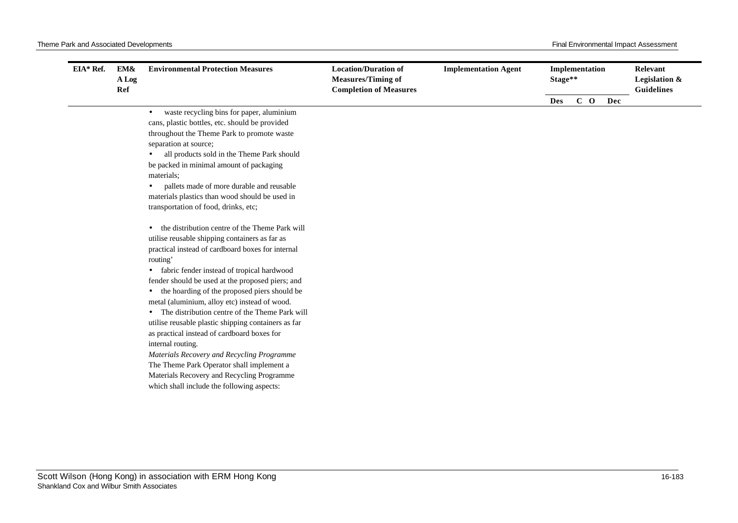| EIA* Ref. | EM&<br>A Log<br>Ref | <b>Environmental Protection Measures</b>                | <b>Location/Duration of</b><br><b>Measures/Timing of</b><br><b>Completion of Measures</b> | <b>Implementation Agent</b> | Implementation<br>Stage** |  |       | <b>Relevant</b><br>Legislation &<br><b>Guidelines</b> |  |
|-----------|---------------------|---------------------------------------------------------|-------------------------------------------------------------------------------------------|-----------------------------|---------------------------|--|-------|-------------------------------------------------------|--|
|           |                     |                                                         |                                                                                           |                             | <b>Des</b>                |  | $C$ O | Dec                                                   |  |
|           |                     | waste recycling bins for paper, aluminium<br>$\bullet$  |                                                                                           |                             |                           |  |       |                                                       |  |
|           |                     | cans, plastic bottles, etc. should be provided          |                                                                                           |                             |                           |  |       |                                                       |  |
|           |                     | throughout the Theme Park to promote waste              |                                                                                           |                             |                           |  |       |                                                       |  |
|           |                     | separation at source;                                   |                                                                                           |                             |                           |  |       |                                                       |  |
|           |                     | all products sold in the Theme Park should              |                                                                                           |                             |                           |  |       |                                                       |  |
|           |                     | be packed in minimal amount of packaging                |                                                                                           |                             |                           |  |       |                                                       |  |
|           |                     | materials:                                              |                                                                                           |                             |                           |  |       |                                                       |  |
|           |                     | pallets made of more durable and reusable<br>$\bullet$  |                                                                                           |                             |                           |  |       |                                                       |  |
|           |                     | materials plastics than wood should be used in          |                                                                                           |                             |                           |  |       |                                                       |  |
|           |                     | transportation of food, drinks, etc;                    |                                                                                           |                             |                           |  |       |                                                       |  |
|           |                     | the distribution centre of the Theme Park will          |                                                                                           |                             |                           |  |       |                                                       |  |
|           |                     | utilise reusable shipping containers as far as          |                                                                                           |                             |                           |  |       |                                                       |  |
|           |                     | practical instead of cardboard boxes for internal       |                                                                                           |                             |                           |  |       |                                                       |  |
|           |                     | routing'                                                |                                                                                           |                             |                           |  |       |                                                       |  |
|           |                     | fabric fender instead of tropical hardwood<br>$\bullet$ |                                                                                           |                             |                           |  |       |                                                       |  |
|           |                     | fender should be used at the proposed piers; and        |                                                                                           |                             |                           |  |       |                                                       |  |
|           |                     | the hoarding of the proposed piers should be            |                                                                                           |                             |                           |  |       |                                                       |  |
|           |                     | metal (aluminium, alloy etc) instead of wood.           |                                                                                           |                             |                           |  |       |                                                       |  |
|           |                     | The distribution centre of the Theme Park will          |                                                                                           |                             |                           |  |       |                                                       |  |
|           |                     | utilise reusable plastic shipping containers as far     |                                                                                           |                             |                           |  |       |                                                       |  |
|           |                     | as practical instead of cardboard boxes for             |                                                                                           |                             |                           |  |       |                                                       |  |
|           |                     | internal routing.                                       |                                                                                           |                             |                           |  |       |                                                       |  |
|           |                     | Materials Recovery and Recycling Programme              |                                                                                           |                             |                           |  |       |                                                       |  |
|           |                     | The Theme Park Operator shall implement a               |                                                                                           |                             |                           |  |       |                                                       |  |
|           |                     | Materials Recovery and Recycling Programme              |                                                                                           |                             |                           |  |       |                                                       |  |
|           |                     | which shall include the following aspects:              |                                                                                           |                             |                           |  |       |                                                       |  |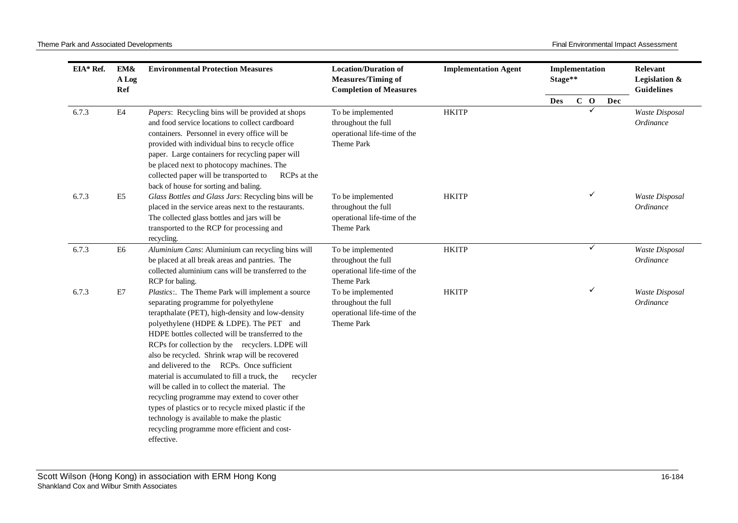| EIA* Ref. | EM&<br>A Log<br>Ref | <b>Environmental Protection Measures</b>                                                                                                                                                                                                                                                                                                                                                                                                                                                                                                                                                                                                                                                                                               | <b>Location/Duration of</b><br><b>Measures/Timing of</b><br><b>Completion of Measures</b> | <b>Implementation Agent</b> | Implementation<br>Stage** |  |              | Relevant<br>Legislation &<br><b>Guidelines</b> |                             |
|-----------|---------------------|----------------------------------------------------------------------------------------------------------------------------------------------------------------------------------------------------------------------------------------------------------------------------------------------------------------------------------------------------------------------------------------------------------------------------------------------------------------------------------------------------------------------------------------------------------------------------------------------------------------------------------------------------------------------------------------------------------------------------------------|-------------------------------------------------------------------------------------------|-----------------------------|---------------------------|--|--------------|------------------------------------------------|-----------------------------|
|           |                     |                                                                                                                                                                                                                                                                                                                                                                                                                                                                                                                                                                                                                                                                                                                                        |                                                                                           |                             | <b>Des</b>                |  | $C$ O        | Dec                                            |                             |
| 6.7.3     | $\mathbf{E}4$       | Papers: Recycling bins will be provided at shops<br>and food service locations to collect cardboard<br>containers. Personnel in every office will be<br>provided with individual bins to recycle office<br>paper. Large containers for recycling paper will<br>be placed next to photocopy machines. The<br>collected paper will be transported to<br>RCPs at the<br>back of house for sorting and baling.                                                                                                                                                                                                                                                                                                                             | To be implemented<br>throughout the full<br>operational life-time of the<br>Theme Park    | <b>HKITP</b>                |                           |  | $\checkmark$ |                                                | Waste Disposal<br>Ordinance |
| 6.7.3     | E <sub>5</sub>      | Glass Bottles and Glass Jars: Recycling bins will be<br>placed in the service areas next to the restaurants.<br>The collected glass bottles and jars will be<br>transported to the RCP for processing and<br>recycling.                                                                                                                                                                                                                                                                                                                                                                                                                                                                                                                | To be implemented<br>throughout the full<br>operational life-time of the<br>Theme Park    | <b>HKITP</b>                |                           |  |              |                                                | Waste Disposal<br>Ordinance |
| 6.7.3     | E <sub>6</sub>      | Aluminium Cans: Aluminium can recycling bins will<br>be placed at all break areas and pantries. The<br>collected aluminium cans will be transferred to the<br>RCP for baling.                                                                                                                                                                                                                                                                                                                                                                                                                                                                                                                                                          | To be implemented<br>throughout the full<br>operational life-time of the<br>Theme Park    | <b>HKITP</b>                |                           |  | $\checkmark$ |                                                | Waste Disposal<br>Ordinance |
| 6.7.3     | E7                  | Plastics:. The Theme Park will implement a source<br>separating programme for polyethylene<br>terapthalate (PET), high-density and low-density<br>polyethylene (HDPE & LDPE). The PET and<br>HDPE bottles collected will be transferred to the<br>RCPs for collection by the recyclers. LDPE will<br>also be recycled. Shrink wrap will be recovered<br>and delivered to the RCPs. Once sufficient<br>material is accumulated to fill a truck, the<br>recycler<br>will be called in to collect the material. The<br>recycling programme may extend to cover other<br>types of plastics or to recycle mixed plastic if the<br>technology is available to make the plastic<br>recycling programme more efficient and cost-<br>effective. | To be implemented<br>throughout the full<br>operational life-time of the<br>Theme Park    | <b>HKITP</b>                |                           |  | ✓            |                                                | Waste Disposal<br>Ordinance |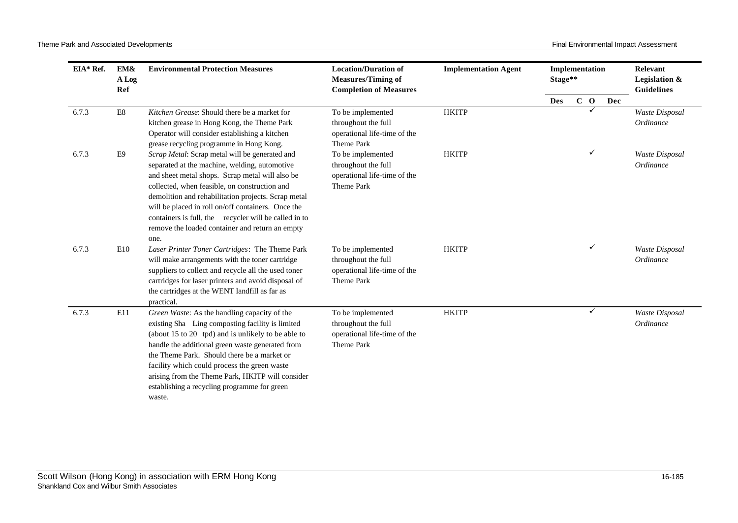| EIA* Ref. | EM&<br>A Log<br>Ref       | <b>Environmental Protection Measures</b>                                                                                                                                                                                                                                                                                                                                                                                             | <b>Location/Duration of</b><br><b>Measures/Timing of</b><br><b>Completion of Measures</b> | <b>Implementation Agent</b> | Implementation<br>Stage** |              |              |     | Relevant<br>Legislation &<br><b>Guidelines</b> |
|-----------|---------------------------|--------------------------------------------------------------------------------------------------------------------------------------------------------------------------------------------------------------------------------------------------------------------------------------------------------------------------------------------------------------------------------------------------------------------------------------|-------------------------------------------------------------------------------------------|-----------------------------|---------------------------|--------------|--------------|-----|------------------------------------------------|
|           |                           |                                                                                                                                                                                                                                                                                                                                                                                                                                      |                                                                                           |                             | <b>Des</b>                | $\mathbf{C}$ | $\mathbf{o}$ | Dec |                                                |
| 6.7.3     | $\mathop{\hbox{\rm E}} 8$ | Kitchen Grease: Should there be a market for<br>kitchen grease in Hong Kong, the Theme Park<br>Operator will consider establishing a kitchen<br>grease recycling programme in Hong Kong.                                                                                                                                                                                                                                             | To be implemented<br>throughout the full<br>operational life-time of the<br>Theme Park    | <b>HKITP</b>                |                           |              |              |     | Waste Disposal<br>Ordinance                    |
| 6.7.3     | E <sub>9</sub>            | Scrap Metal: Scrap metal will be generated and<br>separated at the machine, welding, automotive<br>and sheet metal shops. Scrap metal will also be<br>collected, when feasible, on construction and<br>demolition and rehabilitation projects. Scrap metal<br>will be placed in roll on/off containers. Once the<br>containers is full, the recycler will be called in to<br>remove the loaded container and return an empty<br>one. | To be implemented<br>throughout the full<br>operational life-time of the<br>Theme Park    | <b>HKITP</b>                |                           |              | ✓            |     | Waste Disposal<br>Ordinance                    |
| 6.7.3     | E10                       | Laser Printer Toner Cartridges: The Theme Park<br>will make arrangements with the toner cartridge<br>suppliers to collect and recycle all the used toner<br>cartridges for laser printers and avoid disposal of<br>the cartridges at the WENT landfill as far as<br>practical.                                                                                                                                                       | To be implemented<br>throughout the full<br>operational life-time of the<br>Theme Park    | <b>HKITP</b>                |                           |              | ✓            |     | Waste Disposal<br>Ordinance                    |
| 6.7.3     | E11                       | Green Waste: As the handling capacity of the<br>existing Sha Ling composting facility is limited<br>(about 15 to 20 tpd) and is unlikely to be able to<br>handle the additional green waste generated from<br>the Theme Park. Should there be a market or<br>facility which could process the green waste<br>arising from the Theme Park, HKITP will consider<br>establishing a recycling programme for green<br>waste.              | To be implemented<br>throughout the full<br>operational life-time of the<br>Theme Park    | <b>HKITP</b>                |                           |              | ✓            |     | Waste Disposal<br>Ordinance                    |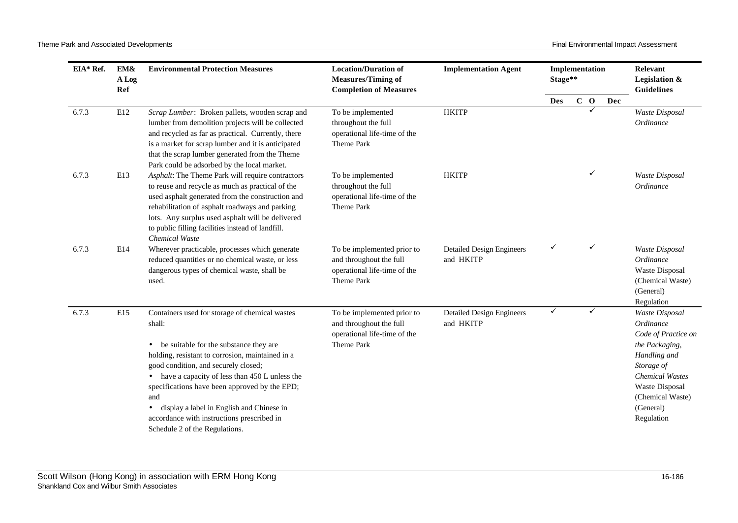| EIA* Ref. | EM&<br>A Log<br>Ref | <b>Environmental Protection Measures</b>                                                                                                                                                                                                                                                                                                                                                                                                              | <b>Location/Duration of</b><br><b>Measures/Timing of</b><br><b>Completion of Measures</b>           | <b>Implementation Agent</b>                   | Implementation<br>Stage** |             |              |     | Relevant<br>Legislation &<br><b>Guidelines</b>                                                                                                                                                |
|-----------|---------------------|-------------------------------------------------------------------------------------------------------------------------------------------------------------------------------------------------------------------------------------------------------------------------------------------------------------------------------------------------------------------------------------------------------------------------------------------------------|-----------------------------------------------------------------------------------------------------|-----------------------------------------------|---------------------------|-------------|--------------|-----|-----------------------------------------------------------------------------------------------------------------------------------------------------------------------------------------------|
|           |                     |                                                                                                                                                                                                                                                                                                                                                                                                                                                       |                                                                                                     |                                               | <b>Des</b>                | $\mathbf C$ | $\mathbf{o}$ | Dec |                                                                                                                                                                                               |
| 6.7.3     | E12                 | Scrap Lumber: Broken pallets, wooden scrap and<br>lumber from demolition projects will be collected<br>and recycled as far as practical. Currently, there<br>is a market for scrap lumber and it is anticipated<br>that the scrap lumber generated from the Theme<br>Park could be adsorbed by the local market.                                                                                                                                      | To be implemented<br>throughout the full<br>operational life-time of the<br>Theme Park              | <b>HKITP</b>                                  |                           |             |              |     | Waste Disposal<br>Ordinance                                                                                                                                                                   |
| 6.7.3     | E13                 | Asphalt: The Theme Park will require contractors<br>to reuse and recycle as much as practical of the<br>used asphalt generated from the construction and<br>rehabilitation of asphalt roadways and parking<br>lots. Any surplus used asphalt will be delivered<br>to public filling facilities instead of landfill.<br>Chemical Waste                                                                                                                 | To be implemented<br>throughout the full<br>operational life-time of the<br>Theme Park              | <b>HKITP</b>                                  |                           |             | ✓            |     | Waste Disposal<br>Ordinance                                                                                                                                                                   |
| 6.7.3     | E14                 | Wherever practicable, processes which generate<br>reduced quantities or no chemical waste, or less<br>dangerous types of chemical waste, shall be<br>used.                                                                                                                                                                                                                                                                                            | To be implemented prior to<br>and throughout the full<br>operational life-time of the<br>Theme Park | <b>Detailed Design Engineers</b><br>and HKITP | ✓                         |             | ✓            |     | Waste Disposal<br>Ordinance<br>Waste Disposal<br>(Chemical Waste)<br>(General)<br>Regulation                                                                                                  |
| 6.7.3     | E15                 | Containers used for storage of chemical wastes<br>shall:<br>• be suitable for the substance they are<br>holding, resistant to corrosion, maintained in a<br>good condition, and securely closed;<br>• have a capacity of less than 450 L unless the<br>specifications have been approved by the EPD;<br>and<br>display a label in English and Chinese in<br>$\bullet$<br>accordance with instructions prescribed in<br>Schedule 2 of the Regulations. | To be implemented prior to<br>and throughout the full<br>operational life-time of the<br>Theme Park | <b>Detailed Design Engineers</b><br>and HKITP | ✓                         |             | ✓            |     | Waste Disposal<br>Ordinance<br>Code of Practice on<br>the Packaging,<br>Handling and<br>Storage of<br><b>Chemical Wastes</b><br>Waste Disposal<br>(Chemical Waste)<br>(General)<br>Regulation |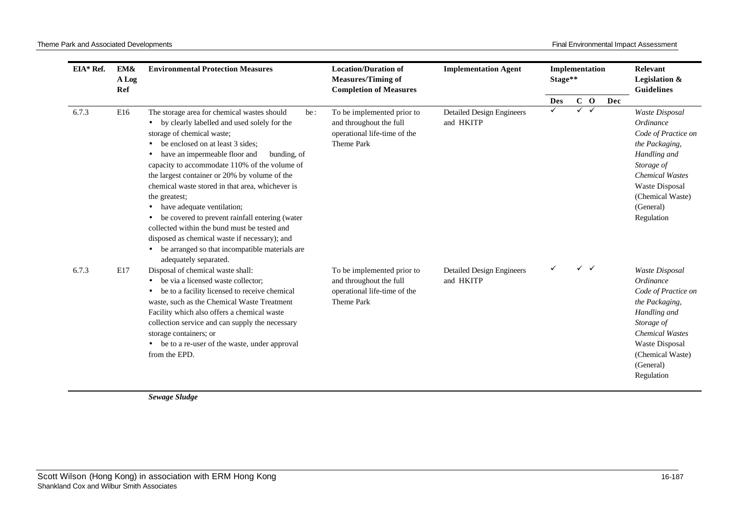| EIA* Ref. | EM&<br>A Log<br>Ref | <b>Environmental Protection Measures</b>                                                                                                                                                                                                                                                                                                                                            | <b>Location/Duration of</b><br><b>Measures/Timing of</b><br><b>Completion of Measures</b>           | <b>Implementation Agent</b>                   |                 | Implementation<br>Stage** |                       |     |                                                                                                                                                                                               | Relevant<br>Legislation &<br><b>Guidelines</b> |
|-----------|---------------------|-------------------------------------------------------------------------------------------------------------------------------------------------------------------------------------------------------------------------------------------------------------------------------------------------------------------------------------------------------------------------------------|-----------------------------------------------------------------------------------------------------|-----------------------------------------------|-----------------|---------------------------|-----------------------|-----|-----------------------------------------------------------------------------------------------------------------------------------------------------------------------------------------------|------------------------------------------------|
| 6.7.3     | E16                 | The storage area for chemical wastes should<br>be:<br>by clearly labelled and used solely for the<br>$\bullet$<br>storage of chemical waste;<br>be enclosed on at least 3 sides;<br>have an impermeable floor and<br>bunding, of<br>٠<br>capacity to accommodate 110% of the volume of<br>the largest container or 20% by volume of the                                             | To be implemented prior to<br>and throughout the full<br>operational life-time of the<br>Theme Park | <b>Detailed Design Engineers</b><br>and HKITP | <b>Des</b><br>✓ | ✓                         | $C$ O<br>$\checkmark$ | Dec | Waste Disposal<br>Ordinance<br>Code of Practice on<br>the Packaging,<br>Handling and<br>Storage of<br><b>Chemical Wastes</b>                                                                  |                                                |
|           |                     | chemical waste stored in that area, whichever is<br>the greatest;<br>have adequate ventilation;<br>$\bullet$<br>be covered to prevent rainfall entering (water<br>collected within the bund must be tested and<br>disposed as chemical waste if necessary); and<br>be arranged so that incompatible materials are<br>$\bullet$<br>adequately separated.                             |                                                                                                     |                                               |                 |                           |                       |     | Waste Disposal<br>(Chemical Waste)<br>(General)<br>Regulation                                                                                                                                 |                                                |
| 6.7.3     | E17                 | Disposal of chemical waste shall:<br>be via a licensed waste collector:<br>be to a facility licensed to receive chemical<br>$\bullet$<br>waste, such as the Chemical Waste Treatment<br>Facility which also offers a chemical waste<br>collection service and can supply the necessary<br>storage containers; or<br>• be to a re-user of the waste, under approval<br>from the EPD. | To be implemented prior to<br>and throughout the full<br>operational life-time of the<br>Theme Park | <b>Detailed Design Engineers</b><br>and HKITP |                 |                           | $\checkmark$          |     | Waste Disposal<br>Ordinance<br>Code of Practice on<br>the Packaging,<br>Handling and<br>Storage of<br><b>Chemical Wastes</b><br>Waste Disposal<br>(Chemical Waste)<br>(General)<br>Regulation |                                                |

*Sewage Sludge*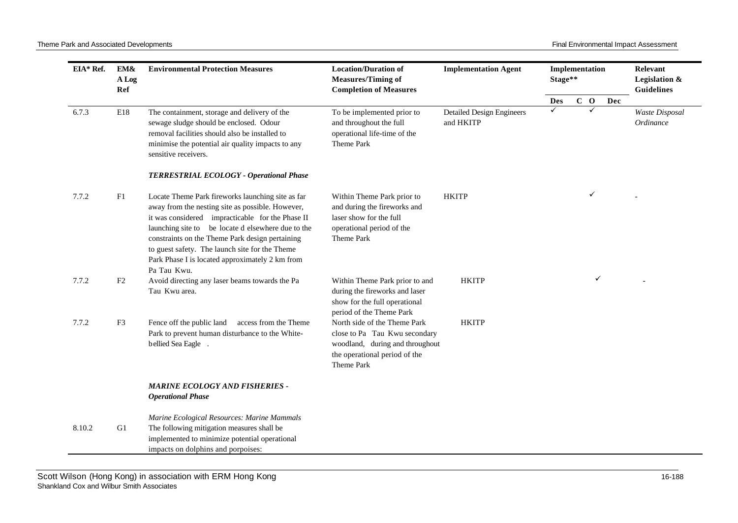| EIA* Ref. | EM&<br>A Log<br>Ref | <b>Environmental Protection Measures</b>                                                                                                                                                                                                                                                                                                                                               | <b>Location/Duration of</b><br><b>Measures/Timing of</b><br><b>Completion of Measures</b>                                                       | <b>Implementation Agent</b>                   | Implementation<br>Stage** |       |     | Relevant<br>Legislation &<br><b>Guidelines</b> |
|-----------|---------------------|----------------------------------------------------------------------------------------------------------------------------------------------------------------------------------------------------------------------------------------------------------------------------------------------------------------------------------------------------------------------------------------|-------------------------------------------------------------------------------------------------------------------------------------------------|-----------------------------------------------|---------------------------|-------|-----|------------------------------------------------|
|           |                     |                                                                                                                                                                                                                                                                                                                                                                                        |                                                                                                                                                 |                                               | Des                       | $C$ O | Dec |                                                |
| 6.7.3     | E18                 | The containment, storage and delivery of the<br>sewage sludge should be enclosed. Odour<br>removal facilities should also be installed to<br>minimise the potential air quality impacts to any<br>sensitive receivers.                                                                                                                                                                 | To be implemented prior to<br>and throughout the full<br>operational life-time of the<br>Theme Park                                             | <b>Detailed Design Engineers</b><br>and HKITP | ✓                         |       |     | Waste Disposal<br>Ordinance                    |
|           |                     | TERRESTRIAL ECOLOGY - Operational Phase                                                                                                                                                                                                                                                                                                                                                |                                                                                                                                                 |                                               |                           |       |     |                                                |
| 7.7.2     | F1                  | Locate Theme Park fireworks launching site as far<br>away from the nesting site as possible. However,<br>it was considered impracticable for the Phase II<br>launching site to be locate d elsewhere due to the<br>constraints on the Theme Park design pertaining<br>to guest safety. The launch site for the Theme<br>Park Phase I is located approximately 2 km from<br>Pa Tau Kwu. | Within Theme Park prior to<br>and during the fireworks and<br>laser show for the full<br>operational period of the<br>Theme Park                | <b>HKITP</b>                                  |                           |       |     |                                                |
| 7.7.2     | F2                  | Avoid directing any laser beams towards the Pa<br>Tau Kwu area.                                                                                                                                                                                                                                                                                                                        | Within Theme Park prior to and<br>during the fireworks and laser<br>show for the full operational<br>period of the Theme Park                   | <b>HKITP</b>                                  |                           | ✓     |     |                                                |
| 7.7.2     | F3                  | Fence off the public land access from the Theme<br>Park to prevent human disturbance to the White-<br>bellied Sea Eagle                                                                                                                                                                                                                                                                | North side of the Theme Park<br>close to Pa Tau Kwu secondary<br>woodland, during and throughout<br>the operational period of the<br>Theme Park | <b>HKITP</b>                                  |                           |       |     |                                                |
|           |                     | <b>MARINE ECOLOGY AND FISHERIES -</b><br><b>Operational Phase</b>                                                                                                                                                                                                                                                                                                                      |                                                                                                                                                 |                                               |                           |       |     |                                                |
| 8.10.2    | G1                  | Marine Ecological Resources: Marine Mammals<br>The following mitigation measures shall be<br>implemented to minimize potential operational<br>impacts on dolphins and porpoises:                                                                                                                                                                                                       |                                                                                                                                                 |                                               |                           |       |     |                                                |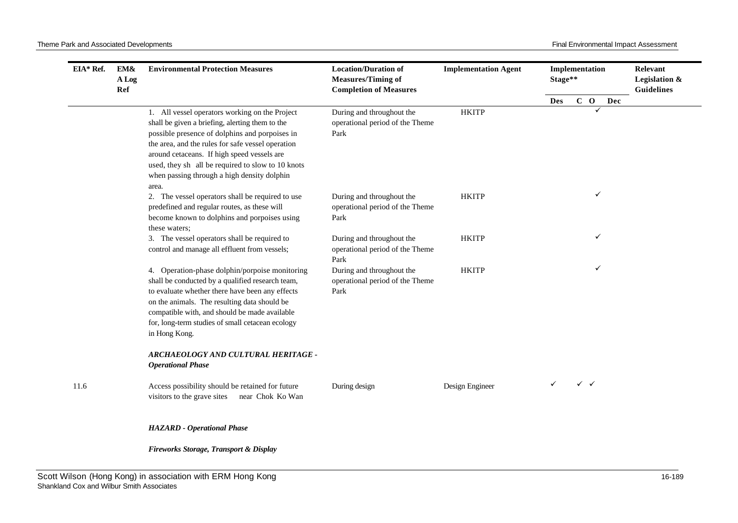| EIA* Ref. | EM&<br>A Log<br>Ref | <b>Environmental Protection Measures</b>                                                                                                                                                                                                                                                                                                                             | <b>Location/Duration of</b><br><b>Measures/Timing of</b><br><b>Completion of Measures</b> | <b>Implementation Agent</b> |     | Implementation<br>Stage** |              |     | Relevant<br>Legislation &<br><b>Guidelines</b> |
|-----------|---------------------|----------------------------------------------------------------------------------------------------------------------------------------------------------------------------------------------------------------------------------------------------------------------------------------------------------------------------------------------------------------------|-------------------------------------------------------------------------------------------|-----------------------------|-----|---------------------------|--------------|-----|------------------------------------------------|
|           |                     |                                                                                                                                                                                                                                                                                                                                                                      |                                                                                           |                             | Des |                           | $C$ O        | Dec |                                                |
|           |                     | 1. All vessel operators working on the Project<br>shall be given a briefing, alerting them to the<br>possible presence of dolphins and porpoises in<br>the area, and the rules for safe vessel operation<br>around cetaceans. If high speed vessels are<br>used, they sh all be required to slow to 10 knots<br>when passing through a high density dolphin<br>area. | During and throughout the<br>operational period of the Theme<br>Park                      | <b>HKITP</b>                |     | ✓                         |              |     |                                                |
|           |                     | 2. The vessel operators shall be required to use<br>predefined and regular routes, as these will<br>become known to dolphins and porpoises using<br>these waters;                                                                                                                                                                                                    | During and throughout the<br>operational period of the Theme<br>Park                      | <b>HKITP</b>                |     |                           |              |     |                                                |
|           |                     | 3. The vessel operators shall be required to<br>control and manage all effluent from vessels;                                                                                                                                                                                                                                                                        | During and throughout the<br>operational period of the Theme<br>Park                      | <b>HKITP</b>                |     |                           | ✓            |     |                                                |
|           |                     | 4. Operation-phase dolphin/porpoise monitoring<br>shall be conducted by a qualified research team,<br>to evaluate whether there have been any effects<br>on the animals. The resulting data should be<br>compatible with, and should be made available<br>for, long-term studies of small cetacean ecology<br>in Hong Kong.                                          | During and throughout the<br>operational period of the Theme<br>Park                      | <b>HKITP</b>                |     |                           | ✓            |     |                                                |
|           |                     | ARCHAEOLOGY AND CULTURAL HERITAGE -<br><b>Operational Phase</b>                                                                                                                                                                                                                                                                                                      |                                                                                           |                             |     |                           |              |     |                                                |
| 11.6      |                     | Access possibility should be retained for future<br>visitors to the grave sites<br>near Chok Ko Wan                                                                                                                                                                                                                                                                  | During design                                                                             | Design Engineer             | ✓   |                           | $\checkmark$ |     |                                                |
|           |                     | <b>HAZARD</b> - Operational Phase                                                                                                                                                                                                                                                                                                                                    |                                                                                           |                             |     |                           |              |     |                                                |
|           |                     | Fireworks Storage, Transport & Display                                                                                                                                                                                                                                                                                                                               |                                                                                           |                             |     |                           |              |     |                                                |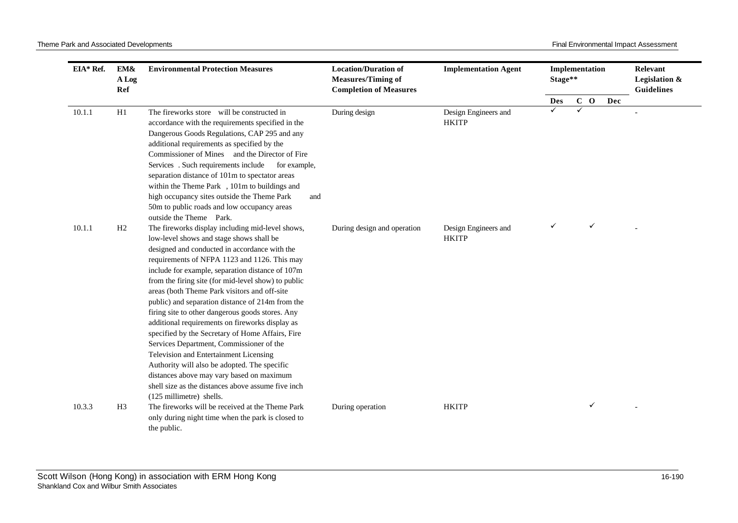| EIA* Ref. | EM&<br>A Log<br>Ref | <b>Environmental Protection Measures</b>                                                                                                                                                                                                                                                                                                                                                                                                                                                                                                                                                                                                                                                                                                                                                                                                     | <b>Location/Duration of</b><br><b>Measures/Timing of</b><br><b>Completion of Measures</b> | <b>Implementation Agent</b>          | Implementation<br>Stage** |              |       |     | Relevant<br>Legislation &<br><b>Guidelines</b> |
|-----------|---------------------|----------------------------------------------------------------------------------------------------------------------------------------------------------------------------------------------------------------------------------------------------------------------------------------------------------------------------------------------------------------------------------------------------------------------------------------------------------------------------------------------------------------------------------------------------------------------------------------------------------------------------------------------------------------------------------------------------------------------------------------------------------------------------------------------------------------------------------------------|-------------------------------------------------------------------------------------------|--------------------------------------|---------------------------|--------------|-------|-----|------------------------------------------------|
|           |                     |                                                                                                                                                                                                                                                                                                                                                                                                                                                                                                                                                                                                                                                                                                                                                                                                                                              |                                                                                           |                                      | Des                       |              | $C$ O | Dec |                                                |
| 10.1.1    | H1                  | The fireworks store will be constructed in<br>accordance with the requirements specified in the<br>Dangerous Goods Regulations, CAP 295 and any<br>additional requirements as specified by the<br>Commissioner of Mines and the Director of Fire<br>Services. Such requirements include<br>for example,<br>separation distance of 101m to spectator areas<br>within the Theme Park , 101m to buildings and<br>high occupancy sites outside the Theme Park<br>and<br>50m to public roads and low occupancy areas<br>outside the Theme Park.                                                                                                                                                                                                                                                                                                   | During design                                                                             | Design Engineers and<br><b>HKITP</b> | ✓                         | $\checkmark$ |       |     |                                                |
| 10.1.1    | H2                  | The fireworks display including mid-level shows,<br>low-level shows and stage shows shall be<br>designed and conducted in accordance with the<br>requirements of NFPA 1123 and 1126. This may<br>include for example, separation distance of 107m<br>from the firing site (for mid-level show) to public<br>areas (both Theme Park visitors and off-site<br>public) and separation distance of 214m from the<br>firing site to other dangerous goods stores. Any<br>additional requirements on fireworks display as<br>specified by the Secretary of Home Affairs, Fire<br>Services Department, Commissioner of the<br>Television and Entertainment Licensing<br>Authority will also be adopted. The specific<br>distances above may vary based on maximum<br>shell size as the distances above assume five inch<br>(125 millimetre) shells. | During design and operation                                                               | Design Engineers and<br><b>HKITP</b> | ✓                         |              | ✓     |     |                                                |
| 10.3.3    | H <sub>3</sub>      | The fireworks will be received at the Theme Park<br>only during night time when the park is closed to<br>the public.                                                                                                                                                                                                                                                                                                                                                                                                                                                                                                                                                                                                                                                                                                                         | During operation                                                                          | <b>HKITP</b>                         |                           |              | ✓     |     |                                                |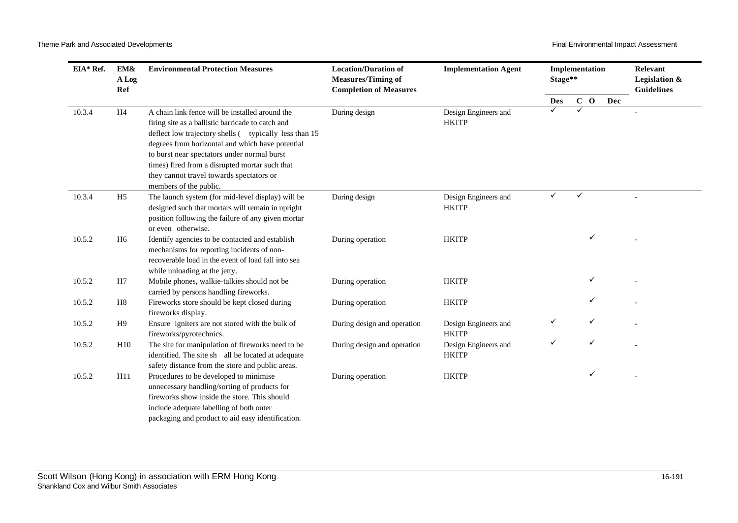| EIA* Ref. | EM&<br>A Log<br>Ref | <b>Environmental Protection Measures</b>                                                                                                                                                                                                                                                                            | <b>Location/Duration of</b><br><b>Measures/Timing of</b><br><b>Completion of Measures</b> | <b>Implementation Agent</b>          | Implementation<br>Stage** |   |       |     | Relevant<br>Legislation &<br><b>Guidelines</b> |
|-----------|---------------------|---------------------------------------------------------------------------------------------------------------------------------------------------------------------------------------------------------------------------------------------------------------------------------------------------------------------|-------------------------------------------------------------------------------------------|--------------------------------------|---------------------------|---|-------|-----|------------------------------------------------|
|           |                     |                                                                                                                                                                                                                                                                                                                     |                                                                                           |                                      | <b>Des</b>                |   | $C$ O | Dec |                                                |
| 10.3.4    | H4                  | A chain link fence will be installed around the<br>firing site as a ballistic barricade to catch and<br>deflect low trajectory shells ( typically less than 15<br>degrees from horizontal and which have potential<br>to burst near spectators under normal burst<br>times) fired from a disrupted mortar such that | During design                                                                             | Design Engineers and<br><b>HKITP</b> | ✓                         | ✓ |       |     |                                                |
|           |                     | they cannot travel towards spectators or<br>members of the public.                                                                                                                                                                                                                                                  |                                                                                           |                                      |                           |   |       |     |                                                |
| 10.3.4    | H <sub>5</sub>      | The launch system (for mid-level display) will be<br>designed such that mortars will remain in upright<br>position following the failure of any given mortar<br>or even otherwise.                                                                                                                                  | During design                                                                             | Design Engineers and<br><b>HKITP</b> | ✓                         | ✓ |       |     |                                                |
| 10.5.2    | H <sub>6</sub>      | Identify agencies to be contacted and establish<br>mechanisms for reporting incidents of non-<br>recoverable load in the event of load fall into sea<br>while unloading at the jetty.                                                                                                                               | During operation                                                                          | <b>HKITP</b>                         |                           |   | ✓     |     |                                                |
| 10.5.2    | H7                  | Mobile phones, walkie-talkies should not be<br>carried by persons handling fireworks.                                                                                                                                                                                                                               | During operation                                                                          | <b>HKITP</b>                         |                           |   | ✓     |     |                                                |
| 10.5.2    | H8                  | Fireworks store should be kept closed during<br>fireworks display.                                                                                                                                                                                                                                                  | During operation                                                                          | <b>HKITP</b>                         |                           |   | ✓     |     |                                                |
| 10.5.2    | H9                  | Ensure igniters are not stored with the bulk of<br>fireworks/pyrotechnics.                                                                                                                                                                                                                                          | During design and operation                                                               | Design Engineers and<br><b>HKITP</b> |                           |   |       |     |                                                |
| 10.5.2    | H10                 | The site for manipulation of fireworks need to be<br>identified. The site sh all be located at adequate<br>safety distance from the store and public areas.                                                                                                                                                         | During design and operation                                                               | Design Engineers and<br><b>HKITP</b> | ✓                         |   | ✓     |     |                                                |
| 10.5.2    | H11                 | Procedures to be developed to minimise<br>unnecessary handling/sorting of products for<br>fireworks show inside the store. This should<br>include adequate labelling of both outer<br>packaging and product to aid easy identification.                                                                             | During operation                                                                          | <b>HKITP</b>                         |                           |   | ✓     |     |                                                |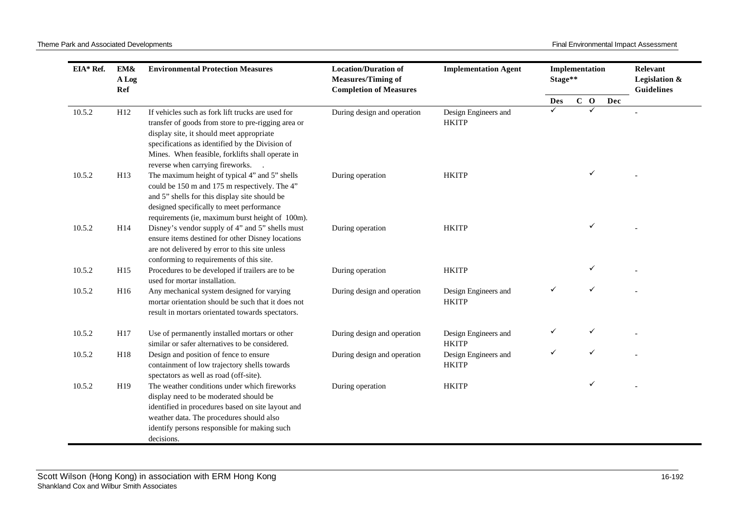| EIA* Ref. | EM&<br>A Log<br>Ref | <b>Environmental Protection Measures</b>                                                                                                                                                                                                                                                        | <b>Location/Duration of</b><br><b>Measures/Timing of</b><br><b>Completion of Measures</b> | <b>Implementation Agent</b>          | Implementation<br>Stage** |       |     | Relevant<br>Legislation &<br><b>Guidelines</b> |
|-----------|---------------------|-------------------------------------------------------------------------------------------------------------------------------------------------------------------------------------------------------------------------------------------------------------------------------------------------|-------------------------------------------------------------------------------------------|--------------------------------------|---------------------------|-------|-----|------------------------------------------------|
|           |                     |                                                                                                                                                                                                                                                                                                 |                                                                                           |                                      | <b>Des</b>                | $C$ O | Dec |                                                |
| 10.5.2    | H <sub>12</sub>     | If vehicles such as fork lift trucks are used for<br>transfer of goods from store to pre-rigging area or<br>display site, it should meet appropriate<br>specifications as identified by the Division of<br>Mines. When feasible, forklifts shall operate in<br>reverse when carrying fireworks. | During design and operation                                                               | Design Engineers and<br><b>HKITP</b> |                           |       |     |                                                |
| 10.5.2    | H13                 | The maximum height of typical 4" and 5" shells<br>could be 150 m and 175 m respectively. The 4"<br>and 5" shells for this display site should be<br>designed specifically to meet performance<br>requirements (ie, maximum burst height of 100m).                                               | During operation                                                                          | <b>HKITP</b>                         |                           |       |     |                                                |
| 10.5.2    | H14                 | Disney's vendor supply of 4" and 5" shells must<br>ensure items destined for other Disney locations<br>are not delivered by error to this site unless<br>conforming to requirements of this site.                                                                                               | During operation                                                                          | <b>HKITP</b>                         |                           | ✓     |     |                                                |
| 10.5.2    | H <sub>15</sub>     | Procedures to be developed if trailers are to be<br>used for mortar installation.                                                                                                                                                                                                               | During operation                                                                          | <b>HKITP</b>                         |                           |       |     |                                                |
| 10.5.2    | H16                 | Any mechanical system designed for varying<br>mortar orientation should be such that it does not<br>result in mortars orientated towards spectators.                                                                                                                                            | During design and operation                                                               | Design Engineers and<br><b>HKITP</b> | ✓                         |       |     |                                                |
| 10.5.2    | H17                 | Use of permanently installed mortars or other<br>similar or safer alternatives to be considered.                                                                                                                                                                                                | During design and operation                                                               | Design Engineers and<br><b>HKITP</b> |                           | ✓     |     |                                                |
| 10.5.2    | H18                 | Design and position of fence to ensure<br>containment of low trajectory shells towards<br>spectators as well as road (off-site).                                                                                                                                                                | During design and operation                                                               | Design Engineers and<br><b>HKITP</b> | ✓                         |       |     |                                                |
| 10.5.2    | H19                 | The weather conditions under which fireworks<br>display need to be moderated should be<br>identified in procedures based on site layout and<br>weather data. The procedures should also<br>identify persons responsible for making such<br>decisions.                                           | During operation                                                                          | <b>HKITP</b>                         |                           |       |     |                                                |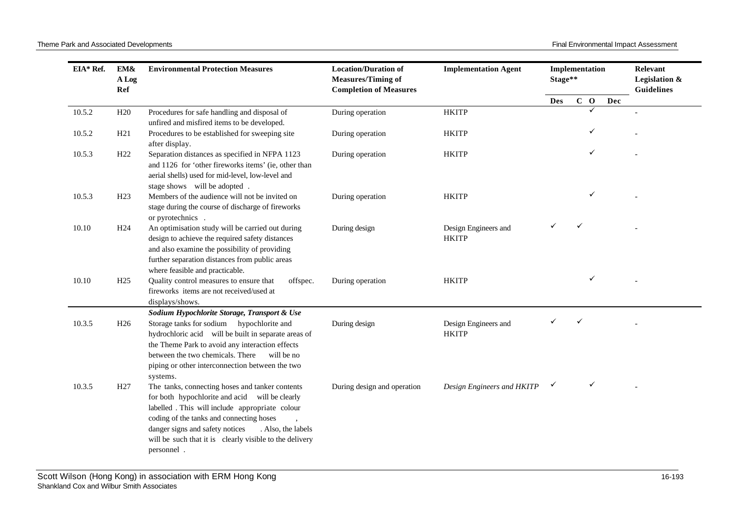Theme Park and Associated Developments **Final Environmental Impact Assessment** Final Environmental Impact Assessment

| EIA* Ref. | EM&<br>A Log<br>Ref | <b>Environmental Protection Measures</b>                                                                                                                                                                                                                                                                                           | <b>Location/Duration of</b><br><b>Measures/Timing of</b><br><b>Completion of Measures</b> | <b>Implementation Agent</b>          | Implementation<br>Stage** |  |       |     | Relevant<br>Legislation &<br><b>Guidelines</b> |
|-----------|---------------------|------------------------------------------------------------------------------------------------------------------------------------------------------------------------------------------------------------------------------------------------------------------------------------------------------------------------------------|-------------------------------------------------------------------------------------------|--------------------------------------|---------------------------|--|-------|-----|------------------------------------------------|
|           |                     |                                                                                                                                                                                                                                                                                                                                    |                                                                                           |                                      | Des                       |  | $C$ O | Dec |                                                |
| 10.5.2    | H <sub>20</sub>     | Procedures for safe handling and disposal of<br>unfired and misfired items to be developed.                                                                                                                                                                                                                                        | During operation                                                                          | <b>HKITP</b>                         |                           |  |       |     |                                                |
| 10.5.2    | H21                 | Procedures to be established for sweeping site<br>after display.                                                                                                                                                                                                                                                                   | During operation                                                                          | <b>HKITP</b>                         |                           |  |       |     |                                                |
| 10.5.3    | H <sub>22</sub>     | Separation distances as specified in NFPA 1123<br>and 1126 for 'other fireworks items' (ie, other than<br>aerial shells) used for mid-level, low-level and<br>stage shows will be adopted.                                                                                                                                         | During operation                                                                          | <b>HKITP</b>                         |                           |  |       |     |                                                |
| 10.5.3    | H <sub>23</sub>     | Members of the audience will not be invited on<br>stage during the course of discharge of fireworks<br>or pyrotechnics.                                                                                                                                                                                                            | During operation                                                                          | <b>HKITP</b>                         |                           |  |       |     |                                                |
| 10.10     | H <sub>24</sub>     | An optimisation study will be carried out during<br>design to achieve the required safety distances<br>and also examine the possibility of providing<br>further separation distances from public areas<br>where feasible and practicable.                                                                                          | During design                                                                             | Design Engineers and<br><b>HKITP</b> |                           |  |       |     |                                                |
| 10.10     | H <sub>25</sub>     | Quality control measures to ensure that<br>offspec.<br>fireworks items are not received/used at<br>displays/shows.<br>Sodium Hypochlorite Storage, Transport & Use                                                                                                                                                                 | During operation                                                                          | <b>HKITP</b>                         |                           |  | ✓     |     |                                                |
| 10.3.5    | H <sub>26</sub>     | Storage tanks for sodium hypochlorite and<br>hydrochloric acid will be built in separate areas of<br>the Theme Park to avoid any interaction effects<br>between the two chemicals. There<br>will be no<br>piping or other interconnection between the two<br>systems.                                                              | During design                                                                             | Design Engineers and<br><b>HKITP</b> |                           |  |       |     |                                                |
| 10.3.5    | H <sub>27</sub>     | The tanks, connecting hoses and tanker contents<br>for both hypochlorite and acid will be clearly<br>labelled . This will include appropriate colour<br>coding of the tanks and connecting hoses<br>danger signs and safety notices<br>. Also, the labels<br>will be such that it is clearly visible to the delivery<br>personnel. | During design and operation                                                               | Design Engineers and HKITP           | ✓                         |  | ✓     |     |                                                |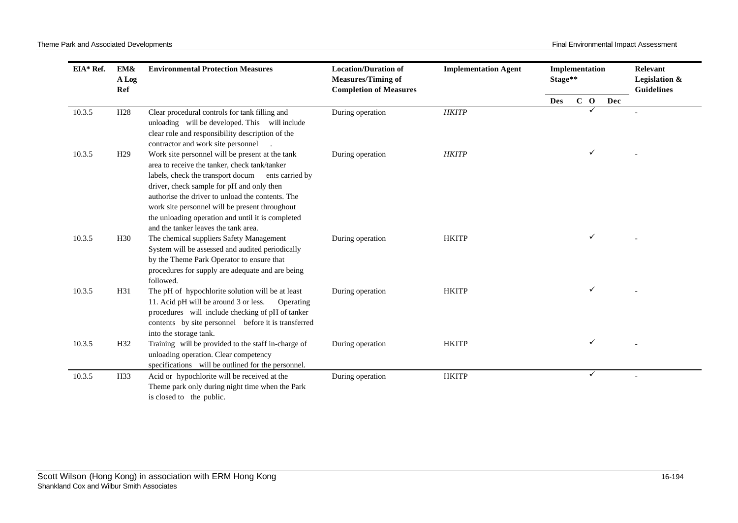| EIA* Ref. | EM&<br>A Log<br>Ref | <b>Environmental Protection Measures</b>                                                                                                                                                                                                                                                                                                                                                                 | <b>Location/Duration of</b><br><b>Measures/Timing of</b><br><b>Completion of Measures</b> | <b>Implementation Agent</b> | Implementation<br>Stage** |  |       | Relevant<br>Legislation &<br><b>Guidelines</b> |  |
|-----------|---------------------|----------------------------------------------------------------------------------------------------------------------------------------------------------------------------------------------------------------------------------------------------------------------------------------------------------------------------------------------------------------------------------------------------------|-------------------------------------------------------------------------------------------|-----------------------------|---------------------------|--|-------|------------------------------------------------|--|
|           |                     |                                                                                                                                                                                                                                                                                                                                                                                                          |                                                                                           |                             | <b>Des</b>                |  | $C$ O | Dec                                            |  |
| 10.3.5    | H <sub>28</sub>     | Clear procedural controls for tank filling and<br>unloading will be developed. This will include<br>clear role and responsibility description of the<br>contractor and work site personnel                                                                                                                                                                                                               | During operation                                                                          | <b>HKITP</b>                |                           |  | ✓     |                                                |  |
| 10.3.5    | H <sub>29</sub>     | Work site personnel will be present at the tank<br>area to receive the tanker, check tank/tanker<br>labels, check the transport docum<br>ents carried by<br>driver, check sample for pH and only then<br>authorise the driver to unload the contents. The<br>work site personnel will be present throughout<br>the unloading operation and until it is completed<br>and the tanker leaves the tank area. | During operation                                                                          | <b>HKITP</b>                |                           |  |       |                                                |  |
| 10.3.5    | H <sub>30</sub>     | The chemical suppliers Safety Management<br>System will be assessed and audited periodically<br>by the Theme Park Operator to ensure that<br>procedures for supply are adequate and are being<br>followed.                                                                                                                                                                                               | During operation                                                                          | <b>HKITP</b>                |                           |  | ✓     |                                                |  |
| 10.3.5    | H31                 | The pH of hypochlorite solution will be at least<br>11. Acid pH will be around 3 or less.<br>Operating<br>procedures will include checking of pH of tanker<br>contents by site personnel before it is transferred<br>into the storage tank.                                                                                                                                                              | During operation                                                                          | <b>HKITP</b>                |                           |  | ✓     |                                                |  |
| 10.3.5    | H <sub>32</sub>     | Training will be provided to the staff in-charge of<br>unloading operation. Clear competency<br>specifications will be outlined for the personnel.                                                                                                                                                                                                                                                       | During operation                                                                          | <b>HKITP</b>                |                           |  | ✓     |                                                |  |
| 10.3.5    | H33                 | Acid or hypochlorite will be received at the<br>Theme park only during night time when the Park<br>is closed to the public.                                                                                                                                                                                                                                                                              | During operation                                                                          | <b>HKITP</b>                |                           |  | ✓     |                                                |  |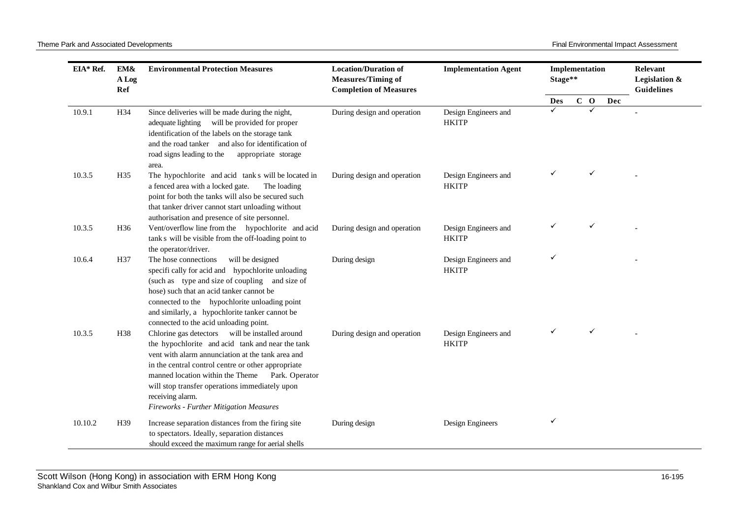| EIA* Ref. | EM&<br>A Log    | <b>Environmental Protection Measures</b><br>Ref                                                                                                                                                                                                                                                                                                                                       | <b>Location/Duration of</b><br><b>Measures/Timing of</b><br><b>Completion of Measures</b> | <b>Implementation Agent</b>          | Implementation<br>Stage** |       | Relevant<br>Legislation &<br><b>Guidelines</b> |  |
|-----------|-----------------|---------------------------------------------------------------------------------------------------------------------------------------------------------------------------------------------------------------------------------------------------------------------------------------------------------------------------------------------------------------------------------------|-------------------------------------------------------------------------------------------|--------------------------------------|---------------------------|-------|------------------------------------------------|--|
|           |                 |                                                                                                                                                                                                                                                                                                                                                                                       |                                                                                           |                                      | Des                       | $C$ O | Dec                                            |  |
| 10.9.1    | H34             | Since deliveries will be made during the night,<br>will be provided for proper<br>adequate lighting<br>identification of the labels on the storage tank<br>and the road tanker and also for identification of<br>road signs leading to the<br>appropriate storage<br>area.                                                                                                            | During design and operation                                                               | Design Engineers and<br><b>HKITP</b> |                           |       |                                                |  |
| 10.3.5    | H35             | The hypochlorite and acid tank s will be located in<br>a fenced area with a locked gate.<br>The loading<br>point for both the tanks will also be secured such<br>that tanker driver cannot start unloading without<br>authorisation and presence of site personnel.                                                                                                                   | During design and operation                                                               | Design Engineers and<br><b>HKITP</b> |                           |       |                                                |  |
| 10.3.5    | H <sub>36</sub> | Vent/overflow line from the hypochlorite and acid<br>tank s will be visible from the off-loading point to<br>the operator/driver.                                                                                                                                                                                                                                                     | During design and operation                                                               | Design Engineers and<br><b>HKITP</b> |                           |       |                                                |  |
| 10.6.4    | H37             | The hose connections<br>will be designed<br>specifi cally for acid and hypochlorite unloading<br>(such as type and size of coupling and size of<br>hose) such that an acid tanker cannot be<br>connected to the hypochlorite unloading point<br>and similarly, a hypochlorite tanker cannot be<br>connected to the acid unloading point.                                              | During design                                                                             | Design Engineers and<br><b>HKITP</b> | ✓                         |       |                                                |  |
| 10.3.5    | H38             | Chlorine gas detectors will be installed around<br>the hypochlorite and acid tank and near the tank<br>vent with alarm annunciation at the tank area and<br>in the central control centre or other appropriate<br>manned location within the Theme<br>Park. Operator<br>will stop transfer operations immediately upon<br>receiving alarm.<br>Fireworks - Further Mitigation Measures | During design and operation                                                               | Design Engineers and<br><b>HKITP</b> |                           | ✓     |                                                |  |
| 10.10.2   | H39             | Increase separation distances from the firing site<br>to spectators. Ideally, separation distances<br>should exceed the maximum range for aerial shells                                                                                                                                                                                                                               | During design                                                                             | Design Engineers                     | ✓                         |       |                                                |  |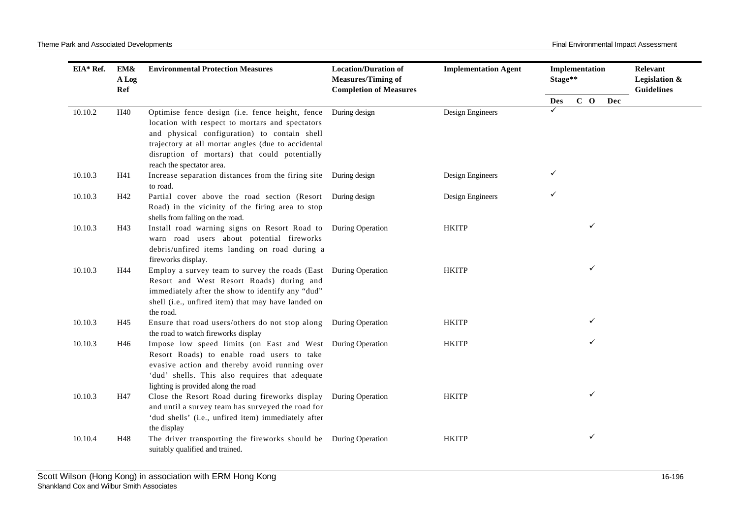| EIA* Ref. | EM&<br>A Log<br>Ref | <b>Environmental Protection Measures</b>                                                                                                                                                                                                                                               | <b>Location/Duration of</b><br><b>Measures/Timing of</b><br><b>Completion of Measures</b> | <b>Implementation Agent</b> | Implementation<br>Stage** |  | Relevant<br>Legislation &<br><b>Guidelines</b> |     |  |
|-----------|---------------------|----------------------------------------------------------------------------------------------------------------------------------------------------------------------------------------------------------------------------------------------------------------------------------------|-------------------------------------------------------------------------------------------|-----------------------------|---------------------------|--|------------------------------------------------|-----|--|
|           |                     |                                                                                                                                                                                                                                                                                        |                                                                                           |                             | <b>Des</b>                |  | $C$ O                                          | Dec |  |
| 10.10.2   | H40                 | Optimise fence design (i.e. fence height, fence<br>location with respect to mortars and spectators<br>and physical configuration) to contain shell<br>trajectory at all mortar angles (due to accidental<br>disruption of mortars) that could potentially<br>reach the spectator area. | During design                                                                             | Design Engineers            | ✓                         |  |                                                |     |  |
| 10.10.3   | H41                 | Increase separation distances from the firing site During design<br>to road.                                                                                                                                                                                                           |                                                                                           | Design Engineers            | ✓                         |  |                                                |     |  |
| 10.10.3   | H42                 | Partial cover above the road section (Resort<br>Road) in the vicinity of the firing area to stop<br>shells from falling on the road.                                                                                                                                                   | During design                                                                             | Design Engineers            | ✓                         |  |                                                |     |  |
| 10.10.3   | H43                 | Install road warning signs on Resort Road to<br>warn road users about potential fireworks<br>debris/unfired items landing on road during a<br>fireworks display.                                                                                                                       | During Operation                                                                          | <b>HKITP</b>                |                           |  | ✓                                              |     |  |
| 10.10.3   | H44                 | Employ a survey team to survey the roads (East<br>Resort and West Resort Roads) during and<br>immediately after the show to identify any "dud"<br>shell (i.e., unfired item) that may have landed on<br>the road.                                                                      | During Operation                                                                          | <b>HKITP</b>                |                           |  | ✓                                              |     |  |
| 10.10.3   | H45                 | Ensure that road users/others do not stop along During Operation<br>the road to watch fireworks display                                                                                                                                                                                |                                                                                           | <b>HKITP</b>                |                           |  | $\checkmark$                                   |     |  |
| 10.10.3   | H46                 | Impose low speed limits (on East and West During Operation<br>Resort Roads) to enable road users to take<br>evasive action and thereby avoid running over<br>'dud' shells. This also requires that adequate<br>lighting is provided along the road                                     |                                                                                           | <b>HKITP</b>                |                           |  | $\checkmark$                                   |     |  |
| 10.10.3   | H47                 | Close the Resort Road during fireworks display<br>and until a survey team has surveyed the road for<br>'dud shells' (i.e., unfired item) immediately after<br>the display                                                                                                              | During Operation                                                                          | <b>HKITP</b>                |                           |  | $\checkmark$                                   |     |  |
| 10.10.4   | H48                 | The driver transporting the fireworks should be During Operation<br>suitably qualified and trained.                                                                                                                                                                                    |                                                                                           | <b>HKITP</b>                |                           |  | ✓                                              |     |  |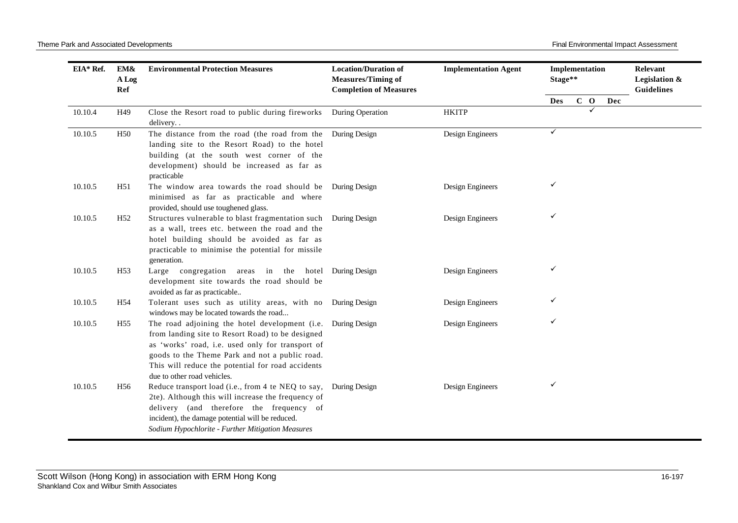Theme Park and Associated Developments **Final Environmental Impact Assessment** 

| EIA* Ref. | EM&<br>A Log<br>Ref | <b>Environmental Protection Measures</b>                                                                                                                                                                                                                                                                   | <b>Location/Duration of</b><br><b>Measures/Timing of</b><br><b>Completion of Measures</b> | <b>Implementation Agent</b> | Implementation<br>Stage** |       |              |     | Relevant<br>Legislation &<br><b>Guidelines</b> |
|-----------|---------------------|------------------------------------------------------------------------------------------------------------------------------------------------------------------------------------------------------------------------------------------------------------------------------------------------------------|-------------------------------------------------------------------------------------------|-----------------------------|---------------------------|-------|--------------|-----|------------------------------------------------|
|           |                     |                                                                                                                                                                                                                                                                                                            |                                                                                           |                             | Des                       | $C$ O |              | Dec |                                                |
| 10.10.4   | H <sub>49</sub>     | Close the Resort road to public during fireworks<br>delivery                                                                                                                                                                                                                                               | During Operation                                                                          | <b>HKITP</b>                |                           |       | $\checkmark$ |     |                                                |
| 10.10.5   | H <sub>50</sub>     | The distance from the road (the road from the<br>landing site to the Resort Road) to the hotel<br>building (at the south west corner of the<br>development) should be increased as far as<br>practicable                                                                                                   | During Design                                                                             | Design Engineers            | ✓                         |       |              |     |                                                |
| 10.10.5   | H51                 | The window area towards the road should be During Design<br>minimised as far as practicable and where<br>provided, should use toughened glass.                                                                                                                                                             |                                                                                           | Design Engineers            | ✓                         |       |              |     |                                                |
| 10.10.5   | H <sub>52</sub>     | Structures vulnerable to blast fragmentation such During Design<br>as a wall, trees etc. between the road and the<br>hotel building should be avoided as far as<br>practicable to minimise the potential for missile<br>generation.                                                                        |                                                                                           | Design Engineers            | ✓                         |       |              |     |                                                |
| 10.10.5   | H <sub>53</sub>     | Large congregation areas in the hotel<br>development site towards the road should be<br>avoided as far as practicable                                                                                                                                                                                      | During Design                                                                             | Design Engineers            | ✓                         |       |              |     |                                                |
| 10.10.5   | H <sub>54</sub>     | Tolerant uses such as utility areas, with no During Design<br>windows may be located towards the road                                                                                                                                                                                                      |                                                                                           | Design Engineers            | ✓                         |       |              |     |                                                |
| 10.10.5   | H <sub>55</sub>     | The road adjoining the hotel development (i.e. During Design<br>from landing site to Resort Road) to be designed<br>as 'works' road, i.e. used only for transport of<br>goods to the Theme Park and not a public road.<br>This will reduce the potential for road accidents<br>due to other road vehicles. |                                                                                           | Design Engineers            | ✓                         |       |              |     |                                                |
| 10.10.5   | H <sub>56</sub>     | Reduce transport load (i.e., from 4 te NEQ to say,<br>2te). Although this will increase the frequency of<br>delivery (and therefore the frequency of<br>incident), the damage potential will be reduced.<br>Sodium Hypochlorite - Further Mitigation Measures                                              | During Design                                                                             | Design Engineers            | ✓                         |       |              |     |                                                |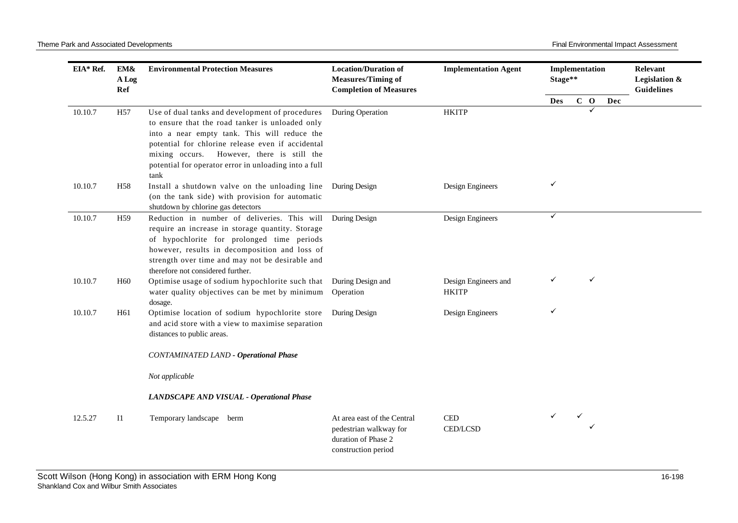| EIA* Ref.<br>10.10.7<br>10.10.7<br>10.10.7<br>10.10.7<br>10.10.7 | EM&<br>A Log<br>Ref | <b>Environmental Protection Measures</b>                                                                                                                                                                                                                                                                               | <b>Location/Duration of</b><br><b>Measures/Timing of</b><br><b>Completion of Measures</b>           | <b>Implementation Agent</b>                | Implementation<br>Stage** |   |              |     | Relevant<br>Legislation &<br><b>Guidelines</b> |
|------------------------------------------------------------------|---------------------|------------------------------------------------------------------------------------------------------------------------------------------------------------------------------------------------------------------------------------------------------------------------------------------------------------------------|-----------------------------------------------------------------------------------------------------|--------------------------------------------|---------------------------|---|--------------|-----|------------------------------------------------|
|                                                                  |                     |                                                                                                                                                                                                                                                                                                                        |                                                                                                     |                                            | <b>Des</b>                |   | $C$ O        | Dec |                                                |
|                                                                  | H <sub>57</sub>     | Use of dual tanks and development of procedures<br>to ensure that the road tanker is unloaded only<br>into a near empty tank. This will reduce the<br>potential for chlorine release even if accidental<br>mixing occurs. However, there is still the<br>potential for operator error in unloading into a full<br>tank | During Operation                                                                                    | <b>HKITP</b>                               |                           |   |              |     |                                                |
|                                                                  | H <sub>58</sub>     | Install a shutdown valve on the unloading line<br>(on the tank side) with provision for automatic<br>shutdown by chlorine gas detectors                                                                                                                                                                                | During Design                                                                                       | Design Engineers                           | ✓                         |   |              |     |                                                |
|                                                                  | H <sub>59</sub>     | Reduction in number of deliveries. This will<br>require an increase in storage quantity. Storage<br>of hypochlorite for prolonged time periods<br>however, results in decomposition and loss of<br>strength over time and may not be desirable and<br>therefore not considered further.                                | <b>During Design</b>                                                                                | Design Engineers                           | ✓                         |   |              |     |                                                |
|                                                                  | H <sub>60</sub>     | Optimise usage of sodium hypochlorite such that<br>water quality objectives can be met by minimum<br>dosage.                                                                                                                                                                                                           | During Design and<br>Operation                                                                      | Design Engineers and<br><b>HKITP</b>       | ✓                         |   | $\checkmark$ |     |                                                |
|                                                                  | H <sub>61</sub>     | Optimise location of sodium hypochlorite store<br>and acid store with a view to maximise separation<br>distances to public areas.                                                                                                                                                                                      | During Design                                                                                       | Design Engineers                           | ✓                         |   |              |     |                                                |
|                                                                  |                     | <b>CONTAMINATED LAND - Operational Phase</b>                                                                                                                                                                                                                                                                           |                                                                                                     |                                            |                           |   |              |     |                                                |
|                                                                  |                     | Not applicable                                                                                                                                                                                                                                                                                                         |                                                                                                     |                                            |                           |   |              |     |                                                |
|                                                                  |                     | LANDSCAPE AND VISUAL - Operational Phase                                                                                                                                                                                                                                                                               |                                                                                                     |                                            |                           |   |              |     |                                                |
| 12.5.27                                                          | $_{\rm II}$         | Temporary landscape berm                                                                                                                                                                                                                                                                                               | At area east of the Central<br>pedestrian walkway for<br>duration of Phase 2<br>construction period | $\mathop{\mathrm{CED}}$<br><b>CED/LCSD</b> | ✓                         | ✓ |              |     |                                                |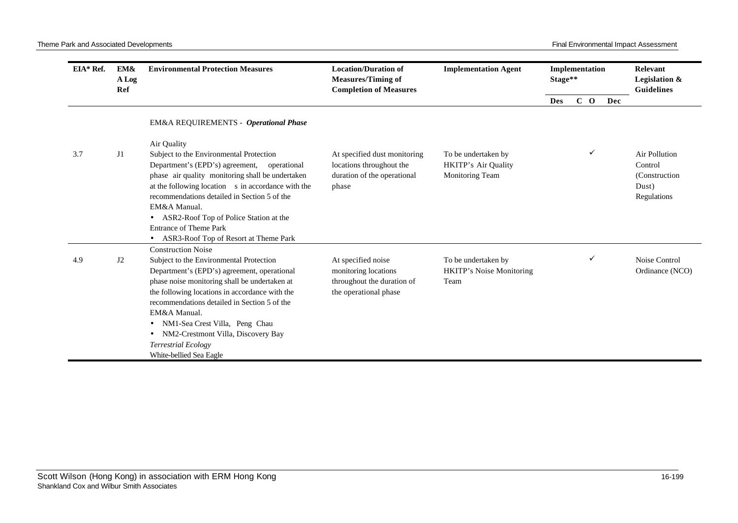| EIA* Ref. | EM&<br>A Log<br>Ref | <b>Environmental Protection Measures</b>                                                                                                                                                                                                                                                                                                                                                                                | <b>Location/Duration of</b><br><b>Measures/Timing of</b><br><b>Completion of Measures</b>         | <b>Implementation Agent</b>                                          | Implementation<br>Stage** |       | Relevant<br>Legislation &<br><b>Guidelines</b> |                                                                    |
|-----------|---------------------|-------------------------------------------------------------------------------------------------------------------------------------------------------------------------------------------------------------------------------------------------------------------------------------------------------------------------------------------------------------------------------------------------------------------------|---------------------------------------------------------------------------------------------------|----------------------------------------------------------------------|---------------------------|-------|------------------------------------------------|--------------------------------------------------------------------|
|           |                     |                                                                                                                                                                                                                                                                                                                                                                                                                         |                                                                                                   |                                                                      | <b>Des</b>                | $C$ O | Dec                                            |                                                                    |
|           |                     | EM&A REQUIREMENTS - Operational Phase                                                                                                                                                                                                                                                                                                                                                                                   |                                                                                                   |                                                                      |                           |       |                                                |                                                                    |
| 3.7       | J1                  | Air Quality<br>Subject to the Environmental Protection<br>Department's (EPD's) agreement, operational<br>phase air quality monitoring shall be undertaken<br>at the following location s in accordance with the<br>recommendations detailed in Section 5 of the<br>EM&A Manual.<br>• ASR2-Roof Top of Police Station at the<br><b>Entrance of Theme Park</b><br>ASR3-Roof Top of Resort at Theme Park                   | At specified dust monitoring<br>locations throughout the<br>duration of the operational<br>phase  | To be undertaken by<br><b>HKITP's Air Quality</b><br>Monitoring Team |                           | ✓     |                                                | Air Pollution<br>Control<br>(Construction)<br>Dust)<br>Regulations |
| 4.9       | J2                  | <b>Construction Noise</b><br>Subject to the Environmental Protection<br>Department's (EPD's) agreement, operational<br>phase noise monitoring shall be undertaken at<br>the following locations in accordance with the<br>recommendations detailed in Section 5 of the<br>EM&A Manual.<br>NM1-Sea Crest Villa, Peng Chau<br>NM2-Crestmont Villa, Discovery Bay<br><b>Terrestrial Ecology</b><br>White-bellied Sea Eagle | At specified noise<br>monitoring locations<br>throughout the duration of<br>the operational phase | To be undertaken by<br><b>HKITP's Noise Monitoring</b><br>Team       |                           | ✓     |                                                | Noise Control<br>Ordinance (NCO)                                   |